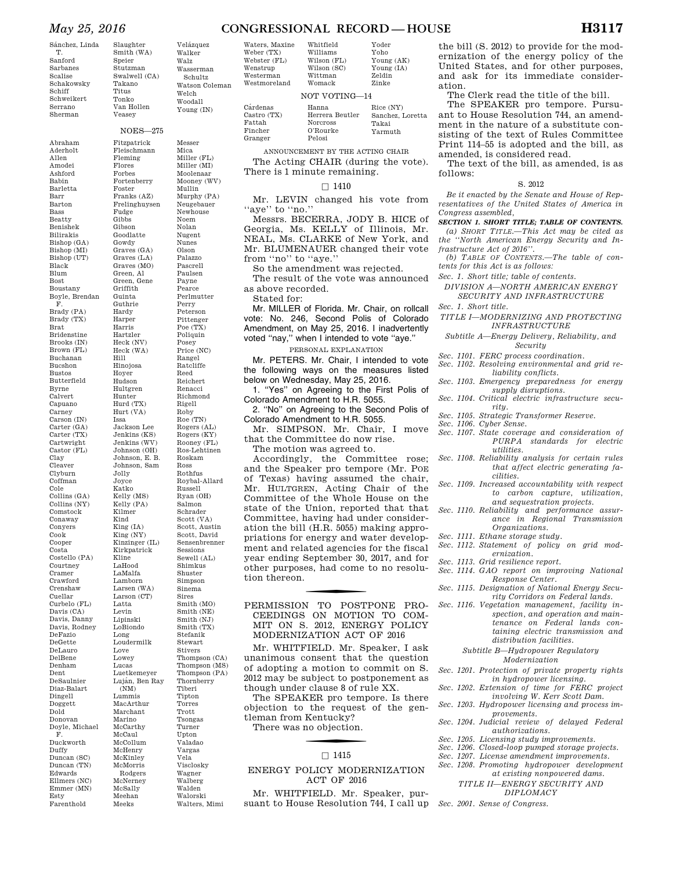## *May 25, 2016* **CONGRESSIONAL RECORD — HOUSE H3117**

Whitfield

T. Sanford Sarbanes Scalise Schakowsky Schiff Schweikert Serrano Sherman

Smith (WA) Speier Stutzman Swalwell (CA) Takano Titus Tonko Van Hollen Veasey

## NOES—275

Abraham Aderholt Allen Amodei Ashford Babin Barletta Barr Barton Bass Beatty Benishek Bilirakis Bishop (GA) Bishop (MI) Bishop (UT) Black Blum Bost Boustany Boyle, Brendan F. Brady (PA) Brady (TX) Brat Bridenstine Brooks (IN) Brown (FL) Buchanan Bucshon Bustos Butterfield Byrne Calvert Capuano Carney Carson (IN) Carter (GA) Carter (TX) Cartwright Castor (FL) Clay Cleaver Clyburn Coffman Cole Collins (GA) Collins (NY) Comstock Conaway Conyers Cook Cooper Costa Costello (PA) Courtney Cramer Crawford Crenshaw Cuellar Curbelo (FL) Davis (CA) Davis, Danny Davis, Rodney DeFazio DeGette DeLauro DelBene Denham Dent DeSaulnier Diaz-Balart Dingell Doggett Dold Donovan Doyle, Michael F. Duckworth Duffy Duncan (SC) Duncan (TN) Edwards Ellmers (NC) Emmer (MN) Esty Farenthold Fleming Flores Forbes Foster Fudge Gibbs Gibson Gowdy Griffith Guinta Guthrie Hardy Harper Harris Hartzler Hill Hinojosa Hoyer Hudson Hultgren Hunter Issa Jolly Joyce Katko Kilmer Kind King (IA) Kline LaHood LaMalfa Lamborn Latta Levin Lipinski Long Love Lowey Lucas (NM) Lummis Marino McCaul McHenry McKinley McMorris McSally Meehan Meeks

Slaughter Velázquez Walker Walz Wasserman Schultz Fitzpatrick Fleischmann Fortenberry Franks (AZ) Frelinghuysen

Watson Coleman Welch Woodall Young (IN)

Goodlatte Graves (GA) Graves (LA) Graves (MO) Green, Al Green, Gene Heck (NV) Heck (WA) Hurd (TX) Hurt (VA) Jackson Lee Jenkins (KS) Jenkins (WV) Johnson (OH) Johnson, E. B. Johnson, Sam Kelly (MS) Kelly (PA) King (NY) Kinzinger (IL) Kirkpatrick Larsen (WA) Larson (CT) LoBiondo Loudermilk Luetkemeyer Luján, Ben Ray MacArthur Marchant McCarthy McCollum Rodgers McNerney Messer Mica Miller (FL) Miller (MI) Moolenaar Mooney (WV) Mullin Murphy (PA) Neugebauer Newhouse Noem Nolan Nugent Nunes Olson Palazzo Pascrell Paulsen Payne Pearce Perlmutter Perry Peterson Pittenger Poe (TX) Poliquin Posey  $\overset{\circ}{\operatorname{Price}}$   $(\operatorname{NC})$ Rangel Ratcliffe Reed Reichert Renacci Richmond Rigell Roby  $\stackrel{\sim}{\operatorname{Roe}}(\operatorname{TN})$ Rogers (AL) Rogers (KY) Rooney (FL) Ros-Lehtinen Roskam Ross Rothfus Roybal-Allard Russell Ryan (OH) Salmon Schrader Scott (VA) Scott, Austin Scott, David Sensenbrenner Sessions Sewell (AL) Shimkus Shuster Simpson Sinema Sires Smith (MO) Smith (NE) Smith (NJ) Smith (TX) Stefanik Stewart Stivers Thompson (CA) Thompson (MS) Thompson (PA) Thornberry Tiberi Tipton Torres Trott Tsongas Turner Upton Valadao Vargas Vela Visclosky Wagner Walberg Walden Walorski

Walters, Mimi

| Waters, Maxine |  |
|----------------|--|
| Weber (TX)     |  |
| Webster (FL)   |  |
| Wenstrup       |  |
| Westerman      |  |
| Westmoreland   |  |
|                |  |

Fattah Fincher Granger

Williams Wilson (FL) Wilson (SC) Wittman Womack Yoho Young (AK) Young (IA) Zeldin Zinke NOT VOTING

Yoder

Cárdenas Castro (TX) Hanna Herrera Beutler Norcross O'Rourke Pelosi Rice (NY) Sanchez, Loretta Takai Yarmuth

ANNOUNCEMENT BY THE ACTING CHAIR The Acting CHAIR (during the vote). There is 1 minute remaining.

#### $\Box$  1410

Mr. LEVIN changed his vote from "aye" to "no."

Messrs. BECERRA, JODY B. HICE of Georgia, Ms. KELLY of Illinois, Mr. NEAL, Ms. CLARKE of New York, and Mr. BLUMENAUER changed their vote from ''no'' to ''aye.''

So the amendment was rejected.

The result of the vote was announced as above recorded.

Stated for:

Mr. MILLER of Florida. Mr. Chair, on rollcall vote: No. 246, Second Polis of Colorado Amendment, on May 25, 2016. I inadvertently voted ''nay,'' when I intended to vote ''aye.''

#### PERSONAL EXPLANATION

Mr. PETERS. Mr. Chair, I intended to vote the following ways on the measures listed below on Wednesday, May 25, 2016.

1. ''Yes'' on Agreeing to the First Polis of Colorado Amendment to H.R. 5055.

2. ''No'' on Agreeing to the Second Polis of Colorado Amendment to H.R. 5055.

Mr. SIMPSON. Mr. Chair, I move that the Committee do now rise.

The motion was agreed to.

Accordingly, the Committee rose; and the Speaker pro tempore (Mr. POE of Texas) having assumed the chair, Mr. HULTGREN, Acting Chair of the Committee of the Whole House on the state of the Union, reported that that Committee, having had under consideration the bill (H.R. 5055) making appropriations for energy and water development and related agencies for the fiscal year ending September 30, 2017, and for other purposes, had come to no resolution thereon.

PERMISSION TO POSTPONE PRO-CEEDINGS ON MOTION TO COM-MIT ON S. 2012, ENERGY POLICY MODERNIZATION ACT OF 2016

Mr. WHITFIELD. Mr. Speaker, I ask unanimous consent that the question of adopting a motion to commit on S. 2012 may be subject to postponement as though under clause 8 of rule XX.

The SPEAKER pro tempore. Is there objection to the request of the gentleman from Kentucky? There was no objection.

#### $\Box$  1415

## ENERGY POLICY MODERNIZATION ACT OF 2016

Mr. WHITFIELD. Mr. Speaker, pursuant to House Resolution 744, I call up the bill (S. 2012) to provide for the modernization of the energy policy of the United States, and for other purposes, and ask for its immediate consideration.

The Clerk read the title of the bill.

The SPEAKER pro tempore. Pursuant to House Resolution 744, an amendment in the nature of a substitute consisting of the text of Rules Committee Print 114–55 is adopted and the bill, as amended, is considered read.

The text of the bill, as amended, is as follows:

#### S. 2012

*Be it enacted by the Senate and House of Representatives of the United States of America in Congress assembled,* 

*SECTION 1. SHORT TITLE; TABLE OF CONTENTS.* 

- *(a) SHORT TITLE.—This Act may be cited as the ''North American Energy Security and Infrastructure Act of 2016''.*
- *(b) TABLE OF CONTENTS.—The table of contents for this Act is as follows:*
- *Sec. 1. Short title; table of contents.*
- *DIVISION A—NORTH AMERICAN ENERGY SECURITY AND INFRASTRUCTURE*
- *Sec. 1. Short title.*

*TITLE I—MODERNIZING AND PROTECTING INFRASTRUCTURE* 

- *Subtitle A—Energy Delivery, Reliability, and Security*
- *Sec. 1101. FERC process coordination.*
- *Sec. 1102. Resolving environmental and grid reliability conflicts.*
- *Sec. 1103. Emergency preparedness for energy supply disruptions.*
- *Sec. 1104. Critical electric infrastructure security.*
- *Sec. 1105. Strategic Transformer Reserve.*
- *Sec. 1106. Cyber Sense.*
- *Sec. 1107. State coverage and consideration of PURPA standards for electric utilities.*
- *Sec. 1108. Reliability analysis for certain rules that affect electric generating facilities.*
- *Sec. 1109. Increased accountability with respect to carbon capture, utilization, and sequestration projects.*
- *Sec. 1110. Reliability and performance assurance in Regional Transmission Organizations.*
- *Sec. 1111. Ethane storage study.*
- *Sec. 1112. Statement of policy on grid modernization.*
- *Sec. 1113. Grid resilience report.*
- *Sec. 1114. GAO report on improving National Response Center.*
- *Sec. 1115. Designation of National Energy Security Corridors on Federal lands.*
- *Sec. 1116. Vegetation management, facility inspection, and operation and maintenance on Federal lands con*
	- *taining electric transmission and distribution facilities. Subtitle B—Hydropower Regulatory*

## *Modernization*

- *Sec. 1201. Protection of private property rights in hydropower licensing.*
- *Sec. 1202. Extension of time for FERC project involving W. Kerr Scott Dam.*
- *Sec. 1203. Hydropower licensing and process improvements.*
- *Sec. 1204. Judicial review of delayed Federal authorizations.*
- *Sec. 1205. Licensing study improvements.*
- *Sec. 1206. Closed-loop pumped storage projects.*
- *Sec. 1207. License amendment improvements.*
- *Sec. 1208. Promoting hydropower development at existing nonpowered dams.* 
	- *TITLE II—ENERGY SECURITY AND*
	- *DIPLOMACY*
- *Sec. 2001. Sense of Congress.*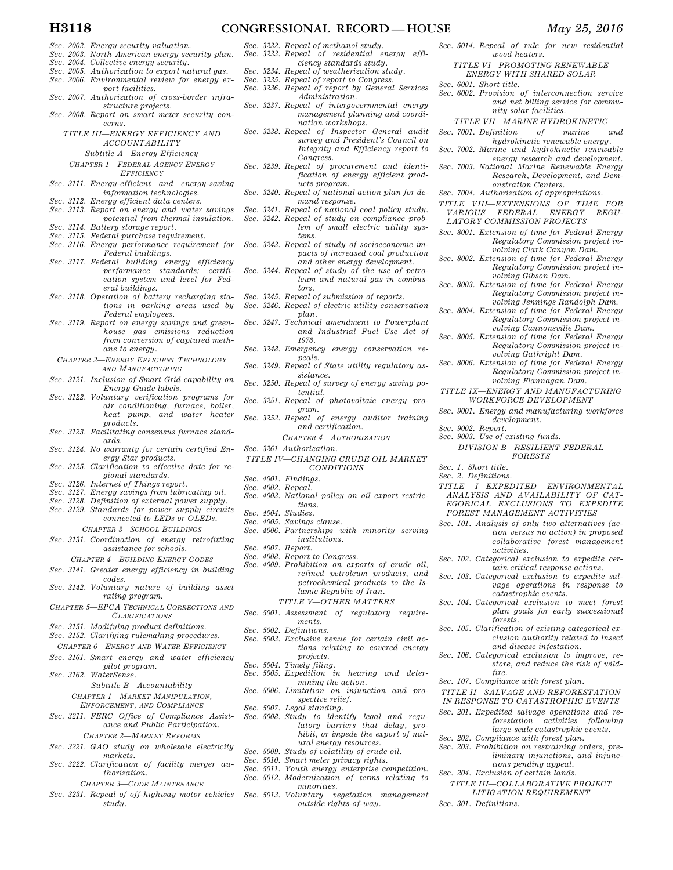- *Sec. 2002. Energy security valuation.*
- *Sec. 2003. North American energy security plan.*
- *Sec. 2004. Collective energy security.*
- *Sec. 2005. Authorization to export natural gas. Sec. 2006. Environmental review for energy ex-*
- 
- *port facilities. Sec. 2007. Authorization of cross-border infrastructure projects.*
- *Sec. 2008. Report on smart meter security concerns.*

*TITLE III—ENERGY EFFICIENCY AND ACCOUNTABILITY* 

*Subtitle A—Energy Efficiency* 

- *CHAPTER 1—FEDERAL AGENCY ENERGY EFFICIENCY*
- *Sec. 3111. Energy-efficient and energy-saving information technologies.*
- *Sec. 3112. Energy efficient data centers.*
- *Sec. 3113. Report on energy and water savings potential from thermal insulation.*
- *Sec. 3114. Battery storage report.*
- *Sec. 3115. Federal purchase requirement.*
- *Sec. 3116. Energy performance requirement for Federal buildings.*
- *Sec. 3117. Federal building energy efficiency performance standards; certification system and level for Fed-*
- *eral buildings. Sec. 3118. Operation of battery recharging stations in parking areas used by*
- *Federal employees. Sec. 3119. Report on energy savings and greenhouse gas emissions reduction from conversion of captured methane to energy.*
- *CHAPTER 2—ENERGY EFFICIENT TECHNOLOGY AND MANUFACTURING*
- *Sec. 3121. Inclusion of Smart Grid capability on Energy Guide labels.*
- *Sec. 3122. Voluntary verification programs for air conditioning, furnace, boiler, heat pump, and water heater products.*
- *Sec. 3123. Facilitating consensus furnace standards.*
- *Sec. 3124. No warranty for certain certified Energy Star products.*
- *Sec. 3125. Clarification to effective date for regional standards.*
- *Sec. 3126. Internet of Things report.*
- *Sec. 3127. Energy savings from lubricating oil.*
- *Sec. 3128. Definition of external power supply. Sec. 3129. Standards for power supply circuits*
- *connected to LEDs or OLEDs. CHAPTER 3—SCHOOL BUILDINGS*
- *Sec. 3131. Coordination of energy retrofitting assistance for schools. CHAPTER 4—BUILDING ENERGY CODES*
- *Sec. 3141. Greater energy efficiency in building codes.*
- *Sec. 3142. Voluntary nature of building asset rating program.*
- *CHAPTER 5—EPCA TECHNICAL CORRECTIONS AND CLARIFICATIONS*
- *Sec. 3151. Modifying product definitions.*
- *Sec. 3152. Clarifying rulemaking procedures. CHAPTER 6—ENERGY AND WATER EFFICIENCY*
- *Sec. 3161. Smart energy and water efficiency pilot program. Sec. 3162. WaterSense.*

*Subtitle B—Accountability CHAPTER 1—MARKET MANIPULATION,* 

*ENFORCEMENT, AND COMPLIANCE*

- *Sec. 3211. FERC Office of Compliance Assistance and Public Participation. CHAPTER 2—MARKET REFORMS*
- *Sec. 3221. GAO study on wholesale electricity*
- *markets. Sec. 3222. Clarification of facility merger au-*
- *thorization. CHAPTER 3—CODE MAINTENANCE*
	-
- *Sec. 3231. Repeal of off-highway motor vehicles study.*
- *Sec. 3232. Repeal of methanol study. Sec. 3233. Repeal of residential energy effi-*
- *ciency standards study.*
- *Sec. 3234. Repeal of weatherization study.*
- *Sec. 3235. Repeal of report to Congress. Sec. 3236. Repeal of report by General Services*
- *Administration. Sec. 3237. Repeal of intergovernmental energy* 
	- *management planning and coordination workshops.*
- *Sec. 3238. Repeal of Inspector General audit survey and President's Council on Integrity and Efficiency report to Congress.*
- *Sec. 3239. Repeal of procurement and identification of energy efficient products program.*
- *Sec. 3240. Repeal of national action plan for demand response.*
- *Sec. 3241. Repeal of national coal policy study. Sec. 3242. Repeal of study on compliance problem of small electric utility systems.*
- *Sec. 3243. Repeal of study of socioeconomic impacts of increased coal production and other energy development.*
- *Sec. 3244. Repeal of study of the use of petroleum and natural gas in combustors.*
- *Sec. 3245. Repeal of submission of reports.*
- *Sec. 3246. Repeal of electric utility conservation plan.*
- *Sec. 3247. Technical amendment to Powerplant and Industrial Fuel Use Act of 1978.*
- *Sec. 3248. Emergency energy conservation repeals.*
- *Sec. 3249. Repeal of State utility regulatory assistance.*
- *Sec. 3250. Repeal of survey of energy saving potential.*
- *Sec. 3251. Repeal of photovoltaic energy program.*
- *Sec. 3252. Repeal of energy auditor training and certification.*
- *CHAPTER 4—AUTHORIZATION Sec. 3261 Authorization.*
- *TITLE IV—CHANGING CRUDE OIL MARKET CONDITIONS*
- *Sec. 4001. Findings.*
- *Sec. 4002. Repeal.*
- *Sec. 4003. National policy on oil export restrictions.*
- *Sec. 4004. Studies.*
- *Sec. 4005. Savings clause.*
- *Sec. 4006. Partnerships with minority serving institutions.*
- *Sec. 4007. Report.*
- *Sec. 4008. Report to Congress.*
- *Sec. 4009. Prohibition on exports of crude oil, refined petroleum products, and petrochemical products to the Islamic Republic of Iran. TITLE V—OTHER MATTERS*
- *Sec. 5001. Assessment of regulatory requirements.*
- *Sec. 5002. Definitions.*
- *Sec. 5003. Exclusive venue for certain civil actions relating to covered energy projects.*
- *Sec. 5004. Timely filing.*
- *Sec. 5005. Expedition in hearing and determining the action.*
- *Sec. 5006. Limitation on injunction and prospective relief.*
- *Sec. 5007. Legal standing.*
- *Sec. 5008. Study to identify legal and regulatory barriers that delay, prohibit, or impede the export of natural energy resources. Sec. 5009. Study of volatility of crude oil.*
- *Sec. 5010. Smart meter privacy rights.*
- *Sec. 5011. Youth energy enterprise competition.*
- *Sec. 5012. Modernization of terms relating to minorities.*
- *Sec. 5013. Voluntary vegetation management outside rights-of-way.*
- *Sec. 5014. Repeal of rule for new residential wood heaters.* 
	- *TITLE VI—PROMOTING RENEWABLE ENERGY WITH SHARED SOLAR*
- *Sec. 6001. Short title.*
- *Sec. 6002. Provision of interconnection service and net billing service for community solar facilities.* 
	- *TITLE VII—MARINE HYDROKINETIC*
- *Sec. 7001. Definition of marine and hydrokinetic renewable energy.*
- *Sec. 7002. Marine and hydrokinetic renewable*
- *energy research and development. Sec. 7003. National Marine Renewable Energy Research, Development, and Dem-*
- *onstration Centers. TITLE VIII—EXTENSIONS OF TIME FOR*

*VARIOUS FEDERAL ENERGY REGU-LATORY COMMISSION PROJECTS Sec. 8001. Extension of time for Federal Energy* 

*volving Gibson Dam. Sec. 8003. Extension of time for Federal Energy* 

*Sec. 8004. Extension of time for Federal Energy* 

*DIVISION B—RESILIENT FEDERAL FORESTS* 

*TITLE I—EXPEDITED ENVIRONMENTAL ANALYSIS AND AVAILABILITY OF CAT-EGORICAL EXCLUSIONS TO EXPEDITE FOREST MANAGEMENT ACTIVITIES Sec. 101. Analysis of only two alternatives (ac-*

*Sec. 102. Categorical exclusion to expedite certain critical response actions. Sec. 103. Categorical exclusion to expedite sal-*

*catastrophic events. Sec. 104. Categorical exclusion to meet forest* 

*Sec. 105. Clarification of existing categorical ex-*

*TITLE II—SALVAGE AND REFORESTATION IN RESPONSE TO CATASTROPHIC EVENTS Sec. 201. Expedited salvage operations and re-*

*tions pending appeal.* 

*TITLE III—COLLABORATIVE PROJECT LITIGATION REQUIREMENT* 

*and disease infestation. Sec. 106. Categorical exclusion to improve, re-*

*Sec. 9002. Report.* 

*Sec. 1. Short title. Sec. 2. Definitions.* 

*Sec. 9003. Use of existing funds.* 

*activities.* 

*forests.* 

*fire. Sec. 107. Compliance with forest plan.* 

*Sec. 202. Compliance with forest plan. Sec. 203. Prohibition on restraining orders, pre-*

*Sec. 204. Exclusion of certain lands.* 

*Sec. 301. Definitions.* 

*Regulatory Commission project involving Clark Canyon Dam. Sec. 8002. Extension of time for Federal Energy* 

*Regulatory Commission project in-*

*Regulatory Commission project involving Jennings Randolph Dam.* 

*Regulatory Commission project involving Cannonsville Dam. Sec. 8005. Extension of time for Federal Energy* 

*Regulatory Commission project involving Gathright Dam. Sec. 8006. Extension of time for Federal Energy* 

*Regulatory Commission project involving Flannagan Dam. TITLE IX—ENERGY AND MANUFACTURING WORKFORCE DEVELOPMENT Sec. 9001. Energy and manufacturing workforce development.* 

> *tion versus no action) in proposed collaborative forest management*

*vage operations in response to* 

*plan goals for early successional* 

*clusion authority related to insect* 

*store, and reduce the risk of wild-*

*forestation activities following large-scale catastrophic events.* 

*liminary injunctions, and injunc-*

*Sec. 7004. Authorization of appropriations.*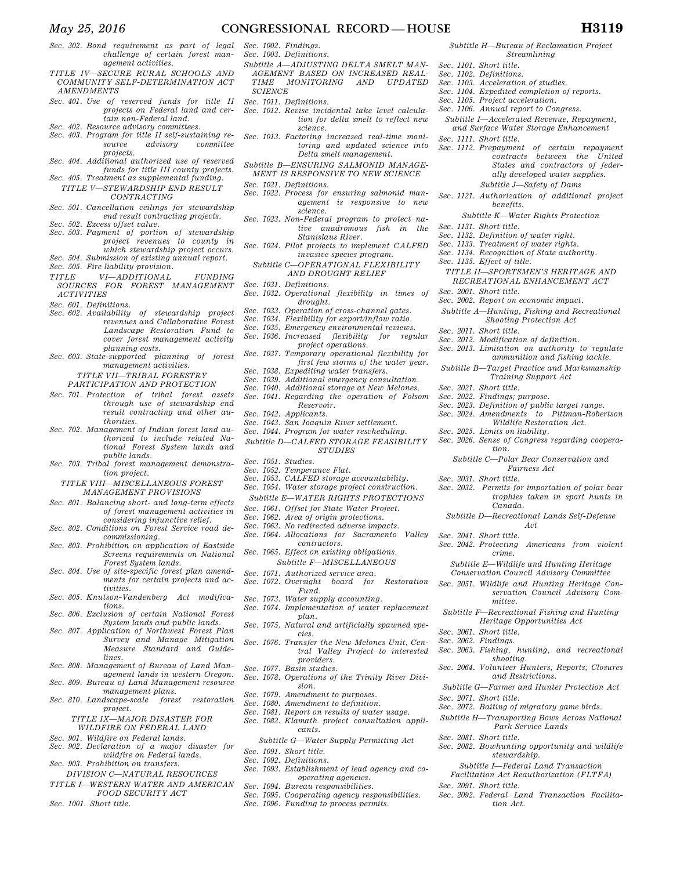- *Sec. 302. Bond requirement as part of legal challenge of certain forest management activities.*
- *TITLE IV—SECURE RURAL SCHOOLS AND COMMUNITY SELF-DETERMINATION ACT AMENDMENTS*
- *Sec. 401. Use of reserved funds for title II projects on Federal land and certain non-Federal land.*
- 
- *Sec. 402. Resource advisory committees. Sec. 403. Program for title II self-sustaining resource advisory committee projects.*
- *Sec. 404. Additional authorized use of reserved funds for title III county projects. Sec. 405. Treatment as supplemental funding.*
- *TITLE V—STEWARDSHIP END RESULT CONTRACTING*
- *Sec. 501. Cancellation ceilings for stewardship end result contracting projects.*
- *Sec. 502. Excess offset value. Sec. 503. Payment of portion of stewardship*
- *project revenues to county in which stewardship project occurs. Sec. 504. Submission of existing annual report.*
- *Sec. 505. Fire liability provision.*
- *TITLE VI—ADDITIONAL FUNDING*
- *SOURCES FOR FOREST MANAGEMENT ACTIVITIES*
- *Sec. 601. Definitions.*
- *Sec. 602. Availability of stewardship project revenues and Collaborative Forest Landscape Restoration Fund to cover forest management activity planning costs.*
- *Sec. 603. State-supported planning of forest management activities.* 
	- *TITLE VII—TRIBAL FORESTRY*

*PARTICIPATION AND PROTECTION* 

- *Sec. 701. Protection of tribal forest assets through use of stewardship end result contracting and other authorities.*
- *Sec. 702. Management of Indian forest land authorized to include related National Forest System lands and public lands.*
- *Sec. 703. Tribal forest management demonstration project.*
- *TITLE VIII—MISCELLANEOUS FOREST MANAGEMENT PROVISIONS*
- *Sec. 801. Balancing short- and long-term effects of forest management activities in*
- *considering injunctive relief. Sec. 802. Conditions on Forest Service road decommissioning.*
- *Sec. 803. Prohibition on application of Eastside Screens requirements on National Forest System lands.*
- *Sec. 804. Use of site-specific forest plan amendments for certain projects and ac-*
- *tivities. Sec. 805. Knutson-Vandenberg Act modifications.*
- *Sec. 806. Exclusion of certain National Forest System lands and public lands.*
- *Sec. 807. Application of Northwest Forest Plan Survey and Manage Mitigation Measure Standard and Guidelines.*
- *Sec. 808. Management of Bureau of Land Man-*
- *agement lands in western Oregon. Sec. 809. Bureau of Land Management resource*
- *management plans. Sec. 810. Landscape-scale forest restoration project.* 
	- *TITLE IX—MAJOR DISASTER FOR WILDFIRE ON FEDERAL LAND*
- *Sec. 901. Wildfire on Federal lands.*
- *Sec. 902. Declaration of a major disaster for wildfire on Federal lands.*
- *Sec. 903. Prohibition on transfers. DIVISION C—NATURAL RESOURCES*
- *TITLE I—WESTERN WATER AND AMERICAN FOOD SECURITY ACT*
- *Sec. 1001. Short title.*
- *Sec. 1003. Definitions. Subtitle A—ADJUSTING DELTA SMELT MAN-*
- *AGEMENT BASED ON INCREASED REAL-MONITORING SCIENCE*
- *Sec. 1011. Definitions.*

*Sec. 1002. Findings.* 

- *Sec. 1012. Revise incidental take level calculation for delta smelt to reflect new science.*
- *Sec. 1013. Factoring increased real-time monitoring and updated science into Delta smelt management.*
- *Subtitle B—ENSURING SALMONID MANAGE-MENT IS RESPONSIVE TO NEW SCIENCE*
- *Sec. 1021. Definitions.*
- *Sec. 1022. Process for ensuring salmonid management is responsive to new science.*
- *Sec. 1023. Non-Federal program to protect native anadromous fish in the Stanislaus River.*
- *Sec. 1024. Pilot projects to implement CALFED invasive species program.*
- *Subtitle C—OPERATIONAL FLEXIBILITY AND DROUGHT RELIEF*
- *Sec. 1031. Definitions.*
- *Sec. 1032. Operational flexibility in times of drought.*
- *Sec. 1033. Operation of cross-channel gates.*
- *Sec. 1034. Flexibility for export/inflow ratio.*
- *Sec. 1035. Emergency environmental reviews.*
- *Sec. 1036. Increased*
- *project operations. Sec. 1037. Temporary operational flexibility for first few storms of the water year.*
- *Sec. 1038. Expediting water transfers.*
- *Sec. 1039. Additional emergency consultation.*
- *Sec. 1040. Additional storage at New Melones.*
- *Sec. 1041. Regarding the operation of Folsom*
- *Reservoir.*
- *Sec. 1042. Applicants.*
- *Sec. 1043. San Joaquin River settlement.*
- *Sec. 1044. Program for water rescheduling.*
- *Subtitle D—CALFED STORAGE FEASIBILITY STUDIES*
- *Sec. 1051. Studies.*
- *Sec. 1052. Temperance Flat.*
- *Sec. 1053. CALFED storage accountability. Sec. 1054. Water storage project construction.*
- *Subtitle E—WATER RIGHTS PROTECTIONS*
- *Sec. 1061. Offset for State Water Project.*
- *Sec. 1062. Area of origin protections.*
- *Sec. 1063. No redirected adverse impacts.*
- *Sec. 1064. Allocations for Sacramento Valley contractors.*
- *Sec. 1065. Effect on existing obligations. Subtitle F—MISCELLANEOUS*
- *Sec. 1071. Authorized service area.*
- *Sec. 1072. Oversight board for Restoration*
- *Fund. Sec. 1073. Water supply accounting.*
- *Sec. 1074. Implementation of water replacement plan.*
- *Sec. 1075. Natural and artificially spawned species.*
- *Sec. 1076. Transfer the New Melones Unit, Central Valley Project to interested providers.*
- *Sec. 1077. Basin studies.*
- *Sec. 1078. Operations of the Trinity River Division.*
- *Sec. 1079. Amendment to purposes.*
- *Sec. 1080. Amendment to definition.*
- *Sec. 1081. Report on results of water usage. Sec. 1082. Klamath project consultation applicants.*

*Subtitle G—Water Supply Permitting Act* 

- *Sec. 1091. Short title.*
- *Sec. 1092. Definitions.*
- *Sec. 1093. Establishment of lead agency and cooperating agencies.*
- *Sec. 1094. Bureau responsibilities.*
- *Sec. 1095. Cooperating agency responsibilities.*
- *Sec. 1096. Funding to process permits.*

#### *Subtitle H—Bureau of Reclamation Project Streamlining*

*Subtitle I—Accelerated Revenue, Repayment, and Surface Water Storage Enhancement* 

*Sec. 1112. Prepayment of certain repayment* 

*Subtitle K—Water Rights Protection* 

*TITLE II—SPORTSMEN'S HERITAGE AND RECREATIONAL ENHANCEMENT ACT* 

*Subtitle A—Hunting, Fishing and Recreational Shooting Protection Act* 

*Sec. 2013. Limitation on authority to regulate ammunition and fishing tackle.* 

*Subtitle B—Target Practice and Marksmanship Training Support Act* 

*Sec. 2026. Sense of Congress regarding coopera-*

*Subtitle C—Polar Bear Conservation and Fairness Act* 

*Sec. 2032. Permits for importation of polar bear* 

*Subtitle D—Recreational Lands Self-Defense Act* 

*Subtitle E—Wildlife and Hunting Heritage Conservation Council Advisory Committee Sec. 2051. Wildlife and Hunting Heritage Con-*

*Subtitle F—Recreational Fishing and Hunting Heritage Opportunities Act* 

*Sec. 2063. Fishing, hunting, and recreational* 

*Sec. 2064. Volunteer Hunters; Reports; Closures and Restrictions. Subtitle G—Farmer and Hunter Protection Act* 

*Sec. 2082. Bowhunting opportunity and wildlife stewardship. Subtitle I—Federal Land Transaction Facilitation Act Reauthorization (FLTFA)* 

*Sec. 2092. Federal Land Transaction Facilita-*

*tion Act.* 

*Sec. 2072. Baiting of migratory game birds. Subtitle H—Transporting Bows Across National Park Service Lands* 

*trophies taken in sport hunts in* 

*servation Council Advisory Com-*

*Sec. 2042. Protecting Americans from violent* 

*Sec. 2023. Definition of public target range. Sec. 2024. Amendments to Pittman-Robertson Wildlife Restoration Act.* 

 $between$  the United

*States and contractors of federally developed water supplies. Subtitle J—Safety of Dams Sec. 1121. Authorization of additional project* 

- *Sec. 1101. Short title.*
- *Sec. 1102. Definitions.*

*Sec. 1111. Short title.* 

*Sec. 1131. Short title.* 

*Sec. 1135. Effect of title.* 

*Sec. 2001. Short title.* 

*Sec. 2011. Short title.* 

*Sec. 2021. Short title. Sec. 2022. Findings; purpose.* 

*Sec. 2031. Short title.* 

*Sec. 2041. Short title.* 

*Sec. 2061. Short title. Sec. 2062. Findings.* 

*Sec. 2071. Short title.* 

*Sec. 2081. Short title.* 

*Sec. 2091. Short title.* 

*Sec. 2025. Limits on liability.* 

*tion.* 

*Canada.* 

*crime.* 

*mittee.* 

*shooting.* 

- *Sec. 1103. Acceleration of studies.*
- *Sec. 1104. Expedited completion of reports. Sec. 1105. Project acceleration.*
- *Sec. 1106. Annual report to Congress.*

*benefits.* 

*Sec. 1132. Definition of water right. Sec. 1133. Treatment of water rights. Sec. 1134. Recognition of State authority.* 

*Sec. 2002. Report on economic impact.* 

*Sec. 2012. Modification of definition.*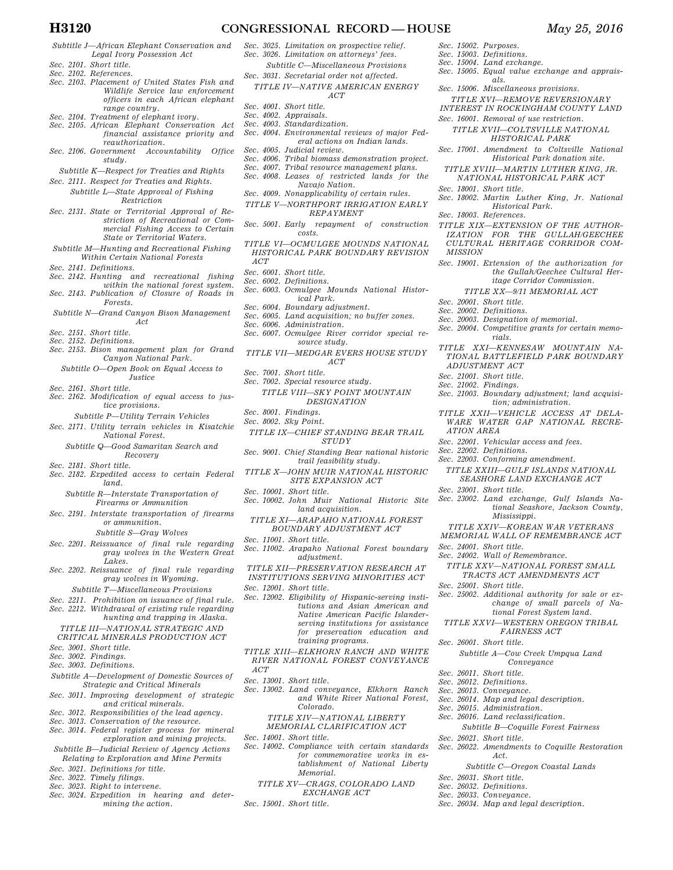- *Subtitle J—African Elephant Conservation and Legal Ivory Possession Act Sec. 2101. Short title.*
- *Sec. 2102. References.*
- *Sec. 2103. Placement of United States Fish and Wildlife Service law enforcement officers in each African elephant range country.*
- *Sec. 2104. Treatment of elephant ivory.*
- *Sec. 2105. African Elephant Conservation Act financial assistance priority and reauthorization.*
- *Sec. 2106. Government Accountability Office study.*
- *Subtitle K—Respect for Treaties and Rights Sec. 2111. Respect for Treaties and Rights.*
- *Subtitle L—State Approval of Fishing Restriction*
- *Sec. 2131. State or Territorial Approval of Restriction of Recreational or Commercial Fishing Access to Certain State or Territorial Waters.*
- *Subtitle M—Hunting and Recreational Fishing Within Certain National Forests*
- *Sec. 2141. Definitions.*
- *Sec. 2142. Hunting and recreational fishing*
- *within the national forest system. Sec. 2143. Publication of Closure of Roads in Forests.*
- *Subtitle N—Grand Canyon Bison Management Act*
- *Sec. 2151. Short title.*
- *Sec. 2152. Definitions.*
- *Sec. 2153. Bison management plan for Grand Canyon National Park.* 
	- *Subtitle O—Open Book on Equal Access to Justice*
- *Sec. 2161. Short title.*
- *Sec. 2162. Modification of equal access to justice provisions.*
- *Subtitle P—Utility Terrain Vehicles Sec. 2171. Utility terrain vehicles in Kisatchie National Forest.* 
	- *Subtitle Q—Good Samaritan Search and Recovery*

*Sec. 2181. Short title.* 

- *Sec. 2182. Expedited access to certain Federal land.* 
	- *Subtitle R—Interstate Transportation of Firearms or Ammunition*
- *Sec. 2191. Interstate transportation of firearms or ammunition.*

### *Subtitle S—Gray Wolves*

- *Sec. 2201. Reissuance of final rule regarding gray wolves in the Western Great Lakes.*
- *Sec. 2202. Reissuance of final rule regarding gray wolves in Wyoming.*

*Subtitle T—Miscellaneous Provisions* 

- *Sec. 2211. Prohibition on issuance of final rule.*
- *Sec. 2212. Withdrawal of existing rule regarding hunting and trapping in Alaska.*

### *TITLE III—NATIONAL STRATEGIC AND CRITICAL MINERALS PRODUCTION ACT*

- *Sec. 3001. Short title.*
- *Sec. 3002. Findings.*
- *Sec. 3003. Definitions.*
- *Subtitle A—Development of Domestic Sources of Strategic and Critical Minerals*
- *Sec. 3011. Improving development of strategic and critical minerals.*
- *Sec. 3012. Responsibilities of the lead agency.*
- *Sec. 3013. Conservation of the resource. Sec. 3014. Federal register process for mineral*
- *exploration and mining projects. Subtitle B—Judicial Review of Agency Actions*
- *Relating to Exploration and Mine Permits Sec. 3021. Definitions for title.*
- *Sec. 3022. Timely filings.*
- *Sec. 3023. Right to intervene.*
- *Sec. 3024. Expedition in hearing and determining the action.*
- *Sec. 3025. Limitation on prospective relief. Sec. 3026. Limitation on attorneys' fees. Subtitle C—Miscellaneous Provisions*
- *Sec. 3031. Secretarial order not affected.*
- *TITLE IV—NATIVE AMERICAN ENERGY ACT*
- *Sec. 4001. Short title.*
- *Sec. 4002. Appraisals.*
- *Sec. 4003. Standardization.*
- *Sec. 4004. Environmental reviews of major Federal actions on Indian lands. Sec. 4005. Judicial review.*
- *Sec. 4006. Tribal biomass demonstration project.*
- *Sec. 4007. Tribal resource management plans.*
- *Sec. 4008. Leases of restricted lands for the*
- *Navajo Nation. Sec. 4009. Nonapplicability of certain rules.*
- *TITLE V—NORTHPORT IRRIGATION EARLY REPAYMENT*
- *Sec. 5001. Early repayment of construction costs.*
- *TITLE VI—OCMULGEE MOUNDS NATIONAL HISTORICAL PARK BOUNDARY REVISION ACT*
- *Sec. 6001. Short title.*
- *Sec. 6002. Definitions.*
- *Sec. 6003. Ocmulgee Mounds National Historical Park.*
- *Sec. 6004. Boundary adjustment.*
- *Sec. 6005. Land acquisition; no buffer zones.*
- *Sec. 6006. Administration. Sec. 6007. Ocmulgee River corridor special resource study.*
- *TITLE VII—MEDGAR EVERS HOUSE STUDY ACT*
- *Sec. 7001. Short title.*
- *Sec. 7002. Special resource study.*
- *TITLE VIII—SKY POINT MOUNTAIN DESIGNATION*
- *Sec. 8001. Findings.*
- *Sec. 8002. Sky Point.*
- *TITLE IX—CHIEF STANDING BEAR TRAIL STUDY*
- *Sec. 9001. Chief Standing Bear national historic trail feasibility study.*
- *TITLE X—JOHN MUIR NATIONAL HISTORIC SITE EXPANSION ACT*
- *Sec. 10001. Short title.*
- *Sec. 10002. John Muir National Historic Site land acquisition.*
- *TITLE XI—ARAPAHO NATIONAL FOREST BOUNDARY ADJUSTMENT ACT*
- *Sec. 11001. Short title.*
- *Sec. 11002. Arapaho National Forest boundary adjustment.*

*TITLE XII—PRESERVATION RESEARCH AT INSTITUTIONS SERVING MINORITIES ACT* 

- *Sec. 12001. Short title.*
- *Sec. 12002. Eligibility of Hispanic-serving institutions and Asian American and Native American Pacific Islanderserving institutions for assistance for preservation education and training programs.*
- *TITLE XIII—ELKHORN RANCH AND WHITE RIVER NATIONAL FOREST CONVEYANCE ACT*
- *Sec. 13001. Short title.*
- *Sec. 13002. Land conveyance, Elkhorn Ranch and White River National Forest, Colorado.* 
	- *TITLE XIV—NATIONAL LIBERTY MEMORIAL CLARIFICATION ACT*
- *Sec. 14001. Short title.*
- *Sec. 14002. Compliance with certain standards for commemorative works in establishment of National Liberty Memorial.* 
	- *TITLE XV—CRAGS, COLORADO LAND EXCHANGE ACT*

*Sec. 15001. Short title.* 

- *Sec. 15002. Purposes.*
- *Sec. 15003. Definitions. Sec. 15004. Land exchange.*

*Sec. 18001. Short title.* 

*Sec. 18003. References.* 

*Sec. 20001. Short title. Sec. 20002. Definitions.* 

*ADJUSTMENT ACT Sec. 21001. Short title. Sec. 21002. Findings.* 

*ATION AREA* 

*Sec. 22002. Definitions.* 

*Sec. 23001. Short title.* 

*Sec. 24001. Short title.* 

*Sec. 25001. Short title.* 

*Sec. 26001. Short title.* 

*Sec. 26011. Short title. Sec. 26012. Definitions. Sec. 26013. Conveyance.* 

*Sec. 26021. Short title.* 

*Sec. 26031. Short title. Sec. 26032. Definitions. Sec. 26033. Conveyance.* 

*Sec. 26015. Administration. Sec. 26016. Land reclassification.* 

*Act.* 

*Sec. 26034. Map and legal description.* 

*Sec. 20003. Designation of memorial.* 

*Sec. 22001. Vehicular access and fees.* 

*Sec. 22003. Conforming amendment.* 

*Mississippi. TITLE XXIV—KOREAN WAR VETERANS MEMORIAL WALL OF REMEMBRANCE ACT* 

*Sec. 24002. Wall of Remembrance.* 

*rials.* 

*MISSION* 

- *Sec. 15005. Equal value exchange and apprais-*
- *als. Sec. 15006. Miscellaneous provisions.*
- *TITLE XVI—REMOVE REVERSIONARY*
- *INTEREST IN ROCKINGHAM COUNTY LAND*
- *Sec. 16001. Removal of use restriction.*
- *TITLE XVII—COLTSVILLE NATIONAL HISTORICAL PARK Sec. 17001. Amendment to Coltsville National*

*Sec. 18002. Martin Luther King, Jr. National Historical Park.* 

*TITLE XIX—EXTENSION OF THE AUTHOR-IZATION FOR THE GULLAH/GEECHEE CULTURAL HERITAGE CORRIDOR COM-*

*Sec. 19001. Extension of the authorization for* 

*Sec. 20004. Competitive grants for certain memo-*

*TITLE XXI—KENNESAW MOUNTAIN NA-TIONAL BATTLEFIELD PARK BOUNDARY* 

*Sec. 21003. Boundary adjustment; land acquisition; administration. TITLE XXII—VEHICLE ACCESS AT DELA-WARE WATER GAP NATIONAL RECRE-*

*TITLE XXIII—GULF ISLANDS NATIONAL SEASHORE LAND EXCHANGE ACT* 

*Sec. 23002. Land exchange, Gulf Islands Na-*

*TITLE XXV—NATIONAL FOREST SMALL TRACTS ACT AMENDMENTS ACT* 

*Sec. 25002. Additional authority for sale or ex-*

*Subtitle A—Cow Creek Umpqua Land Conveyance* 

*Subtitle B—Coquille Forest Fairness* 

*Sec. 26022. Amendments to Coquille Restoration* 

*Subtitle C—Oregon Coastal Lands* 

*Sec. 26014. Map and legal description.* 

*tional Seashore, Jackson County,* 

*change of small parcels of National Forest System land. TITLE XXVI—WESTERN OREGON TRIBAL FAIRNESS ACT* 

*the Gullah/Geechee Cultural Heritage Corridor Commission. TITLE XX—9/11 MEMORIAL ACT* 

*Historical Park donation site. TITLE XVIII—MARTIN LUTHER KING, JR. NATIONAL HISTORICAL PARK ACT*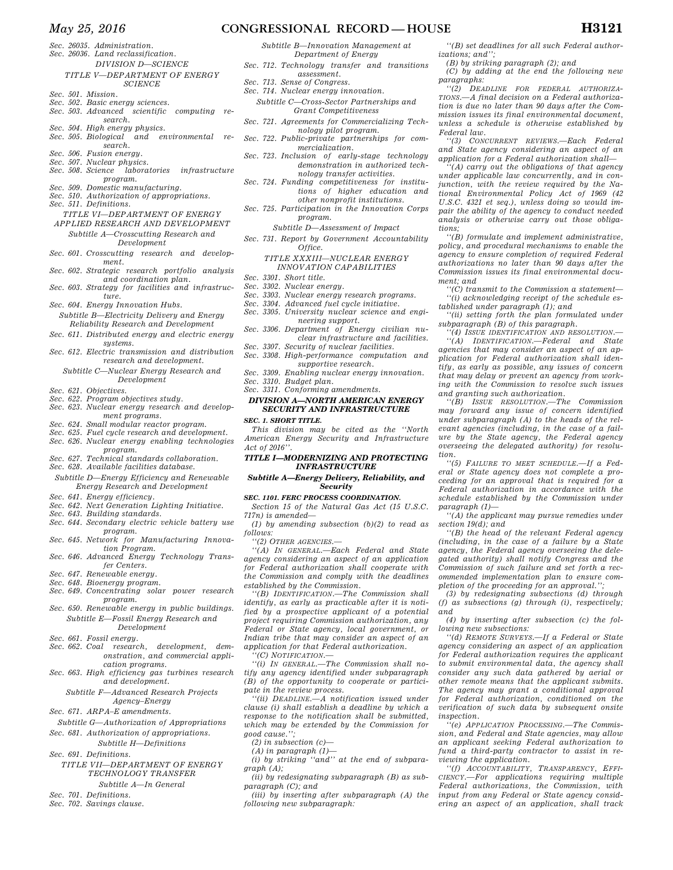## *May 25, 2016* **CONGRESSIONAL RECORD — HOUSE H3121**

- *Sec. 26035. Administration.*
- *Sec. 26036. Land reclassification.* 
	- *DIVISION D—SCIENCE TITLE V—DEPARTMENT OF ENERGY SCIENCE*
- *Sec. 501. Mission.*
- *Sec. 502. Basic energy sciences.*
- *Sec. 503. Advanced scientific computing research.*
- 
- *Sec. 504. High energy physics. Sec. 505. Biological and environmental research.*
- *Sec. 506. Fusion energy.*
- *Sec. 507. Nuclear physics.*
- *Sec. 508. Science laboratories infrastructure program.*
- *Sec. 509. Domestic manufacturing.*
- *Sec. 510. Authorization of appropriations.*
- *Sec. 511. Definitions.*
- *TITLE VI—DEPARTMENT OF ENERGY APPLIED RESEARCH AND DEVELOPMENT*
- *Subtitle A—Crosscutting Research and Development*
- *Sec. 601. Crosscutting research and development.*
- *Sec. 602. Strategic research portfolio analysis and coordination plan.*
- *Sec. 603. Strategy for facilities and infrastructure.*
- *Sec. 604. Energy Innovation Hubs. Subtitle B—Electricity Delivery and Energy*
- *Reliability Research and Development*
- *Sec. 611. Distributed energy and electric energy systems.*
- *Sec. 612. Electric transmission and distribution research and development.* 
	- *Subtitle C—Nuclear Energy Research and Development*
- *Sec. 621. Objectives.*
- *Sec. 622. Program objectives study.*
- *Sec. 623. Nuclear energy research and development programs.*
- *Sec. 624. Small modular reactor program.*
- *Sec. 625. Fuel cycle research and development. Sec. 626. Nuclear energy enabling technologies program.*
- *Sec. 627. Technical standards collaboration.*
- *Sec. 628. Available facilities database.*
- *Subtitle D—Energy Efficiency and Renewable Energy Research and Development*
- *Sec. 641. Energy efficiency.*
- *Sec. 642. Next Generation Lighting Initiative.*
- *Sec. 643. Building standards.*
- *Sec. 644. Secondary electric vehicle battery use program.*
- *Sec. 645. Network for Manufacturing Innovation Program.*
- *Sec. 646. Advanced Energy Technology Transfer Centers.*
- *Sec. 647. Renewable energy.*
- *Sec. 648. Bioenergy program.*
- *Sec. 649. Concentrating solar power research program. Sec. 650. Renewable energy in public buildings.*
- *Subtitle E—Fossil Energy Research and Development*
- *Sec. 661. Fossil energy.*
- *Sec. 662. Coal research, development, demonstration, and commercial application programs.*
- *Sec. 663. High efficiency gas turbines research and development.*

#### *Subtitle F—Advanced Research Projects Agency–Energy*

- *Sec. 671. ARPA–E amendments.*
- *Subtitle G—Authorization of Appropriations*
- *Sec. 681. Authorization of appropriations. Subtitle H—Definitions*
- *Sec. 691. Definitions.*
- *TITLE VII—DEPARTMENT OF ENERGY TECHNOLOGY TRANSFER Subtitle A—In General*
- *Sec. 701. Definitions.*
- *Sec. 702. Savings clause.*
- *Department of Energy Sec. 712. Technology transfer and transitions assessment.* 
	- *Sec. 713. Sense of Congress.* 
		- *Sec. 714. Nuclear energy innovation.* 
			- *Subtitle C—Cross-Sector Partnerships and Grant Competitiveness*
		- *Sec. 721. Agreements for Commercializing Technology pilot program.*

*Subtitle B—Innovation Management at* 

- *Sec. 722. Public-private partnerships for commercialization.*
- *Sec. 723. Inclusion of early-stage technology demonstration in authorized technology transfer activities.*
- *Sec. 724. Funding competitiveness for institutions of higher education and other nonprofit institutions.*
- *Sec. 725. Participation in the Innovation Corps program.*

*Subtitle D—Assessment of Impact* 

*Sec. 731. Report by Government Accountability Office.* 

## *TITLE XXXIII—NUCLEAR ENERGY INNOVATION CAPABILITIES*

- *Sec. 3301. Short title.*
- *Sec. 3302. Nuclear energy.*
- *Sec. 3303. Nuclear energy research programs.*
- *Sec. 3304. Advanced fuel cycle initiative. Sec. 3305. University nuclear science and engi-*
- *neering support. Sec. 3306. Department of Energy civilian nu-*
- *clear infrastructure and facilities.*
- *Sec. 3307. Security of nuclear facilities. Sec. 3308. High-performance computation and*
- *supportive research.*
- *Sec. 3309. Enabling nuclear energy innovation. Sec. 3310. Budget plan.*
- *Sec. 3311. Conforming amendments.*

## *DIVISION A—NORTH AMERICAN ENERGY SECURITY AND INFRASTRUCTURE*

*SEC. 1. SHORT TITLE.* 

*This division may be cited as the ''North American Energy Security and Infrastructure Act of 2016''.* 

### *TITLE I—MODERNIZING AND PROTECTING INFRASTRUCTURE*

*Subtitle A—Energy Delivery, Reliability, and Security* 

#### *SEC. 1101. FERC PROCESS COORDINATION.*

*Section 15 of the Natural Gas Act (15 U.S.C. 717n) is amended—* 

*(1) by amending subsection (b)(2) to read as follows:* 

*''(2) OTHER AGENCIES.—* 

*''(A) IN GENERAL.—Each Federal and State agency considering an aspect of an application for Federal authorization shall cooperate with the Commission and comply with the deadlines established by the Commission.* 

*''(B) IDENTIFICATION.—The Commission shall identify, as early as practicable after it is notified by a prospective applicant of a potential project requiring Commission authorization, any Federal or State agency, local government, or Indian tribe that may consider an aspect of an application for that Federal authorization.* 

*''(C) NOTIFICATION.—* 

*''(i) IN GENERAL.—The Commission shall notify any agency identified under subparagraph (B) of the opportunity to cooperate or participate in the review process.* 

*''(ii) DEADLINE.—A notification issued under clause (i) shall establish a deadline by which a response to the notification shall be submitted, which may be extended by the Commission for good cause.'';* 

- *(2) in subsection (c)—*
- *(A) in paragraph (1)—*

*(i) by striking ''and'' at the end of subparagraph (A);* 

*(ii) by redesignating subparagraph (B) as subparagraph (C); and* 

*(iii) by inserting after subparagraph (A) the following new subparagraph:* 

*''(B) set deadlines for all such Federal authorizations; and'';* 

*(B) by striking paragraph (2); and* 

*(C) by adding at the end the following new paragraphs:* 

*''(2) DEADLINE FOR FEDERAL AUTHORIZA-TIONS.—A final decision on a Federal authorization is due no later than 90 days after the Commission issues its final environmental document, unless a schedule is otherwise established by Federal law.* 

*''(3) CONCURRENT REVIEWS.—Each Federal and State agency considering an aspect of an application for a Federal authorization shall— ''(A) carry out the obligations of that agency* 

*under applicable law concurrently, and in conjunction, with the review required by the National Environmental Policy Act of 1969 (42 U.S.C. 4321 et seq.), unless doing so would impair the ability of the agency to conduct needed analysis or otherwise carry out those obliga-*

*''(B) formulate and implement administrative, policy, and procedural mechanisms to enable the agency to ensure completion of required Federal authorizations no later than 90 days after the Commission issues its final environmental docu-*

*''(C) transmit to the Commission a statement— ''(i) acknowledging receipt of the schedule es-*

*''(ii) setting forth the plan formulated under* 

*''(4) ISSUE IDENTIFICATION AND RESOLUTION.— ''(A) IDENTIFICATION.—Federal and State agencies that may consider an aspect of an application for Federal authorization shall identify, as early as possible, any issues of concern that may delay or prevent an agency from working with the Commission to resolve such issues* 

*''(B) ISSUE RESOLUTION.—The Commission may forward any issue of concern identified under subparagraph (A) to the heads of the relevant agencies (including, in the case of a failure by the State agency, the Federal agency overseeing the delegated authority) for resolu-*

*''(5) FAILURE TO MEET SCHEDULE.—If a Federal or State agency does not complete a proceeding for an approval that is required for a Federal authorization in accordance with the schedule established by the Commission under* 

*''(A) the applicant may pursue remedies under* 

*''(B) the head of the relevant Federal agency (including, in the case of a failure by a State agency, the Federal agency overseeing the delegated authority) shall notify Congress and the Commission of such failure and set forth a recommended implementation plan to ensure completion of the proceeding for an approval.''; (3) by redesignating subsections (d) through (f) as subsections (g) through (i), respectively;* 

*(4) by inserting after subsection (c) the fol-*

*''(d) REMOTE SURVEYS.—If a Federal or State agency considering an aspect of an application for Federal authorization requires the applicant to submit environmental data, the agency shall consider any such data gathered by aerial or other remote means that the applicant submits. The agency may grant a conditional approval for Federal authorization, conditioned on the verification of such data by subsequent onsite* 

*''(e) APPLICATION PROCESSING.—The Commission, and Federal and State agencies, may allow an applicant seeking Federal authorization to fund a third-party contractor to assist in re-*

*''(f) ACCOUNTABILITY, TRANSPARENCY, EFFI-CIENCY.—For applications requiring multiple Federal authorizations, the Commission, with input from any Federal or State agency considering an aspect of an application, shall track* 

*tablished under paragraph (1); and* 

*subparagraph (B) of this paragraph.* 

*and granting such authorization.* 

*tions;* 

*ment; and* 

*tion.* 

*and* 

*inspection.* 

*paragraph (1)—* 

*section 19(d); and* 

*lowing new subsections:* 

*viewing the application.*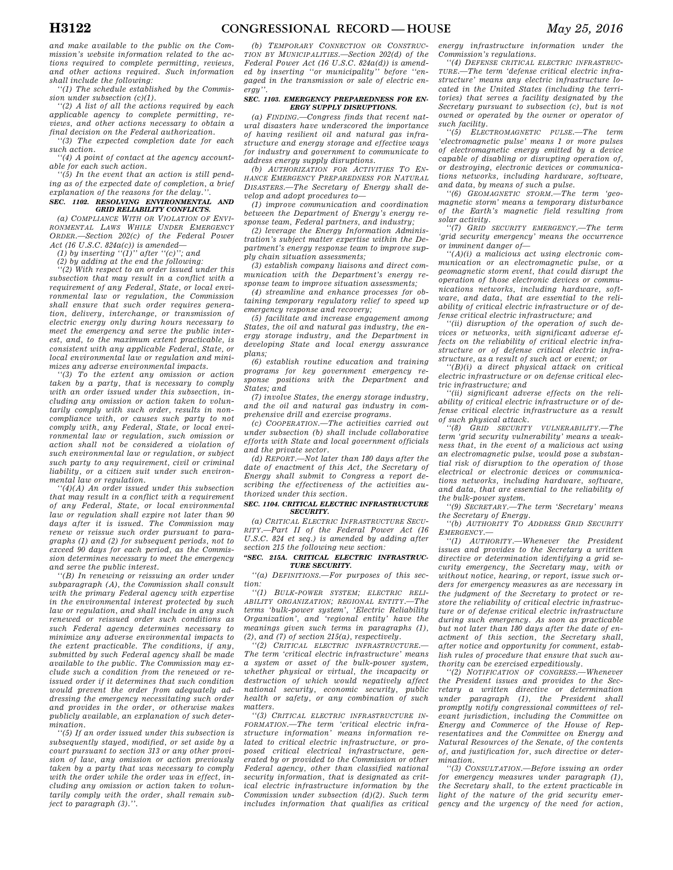*''(1) The schedule established by the Commission under subsection (c)(1).* 

*''(2) A list of all the actions required by each applicable agency to complete permitting, reviews, and other actions necessary to obtain a final decision on the Federal authorization.* 

*''(3) The expected completion date for each such action.* 

*''(4) A point of contact at the agency accountable for each such action.* 

*''(5) In the event that an action is still pending as of the expected date of completion, a brief*   $explanation of the reasons for the delay.$ 

#### *SEC. 1102. RESOLVING ENVIRONMENTAL AND GRID RELIABILITY CONFLICTS.*

*(a) COMPLIANCE WITH OR VIOLATION OF ENVI-RONMENTAL LAWS WHILE UNDER EMERGENCY ORDER.—Section 202(c) of the Federal Power Act (16 U.S.C. 824a(c)) is amended—* 

*(1) by inserting ''(1)'' after ''(c)''; and* 

*(2) by adding at the end the following:* 

*''(2) With respect to an order issued under this subsection that may result in a conflict with a requirement of any Federal, State, or local environmental law or regulation, the Commission shall ensure that such order requires generation, delivery, interchange, or transmission of electric energy only during hours necessary to meet the emergency and serve the public interest, and, to the maximum extent practicable, is consistent with any applicable Federal, State, or local environmental law or regulation and minimizes any adverse environmental impacts.* 

*''(3) To the extent any omission or action taken by a party, that is necessary to comply with an order issued under this subsection, including any omission or action taken to voluntarily comply with such order, results in noncompliance with, or causes such party to not comply with, any Federal, State, or local environmental law or regulation, such omission or action shall not be considered a violation of such environmental law or regulation, or subject such party to any requirement, civil or criminal liability, or a citizen suit under such environmental law or regulation.* 

*''(4)(A) An order issued under this subsection that may result in a conflict with a requirement of any Federal, State, or local environmental law or regulation shall expire not later than 90 days after it is issued. The Commission may renew or reissue such order pursuant to paragraphs (1) and (2) for subsequent periods, not to exceed 90 days for each period, as the Commission determines necessary to meet the emergency and serve the public interest.* 

*''(B) In renewing or reissuing an order under subparagraph (A), the Commission shall consult with the primary Federal agency with expertise in the environmental interest protected by such law or regulation, and shall include in any such renewed or reissued order such conditions as such Federal agency determines necessary to minimize any adverse environmental impacts to the extent practicable. The conditions, if any, submitted by such Federal agency shall be made available to the public. The Commission may exclude such a condition from the renewed or reissued order if it determines that such condition would prevent the order from adequately addressing the emergency necessitating such order and provides in the order, or otherwise makes publicly available, an explanation of such determination.* 

*''(5) If an order issued under this subsection is subsequently stayed, modified, or set aside by a court pursuant to section 313 or any other provision of law, any omission or action previously taken by a party that was necessary to comply with the order while the order was in effect, including any omission or action taken to voluntarily comply with the order, shall remain subject to paragraph (3).''.* 

*(b) TEMPORARY CONNECTION OR CONSTRUC-TION BY MUNICIPALITIES.—Section 202(d) of the Federal Power Act (16 U.S.C. 824a(d)) is amended by inserting ''or municipality'' before ''engaged in the transmission or sale of electric energy''.* 

#### *SEC. 1103. EMERGENCY PREPAREDNESS FOR EN-ERGY SUPPLY DISRUPTIONS.*

*(a) FINDING.—Congress finds that recent natural disasters have underscored the importance of having resilient oil and natural gas infrastructure and energy storage and effective ways for industry and government to communicate to address energy supply disruptions.* 

*(b) AUTHORIZATION FOR ACTIVITIES TO EN-HANCE EMERGENCY PREPAREDNESS FOR NATURAL DISASTERS.—The Secretary of Energy shall develop and adopt procedures to—* 

*(1) improve communication and coordination between the Department of Energy's energy response team, Federal partners, and industry;* 

*(2) leverage the Energy Information Administration's subject matter expertise within the Department's energy response team to improve supply chain situation assessments;* 

*(3) establish company liaisons and direct communication with the Department's energy response team to improve situation assessments;* 

*(4) streamline and enhance processes for obtaining temporary regulatory relief to speed up emergency response and recovery;* 

*(5) facilitate and increase engagement among States, the oil and natural gas industry, the energy storage industry, and the Department in developing State and local energy assurance plans;* 

*(6) establish routine education and training programs for key government emergency response positions with the Department and States; and* 

*(7) involve States, the energy storage industry, and the oil and natural gas industry in comprehensive drill and exercise programs.* 

*(c) COOPERATION.—The activities carried out under subsection (b) shall include collaborative efforts with State and local government officials and the private sector.* 

*(d) REPORT.—Not later than 180 days after the date of enactment of this Act, the Secretary of Energy shall submit to Congress a report describing the effectiveness of the activities authorized under this section.* 

#### *SEC. 1104. CRITICAL ELECTRIC INFRASTRUCTURE SECURITY.*

*(a) CRITICAL ELECTRIC INFRASTRUCTURE SECU-RITY.—Part II of the Federal Power Act (16 U.S.C. 824 et seq.) is amended by adding after section 215 the following new section:* 

#### *''SEC. 215A. CRITICAL ELECTRIC INFRASTRUC-TURE SECURITY.*

*''(a) DEFINITIONS.—For purposes of this section:* 

*''(1) BULK-POWER SYSTEM; ELECTRIC RELI-ABILITY ORGANIZATION; REGIONAL ENTITY.—The terms 'bulk-power system', 'Electric Reliability Organization', and 'regional entity' have the meanings given such terms in paragraphs (1), (2), and (7) of section 215(a), respectively.* 

*''(2) CRITICAL ELECTRIC INFRASTRUCTURE.— The term 'critical electric infrastructure' means a system or asset of the bulk-power system, whether physical or virtual, the incapacity or destruction of which would negatively affect national security, economic security, public health or safety, or any combination of such matters.* 

*''(3) CRITICAL ELECTRIC INFRASTRUCTURE IN-FORMATION.—The term 'critical electric infrastructure information' means information related to critical electric infrastructure, or proposed critical electrical infrastructure, generated by or provided to the Commission or other Federal agency, other than classified national security information, that is designated as critical electric infrastructure information by the Commission under subsection (d)(2). Such term includes information that qualifies as critical*  *energy infrastructure information under the Commission's regulations.* 

*''(4) DEFENSE CRITICAL ELECTRIC INFRASTRUC-TURE.—The term 'defense critical electric infrastructure' means any electric infrastructure located in the United States (including the territories) that serves a facility designated by the Secretary pursuant to subsection (c), but is not owned or operated by the owner or operator of such facility.* 

*''(5) ELECTROMAGNETIC PULSE.—The term 'electromagnetic pulse' means 1 or more pulses of electromagnetic energy emitted by a device capable of disabling or disrupting operation of, or destroying, electronic devices or communications networks, including hardware, software, and data, by means of such a pulse.* 

*''(6) GEOMAGNETIC STORM.—The term 'geomagnetic storm' means a temporary disturbance of the Earth's magnetic field resulting from solar activity.* 

*''(7) GRID SECURITY EMERGENCY.—The term 'grid security emergency' means the occurrence or imminent danger of—* 

*''(A)(i) a malicious act using electronic communication or an electromagnetic pulse, or a geomagnetic storm event, that could disrupt the operation of those electronic devices or communications networks, including hardware, software, and data, that are essential to the reliability of critical electric infrastructure or of defense critical electric infrastructure; and* 

*''(ii) disruption of the operation of such devices or networks, with significant adverse effects on the reliability of critical electric infrastructure or of defense critical electric infrastructure, as a result of such act or event; or* 

*''(B)(i) a direct physical attack on critical electric infrastructure or on defense critical electric infrastructure; and* 

*''(ii) significant adverse effects on the reliability of critical electric infrastructure or of defense critical electric infrastructure as a result of such physical attack.* 

*''(8) GRID SECURITY VULNERABILITY.—The term 'grid security vulnerability' means a weakness that, in the event of a malicious act using an electromagnetic pulse, would pose a substantial risk of disruption to the operation of those electrical or electronic devices or communications networks, including hardware, software, and data, that are essential to the reliability of the bulk-power system.* 

*''(9) SECRETARY.—The term 'Secretary' means the Secretary of Energy.* 

*''(b) AUTHORITY TO ADDRESS GRID SECURITY EMERGENCY.—* 

*''(1) AUTHORITY.—Whenever the President issues and provides to the Secretary a written directive or determination identifying a grid security emergency, the Secretary may, with or without notice, hearing, or report, issue such orders for emergency measures as are necessary in the judgment of the Secretary to protect or restore the reliability of critical electric infrastructure or of defense critical electric infrastructure during such emergency. As soon as practicable but not later than 180 days after the date of enactment of this section, the Secretary shall, after notice and opportunity for comment, establish rules of procedure that ensure that such authority can be exercised expeditiously.* 

*''(2) NOTIFICATION OF CONGRESS.—Whenever the President issues and provides to the Secretary a written directive or determination under paragraph (1), the President shall promptly notify congressional committees of relevant jurisdiction, including the Committee on Energy and Commerce of the House of Representatives and the Committee on Energy and Natural Resources of the Senate, of the contents of, and justification for, such directive or determination.* 

*''(3) CONSULTATION.—Before issuing an order for emergency measures under paragraph (1), the Secretary shall, to the extent practicable in light of the nature of the grid security emergency and the urgency of the need for action,*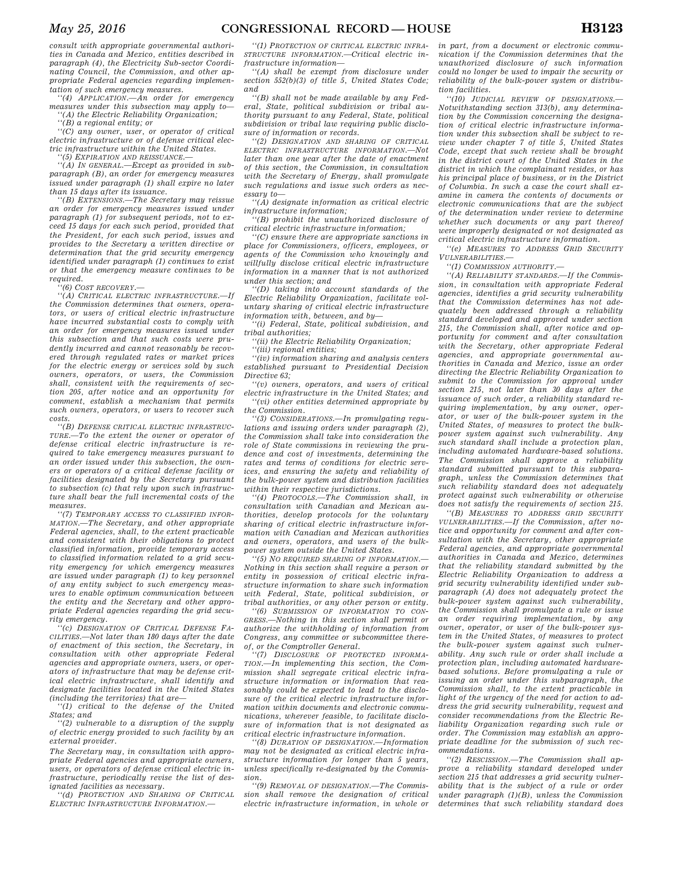*consult with appropriate governmental authorities in Canada and Mexico, entities described in paragraph (4), the Electricity Sub-sector Coordinating Council, the Commission, and other appropriate Federal agencies regarding implementation of such emergency measures.* 

*''(4) APPLICATION.—An order for emergency measures under this subsection may apply to— ''(A) the Electric Reliability Organization;* 

*''(B) a regional entity; or* 

*''(C) any owner, user, or operator of critical electric infrastructure or of defense critical electric infrastructure within the United States.* 

*''(5) EXPIRATION AND REISSUANCE.—* 

*''(A) IN GENERAL.—Except as provided in subparagraph (B), an order for emergency measures issued under paragraph (1) shall expire no later than 15 days after its issuance.* 

*''(B) EXTENSIONS.—The Secretary may reissue an order for emergency measures issued under paragraph (1) for subsequent periods, not to exceed 15 days for each such period, provided that the President, for each such period, issues and provides to the Secretary a written directive or determination that the grid security emergency identified under paragraph (1) continues to exist or that the emergency measure continues to be required.* 

*''(6) COST RECOVERY.—* 

*''(A) CRITICAL ELECTRIC INFRASTRUCTURE.—If the Commission determines that owners, operators, or users of critical electric infrastructure have incurred substantial costs to comply with an order for emergency measures issued under this subsection and that such costs were prudently incurred and cannot reasonably be recovered through regulated rates or market prices for the electric energy or services sold by such owners, operators, or users, the Commission shall, consistent with the requirements of section 205, after notice and an opportunity for comment, establish a mechanism that permits such owners, operators, or users to recover such costs.* 

*''(B) DEFENSE CRITICAL ELECTRIC INFRASTRUC-TURE.—To the extent the owner or operator of defense critical electric infrastructure is required to take emergency measures pursuant to an order issued under this subsection, the owners or operators of a critical defense facility or facilities designated by the Secretary pursuant to subsection (c) that rely upon such infrastructure shall bear the full incremental costs of the measures.* 

*''(7) TEMPORARY ACCESS TO CLASSIFIED INFOR-MATION.—The Secretary, and other appropriate Federal agencies, shall, to the extent practicable and consistent with their obligations to protect classified information, provide temporary access to classified information related to a grid security emergency for which emergency measures are issued under paragraph (1) to key personnel of any entity subject to such emergency measures to enable optimum communication between the entity and the Secretary and other appropriate Federal agencies regarding the grid security emergency.* 

*''(c) DESIGNATION OF CRITICAL DEFENSE FA-CILITIES.—Not later than 180 days after the date of enactment of this section, the Secretary, in consultation with other appropriate Federal agencies and appropriate owners, users, or operators of infrastructure that may be defense critical electric infrastructure, shall identify and designate facilities located in the United States (including the territories) that are—* 

*''(1) critical to the defense of the United States; and* 

*''(2) vulnerable to a disruption of the supply of electric energy provided to such facility by an external provider.* 

*The Secretary may, in consultation with appropriate Federal agencies and appropriate owners, users, or operators of defense critical electric infrastructure, periodically revise the list of designated facilities as necessary.* 

*''(d) PROTECTION AND SHARING OF CRITICAL ELECTRIC INFRASTRUCTURE INFORMATION.—* 

*''(1) PROTECTION OF CRITICAL ELECTRIC INFRA-STRUCTURE INFORMATION.—Critical electric infrastructure information—* 

*''(A) shall be exempt from disclosure under section 552(b)(3) of title 5, United States Code; and* 

*''(B) shall not be made available by any Federal, State, political subdivision or tribal authority pursuant to any Federal, State, political subdivision or tribal law requiring public disclosure of information or records.* 

*''(2) DESIGNATION AND SHARING OF CRITICAL ELECTRIC INFRASTRUCTURE INFORMATION.—Not later than one year after the date of enactment of this section, the Commission, in consultation with the Secretary of Energy, shall promulgate such regulations and issue such orders as necessary to—* 

*''(A) designate information as critical electric infrastructure information;* 

*''(B) prohibit the unauthorized disclosure of critical electric infrastructure information;* 

*''(C) ensure there are appropriate sanctions in place for Commissioners, officers, employees, or agents of the Commission who knowingly and willfully disclose critical electric infrastructure information in a manner that is not authorized under this section; and* 

*''(D) taking into account standards of the Electric Reliability Organization, facilitate voluntary sharing of critical electric infrastructure information with, between, and by—* 

*''(i) Federal, State, political subdivision, and tribal authorities;* 

*''(ii) the Electric Reliability Organization;* 

*''(iii) regional entities;* 

*''(iv) information sharing and analysis centers established pursuant to Presidential Decision Directive 63;* 

*''(v) owners, operators, and users of critical electric infrastructure in the United States; and ''(vi) other entities determined appropriate by the Commission.* 

*''(3) CONSIDERATIONS.—In promulgating regulations and issuing orders under paragraph (2), the Commission shall take into consideration the role of State commissions in reviewing the prudence and cost of investments, determining the rates and terms of conditions for electric services, and ensuring the safety and reliability of the bulk-power system and distribution facilities within their respective jurisdictions.* 

*''(4) PROTOCOLS.—The Commission shall, in consultation with Canadian and Mexican authorities, develop protocols for the voluntary sharing of critical electric infrastructure information with Canadian and Mexican authorities and owners, operators, and users of the bulkpower system outside the United States.* 

*''(5) NO REQUIRED SHARING OF INFORMATION.— Nothing in this section shall require a person or entity in possession of critical electric infrastructure information to share such information with Federal, State, political subdivision, or tribal authorities, or any other person or entity.* 

*''(6) SUBMISSION OF INFORMATION TO CON-GRESS.—Nothing in this section shall permit or authorize the withholding of information from Congress, any committee or subcommittee thereof, or the Comptroller General.* 

*''(7) DISCLOSURE OF PROTECTED INFORMA-TION.—In implementing this section, the Commission shall segregate critical electric infrastructure information or information that reasonably could be expected to lead to the disclosure of the critical electric infrastructure information within documents and electronic communications, wherever feasible, to facilitate disclosure of information that is not designated as critical electric infrastructure information.* 

*''(8) DURATION OF DESIGNATION.—Information may not be designated as critical electric infrastructure information for longer than 5 years, unless specifically re-designated by the Commission.* 

*''(9) REMOVAL OF DESIGNATION.—The Commission shall remove the designation of critical electric infrastructure information, in whole or* 

*in part, from a document or electronic communication if the Commission determines that the unauthorized disclosure of such information could no longer be used to impair the security or reliability of the bulk-power system or distribution facilities.* 

*''(10) JUDICIAL REVIEW OF DESIGNATIONS.— Notwithstanding section 313(b), any determination by the Commission concerning the designation of critical electric infrastructure information under this subsection shall be subject to review under chapter 7 of title 5, United States Code, except that such review shall be brought in the district court of the United States in the district in which the complainant resides, or has his principal place of business, or in the District of Columbia. In such a case the court shall examine in camera the contents of documents or electronic communications that are the subject of the determination under review to determine whether such documents or any part thereof were improperly designated or not designated as critical electric infrastructure information.* 

*''(e) MEASURES TO ADDRESS GRID SECURITY VULNERABILITIES.—* 

*''(1) COMMISSION AUTHORITY.—* 

*''(A) RELIABILITY STANDARDS.—If the Commission, in consultation with appropriate Federal agencies, identifies a grid security vulnerability that the Commission determines has not adequately been addressed through a reliability standard developed and approved under section 215, the Commission shall, after notice and opportunity for comment and after consultation with the Secretary, other appropriate Federal agencies, and appropriate governmental authorities in Canada and Mexico, issue an order directing the Electric Reliability Organization to submit to the Commission for approval under section 215, not later than 30 days after the issuance of such order, a reliability standard requiring implementation, by any owner, operator, or user of the bulk-power system in the United States, of measures to protect the bulkpower system against such vulnerability. Any such standard shall include a protection plan, including automated hardware-based solutions. The Commission shall approve a reliability standard submitted pursuant to this subparagraph, unless the Commission determines that such reliability standard does not adequately protect against such vulnerability or otherwise does not satisfy the requirements of section 215.* 

*''(B) MEASURES TO ADDRESS GRID SECURITY VULNERABILITIES.—If the Commission, after notice and opportunity for comment and after consultation with the Secretary, other appropriate Federal agencies, and appropriate governmental authorities in Canada and Mexico, determines that the reliability standard submitted by the Electric Reliability Organization to address a grid security vulnerability identified under subparagraph (A) does not adequately protect the bulk-power system against such vulnerability, the Commission shall promulgate a rule or issue an order requiring implementation, by any owner, operator, or user of the bulk-power system in the United States, of measures to protect the bulk-power system against such vulnerability. Any such rule or order shall include a protection plan, including automated hardwarebased solutions. Before promulgating a rule or issuing an order under this subparagraph, the Commission shall, to the extent practicable in light of the urgency of the need for action to address the grid security vulnerability, request and consider recommendations from the Electric Reliability Organization regarding such rule or order. The Commission may establish an appropriate deadline for the submission of such recommendations.* 

*''(2) RESCISSION.—The Commission shall approve a reliability standard developed under section 215 that addresses a grid security vulnerability that is the subject of a rule or order under paragraph (1)(B), unless the Commission determines that such reliability standard does*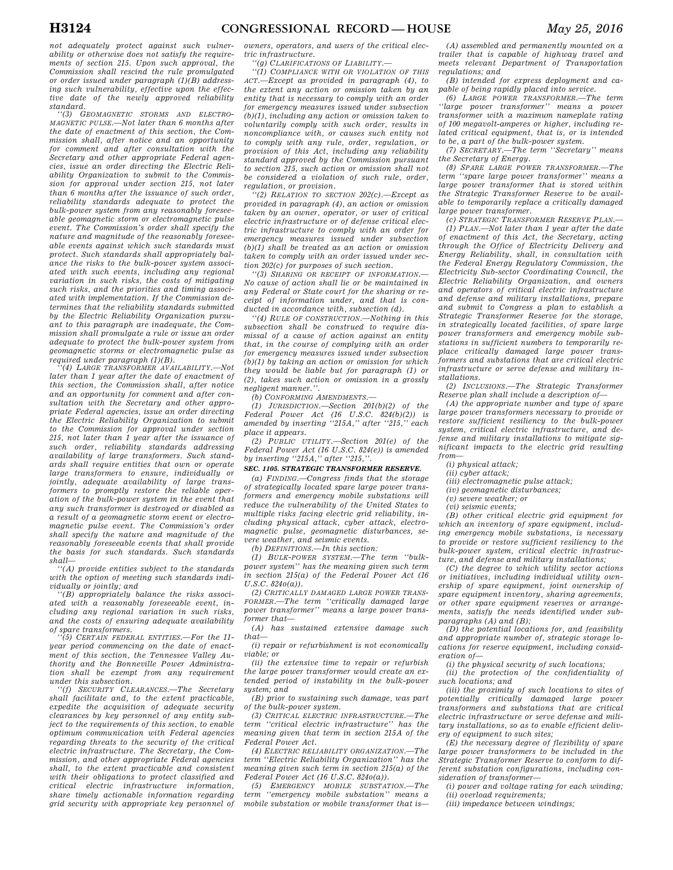*not adequately protect against such vulnerability or otherwise does not satisfy the requirements of section 215. Upon such approval, the Commission shall rescind the rule promulgated or order issued under paragraph (1)(B) addressing such vulnerability, effective upon the effective date of the newly approved reliability standard.* 

*''(3) GEOMAGNETIC STORMS AND ELECTRO-MAGNETIC PULSE.—Not later than 6 months after the date of enactment of this section, the Commission shall, after notice and an opportunity for comment and after consultation with the Secretary and other appropriate Federal agencies, issue an order directing the Electric Reliability Organization to submit to the Commission for approval under section 215, not later than 6 months after the issuance of such order, reliability standards adequate to protect the bulk-power system from any reasonably foreseeable geomagnetic storm or electromagnetic pulse event. The Commission's order shall specify the nature and magnitude of the reasonably foreseeable events against which such standards must protect. Such standards shall appropriately balance the risks to the bulk-power system associated with such events, including any regional variation in such risks, the costs of mitigating such risks, and the priorities and timing associated with implementation. If the Commission determines that the reliability standards submitted by the Electric Reliability Organization pursuant to this paragraph are inadequate, the Commission shall promulgate a rule or issue an order adequate to protect the bulk-power system from geomagnetic storms or electromagnetic pulse as required under paragraph (1)(B).* 

*''(4) LARGE TRANSFORMER AVAILABILITY.—Not later than 1 year after the date of enactment of this section, the Commission shall, after notice and an opportunity for comment and after consultation with the Secretary and other appropriate Federal agencies, issue an order directing the Electric Reliability Organization to submit to the Commission for approval under section 215, not later than 1 year after the issuance of such order, reliability standards addressing availability of large transformers. Such standards shall require entities that own or operate large transformers to ensure, individually or jointly, adequate availability of large transformers to promptly restore the reliable operation of the bulk-power system in the event that any such transformer is destroyed or disabled as a result of a geomagnetic storm event or electromagnetic pulse event. The Commission's order shall specify the nature and magnitude of the reasonably foreseeable events that shall provide the basis for such standards. Such standards shall—* 

*''(A) provide entities subject to the standards with the option of meeting such standards individually or jointly; and* 

*''(B) appropriately balance the risks associated with a reasonably foreseeable event, including any regional variation in such risks, and the costs of ensuring adequate availability of spare transformers.* 

*''(5) CERTAIN FEDERAL ENTITIES.—For the 11 year period commencing on the date of enactment of this section, the Tennessee Valley Authority and the Bonneville Power Administration shall be exempt from any requirement under this subsection.* 

*''(f) SECURITY CLEARANCES.—The Secretary shall facilitate and, to the extent practicable, expedite the acquisition of adequate security clearances by key personnel of any entity subject to the requirements of this section, to enable optimum communication with Federal agencies regarding threats to the security of the critical electric infrastructure. The Secretary, the Commission, and other appropriate Federal agencies shall, to the extent practicable and consistent with their obligations to protect classified and critical electric infrastructure information, share timely actionable information regarding grid security with appropriate key personnel of* 

*owners, operators, and users of the critical electric infrastructure.* 

*''(g) CLARIFICATIONS OF LIABILITY.—* 

*''(1) COMPLIANCE WITH OR VIOLATION OF THIS ACT.—Except as provided in paragraph (4), to the extent any action or omission taken by an entity that is necessary to comply with an order for emergency measures issued under subsection (b)(1), including any action or omission taken to voluntarily comply with such order, results in noncompliance with, or causes such entity not to comply with any rule, order, regulation, or provision of this Act, including any reliability standard approved by the Commission pursuant to section 215, such action or omission shall not be considered a violation of such rule, order, regulation, or provision.* 

*''(2) RELATION TO SECTION 202(c).—Except as provided in paragraph (4), an action or omission taken by an owner, operator, or user of critical electric infrastructure or of defense critical electric infrastructure to comply with an order for emergency measures issued under subsection (b)(1) shall be treated as an action or omission taken to comply with an order issued under section 202(c) for purposes of such section.* 

*''(3) SHARING OR RECEIPT OF INFORMATION.— No cause of action shall lie or be maintained in any Federal or State court for the sharing or receipt of information under, and that is conducted in accordance with, subsection (d).* 

*''(4) RULE OF CONSTRUCTION.—Nothing in this subsection shall be construed to require dismissal of a cause of action against an entity that, in the course of complying with an order for emergency measures issued under subsection (b)(1) by taking an action or omission for which they would be liable but for paragraph (1) or (2), takes such action or omission in a grossly negligent manner.''.* 

*(b) CONFORMING AMENDMENTS.—* 

*(1) JURISDICTION.—Section 201(b)(2) of the Federal Power Act (16 U.S.C. 824(b)(2)) is amended by inserting ''215A,'' after ''215,'' each place it appears.* 

*(2) PUBLIC UTILITY.—Section 201(e) of the Federal Power Act (16 U.S.C. 824(e)) is amended by inserting ''215A,'' after ''215,''.* 

#### *SEC. 1105. STRATEGIC TRANSFORMER RESERVE.*

*(a) FINDING.—Congress finds that the storage of strategically located spare large power transformers and emergency mobile substations will reduce the vulnerability of the United States to multiple risks facing electric grid reliability, including physical attack, cyber attack, electromagnetic pulse, geomagnetic disturbances, severe weather, and seismic events.* 

*(b) DEFINITIONS.—In this section:* 

*(1) BULK-POWER SYSTEM.—The term ''bulkpower system'' has the meaning given such term in section 215(a) of the Federal Power Act (16 U.S.C. 824o(a)).* 

*(2) CRITICALLY DAMAGED LARGE POWER TRANS-FORMER.—The term ''critically damaged large power transformer'' means a large power transformer that—* 

*(A) has sustained extensive damage such that—* 

*(i) repair or refurbishment is not economically viable; or* 

*(ii) the extensive time to repair or refurbish the large power transformer would create an extended period of instability in the bulk-power system; and* 

*(B) prior to sustaining such damage, was part of the bulk-power system.* 

*(3) CRITICAL ELECTRIC INFRASTRUCTURE.—The term ''critical electric infrastructure'' has the meaning given that term in section 215A of the Federal Power Act.* 

*(4) ELECTRIC RELIABILITY ORGANIZATION.—The term ''Electric Reliability Organization'' has the meaning given such term in section 215(a) of the Federal Power Act (16 U.S.C. 824o(a)).* 

*(5) EMERGENCY MOBILE SUBSTATION.—The term ''emergency mobile substation'' means a mobile substation or mobile transformer that is—* 

*(A) assembled and permanently mounted on a trailer that is capable of highway travel and meets relevant Department of Transportation regulations; and* 

*(B) intended for express deployment and capable of being rapidly placed into service.* 

*(6) LARGE POWER TRANSFORMER.—The term ''large power transformer'' means a power transformer with a maximum nameplate rating of 100 megavolt-amperes or higher, including related critical equipment, that is, or is intended to be, a part of the bulk-power system.* 

*(7) SECRETARY.—The term ''Secretary'' means the Secretary of Energy.* 

*(8) SPARE LARGE POWER TRANSFORMER.—The term ''spare large power transformer'' means a large power transformer that is stored within the Strategic Transformer Reserve to be available to temporarily replace a critically damaged large power transformer.* 

*(c) STRATEGIC TRANSFORMER RESERVE PLAN.— (1) PLAN.—Not later than 1 year after the date of enactment of this Act, the Secretary, acting through the Office of Electricity Delivery and Energy Reliability, shall, in consultation with the Federal Energy Regulatory Commission, the Electricity Sub-sector Coordinating Council, the Electric Reliability Organization, and owners and operators of critical electric infrastructure and defense and military installations, prepare and submit to Congress a plan to establish a Strategic Transformer Reserve for the storage, in strategically located facilities, of spare large power transformers and emergency mobile substations in sufficient numbers to temporarily replace critically damaged large power transformers and substations that are critical electric infrastructure or serve defense and military installations.* 

*(2) INCLUSIONS.—The Strategic Transformer Reserve plan shall include a description of—* 

*(A) the appropriate number and type of spare large power transformers necessary to provide or restore sufficient resiliency to the bulk-power system, critical electric infrastructure, and defense and military installations to mitigate significant impacts to the electric grid resulting from—* 

*(i) physical attack;* 

*(ii) cyber attack;* 

*(iii) electromagnetic pulse attack;* 

*(iv) geomagnetic disturbances;* 

*(v) severe weather; or* 

*(vi) seismic events;* 

*(B) other critical electric grid equipment for which an inventory of spare equipment, including emergency mobile substations, is necessary to provide or restore sufficient resiliency to the bulk-power system, critical electric infrastructure, and defense and military installations;* 

*(C) the degree to which utility sector actions or initiatives, including individual utility ownership of spare equipment, joint ownership of spare equipment inventory, sharing agreements, or other spare equipment reserves or arrangements, satisfy the needs identified under subparagraphs (A) and (B);* 

*(D) the potential locations for, and feasibility and appropriate number of, strategic storage locations for reserve equipment, including consideration of—* 

*(i) the physical security of such locations;* 

*(ii) the protection of the confidentiality of such locations; and* 

*(iii) the proximity of such locations to sites of potentially critically damaged large power transformers and substations that are critical electric infrastructure or serve defense and military installations, so as to enable efficient delivery of equipment to such sites;* 

*(E) the necessary degree of flexibility of spare large power transformers to be included in the Strategic Transformer Reserve to conform to different substation configurations, including consideration of transformer—* 

*(i) power and voltage rating for each winding; (ii) overload requirements;* 

*(iii) impedance between windings;*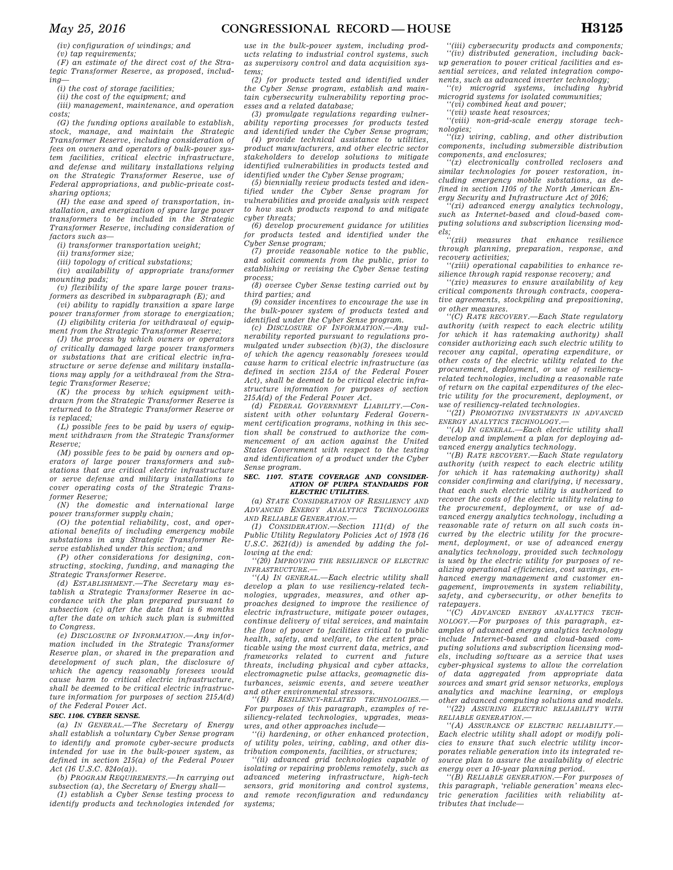*(iv) configuration of windings; and* 

*(v) tap requirements;* 

*(F) an estimate of the direct cost of the Strategic Transformer Reserve, as proposed, including—* 

*(i) the cost of storage facilities;* 

*(ii) the cost of the equipment; and* 

*(iii) management, maintenance, and operation costs;* 

*(G) the funding options available to establish, stock, manage, and maintain the Strategic Transformer Reserve, including consideration of fees on owners and operators of bulk-power system facilities, critical electric infrastructure, and defense and military installations relying on the Strategic Transformer Reserve, use of Federal appropriations, and public-private costsharing options;* 

*(H) the ease and speed of transportation, installation, and energization of spare large power transformers to be included in the Strategic Transformer Reserve, including consideration of factors such as—* 

*(i) transformer transportation weight;* 

*(ii) transformer size;* 

*(iii) topology of critical substations;* 

*(iv) availability of appropriate transformer mounting pads;* 

*(v) flexibility of the spare large power transformers as described in subparagraph (E); and* 

*(vi) ability to rapidly transition a spare large power transformer from storage to energization; (I) eligibility criteria for withdrawal of equip-*

*ment from the Strategic Transformer Reserve; (J) the process by which owners or operators of critically damaged large power transformers or substations that are critical electric infrastructure or serve defense and military installations may apply for a withdrawal from the Stra-*

*tegic Transformer Reserve; (K) the process by which equipment withdrawn from the Strategic Transformer Reserve is returned to the Strategic Transformer Reserve or is replaced;* 

*(L) possible fees to be paid by users of equipment withdrawn from the Strategic Transformer Reserve;* 

*(M) possible fees to be paid by owners and operators of large power transformers and substations that are critical electric infrastructure or serve defense and military installations to cover operating costs of the Strategic Transformer Reserve;* 

*(N) the domestic and international large power transformer supply chain;* 

*(O) the potential reliability, cost, and operational benefits of including emergency mobile substations in any Strategic Transformer Reserve established under this section; and* 

*(P) other considerations for designing, constructing, stocking, funding, and managing the Strategic Transformer Reserve.* 

*(d) ESTABLISHMENT.—The Secretary may establish a Strategic Transformer Reserve in accordance with the plan prepared pursuant to subsection (c) after the date that is 6 months after the date on which such plan is submitted to Congress.* 

*(e) DISCLOSURE OF INFORMATION.—Any information included in the Strategic Transformer Reserve plan, or shared in the preparation and development of such plan, the disclosure of which the agency reasonably foresees would cause harm to critical electric infrastructure, shall be deemed to be critical electric infrastructure information for purposes of section 215A(d) of the Federal Power Act.* 

#### *SEC. 1106. CYBER SENSE.*

*(a) IN GENERAL.—The Secretary of Energy shall establish a voluntary Cyber Sense program to identify and promote cyber-secure products intended for use in the bulk-power system, as defined in section 215(a) of the Federal Power Act (16 U.S.C. 824o(a)).* 

*(b) PROGRAM REQUIREMENTS.—In carrying out subsection (a), the Secretary of Energy shall—* 

*(1) establish a Cyber Sense testing process to identify products and technologies intended for* 

*use in the bulk-power system, including products relating to industrial control systems, such as supervisory control and data acquisition systems;* 

*(2) for products tested and identified under the Cyber Sense program, establish and maintain cybersecurity vulnerability reporting processes and a related database;* 

*(3) promulgate regulations regarding vulnerability reporting processes for products tested and identified under the Cyber Sense program;* 

*(4) provide technical assistance to utilities, product manufacturers, and other electric sector stakeholders to develop solutions to mitigate identified vulnerabilities in products tested and identified under the Cyber Sense program;* 

*(5) biennially review products tested and identified under the Cyber Sense program for vulnerabilities and provide analysis with respect to how such products respond to and mitigate cyber threats;* 

*(6) develop procurement guidance for utilities for products tested and identified under the Cyber Sense program;* 

*(7) provide reasonable notice to the public, and solicit comments from the public, prior to establishing or revising the Cyber Sense testing process;* 

*(8) oversee Cyber Sense testing carried out by third parties; and* 

*(9) consider incentives to encourage the use in the bulk-power system of products tested and identified under the Cyber Sense program.* 

*(c) DISCLOSURE OF INFORMATION.—Any vulnerability reported pursuant to regulations promulgated under subsection (b)(3), the disclosure of which the agency reasonably foresees would cause harm to critical electric infrastructure (as defined in section 215A of the Federal Power Act), shall be deemed to be critical electric infrastructure information for purposes of section 215A(d) of the Federal Power Act.* 

*(d) FEDERAL GOVERNMENT LIABILITY.—Consistent with other voluntary Federal Government certification programs, nothing in this section shall be construed to authorize the commencement of an action against the United States Government with respect to the testing and identification of a product under the Cyber Sense program.* 

#### *SEC. 1107. STATE COVERAGE AND CONSIDER-ATION OF PURPA STANDARDS FOR ELECTRIC UTILITIES.*

*(a) STATE CONSIDERATION OF RESILIENCY AND ADVANCED ENERGY ANALYTICS TECHNOLOGIES AND RELIABLE GENERATION.—* 

*(1) CONSIDERATION.—Section 111(d) of the Public Utility Regulatory Policies Act of 1978 (16 U.S.C. 2621(d)) is amended by adding the following at the end:* 

*''(20) IMPROVING THE RESILIENCE OF ELECTRIC INFRASTRUCTURE.—* 

*''(A) IN GENERAL.—Each electric utility shall develop a plan to use resiliency-related technologies, upgrades, measures, and other approaches designed to improve the resilience of electric infrastructure, mitigate power outages, continue delivery of vital services, and maintain the flow of power to facilities critical to public health, safety, and welfare, to the extent practicable using the most current data, metrics, and frameworks related to current and future threats, including physical and cyber attacks, electromagnetic pulse attacks, geomagnetic disturbances, seismic events, and severe weather and other environmental stressors.* 

*''(B) RESILIENCY-RELATED TECHNOLOGIES.— For purposes of this paragraph, examples of resiliency-related technologies, upgrades, measures, and other approaches include—* 

*''(i) hardening, or other enhanced protection, of utility poles, wiring, cabling, and other distribution components, facilities, or structures;* 

*''(ii) advanced grid technologies capable of isolating or repairing problems remotely, such as advanced metering infrastructure, high-tech sensors, grid monitoring and control systems, and remote reconfiguration and redundancy systems;* 

*''(iii) cybersecurity products and components; ''(iv) distributed generation, including backup generation to power critical facilities and essential services, and related integration compo-*

*nents, such as advanced inverter technology; ''(v) microgrid systems, including hybrid microgrid systems for isolated communities;* 

*''(vi) combined heat and power; ''(vii) waste heat resources;* 

*''(viii) non-grid-scale energy storage technologies;* 

*''(ix) wiring, cabling, and other distribution components, including submersible distribution components, and enclosures;* 

*''(x) electronically controlled reclosers and similar technologies for power restoration, including emergency mobile substations, as defined in section 1105 of the North American Energy Security and Infrastructure Act of 2016;* 

*''(xi) advanced energy analytics technology, such as Internet-based and cloud-based computing solutions and subscription licensing models;* 

 $measures$  that enhance resilience *through planning, preparation, response, and recovery activities;* 

*''(xiii) operational capabilities to enhance resilience through rapid response recovery; and* 

*''(xiv) measures to ensure availability of key critical components through contracts, cooperative agreements, stockpiling and prepositioning, or other measures.* 

*''(C) RATE RECOVERY.—Each State regulatory authority (with respect to each electric utility for which it has ratemaking authority) shall consider authorizing each such electric utility to recover any capital, operating expenditure, or other costs of the electric utility related to the procurement, deployment, or use of resiliencyrelated technologies, including a reasonable rate of return on the capital expenditures of the electric utility for the procurement, deployment, or use of resiliency-related technologies.* 

*''(21) PROMOTING INVESTMENTS IN ADVANCED ENERGY ANALYTICS TECHNOLOGY.—* 

*''(A) IN GENERAL.—Each electric utility shall develop and implement a plan for deploying advanced energy analytics technology.* 

*''(B) RATE RECOVERY.—Each State regulatory authority (with respect to each electric utility for which it has ratemaking authority) shall consider confirming and clarifying, if necessary, that each such electric utility is authorized to recover the costs of the electric utility relating to the procurement, deployment, or use of advanced energy analytics technology, including a reasonable rate of return on all such costs incurred by the electric utility for the procurement, deployment, or use of advanced energy analytics technology, provided such technology is used by the electric utility for purposes of realizing operational efficiencies, cost savings, enhanced energy management and customer engagement, improvements in system reliability, safety, and cybersecurity, or other benefits to ratepayers.* 

*''(C) ADVANCED ENERGY ANALYTICS TECH-NOLOGY.—For purposes of this paragraph, examples of advanced energy analytics technology include Internet-based and cloud-based computing solutions and subscription licensing models, including software as a service that uses cyber-physical systems to allow the correlation of data aggregated from appropriate data sources and smart grid sensor networks, employs analytics and machine learning, or employs other advanced computing solutions and models. ''(22) ASSURING ELECTRIC RELIABILITY WITH*

*RELIABLE GENERATION.—* 

*''(A) ASSURANCE OF ELECTRIC RELIABILITY.— Each electric utility shall adopt or modify policies to ensure that such electric utility incorporates reliable generation into its integrated resource plan to assure the availability of electric energy over a 10-year planning period.* 

*''(B) RELIABLE GENERATION.—For purposes of this paragraph, 'reliable generation' means electric generation facilities with reliability attributes that include—*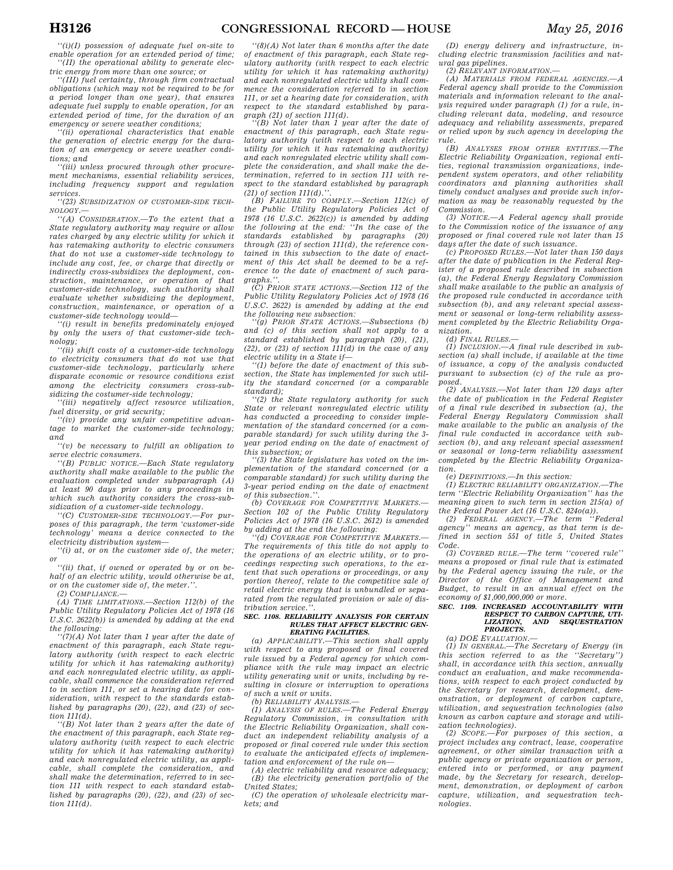*''(i)(I) possession of adequate fuel on-site to enable operation for an extended period of time; ''(II) the operational ability to generate elec-*

*tric energy from more than one source; or* 

*''(III) fuel certainty, through firm contractual obligations (which may not be required to be for a period longer than one year), that ensures adequate fuel supply to enable operation, for an extended period of time, for the duration of an emergency or severe weather conditions;* 

*''(ii) operational characteristics that enable the generation of electric energy for the duration of an emergency or severe weather conditions; and* 

*''(iii) unless procured through other procurement mechanisms, essential reliability services, including frequency support and regulation services.* 

*''(23) SUBSIDIZATION OF CUSTOMER-SIDE TECH-NOLOGY.—* 

*''(A) CONSIDERATION.—To the extent that a State regulatory authority may require or allow rates charged by any electric utility for which it has ratemaking authority to electric consumers that do not use a customer-side technology to include any cost, fee, or charge that directly or indirectly cross-subsidizes the deployment, construction, maintenance, or operation of that customer-side technology, such authority shall evaluate whether subsidizing the deployment, construction, maintenance, or operation of a customer-side technology would—* 

*''(i) result in benefits predominately enjoyed by only the users of that customer-side technology;* 

*''(ii) shift costs of a customer-side technology to electricity consumers that do not use that customer-side technology, particularly where disparate economic or resource conditions exist among the electricity consumers cross-subsidizing the costumer-side technology;* 

*''(iii) negatively affect resource utilization, fuel diversity, or grid security;* 

*''(iv) provide any unfair competitive advantage to market the customer-side technology; and* 

*''(v) be necessary to fulfill an obligation to serve electric consumers.* 

*''(B) PUBLIC NOTICE.—Each State regulatory authority shall make available to the public the evaluation completed under subparagraph (A) at least 90 days prior to any proceedings in which such authority considers the cross-subsidization of a customer-side technology.* 

*''(C) CUSTOMER-SIDE TECHNOLOGY.—For purposes of this paragraph, the term 'customer-side technology' means a device connected to the electricity distribution system—* 

*''(i) at, or on the customer side of, the meter; or* 

*''(ii) that, if owned or operated by or on behalf of an electric utility, would otherwise be at, or on the customer side of, the meter.''.* 

*(2) COMPLIANCE.—* 

*(A) TIME LIMITATIONS.—Section 112(b) of the Public Utility Regulatory Policies Act of 1978 (16 U.S.C. 2622(b)) is amended by adding at the end the following:* 

*''(7)(A) Not later than 1 year after the date of enactment of this paragraph, each State regulatory authority (with respect to each electric utility for which it has ratemaking authority) and each nonregulated electric utility, as applicable, shall commence the consideration referred to in section 111, or set a hearing date for consideration, with respect to the standards established by paragraphs (20), (22), and (23) of section 111(d).* 

*''(B) Not later than 2 years after the date of the enactment of this paragraph, each State regulatory authority (with respect to each electric utility for which it has ratemaking authority) and each nonregulated electric utility, as applicable, shall complete the consideration, and shall make the determination, referred to in section 111 with respect to each standard established by paragraphs (20), (22), and (23) of section 111(d).* 

*''(8)(A) Not later than 6 months after the date of enactment of this paragraph, each State regulatory authority (with respect to each electric utility for which it has ratemaking authority) and each nonregulated electric utility shall commence the consideration referred to in section 111, or set a hearing date for consideration, with respect to the standard established by paragraph (21) of section 111(d).* 

*''(B) Not later than 1 year after the date of enactment of this paragraph, each State regulatory authority (with respect to each electric utility for which it has ratemaking authority) and each nonregulated electric utility shall complete the consideration, and shall make the determination, referred to in section 111 with respect to the standard established by paragraph (21) of section 111(d).''.* 

*(B) FAILURE TO COMPLY.—Section 112(c) of the Public Utility Regulatory Policies Act of 1978 (16 U.S.C. 2622(c)) is amended by adding the following at the end: ''In the case of the standards established by paragraphs (20) through (23) of section 111(d), the reference contained in this subsection to the date of enactment of this Act shall be deemed to be a reference to the date of enactment of such paragraphs.''.* 

*(C) PRIOR STATE ACTIONS.—Section 112 of the Public Utility Regulatory Policies Act of 1978 (16 U.S.C. 2622) is amended by adding at the end the following new subsection:* 

*''(g) PRIOR STATE ACTIONS.—Subsections (b) and (c) of this section shall not apply to a standard established by paragraph (20), (21), (22), or (23) of section 111(d) in the case of any electric utility in a State if—* 

*''(1) before the date of enactment of this subsection, the State has implemented for such utility the standard concerned (or a comparable standard);* 

*''(2) the State regulatory authority for such State or relevant nonregulated electric utility has conducted a proceeding to consider implementation of the standard concerned (or a comparable standard) for such utility during the 3 year period ending on the date of enactment of this subsection; or* 

*''(3) the State legislature has voted on the implementation of the standard concerned (or a comparable standard) for such utility during the 3-year period ending on the date of enactment of this subsection.''.* 

*(b) COVERAGE FOR COMPETITIVE MARKETS.— Section 102 of the Public Utility Regulatory Policies Act of 1978 (16 U.S.C. 2612) is amended by adding at the end the following:* 

*''(d) COVERAGE FOR COMPETITIVE MARKETS.— The requirements of this title do not apply to the operations of an electric utility, or to proceedings respecting such operations, to the extent that such operations or proceedings, or any portion thereof, relate to the competitive sale of retail electric energy that is unbundled or separated from the regulated provision or sale of distribution service.''.* 

#### *SEC. 1108. RELIABILITY ANALYSIS FOR CERTAIN RULES THAT AFFECT ELECTRIC GEN-ERATING FACILITIES.*

*(a) APPLICABILITY.—This section shall apply with respect to any proposed or final covered rule issued by a Federal agency for which compliance with the rule may impact an electric utility generating unit or units, including by resulting in closure or interruption to operations of such a unit or units.* 

*(b) RELIABILITY ANALYSIS.—* 

*(1) ANALYSIS OF RULES.—The Federal Energy Regulatory Commission, in consultation with the Electric Reliability Organization, shall conduct an independent reliability analysis of a proposed or final covered rule under this section to evaluate the anticipated effects of implementation and enforcement of the rule on—* 

*(A) electric reliability and resource adequacy; (B) the electricity generation portfolio of the United States;* 

*(C) the operation of wholesale electricity markets; and* 

*(D) energy delivery and infrastructure, including electric transmission facilities and natural gas pipelines.* 

*(2) RELEVANT INFORMATION.—* 

*(A) MATERIALS FROM FEDERAL AGENCIES.—A Federal agency shall provide to the Commission materials and information relevant to the analysis required under paragraph (1) for a rule, including relevant data, modeling, and resource adequacy and reliability assessments, prepared or relied upon by such agency in developing the rule.* 

*(B) ANALYSES FROM OTHER ENTITIES.—The Electric Reliability Organization, regional entities, regional transmission organizations, independent system operators, and other reliability coordinators and planning authorities shall timely conduct analyses and provide such information as may be reasonably requested by the Commission.* 

*(3) NOTICE.—A Federal agency shall provide to the Commission notice of the issuance of any proposed or final covered rule not later than 15 days after the date of such issuance.* 

*(c) PROPOSED RULES.—Not later than 150 days after the date of publication in the Federal Register of a proposed rule described in subsection (a), the Federal Energy Regulatory Commission shall make available to the public an analysis of the proposed rule conducted in accordance with subsection (b), and any relevant special assessment or seasonal or long-term reliability assessment completed by the Electric Reliability Organization.* 

*(d) FINAL RULES.—* 

*(1) INCLUSION.—A final rule described in subsection (a) shall include, if available at the time of issuance, a copy of the analysis conducted pursuant to subsection (c) of the rule as proposed.* 

*(2) ANALYSIS.—Not later than 120 days after the date of publication in the Federal Register of a final rule described in subsection (a), the Federal Energy Regulatory Commission shall make available to the public an analysis of the final rule conducted in accordance with subsection (b), and any relevant special assessment or seasonal or long-term reliability assessment completed by the Electric Reliability Organization.* 

*(e) DEFINITIONS.—In this section:* 

*(1) ELECTRIC RELIABILITY ORGANIZATION.—The term ''Electric Reliability Organization'' has the meaning given to such term in section 215(a) of* 

*the Federal Power Act (16 U.S.C. 824o(a)). (2) FEDERAL AGENCY.—The term ''Federal agency'' means an agency, as that term is defined in section 551 of title 5, United States Code.* 

*(3) COVERED RULE.—The term ''covered rule'' means a proposed or final rule that is estimated by the Federal agency issuing the rule, or the Director of the Office of Management and Budget, to result in an annual effect on the economy of \$1,000,000,000 or more.* 

## *SEC. 1109. INCREASED ACCOUNTABILITY WITH RESPECT TO CARBON CAPTURE, UTI-LIZATION, AND SEQUESTRATION PROJECTS.*

*(a) DOE EVALUATION.—* 

*(1) IN GENERAL.—The Secretary of Energy (in this section referred to as the ''Secretary'') shall, in accordance with this section, annually conduct an evaluation, and make recommendations, with respect to each project conducted by the Secretary for research, development, demonstration, or deployment of carbon capture, utilization, and sequestration technologies (also known as carbon capture and storage and utilization technologies).* 

*(2) SCOPE.—For purposes of this section, a project includes any contract, lease, cooperative agreement, or other similar transaction with a public agency or private organization or person, entered into or performed, or any payment made, by the Secretary for research, development, demonstration, or deployment of carbon capture, utilization, and sequestration technologies.*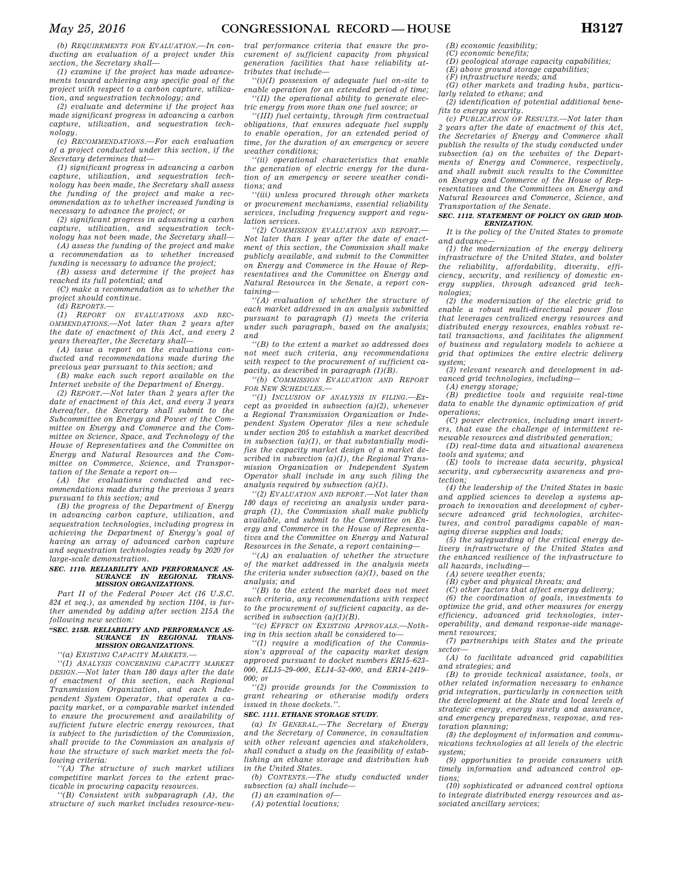*(b) REQUIREMENTS FOR EVALUATION.—In conducting an evaluation of a project under this section, the Secretary shall—* 

*(1) examine if the project has made advancements toward achieving any specific goal of the project with respect to a carbon capture, utilization, and sequestration technology; and* 

*(2) evaluate and determine if the project has made significant progress in advancing a carbon capture, utilization, and sequestration technology.* 

*(c) RECOMMENDATIONS.—For each evaluation of a project conducted under this section, if the Secretary determines that—* 

*(1) significant progress in advancing a carbon capture, utilization, and sequestration technology has been made, the Secretary shall assess the funding of the project and make a recommendation as to whether increased funding is necessary to advance the project; or* 

*(2) significant progress in advancing a carbon capture, utilization, and sequestration technology has not been made, the Secretary shall—* 

*(A) assess the funding of the project and make a recommendation as to whether increased funding is necessary to advance the project;* 

*(B) assess and determine if the project has reached its full potential; and (C) make a recommendation as to whether the* 

*project should continue. (d) REPORTS.—* 

*(1) REPORT ON EVALUATIONS AND REC-OMMENDATIONS.—Not later than 2 years after the date of enactment of this Act, and every 2 years thereafter, the Secretary shall—* 

*(A) issue a report on the evaluations conducted and recommendations made during the previous year pursuant to this section; and* 

*(B) make each such report available on the Internet website of the Department of Energy.* 

*(2) REPORT.—Not later than 2 years after the date of enactment of this Act, and every 3 years thereafter, the Secretary shall submit to the Subcommittee on Energy and Power of the Committee on Energy and Commerce and the Committee on Science, Space, and Technology of the House of Representatives and the Committee on Energy and Natural Resources and the Committee on Commerce, Science, and Transportation of the Senate a report on—* 

*(A) the evaluations conducted and recommendations made during the previous 3 years pursuant to this section; and* 

*(B) the progress of the Department of Energy in advancing carbon capture, utilization, and sequestration technologies, including progress in achieving the Department of Energy's goal of having an array of advanced carbon capture and sequestration technologies ready by 2020 for large-scale demonstration.* 

## *SEC. 1110. RELIABILITY AND PERFORMANCE AS-SURANCE IN REGIONAL TRANS-MISSION ORGANIZATIONS.*

*Part II of the Federal Power Act (16 U.S.C. 824 et seq.), as amended by section 1104, is further amended by adding after section 215A the following new section:* 

## *''SEC. 215B. RELIABILITY AND PERFORMANCE AS-SURANCE IN REGIONAL TRANS-MISSION ORGANIZATIONS.*

*''(a) EXISTING CAPACITY MARKETS.—* 

*''(1) ANALYSIS CONCERNING CAPACITY MARKET DESIGN.—Not later than 180 days after the date of enactment of this section, each Regional Transmission Organization, and each Independent System Operator, that operates a capacity market, or a comparable market intended to ensure the procurement and availability of sufficient future electric energy resources, that is subject to the jurisdiction of the Commission, shall provide to the Commission an analysis of how the structure of such market meets the following criteria:* 

*''(A) The structure of such market utilizes competitive market forces to the extent practicable in procuring capacity resources.* 

*''(B) Consistent with subparagraph (A), the structure of such market includes resource-neu-*

*tral performance criteria that ensure the procurement of sufficient capacity from physical generation facilities that have reliability attributes that include—* 

*''(i)(I) possession of adequate fuel on-site to enable operation for an extended period of time; ''(II) the operational ability to generate electric energy from more than one fuel source; or* 

*''(III) fuel certainty, through firm contractual obligations, that ensures adequate fuel supply to enable operation, for an extended period of time, for the duration of an emergency or severe weather conditions;* 

*''(ii) operational characteristics that enable the generation of electric energy for the duration of an emergency or severe weather conditions; and* 

*''(iii) unless procured through other markets or procurement mechanisms, essential reliability services, including frequency support and regulation services.* 

*''(2) COMMISSION EVALUATION AND REPORT.— Not later than 1 year after the date of enactment of this section, the Commission shall make publicly available, and submit to the Committee on Energy and Commerce in the House of Representatives and the Committee on Energy and Natural Resources in the Senate, a report containing—* 

*''(A) evaluation of whether the structure of each market addressed in an analysis submitted pursuant to paragraph (1) meets the criteria under such paragraph, based on the analysis; and* 

*''(B) to the extent a market so addressed does not meet such criteria, any recommendations with respect to the procurement of sufficient capacity, as described in paragraph (1)(B).* 

*''(b) COMMISSION EVALUATION AND REPORT FOR NEW SCHEDULES.—* 

*''(1) INCLUSION OF ANALYSIS IN FILING.—Except as provided in subsection (a)(2), whenever a Regional Transmission Organization or Independent System Operator files a new schedule under section 205 to establish a market described in subsection (a)(1), or that substantially modifies the capacity market design of a market described in subsection (a)(1), the Regional Transmission Organization or Independent System Operator shall include in any such filing the analysis required by subsection (a)(1).* 

*''(2) EVALUATION AND REPORT.—Not later than 180 days of receiving an analysis under paragraph (1), the Commission shall make publicly available, and submit to the Committee on Energy and Commerce in the House of Representatives and the Committee on Energy and Natural Resources in the Senate, a report containing—* 

*''(A) an evaluation of whether the structure of the market addressed in the analysis meets the criteria under subsection (a)(1), based on the analysis; and* 

*''(B) to the extent the market does not meet such criteria, any recommendations with respect to the procurement of sufficient capacity, as described in subsection (a)(1)(B).* 

*''(c) EFFECT ON EXISTING APPROVALS.—Nothing in this section shall be considered to—* 

*''(1) require a modification of the Commission's approval of the capacity market design approved pursuant to docket numbers ER15–623– 000, EL15–29–000, EL14–52–000, and ER14–2419– 000; or* 

*''(2) provide grounds for the Commission to grant rehearing or otherwise modify orders issued in those dockets.''.* 

#### *SEC. 1111. ETHANE STORAGE STUDY.*

*(a) IN GENERAL.—The Secretary of Energy and the Secretary of Commerce, in consultation with other relevant agencies and stakeholders, shall conduct a study on the feasibility of establishing an ethane storage and distribution hub in the United States.* 

*(b) CONTENTS.—The study conducted under subsection (a) shall include—* 

*(1) an examination of—* 

*(A) potential locations;* 

*(B) economic feasibility; (C) economic benefits;* 

- 
- *(D) geological storage capacity capabilities; (E) above ground storage capabilities;*
- *(F) infrastructure needs; and*

*(G) other markets and trading hubs, particularly related to ethane; and* 

*(2) identification of potential additional bene-*

*fits to energy security. (c) PUBLICATION OF RESULTS.—Not later than 2 years after the date of enactment of this Act, the Secretaries of Energy and Commerce shall publish the results of the study conducted under subsection (a) on the websites of the Departments of Energy and Commerce, respectively, and shall submit such results to the Committee on Energy and Commerce of the House of Representatives and the Committees on Energy and Natural Resources and Commerce, Science, and Transportation of the Senate.* 

#### *SEC. 1112. STATEMENT OF POLICY ON GRID MOD-ERNIZATION.*

*It is the policy of the United States to promote and advance—* 

*(1) the modernization of the energy delivery infrastructure of the United States, and bolster the reliability, affordability, diversity, efficiency, security, and resiliency of domestic energy supplies, through advanced grid technologies;* 

*(2) the modernization of the electric grid to enable a robust multi-directional power flow that leverages centralized energy resources and distributed energy resources, enables robust retail transactions, and facilitates the alignment of business and regulatory models to achieve a grid that optimizes the entire electric delivery system;* 

*(3) relevant research and development in advanced grid technologies, including—* 

*(A) energy storage;* 

*(B) predictive tools and requisite real-time data to enable the dynamic optimization of grid operations;* 

*(C) power electronics, including smart inverters, that ease the challenge of intermittent renewable resources and distributed generation;* 

*(D) real-time data and situational awareness tools and systems; and* 

*(E) tools to increase data security, physical security, and cybersecurity awareness and protection;* 

*(4) the leadership of the United States in basic and applied sciences to develop a systems approach to innovation and development of cybersecure advanced grid technologies, architectures, and control paradigms capable of managing diverse supplies and loads;* 

*(5) the safeguarding of the critical energy delivery infrastructure of the United States and the enhanced resilience of the infrastructure to all hazards, including—* 

*(A) severe weather events;* 

*(B) cyber and physical threats; and* 

*(C) other factors that affect energy delivery;* 

*(6) the coordination of goals, investments to optimize the grid, and other measures for energy efficiency, advanced grid technologies, interoperability, and demand response-side management resources;* 

*(7) partnerships with States and the private sector—* 

*(A) to facilitate advanced grid capabilities and strategies; and* 

*(B) to provide technical assistance, tools, or other related information necessary to enhance grid integration, particularly in connection with the development at the State and local levels of strategic energy, energy surety and assurance, and emergency preparedness, response, and restoration planning;* 

*(8) the deployment of information and communications technologies at all levels of the electric system;* 

*(9) opportunities to provide consumers with timely information and advanced control options;* 

*(10) sophisticated or advanced control options to integrate distributed energy resources and associated ancillary services;*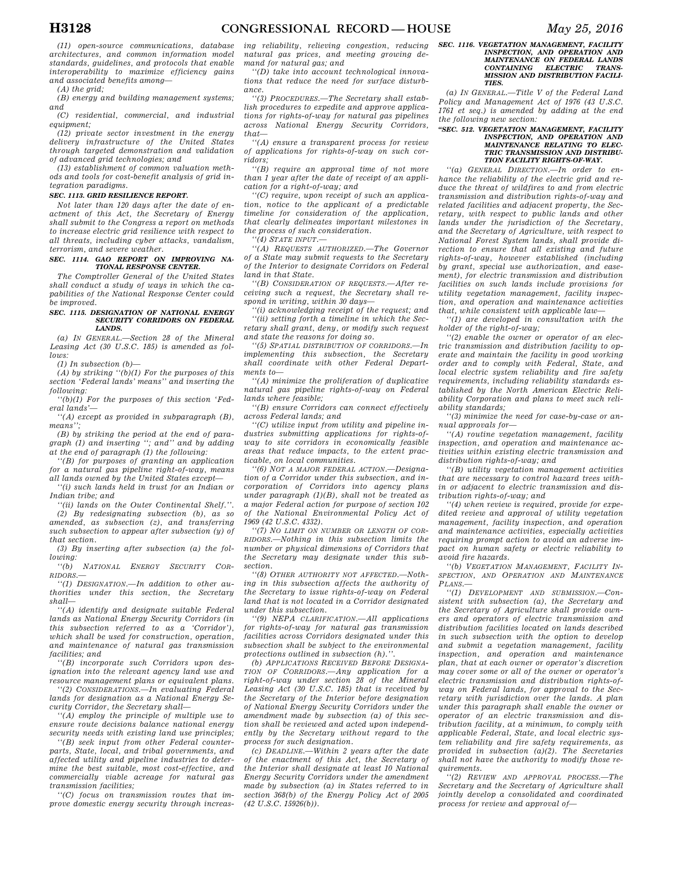*(11) open-source communications, database architectures, and common information model standards, guidelines, and protocols that enable interoperability to maximize efficiency gains and associated benefits among—* 

*(A) the grid;* 

*(B) energy and building management systems; and* 

*(C) residential, commercial, and industrial equipment;* 

*(12) private sector investment in the energy delivery infrastructure of the United States through targeted demonstration and validation of advanced grid technologies; and* 

*(13) establishment of common valuation methods and tools for cost-benefit analysis of grid integration paradigms.* 

#### *SEC. 1113. GRID RESILIENCE REPORT.*

*Not later than 120 days after the date of enactment of this Act, the Secretary of Energy shall submit to the Congress a report on methods to increase electric grid resilience with respect to all threats, including cyber attacks, vandalism, terrorism, and severe weather.* 

#### *SEC. 1114. GAO REPORT ON IMPROVING NA-TIONAL RESPONSE CENTER.*

*The Comptroller General of the United States shall conduct a study of ways in which the capabilities of the National Response Center could be improved.* 

#### *SEC. 1115. DESIGNATION OF NATIONAL ENERGY SECURITY CORRIDORS ON FEDERAL LANDS.*

*(a) IN GENERAL.—Section 28 of the Mineral Leasing Act (30 U.S.C. 185) is amended as follows:* 

*(1) In subsection (b)—* 

*(A) by striking ''(b)(1) For the purposes of this section 'Federal lands' means'' and inserting the following:* 

*''(b)(1) For the purposes of this section 'Federal lands'—* 

*''(A) except as provided in subparagraph (B), means'';* 

*(B) by striking the period at the end of paragraph (1) and inserting ''; and'' and by adding at the end of paragraph (1) the following:* 

*''(B) for purposes of granting an application for a natural gas pipeline right-of-way, means all lands owned by the United States except—* 

*''(i) such lands held in trust for an Indian or Indian tribe; and* 

*''(ii) lands on the Outer Continental Shelf.''. (2) By redesignating subsection (b), as so amended, as subsection (z), and transferring such subsection to appear after subsection (y) of* 

*that section. (3) By inserting after subsection (a) the following:* 

*''(b) NATIONAL ENERGY SECURITY COR-RIDORS.—* 

*''(1) DESIGNATION.—In addition to other authorities under this section, the Secretary shall—* 

*''(A) identify and designate suitable Federal lands as National Energy Security Corridors (in this subsection referred to as a 'Corridor'), which shall be used for construction, operation, and maintenance of natural gas transmission facilities; and* 

*''(B) incorporate such Corridors upon designation into the relevant agency land use and resource management plans or equivalent plans.* 

*''(2) CONSIDERATIONS.—In evaluating Federal lands for designation as a National Energy Security Corridor, the Secretary shall—* 

*''(A) employ the principle of multiple use to ensure route decisions balance national energy security needs with existing land use principles;* 

*''(B) seek input from other Federal counterparts, State, local, and tribal governments, and affected utility and pipeline industries to determine the best suitable, most cost-effective, and commercially viable acreage for natural gas transmission facilities;* 

*''(C) focus on transmission routes that improve domestic energy security through increas-* *ing reliability, relieving congestion, reducing natural gas prices, and meeting growing demand for natural gas; and* 

*''(D) take into account technological innovations that reduce the need for surface disturbance.* 

*''(3) PROCEDURES.—The Secretary shall establish procedures to expedite and approve applications for rights-of-way for natural gas pipelines across National Energy Security Corridors, that—* 

*''(A) ensure a transparent process for review of applications for rights-of-way on such corridors;* 

*''(B) require an approval time of not more than 1 year after the date of receipt of an application for a right-of-way; and* 

*''(C) require, upon receipt of such an application, notice to the applicant of a predictable timeline for consideration of the application, that clearly delineates important milestones in the process of such consideration.* 

*''(4) STATE INPUT.—* 

*''(A) REQUESTS AUTHORIZED.—The Governor of a State may submit requests to the Secretary of the Interior to designate Corridors on Federal land in that State.* 

*''(B) CONSIDERATION OF REQUESTS.—After receiving such a request, the Secretary shall respond in writing, within 30 days—* 

*''(i) acknowledging receipt of the request; and ''(ii) setting forth a timeline in which the Secretary shall grant, deny, or modify such request and state the reasons for doing so.* 

*''(5) SPATIAL DISTRIBUTION OF CORRIDORS.—In implementing this subsection, the Secretary shall coordinate with other Federal Departments to—* 

*''(A) minimize the proliferation of duplicative natural gas pipeline rights-of-way on Federal lands where feasible;* 

*''(B) ensure Corridors can connect effectively across Federal lands; and* 

*''(C) utilize input from utility and pipeline industries submitting applications for rights-ofway to site corridors in economically feasible areas that reduce impacts, to the extent practicable, on local communities.* 

*''(6) NOT A MAJOR FEDERAL ACTION.—Designation of a Corridor under this subsection, and incorporation of Corridors into agency plans under paragraph (1)(B), shall not be treated as a major Federal action for purpose of section 102 of the National Environmental Policy Act of 1969 (42 U.S.C. 4332).* 

*''(7) NO LIMIT ON NUMBER OR LENGTH OF COR-RIDORS.—Nothing in this subsection limits the number or physical dimensions of Corridors that the Secretary may designate under this subsection.* 

*''(8) OTHER AUTHORITY NOT AFFECTED.—Nothing in this subsection affects the authority of the Secretary to issue rights-of-way on Federal land that is not located in a Corridor designated under this subsection.* 

*''(9) NEPA CLARIFICATION.—All applications for rights-of-way for natural gas transmission facilities across Corridors designated under this subsection shall be subject to the environmental protections outlined in subsection (h).''.* 

*(b) APPLICATIONS RECEIVED BEFORE DESIGNA-TION OF CORRIDORS.—Any application for a right-of-way under section 28 of the Mineral Leasing Act (30 U.S.C. 185) that is received by the Secretary of the Interior before designation of National Energy Security Corridors under the amendment made by subsection (a) of this section shall be reviewed and acted upon independently by the Secretary without regard to the process for such designation.* 

*(c) DEADLINE.—Within 2 years after the date of the enactment of this Act, the Secretary of the Interior shall designate at least 10 National Energy Security Corridors under the amendment made by subsection (a) in States referred to in section 368(b) of the Energy Policy Act of 2005 (42 U.S.C. 15926(b)).* 

#### *SEC. 1116. VEGETATION MANAGEMENT, FACILITY INSPECTION, AND OPERATION AND MAINTENANCE ON FEDERAL LANDS CONTAINING ELECTRIC TRANS-MISSION AND DISTRIBUTION FACILI-TIES.*

*(a) IN GENERAL.—Title V of the Federal Land Policy and Management Act of 1976 (43 U.S.C. 1761 et seq.) is amended by adding at the end the following new section:* 

## *''SEC. 512. VEGETATION MANAGEMENT, FACILITY INSPECTION, AND OPERATION AND MAINTENANCE RELATING TO ELEC-TRIC TRANSMISSION AND DISTRIBU-TION FACILITY RIGHTS-OF-WAY.*

*''(a) GENERAL DIRECTION.—In order to enhance the reliability of the electric grid and reduce the threat of wildfires to and from electric transmission and distribution rights-of-way and related facilities and adjacent property, the Secretary, with respect to public lands and other lands under the jurisdiction of the Secretary, and the Secretary of Agriculture, with respect to National Forest System lands, shall provide direction to ensure that all existing and future rights-of-way, however established (including by grant, special use authorization, and easement), for electric transmission and distribution facilities on such lands include provisions for utility vegetation management, facility inspection, and operation and maintenance activities that, while consistent with applicable law—* 

*''(1) are developed in consultation with the holder of the right-of-way;* 

*''(2) enable the owner or operator of an electric transmission and distribution facility to operate and maintain the facility in good working order and to comply with Federal, State, and local electric system reliability and fire safety requirements, including reliability standards established by the North American Electric Reliability Corporation and plans to meet such reliability standards;* 

*''(3) minimize the need for case-by-case or annual approvals for—* 

*''(A) routine vegetation management, facility inspection, and operation and maintenance activities within existing electric transmission and distribution rights-of-way; and* 

*''(B) utility vegetation management activities that are necessary to control hazard trees within or adjacent to electric transmission and distribution rights-of-way; and* 

*''(4) when review is required, provide for expedited review and approval of utility vegetation management, facility inspection, and operation and maintenance activities, especially activities requiring prompt action to avoid an adverse impact on human safety or electric reliability to avoid fire hazards.* 

*''(b) VEGETATION MANAGEMENT, FACILITY IN-SPECTION, AND OPERATION AND MAINTENANCE PLANS.—* 

*''(1) DEVELOPMENT AND SUBMISSION.—Consistent with subsection (a), the Secretary and the Secretary of Agriculture shall provide owners and operators of electric transmission and distribution facilities located on lands described in such subsection with the option to develop and submit a vegetation management, facility inspection, and operation and maintenance plan, that at each owner or operator's discretion may cover some or all of the owner or operator's electric transmission and distribution rights-ofway on Federal lands, for approval to the Secretary with jurisdiction over the lands. A plan under this paragraph shall enable the owner or operator of an electric transmission and distribution facility, at a minimum, to comply with applicable Federal, State, and local electric system reliability and fire safety requirements, as provided in subsection (a)(2). The Secretaries shall not have the authority to modify those requirements.* 

*''(2) REVIEW AND APPROVAL PROCESS.—The Secretary and the Secretary of Agriculture shall jointly develop a consolidated and coordinated process for review and approval of—*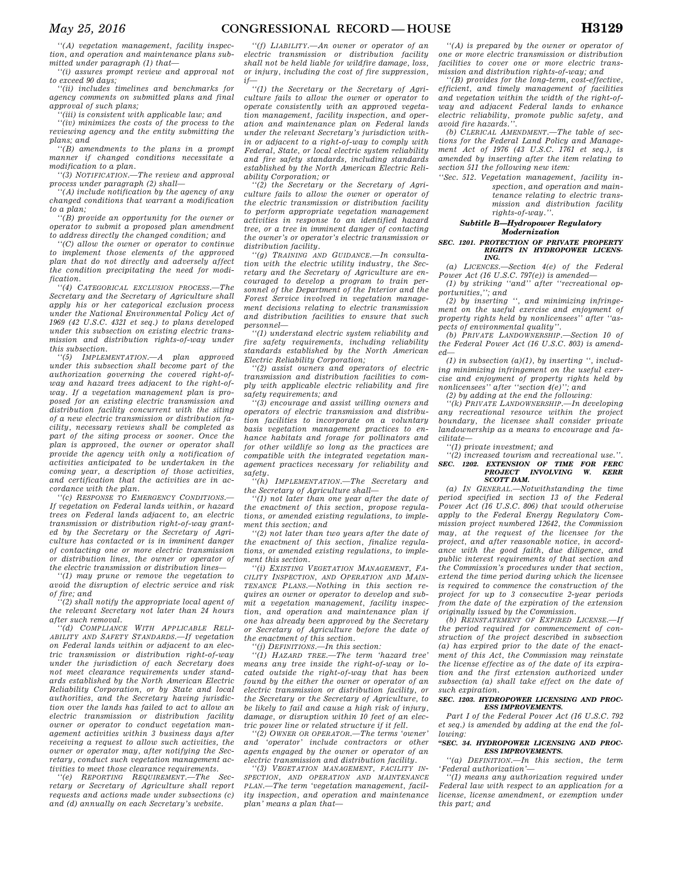*''(A) vegetation management, facility inspection, and operation and maintenance plans submitted under paragraph (1) that—* 

*''(i) assures prompt review and approval not to exceed 90 days;* 

*''(ii) includes timelines and benchmarks for agency comments on submitted plans and final approval of such plans;* 

*''(iii) is consistent with applicable law; and* 

*''(iv) minimizes the costs of the process to the reviewing agency and the entity submitting the plans; and* 

*''(B) amendments to the plans in a prompt manner if changed conditions necessitate a modification to a plan.* 

*''(3) NOTIFICATION.—The review and approval process under paragraph (2) shall—* 

*''(A) include notification by the agency of any changed conditions that warrant a modification to a plan;* 

*''(B) provide an opportunity for the owner or operator to submit a proposed plan amendment to address directly the changed condition; and* 

*''(C) allow the owner or operator to continue to implement those elements of the approved plan that do not directly and adversely affect the condition precipitating the need for modification.* 

*''(4) CATEGORICAL EXCLUSION PROCESS.—The Secretary and the Secretary of Agriculture shall apply his or her categorical exclusion process under the National Environmental Policy Act of 1969 (42 U.S.C. 4321 et seq.) to plans developed under this subsection on existing electric transmission and distribution rights-of-way under this subsection.* 

*''(5) IMPLEMENTATION.—A plan approved under this subsection shall become part of the authorization governing the covered right-ofway and hazard trees adjacent to the right-ofway. If a vegetation management plan is proposed for an existing electric transmission and distribution facility concurrent with the siting of a new electric transmission or distribution facility, necessary reviews shall be completed as part of the siting process or sooner. Once the plan is approved, the owner or operator shall provide the agency with only a notification of activities anticipated to be undertaken in the coming year, a description of those activities, and certification that the activities are in accordance with the plan.* 

*''(c) RESPONSE TO EMERGENCY CONDITIONS.— If vegetation on Federal lands within, or hazard trees on Federal lands adjacent to, an electric transmission or distribution right-of-way granted by the Secretary or the Secretary of Agriculture has contacted or is in imminent danger of contacting one or more electric transmission or distribution lines, the owner or operator of the electric transmission or distribution lines—* 

*''(1) may prune or remove the vegetation to avoid the disruption of electric service and risk of fire; and* 

*''(2) shall notify the appropriate local agent of the relevant Secretary not later than 24 hours after such removal.* 

*''(d) COMPLIANCE WITH APPLICABLE RELI-ABILITY AND SAFETY STANDARDS.—If vegetation on Federal lands within or adjacent to an electric transmission or distribution right-of-way under the jurisdiction of each Secretary does not meet clearance requirements under standards established by the North American Electric Reliability Corporation, or by State and local authorities, and the Secretary having jurisdiction over the lands has failed to act to allow an electric transmission or distribution facility owner or operator to conduct vegetation management activities within 3 business days after receiving a request to allow such activities, the owner or operator may, after notifying the Secretary, conduct such vegetation management activities to meet those clearance requirements.* 

*''(e) REPORTING REQUIREMENT.—The Secretary or Secretary of Agriculture shall report requests and actions made under subsections (c) and (d) annually on each Secretary's website.* 

*''(f) LIABILITY.—An owner or operator of an electric transmission or distribution facility shall not be held liable for wildfire damage, loss, or injury, including the cost of fire suppression,* 

*if— ''(1) the Secretary or the Secretary of Agriculture fails to allow the owner or operator to operate consistently with an approved vegetation management, facility inspection, and operation and maintenance plan on Federal lands under the relevant Secretary's jurisdiction within or adjacent to a right-of-way to comply with Federal, State, or local electric system reliability and fire safety standards, including standards established by the North American Electric Reliability Corporation; or* 

*''(2) the Secretary or the Secretary of Agriculture fails to allow the owner or operator of the electric transmission or distribution facility to perform appropriate vegetation management activities in response to an identified hazard tree, or a tree in imminent danger of contacting the owner's or operator's electric transmission or distribution facility.* 

*''(g) TRAINING AND GUIDANCE.—In consultation with the electric utility industry, the Secretary and the Secretary of Agriculture are encouraged to develop a program to train personnel of the Department of the Interior and the Forest Service involved in vegetation management decisions relating to electric transmission and distribution facilities to ensure that such personnel—* 

*''(1) understand electric system reliability and fire safety requirements, including reliability standards established by the North American Electric Reliability Corporation;* 

*''(2) assist owners and operators of electric transmission and distribution facilities to comply with applicable electric reliability and fire safety requirements; and* 

*''(3) encourage and assist willing owners and operators of electric transmission and distribution facilities to incorporate on a voluntary basis vegetation management practices to enhance habitats and forage for pollinators and for other wildlife so long as the practices are compatible with the integrated vegetation management practices necessary for reliability and safety.* 

*''(h) IMPLEMENTATION.—The Secretary and the Secretary of Agriculture shall—* 

*''(1) not later than one year after the date of the enactment of this section, propose regulations, or amended existing regulations, to implement this section; and* 

*''(2) not later than two years after the date of the enactment of this section, finalize regulations, or amended existing regulations, to implement this section.* 

*''(i) EXISTING VEGETATION MANAGEMENT, FA-CILITY INSPECTION, AND OPERATION AND MAIN-TENANCE PLANS.—Nothing in this section requires an owner or operator to develop and submit a vegetation management, facility inspection, and operation and maintenance plan if one has already been approved by the Secretary or Secretary of Agriculture before the date of the enactment of this section.* 

*''(j) DEFINITIONS.—In this section:* 

*''(1) HAZARD TREE.—The term 'hazard tree' means any tree inside the right-of-way or located outside the right-of-way that has been found by the either the owner or operator of an electric transmission or distribution facility, or the Secretary or the Secretary of Agriculture, to be likely to fail and cause a high risk of injury, damage, or disruption within 10 feet of an electric power line or related structure if it fell.* 

*''(2) OWNER OR OPERATOR.—The terms 'owner' and 'operator' include contractors or other agents engaged by the owner or operator of an electric transmission and distribution facility.* 

*''(3) VEGETATION MANAGEMENT, FACILITY IN-SPECTION, AND OPERATION AND MAINTENANCE PLAN.—The term 'vegetation management, facility inspection, and operation and maintenance plan' means a plan that—* 

*''(A) is prepared by the owner or operator of one or more electric transmission or distribution facilities to cover one or more electric transmission and distribution rights-of-way; and* 

*''(B) provides for the long-term, cost-effective, efficient, and timely management of facilities and vegetation within the width of the right-ofway and adjacent Federal lands to enhance electric reliability, promote public safety, and avoid fire hazards.''.* 

*(b) CLERICAL AMENDMENT.—The table of sections for the Federal Land Policy and Management Act of 1976 (43 U.S.C. 1761 et seq.), is amended by inserting after the item relating to section 511 the following new item:* 

*''Sec. 512. Vegetation management, facility inspection, and operation and maintenance relating to electric transmission and distribution facility rights-of-way.''.* 

## *Subtitle B—Hydropower Regulatory Modernization*

#### *SEC. 1201. PROTECTION OF PRIVATE PROPERTY RIGHTS IN HYDROPOWER LICENS-ING.*

*(a) LICENCES.—Section 4(e) of the Federal Power Act (16 U.S.C. 797(e)) is amended—* 

*(1) by striking ''and'' after ''recreational opportunities,''; and* 

*(2) by inserting '', and minimizing infringement on the useful exercise and enjoyment of property rights held by nonlicensees'' after ''aspects of environmental quality''.* 

*(b) PRIVATE LANDOWNERSHIP.—Section 10 of the Federal Power Act (16 U.S.C. 803) is amended—* 

*(1) in subsection (a)(1), by inserting '', including minimizing infringement on the useful exercise and enjoyment of property rights held by nonlicensees'' after ''section 4(e)''; and* 

*(2) by adding at the end the following:* 

*''(k) PRIVATE LANDOWNERSHIP.—In developing any recreational resource within the project boundary, the licensee shall consider private landownership as a means to encourage and facilitate—* 

*''(1) private investment; and* 

*''(2) increased tourism and recreational use.''. SEC. 1202. EXTENSION OF TIME FOR FERC PROJECT INVOLVING W. KERR SCOTT DAM.* 

*(a) IN GENERAL.—Notwithstanding the time period specified in section 13 of the Federal Power Act (16 U.S.C. 806) that would otherwise apply to the Federal Energy Regulatory Commission project numbered 12642, the Commission may, at the request of the licensee for the project, and after reasonable notice, in accordance with the good faith, due diligence, and public interest requirements of that section and the Commission's procedures under that section, extend the time period during which the licensee is required to commence the construction of the project for up to 3 consecutive 2-year periods from the date of the expiration of the extension originally issued by the Commission.* 

*(b) REINSTATEMENT OF EXPIRED LICENSE.—If the period required for commencement of construction of the project described in subsection (a) has expired prior to the date of the enactment of this Act, the Commission may reinstate the license effective as of the date of its expiration and the first extension authorized under subsection (a) shall take effect on the date of such expiration.* 

#### *SEC. 1203. HYDROPOWER LICENSING AND PROC-ESS IMPROVEMENTS.*

*Part I of the Federal Power Act (16 U.S.C. 792 et seq.) is amended by adding at the end the following:* 

#### *''SEC. 34. HYDROPOWER LICENSING AND PROC-ESS IMPROVEMENTS.*

*''(a) DEFINITION.—In this section, the term 'Federal authorization'—* 

*''(1) means any authorization required under Federal law with respect to an application for a license, license amendment, or exemption under this part; and*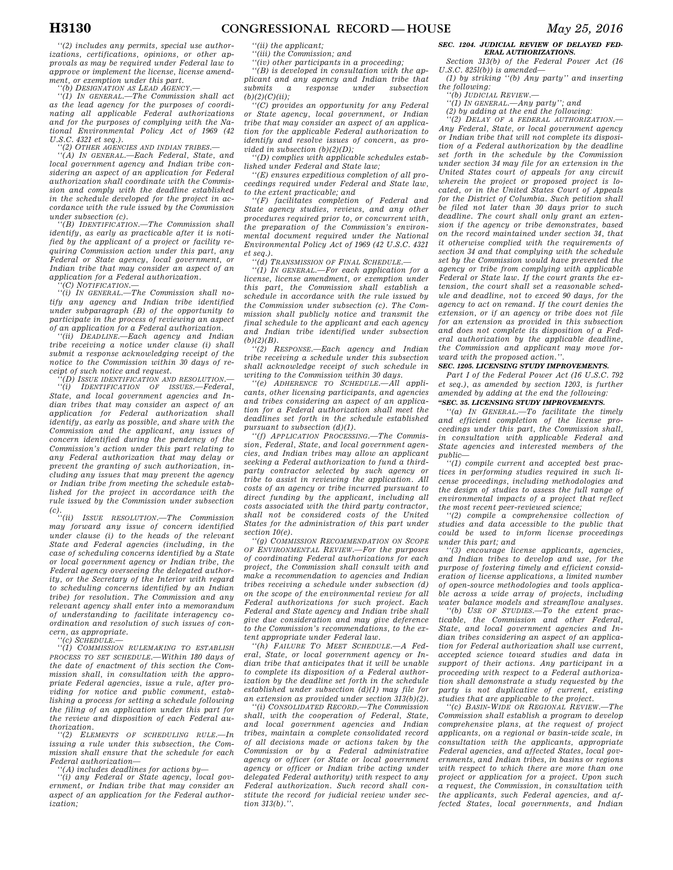*''(2) includes any permits, special use authorizations, certifications, opinions, or other approvals as may be required under Federal law to approve or implement the license, license amendment, or exemption under this part.* 

*''(b) DESIGNATION AS LEAD AGENCY.—* 

*''(1) IN GENERAL.—The Commission shall act as the lead agency for the purposes of coordinating all applicable Federal authorizations and for the purposes of complying with the National Environmental Policy Act of 1969 (42 U.S.C. 4321 et seq.).* 

*''(2) OTHER AGENCIES AND INDIAN TRIBES.—* 

*''(A) IN GENERAL.—Each Federal, State, and local government agency and Indian tribe considering an aspect of an application for Federal authorization shall coordinate with the Commission and comply with the deadline established in the schedule developed for the project in accordance with the rule issued by the Commission under subsection (c).* 

*''(B) IDENTIFICATION.—The Commission shall identify, as early as practicable after it is notified by the applicant of a project or facility requiring Commission action under this part, any Federal or State agency, local government, or Indian tribe that may consider an aspect of an application for a Federal authorization. ''(C) NOTIFICATION.—* 

*''(i) IN GENERAL.—The Commission shall notify any agency and Indian tribe identified under subparagraph (B) of the opportunity to participate in the process of reviewing an aspect of an application for a Federal authorization.* 

 $\hat{D}$ *EADLINE.*—*Each agency and Indian tribe receiving a notice under clause (i) shall submit a response acknowledging receipt of the notice to the Commission within 30 days of receipt of such notice and request.* 

*''(D) ISSUE IDENTIFICATION AND RESOLUTION.— ''(i) IDENTIFICATION OF ISSUES.—Federal, State, and local government agencies and Indian tribes that may consider an aspect of an application for Federal authorization shall identify, as early as possible, and share with the Commission and the applicant, any issues of concern identified during the pendency of the Commission's action under this part relating to any Federal authorization that may delay or prevent the granting of such authorization, including any issues that may prevent the agency or Indian tribe from meeting the schedule established for the project in accordance with the rule issued by the Commission under subsection* 

*(c). ''(ii) ISSUE RESOLUTION.—The Commission may forward any issue of concern identified under clause (i) to the heads of the relevant State and Federal agencies (including, in the case of scheduling concerns identified by a State or local government agency or Indian tribe, the Federal agency overseeing the delegated authority, or the Secretary of the Interior with regard to scheduling concerns identified by an Indian tribe) for resolution. The Commission and any relevant agency shall enter into a memorandum of understanding to facilitate interagency coordination and resolution of such issues of concern, as appropriate.* 

*''(c) SCHEDULE.—* 

*''(1) COMMISSION RULEMAKING TO ESTABLISH PROCESS TO SET SCHEDULE.—Within 180 days of the date of enactment of this section the Commission shall, in consultation with the appropriate Federal agencies, issue a rule, after providing for notice and public comment, establishing a process for setting a schedule following the filing of an application under this part for the review and disposition of each Federal authorization.* 

*''(2) ELEMENTS OF SCHEDULING RULE.—In issuing a rule under this subsection, the Commission shall ensure that the schedule for each Federal authorization—* 

*''(A) includes deadlines for actions by—* 

*''(i) any Federal or State agency, local government, or Indian tribe that may consider an aspect of an application for the Federal authorization;* 

*''(ii) the applicant;* 

*''(iii) the Commission; and* 

*''(iv) other participants in a proceeding; ''(B) is developed in consultation with the applicant and any agency and Indian tribe that submits a response under subsection* 

 $(b)(2)(C)(ii)$ ; *''(C) provides an opportunity for any Federal or State agency, local government, or Indian tribe that may consider an aspect of an application for the applicable Federal authorization to identify and resolve issues of concern, as pro-*

*vided in subsection (b)(2)(D); ''(D) complies with applicable schedules established under Federal and State law;* 

*''(E) ensures expeditious completion of all proceedings required under Federal and State law, to the extent practicable; and* 

*''(F) facilitates completion of Federal and State agency studies, reviews, and any other procedures required prior to, or concurrent with, the preparation of the Commission's environmental document required under the National Environmental Policy Act of 1969 (42 U.S.C. 4321 et seq.).* 

*''(d) TRANSMISSION OF FINAL SCHEDULE.—* 

*''(1) IN GENERAL.—For each application for a license, license amendment, or exemption under this part, the Commission shall establish a schedule in accordance with the rule issued by the Commission under subsection (c). The Commission shall publicly notice and transmit the final schedule to the applicant and each agency and Indian tribe identified under subsection (b)(2)(B).* 

*''(2) RESPONSE.—Each agency and Indian tribe receiving a schedule under this subsection shall acknowledge receipt of such schedule in writing to the Commission within 30 days.* 

*''(e) ADHERENCE TO SCHEDULE.—All applicants, other licensing participants, and agencies and tribes considering an aspect of an application for a Federal authorization shall meet the deadlines set forth in the schedule established pursuant to subsection (d)(1).* 

*''(f) APPLICATION PROCESSING.—The Commission, Federal, State, and local government agencies, and Indian tribes may allow an applicant seeking a Federal authorization to fund a thirdparty contractor selected by such agency or tribe to assist in reviewing the application. All costs of an agency or tribe incurred pursuant to direct funding by the applicant, including all costs associated with the third party contractor, shall not be considered costs of the United States for the administration of this part under section 10(e).* 

*''(g) COMMISSION RECOMMENDATION ON SCOPE OF ENVIRONMENTAL REVIEW.—For the purposes of coordinating Federal authorizations for each project, the Commission shall consult with and make a recommendation to agencies and Indian tribes receiving a schedule under subsection (d) on the scope of the environmental review for all Federal authorizations for such project. Each Federal and State agency and Indian tribe shall give due consideration and may give deference to the Commission's recommendations, to the extent appropriate under Federal law.* 

*''(h) FAILURE TO MEET SCHEDULE.—A Federal, State, or local government agency or Indian tribe that anticipates that it will be unable to complete its disposition of a Federal authorization by the deadline set forth in the schedule established under subsection (d)(1) may file for an extension as provided under section 313(b)(2).* 

*''(i) CONSOLIDATED RECORD.—The Commission shall, with the cooperation of Federal, State, and local government agencies and Indian tribes, maintain a complete consolidated record of all decisions made or actions taken by the Commission or by a Federal administrative agency or officer (or State or local government agency or officer or Indian tribe acting under delegated Federal authority) with respect to any Federal authorization. Such record shall constitute the record for judicial review under section 313(b).''.* 

### *SEC. 1204. JUDICIAL REVIEW OF DELAYED FED-ERAL AUTHORIZATIONS.*

*Section 313(b) of the Federal Power Act (16 U.S.C. 825l(b)) is amended—* 

*(1) by striking ''(b) Any party'' and inserting the following:* 

*''(b) JUDICIAL REVIEW.—* 

*''(1) IN GENERAL.—Any party''; and* 

*(2) by adding at the end the following:* 

*''(2) DELAY OF A FEDERAL AUTHORIZATION.— Any Federal, State, or local government agency or Indian tribe that will not complete its disposition of a Federal authorization by the deadline set forth in the schedule by the Commission under section 34 may file for an extension in the United States court of appeals for any circuit wherein the project or proposed project is located, or in the United States Court of Appeals for the District of Columbia. Such petition shall be filed not later than 30 days prior to such deadline. The court shall only grant an extension if the agency or tribe demonstrates, based on the record maintained under section 34, that it otherwise complied with the requirements of section 34 and that complying with the schedule set by the Commission would have prevented the agency or tribe from complying with applicable Federal or State law. If the court grants the extension, the court shall set a reasonable schedule and deadline, not to exceed 90 days, for the agency to act on remand. If the court denies the extension, or if an agency or tribe does not file for an extension as provided in this subsection and does not complete its disposition of a Federal authorization by the applicable deadline, the Commission and applicant may move forward with the proposed action.''.* 

### *SEC. 1205. LICENSING STUDY IMPROVEMENTS.*

*Part I of the Federal Power Act (16 U.S.C. 792 et seq.), as amended by section 1203, is further amended by adding at the end the following:* 

## *''SEC. 35. LICENSING STUDY IMPROVEMENTS.*

*''(a) IN GENERAL.—To facilitate the timely and efficient completion of the license proceedings under this part, the Commission shall, in consultation with applicable Federal and State agencies and interested members of the public—* 

*''(1) compile current and accepted best practices in performing studies required in such license proceedings, including methodologies and the design of studies to assess the full range of environmental impacts of a project that reflect the most recent peer-reviewed science;* 

*''(2) compile a comprehensive collection of studies and data accessible to the public that could be used to inform license proceedings under this part; and* 

*''(3) encourage license applicants, agencies, and Indian tribes to develop and use, for the purpose of fostering timely and efficient consideration of license applications, a limited number of open-source methodologies and tools applicable across a wide array of projects, including water balance models and streamflow analyses.* 

*''(b) USE OF STUDIES.—To the extent practicable, the Commission and other Federal, State, and local government agencies and Indian tribes considering an aspect of an application for Federal authorization shall use current, accepted science toward studies and data in support of their actions. Any participant in a proceeding with respect to a Federal authorization shall demonstrate a study requested by the party is not duplicative of current, existing studies that are applicable to the project.* 

*''(c) BASIN-WIDE OR REGIONAL REVIEW.—The Commission shall establish a program to develop comprehensive plans, at the request of project applicants, on a regional or basin-wide scale, in consultation with the applicants, appropriate Federal agencies, and affected States, local governments, and Indian tribes, in basins or regions with respect to which there are more than one project or application for a project. Upon such a request, the Commission, in consultation with the applicants, such Federal agencies, and affected States, local governments, and Indian*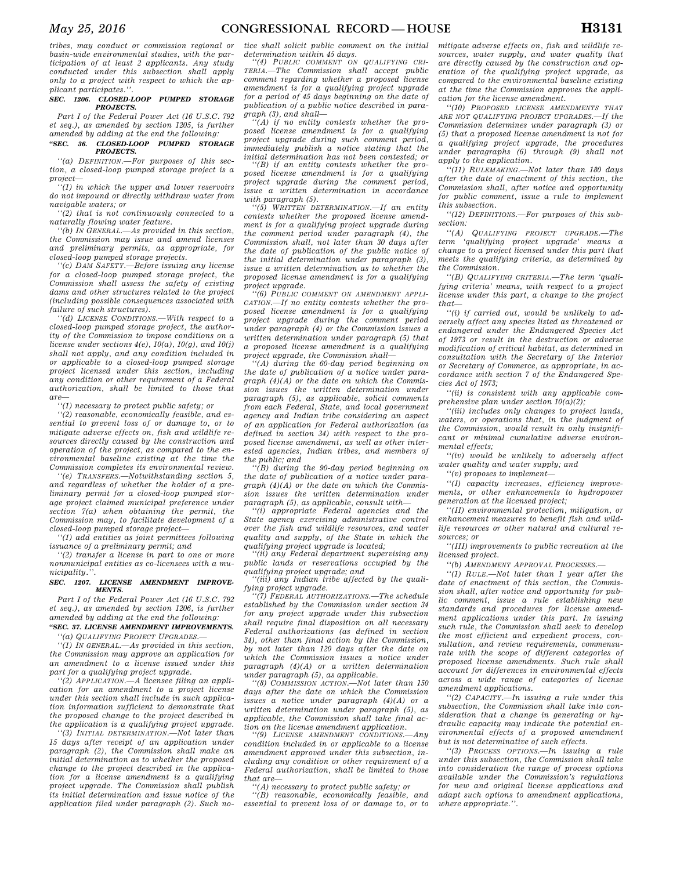*tribes, may conduct or commission regional or basin-wide environmental studies, with the participation of at least 2 applicants. Any study conducted under this subsection shall apply only to a project with respect to which the applicant participates.''.* 

#### *SEC. 1206. CLOSED-LOOP PUMPED STORAGE PROJECTS.*

*Part I of the Federal Power Act (16 U.S.C. 792 et seq.), as amended by section 1205, is further amended by adding at the end the following:* 

#### *''SEC. 36. CLOSED-LOOP PUMPED STORAGE PROJECTS.*

*''(a) DEFINITION.—For purposes of this section, a closed-loop pumped storage project is a project—* 

*''(1) in which the upper and lower reservoirs do not impound or directly withdraw water from navigable waters; or* 

*''(2) that is not continuously connected to a naturally flowing water feature.* 

*''(b) IN GENERAL.—As provided in this section, the Commission may issue and amend licenses and preliminary permits, as appropriate, for closed-loop pumped storage projects.* 

*''(c) DAM SAFETY.—Before issuing any license for a closed-loop pumped storage project, the Commission shall assess the safety of existing dams and other structures related to the project (including possible consequences associated with failure of such structures).* 

*''(d) LICENSE CONDITIONS.—With respect to a closed-loop pumped storage project, the authority of the Commission to impose conditions on a license under sections 4(e), 10(a), 10(g), and 10(j) shall not apply, and any condition included in or applicable to a closed-loop pumped storage project licensed under this section, including any condition or other requirement of a Federal authorization, shall be limited to those that are—* 

*''(1) necessary to protect public safety; or* 

*''(2) reasonable, economically feasible, and essential to prevent loss of or damage to, or to mitigate adverse effects on, fish and wildlife resources directly caused by the construction and operation of the project, as compared to the environmental baseline existing at the time the Commission completes its environmental review.* 

*''(e) TRANSFERS.—Notwithstanding section 5, and regardless of whether the holder of a preliminary permit for a closed-loop pumped storage project claimed municipal preference under section 7(a) when obtaining the permit, the Commission may, to facilitate development of a closed-loop pumped storage project—* 

*''(1) add entities as joint permittees following issuance of a preliminary permit; and* 

*''(2) transfer a license in part to one or more nonmunicipal entities as co-licensees with a municipality.''.* 

#### *SEC. 1207. LICENSE AMENDMENT IMPROVE-MENTS.*

*Part I of the Federal Power Act (16 U.S.C. 792 et seq.), as amended by section 1206, is further amended by adding at the end the following:* 

*''SEC. 37. LICENSE AMENDMENT IMPROVEMENTS.* 

*''(a) QUALIFYING PROJECT UPGRADES.—* 

*''(1) IN GENERAL.—As provided in this section, the Commission may approve an application for an amendment to a license issued under this part for a qualifying project upgrade.* 

*''(2) APPLICATION.—A licensee filing an application for an amendment to a project license under this section shall include in such application information sufficient to demonstrate that the proposed change to the project described in the application is a qualifying project upgrade.* 

*''(3) INITIAL DETERMINATION.—Not later than 15 days after receipt of an application under paragraph (2), the Commission shall make an initial determination as to whether the proposed change to the project described in the application for a license amendment is a qualifying project upgrade. The Commission shall publish its initial determination and issue notice of the application filed under paragraph (2). Such no-* *tice shall solicit public comment on the initial determination within 45 days.* 

*''(4) PUBLIC COMMENT ON QUALIFYING CRI-TERIA.—The Commission shall accept public comment regarding whether a proposed license amendment is for a qualifying project upgrade for a period of 45 days beginning on the date of publication of a public notice described in paragraph (3), and shall—* 

*''(A) if no entity contests whether the proposed license amendment is for a qualifying project upgrade during such comment period, immediately publish a notice stating that the initial determination has not been contested; or* 

*''(B) if an entity contests whether the proposed license amendment is for a qualifying project upgrade during the comment period, issue a written determination in accordance with paragraph (5).* 

*''(5) WRITTEN DETERMINATION.—If an entity contests whether the proposed license amendment is for a qualifying project upgrade during the comment period under paragraph (4), the Commission shall, not later than 30 days after the date of publication of the public notice of the initial determination under paragraph (3), issue a written determination as to whether the proposed license amendment is for a qualifying project upgrade.* 

*''(6) PUBLIC COMMENT ON AMENDMENT APPLI-CATION.—If no entity contests whether the proposed license amendment is for a qualifying project upgrade during the comment period under paragraph (4) or the Commission issues a written determination under paragraph (5) that a proposed license amendment is a qualifying* 

*project upgrade, the Commission shall— ''(A) during the 60-day period beginning on the date of publication of a notice under paragraph (4)(A) or the date on which the Commission issues the written determination under paragraph (5), as applicable, solicit comments from each Federal, State, and local government agency and Indian tribe considering an aspect of an application for Federal authorization (as defined in section 34) with respect to the proposed license amendment, as well as other interested agencies, Indian tribes, and members of* 

*the public; and ''(B) during the 90-day period beginning on the date of publication of a notice under paragraph (4)(A) or the date on which the Commission issues the written determination under* 

*paragraph (5), as applicable, consult with— ''(i) appropriate Federal agencies and the State agency exercising administrative control over the fish and wildlife resources, and water quality and supply, of the State in which the qualifying project upgrade is located;* 

*''(ii) any Federal department supervising any public lands or reservations occupied by the qualifying project upgrade; and* 

*''(iii) any Indian tribe affected by the qualifying project upgrade.* 

*''(7) FEDERAL AUTHORIZATIONS.—The schedule established by the Commission under section 34 for any project upgrade under this subsection shall require final disposition on all necessary Federal authorizations (as defined in section 34), other than final action by the Commission, by not later than 120 days after the date on which the Commission issues a notice under paragraph (4)(A) or a written determination under paragraph (5), as applicable.* 

*''(8) COMMISSION ACTION.—Not later than 150 days after the date on which the Commission issues a notice under paragraph (4)(A) or a written determination under paragraph (5), as applicable, the Commission shall take final action on the license amendment application.* 

*''(9) LICENSE AMENDMENT CONDITIONS.—Any condition included in or applicable to a license amendment approved under this subsection, including any condition or other requirement of a Federal authorization, shall be limited to those that are—* 

*''(A) necessary to protect public safety; or* 

*''(B) reasonable, economically feasible, and essential to prevent loss of or damage to, or to*  *mitigate adverse effects on, fish and wildlife resources, water supply, and water quality that are directly caused by the construction and operation of the qualifying project upgrade, as compared to the environmental baseline existing at the time the Commission approves the application for the license amendment.* 

*''(10) PROPOSED LICENSE AMENDMENTS THAT ARE NOT QUALIFYING PROJECT UPGRADES.—If the Commission determines under paragraph (3) or (5) that a proposed license amendment is not for a qualifying project upgrade, the procedures under paragraphs (6) through (9) shall not apply to the application.* 

*''(11) RULEMAKING.—Not later than 180 days after the date of enactment of this section, the Commission shall, after notice and opportunity for public comment, issue a rule to implement this subsection.* 

*''(12) DEFINITIONS.—For purposes of this subsection:* 

*''(A) QUALIFYING PROJECT UPGRADE.—The term 'qualifying project upgrade' means a change to a project licensed under this part that meets the qualifying criteria, as determined by the Commission.* 

*''(B) QUALIFYING CRITERIA.—The term 'qualifying criteria' means, with respect to a project license under this part, a change to the project that—* 

*''(i) if carried out, would be unlikely to adversely affect any species listed as threatened or endangered under the Endangered Species Act of 1973 or result in the destruction or adverse modification of critical habitat, as determined in consultation with the Secretary of the Interior or Secretary of Commerce, as appropriate, in accordance with section 7 of the Endangered Species Act of 1973;* 

*''(ii) is consistent with any applicable comprehensive plan under section 10(a)(2);* 

*''(iii) includes only changes to project lands, waters, or operations that, in the judgment of the Commission, would result in only insignificant or minimal cumulative adverse environmental effects;* 

*''(iv) would be unlikely to adversely affect water quality and water supply; and* 

*''(v) proposes to implement—* 

*''(I) capacity increases, efficiency improvements, or other enhancements to hydropower generation at the licensed project;* 

*''(II) environmental protection, mitigation, or enhancement measures to benefit fish and wildlife resources or other natural and cultural resources; or* 

*''(III) improvements to public recreation at the licensed project.* 

*''(b) AMENDMENT APPROVAL PROCESSES.—* 

*''(1) RULE.—Not later than 1 year after the date of enactment of this section, the Commission shall, after notice and opportunity for public comment, issue a rule establishing new standards and procedures for license amendment applications under this part. In issuing such rule, the Commission shall seek to develop the most efficient and expedient process, consultation, and review requirements, commensurate with the scope of different categories of proposed license amendments. Such rule shall account for differences in environmental effects across a wide range of categories of license amendment applications.* 

*''(2) CAPACITY.—In issuing a rule under this subsection, the Commission shall take into consideration that a change in generating or hydraulic capacity may indicate the potential environmental effects of a proposed amendment but is not determinative of such effects.* 

*''(3) PROCESS OPTIONS.—In issuing a rule under this subsection, the Commission shall take into consideration the range of process options available under the Commission's regulations for new and original license applications and adapt such options to amendment applications, where appropriate.''.*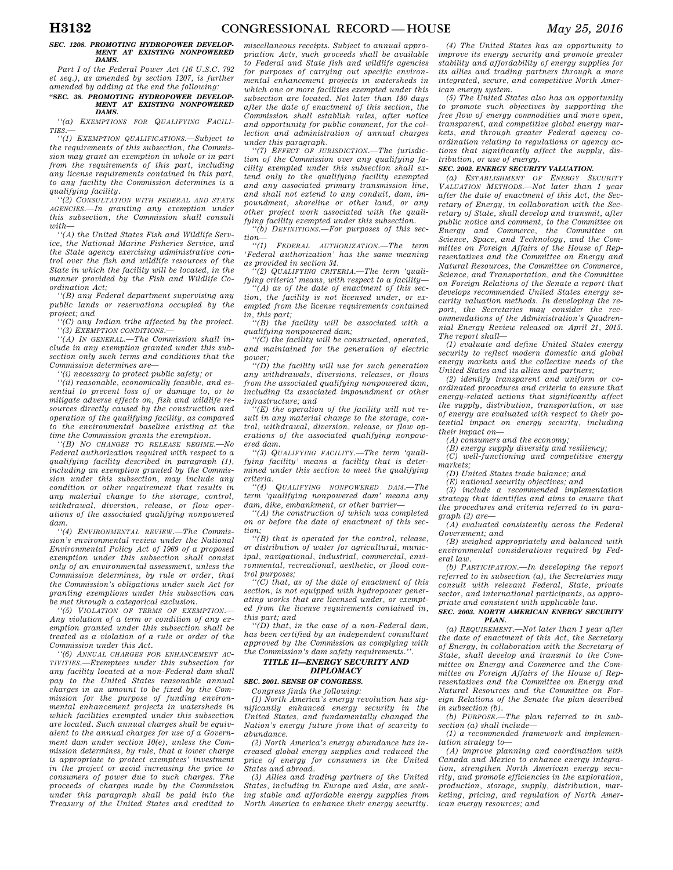#### *SEC. 1208. PROMOTING HYDROPOWER DEVELOP-MENT AT EXISTING NONPOWERED DAMS.*

*Part I of the Federal Power Act (16 U.S.C. 792 et seq.), as amended by section 1207, is further amended by adding at the end the following:* 

#### *''SEC. 38. PROMOTING HYDROPOWER DEVELOP-MENT AT EXISTING NONPOWERED DAMS.*

*''(a) EXEMPTIONS FOR QUALIFYING FACILI-TIES.—* 

*''(1) EXEMPTION QUALIFICATIONS.—Subject to the requirements of this subsection, the Commission may grant an exemption in whole or in part from the requirements of this part, including any license requirements contained in this part, to any facility the Commission determines is a qualifying facility.* 

*''(2) CONSULTATION WITH FEDERAL AND STATE AGENCIES.—In granting any exemption under this subsection, the Commission shall consult*   $with$ 

*''(A) the United States Fish and Wildlife Service, the National Marine Fisheries Service, and the State agency exercising administrative control over the fish and wildlife resources of the State in which the facility will be located, in the manner provided by the Fish and Wildlife Coordination Act;* 

*''(B) any Federal department supervising any public lands or reservations occupied by the project; and* 

*''(C) any Indian tribe affected by the project. ''(3) EXEMPTION CONDITIONS.—* 

*''(A) IN GENERAL.—The Commission shall in-*

*clude in any exemption granted under this subsection only such terms and conditions that the Commission determines are—* 

*''(i) necessary to protect public safety; or* 

*''(ii) reasonable, economically feasible, and essential to prevent loss of or damage to, or to mitigate adverse effects on, fish and wildlife resources directly caused by the construction and operation of the qualifying facility, as compared to the environmental baseline existing at the time the Commission grants the exemption.* 

*''(B) NO CHANGES TO RELEASE REGIME.—No Federal authorization required with respect to a qualifying facility described in paragraph (1), including an exemption granted by the Commission under this subsection, may include any condition or other requirement that results in any material change to the storage, control, withdrawal, diversion, release, or flow operations of the associated qualifying nonpowered dam.* 

*''(4) ENVIRONMENTAL REVIEW.—The Commission's environmental review under the National Environmental Policy Act of 1969 of a proposed exemption under this subsection shall consist only of an environmental assessment, unless the Commission determines, by rule or order, that the Commission's obligations under such Act for granting exemptions under this subsection can be met through a categorical exclusion.* 

*''(5) VIOLATION OF TERMS OF EXEMPTION.— Any violation of a term or condition of any exemption granted under this subsection shall be treated as a violation of a rule or order of the Commission under this Act.* 

*''(6) ANNUAL CHARGES FOR ENHANCEMENT AC-TIVITIES.—Exemptees under this subsection for any facility located at a non-Federal dam shall pay to the United States reasonable annual charges in an amount to be fixed by the Commission for the purpose of funding environmental enhancement projects in watersheds in which facilities exempted under this subsection are located. Such annual charges shall be equivalent to the annual charges for use of a Government dam under section 10(e), unless the Commission determines, by rule, that a lower charge is appropriate to protect exemptees' investment in the project or avoid increasing the price to consumers of power due to such charges. The proceeds of charges made by the Commission under this paragraph shall be paid into the Treasury of the United States and credited to* 

*miscellaneous receipts. Subject to annual appropriation Acts, such proceeds shall be available to Federal and State fish and wildlife agencies for purposes of carrying out specific environmental enhancement projects in watersheds in which one or more facilities exempted under this subsection are located. Not later than 180 days after the date of enactment of this section, the Commission shall establish rules, after notice and opportunity for public comment, for the collection and administration of annual charges under this paragraph.* 

*''(7) EFFECT OF JURISDICTION.—The jurisdiction of the Commission over any qualifying facility exempted under this subsection shall extend only to the qualifying facility exempted and any associated primary transmission line, and shall not extend to any conduit, dam, impoundment, shoreline or other land, or any other project work associated with the qualifying facility exempted under this subsection.* 

*''(b) DEFINITIONS.—For purposes of this sec-* $\lim_{(t/1)}$ 

*''(1) FEDERAL AUTHORIZATION.—The term 'Federal authorization' has the same meaning as provided in section 34.* 

*''(2) QUALIFYING CRITERIA.—The term 'qualifying criteria' means, with respect to a facility—* 

*''(A) as of the date of enactment of this section, the facility is not licensed under, or exempted from the license requirements contained in, this part; ''(B) the facility will be associated with a* 

*qualifying nonpowered dam;* 

*''(C) the facility will be constructed, operated, and maintained for the generation of electric power;* 

*''(D) the facility will use for such generation any withdrawals, diversions, releases, or flows from the associated qualifying nonpowered dam, including its associated impoundment or other infrastructure; and* 

*''(E) the operation of the facility will not result in any material change to the storage, control, withdrawal, diversion, release, or flow operations of the associated qualifying nonpowered dam.* 

*''(3) QUALIFYING FACILITY.—The term 'qualifying facility' means a facility that is determined under this section to meet the qualifying criteria.* 

*''(4) QUALIFYING NONPOWERED DAM.—The term 'qualifying nonpowered dam' means any dam, dike, embankment, or other barrier—* 

*''(A) the construction of which was completed on or before the date of enactment of this section;* 

*''(B) that is operated for the control, release, or distribution of water for agricultural, municipal, navigational, industrial, commercial, environmental, recreational, aesthetic, or flood control purposes;* 

*''(C) that, as of the date of enactment of this section, is not equipped with hydropower generating works that are licensed under, or exempted from the license requirements contained in, this part; and* 

*''(D) that, in the case of a non-Federal dam, has been certified by an independent consultant approved by the Commission as complying with the Commission's dam safety requirements.''.* 

## *TITLE II—ENERGY SECURITY AND DIPLOMACY*

## *SEC. 2001. SENSE OF CONGRESS.*

*Congress finds the following:* 

*(1) North America's energy revolution has significantly enhanced energy security in the United States, and fundamentally changed the Nation's energy future from that of scarcity to abundance.* 

*(2) North America's energy abundance has increased global energy supplies and reduced the price of energy for consumers in the United States and abroad.* 

*(3) Allies and trading partners of the United States, including in Europe and Asia, are seeking stable and affordable energy supplies from North America to enhance their energy security.* 

*(4) The United States has an opportunity to improve its energy security and promote greater stability and affordability of energy supplies for its allies and trading partners through a more integrated, secure, and competitive North American energy system.* 

*(5) The United States also has an opportunity to promote such objectives by supporting the free flow of energy commodities and more open, transparent, and competitive global energy markets, and through greater Federal agency coordination relating to regulations or agency actions that significantly affect the supply, distribution, or use of energy.* 

## *SEC. 2002. ENERGY SECURITY VALUATION.*

*(a) ESTABLISHMENT OF ENERGY SECURITY VALUATION METHODS.—Not later than 1 year after the date of enactment of this Act, the Secretary of Energy, in collaboration with the Secretary of State, shall develop and transmit, after public notice and comment, to the Committee on Energy and Commerce, the Committee on Science, Space, and Technology, and the Committee on Foreign Affairs of the House of Representatives and the Committee on Energy and Natural Resources, the Committee on Commerce, Science, and Transportation, and the Committee on Foreign Relations of the Senate a report that develops recommended United States energy security valuation methods. In developing the report, the Secretaries may consider the recommendations of the Administration's Quadrennial Energy Review released on April 21, 2015. The report shall—* 

*(1) evaluate and define United States energy security to reflect modern domestic and global energy markets and the collective needs of the United States and its allies and partners;* 

*(2) identify transparent and uniform or coordinated procedures and criteria to ensure that energy-related actions that significantly affect the supply, distribution, transportation, or use of energy are evaluated with respect to their potential impact on energy security, including their impact on—* 

*(A) consumers and the economy;* 

*(B) energy supply diversity and resiliency; (C) well-functioning and competitive energy markets;* 

*(D) United States trade balance; and* 

*(E) national security objectives; and* 

*(3) include a recommended implementation strategy that identifies and aims to ensure that the procedures and criteria referred to in paragraph (2) are—* 

*(A) evaluated consistently across the Federal Government; and* 

*(B) weighed appropriately and balanced with environmental considerations required by Federal law.* 

*(b) PARTICIPATION.—In developing the report referred to in subsection (a), the Secretaries may consult with relevant Federal, State, private sector, and international participants, as appropriate and consistent with applicable law.* 

#### *SEC. 2003. NORTH AMERICAN ENERGY SECURITY PLAN.*

*(a) REQUIREMENT.—Not later than 1 year after the date of enactment of this Act, the Secretary of Energy, in collaboration with the Secretary of State, shall develop and transmit to the Committee on Energy and Commerce and the Committee on Foreign Affairs of the House of Representatives and the Committee on Energy and Natural Resources and the Committee on Foreign Relations of the Senate the plan described in subsection (b).* 

*(b) PURPOSE.—The plan referred to in subsection (a) shall include—* 

*(1) a recommended framework and implementation strategy to—* 

*(A) improve planning and coordination with Canada and Mexico to enhance energy integration, strengthen North American energy security, and promote efficiencies in the exploration, production, storage, supply, distribution, marketing, pricing, and regulation of North American energy resources; and*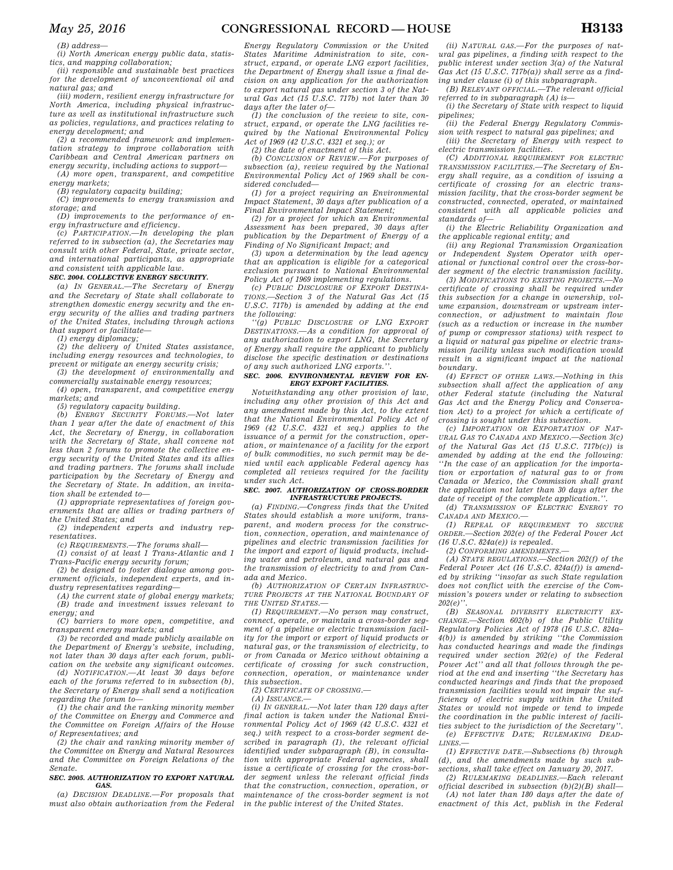*(B) address—* 

*(i) North American energy public data, statistics, and mapping collaboration;* 

*(ii) responsible and sustainable best practices for the development of unconventional oil and natural gas; and* 

*(iii) modern, resilient energy infrastructure for North America, including physical infrastructure as well as institutional infrastructure such as policies, regulations, and practices relating to energy development; and* 

*(2) a recommended framework and implementation strategy to improve collaboration with Caribbean and Central American partners on energy security, including actions to support—* 

*(A) more open, transparent, and competitive energy markets;* 

*(B) regulatory capacity building;* 

*(C) improvements to energy transmission and storage; and* 

*(D) improvements to the performance of energy infrastructure and efficiency.* 

*(c) PARTICIPATION.—In developing the plan referred to in subsection (a), the Secretaries may consult with other Federal, State, private sector, and international participants, as appropriate and consistent with applicable law.* 

### *SEC. 2004. COLLECTIVE ENERGY SECURITY.*

*(a) IN GENERAL.—The Secretary of Energy and the Secretary of State shall collaborate to strengthen domestic energy security and the energy security of the allies and trading partners of the United States, including through actions that support or facilitate—* 

*(1) energy diplomacy;* 

*(2) the delivery of United States assistance, including energy resources and technologies, to prevent or mitigate an energy security crisis;* 

*(3) the development of environmentally and commercially sustainable energy resources;* 

*(4) open, transparent, and competitive energy markets; and* 

*(5) regulatory capacity building.* 

*(b) ENERGY SECURITY FORUMS.—Not later than 1 year after the date of enactment of this Act, the Secretary of Energy, in collaboration with the Secretary of State, shall convene not less than 2 forums to promote the collective energy security of the United States and its allies and trading partners. The forums shall include participation by the Secretary of Energy and the Secretary of State. In addition, an invitation shall be extended to—* 

*(1) appropriate representatives of foreign governments that are allies or trading partners of the United States; and* 

*(2) independent experts and industry representatives.* 

*(c) REQUIREMENTS.—The forums shall—* 

*(1) consist of at least 1 Trans-Atlantic and 1 Trans-Pacific energy security forum; (2) be designed to foster dialogue among gov-*

*ernment officials, independent experts, and industry representatives regarding—* 

*(A) the current state of global energy markets; (B) trade and investment issues relevant to energy; and* 

*(C) barriers to more open, competitive, and transparent energy markets; and* 

*(3) be recorded and made publicly available on the Department of Energy's website, including, not later than 30 days after each forum, publication on the website any significant outcomes.* 

*(d) NOTIFICATION.—At least 30 days before each of the forums referred to in subsection (b), the Secretary of Energy shall send a notification regarding the forum to—* 

*(1) the chair and the ranking minority member of the Committee on Energy and Commerce and the Committee on Foreign Affairs of the House of Representatives; and* 

*(2) the chair and ranking minority member of the Committee on Energy and Natural Resources and the Committee on Foreign Relations of the Senate.* 

#### *SEC. 2005. AUTHORIZATION TO EXPORT NATURAL GAS.*

*(a) DECISION DEADLINE.—For proposals that must also obtain authorization from the Federal* 

*Energy Regulatory Commission or the United States Maritime Administration to site, construct, expand, or operate LNG export facilities, the Department of Energy shall issue a final decision on any application for the authorization to export natural gas under section 3 of the Natural Gas Act (15 U.S.C. 717b) not later than 30 days after the later of—* 

*(1) the conclusion of the review to site, construct, expand, or operate the LNG facilities required by the National Environmental Policy Act of 1969 (42 U.S.C. 4321 et seq.); or* 

*(2) the date of enactment of this Act.* 

*(b) CONCLUSION OF REVIEW.—For purposes of subsection (a), review required by the National Environmental Policy Act of 1969 shall be considered concluded—* 

*(1) for a project requiring an Environmental Impact Statement, 30 days after publication of a Final Environmental Impact Statement;* 

*(2) for a project for which an Environmental Assessment has been prepared, 30 days after publication by the Department of Energy of a Finding of No Significant Impact; and* 

*(3) upon a determination by the lead agency that an application is eligible for a categorical exclusion pursuant to National Environmental Policy Act of 1969 implementing regulations.* 

*(c) PUBLIC DISCLOSURE OF EXPORT DESTINA-TIONS.—Section 3 of the Natural Gas Act (15 U.S.C. 717b) is amended by adding at the end the following:* 

*''(g) PUBLIC DISCLOSURE OF LNG EXPORT DESTINATIONS.—As a condition for approval of any authorization to export LNG, the Secretary of Energy shall require the applicant to publicly disclose the specific destination or destinations of any such authorized LNG exports.''.* 

#### *SEC. 2006. ENVIRONMENTAL REVIEW FOR EN-ERGY EXPORT FACILITIES.*

*Notwithstanding any other provision of law, including any other provision of this Act and any amendment made by this Act, to the extent that the National Environmental Policy Act of 1969 (42 U.S.C. 4321 et seq.) applies to the issuance of a permit for the construction, operation, or maintenance of a facility for the export of bulk commodities, no such permit may be denied until each applicable Federal agency has completed all reviews required for the facility under such Act.* 

#### *SEC. 2007. AUTHORIZATION OF CROSS-BORDER INFRASTRUCTURE PROJECTS.*

*(a) FINDING.—Congress finds that the United States should establish a more uniform, transparent, and modern process for the construction, connection, operation, and maintenance of pipelines and electric transmission facilities for the import and export of liquid products, including water and petroleum, and natural gas and the transmission of electricity to and from Canada and Mexico.* 

*(b) AUTHORIZATION OF CERTAIN INFRASTRUC-TURE PROJECTS AT THE NATIONAL BOUNDARY OF THE UNITED STATES.—* 

*(1) REQUIREMENT.—No person may construct, connect, operate, or maintain a cross-border segment of a pipeline or electric transmission facility for the import or export of liquid products or natural gas, or the transmission of electricity, to or from Canada or Mexico without obtaining a certificate of crossing for such construction, connection, operation, or maintenance under this subsection.* 

*(2) CERTIFICATE OF CROSSING.—* 

*(A) ISSUANCE.—* 

*(i) IN GENERAL.—Not later than 120 days after final action is taken under the National Environmental Policy Act of 1969 (42 U.S.C. 4321 et seq.) with respect to a cross-border segment described in paragraph (1), the relevant official identified under subparagraph (B), in consultation with appropriate Federal agencies, shall issue a certificate of crossing for the cross-border segment unless the relevant official finds that the construction, connection, operation, or maintenance of the cross-border segment is not in the public interest of the United States.* 

*(ii) NATURAL GAS.—For the purposes of natural gas pipelines, a finding with respect to the public interest under section 3(a) of the Natural Gas Act (15 U.S.C. 717b(a)) shall serve as a finding under clause (i) of this subparagraph.* 

*(B) RELEVANT OFFICIAL.—The relevant official referred to in subparagraph (A) is— (i) the Secretary of State with respect to liquid* 

*pipelines; (ii) the Federal Energy Regulatory Commis-*

*sion with respect to natural gas pipelines; and (iii) the Secretary of Energy with respect to* 

*electric transmission facilities.* 

*(C) ADDITIONAL REQUIREMENT FOR ELECTRIC TRANSMISSION FACILITIES.—The Secretary of Energy shall require, as a condition of issuing a certificate of crossing for an electric transmission facility, that the cross-border segment be constructed, connected, operated, or maintained consistent with all applicable policies and standards of—* 

*(i) the Electric Reliability Organization and the applicable regional entity; and* 

*(ii) any Regional Transmission Organization or Independent System Operator with operational or functional control over the cross-border segment of the electric transmission facility.* 

*(3) MODIFICATIONS TO EXISTING PROJECTS.—No certificate of crossing shall be required under this subsection for a change in ownership, volume expansion, downstream or upstream interconnection, or adjustment to maintain flow (such as a reduction or increase in the number of pump or compressor stations) with respect to a liquid or natural gas pipeline or electric transmission facility unless such modification would result in a significant impact at the national boundary.* 

*(4) EFFECT OF OTHER LAWS.—Nothing in this subsection shall affect the application of any other Federal statute (including the Natural Gas Act and the Energy Policy and Conservation Act) to a project for which a certificate of crossing is sought under this subsection.* 

*(c) IMPORTATION OR EXPORTATION OF NAT-URAL GAS TO CANADA AND MEXICO.—Section 3(c) of the Natural Gas Act (15 U.S.C. 717b(c)) is amended by adding at the end the following: ''In the case of an application for the importation or exportation of natural gas to or from Canada or Mexico, the Commission shall grant the application not later than 30 days after the date of receipt of the complete application.''.* 

*(d) TRANSMISSION OF ELECTRIC ENERGY TO CANADA AND MEXICO.—* 

*(1) REPEAL OF REQUIREMENT TO SECURE ORDER.—Section 202(e) of the Federal Power Act (16 U.S.C. 824a(e)) is repealed.* 

*(2) CONFORMING AMENDMENTS.—* 

*(A) STATE REGULATIONS.—Section 202(f) of the Federal Power Act (16 U.S.C. 824a(f)) is amended by striking ''insofar as such State regulation does not conflict with the exercise of the Commission's powers under or relating to subsection 202(e)''.* 

*(B) SEASONAL DIVERSITY ELECTRICITY EX-CHANGE.—Section 602(b) of the Public Utility Regulatory Policies Act of 1978 (16 U.S.C. 824a– 4(b)) is amended by striking ''the Commission has conducted hearings and made the findings required under section 202(e) of the Federal Power Act'' and all that follows through the period at the end and inserting ''the Secretary has conducted hearings and finds that the proposed transmission facilities would not impair the sufficiency of electric supply within the United States or would not impede or tend to impede the coordination in the public interest of facilities subject to the jurisdiction of the Secretary''. (e) EFFECTIVE DATE; RULEMAKING DEAD-LINES.—* 

*(1) EFFECTIVE DATE.—Subsections (b) through (d), and the amendments made by such subsections, shall take effect on January 20, 2017.* 

*(2) RULEMAKING DEADLINES.—Each relevant official described in subsection (b)(2)(B) shall— (A) not later than 180 days after the date of enactment of this Act, publish in the Federal*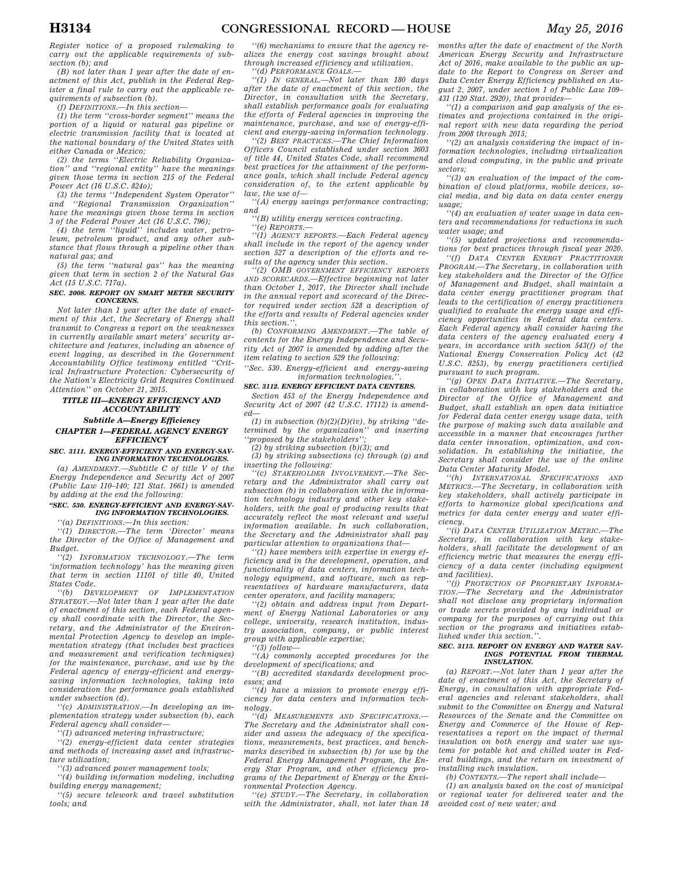*Register notice of a proposed rulemaking to carry out the applicable requirements of subsection (b); and* 

*(B) not later than 1 year after the date of enactment of this Act, publish in the Federal Register a final rule to carry out the applicable requirements of subsection (b).* 

*(f) DEFINITIONS.—In this section—* 

*(1) the term ''cross-border segment'' means the portion of a liquid or natural gas pipeline or electric transmission facility that is located at the national boundary of the United States with either Canada or Mexico;* 

*(2) the terms ''Electric Reliability Organization'' and ''regional entity'' have the meanings given those terms in section 215 of the Federal Power Act (16 U.S.C. 824o);* 

*(3) the terms ''Independent System Operator'' and ''Regional Transmission Organization'' have the meanings given those terms in section 3 of the Federal Power Act (16 U.S.C. 796);* 

*(4) the term ''liquid'' includes water, petroleum, petroleum product, and any other substance that flows through a pipeline other than natural gas; and* 

*(5) the term ''natural gas'' has the meaning given that term in section 2 of the Natural Gas Act (15 U.S.C. 717a).* 

#### *SEC. 2008. REPORT ON SMART METER SECURITY CONCERNS.*

*Not later than 1 year after the date of enactment of this Act, the Secretary of Energy shall transmit to Congress a report on the weaknesses in currently available smart meters' security architecture and features, including an absence of event logging, as described in the Government Accountability Office testimony entitled ''Critical Infrastructure Protection: Cybersecurity of the Nation's Electricity Grid Requires Continued Attention'' on October 21, 2015.* 

## *TITLE III—ENERGY EFFICIENCY AND ACCOUNTABILITY Subtitle A—Energy Efficiency*

## *CHAPTER 1—FEDERAL AGENCY ENERGY EFFICIENCY*

## *SEC. 3111. ENERGY-EFFICIENT AND ENERGY-SAV-ING INFORMATION TECHNOLOGIES.*

*(a) AMENDMENT.—Subtitle C of title V of the Energy Independence and Security Act of 2007 (Public Law 110–140; 121 Stat. 1661) is amended by adding at the end the following:* 

*''SEC. 530. ENERGY-EFFICIENT AND ENERGY-SAV-ING INFORMATION TECHNOLOGIES.* 

## *''(a) DEFINITIONS.—In this section:*

*''(1) DIRECTOR.—The term 'Director' means the Director of the Office of Management and Budget.* 

*''(2) INFORMATION TECHNOLOGY.—The term 'information technology' has the meaning given that term in section 11101 of title 40, United States Code.* 

*''(b) DEVELOPMENT OF IMPLEMENTATION STRATEGY.—Not later than 1 year after the date of enactment of this section, each Federal agency shall coordinate with the Director, the Secretary, and the Administrator of the Environmental Protection Agency to develop an implementation strategy (that includes best practices and measurement and verification techniques) for the maintenance, purchase, and use by the Federal agency of energy-efficient and energysaving information technologies, taking into consideration the performance goals established under subsection (d).* 

*''(c) ADMINISTRATION.—In developing an implementation strategy under subsection (b), each Federal agency shall consider—* 

*''(1) advanced metering infrastructure;* 

*''(2) energy-efficient data center strategies and methods of increasing asset and infrastructure utilization;* 

*''(3) advanced power management tools;* 

*''(4) building information modeling, including building energy management;* 

*''(5) secure telework and travel substitution tools; and* 

*''(6) mechanisms to ensure that the agency realizes the energy cost savings brought about through increased efficiency and utilization.* 

*''(d) PERFORMANCE GOALS.—* 

*''(1) IN GENERAL.—Not later than 180 days after the date of enactment of this section, the Director, in consultation with the Secretary, shall establish performance goals for evaluating the efforts of Federal agencies in improving the maintenance, purchase, and use of energy-efficient and energy-saving information technology.* 

*''(2) BEST PRACTICES.—The Chief Information Officers Council established under section 3603 of title 44, United States Code, shall recommend best practices for the attainment of the performance goals, which shall include Federal agency consideration of, to the extent applicable by law, the use of—* 

*''(A) energy savings performance contracting; and* 

*''(B) utility energy services contracting.* 

*''(e) REPORTS.—* 

*''(1) AGENCY REPORTS.—Each Federal agency shall include in the report of the agency under section 527 a description of the efforts and results of the agency under this section.* 

*''(2) OMB GOVERNMENT EFFICIENCY REPORTS AND SCORECARDS.—Effective beginning not later than October 1, 2017, the Director shall include in the annual report and scorecard of the Director required under section 528 a description of the efforts and results of Federal agencies under this section.''.* 

*(b) CONFORMING AMENDMENT.—The table of contents for the Energy Independence and Security Act of 2007 is amended by adding after the item relating to section 529 the following:* 

*''Sec. 530. Energy-efficient and energy-saving information technologies.''.* 

## *SEC. 3112. ENERGY EFFICIENT DATA CENTERS.*

*Section 453 of the Energy Independence and Security Act of 2007 (42 U.S.C. 17112) is amended—* 

*(1) in subsection (b)(2)(D)(iv), by striking ''determined by the organization'' and inserting ''proposed by the stakeholders'';* 

*(2) by striking subsection (b)(3); and* 

*(3) by striking subsections (c) through (g) and inserting the following:* 

*''(c) STAKEHOLDER INVOLVEMENT.—The Secretary and the Administrator shall carry out subsection (b) in collaboration with the information technology industry and other key stakeholders, with the goal of producing results that accurately reflect the most relevant and useful information available. In such collaboration, the Secretary and the Administrator shall pay particular attention to organizations that—* 

*''(1) have members with expertise in energy efficiency and in the development, operation, and functionality of data centers, information technology equipment, and software, such as representatives of hardware manufacturers, data center operators, and facility managers;* 

*''(2) obtain and address input from Department of Energy National Laboratories or any college, university, research institution, industry association, company, or public interest group with applicable expertise;* 

*''(3) follow—* 

*''(A) commonly accepted procedures for the development of specifications; and* 

*''(B) accredited standards development processes; and* 

*''(4) have a mission to promote energy efficiency for data centers and information technology.* 

*''(d) MEASUREMENTS AND SPECIFICATIONS.— The Secretary and the Administrator shall consider and assess the adequacy of the specifications, measurements, best practices, and benchmarks described in subsection (b) for use by the Federal Energy Management Program, the Energy Star Program, and other efficiency programs of the Department of Energy or the Environmental Protection Agency.* 

*''(e) STUDY.—The Secretary, in collaboration with the Administrator, shall, not later than 18*  *months after the date of enactment of the North American Energy Security and Infrastructure Act of 2016, make available to the public an update to the Report to Congress on Server and Data Center Energy Efficiency published on August 2, 2007, under section 1 of Public Law 109– 431 (120 Stat. 2920), that provides—* 

*''(1) a comparison and gap analysis of the estimates and projections contained in the original report with new data regarding the period from 2008 through 2015;* 

*''(2) an analysis considering the impact of information technologies, including virtualization and cloud computing, in the public and private sectors;* 

*''(3) an evaluation of the impact of the combination of cloud platforms, mobile devices, social media, and big data on data center energy*   $\n *u*$ *sage*;

*''(4) an evaluation of water usage in data centers and recommendations for reductions in such water usage; and* 

*''(5) updated projections and recommendations for best practices through fiscal year 2020.* 

*''(f) DATA CENTER ENERGY PRACTITIONER PROGRAM.—The Secretary, in collaboration with key stakeholders and the Director of the Office of Management and Budget, shall maintain a data center energy practitioner program that leads to the certification of energy practitioners qualified to evaluate the energy usage and efficiency opportunities in Federal data centers. Each Federal agency shall consider having the data centers of the agency evaluated every 4 years, in accordance with section 543(f) of the National Energy Conservation Policy Act (42 U.S.C. 8253), by energy practitioners certified pursuant to such program.* 

*''(g) OPEN DATA INITIATIVE.—The Secretary, in collaboration with key stakeholders and the Director of the Office of Management and Budget, shall establish an open data initiative for Federal data center energy usage data, with the purpose of making such data available and accessible in a manner that encourages further data center innovation, optimization, and consolidation. In establishing the initiative, the Secretary shall consider the use of the online Data Center Maturity Model.* 

*''(h) INTERNATIONAL SPECIFICATIONS AND METRICS.—The Secretary, in collaboration with key stakeholders, shall actively participate in efforts to harmonize global specifications and metrics for data center energy and water efficiency.* 

*''(i) DATA CENTER UTILIZATION METRIC.—The Secretary, in collaboration with key stakeholders, shall facilitate the development of an efficiency metric that measures the energy efficiency of a data center (including equipment and facilities).* 

*''(j) PROTECTION OF PROPRIETARY INFORMA-TION.—The Secretary and the Administrator shall not disclose any proprietary information or trade secrets provided by any individual or company for the purposes of carrying out this section or the programs and initiatives established under this section.''.* 

#### *SEC. 3113. REPORT ON ENERGY AND WATER SAV-INGS POTENTIAL FROM THERMAL INSULATION.*

*(a) REPORT.—Not later than 1 year after the date of enactment of this Act, the Secretary of Energy, in consultation with appropriate Federal agencies and relevant stakeholders, shall submit to the Committee on Energy and Natural Resources of the Senate and the Committee on Energy and Commerce of the House of Representatives a report on the impact of thermal insulation on both energy and water use systems for potable hot and chilled water in Federal buildings, and the return on investment of installing such insulation.* 

*(b) CONTENTS.—The report shall include—* 

*(1) an analysis based on the cost of municipal or regional water for delivered water and the avoided cost of new water; and*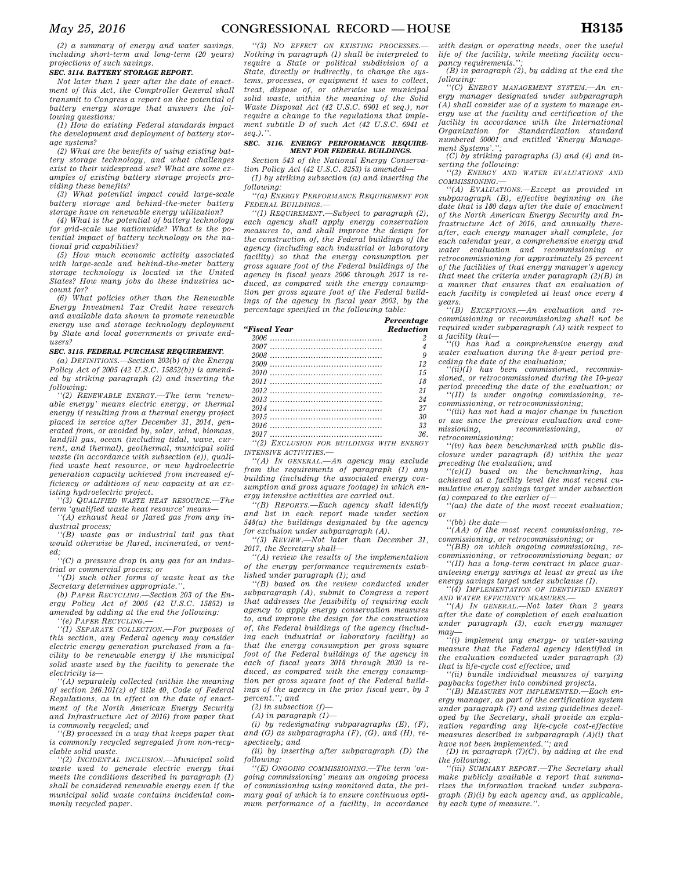*(2) a summary of energy and water savings, including short-term and long-term (20 years) projections of such savings.* 

#### *SEC. 3114. BATTERY STORAGE REPORT.*

*Not later than 1 year after the date of enactment of this Act, the Comptroller General shall transmit to Congress a report on the potential of battery energy storage that answers the following questions:* 

*(1) How do existing Federal standards impact the development and deployment of battery storage systems?* 

*(2) What are the benefits of using existing battery storage technology, and what challenges exist to their widespread use? What are some examples of existing battery storage projects providing these benefits?* 

*(3) What potential impact could large-scale battery storage and behind-the-meter battery storage have on renewable energy utilization?* 

*(4) What is the potential of battery technology for grid-scale use nationwide? What is the potential impact of battery technology on the national grid capabilities?* 

*(5) How much economic activity associated with large-scale and behind-the-meter battery storage technology is located in the United States? How many jobs do these industries account for?* 

*(6) What policies other than the Renewable Energy Investment Tax Credit have research and available data shown to promote renewable energy use and storage technology deployment by State and local governments or private endusers?* 

#### *SEC. 3115. FEDERAL PURCHASE REQUIREMENT.*

*(a) DEFINITIONS.—Section 203(b) of the Energy Policy Act of 2005 (42 U.S.C. 15852(b)) is amended by striking paragraph (2) and inserting the following:* 

*''(2) RENEWABLE ENERGY.—The term 'renewable energy' means electric energy, or thermal energy if resulting from a thermal energy project placed in service after December 31, 2014, generated from, or avoided by, solar, wind, biomass, landfill gas, ocean (including tidal, wave, current, and thermal), geothermal, municipal solid waste (in accordance with subsection (e)), qualified waste heat resource, or new hydroelectric generation capacity achieved from increased efficiency or additions of new capacity at an existing hydroelectric project.* 

*''(3) QUALIFIED WASTE HEAT RESOURCE.—The term 'qualified waste heat resource' means—* 

*''(A) exhaust heat or flared gas from any industrial process;* 

*''(B) waste gas or industrial tail gas that would otherwise be flared, incinerated, or vented;* 

*''(C) a pressure drop in any gas for an industrial or commercial process; or* 

*''(D) such other forms of waste heat as the Secretary determines appropriate.''.* 

*(b) PAPER RECYCLING.—Section 203 of the Energy Policy Act of 2005 (42 U.S.C. 15852) is amended by adding at the end the following:* 

*''(e) PAPER RECYCLING.—* 

*''(1) SEPARATE COLLECTION.—For purposes of this section, any Federal agency may consider electric energy generation purchased from a facility to be renewable energy if the municipal solid waste used by the facility to generate the electricity is—* 

*''(A) separately collected (within the meaning of section 246.101(z) of title 40, Code of Federal Regulations, as in effect on the date of enactment of the North American Energy Security and Infrastructure Act of 2016) from paper that is commonly recycled; and* 

*''(B) processed in a way that keeps paper that is commonly recycled segregated from non-recyclable solid waste.* 

*''(2) INCIDENTAL INCLUSION.—Municipal solid waste used to generate electric energy that meets the conditions described in paragraph (1) shall be considered renewable energy even if the municipal solid waste contains incidental commonly recycled paper.* 

*''(3) NO EFFECT ON EXISTING PROCESSES.— Nothing in paragraph (1) shall be interpreted to require a State or political subdivision of a State, directly or indirectly, to change the systems, processes, or equipment it uses to collect, treat, dispose of, or otherwise use municipal solid waste, within the meaning of the Solid Waste Disposal Act (42 U.S.C. 6901 et seq.), nor require a change to the regulations that implement subtitle D of such Act (42 U.S.C. 6941 et seq.).''.* 

#### *SEC. 3116. ENERGY PERFORMANCE REQUIRE-MENT FOR FEDERAL BUILDINGS.*

*Section 543 of the National Energy Conservation Policy Act (42 U.S.C. 8253) is amended—* 

*(1) by striking subsection (a) and inserting the following:* 

*''(a) ENERGY PERFORMANCE REQUIREMENT FOR FEDERAL BUILDINGS.—* 

*''(1) REQUIREMENT.—Subject to paragraph (2), each agency shall apply energy conservation measures to, and shall improve the design for the construction of, the Federal buildings of the agency (including each industrial or laboratory facility) so that the energy consumption per gross square foot of the Federal buildings of the agency in fiscal years 2006 through 2017 is reduced, as compared with the energy consumption per gross square foot of the Federal buildings of the agency in fiscal year 2003, by the percentage specified in the following table:* 

#### *''Fiscal Year Reduction*

| 9   |
|-----|
| 12  |
| 15  |
| 18  |
| 21  |
| 24  |
| 27  |
| 30  |
| 33  |
| 36. |
|     |

*''(2) EXCLUSION FOR BUILDINGS WITH ENERGY INTENSIVE ACTIVITIES.—* 

*''(A) IN GENERAL.—An agency may exclude from the requirements of paragraph (1) any building (including the associated energy consumption and gross square footage) in which energy intensive activities are carried out.* 

*''(B) REPORTS.—Each agency shall identify and list in each report made under section 548(a) the buildings designated by the agency for exclusion under subparagraph (A).* 

*''(3) REVIEW.—Not later than December 31, 2017, the Secretary shall—* 

*''(A) review the results of the implementation of the energy performance requirements established under paragraph (1); and* 

*''(B) based on the review conducted under subparagraph (A), submit to Congress a report that addresses the feasibility of requiring each agency to apply energy conservation measures to, and improve the design for the construction of, the Federal buildings of the agency (including each industrial or laboratory facility) so that the energy consumption per gross square foot of the Federal buildings of the agency in each of fiscal years 2018 through 2030 is reduced, as compared with the energy consumption per gross square foot of the Federal buildings of the agency in the prior fiscal year, by 3 percent.''; and* 

*(2) in subsection (f)—* 

*(A) in paragraph (1)—* 

*(i) by redesignating subparagraphs (E), (F), and (G) as subparagraphs (F), (G), and (H), respectively; and* 

*(ii) by inserting after subparagraph (D) the following:* 

*''(E) ONGOING COMMISSIONING.—The term 'ongoing commissioning' means an ongoing process of commissioning using monitored data, the primary goal of which is to ensure continuous optimum performance of a facility, in accordance* 

*with design or operating needs, over the useful life of the facility, while meeting facility occupancy requirements.'';* 

*(B) in paragraph (2), by adding at the end the following:* 

*''(C) ENERGY MANAGEMENT SYSTEM.—An energy manager designated under subparagraph (A) shall consider use of a system to manage energy use at the facility and certification of the facility in accordance with the International Organization for Standardization standard numbered 50001 and entitled 'Energy Management Systems'.'';* 

*(C) by striking paragraphs (3) and (4) and inserting the following:* 

*''(3) ENERGY AND WATER EVALUATIONS AND COMMISSIONING.—* 

*''(A) EVALUATIONS.—Except as provided in subparagraph (B), effective beginning on the date that is 180 days after the date of enactment of the North American Energy Security and Infrastructure Act of 2016, and annually thereafter, each energy manager shall complete, for each calendar year, a comprehensive energy and water evaluation and recommissioning or retrocommissioning for approximately 25 percent of the facilities of that energy manager's agency that meet the criteria under paragraph (2)(B) in a manner that ensures that an evaluation of each facility is completed at least once every 4 years.* 

*''(B) EXCEPTIONS.—An evaluation and recommissioning or recommissioning shall not be required under subparagraph (A) with respect to a facility that—* 

*''(i) has had a comprehensive energy and water evaluation during the 8-year period preceding the date of the evaluation;* 

*''(ii)(I) has been commissioned, recommissioned, or retrocommissioned during the 10-year period preceding the date of the evaluation; or* 

*''(II) is under ongoing commissioning, recommissioning, or retrocommissioning;* 

*''(iii) has not had a major change in function or use since the previous evaluation and com* $recommissionina$ . *retrocommissioning;* 

*''(iv) has been benchmarked with public disclosure under paragraph (8) within the year preceding the evaluation; and* 

*''(v)(I) based on the benchmarking, has achieved at a facility level the most recent cumulative energy savings target under subsection (a) compared to the earlier of—* 

*''(aa) the date of the most recent evaluation; or ''(bb) the date—* 

*''(AA) of the most recent commissioning, recommissioning, or retrocommissioning; or* 

*''(BB) on which ongoing commissioning, recommissioning, or retrocommissioning began; or ''(II) has a long-term contract in place guar-*

*anteeing energy savings at least as great as the energy savings target under subclause (I). ''(4) IMPLEMENTATION OF IDENTIFIED ENERGY*

*AND WATER EFFICIENCY MEASURES.—* 

*''(A) IN GENERAL.—Not later than 2 years after the date of completion of each evaluation under paragraph (3), each energy manager may—* 

*''(i) implement any energy- or water-saving measure that the Federal agency identified in the evaluation conducted under paragraph (3) that is life-cycle cost effective; and* 

*''(ii) bundle individual measures of varying paybacks together into combined projects.* 

*''(B) MEASURES NOT IMPLEMENTED.—Each energy manager, as part of the certification system under paragraph (7) and using guidelines developed by the Secretary, shall provide an explanation regarding any life-cycle cost-effective measures described in subparagraph (A)(i) that have not been implemented.''; and* 

*(D) in paragraph (7)(C), by adding at the end the following:* 

*''(iii) SUMMARY REPORT.—The Secretary shall make publicly available a report that summarizes the information tracked under subparagraph (B)(i) by each agency and, as applicable, by each type of measure.''.* 

*Percentage*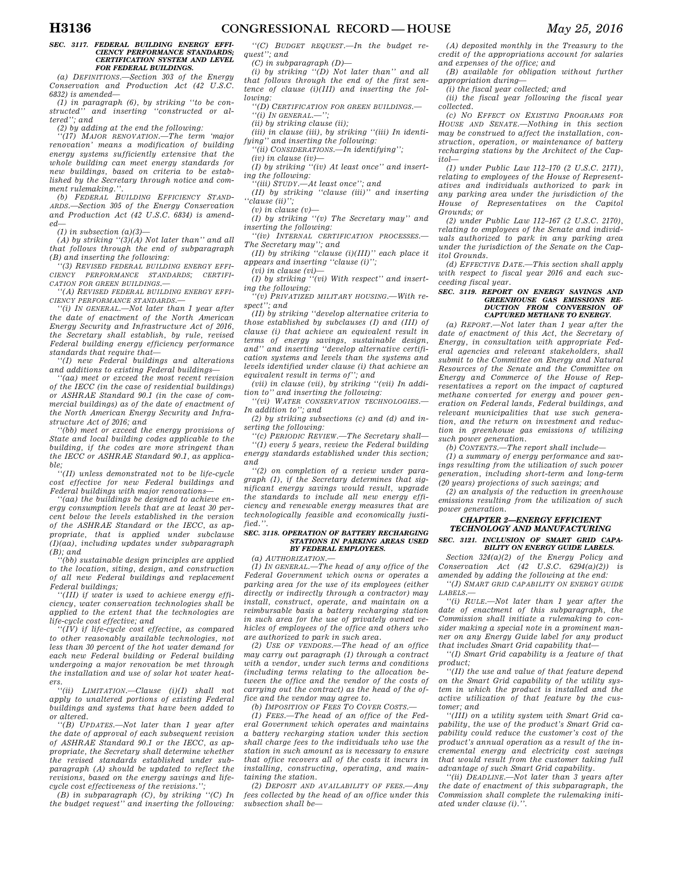#### *SEC. 3117. FEDERAL BUILDING ENERGY EFFI-CIENCY PERFORMANCE STANDARDS; CERTIFICATION SYSTEM AND LEVEL FOR FEDERAL BUILDINGS.*

*(a) DEFINITIONS.—Section 303 of the Energy Conservation and Production Act (42 U.S.C. 6832) is amended—* 

*(1) in paragraph (6), by striking ''to be constructed'' and inserting ''constructed or altered''; and* 

*(2) by adding at the end the following:* 

*''(17) MAJOR RENOVATION.—The term 'major renovation' means a modification of building energy systems sufficiently extensive that the whole building can meet energy standards for new buildings, based on criteria to be established by the Secretary through notice and comment rulemaking.''.* 

*(b) FEDERAL BUILDING EFFICIENCY STAND-ARDS.—Section 305 of the Energy Conservation and Production Act (42 U.S.C. 6834) is amended—* 

*(1) in subsection (a)(3)—* 

*(A) by striking ''(3)(A) Not later than'' and all that follows through the end of subparagraph (B) and inserting the following:* 

*''(3) REVISED FEDERAL BUILDING ENERGY EFFI-CIENCY PERFORMANCE STANDARDS; CERTIFI-CATION FOR GREEN BUILDINGS.—* 

*''(A) REVISED FEDERAL BUILDING ENERGY EFFI-CIENCY PERFORMANCE STANDARDS.—* 

*''(i) IN GENERAL.—Not later than 1 year after the date of enactment of the North American Energy Security and Infrastructure Act of 2016, the Secretary shall establish, by rule, revised Federal building energy efficiency performance standards that require that—* 

*''(I) new Federal buildings and alterations and additions to existing Federal buildings—* 

*''(aa) meet or exceed the most recent revision of the IECC (in the case of residential buildings) or ASHRAE Standard 90.1 (in the case of commercial buildings) as of the date of enactment of the North American Energy Security and Infrastructure Act of 2016; and* 

*''(bb) meet or exceed the energy provisions of State and local building codes applicable to the building, if the codes are more stringent than the IECC or ASHRAE Standard 90.1, as applicable;* 

*''(II) unless demonstrated not to be life-cycle cost effective for new Federal buildings and Federal buildings with major renovations—* 

*''(aa) the buildings be designed to achieve energy consumption levels that are at least 30 percent below the levels established in the version of the ASHRAE Standard or the IECC, as appropriate, that is applied under subclause (I)(aa), including updates under subparagraph (B); and* 

*''(bb) sustainable design principles are applied to the location, siting, design, and construction of all new Federal buildings and replacement Federal buildings;* 

*''(III) if water is used to achieve energy efficiency, water conservation technologies shall be applied to the extent that the technologies are life-cycle cost effective; and* 

*''(IV) if life-cycle cost effective, as compared to other reasonably available technologies, not less than 30 percent of the hot water demand for each new Federal building or Federal building undergoing a major renovation be met through the installation and use of solar hot water heaters.* 

*''(ii) LIMITATION.—Clause (i)(I) shall not apply to unaltered portions of existing Federal buildings and systems that have been added to or altered.* 

*''(B) UPDATES.—Not later than 1 year after the date of approval of each subsequent revision of ASHRAE Standard 90.1 or the IECC, as appropriate, the Secretary shall determine whether the revised standards established under subparagraph (A) should be updated to reflect the revisions, based on the energy savings and lifecycle cost effectiveness of the revisions.'';* 

*(B) in subparagraph (C), by striking ''(C) In the budget request'' and inserting the following:* 

*''(C) BUDGET REQUEST.—In the budget request''; and* 

*(C) in subparagraph (D)—* 

*(i) by striking ''(D) Not later than'' and all that follows through the end of the first sentence of clause (i)(III) and inserting the following:* 

*''(D) CERTIFICATION FOR GREEN BUILDINGS.—*   $''(i)$  IN GENERAL.—<sup>1</sup>

*(ii) by striking clause (ii);* 

*(iii) in clause (iii), by striking ''(iii) In identifying'' and inserting the following:* 

*''(ii) CONSIDERATIONS.—In identifying'';* 

*(iv) in clause (iv)—* 

*(I) by striking ''(iv) At least once'' and inserting the following:* 

*''(iii) STUDY.—At least once''; and* 

*(II) by striking ''clause (iii)'' and inserting ''clause (ii)'';* 

*(v) in clause (v)—* 

*(I) by striking ''(v) The Secretary may'' and inserting the following:* 

*''(iv) INTERNAL CERTIFICATION PROCESSES.— The Secretary may''; and* 

*(II) by striking ''clause (i)(III)'' each place it appears and inserting ''clause (i)'';* 

*(vi) in clause (vi)—* 

*(I) by striking ''(vi) With respect'' and inserting the following:* 

*''(v) PRIVATIZED MILITARY HOUSING.—With respect''; and* 

*(II) by striking ''develop alternative criteria to those established by subclauses (I) and (III) of clause (i) that achieve an equivalent result in terms of energy savings, sustainable design, and'' and inserting ''develop alternative certification systems and levels than the systems and levels identified under clause (i) that achieve an equivalent result in terms of''; and* 

*(vii) in clause (vii), by striking ''(vii) In addition to'' and inserting the following:* 

*''(vi) WATER CONSERVATION TECHNOLOGIES.— In addition to''; and* 

*(2) by striking subsections (c) and (d) and inserting the following:* 

*''(c) PERIODIC REVIEW.—The Secretary shall—* 

*''(1) every 5 years, review the Federal building energy standards established under this section; and* 

*''(2) on completion of a review under paragraph (1), if the Secretary determines that significant energy savings would result, upgrade the standards to include all new energy efficiency and renewable energy measures that are technologically feasible and economically justified.''.* 

## *SEC. 3118. OPERATION OF BATTERY RECHARGING STATIONS IN PARKING AREAS USED BY FEDERAL EMPLOYEES.*

*(a) AUTHORIZATION.—* 

*(1) IN GENERAL.—The head of any office of the Federal Government which owns or operates a parking area for the use of its employees (either directly or indirectly through a contractor) may install, construct, operate, and maintain on a reimbursable basis a battery recharging station in such area for the use of privately owned vehicles of employees of the office and others who are authorized to park in such area.* 

*(2) USE OF VENDORS.—The head of an office may carry out paragraph (1) through a contract with a vendor, under such terms and conditions (including terms relating to the allocation between the office and the vendor of the costs of carrying out the contract) as the head of the office and the vendor may agree to.* 

*(b) IMPOSITION OF FEES TO COVER COSTS.—* 

*(1) FEES.—The head of an office of the Federal Government which operates and maintains a battery recharging station under this section shall charge fees to the individuals who use the station in such amount as is necessary to ensure that office recovers all of the costs it incurs in installing, constructing, operating, and maintaining the station.* 

*(2) DEPOSIT AND AVAILABILITY OF FEES.—Any fees collected by the head of an office under this subsection shall be—* 

*(A) deposited monthly in the Treasury to the credit of the appropriations account for salaries and expenses of the office; and* 

*(B) available for obligation without further appropriation during—* 

*(i) the fiscal year collected; and* 

*(ii) the fiscal year following the fiscal year collected.* 

*(c) NO EFFECT ON EXISTING PROGRAMS FOR HOUSE AND SENATE.—Nothing in this section may be construed to affect the installation, construction, operation, or maintenance of battery recharging stations by the Architect of the Capitol—* 

*(1) under Public Law 112–170 (2 U.S.C. 2171), relating to employees of the House of Representatives and individuals authorized to park in any parking area under the jurisdiction of the House of Representatives on the Capitol Grounds; or* 

*(2) under Public Law 112–167 (2 U.S.C. 2170), relating to employees of the Senate and individuals authorized to park in any parking area under the jurisdiction of the Senate on the Capitol Grounds.* 

*(d) EFFECTIVE DATE.—This section shall apply with respect to fiscal year 2016 and each succeeding fiscal year.* 

# *SEC. 3119. REPORT ON ENERGY SAVINGS AND GREENHOUSE GAS EMISSIONS RE-DUCTION FROM CONVERSION OF CAPTURED METHANE TO ENERGY.*

*(a) REPORT.—Not later than 1 year after the date of enactment of this Act, the Secretary of Energy, in consultation with appropriate Federal agencies and relevant stakeholders, shall submit to the Committee on Energy and Natural Resources of the Senate and the Committee on Energy and Commerce of the House of Representatives a report on the impact of captured methane converted for energy and power generation on Federal lands, Federal buildings, and relevant municipalities that use such generation, and the return on investment and reduction in greenhouse gas emissions of utilizing such power generation.* 

*(b) CONTENTS.—The report shall include—* 

*(1) a summary of energy performance and savings resulting from the utilization of such power generation, including short-term and long-term (20 years) projections of such savings; and* 

*(2) an analysis of the reduction in greenhouse emissions resulting from the utilization of such power generation.* 

## *CHAPTER 2—ENERGY EFFICIENT TECHNOLOGY AND MANUFACTURING SEC. 3121. INCLUSION OF SMART GRID CAPA-*

*BILITY ON ENERGY GUIDE LABELS.* 

*Section 324(a)(2) of the Energy Policy and Conservation Act (42 U.S.C. 6294(a)(2)) is amended by adding the following at the end:* 

*''(J) SMART GRID CAPABILITY ON ENERGY GUIDE LABELS.—* 

*''(i) RULE.—Not later than 1 year after the date of enactment of this subparagraph, the Commission shall initiate a rulemaking to consider making a special note in a prominent manner on any Energy Guide label for any product that includes Smart Grid capability that—* 

*''(I) Smart Grid capability is a feature of that product;* 

*''(II) the use and value of that feature depend on the Smart Grid capability of the utility system in which the product is installed and the active utilization of that feature by the customer; and* 

*''(III) on a utility system with Smart Grid capability, the use of the product's Smart Grid capability could reduce the customer's cost of the product's annual operation as a result of the incremental energy and electricity cost savings that would result from the customer taking full advantage of such Smart Grid capability.* 

*''(ii) DEADLINE.—Not later than 3 years after the date of enactment of this subparagraph, the Commission shall complete the rulemaking initiated under clause (i).''.*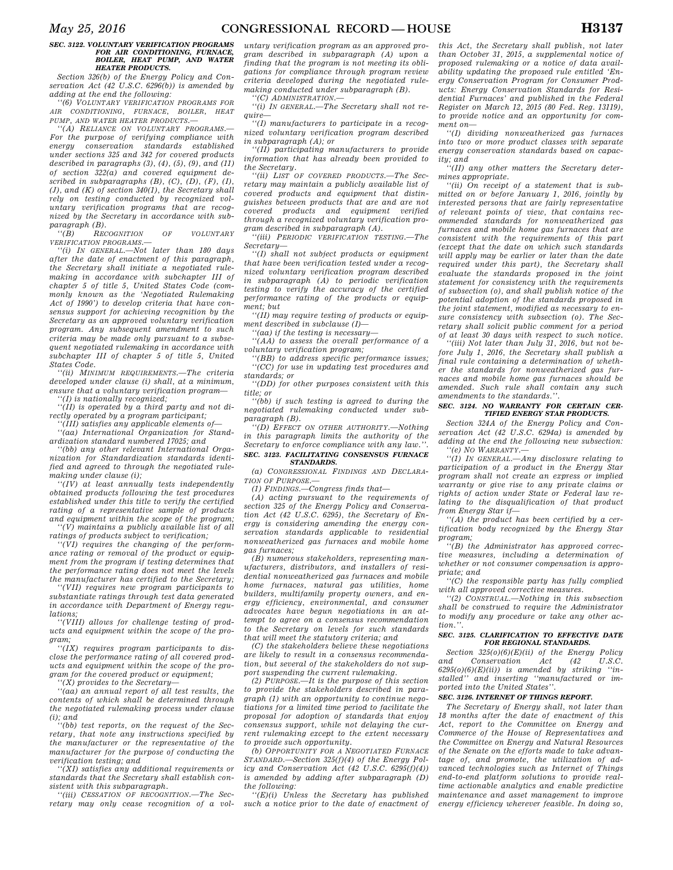## *SEC. 3122. VOLUNTARY VERIFICATION PROGRAMS FOR AIR CONDITIONING, FURNACE, BOILER, HEAT PUMP, AND WATER HEATER PRODUCTS.*

*Section 326(b) of the Energy Policy and Conservation Act (42 U.S.C. 6296(b)) is amended by adding at the end the following:* 

*''(6) VOLUNTARY VERIFICATION PROGRAMS FOR AIR CONDITIONING, FURNACE, BOILER, HEAT PUMP, AND WATER HEATER PRODUCTS.—* 

*''(A) RELIANCE ON VOLUNTARY PROGRAMS.— For the purpose of verifying compliance with energy conservation standards established under sections 325 and 342 for covered products described in paragraphs (3), (4), (5), (9), and (11) of section 322(a) and covered equipment described in subparagraphs (B), (C), (D), (F), (I), (J), and (K) of section 340(1), the Secretary shall rely on testing conducted by recognized voluntary verification programs that are recognized by the Secretary in accordance with subparagraph (B).* 

*''(B) RECOGNITION OF VOLUNTARY VERIFICATION PROGRAMS.—* 

*''(i) IN GENERAL.—Not later than 180 days after the date of enactment of this paragraph, the Secretary shall initiate a negotiated rulemaking in accordance with subchapter III of chapter 5 of title 5, United States Code (commonly known as the 'Negotiated Rulemaking Act of 1990') to develop criteria that have consensus support for achieving recognition by the Secretary as an approved voluntary verification program. Any subsequent amendment to such criteria may be made only pursuant to a subsequent negotiated rulemaking in accordance with subchapter III of chapter 5 of title 5, United States Code.* 

*''(ii) MINIMUM REQUIREMENTS.—The criteria developed under clause (i) shall, at a minimum, ensure that a voluntary verification program—* 

*''(I) is nationally recognized; ''(II) is operated by a third party and not di-*

*rectly operated by a program participant; ''(III) satisfies any applicable elements of—* 

*''(aa) International Organization for Standardization standard numbered 17025; and* 

*''(bb) any other relevant International Organization for Standardization standards identified and agreed to through the negotiated rulemaking under clause (i);* 

*''(IV) at least annually tests independently obtained products following the test procedures established under this title to verify the certified rating of a representative sample of products and equipment within the scope of the program; ''(V) maintains a publicly available list of all* 

*ratings of products subject to verification;* 

*''(VI) requires the changing of the performance rating or removal of the product or equipment from the program if testing determines that the performance rating does not meet the levels the manufacturer has certified to the Secretary;* 

*''(VII) requires new program participants to substantiate ratings through test data generated in accordance with Department of Energy regulations;* 

*''(VIII) allows for challenge testing of products and equipment within the scope of the program;* 

*''(IX) requires program participants to disclose the performance rating of all covered products and equipment within the scope of the program for the covered product or equipment;* 

*''(X) provides to the Secretary—* 

*''(aa) an annual report of all test results, the contents of which shall be determined through the negotiated rulemaking process under clause (i); and* 

*''(bb) test reports, on the request of the Secretary, that note any instructions specified by the manufacturer or the representative of the manufacturer for the purpose of conducting the verification testing; and* 

*''(XI) satisfies any additional requirements or standards that the Secretary shall establish consistent with this subparagraph.* 

*''(iii) CESSATION OF RECOGNITION.—The Secretary may only cease recognition of a vol-*

*untary verification program as an approved program described in subparagraph (A) upon a finding that the program is not meeting its obligations for compliance through program review criteria developed during the negotiated rulemaking conducted under subparagraph (B).* 

*''(C) ADMINISTRATION.—* 

*''(i) IN GENERAL.—The Secretary shall not require—* 

*''(I) manufacturers to participate in a recognized voluntary verification program described in subparagraph (A); or* 

*''(II) participating manufacturers to provide information that has already been provided to the Secretary.* 

*''(ii) LIST OF COVERED PRODUCTS.—The Secretary may maintain a publicly available list of covered products and equipment that distinguishes between products that are and are not covered products and equipment verified through a recognized voluntary verification program described in subparagraph (A).* 

*''(iii) PERIODIC VERIFICATION TESTING.—The Secretary—* 

*''(I) shall not subject products or equipment that have been verification tested under a recognized voluntary verification program described in subparagraph (A) to periodic verification testing to verify the accuracy of the certified performance rating of the products or equipment; but* 

*''(II) may require testing of products or equipment described in subclause (I)—* 

*''(aa) if the testing is necessary—* 

*''(AA) to assess the overall performance of a voluntary verification program;* 

*''(BB) to address specific performance issues; ''(CC) for use in updating test procedures and standards; or* 

*''(DD) for other purposes consistent with this title; or* 

*''(bb) if such testing is agreed to during the negotiated rulemaking conducted under subparagraph (B).* 

*''(D) EFFECT ON OTHER AUTHORITY.—Nothing in this paragraph limits the authority of the Secretary to enforce compliance with any law.''. SEC. 3123. FACILITATING CONSENSUS FURNACE STANDARDS.* 

*(a) CONGRESSIONAL FINDINGS AND DECLARA-TION OF PURPOSE.—* 

*(1) FINDINGS.—Congress finds that—* 

*(A) acting pursuant to the requirements of section 325 of the Energy Policy and Conservation Act (42 U.S.C. 6295), the Secretary of Energy is considering amending the energy conservation standards applicable to residential nonweatherized gas furnaces and mobile home gas furnaces;* 

*(B) numerous stakeholders, representing manufacturers, distributors, and installers of residential nonweatherized gas furnaces and mobile home furnaces, natural gas utilities, home builders, multifamily property owners, and energy efficiency, environmental, and consumer advocates have begun negotiations in an attempt to agree on a consensus recommendation to the Secretary on levels for such standards that will meet the statutory criteria; and* 

*(C) the stakeholders believe these negotiations are likely to result in a consensus recommendation, but several of the stakeholders do not support suspending the current rulemaking.* 

*(2) PURPOSE.—It is the purpose of this section to provide the stakeholders described in paragraph (1) with an opportunity to continue negotiations for a limited time period to facilitate the proposal for adoption of standards that enjoy consensus support, while not delaying the current rulemaking except to the extent necessary to provide such opportunity.* 

*(b) OPPORTUNITY FOR A NEGOTIATED FURNACE STANDARD.—Section 325(f)(4) of the Energy Policy and Conservation Act (42 U.S.C. 6295(f)(4)) is amended by adding after subparagraph (D) the following:* 

*''(E)(i) Unless the Secretary has published such a notice prior to the date of enactment of* 

*this Act, the Secretary shall publish, not later than October 31, 2015, a supplemental notice of proposed rulemaking or a notice of data availability updating the proposed rule entitled 'Energy Conservation Program for Consumer Products: Energy Conservation Standards for Residential Furnaces' and published in the Federal Register on March 12, 2015 (80 Fed. Reg. 13119), to provide notice and an opportunity for comment on—* 

*''(I) dividing nonweatherized gas furnaces into two or more product classes with separate energy conservation standards based on capacity; and* 

*''(II) any other matters the Secretary determines appropriate.* 

*''(ii) On receipt of a statement that is submitted on or before January 1, 2016, jointly by interested persons that are fairly representative of relevant points of view, that contains recommended standards for nonweatherized gas furnaces and mobile home gas furnaces that are consistent with the requirements of this part (except that the date on which such standards will apply may be earlier or later than the date required under this part), the Secretary shall evaluate the standards proposed in the joint statement for consistency with the requirements of subsection (o), and shall publish notice of the potential adoption of the standards proposed in the joint statement, modified as necessary to ensure consistency with subsection (o). The Secretary shall solicit public comment for a period of at least 30 days with respect to such notice.* 

*''(iii) Not later than July 31, 2016, but not before July 1, 2016, the Secretary shall publish a final rule containing a determination of whether the standards for nonweatherized gas furnaces and mobile home gas furnaces should be amended. Such rule shall contain any such amendments to the standards.''.* 

#### *SEC. 3124. NO WARRANTY FOR CERTAIN CER-TIFIED ENERGY STAR PRODUCTS.*

*Section 324A of the Energy Policy and Conservation Act (42 U.S.C. 6294a) is amended by adding at the end the following new subsection: ''(e) NO WARRANTY.—* 

*''(1) IN GENERAL.—Any disclosure relating to participation of a product in the Energy Star program shall not create an express or implied warranty or give rise to any private claims or rights of action under State or Federal law relating to the disqualification of that product from Energy Star if—* 

*''(A) the product has been certified by a certification body recognized by the Energy Star program;* 

*''(B) the Administrator has approved corrective measures, including a determination of whether or not consumer compensation is appropriate; and* 

*''(C) the responsible party has fully complied with all approved corrective measures.* 

*''(2) CONSTRUAL.—Nothing in this subsection shall be construed to require the Administrator to modify any procedure or take any other action.''.* 

#### *SEC. 3125. CLARIFICATION TO EFFECTIVE DATE FOR REGIONAL STANDARDS.*

*Section 325(o)(6)(E)(ii) of the Energy Policy and Conservation Act (42 U.S.C. 6295(o)(6)(E)(ii)) is amended by striking ''installed'' and inserting ''manufactured or imported into the United States''.* 

## *SEC. 3126. INTERNET OF THINGS REPORT.*

*The Secretary of Energy shall, not later than 18 months after the date of enactment of this Act, report to the Committee on Energy and Commerce of the House of Representatives and the Committee on Energy and Natural Resources of the Senate on the efforts made to take advantage of, and promote, the utilization of advanced technologies such as Internet of Things end-to-end platform solutions to provide realtime actionable analytics and enable predictive maintenance and asset management to improve energy efficiency wherever feasible. In doing so,*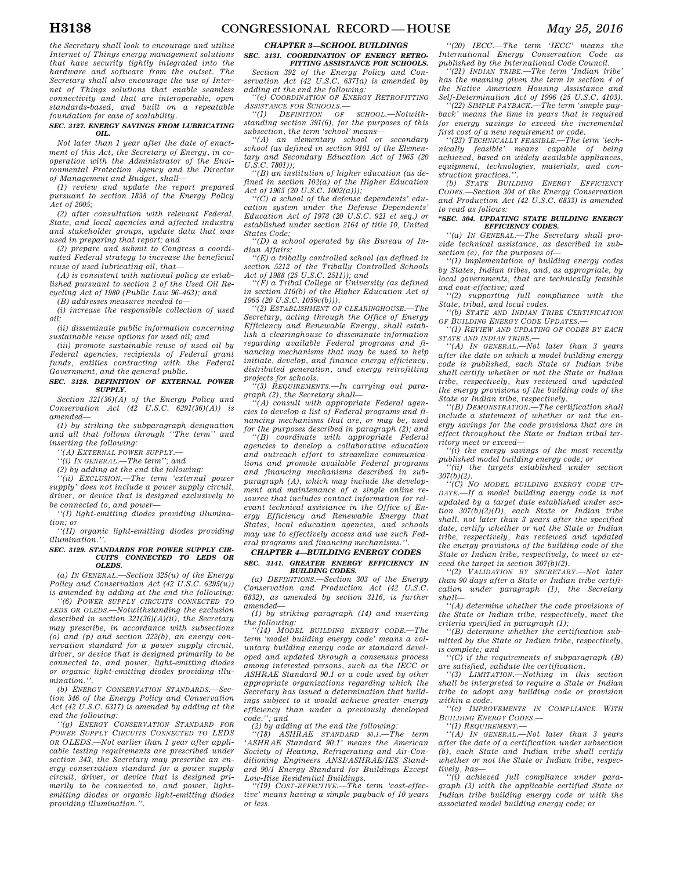*the Secretary shall look to encourage and utilize Internet of Things energy management solutions that have security tightly integrated into the hardware and software from the outset. The Secretary shall also encourage the use of Internet of Things solutions that enable seamless connectivity and that are interoperable, open standards-based, and built on a repeatable foundation for ease of scalability.* 

#### *SEC. 3127. ENERGY SAVINGS FROM LUBRICATING OIL.*

*Not later than 1 year after the date of enactment of this Act, the Secretary of Energy, in cooperation with the Administrator of the Environmental Protection Agency and the Director of Management and Budget, shall—* 

*(1) review and update the report prepared pursuant to section 1838 of the Energy Policy Act of 2005;* 

*(2) after consultation with relevant Federal, State, and local agencies and affected industry and stakeholder groups, update data that was used in preparing that report; and* 

*(3) prepare and submit to Congress a coordinated Federal strategy to increase the beneficial reuse of used lubricating oil, that—* 

*(A) is consistent with national policy as established pursuant to section 2 of the Used Oil Recycling Act of 1980 (Public Law 96–463); and* 

*(B) addresses measures needed to—* 

*(i) increase the responsible collection of used oil;* 

*(ii) disseminate public information concerning sustainable reuse options for used oil; and* 

*(iii) promote sustainable reuse of used oil by Federal agencies, recipients of Federal grant funds, entities contracting with the Federal Government, and the general public.* 

#### *SEC. 3128. DEFINITION OF EXTERNAL POWER SUPPLY.*

*Section 321(36)(A) of the Energy Policy and Conservation Act (42 U.S.C. 6291(36)(A)) is amended—* 

*(1) by striking the subparagraph designation and all that follows through ''The term'' and inserting the following:* 

*''(A) EXTERNAL POWER SUPPLY.—* 

*''(i) IN GENERAL.—The term''; and* 

*(2) by adding at the end the following:* 

*''(ii) EXCLUSION.—The term 'external power supply' does not include a power supply circuit, driver, or device that is designed exclusively to be connected to, and power—* 

*''(I) light-emitting diodes providing illumination; or* 

*''(II) organic light-emitting diodes providing illumination.''.* 

#### *SEC. 3129. STANDARDS FOR POWER SUPPLY CIR-CUITS CONNECTED TO LEDS OR OLEDS.*

*(a) IN GENERAL.—Section 325(u) of the Energy Policy and Conservation Act (42 U.S.C. 6295(u)) is amended by adding at the end the following:* 

*''(6) POWER SUPPLY CIRCUITS CONNECTED TO LEDS OR OLEDS.—Notwithstanding the exclusion described in section 321(36)(A)(ii), the Secretary may prescribe, in accordance with subsections (o) and (p) and section 322(b), an energy conservation standard for a power supply circuit, driver, or device that is designed primarily to be connected to, and power, light-emitting diodes or organic light-emitting diodes providing illumination.''.* 

*(b) ENERGY CONSERVATION STANDARDS.—Section 346 of the Energy Policy and Conservation Act (42 U.S.C. 6317) is amended by adding at the end the following:* 

*''(g) ENERGY CONSERVATION STANDARD FOR POWER SUPPLY CIRCUITS CONNECTED TO LEDS OR OLEDS.—Not earlier than 1 year after applicable testing requirements are prescribed under section 343, the Secretary may prescribe an energy conservation standard for a power supply circuit, driver, or device that is designed primarily to be connected to, and power, lightemitting diodes or organic light-emitting diodes providing illumination.''.* 

## *CHAPTER 3—SCHOOL BUILDINGS*

#### *SEC. 3131. COORDINATION OF ENERGY RETRO-FITTING ASSISTANCE FOR SCHOOLS.*

*Section 392 of the Energy Policy and Conservation Act (42 U.S.C. 6371a) is amended by* 

*adding at the end the following: ''(e) COORDINATION OF ENERGY RETROFITTING ASSISTANCE FOR SCHOOLS.—* 

*''(1) DEFINITION OF SCHOOL.—Notwithstanding section 391(6), for the purposes of this subsection, the term 'school' means—* 

*''(A) an elementary school or secondary school (as defined in section 9101 of the Elementary and Secondary Education Act of 1965 (20 U.S.C. 7801));* 

*''(B) an institution of higher education (as defined in section 102(a) of the Higher Education Act of 1965 (20 U.S.C. 1002(a)));* 

*''(C) a school of the defense dependents' education system under the Defense Dependents' Education Act of 1978 (20 U.S.C. 921 et seq.) or established under section 2164 of title 10, United States Code;* 

*''(D) a school operated by the Bureau of Indian Affairs;* 

*''(E) a tribally controlled school (as defined in section 5212 of the Tribally Controlled Schools Act of 1988 (25 U.S.C. 2511)); and* 

*''(F) a Tribal College or University (as defined in section 316(b) of the Higher Education Act of 1965 (20 U.S.C. 1059c(b))).* 

*''(2) ESTABLISHMENT OF CLEARINGHOUSE.—The Secretary, acting through the Office of Energy Efficiency and Renewable Energy, shall establish a clearinghouse to disseminate information regarding available Federal programs and financing mechanisms that may be used to help initiate, develop, and finance energy efficiency, distributed generation, and energy retrofitting projects for schools.* 

*''(3) REQUIREMENTS.—In carrying out paragraph (2), the Secretary shall—* 

*''(A) consult with appropriate Federal agencies to develop a list of Federal programs and financing mechanisms that are, or may be, used for the purposes described in paragraph (2); and* 

*''(B) coordinate with appropriate Federal agencies to develop a collaborative education and outreach effort to streamline communications and promote available Federal programs and financing mechanisms described in subparagraph (A), which may include the development and maintenance of a single online resource that includes contact information for relevant technical assistance in the Office of Energy Efficiency and Renewable Energy that States, local education agencies, and schools may use to effectively access and use such Federal programs and financing mechanisms.''.* 

## *CHAPTER 4—BUILDING ENERGY CODES SEC. 3141. GREATER ENERGY EFFICIENCY IN*

*BUILDING CODES. (a) DEFINITIONS.—Section 303 of the Energy Conservation and Production Act (42 U.S.C. 6832), as amended by section 3116, is further amended—* 

*(1) by striking paragraph (14) and inserting the following:* 

*''(14) MODEL BUILDING ENERGY CODE.—The term 'model building energy code' means a voluntary building energy code or standard developed and updated through a consensus process among interested persons, such as the IECC or ASHRAE Standard 90.1 or a code used by other appropriate organizations regarding which the Secretary has issued a determination that buildings subject to it would achieve greater energy efficiency than under a previously developed code.''; and* 

*(2) by adding at the end the following: ''(18) ASHRAE STANDARD 90.1.—The term 'ASHRAE Standard 90.1' means the American Society of Heating, Refrigerating and Air-Conditioning Engineers ANSI/ASHRAE/IES Standard 90/1 Energy Standard for Buildings Except Low-Rise Residential Buildings.* 

*''(19) COST-EFFECTIVE.—The term 'cost-effective' means having a simple payback of 10 years or less.* 

*''(20) IECC.—The term 'IECC' means the International Energy Conservation Code as published by the International Code Council.* 

*''(21) INDIAN TRIBE.—The term 'Indian tribe' has the meaning given the term in section 4 of the Native American Housing Assistance and Self-Determination Act of 1996 (25 U.S.C. 4103). ''(22) SIMPLE PAYBACK.—The term 'simple pay-*

*back' means the time in years that is required for energy savings to exceed the incremental first cost of a new requirement or code.* 

*''(23) TECHNICALLY FEASIBLE.—The term 'technically feasible' means capable of being achieved, based on widely available appliances, equipment, technologies, materials, and construction practices.''.* 

*(b) STATE BUILDING ENERGY EFFICIENCY CODES.—Section 304 of the Energy Conservation and Production Act (42 U.S.C. 6833) is amended to read as follows:* 

#### *''SEC. 304. UPDATING STATE BUILDING ENERGY EFFICIENCY CODES.*

*''(a) IN GENERAL.—The Secretary shall provide technical assistance, as described in subsection (e), for the purposes of—* 

*''(1) implementation of building energy codes by States, Indian tribes, and, as appropriate, by local governments, that are technically feasible and cost-effective; and* 

*''(2) supporting full compliance with the State, tribal, and local codes.* 

*''(b) STATE AND INDIAN TRIBE CERTIFICATION OF BUILDING ENERGY CODE UPDATES.—* 

*''(1) REVIEW AND UPDATING OF CODES BY EACH STATE AND INDIAN TRIBE.—* 

*''(A) IN GENERAL.—Not later than 3 years after the date on which a model building energy code is published, each State or Indian tribe shall certify whether or not the State or Indian tribe, respectively, has reviewed and updated the energy provisions of the building code of the State or Indian tribe, respectively.* 

*''(B) DEMONSTRATION.—The certification shall include a statement of whether or not the energy savings for the code provisions that are in effect throughout the State or Indian tribal territory meet or exceed—* 

*''(i) the energy savings of the most recently published model building energy code; or* 

*''(ii) the targets established under section 307(b)(2).* 

*''(C) NO MODEL BUILDING ENERGY CODE UP-DATE.—If a model building energy code is not updated by a target date established under section 307(b)(2)(D), each State or Indian tribe shall, not later than 3 years after the specified date, certify whether or not the State or Indian tribe, respectively, has reviewed and updated the energy provisions of the building code of the State or Indian tribe, respectively, to meet or exceed the target in section 307(b)(2).* 

*''(2) VALIDATION BY SECRETARY.—Not later than 90 days after a State or Indian tribe certification under paragraph (1), the Secretary shall—* 

*''(A) determine whether the code provisions of the State or Indian tribe, respectively, meet the criteria specified in paragraph (1);* 

*''(B) determine whether the certification submitted by the State or Indian tribe, respectively, is complete; and* 

*''(C) if the requirements of subparagraph (B) are satisfied, validate the certification.* 

*''(3) LIMITATION.—Nothing in this section shall be interpreted to require a State or Indian tribe to adopt any building code or provision within a code.* 

*''(c) IMPROVEMENTS IN COMPLIANCE WITH BUILDING ENERGY CODES.—* 

*''(1) REQUIREMENT.—* 

*''(A) IN GENERAL.—Not later than 3 years after the date of a certification under subsection (b), each State and Indian tribe shall certify whether or not the State or Indian tribe, respectively, has—* 

*''(i) achieved full compliance under paragraph (3) with the applicable certified State or Indian tribe building energy code or with the associated model building energy code; or*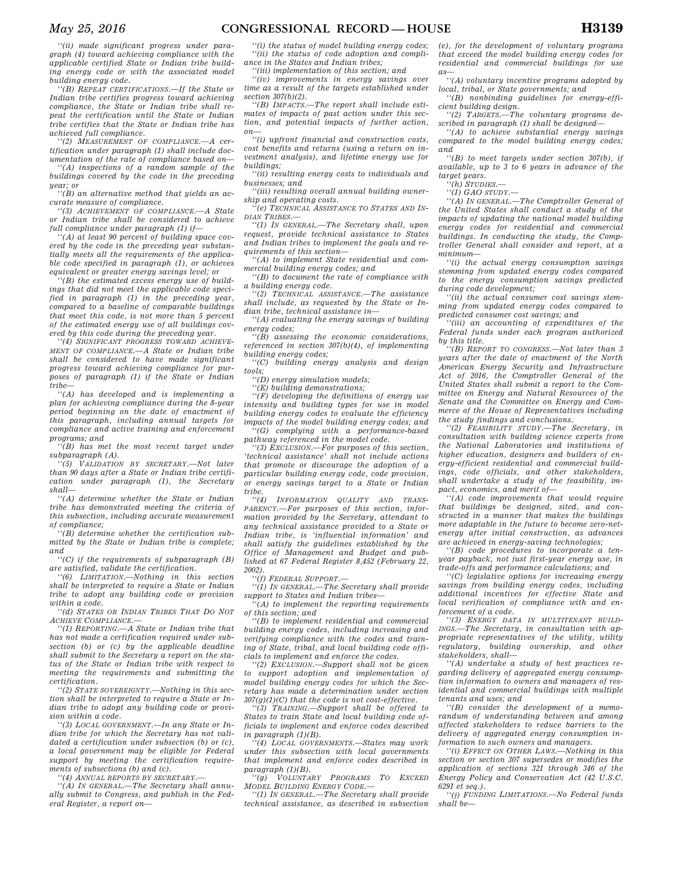*''(ii) made significant progress under paragraph (4) toward achieving compliance with the applicable certified State or Indian tribe building energy code or with the associated model building energy code.* 

*''(B) REPEAT CERTIFICATIONS.—If the State or Indian tribe certifies progress toward achieving compliance, the State or Indian tribe shall repeat the certification until the State or Indian tribe certifies that the State or Indian tribe has achieved full compliance.* 

*''(2) MEASUREMENT OF COMPLIANCE.—A certification under paragraph (1) shall include documentation of the rate of compliance based on—* 

*''(A) inspections of a random sample of the buildings covered by the code in the preceding year; or* 

*''(B) an alternative method that yields an accurate measure of compliance.* 

*''(3) ACHIEVEMENT OF COMPLIANCE.—A State or Indian tribe shall be considered to achieve full compliance under paragraph (1) if—* 

*''(A) at least 90 percent of building space covered by the code in the preceding year substantially meets all the requirements of the applicable code specified in paragraph (1), or achieves equivalent or greater energy savings level; or* 

*''(B) the estimated excess energy use of buildings that did not meet the applicable code specified in paragraph (1) in the preceding year, compared to a baseline of comparable buildings that meet this code, is not more than 5 percent of the estimated energy use of all buildings covered by this code during the preceding year.* 

*''(4) SIGNIFICANT PROGRESS TOWARD ACHIEVE-MENT OF COMPLIANCE.—A State or Indian tribe shall be considered to have made significant progress toward achieving compliance for purposes of paragraph (1) if the State or Indian tribe—* 

*''(A) has developed and is implementing a plan for achieving compliance during the 8-year period beginning on the date of enactment of this paragraph, including annual targets for compliance and active training and enforcement programs; and* 

*''(B) has met the most recent target under subparagraph (A).* 

*''(5) VALIDATION BY SECRETARY.—Not later than 90 days after a State or Indian tribe certification under paragraph (1), the Secretary shall—* 

*''(A) determine whether the State or Indian tribe has demonstrated meeting the criteria of this subsection, including accurate measurement of compliance;* 

*''(B) determine whether the certification submitted by the State or Indian tribe is complete; and* 

*''(C) if the requirements of subparagraph (B) are satisfied, validate the certification.* 

*''(6) LIMITATION.—Nothing in this section shall be interpreted to require a State or Indian tribe to adopt any building code or provision within a code.* 

*''(d) STATES OR INDIAN TRIBES THAT DO NOT ACHIEVE COMPLIANCE.—* 

*''(1) REPORTING.—A State or Indian tribe that has not made a certification required under subsection (b) or (c) by the applicable deadline shall submit to the Secretary a report on the status of the State or Indian tribe with respect to meeting the requirements and submitting the certification.* 

*''(2) STATE SOVEREIGNTY.—Nothing in this section shall be interpreted to require a State or Indian tribe to adopt any building code or provision within a code.* 

*''(3) LOCAL GOVERNMENT.—In any State or Indian tribe for which the Secretary has not validated a certification under subsection (b) or (c), a local government may be eligible for Federal support by meeting the certification requirements of subsections (b) and (c).* 

*''(4) ANNUAL REPORTS BY SECRETARY.—* 

*''(A) IN GENERAL.—The Secretary shall annually submit to Congress, and publish in the Federal Register, a report on—* 

*''(i) the status of model building energy codes; ''(ii) the status of code adoption and compliance in the States and Indian tribes;* 

*''(iii) implementation of this section; and* 

*''(iv) improvements in energy savings over time as a result of the targets established under section 307(b)(2).* 

*''(B) IMPACTS.—The report shall include estimates of impacts of past action under this section, and potential impacts of further action, on—* 

*''(i) upfront financial and construction costs, cost benefits and returns (using a return on investment analysis), and lifetime energy use for buildings;* 

*''(ii) resulting energy costs to individuals and businesses; and* 

*''(iii) resulting overall annual building ownership and operating costs.* 

*''(e) TECHNICAL ASSISTANCE TO STATES AND IN-DIAN TRIBES.—* 

*''(1) IN GENERAL.—The Secretary shall, upon request, provide technical assistance to States and Indian tribes to implement the goals and requirements of this section—* 

*''(A) to implement State residential and commercial building energy codes; and* 

*''(B) to document the rate of compliance with a building energy code.* 

*''(2) TECHNICAL ASSISTANCE.—The assistance shall include, as requested by the State or Indian tribe, technical assistance in—* 

*''(A) evaluating the energy savings of building energy codes;* 

*''(B) assessing the economic considerations, referenced in section 307(b)(4), of implementing building energy codes;* 

*''(C) building energy analysis and design tools;* 

*''(D) energy simulation models;* 

*''(E) building demonstrations;* 

*''(F) developing the definitions of energy use intensity and building types for use in model building energy codes to evaluate the efficiency impacts of the model building energy codes; and* 

*''(G) complying with a performance-based pathway referenced in the model code.* 

*''(3) EXCLUSION.—For purposes of this section, 'technical assistance' shall not include actions that promote or discourage the adoption of a particular building energy code, code provision, or energy savings target to a State or Indian tribe.* 

*''(4) INFORMATION QUALITY AND TRANS-PARENCY.—For purposes of this section, information provided by the Secretary, attendant to any technical assistance provided to a State or Indian tribe, is 'influential information' and shall satisfy the guidelines established by the Office of Management and Budget and published at 67 Federal Register 8,452 (February 22, 2002).* 

*''(f) FEDERAL SUPPORT.—* 

*''(1) IN GENERAL.—The Secretary shall provide support to States and Indian tribes—* 

*''(A) to implement the reporting requirements of this section; and* 

*''(B) to implement residential and commercial building energy codes, including increasing and verifying compliance with the codes and training of State, tribal, and local building code officials to implement and enforce the codes.* 

*''(2) EXCLUSION.—Support shall not be given to support adoption and implementation of model building energy codes for which the Secretary has made a determination under section 307(g)(1)(C) that the code is not cost-effective.* 

*''(3) TRAINING.—Support shall be offered to States to train State and local building code officials to implement and enforce codes described in paragraph (1)(B).* 

*''(4) LOCAL GOVERNMENTS.—States may work under this subsection with local governments that implement and enforce codes described in paragraph (1)(B).* 

*''(g) VOLUNTARY PROGRAMS TO EXCEED MODEL BUILDING ENERGY CODE.—* 

*''(1) IN GENERAL.—The Secretary shall provide technical assistance, as described in subsection*  *(e), for the development of voluntary programs that exceed the model building energy codes for residential and commercial buildings for use as—* 

*''(A) voluntary incentive programs adopted by local, tribal, or State governments; and* 

*''(B) nonbinding guidelines for energy-efficient building design.* 

*''(2) TARGETS.—The voluntary programs described in paragraph (1) shall be designed—* 

*''(A) to achieve substantial energy savings compared to the model building energy codes; and* 

*''(B) to meet targets under section 307(b), if available, up to 3 to 6 years in advance of the target years.* 

*''(h) STUDIES.— ''(1) GAO STUDY.—* 

*''(A) IN GENERAL.—The Comptroller General of the United States shall conduct a study of the impacts of updating the national model building energy codes for residential and commercial buildings. In conducting the study, the Comptroller General shall consider and report, at a minimum—* 

*''(i) the actual energy consumption savings stemming from updated energy codes compared to the energy consumption savings predicted during code development;* 

*''(ii) the actual consumer cost savings stemming from updated energy codes compared to predicted consumer cost savings; and* 

*''(iii) an accounting of expenditures of the Federal funds under each program authorized by this title.* 

*''(B) REPORT TO CONGRESS.—Not later than 3 years after the date of enactment of the North American Energy Security and Infrastructure Act of 2016, the Comptroller General of the United States shall submit a report to the Committee on Energy and Natural Resources of the Senate and the Committee on Energy and Commerce of the House of Representatives including the study findings and conclusions.* 

*''(2) FEASIBILITY STUDY.—The Secretary, in consultation with building science experts from the National Laboratories and institutions of higher education, designers and builders of energy-efficient residential and commercial buildings, code officials, and other stakeholders, shall undertake a study of the feasibility, impact, economics, and merit of—* 

*''(A) code improvements that would require that buildings be designed, sited, and constructed in a manner that makes the buildings more adaptable in the future to become zero-netenergy after initial construction, as advances are achieved in energy-saving technologies;* 

*''(B) code procedures to incorporate a tenyear payback, not just first-year energy use, in trade-offs and performance calculations; and* 

*''(C) legislative options for increasing energy savings from building energy codes, including additional incentives for effective State and local verification of compliance with and enforcement of a code.* 

*''(3) ENERGY DATA IN MULTITENANT BUILD-INGS.—The Secretary, in consultation with appropriate representatives of the utility, utility regulatory, building ownership, and other stakeholders, shall—* 

*''(A) undertake a study of best practices regarding delivery of aggregated energy consumption information to owners and managers of residential and commercial buildings with multiple tenants and uses; and* 

*''(B) consider the development of a memorandum of understanding between and among affected stakeholders to reduce barriers to the delivery of aggregated energy consumption information to such owners and managers.* 

*''(i) EFFECT ON OTHER LAWS.—Nothing in this section or section 307 supersedes or modifies the application of sections 321 through 346 of the Energy Policy and Conservation Act (42 U.S.C. 6291 et seq.).* 

*''(j) FUNDING LIMITATIONS.—No Federal funds shall be—*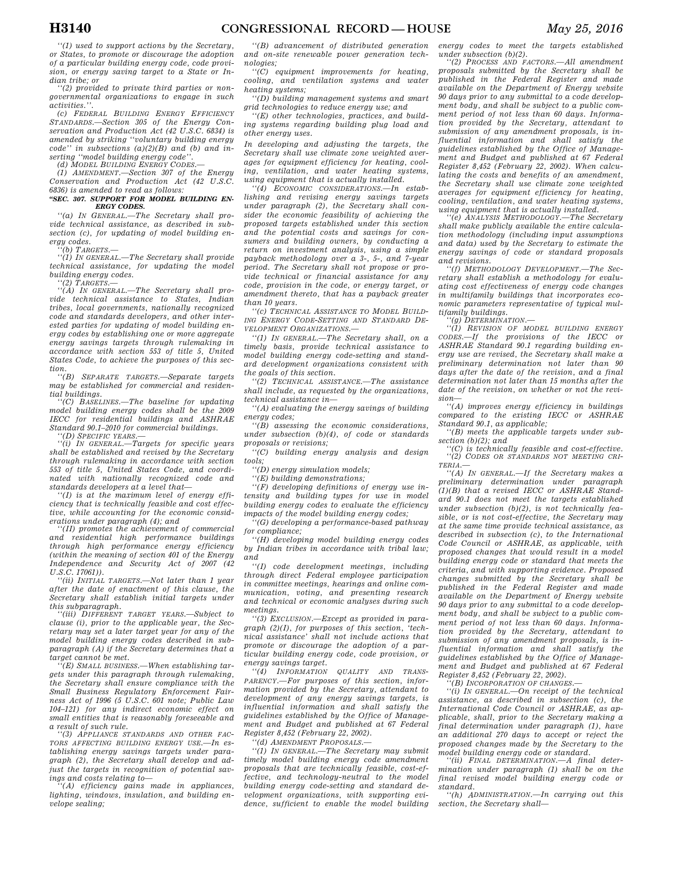*''(1) used to support actions by the Secretary, or States, to promote or discourage the adoption of a particular building energy code, code provision, or energy saving target to a State or Indian tribe; or* 

*''(2) provided to private third parties or nongovernmental organizations to engage in such activities.''.* 

*(c) FEDERAL BUILDING ENERGY EFFICIENCY STANDARDS.—Section 305 of the Energy Conservation and Production Act (42 U.S.C. 6834) is amended by striking ''voluntary building energy code'' in subsections (a)(2)(B) and (b) and inserting ''model building energy code''.* 

*(d) MODEL BUILDING ENERGY CODES.—* 

*(1) AMENDMENT.—Section 307 of the Energy Conservation and Production Act (42 U.S.C. 6836) is amended to read as follows:* 

#### *''SEC. 307. SUPPORT FOR MODEL BUILDING EN-ERGY CODES.*

*''(a) IN GENERAL.—The Secretary shall provide technical assistance, as described in subsection (c), for updating of model building energy codes.* 

*''(b) TARGETS.—* 

*''(1) IN GENERAL.—The Secretary shall provide technical assistance, for updating the model building energy codes.* 

*''(2) TARGETS.— ''(A) IN GENERAL.—The Secretary shall provide technical assistance to States, Indian tribes, local governments, nationally recognized code and standards developers, and other interested parties for updating of model building energy codes by establishing one or more aggregate energy savings targets through rulemaking in accordance with section 553 of title 5, United States Code, to achieve the purposes of this section.* 

*''(B) SEPARATE TARGETS.—Separate targets may be established for commercial and residential buildings.* 

*''(C) BASELINES.—The baseline for updating model building energy codes shall be the 2009 IECC for residential buildings and ASHRAE Standard 90.1–2010 for commercial buildings. ''(D) SPECIFIC YEARS.—* 

*''(i) IN GENERAL.—Targets for specific years shall be established and revised by the Secretary through rulemaking in accordance with section 553 of title 5, United States Code, and coordinated with nationally recognized code and standards developers at a level that—* 

*''(I) is at the maximum level of energy efficiency that is technically feasible and cost effective, while accounting for the economic considerations under paragraph (4); and* 

*''(II) promotes the achievement of commercial and residential high performance buildings through high performance energy efficiency (within the meaning of section 401 of the Energy Independence and Security Act of 2007 (42 U.S.C. 17061)).* 

*''(ii) INITIAL TARGETS.—Not later than 1 year after the date of enactment of this clause, the Secretary shall establish initial targets under this subparagraph.* 

*''(iii) DIFFERENT TARGET YEARS.—Subject to clause (i), prior to the applicable year, the Secretary may set a later target year for any of the model building energy codes described in subparagraph (A) if the Secretary determines that a target cannot be met.* 

*''(E) SMALL BUSINESS.—When establishing targets under this paragraph through rulemaking, the Secretary shall ensure compliance with the Small Business Regulatory Enforcement Fairness Act of 1996 (5 U.S.C. 601 note; Public Law 104–121) for any indirect economic effect on small entities that is reasonably foreseeable and a result of such rule.* 

*''(3) APPLIANCE STANDARDS AND OTHER FAC-TORS AFFECTING BUILDING ENERGY USE.—In establishing energy savings targets under paragraph (2), the Secretary shall develop and adjust the targets in recognition of potential savings and costs relating to—* 

*''(A) efficiency gains made in appliances, lighting, windows, insulation, and building envelope sealing;* 

*''(B) advancement of distributed generation and on-site renewable power generation technologies;* 

*''(C) equipment improvements for heating, cooling, and ventilation systems and water heating systems;* 

*''(D) building management systems and smart grid technologies to reduce energy use; and* 

*''(E) other technologies, practices, and building systems regarding building plug load and other energy uses.* 

*In developing and adjusting the targets, the Secretary shall use climate zone weighted averages for equipment efficiency for heating, cooling, ventilation, and water heating systems, using equipment that is actually installed.* 

*''(4) ECONOMIC CONSIDERATIONS.—In establishing and revising energy savings targets under paragraph (2), the Secretary shall consider the economic feasibility of achieving the proposed targets established under this section and the potential costs and savings for consumers and building owners, by conducting a return on investment analysis, using a simple payback methodology over a 3-, 5-, and 7-year period. The Secretary shall not propose or provide technical or financial assistance for any code, provision in the code, or energy target, or amendment thereto, that has a payback greater than 10 years.* 

*''(c) TECHNICAL ASSISTANCE TO MODEL BUILD-ING ENERGY CODE-SETTING AND STANDARD DE-VELOPMENT ORGANIZATIONS.—* 

*''(1) IN GENERAL.—The Secretary shall, on a timely basis, provide technical assistance to model building energy code-setting and standard development organizations consistent with the goals of this section.* 

*''(2) TECHNICAL ASSISTANCE.—The assistance shall include, as requested by the organizations, technical assistance in—* 

*''(A) evaluating the energy savings of building energy codes;* 

*''(B) assessing the economic considerations, under subsection (b)(4), of code or standards proposals or revisions;* 

*''(C) building energy analysis and design tools;* 

*''(D) energy simulation models;* 

*''(E) building demonstrations;* 

*''(F) developing definitions of energy use intensity and building types for use in model building energy codes to evaluate the efficiency impacts of the model building energy codes;* 

*''(G) developing a performance-based pathway for compliance;* 

*''(H) developing model building energy codes by Indian tribes in accordance with tribal law; and* 

*''(I) code development meetings, including through direct Federal employee participation in committee meetings, hearings and online communication, voting, and presenting research and technical or economic analyses during such meetings.* 

*''(3) EXCLUSION.—Except as provided in paragraph (2)(I), for purposes of this section, 'technical assistance' shall not include actions that promote or discourage the adoption of a particular building energy code, code provision, or energy savings target.* 

*''(4) INFORMATION QUALITY AND TRANS-PARENCY.—For purposes of this section, information provided by the Secretary, attendant to development of any energy savings targets, is influential information and shall satisfy the guidelines established by the Office of Management and Budget and published at 67 Federal Register 8,452 (February 22, 2002).* 

*''(d) AMENDMENT PROPOSALS.—* 

*''(1) IN GENERAL.—The Secretary may submit timely model building energy code amendment proposals that are technically feasible, cost-effective, and technology-neutral to the model building energy code-setting and standard development organizations, with supporting evidence, sufficient to enable the model building*  *energy codes to meet the targets established under subsection (b)(2). ''(2) PROCESS AND FACTORS.—All amendment* 

*proposals submitted by the Secretary shall be published in the Federal Register and made available on the Department of Energy website 90 days prior to any submittal to a code development body, and shall be subject to a public comment period of not less than 60 days. Information provided by the Secretary, attendant to submission of any amendment proposals, is influential information and shall satisfy the guidelines established by the Office of Management and Budget and published at 67 Federal Register 8,452 (February 22, 2002). When calculating the costs and benefits of an amendment, the Secretary shall use climate zone weighted averages for equipment efficiency for heating, cooling, ventilation, and water heating systems, using equipment that is actually installed.* 

*''(e) ANALYSIS METHODOLOGY.—The Secretary shall make publicly available the entire calculation methodology (including input assumptions and data) used by the Secretary to estimate the energy savings of code or standard proposals and revisions.* 

*''(f) METHODOLOGY DEVELOPMENT.—The Secretary shall establish a methodology for evaluating cost effectiveness of energy code changes in multifamily buildings that incorporates economic parameters representative of typical multifamily buildings.* 

*''(g) DETERMINATION.—* 

*''(1) REVISION OF MODEL BUILDING ENERGY CODES.—If the provisions of the IECC or ASHRAE Standard 90.1 regarding building energy use are revised, the Secretary shall make a preliminary determination not later than 90 days after the date of the revision, and a final determination not later than 15 months after the date of the revision, on whether or not the revision—* 

*''(A) improves energy efficiency in buildings compared to the existing IECC or ASHRAE Standard 90.1, as applicable;* 

*''(B) meets the applicable targets under subsection (b)(2); and* 

*''(C) is technically feasible and cost-effective. ''(2) CODES OR STANDARDS NOT MEETING CRI-TERIA.—* 

*''(A) IN GENERAL.—If the Secretary makes a preliminary determination under paragraph (1)(B) that a revised IECC or ASHRAE Standard 90.1 does not meet the targets established under subsection (b)(2), is not technically feasible, or is not cost-effective, the Secretary may at the same time provide technical assistance, as described in subsection (c), to the International Code Council or ASHRAE, as applicable, with proposed changes that would result in a model building energy code or standard that meets the criteria, and with supporting evidence. Proposed changes submitted by the Secretary shall be published in the Federal Register and made available on the Department of Energy website 90 days prior to any submittal to a code development body, and shall be subject to a public comment period of not less than 60 days. Information provided by the Secretary, attendant to submission of any amendment proposals, is influential information and shall satisfy the guidelines established by the Office of Management and Budget and published at 67 Federal Register 8,452 (February 22, 2002).* 

 $\hat{P}(B)$  INCORPORATION OF CHANGES.

*''(i) IN GENERAL.—On receipt of the technical assistance, as described in subsection (c), the International Code Council or ASHRAE, as applicable, shall, prior to the Secretary making a final determination under paragraph (1), have an additional 270 days to accept or reject the proposed changes made by the Secretary to the model building energy code or standard.* 

*''(ii) FINAL DETERMINATION.—A final determination under paragraph (1) shall be on the final revised model building energy code or standard.* 

*''(h) ADMINISTRATION.—In carrying out this section, the Secretary shall—*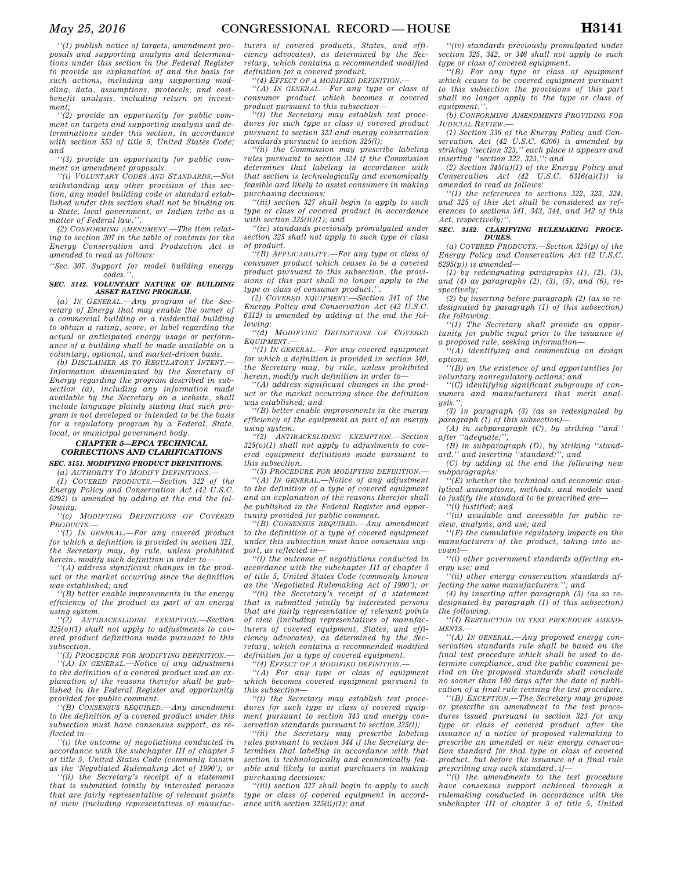*''(2) provide an opportunity for public comment on targets and supporting analysis and determinations under this section, in accordance with section 553 of title 5, United States Code; and* 

*''(3) provide an opportunity for public comment on amendment proposals.* 

*''(i) VOLUNTARY CODES AND STANDARDS.—Not withstanding any other provision of this section, any model building code or standard established under this section shall not be binding on a State, local government, or Indian tribe as a matter of Federal law.''.* 

*(2) CONFORMING AMENDMENT.—The item relating to section 307 in the table of contents for the Energy Conservation and Production Act is amended to read as follows:* 

*''Sec. 307. Support for model building energy codes.''.* 

#### *SEC. 3142. VOLUNTARY NATURE OF BUILDING ASSET RATING PROGRAM.*

*(a) IN GENERAL.—Any program of the Secretary of Energy that may enable the owner of a commercial building or a residential building to obtain a rating, score, or label regarding the actual or anticipated energy usage or performance of a building shall be made available on a voluntary, optional, and market-driven basis.* 

*(b) DISCLAIMER AS TO REGULATORY INTENT. Information disseminated by the Secretary of Energy regarding the program described in subsection (a), including any information made available by the Secretary on a website, shall include language plainly stating that such program is not developed or intended to be the basis for a regulatory program by a Federal, State, local, or municipal government body.* 

#### *CHAPTER 5—EPCA TECHNICAL CORRECTIONS AND CLARIFICATIONS SEC. 3151. MODIFYING PRODUCT DEFINITIONS.*

*(a) AUTHORITY TO MODIFY DEFINITIONS.—* 

*(1) COVERED PRODUCTS.—Section 322 of the Energy Policy and Conservation Act (42 U.S.C. 6292) is amended by adding at the end the following:* 

*''(c) MODIFYING DEFINITIONS OF COVERED PRODUCTS.—* 

*''(1) IN GENERAL.—For any covered product for which a definition is provided in section 321, the Secretary may, by rule, unless prohibited herein, modify such definition in order to—* 

*''(A) address significant changes in the product or the market occurring since the definition was established; and* 

*''(B) better enable improvements in the energy efficiency of the product as part of an energy using system.* 

 $ANTIBACKSLIDING$  *EXEMPTION.*—Section *325(o)(1) shall not apply to adjustments to covered product definitions made pursuant to this subsection.* 

*''(3) PROCEDURE FOR MODIFYING DEFINITION.—* 

*''(A) IN GENERAL.—Notice of any adjustment to the definition of a covered product and an explanation of the reasons therefor shall be published in the Federal Register and opportunity provided for public comment.* 

*''(B) CONSENSUS REQUIRED.—Any amendment to the definition of a covered product under this subsection must have consensus support, as reflected in—* 

*''(i) the outcome of negotiations conducted in accordance with the subchapter III of chapter 5 of title 5, United States Code (commonly known as the 'Negotiated Rulemaking Act of 1990'); or* 

*''(ii) the Secretary's receipt of a statement that is submitted jointly by interested persons that are fairly representative of relevant points of view (including representatives of manufac-* *turers of covered products, States, and efficiency advocates), as determined by the Secretary, which contains a recommended modified definition for a covered product.* 

*''(4) EFFECT OF A MODIFIED DEFINITION.—* 

*''(A) IN GENERAL.—For any type or class of consumer product which becomes a covered product pursuant to this subsection—* 

*''(i) the Secretary may establish test procedures for such type or class of covered product pursuant to section 323 and energy conservation standards pursuant to section 325(l);* 

*''(ii) the Commission may prescribe labeling rules pursuant to section 324 if the Commission determines that labeling in accordance with that section is technologically and economically feasible and likely to assist consumers in making purchasing decisions;* 

*''(iii) section 327 shall begin to apply to such type or class of covered product in accordance with section 325(ii)(1); and* 

*''(iv) standards previously promulgated under section 325 shall not apply to such type or class of product.* 

*''(B) APPLICABILITY.—For any type or class of consumer product which ceases to be a covered product pursuant to this subsection, the provisions of this part shall no longer apply to the type or class of consumer product.''.* 

*(2) COVERED EQUIPMENT.—Section 341 of the Energy Policy and Conservation Act (42 U.S.C. 6312) is amended by adding at the end the following:* 

*''(d) MODIFYING DEFINITIONS OF COVERED EQUIPMENT.—* 

*''(1) IN GENERAL.—For any covered equipment for which a definition is provided in section 340, the Secretary may, by rule, unless prohibited herein, modify such definition in order to—* 

*''(A) address significant changes in the product or the market occurring since the definition was established; and* 

*''(B) better enable improvements in the energy efficiency of the equipment as part of an energy using system.* 

*''(2) ANTIBACKSLIDING EXEMPTION.—Section 325(o)(1) shall not apply to adjustments to covered equipment definitions made pursuant to this subsection.* 

*''(3) PROCEDURE FOR MODIFYING DEFINITION.—* 

*''(A) IN GENERAL.—Notice of any adjustment to the definition of a type of covered equipment and an explanation of the reasons therefor shall be published in the Federal Register and opportunity provided for public comment.* 

*''(B) CONSENSUS REQUIRED.—Any amendment to the definition of a type of covered equipment under this subsection must have consensus support, as reflected in—* 

*''(i) the outcome of negotiations conducted in accordance with the subchapter III of chapter 5 of title 5, United States Code (commonly known as the 'Negotiated Rulemaking Act of 1990'); or* 

*''(ii) the Secretary's receipt of a statement that is submitted jointly by interested persons that are fairly representative of relevant points of view (including representatives of manufacturers of covered equipment, States, and efficiency advocates), as determined by the Secretary, which contains a recommended modified definition for a type of covered equipment.* 

*''(4) EFFECT OF A MODIFIED DEFINITION.—* 

*''(A) For any type or class of equipment which becomes covered equipment pursuant to this subsection—* 

*''(i) the Secretary may establish test procedures for such type or class of covered equipment pursuant to section 343 and energy conservation standards pursuant to section 325(l);* 

*''(ii) the Secretary may prescribe labeling rules pursuant to section 344 if the Secretary determines that labeling in accordance with that section is technologically and economically feasible and likely to assist purchasers in making purchasing decisions;* 

*''(iii) section 327 shall begin to apply to such type or class of covered equipment in accordance with section 325(ii)(1); and* 

*''(iv) standards previously promulgated under section 325, 342, or 346 shall not apply to such type or class of covered equipment.* 

*''(B) For any type or class of equipment which ceases to be covered equipment pursuant to this subsection the provisions of this part shall no longer apply to the type or class of equipment.''.* 

*(b) CONFORMING AMENDMENTS PROVIDING FOR JUDICIAL REVIEW.—* 

*(1) Section 336 of the Energy Policy and Conservation Act (42 U.S.C. 6306) is amended by striking ''section 323,'' each place it appears and inserting ''section 322, 323,''; and* 

*(2) Section 345(a)(1) of the Energy Policy and Conservation Act (42 U.S.C. 6316(a)(1)) is amended to read as follows:* 

*''(1) the references to sections 322, 323, 324, and 325 of this Act shall be considered as references to sections 341, 343, 344, and 342 of this Act, respectively;''.* 

#### *SEC. 3152. CLARIFYING RULEMAKING PROCE-DURES.*

*(a) COVERED PRODUCTS.—Section 325(p) of the Energy Policy and Conservation Act (42 U.S.C. 6295(p)) is amended—* 

*(1) by redesignating paragraphs (1), (2), (3), and (4) as paragraphs (2), (3), (5), and (6), respectively;* 

*(2) by inserting before paragraph (2) (as so redesignated by paragraph (1) of this subsection) the following:* 

*''(1) The Secretary shall provide an opportunity for public input prior to the issuance of a proposed rule, seeking information—* 

*''(A) identifying and commenting on design options;* 

*''(B) on the existence of and opportunities for voluntary nonregulatory actions; and* 

*''(C) identifying significant subgroups of consumers and manufacturers that merit analysis.'';* 

*(3) in paragraph (3) (as so redesignated by paragraph (1) of this subsection)—* 

*(A) in subparagraph (C), by striking ''and'' after ''adequate;'';* 

*(B) in subparagraph (D), by striking ''standard.'' and inserting ''standard;''; and* 

*(C) by adding at the end the following new subparagraphs:* 

*''(E) whether the technical and economic analytical assumptions, methods, and models used to justify the standard to be prescribed are—* 

*''(i) justified; and* 

*''(ii) available and accessible for public re-*

*view, analysis, and use; and ''(F) the cumulative regulatory impacts on the* 

*manufacturers of the product, taking into account— ''(i) other government standards affecting en-*

*ergy use; and* 

*''(ii) other energy conservation standards affecting the same manufacturers.''; and* 

*(4) by inserting after paragraph (3) (as so redesignated by paragraph (1) of this subsection) the following:* 

*''(4) RESTRICTION ON TEST PROCEDURE AMEND-MENTS.—* 

*''(A) IN GENERAL.—Any proposed energy conservation standards rule shall be based on the final test procedure which shall be used to determine compliance, and the public comment period on the proposed standards shall conclude no sooner than 180 days after the date of publication of a final rule revising the test procedure.* 

*''(B) EXCEPTION.—The Secretary may propose or prescribe an amendment to the test procedures issued pursuant to section 323 for any type or class of covered product after the issuance of a notice of proposed rulemaking to prescribe an amended or new energy conservation standard for that type or class of covered product, but before the issuance of a final rule prescribing any such standard, if—* 

*''(i) the amendments to the test procedure have consensus support achieved through a rulemaking conducted in accordance with the subchapter III of chapter 5 of title 5, United*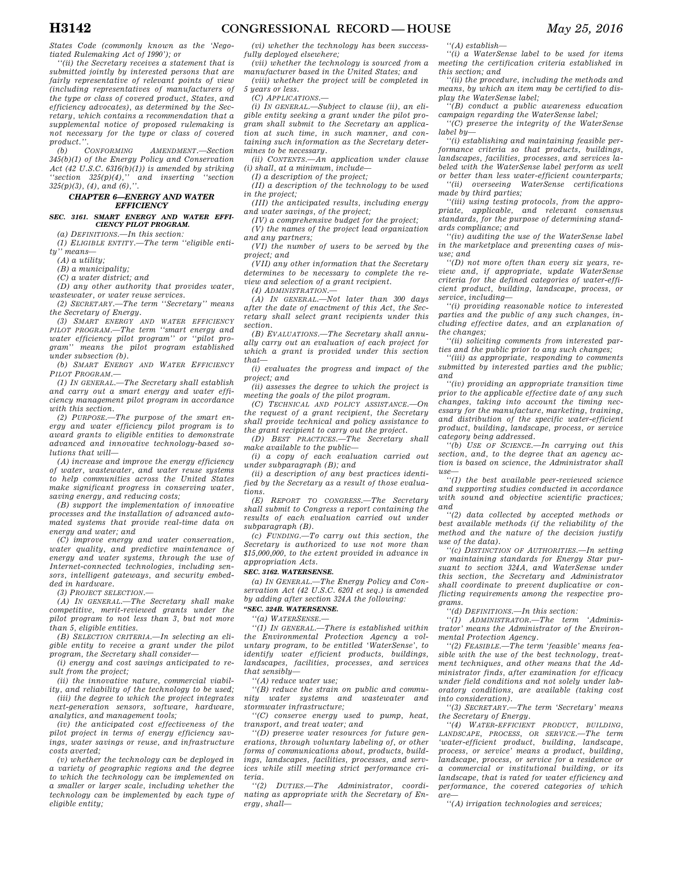*States Code (commonly known as the 'Negotiated Rulemaking Act of 1990'); or* 

*''(ii) the Secretary receives a statement that is submitted jointly by interested persons that are fairly representative of relevant points of view (including representatives of manufacturers of the type or class of covered product, States, and efficiency advocates), as determined by the Secretary, which contains a recommendation that a supplemental notice of proposed rulemaking is not necessary for the type or class of covered* 

*product.''. (b) CONFORMING AMENDMENT.—Section 345(b)(1) of the Energy Policy and Conservation Act* (42 U.S.C. 6316(b)(1)) is amended by striking "section 325(p)(4)," and inserting "section" *''section 325(p)(4),'' and inserting ''section 325(p)(3), (4), and (6),''.* 

#### *CHAPTER 6—ENERGY AND WATER EFFICIENCY*

*SEC. 3161. SMART ENERGY AND WATER EFFI-CIENCY PILOT PROGRAM.* 

*(a) DEFINITIONS.—In this section:* 

*(1) ELIGIBLE ENTITY.—The term ''eligible entity'' means—* 

*(A) a utility;* 

*(B) a municipality;* 

*(C) a water district; and* 

*(D) any other authority that provides water,* 

*wastewater, or water reuse services. (2) SECRETARY.—The term ''Secretary'' means* 

*the Secretary of Energy. (3) SMART ENERGY AND WATER EFFICIENCY PILOT PROGRAM.—The term ''smart energy and water efficiency pilot program'' or ''pilot program'' means the pilot program established under subsection (b).* 

*(b) SMART ENERGY AND WATER EFFICIENCY PILOT PROGRAM.—* 

*(1) IN GENERAL.—The Secretary shall establish and carry out a smart energy and water efficiency management pilot program in accordance with this section.* 

*(2) PURPOSE.—The purpose of the smart energy and water efficiency pilot program is to award grants to eligible entities to demonstrate advanced and innovative technology-based solutions that will—* 

*(A) increase and improve the energy efficiency of water, wastewater, and water reuse systems to help communities across the United States make significant progress in conserving water, saving energy, and reducing costs;* 

*(B) support the implementation of innovative processes and the installation of advanced automated systems that provide real-time data on energy and water; and* 

*(C) improve energy and water conservation, water quality, and predictive maintenance of energy and water systems, through the use of Internet-connected technologies, including sensors, intelligent gateways, and security embedded in hardware.* 

*(3) PROJECT SELECTION.—* 

*(A) IN GENERAL.—The Secretary shall make competitive, merit-reviewed grants under the pilot program to not less than 3, but not more than 5, eligible entities.* 

*(B) SELECTION CRITERIA.—In selecting an eligible entity to receive a grant under the pilot program, the Secretary shall consider—* 

*(i) energy and cost savings anticipated to result from the project;* 

*(ii) the innovative nature, commercial viability, and reliability of the technology to be used; (iii) the degree to which the project integrates* 

*next-generation sensors, software, hardware, analytics, and management tools;* 

*(iv) the anticipated cost effectiveness of the pilot project in terms of energy efficiency savings, water savings or reuse, and infrastructure costs averted;* 

*(v) whether the technology can be deployed in a variety of geographic regions and the degree to which the technology can be implemented on a smaller or larger scale, including whether the technology can be implemented by each type of eligible entity;* 

*(vi) whether the technology has been successfully deployed elsewhere;* 

*(vii) whether the technology is sourced from a manufacturer based in the United States; and (viii) whether the project will be completed in* 

*5 years or less.* 

*(C) APPLICATIONS.—* 

*(i) IN GENERAL.—Subject to clause (ii), an eligible entity seeking a grant under the pilot program shall submit to the Secretary an application at such time, in such manner, and containing such information as the Secretary determines to be necessary.* 

*(ii) CONTENTS.—An application under clause (i) shall, at a minimum, include—* 

*(I) a description of the project;* 

*(II) a description of the technology to be used in the project;* 

*(III) the anticipated results, including energy and water savings, of the project;* 

*(IV) a comprehensive budget for the project; (V) the names of the project lead organization* 

*and any partners;* 

*(VI) the number of users to be served by the project; and* 

*(VII) any other information that the Secretary determines to be necessary to complete the review and selection of a grant recipient.* 

*(4) ADMINISTRATION.—* 

*(A) IN GENERAL.—Not later than 300 days after the date of enactment of this Act, the Secretary shall select grant recipients under this section.* 

*(B) EVALUATIONS.—The Secretary shall annually carry out an evaluation of each project for which a grant is provided under this section that—* 

*(i) evaluates the progress and impact of the project; and* 

*(ii) assesses the degree to which the project is meeting the goals of the pilot program.* 

*(C) TECHNICAL AND POLICY ASSISTANCE.—On the request of a grant recipient, the Secretary shall provide technical and policy assistance to the grant recipient to carry out the project.* 

*(D) BEST PRACTICES.—The Secretary shall make available to the public—* 

*(i) a copy of each evaluation carried out under subparagraph (B); and* 

*(ii) a description of any best practices identified by the Secretary as a result of those evaluations.* 

*(E) REPORT TO CONGRESS.—The Secretary shall submit to Congress a report containing the results of each evaluation carried out under subparagraph (B).* 

*(c) FUNDING.—To carry out this section, the Secretary is authorized to use not more than \$15,000,000, to the extent provided in advance in appropriation Acts.* 

#### *SEC. 3162. WATERSENSE.*

*(a) IN GENERAL.—The Energy Policy and Conservation Act (42 U.S.C. 6201 et seq.) is amended by adding after section 324A the following:* 

## *''SEC. 324B. WATERSENSE.*

*''(a) WATERSENSE.—* 

*''(1) IN GENERAL.—There is established within the Environmental Protection Agency a voluntary program, to be entitled 'WaterSense', to identify water efficient products, buildings, landscapes, facilities, processes, and services that sensibly—* 

*''(A) reduce water use;* 

*''(B) reduce the strain on public and community water systems and wastewater and stormwater infrastructure;* 

*''(C) conserve energy used to pump, heat, transport, and treat water; and* 

*''(D) preserve water resources for future generations, through voluntary labeling of, or other forms of communications about, products, buildings, landscapes, facilities, processes, and services while still meeting strict performance criteria.* 

 $DUTIES. - The$  *Administrator, coordinating as appropriate with the Secretary of Energy, shall—*  *''(A) establish—* 

*''(i) a WaterSense label to be used for items meeting the certification criteria established in this section; and* 

*''(ii) the procedure, including the methods and means, by which an item may be certified to display the WaterSense label;* 

*''(B) conduct a public awareness education campaign regarding the WaterSense label;* 

*''(C) preserve the integrity of the WaterSense label by—* 

*''(i) establishing and maintaining feasible performance criteria so that products, buildings, landscapes, facilities, processes, and services labeled with the WaterSense label perform as well or better than less water-efficient counterparts;* 

*''(ii) overseeing WaterSense certifications made by third parties;* 

*''(iii) using testing protocols, from the appropriate, applicable, and relevant consensus standards, for the purpose of determining standards compliance; and* 

*''(iv) auditing the use of the WaterSense label in the marketplace and preventing cases of misuse; and* 

*''(D) not more often than every six years, review and, if appropriate, update WaterSense criteria for the defined categories of water-efficient product, building, landscape, process, or service, including—* 

*''(i) providing reasonable notice to interested parties and the public of any such changes, including effective dates, and an explanation of the changes;* 

*''(ii) soliciting comments from interested parties and the public prior to any such changes;* 

*''(iii) as appropriate, responding to comments submitted by interested parties and the public; and* 

*''(iv) providing an appropriate transition time prior to the applicable effective date of any such changes, taking into account the timing necessary for the manufacture, marketing, training, and distribution of the specific water-efficient product, building, landscape, process, or service category being addressed.* 

*''(b) USE OF SCIENCE.—In carrying out this section, and, to the degree that an agency action is based on science, the Administrator shall use—* 

*''(1) the best available peer-reviewed science and supporting studies conducted in accordance with sound and objective scientific practices; and* 

*''(2) data collected by accepted methods or best available methods (if the reliability of the method and the nature of the decision justify use of the data).* 

*''(c) DISTINCTION OF AUTHORITIES.—In setting or maintaining standards for Energy Star pursuant to section 324A, and WaterSense under this section, the Secretary and Administrator shall coordinate to prevent duplicative or conflicting requirements among the respective programs.* 

*''(d) DEFINITIONS.—In this section:* 

*''(1) ADMINISTRATOR.—The term 'Administrator' means the Administrator of the Environmental Protection Agency.* 

*''(2) FEASIBLE.—The term 'feasible' means feasible with the use of the best technology, treatment techniques, and other means that the Administrator finds, after examination for efficacy under field conditions and not solely under laboratory conditions, are available (taking cost into consideration).* 

*''(3) SECRETARY.—The term 'Secretary' means the Secretary of Energy.* 

*''(4) WATER-EFFICIENT PRODUCT, BUILDING, LANDSCAPE, PROCESS, OR SERVICE.—The term 'water-efficient product, building, landscape, process, or service' means a product, building, landscape, process, or service for a residence or a commercial or institutional building, or its landscape, that is rated for water efficiency and performance, the covered categories of which are—* 

*''(A) irrigation technologies and services;*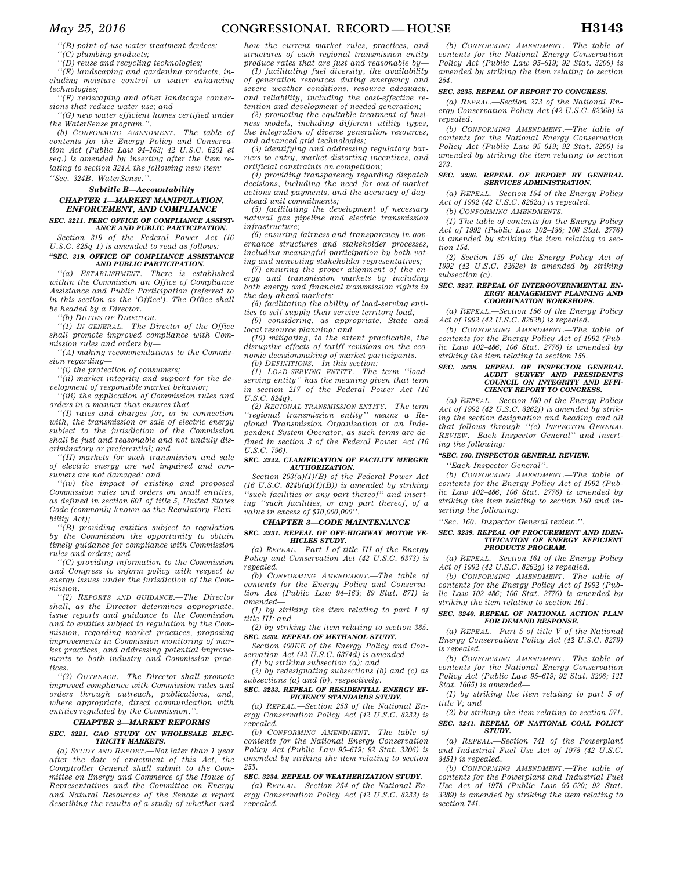*''(B) point-of-use water treatment devices;* 

*''(C) plumbing products;* 

*''(D) reuse and recycling technologies;* 

*''(E) landscaping and gardening products, including moisture control or water enhancing technologies;* 

*''(F) xeriscaping and other landscape conversions that reduce water use; and* 

*''(G) new water efficient homes certified under the WaterSense program.''.* 

*(b) CONFORMING AMENDMENT.—The table of contents for the Energy Policy and Conservation Act (Public Law 94–163; 42 U.S.C. 6201 et seq.) is amended by inserting after the item relating to section 324A the following new item: ''Sec. 324B. WaterSense.''.* 

### *Subtitle B—Accountability*

## *CHAPTER 1—MARKET MANIPULATION, ENFORCEMENT, AND COMPLIANCE*

#### *SEC. 3211. FERC OFFICE OF COMPLIANCE ASSIST-ANCE AND PUBLIC PARTICIPATION.*

*Section 319 of the Federal Power Act (16 U.S.C. 825q–1) is amended to read as follows: ''SEC. 319. OFFICE OF COMPLIANCE ASSISTANCE* 

## *AND PUBLIC PARTICIPATION.*

*''(a) ESTABLISHMENT.—There is established within the Commission an Office of Compliance Assistance and Public Participation (referred to in this section as the 'Office'). The Office shall be headed by a Director.* 

*''(b) DUTIES OF DIRECTOR.—* 

*''(1) IN GENERAL.—The Director of the Office shall promote improved compliance with Commission rules and orders by—* 

*''(A) making recommendations to the Commission regarding—* 

*''(i) the protection of consumers;* 

*''(ii) market integrity and support for the development of responsible market behavior;* 

*''(iii) the application of Commission rules and orders in a manner that ensures that—* 

*''(I) rates and charges for, or in connection with, the transmission or sale of electric energy subject to the jurisdiction of the Commission shall be just and reasonable and not unduly discriminatory or preferential; and* 

*''(II) markets for such transmission and sale of electric energy are not impaired and consumers are not damaged; and* 

*''(iv) the impact of existing and proposed Commission rules and orders on small entities, as defined in section 601 of title 5, United States Code (commonly known as the Regulatory Flexibility Act);* 

*''(B) providing entities subject to regulation by the Commission the opportunity to obtain timely guidance for compliance with Commission rules and orders; and* 

*''(C) providing information to the Commission and Congress to inform policy with respect to energy issues under the jurisdiction of the Commission.* 

*''(2) REPORTS AND GUIDANCE.—The Director shall, as the Director determines appropriate, issue reports and guidance to the Commission and to entities subject to regulation by the Commission, regarding market practices, proposing improvements in Commission monitoring of market practices, and addressing potential improvements to both industry and Commission practices.* 

*''(3) OUTREACH.—The Director shall promote improved compliance with Commission rules and orders through outreach, publications, and, where appropriate, direct communication with entities regulated by the Commission.''.* 

## *CHAPTER 2—MARKET REFORMS*

#### *SEC. 3221. GAO STUDY ON WHOLESALE ELEC-TRICITY MARKETS.*

*(a) STUDY AND REPORT.—Not later than 1 year after the date of enactment of this Act, the Comptroller General shall submit to the Committee on Energy and Commerce of the House of Representatives and the Committee on Energy and Natural Resources of the Senate a report describing the results of a study of whether and* 

*how the current market rules, practices, and structures of each regional transmission entity produce rates that are just and reasonable by—* 

*(1) facilitating fuel diversity, the availability of generation resources during emergency and severe weather conditions, resource adequacy, and reliability, including the cost-effective retention and development of needed generation;* 

*(2) promoting the equitable treatment of business models, including different utility types, the integration of diverse generation resources, and advanced grid technologies;* 

*(3) identifying and addressing regulatory barriers to entry, market-distorting incentives, and artificial constraints on competition;* 

*(4) providing transparency regarding dispatch decisions, including the need for out-of-market actions and payments, and the accuracy of dayahead unit commitments;* 

*(5) facilitating the development of necessary natural gas pipeline and electric transmission infrastructure;* 

*(6) ensuring fairness and transparency in governance structures and stakeholder processes, including meaningful participation by both voting and nonvoting stakeholder representatives;* 

*(7) ensuring the proper alignment of the energy and transmission markets by including both energy and financial transmission rights in the day-ahead markets;* 

*(8) facilitating the ability of load-serving entities to self-supply their service territory load;* 

*(9) considering, as appropriate, State and local resource planning; and* 

*(10) mitigating, to the extent practicable, the disruptive effects of tariff revisions on the economic decisionmaking of market participants.* 

*(b) DEFINITIONS.—In this section:* 

*(1) LOAD-SERVING ENTITY.—The term ''loadserving entity'' has the meaning given that term in section 217 of the Federal Power Act (16 U.S.C. 824q).* 

*(2) REGIONAL TRANSMISSION ENTITY.—The term ''regional transmission entity'' means a Regional Transmission Organization or an Independent System Operator, as such terms are defined in section 3 of the Federal Power Act (16 U.S.C. 796).* 

#### *SEC. 3222. CLARIFICATION OF FACILITY MERGER AUTHORIZATION.*

*Section 203(a)(1)(B) of the Federal Power Act (16 U.S.C. 824b(a)(1)(B)) is amended by striking ''such facilities or any part thereof'' and inserting ''such facilities, or any part thereof, of a value in excess of \$10,000,000''.* 

#### *CHAPTER 3—CODE MAINTENANCE*

*SEC. 3231. REPEAL OF OFF-HIGHWAY MOTOR VE-HICLES STUDY.* 

*(a) REPEAL.—Part I of title III of the Energy Policy and Conservation Act (42 U.S.C. 6373) is repealed.* 

*(b) CONFORMING AMENDMENT.—The table of contents for the Energy Policy and Conservation Act (Public Law 94–163; 89 Stat. 871) is amended—* 

*(1) by striking the item relating to part I of title III; and* 

*(2) by striking the item relating to section 385. SEC. 3232. REPEAL OF METHANOL STUDY.* 

*Section 400EE of the Energy Policy and Conservation Act (42 U.S.C. 6374d) is amended—* 

*(1) by striking subsection (a); and* 

*(2) by redesignating subsections (b) and (c) as subsections (a) and (b), respectively.* 

#### *SEC. 3233. REPEAL OF RESIDENTIAL ENERGY EF-FICIENCY STANDARDS STUDY.*

*(a) REPEAL.—Section 253 of the National Energy Conservation Policy Act (42 U.S.C. 8232) is repealed.* 

*(b) CONFORMING AMENDMENT.—The table of contents for the National Energy Conservation Policy Act (Public Law 95–619; 92 Stat. 3206) is amended by striking the item relating to section 253.* 

#### *SEC. 3234. REPEAL OF WEATHERIZATION STUDY.*

*(a) REPEAL.—Section 254 of the National Energy Conservation Policy Act (42 U.S.C. 8233) is repealed.* 

*(b) CONFORMING AMENDMENT.—The table of contents for the National Energy Conservation Policy Act (Public Law 95–619; 92 Stat. 3206) is amended by striking the item relating to section 254.* 

#### *SEC. 3235. REPEAL OF REPORT TO CONGRESS.*

*(a) REPEAL.—Section 273 of the National Energy Conservation Policy Act (42 U.S.C. 8236b) is repealed. (b) CONFORMING AMENDMENT.—The table of* 

*contents for the National Energy Conservation Policy Act (Public Law 95–619; 92 Stat. 3206) is amended by striking the item relating to section 273.* 

#### *SEC. 3236. REPEAL OF REPORT BY GENERAL SERVICES ADMINISTRATION.*

*(a) REPEAL.—Section 154 of the Energy Policy Act of 1992 (42 U.S.C. 8262a) is repealed.* 

*(b) CONFORMING AMENDMENTS.—* 

*(1) The table of contents for the Energy Policy Act of 1992 (Public Law 102–486; 106 Stat. 2776) is amended by striking the item relating to section 154.* 

*(2) Section 159 of the Energy Policy Act of 1992 (42 U.S.C. 8262e) is amended by striking subsection (c).* 

#### *SEC. 3237. REPEAL OF INTERGOVERNMENTAL EN-ERGY MANAGEMENT PLANNING AND COORDINATION WORKSHOPS.*

*(a) REPEAL.—Section 156 of the Energy Policy Act of 1992 (42 U.S.C. 8262b) is repealed.* 

*(b) CONFORMING AMENDMENT.—The table of contents for the Energy Policy Act of 1992 (Public Law 102–486; 106 Stat. 2776) is amended by striking the item relating to section 156.* 

## *SEC. 3238. REPEAL OF INSPECTOR GENERAL AUDIT SURVEY AND PRESIDENT'S COUNCIL ON INTEGRITY AND EFFI-CIENCY REPORT TO CONGRESS.*

*(a) REPEAL.—Section 160 of the Energy Policy Act of 1992 (42 U.S.C. 8262f) is amended by striking the section designation and heading and all that follows through ''(c) INSPECTOR GENERAL REVIEW.—Each Inspector General'' and inserting the following:* 

#### *''SEC. 160. INSPECTOR GENERAL REVIEW.*

*''Each Inspector General''.* 

*(b) CONFORMING AMENDMENT.—The table of contents for the Energy Policy Act of 1992 (Public Law 102–486; 106 Stat. 2776) is amended by striking the item relating to section 160 and inserting the following:* 

*''Sec. 160. Inspector General review.''.* 

#### *SEC. 3239. REPEAL OF PROCUREMENT AND IDEN-TIFICATION OF ENERGY EFFICIENT PRODUCTS PROGRAM.*

*(a) REPEAL.—Section 161 of the Energy Policy Act of 1992 (42 U.S.C. 8262g) is repealed.* 

*(b) CONFORMING AMENDMENT.—The table of contents for the Energy Policy Act of 1992 (Public Law 102–486; 106 Stat. 2776) is amended by striking the item relating to section 161.* 

#### *SEC. 3240. REPEAL OF NATIONAL ACTION PLAN FOR DEMAND RESPONSE.*

*(a) REPEAL.—Part 5 of title V of the National Energy Conservation Policy Act (42 U.S.C. 8279) is repealed.* 

*(b) CONFORMING AMENDMENT.—The table of contents for the National Energy Conservation Policy Act (Public Law 95–619; 92 Stat. 3206; 121 Stat. 1665) is amended—* 

*(1) by striking the item relating to part 5 of title V; and* 

*(2) by striking the item relating to section 571. SEC. 3241. REPEAL OF NATIONAL COAL POLICY STUDY.* 

*(a) REPEAL.—Section 741 of the Powerplant and Industrial Fuel Use Act of 1978 (42 U.S.C. 8451) is repealed.* 

*(b) CONFORMING AMENDMENT.—The table of contents for the Powerplant and Industrial Fuel Use Act of 1978 (Public Law 95–620; 92 Stat. 3289) is amended by striking the item relating to section 741.*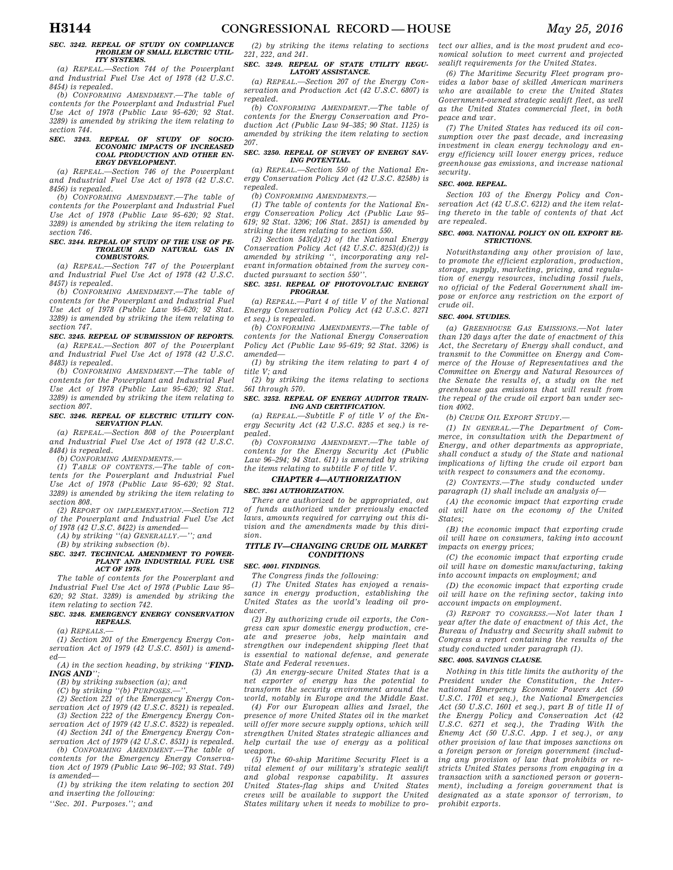#### *SEC. 3242. REPEAL OF STUDY ON COMPLIANCE PROBLEM OF SMALL ELECTRIC UTIL-ITY SYSTEMS.*

*(a) REPEAL.—Section 744 of the Powerplant and Industrial Fuel Use Act of 1978 (42 U.S.C. 8454) is repealed.* 

*(b) CONFORMING AMENDMENT.—The table of contents for the Powerplant and Industrial Fuel Use Act of 1978 (Public Law 95–620; 92 Stat. 3289) is amended by striking the item relating to section 744.* 

#### *SEC. 3243. REPEAL OF STUDY OF SOCIO-ECONOMIC IMPACTS OF INCREASED COAL PRODUCTION AND OTHER EN-ERGY DEVELOPMENT.*

*(a) REPEAL.—Section 746 of the Powerplant and Industrial Fuel Use Act of 1978 (42 U.S.C. 8456) is repealed.* 

*(b) CONFORMING AMENDMENT.—The table of contents for the Powerplant and Industrial Fuel Use Act of 1978 (Public Law 95–620; 92 Stat. 3289) is amended by striking the item relating to section 746.* 

#### *SEC. 3244. REPEAL OF STUDY OF THE USE OF PE-TROLEUM AND NATURAL GAS IN COMBUSTORS.*

*(a) REPEAL.—Section 747 of the Powerplant and Industrial Fuel Use Act of 1978 (42 U.S.C. 8457) is repealed.* 

*(b) CONFORMING AMENDMENT.—The table of contents for the Powerplant and Industrial Fuel Use Act of 1978 (Public Law 95–620; 92 Stat. 3289) is amended by striking the item relating to section 747.* 

#### *SEC. 3245. REPEAL OF SUBMISSION OF REPORTS.*

*(a) REPEAL.—Section 807 of the Powerplant and Industrial Fuel Use Act of 1978 (42 U.S.C. 8483) is repealed.* 

*(b) CONFORMING AMENDMENT.—The table of contents for the Powerplant and Industrial Fuel Use Act of 1978 (Public Law 95–620; 92 Stat. 3289) is amended by striking the item relating to section 807.* 

#### *SEC. 3246. REPEAL OF ELECTRIC UTILITY CON-SERVATION PLAN.*

*(a) REPEAL.—Section 808 of the Powerplant and Industrial Fuel Use Act of 1978 (42 U.S.C. 8484) is repealed.* 

*(b) CONFORMING AMENDMENTS.—* 

*(1) TABLE OF CONTENTS.—The table of contents for the Powerplant and Industrial Fuel Use Act of 1978 (Public Law 95–620; 92 Stat. 3289) is amended by striking the item relating to section 808.* 

*(2) REPORT ON IMPLEMENTATION.—Section 712 of the Powerplant and Industrial Fuel Use Act of 1978 (42 U.S.C. 8422) is amended—* 

*(A) by striking ''(a) GENERALLY.—''; and* 

*(B) by striking subsection (b).* 

#### *SEC. 3247. TECHNICAL AMENDMENT TO POWER-PLANT AND INDUSTRIAL FUEL USE ACT OF 1978.*

*The table of contents for the Powerplant and Industrial Fuel Use Act of 1978 (Public Law 95– 620; 92 Stat. 3289) is amended by striking the item relating to section 742.* 

## *SEC. 3248. EMERGENCY ENERGY CONSERVATION REPEALS.*

*(a) REPEALS.—* 

*(1) Section 201 of the Emergency Energy Conservation Act of 1979 (42 U.S.C. 8501) is amended—* 

*(A) in the section heading, by striking ''FIND-INGS AND'';* 

*(B) by striking subsection (a); and* 

*(C) by striking ''(b) PURPOSES.—''.* 

*(2) Section 221 of the Emergency Energy Conservation Act of 1979 (42 U.S.C. 8521) is repealed.* 

*(3) Section 222 of the Emergency Energy Conservation Act of 1979 (42 U.S.C. 8522) is repealed. (4) Section 241 of the Emergency Energy Con-*

*servation Act of 1979 (42 U.S.C. 8531) is repealed. (b) CONFORMING AMENDMENT.—The table of* 

*contents for the Emergency Energy Conservation Act of 1979 (Public Law 96–102; 93 Stat. 749) is amended—* 

*(1) by striking the item relating to section 201 and inserting the following:* 

*''Sec. 201. Purposes.''; and* 

### *(2) by striking the items relating to sections 221, 222, and 241.*

#### *SEC. 3249. REPEAL OF STATE UTILITY REGU-LATORY ASSISTANCE.*

*(a) REPEAL.—Section 207 of the Energy Conservation and Production Act (42 U.S.C. 6807) is repealed.* 

*(b) CONFORMING AMENDMENT.—The table of contents for the Energy Conservation and Production Act (Public Law 94–385; 90 Stat. 1125) is amended by striking the item relating to section 207.* 

#### *SEC. 3250. REPEAL OF SURVEY OF ENERGY SAV-ING POTENTIAL.*

*(a) REPEAL.—Section 550 of the National Energy Conservation Policy Act (42 U.S.C. 8258b) is repealed.* 

*(b) CONFORMING AMENDMENTS.—* 

*(1) The table of contents for the National Energy Conservation Policy Act (Public Law 95– 619; 92 Stat. 3206; 106 Stat. 2851) is amended by striking the item relating to section 550.* 

*(2) Section 543(d)(2) of the National Energy Conservation Policy Act (42 U.S.C. 8253(d)(2)) is amended by striking '', incorporating any rel-*

#### *evant information obtained from the survey conducted pursuant to section 550''. SEC. 3251. REPEAL OF PHOTOVOLTAIC ENERGY PROGRAM.*

*(a) REPEAL.—Part 4 of title V of the National Energy Conservation Policy Act (42 U.S.C. 8271 et seq.) is repealed.* 

*(b) CONFORMING AMENDMENTS.—The table of contents for the National Energy Conservation Policy Act (Public Law 95–619; 92 Stat. 3206) is amended—* 

*(1) by striking the item relating to part 4 of title V; and* 

*(2) by striking the items relating to sections 561 through 570.* 

#### *SEC. 3252. REPEAL OF ENERGY AUDITOR TRAIN-ING AND CERTIFICATION.*

*(a) REPEAL.—Subtitle F of title V of the Energy Security Act (42 U.S.C. 8285 et seq.) is repealed.* 

*(b) CONFORMING AMENDMENT.—The table of contents for the Energy Security Act (Public Law 96–294; 94 Stat. 611) is amended by striking the items relating to subtitle F of title V.* 

### *CHAPTER 4—AUTHORIZATION*

## *SEC. 3261 AUTHORIZATION.*

*There are authorized to be appropriated, out of funds authorized under previously enacted laws, amounts required for carrying out this division and the amendments made by this division.* 

### *TITLE IV—CHANGING CRUDE OIL MARKET CONDITIONS*

#### *SEC. 4001. FINDINGS.*

*The Congress finds the following:* 

*(1) The United States has enjoyed a renaissance in energy production, establishing the United States as the world's leading oil producer.* 

*(2) By authorizing crude oil exports, the Congress can spur domestic energy production, create and preserve jobs, help maintain and strengthen our independent shipping fleet that is essential to national defense, and generate State and Federal revenues.* 

*(3) An energy-secure United States that is a net exporter of energy has the potential to transform the security environment around the world, notably in Europe and the Middle East.* 

*(4) For our European allies and Israel, the presence of more United States oil in the market will offer more secure supply options, which will strengthen United States strategic alliances and help curtail the use of energy as a political weapon.* 

*(5) The 60-ship Maritime Security Fleet is a vital element of our military's strategic sealift and global response capability. It assures United States-flag ships and United States crews will be available to support the United States military when it needs to mobilize to pro-*

*sealift requirements for the United States. (6) The Maritime Security Fleet program provides a labor base of skilled American mariners who are available to crew the United States Government-owned strategic sealift fleet, as well as the United States commercial fleet, in both peace and war.* 

*tect our allies, and is the most prudent and economical solution to meet current and projected* 

*(7) The United States has reduced its oil consumption over the past decade, and increasing investment in clean energy technology and energy efficiency will lower energy prices, reduce greenhouse gas emissions, and increase national security.* 

#### *SEC. 4002. REPEAL.*

*Section 103 of the Energy Policy and Conservation Act (42 U.S.C. 6212) and the item relating thereto in the table of contents of that Act are repealed.* 

#### *SEC. 4003. NATIONAL POLICY ON OIL EXPORT RE-STRICTIONS.*

*Notwithstanding any other provision of law, to promote the efficient exploration, production, storage, supply, marketing, pricing, and regulation of energy resources, including fossil fuels, no official of the Federal Government shall impose or enforce any restriction on the export of crude oil.* 

#### *SEC. 4004. STUDIES.*

*(a) GREENHOUSE GAS EMISSIONS.—Not later than 120 days after the date of enactment of this Act, the Secretary of Energy shall conduct, and transmit to the Committee on Energy and Commerce of the House of Representatives and the Committee on Energy and Natural Resources of the Senate the results of, a study on the net greenhouse gas emissions that will result from the repeal of the crude oil export ban under section 4002.* 

*(b) CRUDE OIL EXPORT STUDY.—* 

*(1) IN GENERAL.—The Department of Commerce, in consultation with the Department of Energy, and other departments as appropriate, shall conduct a study of the State and national implications of lifting the crude oil export ban with respect to consumers and the economy.* 

*(2) CONTENTS.—The study conducted under paragraph (1) shall include an analysis of—* 

*(A) the economic impact that exporting crude oil will have on the economy of the United States;* 

*(B) the economic impact that exporting crude oil will have on consumers, taking into account impacts on energy prices;* 

*(C) the economic impact that exporting crude oil will have on domestic manufacturing, taking into account impacts on employment; and* 

*(D) the economic impact that exporting crude oil will have on the refining sector, taking into account impacts on employment.* 

*(3) REPORT TO CONGRESS.—Not later than 1 year after the date of enactment of this Act, the Bureau of Industry and Security shall submit to Congress a report containing the results of the study conducted under paragraph (1).* 

#### *SEC. 4005. SAVINGS CLAUSE.*

*Nothing in this title limits the authority of the President under the Constitution, the International Emergency Economic Powers Act (50 U.S.C. 1701 et seq.), the National Emergencies Act (50 U.S.C. 1601 et seq.), part B of title II of the Energy Policy and Conservation Act (42 U.S.C. 6271 et seq.), the Trading With the Enemy Act (50 U.S.C. App. 1 et seq.), or any other provision of law that imposes sanctions on a foreign person or foreign government (including any provision of law that prohibits or restricts United States persons from engaging in a transaction with a sanctioned person or government), including a foreign government that is designated as a state sponsor of terrorism, to prohibit exports.*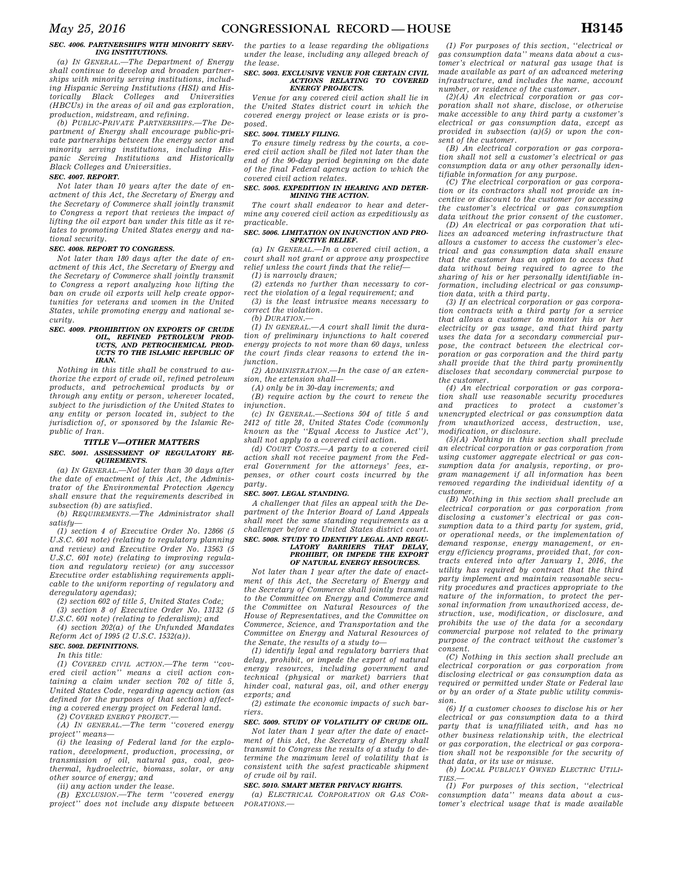#### *SEC. 4006. PARTNERSHIPS WITH MINORITY SERV-ING INSTITUTIONS.*

*(a) IN GENERAL.—The Department of Energy shall continue to develop and broaden partnerships with minority serving institutions, including Hispanic Serving Institutions (HSI) and Historically Black Colleges and Universities (HBCUs) in the areas of oil and gas exploration, production, midstream, and refining.* 

*(b) PUBLIC-PRIVATE PARTNERSHIPS.—The Department of Energy shall encourage public-private partnerships between the energy sector and minority serving institutions, including Hispanic Serving Institutions and Historically Black Colleges and Universities.* 

#### *SEC. 4007. REPORT.*

*Not later than 10 years after the date of enactment of this Act, the Secretary of Energy and the Secretary of Commerce shall jointly transmit to Congress a report that reviews the impact of lifting the oil export ban under this title as it relates to promoting United States energy and national security.* 

### *SEC. 4008. REPORT TO CONGRESS.*

*Not later than 180 days after the date of enactment of this Act, the Secretary of Energy and the Secretary of Commerce shall jointly transmit to Congress a report analyzing how lifting the ban on crude oil exports will help create opportunities for veterans and women in the United States, while promoting energy and national security.* 

## *SEC. 4009. PROHIBITION ON EXPORTS OF CRUDE OIL, REFINED PETROLEUM PROD-UCTS, AND PETROCHEMICAL PROD-UCTS TO THE ISLAMIC REPUBLIC OF IRAN.*

*Nothing in this title shall be construed to authorize the export of crude oil, refined petroleum products, and petrochemical products by or through any entity or person, wherever located, subject to the jurisdiction of the United States to any entity or person located in, subject to the jurisdiction of, or sponsored by the Islamic Republic of Iran.* 

## *TITLE V—OTHER MATTERS*

#### *SEC. 5001. ASSESSMENT OF REGULATORY RE-QUIREMENTS.*

*(a) IN GENERAL.—Not later than 30 days after the date of enactment of this Act, the Administrator of the Environmental Protection Agency shall ensure that the requirements described in subsection (b) are satisfied.* 

*(b) REQUIREMENTS.—The Administrator shall satisfy—* 

*(1) section 4 of Executive Order No. 12866 (5 U.S.C. 601 note) (relating to regulatory planning and review) and Executive Order No. 13563 (5 U.S.C. 601 note) (relating to improving regulation and regulatory review) (or any successor Executive order establishing requirements applicable to the uniform reporting of regulatory and deregulatory agendas);* 

*(2) section 602 of title 5, United States Code; (3) section 8 of Executive Order No. 13132 (5* 

*U.S.C. 601 note) (relating to federalism); and (4) section 202(a) of the Unfunded Mandates* 

*Reform Act of 1995 (2 U.S.C. 1532(a)). SEC. 5002. DEFINITIONS.* 

*In this title:* 

*(1) COVERED CIVIL ACTION.—The term ''covered civil action'' means a civil action containing a claim under section 702 of title 5, United States Code, regarding agency action (as defined for the purposes of that section) affecting a covered energy project on Federal land.* 

*(2) COVERED ENERGY PROJECT.—* 

*(A) IN GENERAL.—The term ''covered energy project'' means—* 

*(i) the leasing of Federal land for the exploration, development, production, processing, or transmission of oil, natural gas, coal, geothermal, hydroelectric, biomass, solar, or any other source of energy; and* 

*(ii) any action under the lease.* 

*(B) EXCLUSION.—The term ''covered energy project'' does not include any dispute between* 

*the parties to a lease regarding the obligations under the lease, including any alleged breach of the lease.* 

#### *SEC. 5003. EXCLUSIVE VENUE FOR CERTAIN CIVIL ACTIONS RELATING TO COVERED ENERGY PROJECTS.*

*Venue for any covered civil action shall lie in the United States district court in which the covered energy project or lease exists or is proposed.* 

#### *SEC. 5004. TIMELY FILING.*

*To ensure timely redress by the courts, a covered civil action shall be filed not later than the end of the 90-day period beginning on the date of the final Federal agency action to which the covered civil action relates.* 

#### *SEC. 5005. EXPEDITION IN HEARING AND DETER-MINING THE ACTION.*

*The court shall endeavor to hear and determine any covered civil action as expeditiously as practicable.* 

#### *SEC. 5006. LIMITATION ON INJUNCTION AND PRO-SPECTIVE RELIEF.*

*(a) IN GENERAL.—In a covered civil action, a court shall not grant or approve any prospective relief unless the court finds that the relief—* 

*(1) is narrowly drawn;* 

*(2) extends no further than necessary to correct the violation of a legal requirement; and* 

*(3) is the least intrusive means necessary to correct the violation.* 

*(b) DURATION.—* 

*(1) IN GENERAL.—A court shall limit the duration of preliminary injunctions to halt covered energy projects to not more than 60 days, unless the court finds clear reasons to extend the injunction.* 

*(2) ADMINISTRATION.—In the case of an extension, the extension shall—* 

*(A) only be in 30-day increments; and* 

*(B) require action by the court to renew the injunction.* 

*(c) IN GENERAL.—Sections 504 of title 5 and 2412 of title 28, United States Code (commonly known as the ''Equal Access to Justice Act''), shall not apply to a covered civil action.* 

*(d) COURT COSTS.—A party to a covered civil action shall not receive payment from the Federal Government for the attorneys' fees, expenses, or other court costs incurred by the party.* 

#### *SEC. 5007. LEGAL STANDING.*

*A challenger that files an appeal with the Department of the Interior Board of Land Appeals shall meet the same standing requirements as a challenger before a United States district court.* 

## *SEC. 5008. STUDY TO IDENTIFY LEGAL AND REGU-LATORY BARRIERS THAT DELAY, PROHIBIT, OR IMPEDE THE EXPORT OF NATURAL ENERGY RESOURCES.*

*Not later than 1 year after the date of enactment of this Act, the Secretary of Energy and the Secretary of Commerce shall jointly transmit to the Committee on Energy and Commerce and the Committee on Natural Resources of the House of Representatives, and the Committee on Commerce, Science, and Transportation and the Committee on Energy and Natural Resources of the Senate, the results of a study to—* 

*(1) identify legal and regulatory barriers that delay, prohibit, or impede the export of natural energy resources, including government and technical (physical or market) barriers that hinder coal, natural gas, oil, and other energy exports; and* 

*(2) estimate the economic impacts of such barriers.* 

## *SEC. 5009. STUDY OF VOLATILITY OF CRUDE OIL.*

*Not later than 1 year after the date of enactment of this Act, the Secretary of Energy shall transmit to Congress the results of a study to determine the maximum level of volatility that is consistent with the safest practicable shipment of crude oil by rail.* 

#### *SEC. 5010. SMART METER PRIVACY RIGHTS.*

*(a) ELECTRICAL CORPORATION OR GAS COR-PORATIONS.—* 

*(1) For purposes of this section, ''electrical or gas consumption data'' means data about a customer's electrical or natural gas usage that is made available as part of an advanced metering infrastructure, and includes the name, account number, or residence of the customer.* 

*(2)(A) An electrical corporation or gas corporation shall not share, disclose, or otherwise make accessible to any third party a customer's electrical or gas consumption data, except as provided in subsection (a)(5) or upon the consent of the customer.* 

*(B) An electrical corporation or gas corporation shall not sell a customer's electrical or gas consumption data or any other personally identifiable information for any purpose.* 

*(C) The electrical corporation or gas corporation or its contractors shall not provide an incentive or discount to the customer for accessing the customer's electrical or gas consumption data without the prior consent of the customer. (D) An electrical or gas corporation that utilizes an advanced metering infrastructure that allows a customer to access the customer's electrical and gas consumption data shall ensure that the customer has an option to access that* 

*data without being required to agree to the sharing of his or her personally identifiable information, including electrical or gas consumption data, with a third party.* 

*(3) If an electrical corporation or gas corporation contracts with a third party for a service that allows a customer to monitor his or her electricity or gas usage, and that third party uses the data for a secondary commercial purpose, the contract between the electrical corporation or gas corporation and the third party shall provide that the third party prominently discloses that secondary commercial purpose to the customer.* 

*(4) An electrical corporation or gas corporation shall use reasonable security procedures and practices to protect a customer's unencrypted electrical or gas consumption data from unauthorized access, destruction, use, modification, or disclosure.* 

*(5)(A) Nothing in this section shall preclude an electrical corporation or gas corporation from using customer aggregate electrical or gas consumption data for analysis, reporting, or program management if all information has been removed regarding the individual identity of a customer.* 

*(B) Nothing in this section shall preclude an electrical corporation or gas corporation from disclosing a customer's electrical or gas consumption data to a third party for system, grid, or operational needs, or the implementation of demand response, energy management, or energy efficiency programs, provided that, for contracts entered into after January 1, 2016, the utility has required by contract that the third party implement and maintain reasonable security procedures and practices appropriate to the nature of the information, to protect the personal information from unauthorized access, destruction, use, modification, or disclosure, and prohibits the use of the data for a secondary commercial purpose not related to the primary purpose of the contract without the customer's consent.* 

*(C) Nothing in this section shall preclude an electrical corporation or gas corporation from disclosing electrical or gas consumption data as required or permitted under State or Federal law or by an order of a State public utility commission.* 

*(6) If a customer chooses to disclose his or her electrical or gas consumption data to a third party that is unaffiliated with, and has no other business relationship with, the electrical or gas corporation, the electrical or gas corporation shall not be responsible for the security of that data, or its use or misuse.* 

*(b) LOCAL PUBLICLY OWNED ELECTRIC UTILI-TIES.—* 

*(1) For purposes of this section, ''electrical consumption data'' means data about a customer's electrical usage that is made available*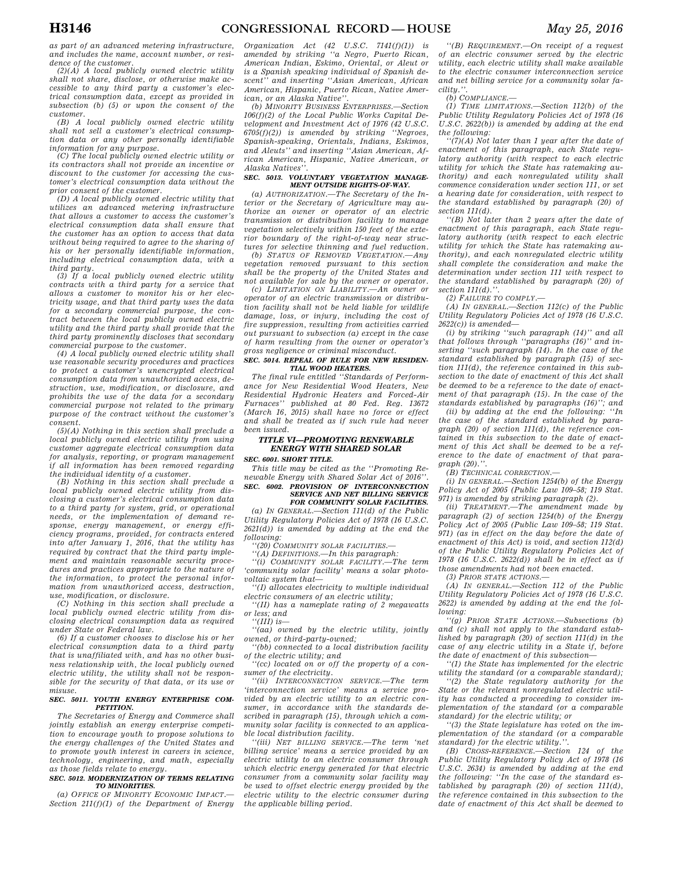*as part of an advanced metering infrastructure, and includes the name, account number, or residence of the customer.* 

*(2)(A) A local publicly owned electric utility shall not share, disclose, or otherwise make accessible to any third party a customer's electrical consumption data, except as provided in subsection (b) (5) or upon the consent of the customer.* 

*(B) A local publicly owned electric utility shall not sell a customer's electrical consumption data or any other personally identifiable information for any purpose.* 

*(C) The local publicly owned electric utility or its contractors shall not provide an incentive or discount to the customer for accessing the customer's electrical consumption data without the prior consent of the customer.* 

*(D) A local publicly owned electric utility that utilizes an advanced metering infrastructure that allows a customer to access the customer's electrical consumption data shall ensure that the customer has an option to access that data without being required to agree to the sharing of his or her personally identifiable information, including electrical consumption data, with a* 

*third party. (3) If a local publicly owned electric utility contracts with a third party for a service that allows a customer to monitor his or her electricity usage, and that third party uses the data for a secondary commercial purpose, the contract between the local publicly owned electric utility and the third party shall provide that the third party prominently discloses that secondary commercial purpose to the customer.* 

*(4) A local publicly owned electric utility shall use reasonable security procedures and practices to protect a customer's unencrypted electrical consumption data from unauthorized access, destruction, use, modification, or disclosure, and prohibits the use of the data for a secondary commercial purpose not related to the primary purpose of the contract without the customer's consent.* 

*(5)(A) Nothing in this section shall preclude a local publicly owned electric utility from using customer aggregate electrical consumption data for analysis, reporting, or program management if all information has been removed regarding the individual identity of a customer.* 

*(B) Nothing in this section shall preclude a local publicly owned electric utility from disclosing a customer's electrical consumption data to a third party for system, grid, or operational needs, or the implementation of demand response, energy management, or energy efficiency programs, provided, for contracts entered into after January 1, 2016, that the utility has required by contract that the third party implement and maintain reasonable security procedures and practices appropriate to the nature of the information, to protect the personal information from unauthorized access, destruction, use, modification, or disclosure.* 

*(C) Nothing in this section shall preclude a local publicly owned electric utility from disclosing electrical consumption data as required under State or Federal law.* 

*(6) If a customer chooses to disclose his or her electrical consumption data to a third party that is unaffiliated with, and has no other business relationship with, the local publicly owned electric utility, the utility shall not be responsible for the security of that data, or its use or misuse.* 

#### *SEC. 5011. YOUTH ENERGY ENTERPRISE COM-PETITION.*

*The Secretaries of Energy and Commerce shall jointly establish an energy enterprise competition to encourage youth to propose solutions to the energy challenges of the United States and to promote youth interest in careers in science, technology, engineering, and math, especially as those fields relate to energy.* 

#### *SEC. 5012. MODERNIZATION OF TERMS RELATING TO MINORITIES.*

*(a) OFFICE OF MINORITY ECONOMIC IMPACT.— Section 211(f)(1) of the Department of Energy* 

*Organization Act (42 U.S.C. 7141(f)(1)) is amended by striking ''a Negro, Puerto Rican, American Indian, Eskimo, Oriental, or Aleut or is a Spanish speaking individual of Spanish descent'' and inserting ''Asian American, African American, Hispanic, Puerto Rican, Native American, or an Alaska Native''.* 

*(b) MINORITY BUSINESS ENTERPRISES.—Section 106(f)(2) of the Local Public Works Capital Development and Investment Act of 1976 (42 U.S.C. 6705(f)(2)) is amended by striking ''Negroes, Spanish-speaking, Orientals, Indians, Eskimos, and Aleuts'' and inserting ''Asian American, African American, Hispanic, Native American, or Alaska Natives''.* 

### *SEC. 5013. VOLUNTARY VEGETATION MANAGE-MENT OUTSIDE RIGHTS-OF-WAY.*

*(a) AUTHORIZATION.—The Secretary of the Interior or the Secretary of Agriculture may authorize an owner or operator of an electric transmission or distribution facility to manage vegetation selectively within 150 feet of the exterior boundary of the right-of-way near structures for selective thinning and fuel reduction.* 

*(b) STATUS OF REMOVED VEGETATION.—Any vegetation removed pursuant to this section shall be the property of the United States and not available for sale by the owner or operator.* 

*(c) LIMITATION ON LIABILITY.—An owner or operator of an electric transmission or distribution facility shall not be held liable for wildlife damage, loss, or injury, including the cost of fire suppression, resulting from activities carried out pursuant to subsection (a) except in the case of harm resulting from the owner or operator's gross negligence or criminal misconduct.* 

#### *SEC. 5014. REPEAL OF RULE FOR NEW RESIDEN-TIAL WOOD HEATERS.*

*The final rule entitled ''Standards of Performance for New Residential Wood Heaters, New Residential Hydronic Heaters and Forced-Air Furnaces'' published at 80 Fed. Reg. 13672 (March 16, 2015) shall have no force or effect and shall be treated as if such rule had never been issued.* 

## *TITLE VI—PROMOTING RENEWABLE ENERGY WITH SHARED SOLAR*

*SEC. 6001. SHORT TITLE.* 

*This title may be cited as the ''Promoting Renewable Energy with Shared Solar Act of 2016''.* 

#### *SEC. 6002. PROVISION OF INTERCONNECTION SERVICE AND NET BILLING SERVICE FOR COMMUNITY SOLAR FACILITIES.*

*(a) IN GENERAL.—Section 111(d) of the Public Utility Regulatory Policies Act of 1978 (16 U.S.C. 2621(d)) is amended by adding at the end the following:* 

*''(20) COMMUNITY SOLAR FACILITIES.—* 

*''(A) DEFINITIONS.—In this paragraph: ''(i) COMMUNITY SOLAR FACILITY.—The term 'community solar facility' means a solar photo-*

*voltaic system that— ''(I) allocates electricity to multiple individual* 

*electric consumers of an electric utility;* 

*''(II) has a nameplate rating of 2 megawatts or less; and* 

*''(III) is—* 

*''(aa) owned by the electric utility, jointly owned, or third-party-owned;* 

*''(bb) connected to a local distribution facility of the electric utility; and* 

*''(cc) located on or off the property of a consumer of the electricity.* 

*''(ii) INTERCONNECTION SERVICE.—The term 'interconnection service' means a service provided by an electric utility to an electric consumer, in accordance with the standards described in paragraph (15), through which a community solar facility is connected to an applicable local distribution facility.* 

*''(iii) NET BILLING SERVICE.—The term 'net billing service' means a service provided by an electric utility to an electric consumer through which electric energy generated for that electric consumer from a community solar facility may be used to offset electric energy provided by the electric utility to the electric consumer during the applicable billing period.* 

*''(B) REQUIREMENT.—On receipt of a request of an electric consumer served by the electric utility, each electric utility shall make available to the electric consumer interconnection service and net billing service for a community solar facility.''.* 

#### *(b) COMPLIANCE.—*

*(1) TIME LIMITATIONS.—Section 112(b) of the Public Utility Regulatory Policies Act of 1978 (16 U.S.C. 2622(b)) is amended by adding at the end the following:* 

*''(7)(A) Not later than 1 year after the date of enactment of this paragraph, each State regulatory authority (with respect to each electric utility for which the State has ratemaking authority) and each nonregulated utility shall commence consideration under section 111, or set a hearing date for consideration, with respect to the standard established by paragraph (20) of section 111(d).* 

*''(B) Not later than 2 years after the date of enactment of this paragraph, each State regulatory authority (with respect to each electric utility for which the State has ratemaking authority), and each nonregulated electric utility shall complete the consideration and make the determination under section 111 with respect to the standard established by paragraph (20) of section 111(d).''.* 

*(2) FAILURE TO COMPLY.—* 

*(A) IN GENERAL.—Section 112(c) of the Public Utility Regulatory Policies Act of 1978 (16 U.S.C. 2622(c)) is amended—* 

*(i) by striking ''such paragraph (14)'' and all that follows through ''paragraphs (16)'' and inserting ''such paragraph (14). In the case of the standard established by paragraph (15) of section 111(d), the reference contained in this subsection to the date of enactment of this Act shall be deemed to be a reference to the date of enactment of that paragraph (15). In the case of the standards established by paragraphs (16)''; and* 

*(ii) by adding at the end the following: ''In the case of the standard established by paragraph (20) of section 111(d), the reference contained in this subsection to the date of enactment of this Act shall be deemed to be a reference to the date of enactment of that paragraph (20).''.* 

*(B) TECHNICAL CORRECTION.—* 

*(i) IN GENERAL.—Section 1254(b) of the Energy Policy Act of 2005 (Public Law 109–58; 119 Stat. 971) is amended by striking paragraph (2).* 

*(ii) TREATMENT.—The amendment made by paragraph (2) of section 1254(b) of the Energy Policy Act of 2005 (Public Law 109–58; 119 Stat. 971) (as in effect on the day before the date of enactment of this Act) is void, and section 112(d) of the Public Utility Regulatory Policies Act of 1978 (16 U.S.C. 2622(d)) shall be in effect as if those amendments had not been enacted.* 

*(3) PRIOR STATE ACTIONS.—* 

*(A) IN GENERAL.—Section 112 of the Public Utility Regulatory Policies Act of 1978 (16 U.S.C. 2622) is amended by adding at the end the following:* 

*''(g) PRIOR STATE ACTIONS.—Subsections (b) and (c) shall not apply to the standard established by paragraph (20) of section 111(d) in the case of any electric utility in a State if, before the date of enactment of this subsection—* 

*''(1) the State has implemented for the electric utility the standard (or a comparable standard);* 

*''(2) the State regulatory authority for the State or the relevant nonregulated electric utility has conducted a proceeding to consider implementation of the standard (or a comparable standard) for the electric utility; or* 

*''(3) the State legislature has voted on the implementation of the standard (or a comparable standard) for the electric utility.''.* 

*(B) CROSS-REFERENCE.—Section 124 of the Public Utility Regulatory Policy Act of 1978 (16 U.S.C. 2634) is amended by adding at the end the following: ''In the case of the standard established by paragraph (20) of section 111(d), the reference contained in this subsection to the date of enactment of this Act shall be deemed to*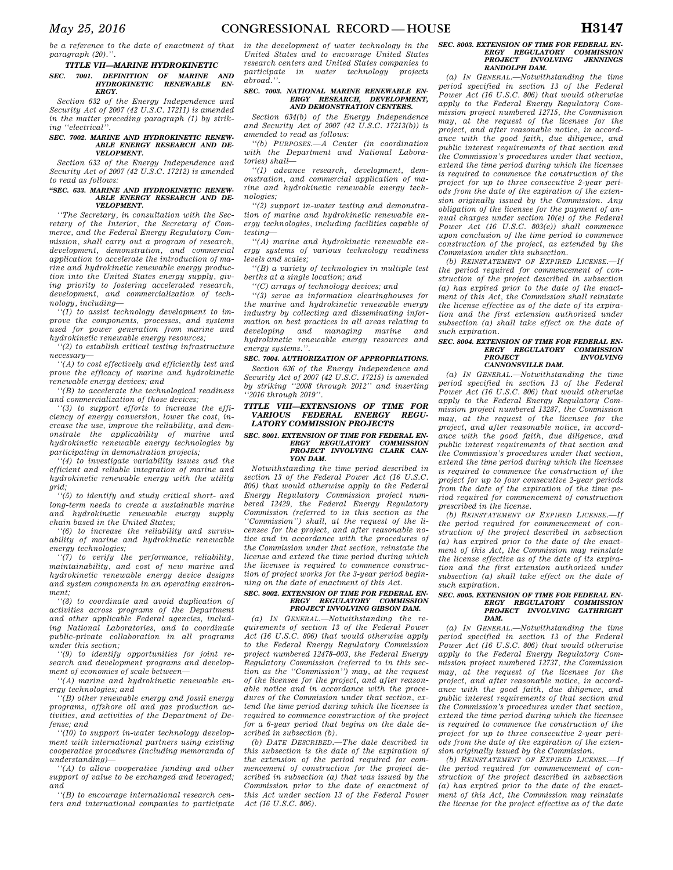*be a reference to the date of enactment of that paragraph (20).''.* 

## *TITLE VII—MARINE HYDROKINETIC SEC. 7001. DEFINITION OF MARINE AND HYDROKINETIC RENEWABLE EN-ERGY.*

*Section 632 of the Energy Independence and Security Act of 2007 (42 U.S.C. 17211) is amended in the matter preceding paragraph (1) by striking ''electrical''.* 

#### *SEC. 7002. MARINE AND HYDROKINETIC RENEW-ABLE ENERGY RESEARCH AND DE-VELOPMENT.*

*Section 633 of the Energy Independence and Security Act of 2007 (42 U.S.C. 17212) is amended to read as follows:* 

#### *''SEC. 633. MARINE AND HYDROKINETIC RENEW-ABLE ENERGY RESEARCH AND DE-VELOPMENT.*

*''The Secretary, in consultation with the Secretary of the Interior, the Secretary of Commerce, and the Federal Energy Regulatory Commission, shall carry out a program of research, development, demonstration, and commercial application to accelerate the introduction of marine and hydrokinetic renewable energy production into the United States energy supply, giving priority to fostering accelerated research, development, and commercialization of technology, including—* 

*''(1) to assist technology development to improve the components, processes, and systems used for power generation from marine and hydrokinetic renewable energy resources;* 

*''(2) to establish critical testing infrastructure necessary—* 

*''(A) to cost effectively and efficiently test and prove the efficacy of marine and hydrokinetic renewable energy devices; and* 

*''(B) to accelerate the technological readiness and commercialization of those devices;* 

*''(3) to support efforts to increase the efficiency of energy conversion, lower the cost, increase the use, improve the reliability, and demonstrate the applicability of marine and hydrokinetic renewable energy technologies by participating in demonstration projects;* 

*''(4) to investigate variability issues and the efficient and reliable integration of marine and hydrokinetic renewable energy with the utility grid;* 

*''(5) to identify and study critical short- and long-term needs to create a sustainable marine and hydrokinetic renewable energy supply chain based in the United States;* 

*''(6) to increase the reliability and survivability of marine and hydrokinetic renewable energy technologies;* 

*''(7) to verify the performance, reliability, maintainability, and cost of new marine and hydrokinetic renewable energy device designs and system components in an operating environment;* 

*''(8) to coordinate and avoid duplication of activities across programs of the Department and other applicable Federal agencies, including National Laboratories, and to coordinate public-private collaboration in all programs under this section;* 

*''(9) to identify opportunities for joint research and development programs and development of economies of scale between—* 

*''(A) marine and hydrokinetic renewable energy technologies; and* 

*''(B) other renewable energy and fossil energy programs, offshore oil and gas production activities, and activities of the Department of Defense; and* 

*''(10) to support in-water technology development with international partners using existing cooperative procedures (including memoranda of understanding)—* 

*''(A) to allow cooperative funding and other support of value to be exchanged and leveraged; and* 

*''(B) to encourage international research centers and international companies to participate*  *in the development of water technology in the United States and to encourage United States research centers and United States companies to participate in water technology projects abroad.''.* 

#### *SEC. 7003. NATIONAL MARINE RENEWABLE EN-ERGY RESEARCH, DEVELOPMENT, AND DEMONSTRATION CENTERS.*

*Section 634(b) of the Energy Independence and Security Act of 2007 (42 U.S.C. 17213(b)) is amended to read as follows:* 

*''(b) PURPOSES.—A Center (in coordination with the Department and National Laboratories) shall—* 

*''(1) advance research, development, demonstration, and commercial application of marine and hydrokinetic renewable energy technologies;* 

*''(2) support in-water testing and demonstration of marine and hydrokinetic renewable energy technologies, including facilities capable of testing—* 

*''(A) marine and hydrokinetic renewable energy systems of various technology readiness levels and scales;* 

*''(B) a variety of technologies in multiple test berths at a single location; and* 

*''(C) arrays of technology devices; and* 

*''(3) serve as information clearinghouses for the marine and hydrokinetic renewable energy industry by collecting and disseminating information on best practices in all areas relating to developing and managing marine and hydrokinetic renewable energy resources and energy systems.''.* 

#### *SEC. 7004. AUTHORIZATION OF APPROPRIATIONS.*

*Section 636 of the Energy Independence and Security Act of 2007 (42 U.S.C. 17215) is amended by striking ''2008 through 2012'' and inserting ''2016 through 2019''.* 

#### *TITLE VIII—EXTENSIONS OF TIME FOR VARIOUS FEDERAL ENERGY LATORY COMMISSION PROJECTS*

## *SEC. 8001. EXTENSION OF TIME FOR FEDERAL EN-ERGY REGULATORY COMMISSION PROJECT INVOLVING CLARK CAN-YON DAM.*

*Notwithstanding the time period described in section 13 of the Federal Power Act (16 U.S.C. 806) that would otherwise apply to the Federal Energy Regulatory Commission project numbered 12429, the Federal Energy Regulatory Commission (referred to in this section as the ''Commission'') shall, at the request of the licensee for the project, and after reasonable notice and in accordance with the procedures of the Commission under that section, reinstate the license and extend the time period during which the licensee is required to commence construction of project works for the 3-year period beginning on the date of enactment of this Act.* 

#### *SEC. 8002. EXTENSION OF TIME FOR FEDERAL EN-ERGY REGULATORY COMMISSION PROJECT INVOLVING GIBSON DAM.*

*(a) IN GENERAL.—Notwithstanding the requirements of section 13 of the Federal Power Act (16 U.S.C. 806) that would otherwise apply to the Federal Energy Regulatory Commission project numbered 12478–003, the Federal Energy Regulatory Commission (referred to in this section as the ''Commission'') may, at the request of the licensee for the project, and after reasonable notice and in accordance with the procedures of the Commission under that section, extend the time period during which the licensee is required to commence construction of the project for a 6-year period that begins on the date described in subsection (b).* 

*(b) DATE DESCRIBED.—The date described in this subsection is the date of the expiration of the extension of the period required for commencement of construction for the project described in subsection (a) that was issued by the Commission prior to the date of enactment of this Act under section 13 of the Federal Power Act (16 U.S.C. 806).* 

## *SEC. 8003. EXTENSION OF TIME FOR FEDERAL EN-ERGY REGULATORY COMMISSION PROJECT INVOLVING JENNINGS RANDOLPH DAM.*

*(a) IN GENERAL.—Notwithstanding the time period specified in section 13 of the Federal Power Act (16 U.S.C. 806) that would otherwise apply to the Federal Energy Regulatory Commission project numbered 12715, the Commission may, at the request of the licensee for the project, and after reasonable notice, in accordance with the good faith, due diligence, and public interest requirements of that section and the Commission's procedures under that section, extend the time period during which the licensee is required to commence the construction of the project for up to three consecutive 2-year periods from the date of the expiration of the extension originally issued by the Commission. Any obligation of the licensee for the payment of annual charges under section 10(e) of the Federal Power Act (16 U.S.C. 803(e)) shall commence upon conclusion of the time period to commence construction of the project, as extended by the Commission under this subsection.* 

*(b) REINSTATEMENT OF EXPIRED LICENSE.—If the period required for commencement of construction of the project described in subsection (a) has expired prior to the date of the enactment of this Act, the Commission shall reinstate the license effective as of the date of its expiration and the first extension authorized under subsection (a) shall take effect on the date of such expiration.* 

## *SEC. 8004. EXTENSION OF TIME FOR FEDERAL EN-ERGY REGULATORY COMMISSION PROJECT INVOLVING CANNONSVILLE DAM.*

*(a) IN GENERAL.—Notwithstanding the time period specified in section 13 of the Federal Power Act (16 U.S.C. 806) that would otherwise apply to the Federal Energy Regulatory Commission project numbered 13287, the Commission may, at the request of the licensee for the project, and after reasonable notice, in accordance with the good faith, due diligence, and public interest requirements of that section and the Commission's procedures under that section, extend the time period during which the licensee is required to commence the construction of the project for up to four consecutive 2-year periods from the date of the expiration of the time period required for commencement of construction prescribed in the license.* 

*(b) REINSTATEMENT OF EXPIRED LICENSE.—If the period required for commencement of construction of the project described in subsection (a) has expired prior to the date of the enactment of this Act, the Commission may reinstate the license effective as of the date of its expiration and the first extension authorized under subsection (a) shall take effect on the date of such expiration.* 

## *SEC. 8005. EXTENSION OF TIME FOR FEDERAL EN-ERGY REGULATORY COMMISSION PROJECT INVOLVING GATHRIGHT DAM.*

*(a) IN GENERAL.—Notwithstanding the time period specified in section 13 of the Federal Power Act (16 U.S.C. 806) that would otherwise apply to the Federal Energy Regulatory Commission project numbered 12737, the Commission may, at the request of the licensee for the project, and after reasonable notice, in accordance with the good faith, due diligence, and public interest requirements of that section and the Commission's procedures under that section, extend the time period during which the licensee is required to commence the construction of the project for up to three consecutive 2-year periods from the date of the expiration of the extension originally issued by the Commission.* 

*(b) REINSTATEMENT OF EXPIRED LICENSE. the period required for commencement of construction of the project described in subsection (a) has expired prior to the date of the enactment of this Act, the Commission may reinstate the license for the project effective as of the date*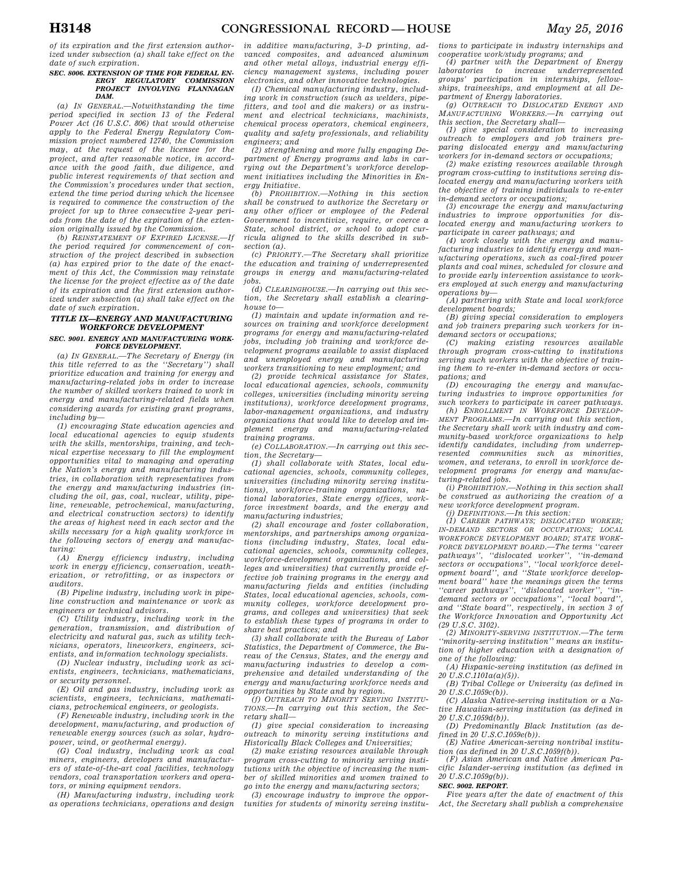*of its expiration and the first extension authorized under subsection (a) shall take effect on the date of such expiration.* 

## *SEC. 8006. EXTENSION OF TIME FOR FEDERAL EN-ERGY REGULATORY COMMISSION PROJECT INVOLVING FLANNAGAN DAM.*

*(a) IN GENERAL.—Notwithstanding the time period specified in section 13 of the Federal Power Act (16 U.S.C. 806) that would otherwise apply to the Federal Energy Regulatory Commission project numbered 12740, the Commission may, at the request of the licensee for the project, and after reasonable notice, in accordance with the good faith, due diligence, and public interest requirements of that section and the Commission's procedures under that section, extend the time period during which the licensee is required to commence the construction of the project for up to three consecutive 2-year periods from the date of the expiration of the extension originally issued by the Commission.* 

*(b) REINSTATEMENT OF EXPIRED LICENSE.—If the period required for commencement of construction of the project described in subsection (a) has expired prior to the date of the enactment of this Act, the Commission may reinstate the license for the project effective as of the date of its expiration and the first extension authorized under subsection (a) shall take effect on the date of such expiration.* 

## *TITLE IX—ENERGY AND MANUFACTURING WORKFORCE DEVELOPMENT*

#### *SEC. 9001. ENERGY AND MANUFACTURING WORK-FORCE DEVELOPMENT.*

*(a) IN GENERAL.—The Secretary of Energy (in this title referred to as the ''Secretary'') shall prioritize education and training for energy and manufacturing-related jobs in order to increase the number of skilled workers trained to work in energy and manufacturing-related fields when considering awards for existing grant programs, including by—* 

*(1) encouraging State education agencies and local educational agencies to equip students with the skills, mentorships, training, and technical expertise necessary to fill the employment opportunities vital to managing and operating the Nation's energy and manufacturing industries, in collaboration with representatives from the energy and manufacturing industries (including the oil, gas, coal, nuclear, utility, pipeline, renewable, petrochemical, manufacturing, and electrical construction sectors) to identify the areas of highest need in each sector and the skills necessary for a high quality workforce in the following sectors of energy and manufacturing:* 

*(A) Energy efficiency industry, including work in energy efficiency, conservation, weatherization, or retrofitting, or as inspectors or auditors.* 

*(B) Pipeline industry, including work in pipeline construction and maintenance or work as engineers or technical advisors.* 

*(C) Utility industry, including work in the generation, transmission, and distribution of electricity and natural gas, such as utility technicians, operators, lineworkers, engineers, scientists, and information technology specialists.* 

*(D) Nuclear industry, including work as scientists, engineers, technicians, mathematicians, or security personnel.* 

*(E) Oil and gas industry, including work as scientists, engineers, technicians, mathematicians, petrochemical engineers, or geologists.* 

*(F) Renewable industry, including work in the development, manufacturing, and production of renewable energy sources (such as solar, hydropower, wind, or geothermal energy).* 

*(G) Coal industry, including work as coal miners, engineers, developers and manufacturers of state-of-the-art coal facilities, technology vendors, coal transportation workers and operators, or mining equipment vendors.* 

*(H) Manufacturing industry, including work as operations technicians, operations and design*  *in additive manufacturing, 3–D printing, advanced composites, and advanced aluminum and other metal alloys, industrial energy efficiency management systems, including power electronics, and other innovative technologies.* 

*(I) Chemical manufacturing industry, including work in construction (such as welders, pipefitters, and tool and die makers) or as instrument and electrical technicians, machinists, chemical process operators, chemical engineers, quality and safety professionals, and reliability engineers; and* 

*(2) strengthening and more fully engaging Department of Energy programs and labs in carrying out the Department's workforce development initiatives including the Minorities in Energy Initiative.* 

*(b) PROHIBITION.—Nothing in this section shall be construed to authorize the Secretary or any other officer or employee of the Federal Government to incentivize, require, or coerce a State, school district, or school to adopt curricula aligned to the skills described in subsection (a).* 

*(c) PRIORITY.—The Secretary shall prioritize the education and training of underrepresented groups in energy and manufacturing-related jobs.* 

*(d) CLEARINGHOUSE.—In carrying out this section, the Secretary shall establish a clearinghouse to—* 

*(1) maintain and update information and resources on training and workforce development programs for energy and manufacturing-related jobs, including job training and workforce development programs available to assist displaced and unemployed energy and manufacturing workers transitioning to new employment; and* 

*(2) provide technical assistance for States, local educational agencies, schools, community colleges, universities (including minority serving institutions), workforce development programs, labor-management organizations, and industry organizations that would like to develop and implement energy and manufacturing-related training programs.* 

*(e) COLLABORATION.—In carrying out this section, the Secretary—* 

*(1) shall collaborate with States, local educational agencies, schools, community colleges, universities (including minority serving institutions), workforce-training organizations, national laboratories, State energy offices, workforce investment boards, and the energy and manufacturing industries;* 

*(2) shall encourage and foster collaboration, mentorships, and partnerships among organizations (including industry, States, local educational agencies, schools, community colleges, workforce-development organizations, and colleges and universities) that currently provide effective job training programs in the energy and manufacturing fields and entities (including States, local educational agencies, schools, community colleges, workforce development programs, and colleges and universities) that seek to establish these types of programs in order to share best practices; and* 

*(3) shall collaborate with the Bureau of Labor Statistics, the Department of Commerce, the Bureau of the Census, States, and the energy and manufacturing industries to develop a comprehensive and detailed understanding of the energy and manufacturing workforce needs and opportunities by State and by region.* 

*(f) OUTREACH TO MINORITY SERVING INSTITU-TIONS.—In carrying out this section, the Secretary shall—* 

*(1) give special consideration to increasing outreach to minority serving institutions and Historically Black Colleges and Universities;* 

*(2) make existing resources available through program cross-cutting to minority serving institutions with the objective of increasing the number of skilled minorities and women trained to go into the energy and manufacturing sectors;* 

*(3) encourage industry to improve the opportunities for students of minority serving institu-*

*tions to participate in industry internships and cooperative work/study programs; and* 

*(4) partner with the Department of Energy laboratories to increase underrepresented groups' participation in internships, fellowships, traineeships, and employment at all Department of Energy laboratories.* 

*(g) OUTREACH TO DISLOCATED ENERGY AND MANUFACTURING WORKERS.—In carrying out this section, the Secretary shall—* 

*(1) give special consideration to increasing outreach to employers and job trainers preparing dislocated energy and manufacturing workers for in-demand sectors or occupations;* 

*(2) make existing resources available through program cross-cutting to institutions serving dislocated energy and manufacturing workers with the objective of training individuals to re-enter in-demand sectors or occupations;* 

*(3) encourage the energy and manufacturing industries to improve opportunities for dislocated energy and manufacturing workers to participate in career pathways; and* 

*(4) work closely with the energy and manufacturing industries to identify energy and manufacturing operations, such as coal-fired power plants and coal mines, scheduled for closure and to provide early intervention assistance to workers employed at such energy and manufacturing operations by—* 

*(A) partnering with State and local workforce* 

*development boards; (B) giving special consideration to employers and job trainers preparing such workers for indemand sectors or occupations;* 

*(C) making existing resources available through program cross-cutting to institutions serving such workers with the objective of training them to re-enter in-demand sectors or occupations; and* 

*(D) encouraging the energy and manufacturing industries to improve opportunities for such workers to participate in career pathways. (h) ENROLLMENT IN WORKFORCE DEVELOP-*

*MENT PROGRAMS.—In carrying out this section, the Secretary shall work with industry and community-based workforce organizations to help identify candidates, including from underrepresented communities such as minorities, women, and veterans, to enroll in workforce development programs for energy and manufacturing-related jobs.* 

*(i) PROHIBITION.—Nothing in this section shall be construed as authorizing the creation of a new workforce development program.* 

*(j) DEFINITIONS.—In this section:* 

*(1) CAREER PATHWAYS; DISLOCATED WORKER; IN-DEMAND SECTORS OR OCCUPATIONS; LOCAL WORKFORCE DEVELOPMENT BOARD; STATE WORK-FORCE DEVELOPMENT BOARD.—The terms ''career pathways'', ''dislocated worker'', ''in-demand sectors or occupations'', ''local workforce devel-opment board'', and ''State workforce development board'' have the meanings given the terms ''career pathways'', ''dislocated worker'', ''indemand sectors or occupations'', ''local board'', and ''State board'', respectively, in section 3 of the Workforce Innovation and Opportunity Act (29 U.S.C. 3102).* 

*(2) MINORITY-SERVING INSTITUTION.—The term ''minority-serving institution'' means an institution of higher education with a designation of one of the following:* 

*(A) Hispanic-serving institution (as defined in 20 U.S.C.1101a(a)(5)).* 

*(B) Tribal College or University (as defined in 20 U.S.C.1059c(b)).* 

*(C) Alaska Native-serving institution or a Native Hawaiian-serving institution (as defined in 20 U.S.C.1059d(b)).* 

*(D) Predominantly Black Institution (as defined in 20 U.S.C.1059e(b)).* 

*(E) Native American-serving nontribal institution (as defined in 20 U.S.C.1059f(b)).* 

*(F) Asian American and Native American Pacific Islander-serving institution (as defined in 20 U.S.C.1059g(b)).* 

#### *SEC. 9002. REPORT.*

*Five years after the date of enactment of this Act, the Secretary shall publish a comprehensive*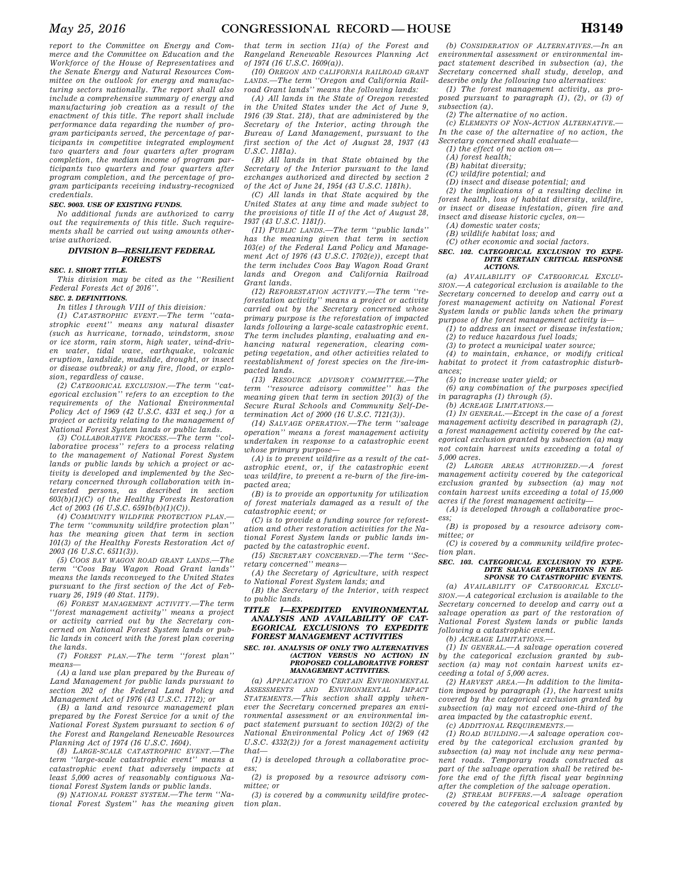*report to the Committee on Energy and Commerce and the Committee on Education and the Workforce of the House of Representatives and the Senate Energy and Natural Resources Committee on the outlook for energy and manufacturing sectors nationally. The report shall also include a comprehensive summary of energy and manufacturing job creation as a result of the enactment of this title. The report shall include performance data regarding the number of program participants served, the percentage of participants in competitive integrated employment two quarters and four quarters after program completion, the median income of program participants two quarters and four quarters after program completion, and the percentage of program participants receiving industry-recognized credentials.* 

#### *SEC. 9003. USE OF EXISTING FUNDS.*

*No additional funds are authorized to carry out the requirements of this title. Such requirements shall be carried out using amounts otherwise authorized.* 

#### *DIVISION B—RESILIENT FEDERAL FORESTS*

## *SEC. 1. SHORT TITLE.*

*This division may be cited as the ''Resilient Federal Forests Act of 2016''.* 

*SEC. 2. DEFINITIONS.* 

*In titles I through VIII of this division:* 

*(1) CATASTROPHIC EVENT.—The term ''catastrophic event'' means any natural disaster (such as hurricane, tornado, windstorm, snow or ice storm, rain storm, high water, wind-driven water, tidal wave, earthquake, volcanic eruption, landslide, mudslide, drought, or insect or disease outbreak) or any fire, flood, or explosion, regardless of cause.* 

*(2) CATEGORICAL EXCLUSION.—The term ''categorical exclusion'' refers to an exception to the requirements of the National Environmental Policy Act of 1969 (42 U.S.C. 4331 et seq.) for a project or activity relating to the management of National Forest System lands or public lands.* 

*(3) COLLABORATIVE PROCESS.—The term ''collaborative process'' refers to a process relating to the management of National Forest System lands or public lands by which a project or activity is developed and implemented by the Secretary concerned through collaboration with interested persons, as described in section 603(b)(1)(C) of the Healthy Forests Restoration Act of 2003 (16 U.S.C. 6591b(b)(1)(C)).* 

*(4) COMMUNITY WILDFIRE PROTECTION PLAN.— The term ''community wildfire protection plan'' has the meaning given that term in section 101(3) of the Healthy Forests Restoration Act of 2003 (16 U.S.C. 6511(3)).* 

*(5) COOS BAY WAGON ROAD GRANT LANDS.—The term ''Coos Bay Wagon Road Grant lands'' means the lands reconveyed to the United States pursuant to the first section of the Act of February 26, 1919 (40 Stat. 1179).* 

*(6) FOREST MANAGEMENT ACTIVITY.—The term ''forest management activity'' means a project or activity carried out by the Secretary concerned on National Forest System lands or public lands in concert with the forest plan covering the lands.* 

*(7) FOREST PLAN.—The term ''forest plan'' means—* 

*(A) a land use plan prepared by the Bureau of Land Management for public lands pursuant to section 202 of the Federal Land Policy and Management Act of 1976 (43 U.S.C. 1712); or* 

*(B) a land and resource management plan prepared by the Forest Service for a unit of the National Forest System pursuant to section 6 of the Forest and Rangeland Renewable Resources Planning Act of 1974 (16 U.S.C. 1604).* 

*(8) LARGE-SCALE CATASTROPHIC EVENT.—The term ''large-scale catastrophic event'' means a catastrophic event that adversely impacts at least 5,000 acres of reasonably contiguous National Forest System lands or public lands.* 

*(9) NATIONAL FOREST SYSTEM.—The term ''National Forest System'' has the meaning given* 

*that term in section 11(a) of the Forest and Rangeland Renewable Resources Planning Act of 1974 (16 U.S.C. 1609(a)).* 

*(10) OREGON AND CALIFORNIA RAILROAD GRANT LANDS.—The term ''Oregon and California Railroad Grant lands'' means the following lands:* 

*(A) All lands in the State of Oregon revested in the United States under the Act of June 9, 1916 (39 Stat. 218), that are administered by the Secretary of the Interior, acting through the Bureau of Land Management, pursuant to the first section of the Act of August 28, 1937 (43 U.S.C. 1181a).* 

*(B) All lands in that State obtained by the Secretary of the Interior pursuant to the land exchanges authorized and directed by section 2 of the Act of June 24, 1954 (43 U.S.C. 1181h).* 

*(C) All lands in that State acquired by the United States at any time and made subject to the provisions of title II of the Act of August 28, 1937 (43 U.S.C. 1181f).* 

*(11) PUBLIC LANDS.—The term ''public lands'' has the meaning given that term in section 103(e) of the Federal Land Policy and Management Act of 1976 (43 U.S.C. 1702(e)), except that the term includes Coos Bay Wagon Road Grant lands and Oregon and California Railroad Grant lands.* 

*(12) REFORESTATION ACTIVITY.—The term ''reforestation activity'' means a project or activity carried out by the Secretary concerned whose primary purpose is the reforestation of impacted lands following a large-scale catastrophic event. The term includes planting, evaluating and enhancing natural regeneration, clearing competing vegetation, and other activities related to reestablishment of forest species on the fire-impacted lands.* 

*(13) RESOURCE ADVISORY COMMITTEE.—The term ''resource advisory committee'' has the meaning given that term in section 201(3) of the Secure Rural Schools and Community Self-Determination Act of 2000 (16 U.S.C. 7121(3)).* 

*(14) SALVAGE OPERATION.—The term ''salvage operation'' means a forest management activity undertaken in response to a catastrophic event whose primary purpose—* 

*(A) is to prevent wildfire as a result of the catastrophic event, or, if the catastrophic event was wildfire, to prevent a re-burn of the fire-impacted area;* 

*(B) is to provide an opportunity for utilization of forest materials damaged as a result of the catastrophic event; or* 

*(C) is to provide a funding source for reforestation and other restoration activities for the National Forest System lands or public lands impacted by the catastrophic event.* 

*(15) SECRETARY CONCERNED.—The term ''Secretary concerned'' means—* 

*(A) the Secretary of Agriculture, with respect to National Forest System lands; and* 

*(B) the Secretary of the Interior, with respect to public lands.* 

#### *TITLE I—EXPEDITED ENVIRONMENTAL ANALYSIS AND AVAILABILITY OF CAT-EGORICAL EXCLUSIONS TO EXPEDITE FOREST MANAGEMENT ACTIVITIES*

# *SEC. 101. ANALYSIS OF ONLY TWO ALTERNATIVES (ACTION VERSUS NO ACTION) IN PROPOSED COLLABORATIVE FOREST MANAGEMENT ACTIVITIES.*

*(a) APPLICATION TO CERTAIN ENVIRONMENTAL ASSESSMENTS AND ENVIRONMENTAL IMPACT STATEMENTS.—This section shall apply whenever the Secretary concerned prepares an environmental assessment or an environmental impact statement pursuant to section 102(2) of the National Environmental Policy Act of 1969 (42 U.S.C. 4332(2)) for a forest management activity that—* 

*(1) is developed through a collaborative process;* 

*(2) is proposed by a resource advisory committee; or* 

*(3) is covered by a community wildfire protection plan.* 

*(b) CONSIDERATION OF ALTERNATIVES.—In an environmental assessment or environmental impact statement described in subsection (a), the Secretary concerned shall study, develop, and describe only the following two alternatives:* 

*(1) The forest management activity, as proposed pursuant to paragraph (1), (2), or (3) of subsection (a).* 

*(2) The alternative of no action.* 

*(c) ELEMENTS OF NON-ACTION ALTERNATIVE.—*  In the case of the alternative of no action, the *Secretary concerned shall evaluate—* 

*(1) the effect of no action on—* 

*(A) forest health;* 

*(B) habitat diversity;* 

*(C) wildfire potential; and* 

*(D) insect and disease potential; and* 

*(2) the implications of a resulting decline in forest health, loss of habitat diversity, wildfire, or insect or disease infestation, given fire and insect and disease historic cycles, on—* 

*(A) domestic water costs;* 

*(B) wildlife habitat loss; and* 

*(C) other economic and social factors.* 

#### *SEC. 102. CATEGORICAL EXCLUSION TO EXPE-DITE CERTAIN CRITICAL RESPONSE ACTIONS.*

*(a) AVAILABILITY OF CATEGORICAL EXCLU-SION.—A categorical exclusion is available to the Secretary concerned to develop and carry out a forest management activity on National Forest System lands or public lands when the primary purpose of the forest management activity is—* 

*(1) to address an insect or disease infestation; (2) to reduce hazardous fuel loads;* 

*(3) to protect a municipal water source;* 

*(4) to maintain, enhance, or modify critical habitat to protect it from catastrophic disturbances;* 

*(5) to increase water yield; or* 

*(6) any combination of the purposes specified in paragraphs (1) through (5).* 

*(b) ACREAGE LIMITATIONS.—* 

*(1) IN GENERAL.—Except in the case of a forest management activity described in paragraph (2), a forest management activity covered by the categorical exclusion granted by subsection (a) may not contain harvest units exceeding a total of 5,000 acres.* 

*(2) LARGER AREAS AUTHORIZED.—A forest management activity covered by the categorical exclusion granted by subsection (a) may not contain harvest units exceeding a total of 15,000 acres if the forest management activity—* 

*(A) is developed through a collaborative process;* 

*(B) is proposed by a resource advisory committee; or* 

*(C) is covered by a community wildfire protection plan.* 

*SEC. 103. CATEGORICAL EXCLUSION TO EXPE-DITE SALVAGE OPERATIONS IN RE-SPONSE TO CATASTROPHIC EVENTS.* 

*(a) AVAILABILITY OF CATEGORICAL EXCLU-SION.—A categorical exclusion is available to the Secretary concerned to develop and carry out a salvage operation as part of the restoration of National Forest System lands or public lands following a catastrophic event.* 

*(b) ACREAGE LIMITATIONS.—* 

*(1) IN GENERAL.—A salvage operation covered by the categorical exclusion granted by subsection (a) may not contain harvest units exceeding a total of 5,000 acres.* 

*(2) HARVEST AREA.—In addition to the limitation imposed by paragraph (1), the harvest units covered by the categorical exclusion granted by subsection (a) may not exceed one-third of the area impacted by the catastrophic event.* 

*(c) ADDITIONAL REQUIREMENTS.—* 

*(1) ROAD BUILDING.—A salvage operation covered by the categorical exclusion granted by subsection (a) may not include any new permanent roads. Temporary roads constructed as part of the salvage operation shall be retired before the end of the fifth fiscal year beginning after the completion of the salvage operation.* 

*(2) STREAM BUFFERS.—A salvage operation covered by the categorical exclusion granted by*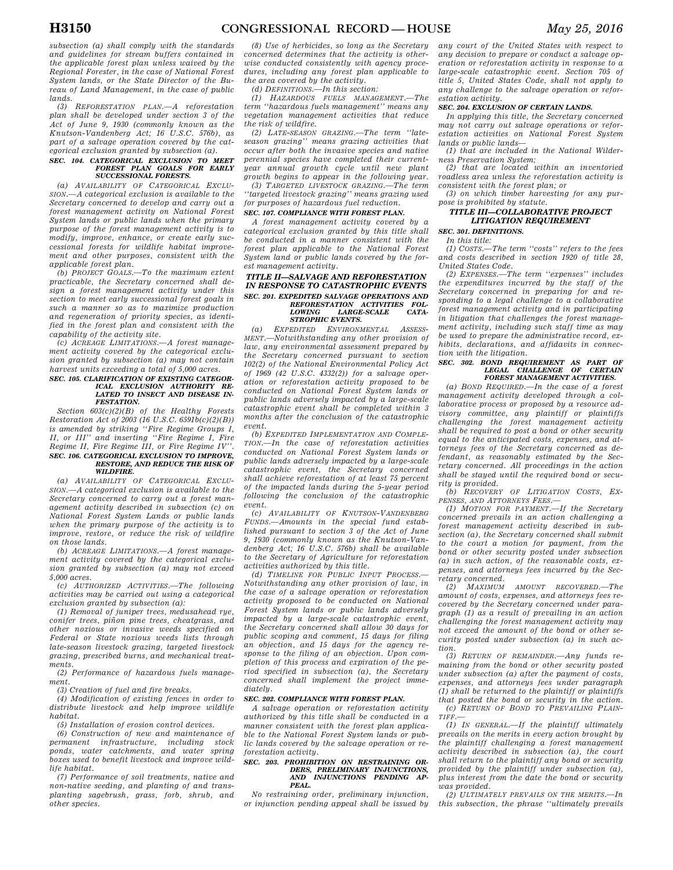*subsection (a) shall comply with the standards and guidelines for stream buffers contained in the applicable forest plan unless waived by the Regional Forester, in the case of National Forest System lands, or the State Director of the Bureau of Land Management, in the case of public lands.* 

*(3) REFORESTATION PLAN.—A reforestation plan shall be developed under section 3 of the Act of June 9, 1930 (commonly known as the Knutson-Vandenberg Act; 16 U.S.C. 576b), as part of a salvage operation covered by the categorical exclusion granted by subsection (a).* 

#### *SEC. 104. CATEGORICAL EXCLUSION TO MEET FOREST PLAN GOALS FOR EARLY SUCCESSIONAL FORESTS.*

*(a) AVAILABILITY OF CATEGORICAL EXCLU-SION.—A categorical exclusion is available to the Secretary concerned to develop and carry out a forest management activity on National Forest System lands or public lands when the primary purpose of the forest management activity is to modify, improve, enhance, or create early successional forests for wildlife habitat improvement and other purposes, consistent with the applicable forest plan.* 

*(b) PROJECT GOALS.—To the maximum extent practicable, the Secretary concerned shall design a forest management activity under this section to meet early successional forest goals in such a manner so as to maximize production and regeneration of priority species, as identified in the forest plan and consistent with the capability of the activity site.* 

*(c) ACREAGE LIMITATIONS.—A forest management activity covered by the categorical exclusion granted by subsection (a) may not contain harvest units exceeding a total of 5,000 acres.* 

#### *SEC. 105. CLARIFICATION OF EXISTING CATEGOR-ICAL EXCLUSION AUTHORITY RE-LATED TO INSECT AND DISEASE IN-FESTATION.*

*Section 603(c)(2)(B) of the Healthy Forests Restoration Act of 2003 (16 U.S.C. 6591b(c)(2)(B)) is amended by striking ''Fire Regime Groups I, II, or III'' and inserting ''Fire Regime I, Fire Regime II, Fire Regime III, or Fire Regime IV''. SEC. 106. CATEGORICAL EXCLUSION TO IMPROVE, RESTORE, AND REDUCE THE RISK OF WILDFIRE.* 

*(a) AVAILABILITY OF CATEGORICAL EXCLU-SION.—A categorical exclusion is available to the Secretary concerned to carry out a forest management activity described in subsection (c) on National Forest System Lands or public lands when the primary purpose of the activity is to improve, restore, or reduce the risk of wildfire on those lands.* 

*(b) ACREAGE LIMITATIONS.—A forest management activity covered by the categorical exclusion granted by subsection (a) may not exceed 5,000 acres.* 

*(c) AUTHORIZED ACTIVITIES.—The following activities may be carried out using a categorical exclusion granted by subsection (a):* 

*(1) Removal of juniper trees, medusahead rye, conifer trees, pinon pine trees, cheatgrass, and other noxious or invasive weeds specified on Federal or State noxious weeds lists through late-season livestock grazing, targeted livestock grazing, prescribed burns, and mechanical treatments.* 

*(2) Performance of hazardous fuels management.* 

*(3) Creation of fuel and fire breaks.* 

*(4) Modification of existing fences in order to distribute livestock and help improve wildlife habitat.* 

*(5) Installation of erosion control devices.* 

*(6) Construction of new and maintenance of permanent infrastructure, including stock ponds, water catchments, and water spring boxes used to benefit livestock and improve wildlife habitat.* 

*(7) Performance of soil treatments, native and non-native seeding, and planting of and transplanting sagebrush, grass, forb, shrub, and other species.* 

*(8) Use of herbicides, so long as the Secretary concerned determines that the activity is otherwise conducted consistently with agency procedures, including any forest plan applicable to the area covered by the activity.* 

*(d) DEFINITIONS.—In this section:* 

*(1) HAZARDOUS FUELS MANAGEMENT.—The term ''hazardous fuels management'' means any vegetation management activities that reduce the risk of wildfire.* 

*(2) LATE-SEASON GRAZING.—The term ''lateseason grazing'' means grazing activities that occur after both the invasive species and native perennial species have completed their currentyear annual growth cycle until new plant growth begins to appear in the following year.* 

*(3) TARGETED LIVESTOCK GRAZING.—The term ''targeted livestock grazing'' means grazing used for purposes of hazardous fuel reduction.* 

# *SEC. 107. COMPLIANCE WITH FOREST PLAN.*

*A forest management activity covered by a categorical exclusion granted by this title shall be conducted in a manner consistent with the forest plan applicable to the National Forest System land or public lands covered by the forest management activity.* 

#### *TITLE II—SALVAGE AND REFORESTATION IN RESPONSE TO CATASTROPHIC EVENTS SEC. 201. EXPEDITED SALVAGE OPERATIONS AND REFORESTATION ACTIVITIES FOL-* $LARGE-SCALE$ *STROPHIC EVENTS.*

*(a) EXPEDITED ENVIRONMENTAL ASSESS-MENT.—Notwithstanding any other provision of law, any environmental assessment prepared by the Secretary concerned pursuant to section 102(2) of the National Environmental Policy Act of 1969 (42 U.S.C. 4332(2)) for a salvage operation or reforestation activity proposed to be conducted on National Forest System lands or public lands adversely impacted by a large-scale catastrophic event shall be completed within 3 months after the conclusion of the catastrophic event.* 

*(b) EXPEDITED IMPLEMENTATION AND COMPLE-TION.—In the case of reforestation activities conducted on National Forest System lands or public lands adversely impacted by a large-scale catastrophic event, the Secretary concerned shall achieve reforestation of at least 75 percent of the impacted lands during the 5-year period following the conclusion of the catastrophic event.* 

*(c) AVAILABILITY OF KNUTSON-VANDENBERG FUNDS.—Amounts in the special fund established pursuant to section 3 of the Act of June 9, 1930 (commonly known as the Knutson-Vandenberg Act; 16 U.S.C. 576b) shall be available to the Secretary of Agriculture for reforestation activities authorized by this title.* 

*(d) TIMELINE FOR PUBLIC INPUT PROCESS.— Notwithstanding any other provision of law, in the case of a salvage operation or reforestation activity proposed to be conducted on National Forest System lands or public lands adversely impacted by a large-scale catastrophic event, the Secretary concerned shall allow 30 days for public scoping and comment, 15 days for filing an objection, and 15 days for the agency response to the filing of an objection. Upon completion of this process and expiration of the period specified in subsection (a), the Secretary concerned shall implement the project immediately.* 

#### *SEC. 202. COMPLIANCE WITH FOREST PLAN.*

*A salvage operation or reforestation activity authorized by this title shall be conducted in a manner consistent with the forest plan applicable to the National Forest System lands or public lands covered by the salvage operation or reforestation activity.* 

#### *SEC. 203. PROHIBITION ON RESTRAINING OR-DERS, PRELIMINARY INJUNCTIONS, AND INJUNCTIONS PENDING AP-PEAL.*

*No restraining order, preliminary injunction, or injunction pending appeal shall be issued by*  *any court of the United States with respect to any decision to prepare or conduct a salvage operation or reforestation activity in response to a large-scale catastrophic event. Section 705 of title 5, United States Code, shall not apply to any challenge to the salvage operation or reforestation activity.* 

## *SEC. 204. EXCLUSION OF CERTAIN LANDS.*

*In applying this title, the Secretary concerned may not carry out salvage operations or reforestation activities on National Forest System lands or public lands—* 

*(1) that are included in the National Wilderness Preservation System;* 

*(2) that are located within an inventoried roadless area unless the reforestation activity is consistent with the forest plan; or* 

*(3) on which timber harvesting for any purpose is prohibited by statute.* 

#### *TITLE III—COLLABORATIVE PROJECT LITIGATION REQUIREMENT*

## *SEC. 301. DEFINITIONS.*

*In this title:* 

*(1) COSTS.—The term ''costs'' refers to the fees and costs described in section 1920 of title 28, United States Code.* 

*(2) EXPENSES.—The term ''expenses'' includes the expenditures incurred by the staff of the Secretary concerned in preparing for and responding to a legal challenge to a collaborative forest management activity and in participating in litigation that challenges the forest management activity, including such staff time as may be used to prepare the administrative record, exhibits, declarations, and affidavits in connection with the litigation.* 

## *SEC. 302. BOND REQUIREMENT AS PART OF LEGAL CHALLENGE OF CERTAIN FOREST MANAGEMENT ACTIVITIES.*

*(a) BOND REQUIRED.—In the case of a forest management activity developed through a collaborative process or proposed by a resource advisory committee, any plaintiff or plaintiffs challenging the forest management activity shall be required to post a bond or other security equal to the anticipated costs, expenses, and attorneys fees of the Secretary concerned as defendant, as reasonably estimated by the Secretary concerned. All proceedings in the action shall be stayed until the required bond or security is provided.* 

*(b) RECOVERY OF LITIGATION COSTS, EX-*

*PENSES, AND ATTORNEYS FEES.— (1) MOTION FOR PAYMENT.—If the Secretary concerned prevails in an action challenging a forest management activity described in subsection (a), the Secretary concerned shall submit to the court a motion for payment, from the bond or other security posted under subsection (a) in such action, of the reasonable costs, expenses, and attorneys fees incurred by the Secretary concerned.* 

*(2) MAXIMUM AMOUNT RECOVERED.—The amount of costs, expenses, and attorneys fees recovered by the Secretary concerned under paragraph (1) as a result of prevailing in an action challenging the forest management activity may not exceed the amount of the bond or other security posted under subsection (a) in such action.* 

*(3) RETURN OF REMAINDER.—Any funds remaining from the bond or other security posted under subsection (a) after the payment of costs, expenses, and attorneys fees under paragraph (1) shall be returned to the plaintiff or plaintiffs that posted the bond or security in the action. (c) RETURN OF BOND TO PREVAILING PLAIN-TIFF.—* 

*(1) IN GENERAL.—If the plaintiff ultimately prevails on the merits in every action brought by the plaintiff challenging a forest management activity described in subsection (a), the court shall return to the plaintiff any bond or security provided by the plaintiff under subsection (a), plus interest from the date the bond or security was provided.* 

*(2) ULTIMATELY PREVAILS ON THE MERITS.—In this subsection, the phrase ''ultimately prevails*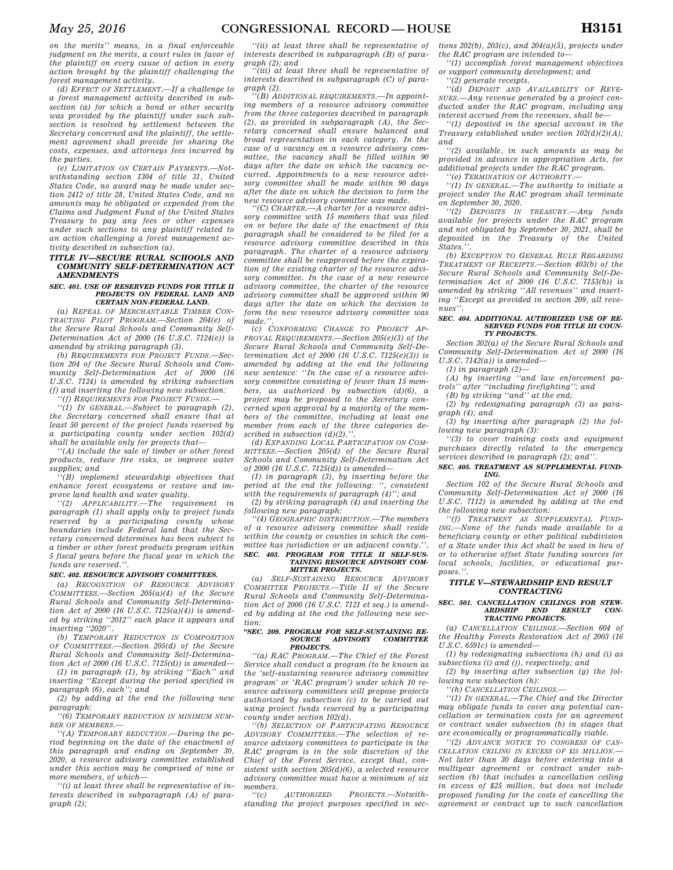*on the merits'' means, in a final enforceable judgment on the merits, a court rules in favor of the plaintiff on every cause of action in every action brought by the plaintiff challenging the forest management activity.* 

*(d) EFFECT OF SETTLEMENT.—If a challenge to a forest management activity described in subsection (a) for which a bond or other security was provided by the plaintiff under such subsection is resolved by settlement between the Secretary concerned and the plaintiff, the settlement agreement shall provide for sharing the costs, expenses, and attorneys fees incurred by the parties.* 

*(e) LIMITATION ON CERTAIN PAYMENTS.—Notwithstanding section 1304 of title 31, United States Code, no award may be made under section 2412 of title 28, United States Code, and no amounts may be obligated or expended from the Claims and Judgment Fund of the United States Treasury to pay any fees or other expenses under such sections to any plaintiff related to an action challenging a forest management activity described in subsection (a).* 

### *TITLE IV—SECURE RURAL SCHOOLS AND COMMUNITY SELF-DETERMINATION ACT AMENDMENTS*

#### *SEC. 401. USE OF RESERVED FUNDS FOR TITLE II PROJECTS ON FEDERAL LAND AND CERTAIN NON-FEDERAL LAND.*

*(a) REPEAL OF MERCHANTABLE TIMBER CON-TRACTING PILOT PROGRAM.—Section 204(e) of the Secure Rural Schools and Community Self-Determination Act of 2000 (16 U.S.C. 7124(e)) is amended by striking paragraph (3).* 

*(b) REQUIREMENTS FOR PROJECT FUNDS.—Section 204 of the Secure Rural Schools and Community Self-Determination Act of 2000 (16 U.S.C. 7124) is amended by striking subsection (f) and inserting the following new subsection: ''(f) REQUIREMENTS FOR PROJECT FUNDS.—* 

*''(1) IN GENERAL.—Subject to paragraph (2), the Secretary concerned shall ensure that at least 50 percent of the project funds reserved by a participating county under section 102(d) shall be available only for projects that—* 

*''(A) include the sale of timber or other forest products, reduce fire risks, or improve water supplies; and* 

*''(B) implement stewardship objectives that enhance forest ecosystems or restore and improve land health and water quality.* 

*''(2) APPLICABILITY.—The requirement in paragraph (1) shall apply only to project funds reserved by a participating county whose boundaries include Federal land that the Secretary concerned determines has been subject to a timber or other forest products program within 5 fiscal years before the fiscal year in which the funds are reserved.''.* 

#### *SEC. 402. RESOURCE ADVISORY COMMITTEES.*

*(a) RECOGNITION OF RESOURCE ADVISORY COMMITTEES.—Section 205(a)(4) of the Secure Rural Schools and Community Self-Determination Act of 2000 (16 U.S.C. 7125(a)(4)) is amended by striking ''2012'' each place it appears and inserting ''2020''.* 

*(b) TEMPORARY REDUCTION IN COMPOSITION OF COMMITTEES.—Section 205(d) of the Secure Rural Schools and Community Self-Determination Act of 2000 (16 U.S.C. 7125(d)) is amended— (1) in paragraph (1), by striking ''Each'' and* 

*inserting ''Except during the period specified in paragraph (6), each''; and (2) by adding at the end the following new* 

*paragraph:* 

*''(6) TEMPORARY REDUCTION IN MINIMUM NUM-BER OF MEMBERS.—* 

*''(A) TEMPORARY REDUCTION.—During the period beginning on the date of the enactment of this paragraph and ending on September 30, 2020, a resource advisory committee established under this section may be comprised of nine or more members, of which—* 

*''(i) at least three shall be representative of interests described in subparagraph (A) of paragraph (2);* 

*''(ii) at least three shall be representative of interests described in subparagraph (B) of paragraph (2); and* 

*''(iii) at least three shall be representative of interests described in subparagraph (C) of paragraph (2).* 

*''(B) ADDITIONAL REQUIREMENTS.—In appointing members of a resource advisory committee from the three categories described in paragraph (2), as provided in subparagraph (A), the Secretary concerned shall ensure balanced and broad representation in each category. In the case of a vacancy on a resource advisory committee, the vacancy shall be filled within 90 days after the date on which the vacancy occurred. Appointments to a new resource advisory committee shall be made within 90 days after the date on which the decision to form the new resource advisory committee was made.* 

*''(C) CHARTER.—A charter for a resource advisory committee with 15 members that was filed on or before the date of the enactment of this paragraph shall be considered to be filed for a resource advisory committee described in this paragraph. The charter of a resource advisory committee shall be reapproved before the expiration of the existing charter of the resource advisory committee. In the case of a new resource advisory committee, the charter of the resource advisory committee shall be approved within 90 days after the date on which the decision to form the new resource advisory committee was made.''.* 

*(c) CONFORMING CHANGE TO PROJECT AP-PROVAL REQUIREMENTS.—Section 205(e)(3) of the Secure Rural Schools and Community Self-Determination Act of 2000 (16 U.S.C. 7125(e)(3)) is amended by adding at the end the following new sentence: ''In the case of a resource advisory committee consisting of fewer than 15 members, as authorized by subsection (d)(6), a project may be proposed to the Secretary concerned upon approval by a majority of the members of the committee, including at least one member from each of the three categories described in subsection (d)(2).''.* 

*(d) EXPANDING LOCAL PARTICIPATION ON COM-MITTEES.—Section 205(d) of the Secure Rural Schools and Community Self-Determination Act of 2000 (16 U.S.C. 7125(d)) is amended—* 

*(1) in paragraph (3), by inserting before the period at the end the following: '', consistent with the requirements of paragraph (4)''; and* 

*(2) by striking paragraph (4) and inserting the following new paragraph:* 

*''(4) GEOGRAPHIC DISTRIBUTION.—The members of a resource advisory committee shall reside within the county or counties in which the committee has jurisdiction or an adjacent county.''. SEC. 403. PROGRAM FOR TITLE II SELF-SUS-TAINING RESOURCE ADVISORY COM-*

## *MITTEE PROJECTS.*

*(a) SELF-SUSTAINING RESOURCE ADVISORY COMMITTEE PROJECTS.—Title II of the Secure Rural Schools and Community Self-Determination Act of 2000 (16 U.S.C. 7121 et seq.) is amended by adding at the end the following new section:* 

## *''SEC. 209. PROGRAM FOR SELF-SUSTAINING RE-SOURCE ADVISORY COMMITTEE PROJECTS.*

*''(a) RAC PROGRAM.—The Chief of the Forest Service shall conduct a program (to be known as the 'self-sustaining resource advisory committee program' or 'RAC program') under which 10 resource advisory committees will propose projects authorized by subsection (c) to be carried out using project funds reserved by a participating county under section 102(d).* 

*''(b) SELECTION OF PARTICIPATING RESOURCE ADVISORY COMMITTEES.—The selection of resource advisory committees to participate in the RAC program is in the sole discretion of the Chief of the Forest Service, except that, consistent with section 205(d)(6), a selected resource advisory committee must have a minimum of six members.* 

 $AUTHORIZED$  *PROJECTS.*—*Notwithstanding the project purposes specified in sec-*

*tions 202(b), 203(c), and 204(a)(5), projects under the RAC program are intended to—* 

*''(1) accomplish forest management objectives or support community development; and* 

*''(2) generate receipts. ''(d) DEPOSIT AND AVAILABILITY OF REVE-*

*NUES.—Any revenue generated by a project conducted under the RAC program, including any interest accrued from the revenues, shall be—* 

*''(1) deposited in the special account in the Treasury established under section 102(d)(2)(A); and* 

*''(2) available, in such amounts as may be provided in advance in appropriation Acts, for additional projects under the RAC program.* 

*''(e) TERMINATION OF AUTHORITY.—* 

*''(1) IN GENERAL.—The authority to initiate a project under the RAC program shall terminate on September 30, 2020.* 

*''(2) DEPOSITS IN TREASURY.—Any funds available for projects under the RAC program and not obligated by September 30, 2021, shall be deposited in the Treasury of the United States.''.* 

*(b) EXCEPTION TO GENERAL RULE REGARDING TREATMENT OF RECEIPTS.—Section 403(b) of the Secure Rural Schools and Community Self-Determination Act of 2000 (16 U.S.C. 7153(b)) is amended by striking ''All revenues'' and inserting ''Except as provided in section 209, all revenues''.* 

#### *SEC. 404. ADDITIONAL AUTHORIZED USE OF RE-SERVED FUNDS FOR TITLE III COUN-TY PROJECTS.*

*Section 302(a) of the Secure Rural Schools and Community Self-Determination Act of 2000 (16 U.S.C. 7142(a)) is amended—* 

*(1) in paragraph (2)—* 

*(A) by inserting ''and law enforcement patrols'' after ''including firefighting''; and* 

*(B) by striking ''and'' at the end;* 

*(2) by redesignating paragraph (3) as paragraph (4); and* 

*(3) by inserting after paragraph (2) the following new paragraph (3):* 

*''(3) to cover training costs and equipment purchases directly related to the emergency services described in paragraph (2); and''.* 

#### *SEC. 405. TREATMENT AS SUPPLEMENTAL FUND-ING.*

*Section 102 of the Secure Rural Schools and Community Self-Determination Act of 2000 (16 U.S.C. 7112) is amended by adding at the end the following new subsection:* 

*''(f) TREATMENT AS SUPPLEMENTAL FUND-ING.—None of the funds made available to a beneficiary county or other political subdivision of a State under this Act shall be used in lieu of or to otherwise offset State funding sources for local schools, facilities, or educational pur* $posee$ "

#### *TITLE V—STEWARDSHIP END RESULT CONTRACTING*

## *SEC. 501. CANCELLATION CEILINGS FOR STEW-ARDSHIP END RESULT CON-TRACTING PROJECTS.*

*(a) CANCELLATION CEILINGS.—Section 604 of the Healthy Forests Restoration Act of 2003 (16 U.S.C. 6591c) is amended—* 

*(1) by redesignating subsections (h) and (i) as subsections (i) and (j), respectively; and* 

*(2) by inserting after subsection (g) the following new subsection (h):* 

*''(h) CANCELLATION CEILINGS.—* 

*''(1) IN GENERAL.—The Chief and the Director may obligate funds to cover any potential cancellation or termination costs for an agreement or contract under subsection (b) in stages that are economically or programmatically viable.* 

*''(2) ADVANCE NOTICE TO CONGRESS OF CAN-CELLATION CEILING IN EXCESS OF \$25 MILLION.— Not later than 30 days before entering into a multiyear agreement or contract under subsection (b) that includes a cancellation ceiling in excess of \$25 million, but does not include proposed funding for the costs of cancelling the agreement or contract up to such cancellation*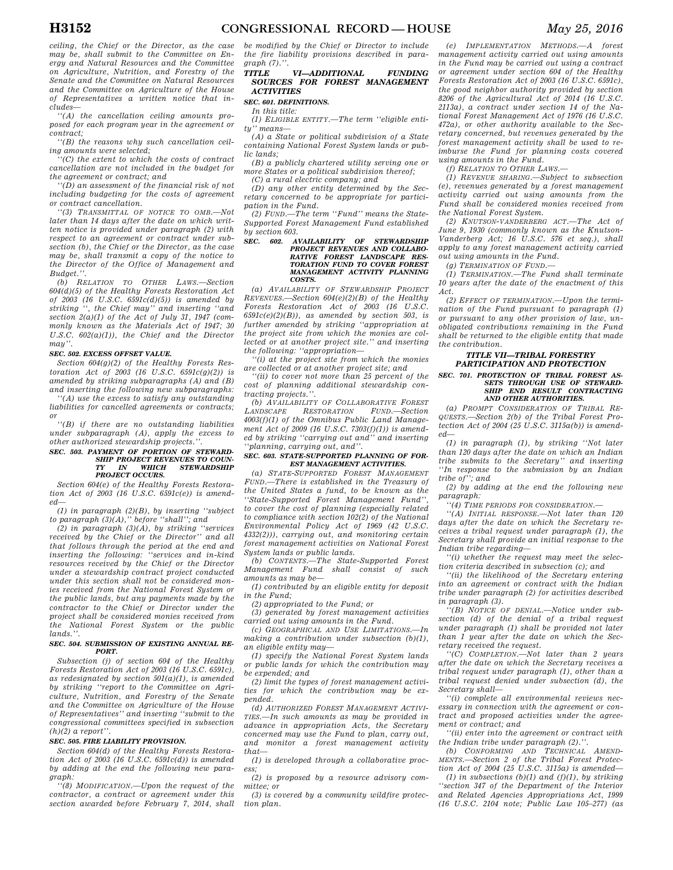*ceiling, the Chief or the Director, as the case may be, shall submit to the Committee on Energy and Natural Resources and the Committee on Agriculture, Nutrition, and Forestry of the Senate and the Committee on Natural Resources and the Committee on Agriculture of the House of Representatives a written notice that includes—* 

*''(A) the cancellation ceiling amounts proposed for each program year in the agreement or contract;* 

*''(B) the reasons why such cancellation ceiling amounts were selected;* 

*''(C) the extent to which the costs of contract cancellation are not included in the budget for the agreement or contract; and* 

*''(D) an assessment of the financial risk of not including budgeting for the costs of agreement or contract cancellation.* 

*''(3) TRANSMITTAL OF NOTICE TO OMB.—Not later than 14 days after the date on which written notice is provided under paragraph (2) with respect to an agreement or contract under subsection (b), the Chief or the Director, as the case may be, shall transmit a copy of the notice to the Director of the Office of Management and Budget.''.* 

*(b) RELATION TO OTHER LAWS.—Section 604(d)(5) of the Healthy Forests Restoration Act of 2003 (16 U.S.C. 6591c(d)(5)) is amended by striking '', the Chief may'' and inserting ''and section 2(a)(1) of the Act of July 31, 1947 (commonly known as the Materials Act of 1947; 30 U.S.C. 602(a)(1)), the Chief and the Director may''.* 

#### *SEC. 502. EXCESS OFFSET VALUE.*

*Section 604(g)(2) of the Healthy Forests Restoration Act of 2003 (16 U.S.C. 6591c(g)(2)) is amended by striking subparagraphs (A) and (B) and inserting the following new subparagraphs: ''(A) use the excess to satisfy any outstanding* 

*liabilities for cancelled agreements or contracts; or* 

*''(B) if there are no outstanding liabilities under subparagraph (A), apply the excess to other authorized stewardship projects.''.* 

## *SEC. 503. PAYMENT OF PORTION OF STEWARD-SHIP PROJECT REVENUES TO COUN-TY IN WHICH STEWARDSHIP PROJECT OCCURS.*

*Section 604(e) of the Healthy Forests Restoration Act of 2003 (16 U.S.C. 6591c(e)) is amended—* 

*(1) in paragraph (2)(B), by inserting ''subject to paragraph (3)(A),'' before ''shall''; and* 

*(2) in paragraph (3)(A), by striking ''services received by the Chief or the Director'' and all that follows through the period at the end and inserting the following: ''services and in-kind resources received by the Chief or the Director under a stewardship contract project conducted under this section shall not be considered monies received from the National Forest System or the public lands, but any payments made by the contractor to the Chief or Director under the project shall be considered monies received from the National Forest System or the public lands.''.* 

#### *SEC. 504. SUBMISSION OF EXISTING ANNUAL RE-PORT.*

*Subsection (j) of section 604 of the Healthy Forests Restoration Act of 2003 (16 U.S.C. 6591c), as redesignated by section 501(a)(1), is amended by striking ''report to the Committee on Agriculture, Nutrition, and Forestry of the Senate and the Committee on Agriculture of the House of Representatives'' and inserting ''submit to the congressional committees specified in subsection (h)(2) a report''.* 

#### *SEC. 505. FIRE LIABILITY PROVISION.*

*Section 604(d) of the Healthy Forests Restoration Act of 2003 (16 U.S.C. 6591c(d)) is amended by adding at the end the following new paragraph:* 

*''(8) MODIFICATION.—Upon the request of the contractor, a contract or agreement under this section awarded before February 7, 2014, shall* 

*be modified by the Chief or Director to include the fire liability provisions described in paragraph*  $(7)$ .'

#### *TITLE VI—ADDITIONAL FUNDING SOURCES FOR FOREST MANAGEMENT ACTIVITIES*

### *SEC. 601. DEFINITIONS.*

*In this title:* 

*(1) ELIGIBLE ENTITY.—The term ''eligible entity'' means—* 

*(A) a State or political subdivision of a State containing National Forest System lands or public lands;* 

*(B) a publicly chartered utility serving one or more States or a political subdivision thereof;* 

*(C) a rural electric company; and* 

*(D) any other entity determined by the Secretary concerned to be appropriate for participation in the Fund.* 

*(2) FUND.—The term ''Fund'' means the State-Supported Forest Management Fund established by section 603.* 

## *SEC. 602. AVAILABILITY OF STEWARDSHIP PROJECT REVENUES AND COLLABO-RATIVE FOREST LANDSCAPE RES-TORATION FUND TO COVER FOREST MANAGEMENT ACTIVITY PLANNING COSTS.*

*(a) AVAILABILITY OF STEWARDSHIP PROJECT REVENUES.—Section 604(e)(2)(B) of the Healthy Forests Restoration Act of 2003 (16 U.S.C. 6591c(e)(2)(B)), as amended by section 503, is further amended by striking ''appropriation at the project site from which the monies are collected or at another project site.'' and inserting the following: ''appropriation—* 

*''(i) at the project site from which the monies are collected or at another project site; and* 

*''(ii) to cover not more than 25 percent of the cost of planning additional stewardship contracting projects.''.* 

*(b) AVAILABILITY OF COLLABORATIVE FOREST LANDSCAPE RESTORATION FUND.—Section 4003(f)(1) of the Omnibus Public Land Management Act of 2009 (16 U.S.C. 7303(f)(1)) is amended by striking ''carrying out and'' and inserting ''planning, carrying out, and''.* 

#### *SEC. 603. STATE-SUPPORTED PLANNING OF FOR-EST MANAGEMENT ACTIVITIES.*

*(a) STATE-SUPPORTED FOREST MANAGEMENT FUND.—There is established in the Treasury of the United States a fund, to be known as the ''State-Supported Forest Management Fund'', to cover the cost of planning (especially related to compliance with section 102(2) of the National Environmental Policy Act of 1969 (42 U.S.C. 4332(2))), carrying out, and monitoring certain forest management activities on National Forest System lands or public lands.* 

*(b) CONTENTS.—The State-Supported Forest Management Fund shall consist of such amounts as may be—* 

*(1) contributed by an eligible entity for deposit in the Fund;* 

*(2) appropriated to the Fund; or* 

*(3) generated by forest management activities carried out using amounts in the Fund.* 

*(c) GEOGRAPHICAL AND USE LIMITATIONS.—In making a contribution under subsection (b)(1), an eligible entity may—* 

*(1) specify the National Forest System lands or public lands for which the contribution may be expended; and* 

*(2) limit the types of forest management activities for which the contribution may be expended.* 

*(d) AUTHORIZED FOREST MANAGEMENT ACTIVI-TIES.—In such amounts as may be provided in advance in appropriation Acts, the Secretary concerned may use the Fund to plan, carry out, and monitor a forest management activity that—* 

*(1) is developed through a collaborative process;* 

*(2) is proposed by a resource advisory committee; or* 

*(3) is covered by a community wildfire protection plan.* 

*(e) IMPLEMENTATION METHODS.—A forest management activity carried out using amounts in the Fund may be carried out using a contract or agreement under section 604 of the Healthy Forests Restoration Act of 2003 (16 U.S.C. 6591c), the good neighbor authority provided by section 8206 of the Agricultural Act of 2014 (16 U.S.C. 2113a), a contract under section 14 of the National Forest Management Act of 1976 (16 U.S.C. 472a), or other authority available to the Secretary concerned, but revenues generated by the forest management activity shall be used to reimburse the Fund for planning costs covered using amounts in the Fund.* 

*(f) RELATION TO OTHER LAWS.—* 

*(1) REVENUE SHARING.—Subject to subsection (e), revenues generated by a forest management activity carried out using amounts from the Fund shall be considered monies received from the National Forest System.* 

*(2) KNUTSON-VANDERBERG ACT.—The Act of June 9, 1930 (commonly known as the Knutson-Vanderberg Act; 16 U.S.C. 576 et seq.), shall apply to any forest management activity carried out using amounts in the Fund.* 

*(g) TERMINATION OF FUND.—* 

*(1) TERMINATION.—The Fund shall terminate 10 years after the date of the enactment of this Act.* 

*(2) EFFECT OF TERMINATION.—Upon the termination of the Fund pursuant to paragraph (1) or pursuant to any other provision of law, unobligated contributions remaining in the Fund shall be returned to the eligible entity that made the contribution.* 

## *TITLE VII—TRIBAL FORESTRY PARTICIPATION AND PROTECTION*

## *SEC. 701. PROTECTION OF TRIBAL FOREST AS-SETS THROUGH USE OF STEWARD-SHIP END RESULT CONTRACTING AND OTHER AUTHORITIES.*

*(a) PROMPT CONSIDERATION OF TRIBAL RE-QUESTS.—Section 2(b) of the Tribal Forest Protection Act of 2004 (25 U.S.C. 3115a(b)) is amended—* 

*(1) in paragraph (1), by striking ''Not later than 120 days after the date on which an Indian tribe submits to the Secretary'' and inserting ''In response to the submission by an Indian tribe of''; and* 

*(2) by adding at the end the following new paragraph:* 

*''(4) TIME PERIODS FOR CONSIDERATION.—* 

*''(A) INITIAL RESPONSE.—Not later than 120 days after the date on which the Secretary receives a tribal request under paragraph (1), the Secretary shall provide an initial response to the Indian tribe regarding—* 

*''(i) whether the request may meet the selection criteria described in subsection (c); and* 

*''(ii) the likelihood of the Secretary entering into an agreement or contract with the Indian tribe under paragraph (2) for activities described in paragraph (3).* 

*''(B) NOTICE OF DENIAL.—Notice under subsection (d) of the denial of a tribal request under paragraph (1) shall be provided not later than 1 year after the date on which the Secretary received the request.* 

*''(C) COMPLETION.—Not later than 2 years after the date on which the Secretary receives a tribal request under paragraph (1), other than a tribal request denied under subsection (d), the Secretary shall—* 

*''(i) complete all environmental reviews necessary in connection with the agreement or contract and proposed activities under the agreement or contract; and* 

*''(ii) enter into the agreement or contract with the Indian tribe under paragraph (2).''.* 

*(b) CONFORMING AND TECHNICAL AMEND-MENTS.—Section 2 of the Tribal Forest Protection Act of 2004 (25 U.S.C. 3115a) is amended—* 

*(1) in subsections (b)(1) and (f)(1), by striking ''section 347 of the Department of the Interior and Related Agencies Appropriations Act, 1999 (16 U.S.C. 2104 note; Public Law 105–277) (as*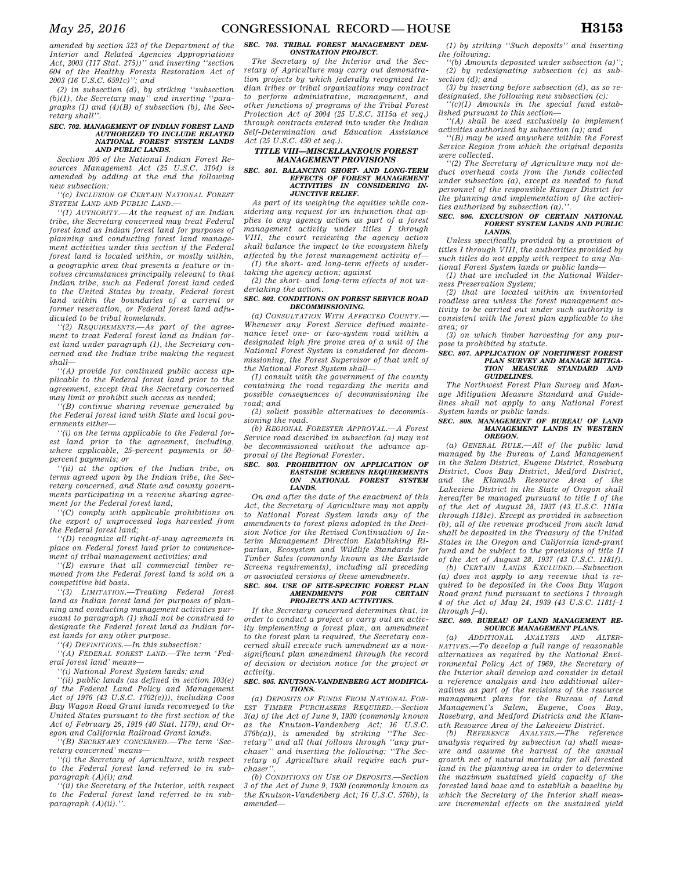*(2) in subsection (d), by striking ''subsection (b)(1), the Secretary may'' and inserting ''paragraphs (1) and (4)(B) of subsection (b), the Secretary shall''.* 

#### *SEC. 702. MANAGEMENT OF INDIAN FOREST LAND AUTHORIZED TO INCLUDE RELATED NATIONAL FOREST SYSTEM LANDS AND PUBLIC LANDS.*

*Section 305 of the National Indian Forest Resources Management Act (25 U.S.C. 3104) is amended by adding at the end the following new subsection:* 

*''(c) INCLUSION OF CERTAIN NATIONAL FOREST SYSTEM LAND AND PUBLIC LAND.—* 

*''(1) AUTHORITY.—At the request of an Indian tribe, the Secretary concerned may treat Federal forest land as Indian forest land for purposes of planning and conducting forest land management activities under this section if the Federal forest land is located within, or mostly within, a geographic area that presents a feature or involves circumstances principally relevant to that Indian tribe, such as Federal forest land ceded to the United States by treaty, Federal forest land within the boundaries of a current or former reservation, or Federal forest land adjudicated to be tribal homelands.* 

*''(2) REQUIREMENTS.—As part of the agreement to treat Federal forest land as Indian forest land under paragraph (1), the Secretary concerned and the Indian tribe making the request shall—* 

*''(A) provide for continued public access applicable to the Federal forest land prior to the agreement, except that the Secretary concerned may limit or prohibit such access as needed;* 

*''(B) continue sharing revenue generated by the Federal forest land with State and local governments either—* 

*''(i) on the terms applicable to the Federal forest land prior to the agreement, including, where applicable, 25-percent payments or 50 percent payments; or* 

*''(ii) at the option of the Indian tribe, on terms agreed upon by the Indian tribe, the Secretary concerned, and State and county governments participating in a revenue sharing agreement for the Federal forest land;* 

*''(C) comply with applicable prohibitions on the export of unprocessed logs harvested from the Federal forest land;* 

*''(D) recognize all right-of-way agreements in place on Federal forest land prior to commencement of tribal management activities; and* 

*''(E) ensure that all commercial timber removed from the Federal forest land is sold on a competitive bid basis.* 

*''(3) LIMITATION.—Treating Federal forest land as Indian forest land for purposes of planning and conducting management activities pursuant to paragraph (1) shall not be construed to designate the Federal forest land as Indian forest lands for any other purpose.* 

*''(4) DEFINITIONS.—In this subsection:* 

*''(A) FEDERAL FOREST LAND.—The term 'Federal forest land' means—* 

*''(i) National Forest System lands; and* 

*''(ii) public lands (as defined in section 103(e) of the Federal Land Policy and Management Act of 1976 (43 U.S.C. 1702(e))), including Coos Bay Wagon Road Grant lands reconveyed to the United States pursuant to the first section of the Act of February 26, 1919 (40 Stat. 1179), and Oregon and California Railroad Grant lands.* 

*''(B) SECRETARY CONCERNED.—The term 'Secretary concerned' means—* 

*''(i) the Secretary of Agriculture, with respect to the Federal forest land referred to in subparagraph (A)(i); and* 

*''(ii) the Secretary of the Interior, with respect to the Federal forest land referred to in subparagraph (A)(ii).''.* 

## *SEC. 703. TRIBAL FOREST MANAGEMENT DEM-ONSTRATION PROJECT.*

*The Secretary of the Interior and the Secretary of Agriculture may carry out demonstration projects by which federally recognized Indian tribes or tribal organizations may contract to perform administrative, management, and other functions of programs of the Tribal Forest Protection Act of 2004 (25 U.S.C. 3115a et seq.) through contracts entered into under the Indian Self-Determination and Education Assistance Act (25 U.S.C. 450 et seq.).* 

## *TITLE VIII—MISCELLANEOUS FOREST MANAGEMENT PROVISIONS*

#### *SEC. 801. BALANCING SHORT- AND LONG-TERM EFFECTS OF FOREST MANAGEMENT ACTIVITIES IN CONSIDERING IN-JUNCTIVE RELIEF.*

*As part of its weighing the equities while considering any request for an injunction that applies to any agency action as part of a forest management activity under titles I through VIII, the court reviewing the agency action shall balance the impact to the ecosystem likely affected by the forest management activity of— (1) the short- and long-term effects of under-*

*taking the agency action; against* 

*(2) the short- and long-term effects of not undertaking the action.* 

#### *SEC. 802. CONDITIONS ON FOREST SERVICE ROAD DECOMMISSIONING.*

*(a) CONSULTATION WITH AFFECTED COUNTY.— Whenever any Forest Service defined maintenance level one- or two-system road within a designated high fire prone area of a unit of the National Forest System is considered for decommissioning, the Forest Supervisor of that unit of the National Forest System shall—* 

*(1) consult with the government of the county containing the road regarding the merits and possible consequences of decommissioning the road; and* 

*(2) solicit possible alternatives to decommissioning the road.* 

*(b) REGIONAL FORESTER APPROVAL.—A Forest Service road described in subsection (a) may not be decommissioned without the advance approval of the Regional Forester.* 

#### *SEC. 803. PROHIBITION ON APPLICATION OF EASTSIDE SCREENS REQUIREMENTS*  **NATIONAL FOREST SYSTEM** *LANDS.*

*On and after the date of the enactment of this Act, the Secretary of Agriculture may not apply to National Forest System lands any of the amendments to forest plans adopted in the Decision Notice for the Revised Continuation of Interim Management Direction Establishing Riparian, Ecosystem and Wildlife Standards for Timber Sales (commonly known as the Eastside Screens requirements), including all preceding or associated versions of these amendments.* 

# *SEC. 804. USE OF SITE-SPECIFIC FOREST PLAN AMENDMENTS FOR CERTAIN PROJECTS AND ACTIVITIES.*

*If the Secretary concerned determines that, in order to conduct a project or carry out an activity implementing a forest plan, an amendment to the forest plan is required, the Secretary concerned shall execute such amendment as a nonsignificant plan amendment through the record of decision or decision notice for the project or activity.* 

## *SEC. 805. KNUTSON-VANDENBERG ACT MODIFICA-TIONS.*

*(a) DEPOSITS OF FUNDS FROM NATIONAL FOR-EST TIMBER PURCHASERS REQUIRED.—Section 3(a) of the Act of June 9, 1930 (commonly known as the Knutson-Vandenberg Act; 16 U.S.C. 576b(a)), is amended by striking ''The Secretary'' and all that follows through ''any purchaser'' and inserting the following: ''The Secretary of Agriculture shall require each purchaser''.* 

*(b) CONDITIONS ON USE OF DEPOSITS.—Section 3 of the Act of June 9, 1930 (commonly known as the Knutson-Vandenberg Act; 16 U.S.C. 576b), is amended—* 

*(1) by striking ''Such deposits'' and inserting the following:* 

*''(b) Amounts deposited under subsection (a)''; (2) by redesignating subsection (c) as subsection (d); and* 

*(3) by inserting before subsection (d), as so redesignated, the following new subsection (c):* 

*''(c)(1) Amounts in the special fund established pursuant to this section—* 

*''(A) shall be used exclusively to implement activities authorized by subsection (a); and* 

*''(B) may be used anywhere within the Forest Service Region from which the original deposits were collected.* 

*''(2) The Secretary of Agriculture may not deduct overhead costs from the funds collected under subsection (a), except as needed to fund personnel of the responsible Ranger District for the planning and implementation of the activities authorized by subsection (a).''.* 

# *SEC. 806. EXCLUSION OF CERTAIN NATIONAL FOREST SYSTEM LANDS AND PUBLIC LANDS.*

*Unless specifically provided by a provision of titles I through VIII, the authorities provided by such titles do not apply with respect to any National Forest System lands or public lands—* 

*(1) that are included in the National Wilderness Preservation System;* 

*(2) that are located within an inventoried roadless area unless the forest management activity to be carried out under such authority is consistent with the forest plan applicable to the area; or* 

*(3) on which timber harvesting for any purpose is prohibited by statute.* 

#### *SEC. 807. APPLICATION OF NORTHWEST FOREST PLAN SURVEY AND MANAGE MITIGA-TION MEASURE STANDARD AND GUIDELINES.*

*The Northwest Forest Plan Survey and Manage Mitigation Measure Standard and Guidelines shall not apply to any National Forest System lands or public lands.* 

#### *SEC. 808. MANAGEMENT OF BUREAU OF LAND MANAGEMENT LANDS IN WESTERN OREGON.*

*(a) GENERAL RULE.—All of the public land managed by the Bureau of Land Management in the Salem District, Eugene District, Roseburg District, Coos Bay District, Medford District, and the Klamath Resource Area of the Lakeview District in the State of Oregon shall hereafter be managed pursuant to title I of the of the Act of August 28, 1937 (43 U.S.C. 1181a through 1181e). Except as provided in subsection (b), all of the revenue produced from such land shall be deposited in the Treasury of the United States in the Oregon and California land-grant fund and be subject to the provisions of title II of the Act of August 28, 1937 (43 U.S.C. 1181f).* 

*(b) CERTAIN LANDS EXCLUDED.—Subsection (a) does not apply to any revenue that is required to be deposited in the Coos Bay Wagon Road grant fund pursuant to sections 1 through 4 of the Act of May 24, 1939 (43 U.S.C. 1181f–1 through f–4).* 

## *SEC. 809. BUREAU OF LAND MANAGEMENT RE-SOURCE MANAGEMENT PLANS.*

*(a) ADDITIONAL ANALYSIS AND ALTER-NATIVES.—To develop a full range of reasonable alternatives as required by the National Environmental Policy Act of 1969, the Secretary of the Interior shall develop and consider in detail a reference analysis and two additional alternatives as part of the revisions of the resource management plans for the Bureau of Land Management's Salem, Eugene, Coos Bay, Roseburg, and Medford Districts and the Klamath Resource Area of the Lakeview District.* 

*(b) REFERENCE ANALYSIS.—The reference analysis required by subsection (a) shall measure and assume the harvest of the annual growth net of natural mortality for all forested land in the planning area in order to determine the maximum sustained yield capacity of the forested land base and to establish a baseline by which the Secretary of the Interior shall measure incremental effects on the sustained yield*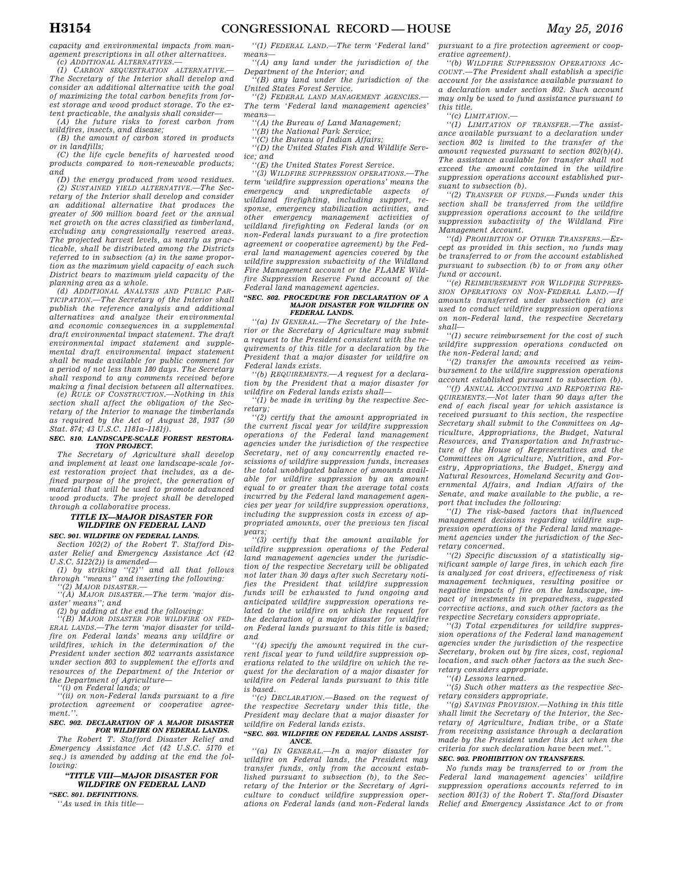*capacity and environmental impacts from management prescriptions in all other alternatives.* 

*(c) ADDITIONAL ALTERNATIVES.— (1) CARBON SEQUESTRATION ALTERNATIVE.— The Secretary of the Interior shall develop and consider an additional alternative with the goal of maximizing the total carbon benefits from forest storage and wood product storage. To the extent practicable, the analysis shall consider—* 

*(A) the future risks to forest carbon from wildfires, insects, and disease;* 

*(B) the amount of carbon stored in products or in landfills;* 

*(C) the life cycle benefits of harvested wood products compared to non-renewable products; and* 

*(D) the energy produced from wood residues. (2) SUSTAINED YIELD ALTERNATIVE.—The Secretary of the Interior shall develop and consider an additional alternative that produces the greater of 500 million board feet or the annual net growth on the acres classified as timberland, excluding any congressionally reserved areas. The projected harvest levels, as nearly as practicable, shall be distributed among the Districts referred to in subsection (a) in the same proportion as the maximum yield capacity of each such District bears to maximum yield capacity of the planning area as a whole.* 

*(d) ADDITIONAL ANALYSIS AND PUBLIC PAR-TICIPATION.—The Secretary of the Interior shall publish the reference analysis and additional alternatives and analyze their environmental and economic consequences in a supplemental draft environmental impact statement. The draft environmental impact statement and supplemental draft environmental impact statement shall be made available for public comment for a period of not less than 180 days. The Secretary shall respond to any comments received before making a final decision between all alternatives.* 

*(e) RULE OF CONSTRUCTION.—Nothing in this section shall affect the obligation of the Secretary of the Interior to manage the timberlands as required by the Act of August 28, 1937 (50 Stat. 874; 43 U.S.C. 1181a–1181j).* 

#### *SEC. 810. LANDSCAPE-SCALE FOREST RESTORA-TION PROJECT.*

*The Secretary of Agriculture shall develop and implement at least one landscape-scale forest restoration project that includes, as a defined purpose of the project, the generation of material that will be used to promote advanced wood products. The project shall be developed through a collaborative process.* 

## *TITLE IX—MAJOR DISASTER FOR WILDFIRE ON FEDERAL LAND*

*SEC. 901. WILDFIRE ON FEDERAL LANDS.* 

*Section 102(2) of the Robert T. Stafford Disaster Relief and Emergency Assistance Act (42 U.S.C. 5122(2)) is amended—* 

*(1) by striking ''(2)'' and all that follows through ''means'' and inserting the following: ''(2) MAJOR DISASTER.—* 

*''(A) MAJOR DISASTER.—The term 'major disaster' means''; and* 

*(2) by adding at the end the following:* 

*''(B) MAJOR DISASTER FOR WILDFIRE ON FED-ERAL LANDS.—The term 'major disaster for wildfire on Federal lands' means any wildfire or wildfires, which in the determination of the President under section 802 warrants assistance under section 803 to supplement the efforts and resources of the Department of the Interior or the Department of Agriculture— ''(i) on Federal lands; or* 

*''(ii) on non-Federal lands pursuant to a fire protection agreement or cooperative agreement.''.* 

## *SEC. 902. DECLARATION OF A MAJOR DISASTER*

*FOR WILDFIRE ON FEDERAL LANDS. The Robert T. Stafford Disaster Relief and Emergency Assistance Act (42 U.S.C. 5170 et seq.) is amended by adding at the end the following:* 

## *''TITLE VIII—MAJOR DISASTER FOR WILDFIRE ON FEDERAL LAND*

*''SEC. 801. DEFINITIONS. ''As used in this title—* 

*''(1) FEDERAL LAND.—The term 'Federal land' means— ''(A) any land under the jurisdiction of the* 

*Department of the Interior; and ''(B) any land under the jurisdiction of the* 

*United States Forest Service. ''(2) FEDERAL LAND MANAGEMENT AGENCIES.—* 

*The term 'Federal land management agencies' means—* 

*''(A) the Bureau of Land Management;* 

*''(B) the National Park Service;* 

*''(C) the Bureau of Indian Affairs; ''(D) the United States Fish and Wildlife Serv-*

*ice; and* 

*''(E) the United States Forest Service.* 

*''(3) WILDFIRE SUPPRESSION OPERATIONS.—The term 'wildfire suppression operations' means the emergency and unpredictable aspects of wildland firefighting, including support, response, emergency stabilization activities, and other emergency management activities of wildland firefighting on Federal lands (or on non-Federal lands pursuant to a fire protection agreement or cooperative agreement) by the Federal land management agencies covered by the wildfire suppression subactivity of the Wildland Fire Management account or the FLAME Wildfire Suppression Reserve Fund account of the Federal land management agencies.* 

## *''SEC. 802. PROCEDURE FOR DECLARATION OF A MAJOR DISASTER FOR WILDFIRE ON FEDERAL LANDS.*

*''(a) IN GENERAL.—The Secretary of the Interior or the Secretary of Agriculture may submit a request to the President consistent with the requirements of this title for a declaration by the President that a major disaster for wildfire on Federal lands exists.* 

*''(b) REQUIREMENTS.—A request for a declaration by the President that a major disaster for wildfire on Federal lands exists shall—* 

*''(1) be made in writing by the respective Secretary;* 

*''(2) certify that the amount appropriated in the current fiscal year for wildfire suppression operations of the Federal land management agencies under the jurisdiction of the respective Secretary, net of any concurrently enacted rescissions of wildfire suppression funds, increases the total unobligated balance of amounts available for wildfire suppression by an amount equal to or greater than the average total costs incurred by the Federal land management agencies per year for wildfire suppression operations, including the suppression costs in excess of appropriated amounts, over the previous ten fiscal years;* 

*''(3) certify that the amount available for wildfire suppression operations of the Federal land management agencies under the jurisdiction of the respective Secretary will be obligated not later than 30 days after such Secretary notifies the President that wildfire suppression funds will be exhausted to fund ongoing and anticipated wildfire suppression operations related to the wildfire on which the request for the declaration of a major disaster for wildfire on Federal lands pursuant to this title is based; and* 

*''(4) specify the amount required in the current fiscal year to fund wildfire suppression operations related to the wildfire on which the request for the declaration of a major disaster for wildfire on Federal lands pursuant to this title is based.* 

*''(c) DECLARATION.—Based on the request of the respective Secretary under this title, the President may declare that a major disaster for wildfire on Federal lands exists.* 

#### *''SEC. 803. WILDFIRE ON FEDERAL LANDS ASSIST-ANCE.*

*''(a) IN GENERAL.—In a major disaster for wildfire on Federal lands, the President may transfer funds, only from the account established pursuant to subsection (b), to the Secretary of the Interior or the Secretary of Agriculture to conduct wildfire suppression operations on Federal lands (and non-Federal lands*  *pursuant to a fire protection agreement or cooperative agreement).* 

*''(b) WILDFIRE SUPPRESSION OPERATIONS AC-COUNT.—The President shall establish a specific account for the assistance available pursuant to a declaration under section 802. Such account may only be used to fund assistance pursuant to this title.* 

*''(c) LIMITATION.—* 

*''(1) LIMITATION OF TRANSFER.—The assistance available pursuant to a declaration under section 802 is limited to the transfer of the amount requested pursuant to section 802(b)(4). The assistance available for transfer shall not exceed the amount contained in the wildfire suppression operations account established pursuant to subsection (b).* 

*''(2) TRANSFER OF FUNDS.—Funds under this section shall be transferred from the wildfire suppression operations account to the wildfire suppression subactivity of the Wildland Fire Management Account.* 

*''(d) PROHIBITION OF OTHER TRANSFERS.—Except as provided in this section, no funds may be transferred to or from the account established pursuant to subsection (b) to or from any other fund or account.* 

*''(e) REIMBURSEMENT FOR WILDFIRE SUPPRES-SION OPERATIONS ON NON-FEDERAL LAND.—If amounts transferred under subsection (c) are used to conduct wildfire suppression operations on non-Federal land, the respective Secretary shall—* 

*''(1) secure reimbursement for the cost of such wildfire suppression operations conducted on the non-Federal land; and* 

*''(2) transfer the amounts received as reimbursement to the wildfire suppression operations account established pursuant to subsection (b).* 

*''(f) ANNUAL ACCOUNTING AND REPORTING RE-QUIREMENTS.—Not later than 90 days after the end of each fiscal year for which assistance is received pursuant to this section, the respective Secretary shall submit to the Committees on Agriculture, Appropriations, the Budget, Natural Resources, and Transportation and Infrastructure of the House of Representatives and the Committees on Agriculture, Nutrition, and Forestry, Appropriations, the Budget, Energy and Natural Resources, Homeland Security and Governmental Affairs, and Indian Affairs of the Senate, and make available to the public, a report that includes the following:* 

*''(1) The risk-based factors that influenced management decisions regarding wildfire suppression operations of the Federal land management agencies under the jurisdiction of the Secretary concerned.* 

*''(2) Specific discussion of a statistically significant sample of large fires, in which each fire is analyzed for cost drivers, effectiveness of risk management techniques, resulting positive or negative impacts of fire on the landscape, impact of investments in preparedness, suggested corrective actions, and such other factors as the respective Secretary considers appropriate.* 

*''(3) Total expenditures for wildfire suppression operations of the Federal land management agencies under the jurisdiction of the respective Secretary, broken out by fire sizes, cost, regional location, and such other factors as the such Secretary considers appropriate.* 

*''(4) Lessons learned.* 

*''(5) Such other matters as the respective Secretary considers appropriate.* 

*''(g) SAVINGS PROVISION.—Nothing in this title shall limit the Secretary of the Interior, the Secretary of Agriculture, Indian tribe, or a State from receiving assistance through a declaration made by the President under this Act when the criteria for such declaration have been met.''.* 

## *SEC. 903. PROHIBITION ON TRANSFERS.*

*No funds may be transferred to or from the Federal land management agencies' wildfire suppression operations accounts referred to in section 801(3) of the Robert T. Stafford Disaster Relief and Emergency Assistance Act to or from*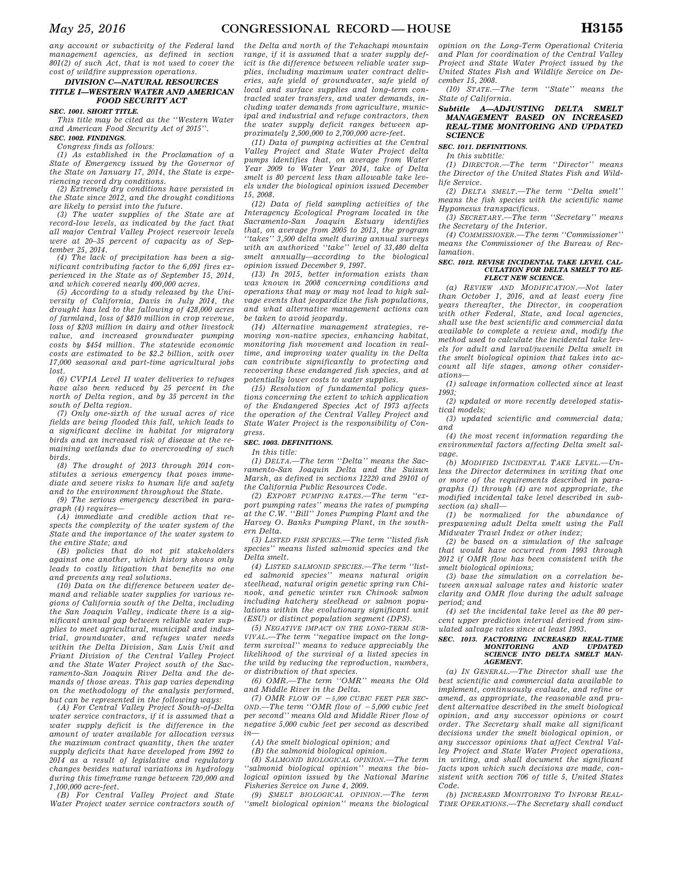*any account or subactivity of the Federal land management agencies, as defined in section 801(2) of such Act, that is not used to cover the cost of wildfire suppression operations.* 

## *DIVISION C—NATURAL RESOURCES TITLE I—WESTERN WATER AND AMERICAN FOOD SECURITY ACT*

*SEC. 1001. SHORT TITLE.* 

*This title may be cited as the ''Western Water and American Food Security Act of 2015''. SEC. 1002. FINDINGS.* 

*Congress finds as follows: (1) As established in the Proclamation of a State of Emergency issued by the Governor of the State on January 17, 2014, the State is experiencing record dry conditions.* 

*(2) Extremely dry conditions have persisted in the State since 2012, and the drought conditions are likely to persist into the future.* 

*(3) The water supplies of the State are at record-low levels, as indicated by the fact that all major Central Valley Project reservoir levels were at 20–35 percent of capacity as of September 25, 2014.* 

*(4) The lack of precipitation has been a significant contributing factor to the 6,091 fires experienced in the State as of September 15, 2014, and which covered nearly 400,000 acres.* 

*(5) According to a study released by the University of California, Davis in July 2014, the drought has led to the fallowing of 428,000 acres of farmland, loss of \$810 million in crop revenue, loss of \$203 million in dairy and other livestock value, and increased groundwater pumping costs by \$454 million. The statewide economic costs are estimated to be \$2.2 billion, with over 17,000 seasonal and part-time agricultural jobs lost.* 

*(6) CVPIA Level II water deliveries to refuges have also been reduced by 25 percent in the north of Delta region, and by 35 percent in the south of Delta region.* 

*(7) Only one-sixth of the usual acres of rice fields are being flooded this fall, which leads to a significant decline in habitat for migratory birds and an increased risk of disease at the remaining wetlands due to overcrowding of such birds.* 

*(8) The drought of 2013 through 2014 constitutes a serious emergency that poses immediate and severe risks to human life and safety and to the environment throughout the State.* 

*(9) The serious emergency described in paragraph (4) requires—* 

*(A) immediate and credible action that respects the complexity of the water system of the State and the importance of the water system to the entire State; and* 

*(B) policies that do not pit stakeholders against one another, which history shows only leads to costly litigation that benefits no one and prevents any real solutions.* 

*(10) Data on the difference between water demand and reliable water supplies for various regions of California south of the Delta, including the San Joaquin Valley, indicate there is a significant annual gap between reliable water supplies to meet agricultural, municipal and industrial, groundwater, and refuges water needs within the Delta Division, San Luis Unit and Friant Division of the Central Valley Project and the State Water Project south of the Sacramento-San Joaquin River Delta and the demands of those areas. This gap varies depending on the methodology of the analysis performed, but can be represented in the following ways:* 

*(A) For Central Valley Project South-of-Delta water service contractors, if it is assumed that a water supply deficit is the difference in the amount of water available for allocation versus the maximum contract quantity, then the water supply deficits that have developed from 1992 to 2014 as a result of legislative and regulatory changes besides natural variations in hydrology during this timeframe range between 720,000 and 1,100,000 acre-feet.* 

*(B) For Central Valley Project and State Water Project water service contractors south of* 

*the Delta and north of the Tehachapi mountain range, if it is assumed that a water supply deficit is the difference between reliable water supplies, including maximum water contract deliveries, safe yield of groundwater, safe yield of local and surface supplies and long-term contracted water transfers, and water demands, including water demands from agriculture, municipal and industrial and refuge contractors, then the water supply deficit ranges between approximately 2,500,000 to 2,700,000 acre-feet.* 

*(11) Data of pumping activities at the Central Valley Project and State Water Project delta pumps identifies that, on average from Water Year 2009 to Water Year 2014, take of Delta smelt is 80 percent less than allowable take levels under the biological opinion issued December 15, 2008.* 

*(12) Data of field sampling activities of the Interagency Ecological Program located in the Sacramento-San Joaquin Estuary identifies that, on average from 2005 to 2013, the program ''takes'' 3,500 delta smelt during annual surveys with an authorized ''take'' level of 33,480 delta smelt annually—according to the biological opinion issued December 9, 1997.* 

*(13) In 2015, better information exists than was known in 2008 concerning conditions and operations that may or may not lead to high salvage events that jeopardize the fish populations, and what alternative management actions can be taken to avoid jeopardy.* 

*(14) Alternative management strategies, removing non-native species, enhancing habitat, monitoring fish movement and location in realtime, and improving water quality in the Delta can contribute significantly to protecting and recovering these endangered fish species, and at potentially lower costs to water supplies.* 

*(15) Resolution of fundamental policy questions concerning the extent to which application of the Endangered Species Act of 1973 affects the operation of the Central Valley Project and State Water Project is the responsibility of Congress.* 

### *SEC. 1003. DEFINITIONS.*

*In this title:* 

*(1) DELTA.—The term ''Delta'' means the Sacramento-San Joaquin Delta and the Suisun Marsh, as defined in sections 12220 and 29101 of the California Public Resources Code.* 

*(2) EXPORT PUMPING RATES.—The term ''export pumping rates'' means the rates of pumping at the C.W. ''Bill'' Jones Pumping Plant and the Harvey O. Banks Pumping Plant, in the southern Delta.* 

*(3) LISTED FISH SPECIES.—The term ''listed fish species'' means listed salmonid species and the Delta smelt.* 

*(4) LISTED SALMONID SPECIES.—The term ''listed salmonid species'' means natural origin steelhead, natural origin genetic spring run Chinook, and genetic winter run Chinook salmon including hatchery steelhead or salmon populations within the evolutionary significant unit (ESU) or distinct population segment (DPS).* 

*(5) NEGATIVE IMPACT ON THE LONG-TERM SUR-VIVAL.—The term ''negative impact on the longterm survival'' means to reduce appreciably the likelihood of the survival of a listed species in the wild by reducing the reproduction, numbers, or distribution of that species.* 

*(6) OMR.—The term ''OMR'' means the Old and Middle River in the Delta.* 

 $(7)$  *OMR FLOW OF*  $-5,000$  *CUBIC FEET PER SEC-* $OND$ —The term "OMR flow of  $-5,000$  cubic feet *per second'' means Old and Middle River flow of negative 5,000 cubic feet per second as described*   $in$ 

*(A) the smelt biological opinion; and* 

*(B) the salmonid biological opinion.* 

*(8) SALMONID BIOLOGICAL OPINION.—The term ''salmonid biological opinion'' means the biological opinion issued by the National Marine Fisheries Service on June 4, 2009.* 

*(9) SMELT BIOLOGICAL OPINION.—The term ''smelt biological opinion'' means the biological* 

*opinion on the Long-Term Operational Criteria and Plan for coordination of the Central Valley Project and State Water Project issued by the United States Fish and Wildlife Service on December 15, 2008.* 

*(10) STATE.—The term ''State'' means the State of California.* 

## *Subtitle A—ADJUSTING DELTA SMELT MANAGEMENT BASED ON INCREASED REAL-TIME MONITORING AND UPDATED SCIENCE*

*SEC. 1011. DEFINITIONS.* 

*In this subtitle:* 

*(1) DIRECTOR.—The term ''Director'' means the Director of the United States Fish and Wildlife Service.* 

*(2) DELTA SMELT.—The term ''Delta smelt'' means the fish species with the scientific name Hypomesus transpacificus.* 

*(3) SECRETARY.—The term ''Secretary'' means the Secretary of the Interior.* 

*(4) COMMISSIONER.—The term ''Commissioner'' means the Commissioner of the Bureau of Reclamation.* 

#### *SEC. 1012. REVISE INCIDENTAL TAKE LEVEL CAL-CULATION FOR DELTA SMELT TO RE-FLECT NEW SCIENCE.*

*(a) REVIEW AND MODIFICATION.—Not later than October 1, 2016, and at least every five years thereafter, the Director, in cooperation with other Federal, State, and local agencies, shall use the best scientific and commercial data available to complete a review and, modify the method used to calculate the incidental take levels for adult and larval/juvenile Delta smelt in the smelt biological opinion that takes into account all life stages, among other considerations—* 

*(1) salvage information collected since at least 1993;* 

*(2) updated or more recently developed statistical models;* 

*(3) updated scientific and commercial data; and* 

*(4) the most recent information regarding the environmental factors affecting Delta smelt salvage.* 

*(b) MODIFIED INCIDENTAL TAKE LEVEL.—Unless the Director determines in writing that one or more of the requirements described in paragraphs (1) through (4) are not appropriate, the modified incidental take level described in subsection (a) shall—* 

*(1) be normalized for the abundance of prespawning adult Delta smelt using the Fall Midwater Trawl Index or other index;* 

*(2) be based on a simulation of the salvage that would have occurred from 1993 through 2012 if OMR flow has been consistent with the smelt biological opinions;* 

*(3) base the simulation on a correlation between annual salvage rates and historic water clarity and OMR flow during the adult salvage period; and* 

*(4) set the incidental take level as the 80 percent upper prediction interval derived from simulated salvage rates since at least 1993.* 

# *SEC. 1013. FACTORING INCREASED REAL-TIME MONITORING AND UPDATED SCIENCE INTO DELTA SMELT MAN-AGEMENT.*

*(a) IN GENERAL.—The Director shall use the best scientific and commercial data available to implement, continuously evaluate, and refine or amend, as appropriate, the reasonable and prudent alternative described in the smelt biological opinion, and any successor opinions or court order. The Secretary shall make all significant decisions under the smelt biological opinion, or any successor opinions that affect Central Valley Project and State Water Project operations, in writing, and shall document the significant facts upon which such decisions are made, consistent with section 706 of title 5, United States Code.* 

*(b) INCREASED MONITORING TO INFORM REAL-TIME OPERATIONS.—The Secretary shall conduct*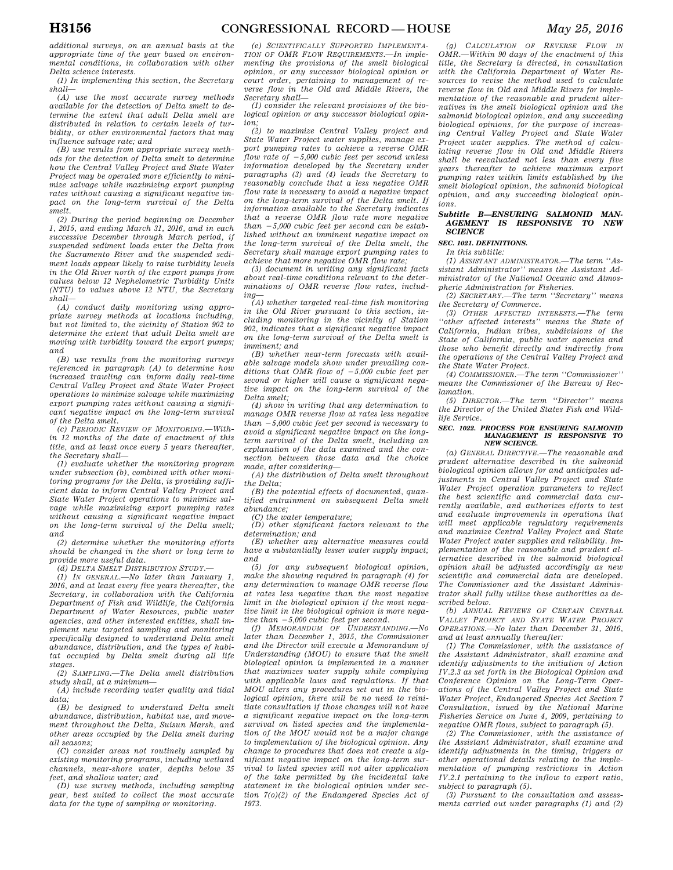*additional surveys, on an annual basis at the appropriate time of the year based on environmental conditions, in collaboration with other Delta science interests.* 

*(1) In implementing this section, the Secretary shall—* 

*(A) use the most accurate survey methods available for the detection of Delta smelt to determine the extent that adult Delta smelt are distributed in relation to certain levels of turbidity, or other environmental factors that may influence salvage rate; and* 

*(B) use results from appropriate survey methods for the detection of Delta smelt to determine how the Central Valley Project and State Water Project may be operated more efficiently to minimize salvage while maximizing export pumping rates without causing a significant negative impact on the long-term survival of the Delta smelt.* 

*(2) During the period beginning on December 1, 2015, and ending March 31, 2016, and in each successive December through March period, if suspended sediment loads enter the Delta from the Sacramento River and the suspended sediment loads appear likely to raise turbidity levels in the Old River north of the export pumps from values below 12 Nephelometric Turbidity Units (NTU) to values above 12 NTU, the Secretary shall—* 

*(A) conduct daily monitoring using appropriate survey methods at locations including, but not limited to, the vicinity of Station 902 to determine the extent that adult Delta smelt are moving with turbidity toward the export pumps; and* 

*(B) use results from the monitoring surveys referenced in paragraph (A) to determine how increased trawling can inform daily real-time Central Valley Project and State Water Project operations to minimize salvage while maximizing export pumping rates without causing a significant negative impact on the long-term survival of the Delta smelt.* 

*(c) PERIODIC REVIEW OF MONITORING.—Within 12 months of the date of enactment of this title, and at least once every 5 years thereafter, the Secretary shall—* 

*(1) evaluate whether the monitoring program under subsection (b), combined with other monitoring programs for the Delta, is providing sufficient data to inform Central Valley Project and State Water Project operations to minimize salvage while maximizing export pumping rates without causing a significant negative impact on the long-term survival of the Delta smelt; and* 

*(2) determine whether the monitoring efforts should be changed in the short or long term to provide more useful data.* 

*(d) DELTA SMELT DISTRIBUTION STUDY.—* 

*(1) IN GENERAL.—No later than January 1, 2016, and at least every five years thereafter, the Secretary, in collaboration with the California Department of Fish and Wildlife, the California Department of Water Resources, public water agencies, and other interested entities, shall implement new targeted sampling and monitoring specifically designed to understand Delta smelt abundance, distribution, and the types of habitat occupied by Delta smelt during all life stages.* 

*(2) SAMPLING.—The Delta smelt distribution study shall, at a minimum—* 

*(A) include recording water quality and tidal data;* 

*(B) be designed to understand Delta smelt abundance, distribution, habitat use, and movement throughout the Delta, Suisun Marsh, and other areas occupied by the Delta smelt during all seasons;* 

*(C) consider areas not routinely sampled by existing monitoring programs, including wetland channels, near-shore water, depths below 35 feet, and shallow water; and* 

*(D) use survey methods, including sampling gear, best suited to collect the most accurate data for the type of sampling or monitoring.* 

*(e) SCIENTIFICALLY SUPPORTED IMPLEMENTA-TION OF OMR FLOW REQUIREMENTS.—In implementing the provisions of the smelt biological opinion, or any successor biological opinion or court order, pertaining to management of reverse flow in the Old and Middle Rivers, the Secretary shall—* 

*(1) consider the relevant provisions of the biological opinion or any successor biological opinion;* 

*(2) to maximize Central Valley project and State Water Project water supplies, manage export pumping rates to achieve a reverse OMR flow rate of*  $-5,000$  *cubic feet per second unless information developed by the Secretary under paragraphs (3) and (4) leads the Secretary to reasonably conclude that a less negative OMR flow rate is necessary to avoid a negative impact on the long-term survival of the Delta smelt. If information available to the Secretary indicates that a reverse OMR flow rate more negative*   $than -5,000 \text{ cubic feet per second can be established.}$ *lished without an imminent negative impact on the long-term survival of the Delta smelt, the Secretary shall manage export pumping rates to achieve that more negative OMR flow rate;* 

*(3) document in writing any significant facts about real-time conditions relevant to the determinations of OMR reverse flow rates, including—* 

*(A) whether targeted real-time fish monitoring in the Old River pursuant to this section, including monitoring in the vicinity of Station 902, indicates that a significant negative impact on the long-term survival of the Delta smelt is imminent; and* 

*(B) whether near-term forecasts with available salvage models show under prevailing conditions that OMR flow of*  $-5,000$  *cubic feet per second or higher will cause a significant negative impact on the long-term survival of the Delta smelt;* 

*(4) show in writing that any determination to manage OMR reverse flow at rates less negative than* ¥*5,000 cubic feet per second is necessary to avoid a significant negative impact on the longterm survival of the Delta smelt, including an explanation of the data examined and the connection between those data and the choice made, after considering—* 

*(A) the distribution of Delta smelt throughout the Delta;* 

*(B) the potential effects of documented, quantified entrainment on subsequent Delta smelt abundance;* 

*(C) the water temperature;* 

*(D) other significant factors relevant to the determination; and* 

*(E) whether any alternative measures could have a substantially lesser water supply impact; and* 

*(5) for any subsequent biological opinion, make the showing required in paragraph (4) for any determination to manage OMR reverse flow at rates less negative than the most negative limit in the biological opinion if the most negative limit in the biological opinion is more negative than* ¥*5,000 cubic feet per second. (f) MEMORANDUM OF UNDERSTANDING.—No* 

*later than December 1, 2015, the Commissioner and the Director will execute a Memorandum of Understanding (MOU) to ensure that the smelt biological opinion is implemented in a manner that maximizes water supply while complying with applicable laws and regulations. If that MOU alters any procedures set out in the biological opinion, there will be no need to reinitiate consultation if those changes will not have a significant negative impact on the long-term survival on listed species and the implementation of the MOU would not be a major change to implementation of the biological opinion. Any change to procedures that does not create a significant negative impact on the long-term survival to listed species will not alter application of the take permitted by the incidental take statement in the biological opinion under section 7(o)(2) of the Endangered Species Act of 1973.* 

*(g) CALCULATION OF REVERSE FLOW IN OMR.—Within 90 days of the enactment of this title, the Secretary is directed, in consultation with the California Department of Water Resources to revise the method used to calculate reverse flow in Old and Middle Rivers for implementation of the reasonable and prudent alternatives in the smelt biological opinion and the salmonid biological opinion, and any succeeding biological opinions, for the purpose of increasing Central Valley Project and State Water Project water supplies. The method of calculating reverse flow in Old and Middle Rivers shall be reevaluated not less than every five years thereafter to achieve maximum export pumping rates within limits established by the smelt biological opinion, the salmonid biological opinion, and any succeeding biological opinions.* 

#### *Subtitle B—ENSURING SALMONID MAN-AGEMENT IS RESPONSIVE TO NEW SCIENCE*

## *SEC. 1021. DEFINITIONS.*

*In this subtitle:* 

*(1) ASSISTANT ADMINISTRATOR.—The term ''Assistant Administrator'' means the Assistant Administrator of the National Oceanic and Atmospheric Administration for Fisheries.* 

*(2) SECRETARY.—The term ''Secretary'' means the Secretary of Commerce.* 

*(3) OTHER AFFECTED INTERESTS.—The term ''other affected interests'' means the State of California, Indian tribes, subdivisions of the State of California, public water agencies and those who benefit directly and indirectly from the operations of the Central Valley Project and the State Water Project.* 

*(4) COMMISSIONER.—The term ''Commissioner'' means the Commissioner of the Bureau of Reclamation.* 

*(5) DIRECTOR.—The term ''Director'' means the Director of the United States Fish and Wildlife Service.* 

#### *SEC. 1022. PROCESS FOR ENSURING SALMONID MANAGEMENT IS RESPONSIVE TO NEW SCIENCE.*

*(a) GENERAL DIRECTIVE.—The reasonable and prudent alternative described in the salmonid biological opinion allows for and anticipates adjustments in Central Valley Project and State Water Project operation parameters to reflect the best scientific and commercial data currently available, and authorizes efforts to test and evaluate improvements in operations that will meet applicable regulatory requirements and maximize Central Valley Project and State Water Project water supplies and reliability. Implementation of the reasonable and prudent alternative described in the salmonid biological opinion shall be adjusted accordingly as new scientific and commercial data are developed. The Commissioner and the Assistant Administrator shall fully utilize these authorities as described below.* 

*(b) ANNUAL REVIEWS OF CERTAIN CENTRAL VALLEY PROJECT AND STATE WATER PROJECT OPERATIONS.—No later than December 31, 2016, and at least annually thereafter:* 

*(1) The Commissioner, with the assistance of the Assistant Administrator, shall examine and identify adjustments to the initiation of Action IV.2.3 as set forth in the Biological Opinion and Conference Opinion on the Long-Term Operations of the Central Valley Project and State Water Project, Endangered Species Act Section 7 Consultation, issued by the National Marine Fisheries Service on June 4, 2009, pertaining to negative OMR flows, subject to paragraph (5).* 

*(2) The Commissioner, with the assistance of the Assistant Administrator, shall examine and identify adjustments in the timing, triggers or other operational details relating to the implementation of pumping restrictions in Action IV.2.1 pertaining to the inflow to export ratio, subject to paragraph (5).* 

*(3) Pursuant to the consultation and assessments carried out under paragraphs (1) and (2)*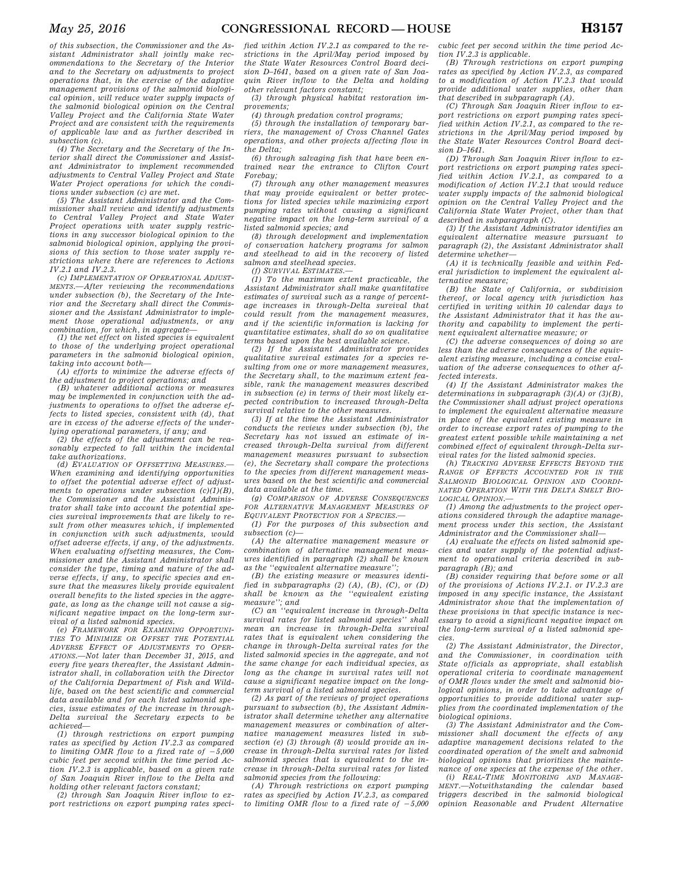*of this subsection, the Commissioner and the Assistant Administrator shall jointly make recommendations to the Secretary of the Interior and to the Secretary on adjustments to project operations that, in the exercise of the adaptive management provisions of the salmonid biological opinion, will reduce water supply impacts of the salmonid biological opinion on the Central Valley Project and the California State Water Project and are consistent with the requirements of applicable law and as further described in subsection (c).* 

*(4) The Secretary and the Secretary of the Interior shall direct the Commissioner and Assistant Administrator to implement recommended adjustments to Central Valley Project and State Water Project operations for which the conditions under subsection (c) are met.* 

*(5) The Assistant Administrator and the Commissioner shall review and identify adjustments to Central Valley Project and State Water Project operations with water supply restrictions in any successor biological opinion to the salmonid biological opinion, applying the provisions of this section to those water supply restrictions where there are references to Actions IV.2.1 and IV.2.3.* 

*(c) IMPLEMENTATION OF OPERATIONAL ADJUST-MENTS.—After reviewing the recommendations under subsection (b), the Secretary of the Interior and the Secretary shall direct the Commissioner and the Assistant Administrator to implement those operational adjustments, or any combination, for which, in aggregate—* 

*(1) the net effect on listed species is equivalent to those of the underlying project operational parameters in the salmonid biological opinion, taking into account both—* 

*(A) efforts to minimize the adverse effects of the adjustment to project operations; and* 

*(B) whatever additional actions or measures may be implemented in conjunction with the adjustments to operations to offset the adverse effects to listed species, consistent with (d), that are in excess of the adverse effects of the underlying operational parameters, if any; and* 

*(2) the effects of the adjustment can be reasonably expected to fall within the incidental take authorizations.* 

*(d) EVALUATION OF OFFSETTING MEASURES.— When examining and identifying opportunities to offset the potential adverse effect of adjustments to operations under subsection (c)(1)(B), the Commissioner and the Assistant Administrator shall take into account the potential species survival improvements that are likely to result from other measures which, if implemented in conjunction with such adjustments, would offset adverse effects, if any, of the adjustments. When evaluating offsetting measures, the Commissioner and the Assistant Administrator shall consider the type, timing and nature of the adverse effects, if any, to specific species and ensure that the measures likely provide equivalent overall benefits to the listed species in the aggregate, as long as the change will not cause a significant negative impact on the long-term survival of a listed salmonid species.* 

*(e) FRAMEWORK FOR EXAMINING OPPORTUNI-TIES TO MINIMIZE OR OFFSET THE POTENTIAL ADVERSE EFFECT OF ADJUSTMENTS TO OPER-ATIONS.—Not later than December 31, 2015, and every five years thereafter, the Assistant Administrator shall, in collaboration with the Director of the California Department of Fish and Wildlife, based on the best scientific and commercial data available and for each listed salmonid species, issue estimates of the increase in through-Delta survival the Secretary expects to be achieved—* 

*(1) through restrictions on export pumping rates as specified by Action IV.2.3 as compared to limiting OMR flow to a fixed rate of*  $-5,000$ *cubic feet per second within the time period Action IV.2.3 is applicable, based on a given rate of San Joaquin River inflow to the Delta and holding other relevant factors constant;* 

*(2) through San Joaquin River inflow to export restrictions on export pumping rates speci-*

*fied within Action IV.2.1 as compared to the restrictions in the April/May period imposed by the State Water Resources Control Board decision D–1641, based on a given rate of San Joaquin River inflow to the Delta and holding other relevant factors constant;* 

*(3) through physical habitat restoration improvements;* 

*(4) through predation control programs;* 

*(5) through the installation of temporary barriers, the management of Cross Channel Gates operations, and other projects affecting flow in the Delta;* 

*(6) through salvaging fish that have been entrained near the entrance to Clifton Court Forebay;* 

*(7) through any other management measures that may provide equivalent or better protections for listed species while maximizing export pumping rates without causing a significant negative impact on the long-term survival of a listed salmonid species; and* 

*(8) through development and implementation of conservation hatchery programs for salmon and steelhead to aid in the recovery of listed salmon and steelhead species.* 

*(f) SURVIVAL ESTIMATES.—* 

*(1) To the maximum extent practicable, the Assistant Administrator shall make quantitative estimates of survival such as a range of percentage increases in through-Delta survival that could result from the management measures, and if the scientific information is lacking for quantitative estimates, shall do so on qualitative terms based upon the best available science.* 

*(2) If the Assistant Administrator provides qualitative survival estimates for a species resulting from one or more management measures, the Secretary shall, to the maximum extent feasible, rank the management measures described in subsection (e) in terms of their most likely expected contribution to increased through-Delta survival relative to the other measures.* 

*(3) If at the time the Assistant Administrator conducts the reviews under subsection (b), the Secretary has not issued an estimate of increased through-Delta survival from different management measures pursuant to subsection (e), the Secretary shall compare the protections to the species from different management measures based on the best scientific and commercial data available at the time.* 

*(g) COMPARISON OF ADVERSE CONSEQUENCES FOR ALTERNATIVE MANAGEMENT MEASURES OF EQUIVALENT PROTECTION FOR A SPECIES.—* 

*(1) For the purposes of this subsection and subsection (c)—* 

*(A) the alternative management measure or combination of alternative management measures identified in paragraph (2) shall be known as the ''equivalent alternative measure'';* 

*(B) the existing measure or measures identified in subparagraphs (2) (A), (B), (C), or (D) shall be known as the ''equivalent existing measure''; and (C) an ''equivalent increase in through-Delta* 

*survival rates for listed salmonid species'' shall mean an increase in through-Delta survival rates that is equivalent when considering the change in through-Delta survival rates for the listed salmonid species in the aggregate, and not the same change for each individual species, as long as the change in survival rates will not cause a significant negative impact on the longterm survival of a listed salmonid species.* 

*(2) As part of the reviews of project operations pursuant to subsection (b), the Assistant Administrator shall determine whether any alternative management measures or combination of alternative management measures listed in subsection (e) (3) through (8) would provide an increase in through-Delta survival rates for listed salmonid species that is equivalent to the increase in through-Delta survival rates for listed salmonid species from the following:* 

*(A) Through restrictions on export pumping rates as specified by Action IV.2.3, as compared to limiting OMR flow to a fixed rate of*  $-5,000$ 

*cubic feet per second within the time period Action IV.2.3 is applicable.* 

*(B) Through restrictions on export pumping rates as specified by Action IV.2.3, as compared to a modification of Action IV.2.3 that would provide additional water supplies, other than that described in subparagraph (A).* 

*(C) Through San Joaquin River inflow to export restrictions on export pumping rates specified within Action IV.2.1, as compared to the restrictions in the April/May period imposed by the State Water Resources Control Board decision D–1641.* 

*(D) Through San Joaquin River inflow to export restrictions on export pumping rates specified within Action IV.2.1, as compared to a modification of Action IV.2.1 that would reduce water supply impacts of the salmonid biological opinion on the Central Valley Project and the California State Water Project, other than that described in subparagraph (C).* 

*(3) If the Assistant Administrator identifies an equivalent alternative measure pursuant to paragraph (2), the Assistant Administrator shall determine whether—* 

*(A) it is technically feasible and within Federal jurisdiction to implement the equivalent alternative measure;* 

*(B) the State of California, or subdivision thereof, or local agency with jurisdiction has certified in writing within 10 calendar days to the Assistant Administrator that it has the authority and capability to implement the pertinent equivalent alternative measure; or* 

*(C) the adverse consequences of doing so are less than the adverse consequences of the equivalent existing measure, including a concise evaluation of the adverse consequences to other affected interests.* 

*(4) If the Assistant Administrator makes the determinations in subparagraph (3)(A) or (3)(B), the Commissioner shall adjust project operations to implement the equivalent alternative measure in place of the equivalent existing measure in order to increase export rates of pumping to the greatest extent possible while maintaining a net combined effect of equivalent through-Delta survival rates for the listed salmonid species.* 

*(h) TRACKING ADVERSE EFFECTS BEYOND THE RANGE OF EFFECTS ACCOUNTED FOR IN THE SALMONID BIOLOGICAL OPINION AND COORDI-NATED OPERATION WITH THE DELTA SMELT BIO-LOGICAL OPINION.—* 

*(1) Among the adjustments to the project operations considered through the adaptive management process under this section, the Assistant Administrator and the Commissioner shall—* 

*(A) evaluate the effects on listed salmonid species and water supply of the potential adjustment to operational criteria described in subparagraph (B); and* 

*(B) consider requiring that before some or all of the provisions of Actions IV.2.1. or IV.2.3 are imposed in any specific instance, the Assistant Administrator show that the implementation of these provisions in that specific instance is necessary to avoid a significant negative impact on the long-term survival of a listed salmonid species.* 

*(2) The Assistant Administrator, the Director, and the Commissioner, in coordination with State officials as appropriate, shall establish operational criteria to coordinate management of OMR flows under the smelt and salmonid biological opinions, in order to take advantage of opportunities to provide additional water supplies from the coordinated implementation of the biological opinions.* 

*(3) The Assistant Administrator and the Commissioner shall document the effects of any adaptive management decisions related to the coordinated operation of the smelt and salmonid biological opinions that prioritizes the maintenance of one species at the expense of the other.* 

*(i) REAL-TIME MONITORING AND MANAGE-MENT.—Notwithstanding the calendar based triggers described in the salmonid biological opinion Reasonable and Prudent Alternative*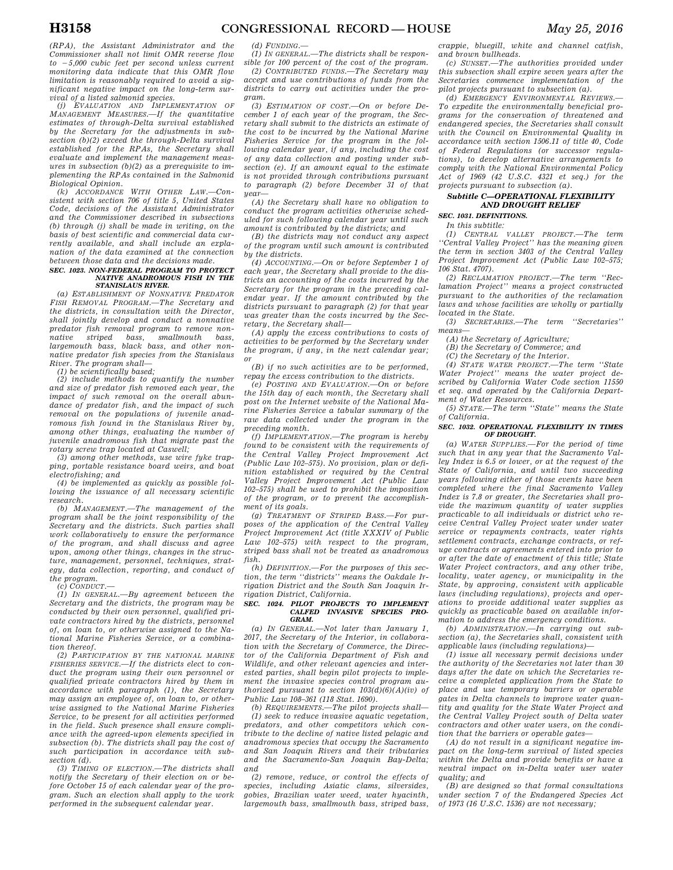*(RPA), the Assistant Administrator and the Commissioner shall not limit OMR reverse flow to* ¥*5,000 cubic feet per second unless current monitoring data indicate that this OMR flow limitation is reasonably required to avoid a significant negative impact on the long-term sur-*

*vival of a listed salmonid species. (j) EVALUATION AND IMPLEMENTATION OF MANAGEMENT MEASURES.—If the quantitative estimates of through-Delta survival established by the Secretary for the adjustments in subsection (b)(2) exceed the through-Delta survival established for the RPAs, the Secretary shall evaluate and implement the management measures in subsection (b)(2) as a prerequisite to implementing the RPAs contained in the Salmonid Biological Opinion.* 

*(k) ACCORDANCE WITH OTHER LAW.—Consistent with section 706 of title 5, United States Code, decisions of the Assistant Administrator and the Commissioner described in subsections (b) through (j) shall be made in writing, on the basis of best scientific and commercial data currently available, and shall include an explanation of the data examined at the connection between those data and the decisions made.* 

#### *SEC. 1023. NON-FEDERAL PROGRAM TO PROTECT NATIVE ANADROMOUS FISH IN THE STANISLAUS RIVER.*

*(a) ESTABLISHMENT OF NONNATIVE PREDATOR FISH REMOVAL PROGRAM.—The Secretary and the districts, in consultation with the Director, shall jointly develop and conduct a nonnative predator fish removal program to remove nonnative striped bass, smallmouth bass, largemouth bass, black bass, and other nonnative predator fish species from the Stanislaus River. The program shall—* 

*(1) be scientifically based;* 

*(2) include methods to quantify the number and size of predator fish removed each year, the impact of such removal on the overall abundance of predator fish, and the impact of such removal on the populations of juvenile anadromous fish found in the Stanislaus River by, among other things, evaluating the number of juvenile anadromous fish that migrate past the rotary screw trap located at Caswell;* 

*(3) among other methods, use wire fyke trapping, portable resistance board weirs, and boat electrofishing; and* 

*(4) be implemented as quickly as possible following the issuance of all necessary scientific research.* 

*(b) MANAGEMENT.—The management of the program shall be the joint responsibility of the Secretary and the districts. Such parties shall work collaboratively to ensure the performance of the program, and shall discuss and agree upon, among other things, changes in the structure, management, personnel, techniques, strategy, data collection, reporting, and conduct of the program.* 

*(c) CONDUCT.—* 

*(1) IN GENERAL.—By agreement between the Secretary and the districts, the program may be conducted by their own personnel, qualified private contractors hired by the districts, personnel of, on loan to, or otherwise assigned to the National Marine Fisheries Service, or a combination thereof.* 

*(2) PARTICIPATION BY THE NATIONAL MARINE FISHERIES SERVICE.—If the districts elect to conduct the program using their own personnel or qualified private contractors hired by them in accordance with paragraph (1), the Secretary may assign an employee of, on loan to, or otherwise assigned to the National Marine Fisheries Service, to be present for all activities performed in the field. Such presence shall ensure compliance with the agreed-upon elements specified in subsection (b). The districts shall pay the cost of such participation in accordance with subsection (d).* 

*(3) TIMING OF ELECTION.—The districts shall notify the Secretary of their election on or before October 15 of each calendar year of the program. Such an election shall apply to the work performed in the subsequent calendar year.* 

*(d) FUNDING.—* 

*(1) IN GENERAL.—The districts shall be responsible for 100 percent of the cost of the program.* 

*(2) CONTRIBUTED FUNDS.—The Secretary may accept and use contributions of funds from the districts to carry out activities under the program.* 

*(3) ESTIMATION OF COST.—On or before December 1 of each year of the program, the Secretary shall submit to the districts an estimate of the cost to be incurred by the National Marine Fisheries Service for the program in the following calendar year, if any, including the cost of any data collection and posting under subsection (e). If an amount equal to the estimate is not provided through contributions pursuant to paragraph (2) before December 31 of that year—* 

*(A) the Secretary shall have no obligation to conduct the program activities otherwise scheduled for such following calendar year until such amount is contributed by the districts; and* 

*(B) the districts may not conduct any aspect of the program until such amount is contributed by the districts.* 

*(4) ACCOUNTING.—On or before September 1 of each year, the Secretary shall provide to the districts an accounting of the costs incurred by the Secretary for the program in the preceding calendar year. If the amount contributed by the districts pursuant to paragraph (2) for that year was greater than the costs incurred by the Secretary, the Secretary shall—* 

*(A) apply the excess contributions to costs of activities to be performed by the Secretary under the program, if any, in the next calendar year; or* 

*(B) if no such activities are to be performed, repay the excess contribution to the districts.* 

*(e) POSTING AND EVALUATION.—On or before the 15th day of each month, the Secretary shall post on the Internet website of the National Marine Fisheries Service a tabular summary of the raw data collected under the program in the preceding month.* 

*(f) IMPLEMENTATION.—The program is hereby found to be consistent with the requirements of the Central Valley Project Improvement Act (Public Law 102–575). No provision, plan or definition established or required by the Central Valley Project Improvement Act (Public Law 102–575) shall be used to prohibit the imposition of the program, or to prevent the accomplishment of its goals.* 

*(g) TREATMENT OF STRIPED BASS.—For purposes of the application of the Central Valley Project Improvement Act (title XXXIV of Public Law 102–575) with respect to the program, striped bass shall not be treated as anadromous fish.* 

*(h) DEFINITION.—For the purposes of this section, the term ''districts'' means the Oakdale Irrigation District and the South San Joaquin Irrigation District, California.* 

#### *SEC. 1024. PILOT PROJECTS TO IMPLEMENT CALFED INVASIVE SPECIES PRO-GRAM.*

*(a) IN GENERAL.—Not later than January 1, 2017, the Secretary of the Interior, in collaboration with the Secretary of Commerce, the Director of the California Department of Fish and Wildlife, and other relevant agencies and interested parties, shall begin pilot projects to implement the invasive species control program authorized pursuant to section 103(d)(6)(A)(iv) of Public Law 108–361 (118 Stat. 1690).* 

*(b) REQUIREMENTS.—The pilot projects shall— (1) seek to reduce invasive aquatic vegetation, predators, and other competitors which contribute to the decline of native listed pelagic and anadromous species that occupy the Sacramento and San Joaquin Rivers and their tributaries and the Sacramento-San Joaquin Bay-Delta; and* 

*(2) remove, reduce, or control the effects of species, including Asiatic clams, silversides, gobies, Brazilian water weed, water hyacinth, largemouth bass, smallmouth bass, striped bass,* 

*crappie, bluegill, white and channel catfish, and brown bullheads.* 

*(c) SUNSET.—The authorities provided under this subsection shall expire seven years after the Secretaries commence implementation of the pilot projects pursuant to subsection (a).* 

*(d) EMERGENCY ENVIRONMENTAL REVIEWS.— To expedite the environmentally beneficial programs for the conservation of threatened and endangered species, the Secretaries shall consult with the Council on Environmental Quality in accordance with section 1506.11 of title 40, Code of Federal Regulations (or successor regulations), to develop alternative arrangements to comply with the National Environmental Policy Act of 1969 (42 U.S.C. 4321 et seq.) for the projects pursuant to subsection (a).* 

## *Subtitle C—OPERATIONAL FLEXIBILITY AND DROUGHT RELIEF*

*SEC. 1031. DEFINITIONS.* 

*In this subtitle: (1) CENTRAL VALLEY PROJECT.—The term ''Central Valley Project'' has the meaning given the term in section 3403 of the Central Valley* 

*Project Improvement Act (Public Law 102–575; 106 Stat. 4707). (2) RECLAMATION PROJECT.—The term ''Reclamation Project'' means a project constructed* 

*pursuant to the authorities of the reclamation laws and whose facilities are wholly or partially located in the State.* 

*(3) SECRETARIES.—The term ''Secretaries'' means—* 

*(A) the Secretary of Agriculture;* 

*(B) the Secretary of Commerce; and* 

*(C) the Secretary of the Interior.* 

*(4) STATE WATER PROJECT.—The term ''State Water Project'' means the water project described by California Water Code section 11550 et seq. and operated by the California Department of Water Resources.* 

*(5) STATE.—The term ''State'' means the State of California.* 

#### *SEC. 1032. OPERATIONAL FLEXIBILITY IN TIMES OF DROUGHT.*

*(a) WATER SUPPLIES.—For the period of time such that in any year that the Sacramento Valley Index is 6.5 or lower, or at the request of the State of California, and until two succeeding years following either of those events have been completed where the final Sacramento Valley Index is 7.8 or greater, the Secretaries shall provide the maximum quantity of water supplies practicable to all individuals or district who receive Central Valley Project water under water service or repayments contracts, water rights settlement contracts, exchange contracts, or refuge contracts or agreements entered into prior to or after the date of enactment of this title; State Water Project contractors, and any other tribe, locality, water agency, or municipality in the State, by approving, consistent with applicable laws (including regulations), projects and operations to provide additional water supplies as quickly as practicable based on available information to address the emergency conditions.* 

*(b) ADMINISTRATION.—In carrying out subsection (a), the Secretaries shall, consistent with applicable laws (including regulations)—* 

*(1) issue all necessary permit decisions under the authority of the Secretaries not later than 30 days after the date on which the Secretaries receive a completed application from the State to place and use temporary barriers or operable gates in Delta channels to improve water quantity and quality for the State Water Project and the Central Valley Project south of Delta water contractors and other water users, on the condition that the barriers or operable gates—* 

*(A) do not result in a significant negative impact on the long-term survival of listed species within the Delta and provide benefits or have a neutral impact on in-Delta water user water quality; and* 

*(B) are designed so that formal consultations under section 7 of the Endangered Species Act of 1973 (16 U.S.C. 1536) are not necessary;*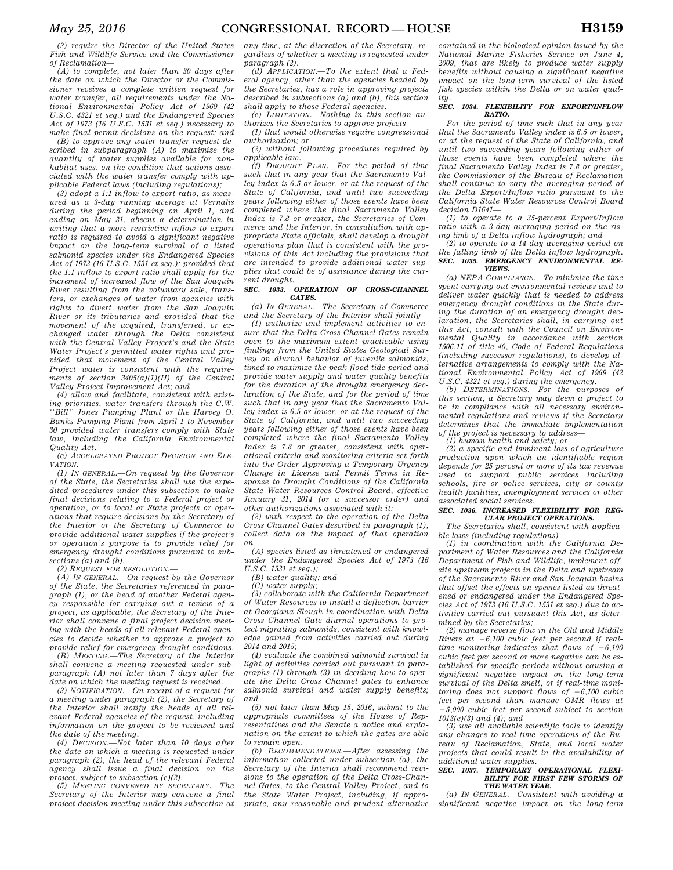*(2) require the Director of the United States Fish and Wildlife Service and the Commissioner of Reclamation—* 

*(A) to complete, not later than 30 days after the date on which the Director or the Commissioner receives a complete written request for water transfer, all requirements under the National Environmental Policy Act of 1969 (42 U.S.C. 4321 et seq.) and the Endangered Species Act of 1973 (16 U.S.C. 1531 et seq.) necessary to make final permit decisions on the request; and* 

*(B) to approve any water transfer request described in subparagraph (A) to maximize the quantity of water supplies available for nonhabitat uses, on the condition that actions associated with the water transfer comply with applicable Federal laws (including regulations);* 

*(3) adopt a 1:1 inflow to export ratio, as measured as a 3-day running average at Vernalis during the period beginning on April 1, and ending on May 31, absent a determination in writing that a more restrictive inflow to export ratio is required to avoid a significant negative impact on the long-term survival of a listed salmonid species under the Endangered Species Act of 1973 (16 U.S.C. 1531 et seq.); provided that the 1:1 inflow to export ratio shall apply for the increment of increased flow of the San Joaquin River resulting from the voluntary sale, transfers, or exchanges of water from agencies with rights to divert water from the San Joaquin River or its tributaries and provided that the movement of the acquired, transferred, or exchanged water through the Delta consistent with the Central Valley Project's and the State Water Project's permitted water rights and provided that movement of the Central Valley Project water is consistent with the requirements of section 3405(a)(1)(H) of the Central Valley Project Improvement Act; and* 

*(4) allow and facilitate, consistent with existing priorities, water transfers through the C.W. ''Bill'' Jones Pumping Plant or the Harvey O. Banks Pumping Plant from April 1 to November 30 provided water transfers comply with State law, including the California Environmental Quality Act.* 

*(c) ACCELERATED PROJECT DECISION AND ELE-VATION.—* 

*(1) IN GENERAL.—On request by the Governor of the State, the Secretaries shall use the expedited procedures under this subsection to make final decisions relating to a Federal project or operation, or to local or State projects or operations that require decisions by the Secretary of the Interior or the Secretary of Commerce to provide additional water supplies if the project's or operation's purpose is to provide relief for emergency drought conditions pursuant to subsections (a) and (b).* 

*(2) REQUEST FOR RESOLUTION.—* 

*(A) IN GENERAL.—On request by the Governor of the State, the Secretaries referenced in paragraph (1), or the head of another Federal agency responsible for carrying out a review of a project, as applicable, the Secretary of the Interior shall convene a final project decision meeting with the heads of all relevant Federal agencies to decide whether to approve a project to provide relief for emergency drought conditions.* 

*(B) MEETING.—The Secretary of the Interior shall convene a meeting requested under subparagraph (A) not later than 7 days after the date on which the meeting request is received.* 

*(3) NOTIFICATION.—On receipt of a request for a meeting under paragraph (2), the Secretary of the Interior shall notify the heads of all relevant Federal agencies of the request, including information on the project to be reviewed and the date of the meeting.* 

*(4) DECISION.—Not later than 10 days after the date on which a meeting is requested under paragraph (2), the head of the relevant Federal agency shall issue a final decision on the project, subject to subsection (e)(2).* 

*(5) MEETING CONVENED BY SECRETARY.—The Secretary of the Interior may convene a final project decision meeting under this subsection at* 

*any time, at the discretion of the Secretary, regardless of whether a meeting is requested under paragraph (2).* 

*(d) APPLICATION.—To the extent that a Federal agency, other than the agencies headed by the Secretaries, has a role in approving projects described in subsections (a) and (b), this section shall apply to those Federal agencies.* 

*(e) LIMITATION.—Nothing in this section authorizes the Secretaries to approve projects—* 

*(1) that would otherwise require congressional authorization; or* 

*(2) without following procedures required by applicable law.* 

*(f) DROUGHT PLAN.—For the period of time such that in any year that the Sacramento Valley index is 6.5 or lower, or at the request of the State of California, and until two succeeding years following either of those events have been completed where the final Sacramento Valley Index is 7.8 or greater, the Secretaries of Commerce and the Interior, in consultation with appropriate State officials, shall develop a drought operations plan that is consistent with the provisions of this Act including the provisions that are intended to provide additional water supplies that could be of assistance during the current drought.* 

## *SEC. 1033. OPERATION OF CROSS-CHANNEL GATES.*

*(a) IN GENERAL.—The Secretary of Commerce and the Secretary of the Interior shall jointly—* 

*(1) authorize and implement activities to ensure that the Delta Cross Channel Gates remain open to the maximum extent practicable using findings from the United States Geological Survey on diurnal behavior of juvenile salmonids, timed to maximize the peak flood tide period and provide water supply and water quality benefits for the duration of the drought emergency declaration of the State, and for the period of time such that in any year that the Sacramento Valley index is 6.5 or lower, or at the request of the State of California, and until two succeeding years following either of those events have been completed where the final Sacramento Valley Index is 7.8 or greater, consistent with operational criteria and monitoring criteria set forth into the Order Approving a Temporary Urgency Change in License and Permit Terms in Response to Drought Conditions of the California State Water Resources Control Board, effective January 31, 2014 (or a successor order) and other authorizations associated with it;* 

*(2) with respect to the operation of the Delta Cross Channel Gates described in paragraph (1), collect data on the impact of that operation on—* 

*(A) species listed as threatened or endangered under the Endangered Species Act of 1973 (16 U.S.C. 1531 et seq.);* 

*(B) water quality; and* 

*(C) water supply;* 

*(3) collaborate with the California Department of Water Resources to install a deflection barrier at Georgiana Slough in coordination with Delta Cross Channel Gate diurnal operations to protect migrating salmonids, consistent with knowledge gained from activities carried out during 2014 and 2015;* 

*(4) evaluate the combined salmonid survival in light of activities carried out pursuant to paragraphs (1) through (3) in deciding how to operate the Delta Cross Channel gates to enhance salmonid survival and water supply benefits; and* 

*(5) not later than May 15, 2016, submit to the appropriate committees of the House of Representatives and the Senate a notice and explanation on the extent to which the gates are able to remain open.* 

*(b) RECOMMENDATIONS.—After assessing the information collected under subsection (a), the Secretary of the Interior shall recommend revisions to the operation of the Delta Cross-Channel Gates, to the Central Valley Project, and to the State Water Project, including, if appropriate, any reasonable and prudent alternative* 

*contained in the biological opinion issued by the National Marine Fisheries Service on June 4, 2009, that are likely to produce water supply benefits without causing a significant negative impact on the long-term survival of the listed fish species within the Delta or on water quality.* 

#### *SEC. 1034. FLEXIBILITY FOR EXPORT/INFLOW RATIO.*

*For the period of time such that in any year that the Sacramento Valley index is 6.5 or lower, or at the request of the State of California, and until two succeeding years following either of those events have been completed where the final Sacramento Valley Index is 7.8 or greater, the Commissioner of the Bureau of Reclamation shall continue to vary the averaging period of the Delta Export/Inflow ratio pursuant to the California State Water Resources Control Board decision D1641—* 

*(1) to operate to a 35-percent Export/Inflow ratio with a 3-day averaging period on the rising limb of a Delta inflow hydrograph; and* 

*(2) to operate to a 14-day averaging period on the falling limb of the Delta inflow hydrograph. SEC. 1035. EMERGENCY ENVIRONMENTAL RE-VIEWS.* 

*(a) NEPA COMPLIANCE.—To minimize the time spent carrying out environmental reviews and to deliver water quickly that is needed to address emergency drought conditions in the State during the duration of an emergency drought declaration, the Secretaries shall, in carrying out this Act, consult with the Council on Environmental Quality in accordance with section 1506.11 of title 40, Code of Federal Regulations (including successor regulations), to develop alternative arrangements to comply with the National Environmental Policy Act of 1969 (42 U.S.C. 4321 et seq.) during the emergency.* 

*(b) DETERMINATIONS.—For the purposes of this section, a Secretary may deem a project to be in compliance with all necessary environmental regulations and reviews if the Secretary determines that the immediate implementation of the project is necessary to address—* 

*(1) human health and safety; or* 

*(2) a specific and imminent loss of agriculture production upon which an identifiable region depends for 25 percent or more of its tax revenue used to support public services including schools, fire or police services, city or county health facilities, unemployment services or other associated social services.* 

#### *SEC. 1036. INCREASED FLEXIBILITY FOR REG-ULAR PROJECT OPERATIONS.*

*The Secretaries shall, consistent with applicable laws (including regulations)—* 

*(1) in coordination with the California Department of Water Resources and the California Department of Fish and Wildlife, implement offsite upstream projects in the Delta and upstream of the Sacramento River and San Joaquin basins that offset the effects on species listed as threatened or endangered under the Endangered Species Act of 1973 (16 U.S.C. 1531 et seq.) due to activities carried out pursuant this Act, as determined by the Secretaries;* 

*(2) manage reverse flow in the Old and Middle Rivers at*  $-6,100$  *cubic feet per second if realtime monitoring indicates that flows of*  $-6,100$ *cubic feet per second or more negative can be established for specific periods without causing a significant negative impact on the long-term survival of the Delta smelt, or if real-time monitoring does not support flows of*  $-6,100$  *cubic feet per second than manage OMR flows at*  ¥*5,000 cubic feet per second subject to section 1013(e)(3) and (4); and* 

*(3) use all available scientific tools to identify any changes to real-time operations of the Bureau of Reclamation, State, and local water projects that could result in the availability of additional water supplies.* 

#### *SEC. 1037. TEMPORARY OPERATIONAL FLEXI-BILITY FOR FIRST FEW STORMS OF THE WATER YEAR.*

*(a) IN GENERAL.—Consistent with avoiding a significant negative impact on the long-term*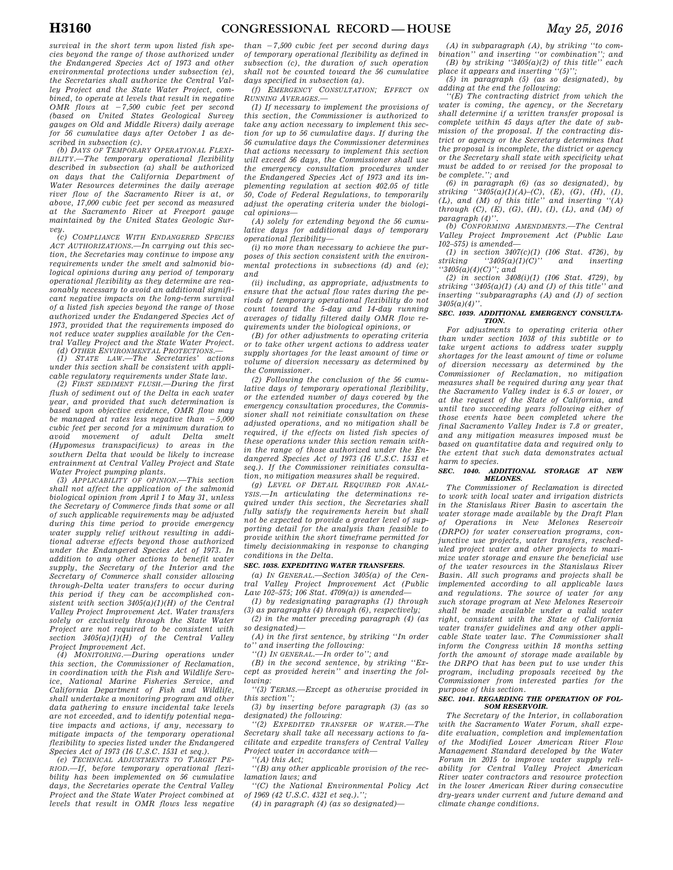*survival in the short term upon listed fish species beyond the range of those authorized under the Endangered Species Act of 1973 and other environmental protections under subsection (e), the Secretaries shall authorize the Central Valley Project and the State Water Project, combined, to operate at levels that result in negative OMR flows at -7,500 cubic feet per second (based on United States Geological Survey gauges on Old and Middle Rivers) daily average for 56 cumulative days after October 1 as described in subsection (c).* 

*(b) DAYS OF TEMPORARY OPERATIONAL FLEXI-BILITY.—The temporary operational flexibility described in subsection (a) shall be authorized on days that the California Department of Water Resources determines the daily average river flow of the Sacramento River is at, or above, 17,000 cubic feet per second as measured at the Sacramento River at Freeport gauge maintained by the United States Geologic Survey.* 

*(c) COMPLIANCE WITH ENDANGERED SPECIES ACT AUTHORIZATIONS.—In carrying out this section, the Secretaries may continue to impose any requirements under the smelt and salmonid biological opinions during any period of temporary operational flexibility as they determine are reasonably necessary to avoid an additional significant negative impacts on the long-term survival of a listed fish species beyond the range of those authorized under the Endangered Species Act of 1973, provided that the requirements imposed do not reduce water supplies available for the Central Valley Project and the State Water Project.* 

*(d) OTHER ENVIRONMENTAL PROTECTIONS.— (1) STATE LAW.—The Secretaries' actions under this section shall be consistent with applicable regulatory requirements under State law.* 

*(2) FIRST SEDIMENT FLUSH.—During the first flush of sediment out of the Delta in each water year, and provided that such determination is based upon objective evidence, OMR flow may be managed at rates less negative than*  $-5,000$ *cubic feet per second for a minimum duration to avoid movement of adult Delta (Hypomesus transpacificus) to areas in the southern Delta that would be likely to increase entrainment at Central Valley Project and State Water Project pumping plants.* 

*(3) APPLICABILITY OF OPINION.—This section shall not affect the application of the salmonid biological opinion from April 1 to May 31, unless the Secretary of Commerce finds that some or all of such applicable requirements may be adjusted during this time period to provide emergency water supply relief without resulting in additional adverse effects beyond those authorized under the Endangered Species Act of 1973. In addition to any other actions to benefit water supply, the Secretary of the Interior and the Secretary of Commerce shall consider allowing through-Delta water transfers to occur during this period if they can be accomplished consistent with section 3405(a)(1)(H) of the Central Valley Project Improvement Act. Water transfers solely or exclusively through the State Water Project are not required to be consistent with section 3405(a)(1)(H) of the Central Valley Project Improvement Act.* 

 $MONTORING. - During operations under$ *this section, the Commissioner of Reclamation, in coordination with the Fish and Wildlife Service, National Marine Fisheries Service, and California Department of Fish and Wildlife, shall undertake a monitoring program and other data gathering to ensure incidental take levels are not exceeded, and to identify potential negative impacts and actions, if any, necessary to mitigate impacts of the temporary operational flexibility to species listed under the Endangered Species Act of 1973 (16 U.S.C. 1531 et seq.).* 

*(e) TECHNICAL ADJUSTMENTS TO TARGET PE-RIOD.—If, before temporary operational flexibility has been implemented on 56 cumulative days, the Secretaries operate the Central Valley Project and the State Water Project combined at levels that result in OMR flows less negative*  *than* ¥*7,500 cubic feet per second during days of temporary operational flexibility as defined in subsection (c), the duration of such operation shall not be counted toward the 56 cumulative days specified in subsection (a).* 

*(f) EMERGENCY CONSULTATION; EFFECT ON RUNNING AVERAGES.—* 

*(1) If necessary to implement the provisions of this section, the Commissioner is authorized to take any action necessary to implement this section for up to 56 cumulative days. If during the 56 cumulative days the Commissioner determines that actions necessary to implement this section will exceed 56 days, the Commissioner shall use the emergency consultation procedures under the Endangered Species Act of 1973 and its implementing regulation at section 402.05 of title 50, Code of Federal Regulations, to temporarily adjust the operating criteria under the biological opinions—* 

*(A) solely for extending beyond the 56 cumulative days for additional days of temporary operational flexibility—* 

*(i) no more than necessary to achieve the purposes of this section consistent with the environmental protections in subsections (d) and (e); and* 

*(ii) including, as appropriate, adjustments to ensure that the actual flow rates during the periods of temporary operational flexibility do not count toward the 5-day and 14-day running averages of tidally filtered daily OMR flow requirements under the biological opinions, or* 

*(B) for other adjustments to operating criteria or to take other urgent actions to address water supply shortages for the least amount of time or volume of diversion necessary as determined by the Commissioner.* 

*(2) Following the conclusion of the 56 cumulative days of temporary operational flexibility, or the extended number of days covered by the emergency consultation procedures, the Commissioner shall not reinitiate consultation on these adjusted operations, and no mitigation shall be required, if the effects on listed fish species of these operations under this section remain within the range of those authorized under the Endangered Species Act of 1973 (16 U.S.C. 1531 et seq.). If the Commissioner reinitiates consultation, no mitigation measures shall be required.* 

*(g) LEVEL OF DETAIL REQUIRED FOR ANAL-YSIS.—In articulating the determinations required under this section, the Secretaries shall fully satisfy the requirements herein but shall not be expected to provide a greater level of supporting detail for the analysis than feasible to provide within the short timeframe permitted for timely decisionmaking in response to changing conditions in the Delta.* 

## *SEC. 1038. EXPEDITING WATER TRANSFERS.*

*(a) IN GENERAL.—Section 3405(a) of the Central Valley Project Improvement Act (Public Law 102–575; 106 Stat. 4709(a)) is amended—* 

*(1) by redesignating paragraphs (1) through (3) as paragraphs (4) through (6), respectively;* 

*(2) in the matter preceding paragraph (4) (as so designated)—* 

*(A) in the first sentence, by striking ''In order to'' and inserting the following: ''(1) IN GENERAL.—In order to''; and* 

*(B) in the second sentence, by striking ''Except as provided herein'' and inserting the following:* 

*''(3) TERMS.—Except as otherwise provided in this section'';* 

*(3) by inserting before paragraph (3) (as so designated) the following:* 

*''(2) EXPEDITED TRANSFER OF WATER.—The Secretary shall take all necessary actions to facilitate and expedite transfers of Central Valley Project water in accordance with—* 

*''(A) this Act;* 

*''(B) any other applicable provision of the reclamation laws; and* 

*''(C) the National Environmental Policy Act of 1969 (42 U.S.C. 4321 et seq.).'';* 

*(4) in paragraph (4) (as so designated)—* 

*(A) in subparagraph (A), by striking ''to combination'' and inserting ''or combination''; and (B) by striking ''3405(a)(2) of this title'' each* 

*place it appears and inserting ''(5)''; (5) in paragraph (5) (as so designated), by adding at the end the following:* 

*''(E) The contracting district from which the water is coming, the agency, or the Secretary shall determine if a written transfer proposal is complete within 45 days after the date of submission of the proposal. If the contracting district or agency or the Secretary determines that the proposal is incomplete, the district or agency or the Secretary shall state with specificity what must be added to or revised for the proposal to be complete.''; and* 

*(6) in paragraph (6) (as so designated), by striking ''3405(a)(1)(A)–(C), (E), (G), (H), (I), (L), and (M) of this title'' and inserting ''(A) through (C), (E), (G), (H), (I), (L), and (M) of*   $paramph (4)$ 

*(b) CONFORMING AMENDMENTS.—The Central Valley Project Improvement Act (Public Law 102–575) is amended—* 

*(1) in section 3407(c)(1) (106 Stat. 4726), by striking ''3405(a)(1)(C)'' and inserting ''3405(a)(4)(C)''; and* 

*(2) in section 3408(i)(1) (106 Stat. 4729), by striking ''3405(a)(1) (A) and (J) of this title'' and inserting ''subparagraphs (A) and (J) of section 3405(a)(4)''.* 

#### *SEC. 1039. ADDITIONAL EMERGENCY CONSULTA-TION.*

*For adjustments to operating criteria other than under section 1038 of this subtitle or to take urgent actions to address water supply shortages for the least amount of time or volume of diversion necessary as determined by the Commissioner of Reclamation, no mitigation measures shall be required during any year that the Sacramento Valley index is 6.5 or lower, or at the request of the State of California, and until two succeeding years following either of those events have been completed where the final Sacramento Valley Index is 7.8 or greater, and any mitigation measures imposed must be based on quantitative data and required only to the extent that such data demonstrates actual harm to species.* 

#### *SEC. 1040. ADDITIONAL STORAGE AT NEW MELONES.*

*The Commissioner of Reclamation is directed to work with local water and irrigation districts in the Stanislaus River Basin to ascertain the water storage made available by the Draft Plan of Operations in New Melones Reservoir (DRPO) for water conservation programs, conjunctive use projects, water transfers, rescheduled project water and other projects to maximize water storage and ensure the beneficial use of the water resources in the Stanislaus River Basin. All such programs and projects shall be implemented according to all applicable laws and regulations. The source of water for any such storage program at New Melones Reservoir shall be made available under a valid water right, consistent with the State of California water transfer guidelines and any other applicable State water law. The Commissioner shall inform the Congress within 18 months setting forth the amount of storage made available by the DRPO that has been put to use under this program, including proposals received by the Commissioner from interested parties for the purpose of this section.* 

#### *SEC. 1041. REGARDING THE OPERATION OF FOL-SOM RESERVOIR.*

*The Secretary of the Interior, in collaboration with the Sacramento Water Forum, shall expedite evaluation, completion and implementation of the Modified Lower American River Flow Management Standard developed by the Water Forum in 2015 to improve water supply reliability for Central Valley Project American River water contractors and resource protection in the lower American River during consecutive dry-years under current and future demand and climate change conditions.*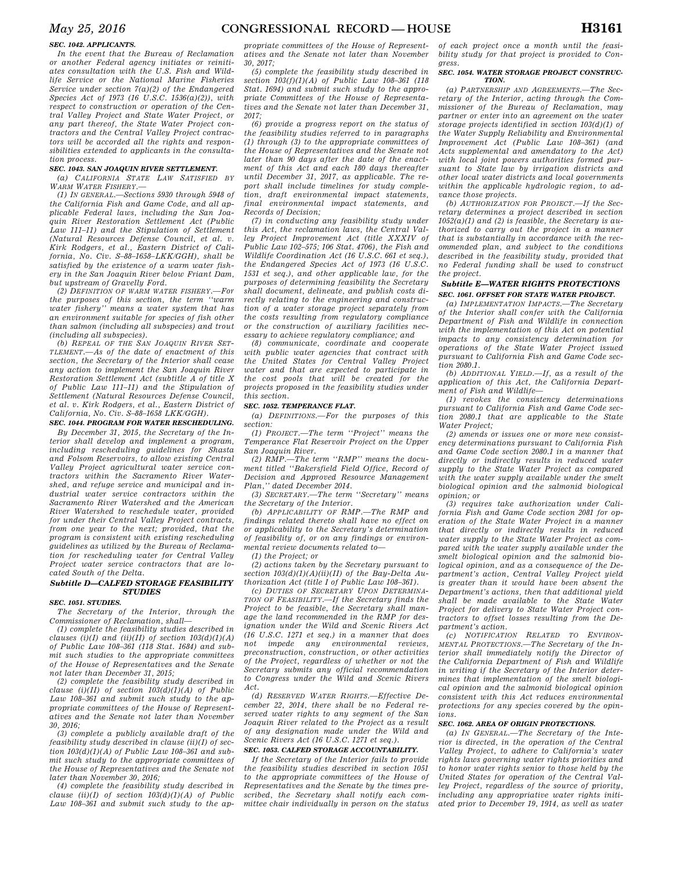## *SEC. 1042. APPLICANTS.*

*In the event that the Bureau of Reclamation or another Federal agency initiates or reinitiates consultation with the U.S. Fish and Wildlife Service or the National Marine Fisheries Service under section 7(a)(2) of the Endangered Species Act of 1973 (16 U.S.C. 1536(a)(2)), with respect to construction or operation of the Central Valley Project and State Water Project, or any part thereof, the State Water Project contractors and the Central Valley Project contractors will be accorded all the rights and responsibilities extended to applicants in the consultation process.* 

## *SEC. 1043. SAN JOAQUIN RIVER SETTLEMENT.*

*(a) CALIFORNIA STATE LAW SATISFIED BY WARM WATER FISHERY.—* 

*(1) IN GENERAL.—Sections 5930 through 5948 of the California Fish and Game Code, and all applicable Federal laws, including the San Joaquin River Restoration Settlement Act (Public Law 111–11) and the Stipulation of Settlement (Natural Resources Defense Council, et al. v. Kirk Rodgers, et al., Eastern District of California, No. Civ. S–88–1658–LKK/GGH), shall be satisfied by the existence of a warm water fishery in the San Joaquin River below Friant Dam, but upstream of Gravelly Ford.* 

*(2) DEFINITION OF WARM WATER FISHERY.—For the purposes of this section, the term ''warm water fishery'' means a water system that has an environment suitable for species of fish other than salmon (including all subspecies) and trout (including all subspecies).* 

*(b) REPEAL OF THE SAN JOAQUIN RIVER SET-TLEMENT.—As of the date of enactment of this section, the Secretary of the Interior shall cease any action to implement the San Joaquin River Restoration Settlement Act (subtitle A of title X of Public Law 111–11) and the Stipulation of Settlement (Natural Resources Defense Council, et al. v. Kirk Rodgers, et al., Eastern District of California, No. Civ. S–88–1658 LKK/GGH).* 

*SEC. 1044. PROGRAM FOR WATER RESCHEDULING.* 

*By December 31, 2015, the Secretary of the Interior shall develop and implement a program, including rescheduling guidelines for Shasta and Folsom Reservoirs, to allow existing Central Valley Project agricultural water service contractors within the Sacramento River Watershed, and refuge service and municipal and industrial water service contractors within the Sacramento River Watershed and the American River Watershed to reschedule water, provided for under their Central Valley Project contracts, from one year to the next; provided, that the program is consistent with existing rescheduling guidelines as utilized by the Bureau of Reclamation for rescheduling water for Central Valley Project water service contractors that are located South of the Delta.* 

## *Subtitle D—CALFED STORAGE FEASIBILITY STUDIES*

## *SEC. 1051. STUDIES.*

*The Secretary of the Interior, through the Commissioner of Reclamation, shall—* 

*(1) complete the feasibility studies described in clauses (i)(I) and (ii)(II) of section*  $103(d)(1)(A)$ *of Public Law 108–361 (118 Stat. 1684) and submit such studies to the appropriate committees of the House of Representatives and the Senate not later than December 31, 2015;* 

*(2) complete the feasibility study described in clause (i)(II) of section 103(d)(1)(A) of Public Law 108–361 and submit such study to the appropriate committees of the House of Representatives and the Senate not later than November 30, 2016;* 

*(3) complete a publicly available draft of the feasibility study described in clause (ii)(I) of section 103(d)(1)(A) of Public Law 108–361 and submit such study to the appropriate committees of the House of Representatives and the Senate not later than November 30, 2016;* 

*(4) complete the feasibility study described in clause (ii)(I) of section 103(d)(1)(A) of Public Law 108–361 and submit such study to the ap-* *propriate committees of the House of Representatives and the Senate not later than November 30, 2017;* 

*(5) complete the feasibility study described in section 103(f)(1)(A) of Public Law 108–361 (118 Stat. 1694) and submit such study to the appropriate Committees of the House of Representatives and the Senate not later than December 31, 2017;* 

*(6) provide a progress report on the status of the feasibility studies referred to in paragraphs (1) through (3) to the appropriate committees of the House of Representatives and the Senate not later than 90 days after the date of the enactment of this Act and each 180 days thereafter until December 31, 2017, as applicable. The report shall include timelines for study completion, draft environmental impact statements, final environmental impact statements, and Records of Decision;* 

*(7) in conducting any feasibility study under this Act, the reclamation laws, the Central Valley Project Improvement Act (title XXXIV of Public Law 102–575; 106 Stat. 4706), the Fish and Wildlife Coordination Act (16 U.S.C. 661 et seq.), the Endangered Species Act of 1973 (16 U.S.C. 1531 et seq.), and other applicable law, for the purposes of determining feasibility the Secretary shall document, delineate, and publish costs directly relating to the engineering and construction of a water storage project separately from the costs resulting from regulatory compliance or the construction of auxiliary facilities necessary to achieve regulatory compliance; and* 

*(8) communicate, coordinate and cooperate with public water agencies that contract with the United States for Central Valley Project water and that are expected to participate in the cost pools that will be created for the projects proposed in the feasibility studies under this section.* 

## *SEC. 1052. TEMPERANCE FLAT.*

*(a) DEFINITIONS.—For the purposes of this section:* 

*(1) PROJECT.—The term ''Project'' means the Temperance Flat Reservoir Project on the Upper San Joaquin River.* 

*(2) RMP.—The term ''RMP'' means the document titled ''Bakersfield Field Office, Record of Decision and Approved Resource Management Plan,'' dated December 2014.* 

*(3) SECRETARY.—The term ''Secretary'' means the Secretary of the Interior.* 

*(b) APPLICABILITY OF RMP.—The RMP and findings related thereto shall have no effect on or applicability to the Secretary's determination of feasibility of, or on any findings or environmental review documents related to—* 

*(1) the Project; or* 

*(2) actions taken by the Secretary pursuant to section 103(d)(1)(A)(ii)(II) of the Bay-Delta Authorization Act (title I of Public Law 108–361).* 

*(c) DUTIES OF SECRETARY UPON DETERMINA-TION OF FEASIBILITY.—If the Secretary finds the Project to be feasible, the Secretary shall manage the land recommended in the RMP for designation under the Wild and Scenic Rivers Act (16 U.S.C. 1271 et seq.) in a manner that does not impede any environmental reviews, preconstruction, construction, or other activities of the Project, regardless of whether or not the Secretary submits any official recommendation to Congress under the Wild and Scenic Rivers Act.* 

*(d) RESERVED WATER RIGHTS.—Effective December 22, 2014, there shall be no Federal reserved water rights to any segment of the San Joaquin River related to the Project as a result of any designation made under the Wild and Scenic Rivers Act (16 U.S.C. 1271 et seq.).* 

## *SEC. 1053. CALFED STORAGE ACCOUNTABILITY.*

*If the Secretary of the Interior fails to provide the feasibility studies described in section 1051 to the appropriate committees of the House of Representatives and the Senate by the times prescribed, the Secretary shall notify each committee chair individually in person on the status* 

*of each project once a month until the feasibility study for that project is provided to Congress.* 

#### *SEC. 1054. WATER STORAGE PROJECT CONSTRUC-TION.*

*(a) PARTNERSHIP AND AGREEMENTS.—The Secretary of the Interior, acting through the Commissioner of the Bureau of Reclamation, may partner or enter into an agreement on the water storage projects identified in section 103(d)(1) of the Water Supply Reliability and Environmental Improvement Act (Public Law 108–361) (and Acts supplemental and amendatory to the Act) with local joint powers authorities formed pursuant to State law by irrigation districts and other local water districts and local governments within the applicable hydrologic region, to advance those projects.* 

*(b) AUTHORIZATION FOR PROJECT.—If the Secretary determines a project described in section 1052(a)(1) and (2) is feasible, the Secretary is authorized to carry out the project in a manner that is substantially in accordance with the recommended plan, and subject to the conditions described in the feasibility study, provided that no Federal funding shall be used to construct the project.* 

## *Subtitle E—WATER RIGHTS PROTECTIONS SEC. 1061. OFFSET FOR STATE WATER PROJECT.*

*(a) IMPLEMENTATION IMPACTS.—The Secretary of the Interior shall confer with the California Department of Fish and Wildlife in connection with the implementation of this Act on potential impacts to any consistency determination for operations of the State Water Project issued pursuant to California Fish and Game Code section 2080.1.* 

*(b) ADDITIONAL YIELD.—If, as a result of the application of this Act, the California Department of Fish and Wildlife—* 

*(1) revokes the consistency determinations pursuant to California Fish and Game Code section 2080.1 that are applicable to the State Water Project;* 

*(2) amends or issues one or more new consistency determinations pursuant to California Fish and Game Code section 2080.1 in a manner that directly or indirectly results in reduced water supply to the State Water Project as compared with the water supply available under the smelt biological opinion and the salmonid biological opinion; or* 

*(3) requires take authorization under California Fish and Game Code section 2081 for operation of the State Water Project in a manner that directly or indirectly results in reduced water supply to the State Water Project as compared with the water supply available under the smelt biological opinion and the salmonid biological opinion, and as a consequence of the Department's action, Central Valley Project yield is greater than it would have been absent the Department's actions, then that additional yield shall be made available to the State Water Project for delivery to State Water Project contractors to offset losses resulting from the Department's action.* 

*(c) NOTIFICATION RELATED TO ENVIRON-MENTAL PROTECTIONS.—The Secretary of the Interior shall immediately notify the Director of the California Department of Fish and Wildlife in writing if the Secretary of the Interior determines that implementation of the smelt biological opinion and the salmonid biological opinion consistent with this Act reduces environmental protections for any species covered by the opinions.* 

## *SEC. 1062. AREA OF ORIGIN PROTECTIONS.*

*(a) IN GENERAL.—The Secretary of the Interior is directed, in the operation of the Central Valley Project, to adhere to California's water rights laws governing water rights priorities and to honor water rights senior to those held by the United States for operation of the Central Valley Project, regardless of the source of priority, including any appropriative water rights initiated prior to December 19, 1914, as well as water*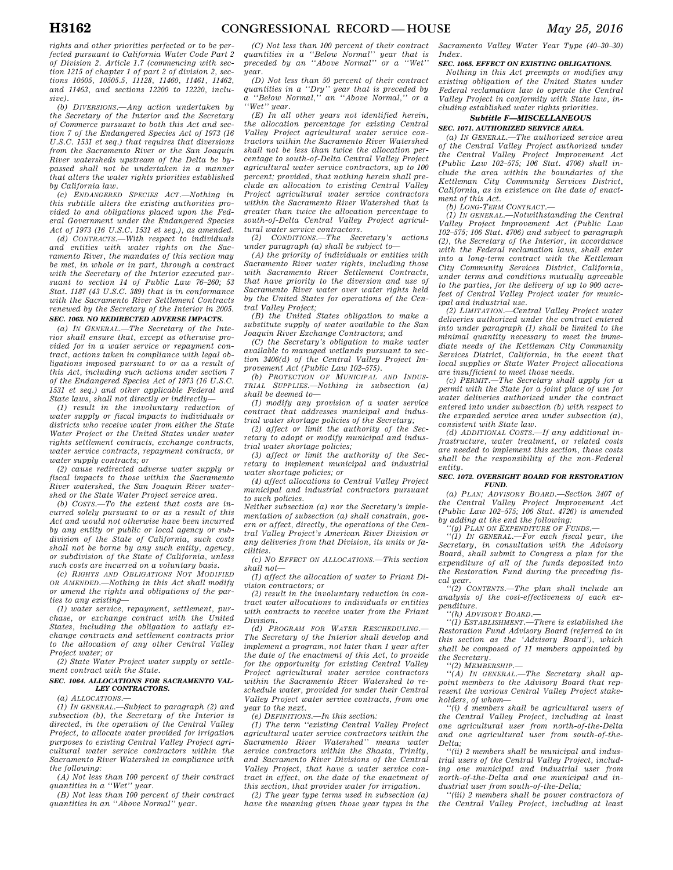*rights and other priorities perfected or to be perfected pursuant to California Water Code Part 2 of Division 2. Article 1.7 (commencing with section 1215 of chapter 1 of part 2 of division 2, sections 10505, 10505.5, 11128, 11460, 11461, 11462, and 11463, and sections 12200 to 12220, inclusive).* 

*(b) DIVERSIONS.—Any action undertaken by the Secretary of the Interior and the Secretary of Commerce pursuant to both this Act and section 7 of the Endangered Species Act of 1973 (16 U.S.C. 1531 et seq.) that requires that diversions from the Sacramento River or the San Joaquin River watersheds upstream of the Delta be bypassed shall not be undertaken in a manner that alters the water rights priorities established by California law.* 

*(c) ENDANGERED SPECIES ACT.—Nothing in this subtitle alters the existing authorities provided to and obligations placed upon the Federal Government under the Endangered Species Act of 1973 (16 U.S.C. 1531 et seq.), as amended.* 

*(d) CONTRACTS.—With respect to individuals and entities with water rights on the Sacramento River, the mandates of this section may be met, in whole or in part, through a contract with the Secretary of the Interior executed pursuant to section 14 of Public Law 76–260; 53 Stat. 1187 (43 U.S.C. 389) that is in conformance with the Sacramento River Settlement Contracts renewed by the Secretary of the Interior in 2005. SEC. 1063. NO REDIRECTED ADVERSE IMPACTS.* 

*(a) IN GENERAL.—The Secretary of the Interior shall ensure that, except as otherwise provided for in a water service or repayment contract, actions taken in compliance with legal obligations imposed pursuant to or as a result of this Act, including such actions under section 7 of the Endangered Species Act of 1973 (16 U.S.C. 1531 et seq.) and other applicable Federal and State laws, shall not directly or indirectly—* 

*(1) result in the involuntary reduction of water supply or fiscal impacts to individuals or districts who receive water from either the State Water Project or the United States under water rights settlement contracts, exchange contracts, water service contracts, repayment contracts, or water supply contracts; or* 

*(2) cause redirected adverse water supply or fiscal impacts to those within the Sacramento River watershed, the San Joaquin River watershed or the State Water Project service area.* 

*(b) COSTS.—To the extent that costs are incurred solely pursuant to or as a result of this Act and would not otherwise have been incurred by any entity or public or local agency or subdivision of the State of California, such costs shall not be borne by any such entity, agency, or subdivision of the State of California, unless such costs are incurred on a voluntary basis.* 

*(c) RIGHTS AND OBLIGATIONS NOT MODIFIED OR AMENDED.—Nothing in this Act shall modify or amend the rights and obligations of the parties to any existing—* 

*(1) water service, repayment, settlement, purchase, or exchange contract with the United States, including the obligation to satisfy exchange contracts and settlement contracts prior to the allocation of any other Central Valley Project water; or* 

*(2) State Water Project water supply or settlement contract with the State.* 

## *SEC. 1064. ALLOCATIONS FOR SACRAMENTO VAL-LEY CONTRACTORS.*

*(a) ALLOCATIONS.—* 

*(1) IN GENERAL.—Subject to paragraph (2) and subsection (b), the Secretary of the Interior is directed, in the operation of the Central Valley Project, to allocate water provided for irrigation purposes to existing Central Valley Project agricultural water service contractors within the Sacramento River Watershed in compliance with the following:* 

*(A) Not less than 100 percent of their contract quantities in a ''Wet'' year.* 

*(B) Not less than 100 percent of their contract quantities in an ''Above Normal'' year.* 

*(C) Not less than 100 percent of their contract quantities in a ''Below Normal'' year that is preceded by an ''Above Normal'' or a ''Wet'' year.* 

*(D) Not less than 50 percent of their contract quantities in a ''Dry'' year that is preceded by a ''Below Normal,'' an ''Above Normal,'' or a ''Wet'' year.* 

*(E) In all other years not identified herein, the allocation percentage for existing Central Valley Project agricultural water service contractors within the Sacramento River Watershed shall not be less than twice the allocation percentage to south-of-Delta Central Valley Project agricultural water service contractors, up to 100 percent; provided, that nothing herein shall preclude an allocation to existing Central Valley Project agricultural water service contractors within the Sacramento River Watershed that is greater than twice the allocation percentage to south-of-Delta Central Valley Project agricultural water service contractors.* 

*(2) CONDITIONS.—The Secretary's actions under paragraph (a) shall be subject to—* 

*(A) the priority of individuals or entities with Sacramento River water rights, including those with Sacramento River Settlement Contracts, that have priority to the diversion and use of Sacramento River water over water rights held by the United States for operations of the Central Valley Project;* 

*(B) the United States obligation to make a substitute supply of water available to the San Joaquin River Exchange Contractors; and* 

*(C) the Secretary's obligation to make water available to managed wetlands pursuant to section 3406(d) of the Central Valley Project Improvement Act (Public Law 102–575).* 

*(b) PROTECTION OF MUNICIPAL AND INDUS-TRIAL SUPPLIES.—Nothing in subsection (a) shall be deemed to—* 

*(1) modify any provision of a water service contract that addresses municipal and industrial water shortage policies of the Secretary;* 

*(2) affect or limit the authority of the Secretary to adopt or modify municipal and industrial water shortage policies;* 

*(3) affect or limit the authority of the Secretary to implement municipal and industrial water shortage policies; or* 

*(4) affect allocations to Central Valley Project municipal and industrial contractors pursuant to such policies.* 

*Neither subsection (a) nor the Secretary's implementation of subsection (a) shall constrain, govern or affect, directly, the operations of the Central Valley Project's American River Division or any deliveries from that Division, its units or facilities.* 

*(c) NO EFFECT ON ALLOCATIONS.—This section shall not—* 

*(1) affect the allocation of water to Friant Division contractors; or* 

*(2) result in the involuntary reduction in contract water allocations to individuals or entities with contracts to receive water from the Friant Division.* 

*(d) PROGRAM FOR WATER RESCHEDULING.— The Secretary of the Interior shall develop and implement a program, not later than 1 year after the date of the enactment of this Act, to provide for the opportunity for existing Central Valley Project agricultural water service contractors within the Sacramento River Watershed to reschedule water, provided for under their Central Valley Project water service contracts, from one year to the next.* 

*(e) DEFINITIONS.—In this section:* 

*(1) The term ''existing Central Valley Project agricultural water service contractors within the Sacramento River Watershed'' means water service contractors within the Shasta, Trinity, and Sacramento River Divisions of the Central Valley Project, that have a water service contract in effect, on the date of the enactment of this section, that provides water for irrigation.* 

*(2) The year type terms used in subsection (a) have the meaning given those year types in the*  *Sacramento Valley Water Year Type (40–30–30) Index.* 

# *SEC. 1065. EFFECT ON EXISTING OBLIGATIONS.*

*Nothing in this Act preempts or modifies any existing obligation of the United States under Federal reclamation law to operate the Central Valley Project in conformity with State law, including established water rights priorities.* 

## *Subtitle F—MISCELLANEOUS SEC. 1071. AUTHORIZED SERVICE AREA.*

*(a) IN GENERAL.—The authorized service area of the Central Valley Project authorized under the Central Valley Project Improvement Act (Public Law 102–575; 106 Stat. 4706) shall include the area within the boundaries of the Kettleman City Community Services District, California, as in existence on the date of enact-*

*ment of this Act. (b) LONG-TERM CONTRACT.—* 

*(1) IN GENERAL.—Notwithstanding the Central Valley Project Improvement Act (Public Law 102–575; 106 Stat. 4706) and subject to paragraph (2), the Secretary of the Interior, in accordance with the Federal reclamation laws, shall enter into a long-term contract with the Kettleman City Community Services District, California, under terms and conditions mutually agreeable to the parties, for the delivery of up to 900 acrefeet of Central Valley Project water for municipal and industrial use.* 

*(2) LIMITATION.—Central Valley Project water deliveries authorized under the contract entered into under paragraph (1) shall be limited to the minimal quantity necessary to meet the immediate needs of the Kettleman City Community Services District, California, in the event that local supplies or State Water Project allocations are insufficient to meet those needs.* 

*(c) PERMIT.—The Secretary shall apply for a permit with the State for a joint place of use for water deliveries authorized under the contract entered into under subsection (b) with respect to the expanded service area under subsection (a), consistent with State law.* 

*(d) ADDITIONAL COSTS.—If any additional infrastructure, water treatment, or related costs are needed to implement this section, those costs shall be the responsibility of the non-Federal entity.* 

#### *SEC. 1072. OVERSIGHT BOARD FOR RESTORATION FUND.*

*(a) PLAN; ADVISORY BOARD.—Section 3407 of the Central Valley Project Improvement Act (Public Law 102–575; 106 Stat. 4726) is amended by adding at the end the following:* 

*''(g) PLAN ON EXPENDITURE OF FUNDS.— ''(1) IN GENERAL.—For each fiscal year, the Secretary, in consultation with the Advisory Board, shall submit to Congress a plan for the expenditure of all of the funds deposited into the Restoration Fund during the preceding fiscal year.* 

*''(2) CONTENTS.—The plan shall include an analysis of the cost-effectiveness of each expenditure.* 

*''(h) ADVISORY BOARD.—* 

*''(1) ESTABLISHMENT.—There is established the Restoration Fund Advisory Board (referred to in this section as the 'Advisory Board'), which shall be composed of 11 members appointed by the Secretary.* 

*''(2) MEMBERSHIP.—* 

*''(A) IN GENERAL.—The Secretary shall appoint members to the Advisory Board that represent the various Central Valley Project stakeholders, of whom—* 

*''(i) 4 members shall be agricultural users of the Central Valley Project, including at least one agricultural user from north-of-the-Delta and one agricultural user from south-of-the-Delta;* 

*''(ii) 2 members shall be municipal and industrial users of the Central Valley Project, including one municipal and industrial user from north-of-the-Delta and one municipal and industrial user from south-of-the-Delta;* 

*''(iii) 2 members shall be power contractors of the Central Valley Project, including at least*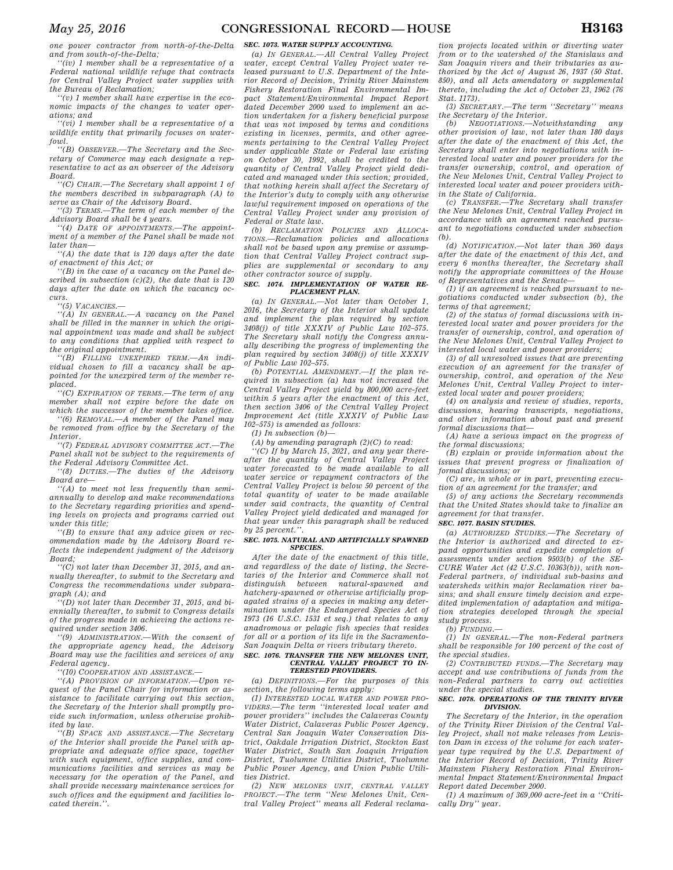*one power contractor from north-of-the-Delta and from south-of-the-Delta;* 

*''(iv) 1 member shall be a representative of a Federal national wildlife refuge that contracts for Central Valley Project water supplies with the Bureau of Reclamation;* 

*''(v) 1 member shall have expertise in the economic impacts of the changes to water operations; and* 

*''(vi) 1 member shall be a representative of a wildlife entity that primarily focuses on waterfowl.* 

*''(B) OBSERVER.—The Secretary and the Secretary of Commerce may each designate a representative to act as an observer of the Advisory Board.* 

*''(C) CHAIR.—The Secretary shall appoint 1 of the members described in subparagraph (A) to serve as Chair of the Advisory Board.* 

*''(3) TERMS.—The term of each member of the Advisory Board shall be 4 years.* 

*''(4) DATE OF APPOINTMENTS.—The appointment of a member of the Panel shall be made not later than—* 

*''(A) the date that is 120 days after the date of enactment of this Act; or* 

*''(B) in the case of a vacancy on the Panel described in subsection (c)(2), the date that is 120 days after the date on which the vacancy occurs.* 

*''(5) VACANCIES.—* 

*''(A) IN GENERAL.—A vacancy on the Panel shall be filled in the manner in which the original appointment was made and shall be subject to any conditions that applied with respect to the original appointment.* 

*''(B) FILLING UNEXPIRED TERM.—An individual chosen to fill a vacancy shall be appointed for the unexpired term of the member replaced.* 

*''(C) EXPIRATION OF TERMS.—The term of any member shall not expire before the date on which the successor of the member takes office.* 

*''(6) REMOVAL.—A member of the Panel may be removed from office by the Secretary of the Interior.* 

*''(7) FEDERAL ADVISORY COMMITTEE ACT.—The Panel shall not be subject to the requirements of the Federal Advisory Committee Act.* 

*''(8) DUTIES.—The duties of the Advisory Board are—* 

*''(A) to meet not less frequently than semiannually to develop and make recommendations to the Secretary regarding priorities and spending levels on projects and programs carried out under this title;* 

*''(B) to ensure that any advice given or recommendation made by the Advisory Board reflects the independent judgment of the Advisory Board;* 

*''(C) not later than December 31, 2015, and annually thereafter, to submit to the Secretary and Congress the recommendations under subparagraph (A); and* 

*''(D) not later than December 31, 2015, and biennially thereafter, to submit to Congress details of the progress made in achieving the actions required under section 3406.* 

*''(9) ADMINISTRATION.—With the consent of the appropriate agency head, the Advisory Board may use the facilities and services of any Federal agency.* 

*''(10) COOPERATION AND ASSISTANCE.—* 

*''(A) PROVISION OF INFORMATION.—Upon request of the Panel Chair for information or assistance to facilitate carrying out this section, the Secretary of the Interior shall promptly provide such information, unless otherwise prohibited by law.* 

*''(B) SPACE AND ASSISTANCE.—The Secretary of the Interior shall provide the Panel with appropriate and adequate office space, together with such equipment, office supplies, and communications facilities and services as may be necessary for the operation of the Panel, and shall provide necessary maintenance services for such offices and the equipment and facilities located therein.''.* 

## *SEC. 1073. WATER SUPPLY ACCOUNTING.*

*(a) IN GENERAL.—All Central Valley Project water, except Central Valley Project water released pursuant to U.S. Department of the Interior Record of Decision, Trinity River Mainstem Fishery Restoration Final Environmental Impact Statement/Environmental Impact Report dated December 2000 used to implement an action undertaken for a fishery beneficial purpose that was not imposed by terms and conditions existing in licenses, permits, and other agreements pertaining to the Central Valley Project under applicable State or Federal law existing on October 30, 1992, shall be credited to the quantity of Central Valley Project yield dedicated and managed under this section; provided, that nothing herein shall affect the Secretary of the Interior's duty to comply with any otherwise lawful requirement imposed on operations of the Central Valley Project under any provision of Federal or State law.* 

*(b) RECLAMATION POLICIES AND ALLOCA-TIONS.—Reclamation policies and allocations shall not be based upon any premise or assumption that Central Valley Project contract supplies are supplemental or secondary to any other contractor source of supply.* 

## *SEC. 1074. IMPLEMENTATION OF WATER RE-PLACEMENT PLAN.*

*(a) IN GENERAL.—Not later than October 1, 2016, the Secretary of the Interior shall update and implement the plan required by section 3408(j) of title XXXIV of Public Law 102–575. The Secretary shall notify the Congress annually describing the progress of implementing the plan required by section 3408(j) of title XXXIV of Public Law 102–575.* 

*(b) POTENTIAL AMENDMENT.—If the plan required in subsection (a) has not increased the Central Valley Project yield by 800,000 acre-feet within 5 years after the enactment of this Act, then section 3406 of the Central Valley Project Improvement Act (title XXXIV of Public Law 102–575) is amended as follows:* 

*(1) In subsection (b)—* 

*(A) by amending paragraph (2)(C) to read:* 

*''(C) If by March 15, 2021, and any year thereafter the quantity of Central Valley Project water forecasted to be made available to all water service or repayment contractors of the Central Valley Project is below 50 percent of the total quantity of water to be made available under said contracts, the quantity of Central Valley Project yield dedicated and managed for that year under this paragraph shall be reduced by 25 percent.''.* 

#### *SEC. 1075. NATURAL AND ARTIFICIALLY SPAWNED SPECIES.*

*After the date of the enactment of this title, and regardless of the date of listing, the Secretaries of the Interior and Commerce shall not distinguish between natural-spawned and hatchery-spawned or otherwise artificially propagated strains of a species in making any determination under the Endangered Species Act of 1973 (16 U.S.C. 1531 et seq.) that relates to any anadromous or pelagic fish species that resides for all or a portion of its life in the Sacramento-San Joaquin Delta or rivers tributary thereto.* 

# *SEC. 1076. TRANSFER THE NEW MELONES UNIT, CENTRAL VALLEY PROJECT TO IN-TERESTED PROVIDERS.*

*(a) DEFINITIONS.—For the purposes of this section, the following terms apply:* 

*(1) INTERESTED LOCAL WATER AND POWER PRO-VIDERS.—The term ''interested local water and power providers'' includes the Calaveras County Water District, Calaveras Public Power Agency, Central San Joaquin Water Conservation District, Oakdale Irrigation District, Stockton East Water District, South San Joaquin Irrigation District, Tuolumne Utilities District, Tuolumne Public Power Agency, and Union Public Utilities District.* 

*(2) NEW MELONES UNIT, CENTRAL VALLEY PROJECT.—The term ''New Melones Unit, Central Valley Project'' means all Federal reclama-*

*tion projects located within or diverting water from or to the watershed of the Stanislaus and San Joaquin rivers and their tributaries as authorized by the Act of August 26, 1937 (50 Stat. 850), and all Acts amendatory or supplemental thereto, including the Act of October 23, 1962 (76 Stat. 1173).* 

*(3) SECRETARY.—The term ''Secretary'' means the Secretary of the Interior.* 

*(b) NEGOTIATIONS.—Notwithstanding any other provision of law, not later than 180 days after the date of the enactment of this Act, the Secretary shall enter into negotiations with interested local water and power providers for the transfer ownership, control, and operation of the New Melones Unit, Central Valley Project to interested local water and power providers within the State of California.* 

*(c) TRANSFER.—The Secretary shall transfer the New Melones Unit, Central Valley Project in accordance with an agreement reached pursuant to negotiations conducted under subsection (b).* 

*(d) NOTIFICATION.—Not later than 360 days after the date of the enactment of this Act, and every 6 months thereafter, the Secretary shall notify the appropriate committees of the House of Representatives and the Senate—* 

*(1) if an agreement is reached pursuant to negotiations conducted under subsection (b), the terms of that agreement;* 

*(2) of the status of formal discussions with interested local water and power providers for the transfer of ownership, control, and operation of the New Melones Unit, Central Valley Project to interested local water and power providers;* 

*(3) of all unresolved issues that are preventing execution of an agreement for the transfer of ownership, control, and operation of the New Melones Unit, Central Valley Project to interested local water and power providers;* 

*(4) on analysis and review of studies, reports, discussions, hearing transcripts, negotiations, and other information about past and present formal discussions that—* 

*(A) have a serious impact on the progress of the formal discussions;* 

*(B) explain or provide information about the issues that prevent progress or finalization of formal discussions; or* 

*(C) are, in whole or in part, preventing execution of an agreement for the transfer; and* 

*(5) of any actions the Secretary recommends that the United States should take to finalize an agreement for that transfer.* 

# *SEC. 1077. BASIN STUDIES.*

*(a) AUTHORIZED STUDIES.—The Secretary of the Interior is authorized and directed to expand opportunities and expedite completion of assessments under section 9503(b) of the SE-CURE Water Act (42 U.S.C. 10363(b)), with non-Federal partners, of individual sub-basins and watersheds within major Reclamation river basins; and shall ensure timely decision and expedited implementation of adaptation and mitigation strategies developed through the special study process.* 

 $(b)$   $\bar{F}$ *UNDING*.

*(1) IN GENERAL.—The non-Federal partners shall be responsible for 100 percent of the cost of the special studies.* 

*(2) CONTRIBUTED FUNDS.—The Secretary may accept and use contributions of funds from the non-Federal partners to carry out activities under the special studies.* 

## *SEC. 1078. OPERATIONS OF THE TRINITY RIVER DIVISION.*

*The Secretary of the Interior, in the operation of the Trinity River Division of the Central Valley Project, shall not make releases from Lewiston Dam in excess of the volume for each wateryear type required by the U.S. Department of the Interior Record of Decision, Trinity River Mainstem Fishery Restoration Final Environmental Impact Statement/Environmental Impact Report dated December 2000.* 

*(1) A maximum of 369,000 acre-feet in a ''Critically Dry'' year.*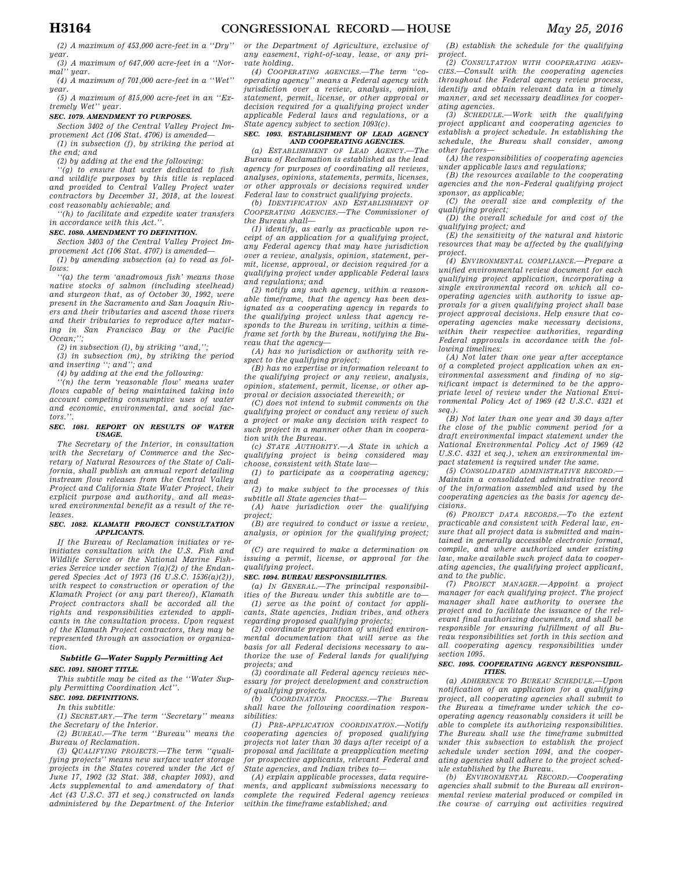*(2) A maximum of 453,000 acre-feet in a ''Dry'' year.* 

*(3) A maximum of 647,000 acre-feet in a ''Normal'' year.* 

*(4) A maximum of 701,000 acre-feet in a ''Wet'' year.* 

*(5) A maximum of 815,000 acre-feet in an ''Extremely Wet'' year.* 

## *SEC. 1079. AMENDMENT TO PURPOSES.*

*Section 3402 of the Central Valley Project Improvement Act (106 Stat. 4706) is amended— (1) in subsection (f), by striking the period at* 

*the end; and (2) by adding at the end the following:* 

*''(g) to ensure that water dedicated to fish and wildlife purposes by this title is replaced and provided to Central Valley Project water contractors by December 31, 2018, at the lowest cost reasonably achievable; and* 

*''(h) to facilitate and expedite water transfers in accordance with this Act.''.* 

## *SEC. 1080. AMENDMENT TO DEFINITION.*

*Section 3403 of the Central Valley Project Improvement Act (106 Stat. 4707) is amended—* 

*(1) by amending subsection (a) to read as follows:* 

*''(a) the term 'anadromous fish' means those native stocks of salmon (including steelhead) and sturgeon that, as of October 30, 1992, were present in the Sacramento and San Joaquin Rivers and their tributaries and ascend those rivers and their tributaries to reproduce after maturing in San Francisco Bay or the Pacific Ocean;'';* 

*(2) in subsection (l), by striking ''and,'';* 

*(3) in subsection (m), by striking the period and inserting ''; and''; and* 

*(4) by adding at the end the following:* 

*''(n) the term 'reasonable flow' means water flows capable of being maintained taking into account competing consumptive uses of water and economic, environmental, and social factors.''.* 

#### *SEC. 1081. REPORT ON RESULTS OF WATER USAGE.*

*The Secretary of the Interior, in consultation with the Secretary of Commerce and the Secretary of Natural Resources of the State of California, shall publish an annual report detailing instream flow releases from the Central Valley Project and California State Water Project, their explicit purpose and authority, and all measured environmental benefit as a result of the releases.* 

#### *SEC. 1082. KLAMATH PROJECT CONSULTATION APPLICANTS.*

*If the Bureau of Reclamation initiates or reinitiates consultation with the U.S. Fish and Wildlife Service or the National Marine Fisheries Service under section 7(a)(2) of the Endangered Species Act of 1973 (16 U.S.C. 1536(a)(2)), with respect to construction or operation of the Klamath Project (or any part thereof), Klamath Project contractors shall be accorded all the rights and responsibilities extended to applicants in the consultation process. Upon request of the Klamath Project contractors, they may be represented through an association or organization.* 

## *Subtitle G—Water Supply Permitting Act SEC. 1091. SHORT TITLE.*

*This subtitle may be cited as the ''Water Supply Permitting Coordination Act''.* 

## *SEC. 1092. DEFINITIONS.*

*In this subtitle:* 

*(1) SECRETARY.—The term ''Secretary'' means the Secretary of the Interior.* 

*(2) BUREAU.—The term ''Bureau'' means the Bureau of Reclamation.* 

*(3) QUALIFYING PROJECTS.—The term ''qualifying projects'' means new surface water storage projects in the States covered under the Act of June 17, 1902 (32 Stat. 388, chapter 1093), and Acts supplemental to and amendatory of that Act (43 U.S.C. 371 et seq.) constructed on lands administered by the Department of the Interior*  *or the Department of Agriculture, exclusive of any easement, right-of-way, lease, or any private holding.* 

*(4) COOPERATING AGENCIES.—The term ''cooperating agency'' means a Federal agency with jurisdiction over a review, analysis, opinion, statement, permit, license, or other approval or decision required for a qualifying project under applicable Federal laws and regulations, or a State agency subject to section 1093(c).* 

## *SEC. 1093. ESTABLISHMENT OF LEAD AGENCY AND COOPERATING AGENCIES.*

*(a) ESTABLISHMENT OF LEAD AGENCY.—The Bureau of Reclamation is established as the lead agency for purposes of coordinating all reviews, analyses, opinions, statements, permits, licenses, or other approvals or decisions required under Federal law to construct qualifying projects.* 

*(b) IDENTIFICATION AND ESTABLISHMENT OF COOPERATING AGENCIES.—The Commissioner of the Bureau shall—* 

*(1) identify, as early as practicable upon receipt of an application for a qualifying project, any Federal agency that may have jurisdiction over a review, analysis, opinion, statement, permit, license, approval, or decision required for a qualifying project under applicable Federal laws and regulations; and* 

*(2) notify any such agency, within a reasonable timeframe, that the agency has been designated as a cooperating agency in regards to the qualifying project unless that agency responds to the Bureau in writing, within a timeframe set forth by the Bureau, notifying the Bureau that the agency—* 

*(A) has no jurisdiction or authority with respect to the qualifying project;* 

*(B) has no expertise or information relevant to the qualifying project or any review, analysis, opinion, statement, permit, license, or other approval or decision associated therewith; or* 

*(C) does not intend to submit comments on the qualifying project or conduct any review of such a project or make any decision with respect to such project in a manner other than in cooperation with the Bureau.* 

*(c) STATE AUTHORITY.—A State in which a qualifying project is being considered may choose, consistent with State law—* 

*(1) to participate as a cooperating agency; and* 

*(2) to make subject to the processes of this subtitle all State agencies that—* 

*(A) have jurisdiction over the qualifying project;* 

*(B) are required to conduct or issue a review, analysis, or opinion for the qualifying project; or* 

*(C) are required to make a determination on issuing a permit, license, or approval for the qualifying project.* 

#### *SEC. 1094. BUREAU RESPONSIBILITIES.*

*(a) IN GENERAL.—The principal responsibilities of the Bureau under this subtitle are to— (1) serve as the point of contact for applicants, State agencies, Indian tribes, and others regarding proposed qualifying projects;* 

*(2) coordinate preparation of unified environmental documentation that will serve as the basis for all Federal decisions necessary to authorize the use of Federal lands for qualifying projects; and* 

*(3) coordinate all Federal agency reviews necessary for project development and construction of qualifying projects.* 

*(b) COORDINATION PROCESS.—The Bureau shall have the following coordination responsibilities:* 

*(1) PRE-APPLICATION COORDINATION.—Notify cooperating agencies of proposed qualifying projects not later than 30 days after receipt of a proposal and facilitate a preapplication meeting for prospective applicants, relevant Federal and State agencies, and Indian tribes to—* 

*(A) explain applicable processes, data requirements, and applicant submissions necessary to complete the required Federal agency reviews within the timeframe established; and* 

*(B) establish the schedule for the qualifying project.* 

*(2) CONSULTATION WITH COOPERATING AGEN-CIES.—Consult with the cooperating agencies throughout the Federal agency review process, identify and obtain relevant data in a timely manner, and set necessary deadlines for cooperating agencies.* 

*(3) SCHEDULE.—Work with the qualifying project applicant and cooperating agencies to establish a project schedule. In establishing the schedule, the Bureau shall consider, among other factors—* 

*(A) the responsibilities of cooperating agencies under applicable laws and regulations;* 

*(B) the resources available to the cooperating agencies and the non-Federal qualifying project sponsor, as applicable;* 

*(C) the overall size and complexity of the qualifying project;* 

*(D) the overall schedule for and cost of the qualifying project; and* 

*(E) the sensitivity of the natural and historic resources that may be affected by the qualifying project.* 

*(4) ENVIRONMENTAL COMPLIANCE.—Prepare a unified environmental review document for each qualifying project application, incorporating a single environmental record on which all cooperating agencies with authority to issue approvals for a given qualifying project shall base project approval decisions. Help ensure that cooperating agencies make necessary decisions, within their respective authorities, regarding Federal approvals in accordance with the following timelines:* 

*(A) Not later than one year after acceptance of a completed project application when an environmental assessment and finding of no significant impact is determined to be the appropriate level of review under the National Environmental Policy Act of 1969 (42 U.S.C. 4321 et seq.).* 

*(B) Not later than one year and 30 days after the close of the public comment period for a draft environmental impact statement under the National Environmental Policy Act of 1969 (42 U.S.C. 4321 et seq.), when an environmental impact statement is required under the same.* 

*(5) CONSOLIDATED ADMINISTRATIVE RECORD.— Maintain a consolidated administrative record of the information assembled and used by the cooperating agencies as the basis for agency decisions.* 

*(6) PROJECT DATA RECORDS.—To the extent practicable and consistent with Federal law, ensure that all project data is submitted and maintained in generally accessible electronic format, compile, and where authorized under existing law, make available such project data to cooperating agencies, the qualifying project applicant, and to the public.* 

*(7) PROJECT MANAGER.—Appoint a project manager for each qualifying project. The project manager shall have authority to oversee the project and to facilitate the issuance of the relevant final authorizing documents, and shall be responsible for ensuring fulfillment of all Bureau responsibilities set forth in this section and all cooperating agency responsibilities under section 1095.* 

#### *SEC. 1095. COOPERATING AGENCY RESPONSIBIL-ITIES.*

*(a) ADHERENCE TO BUREAU SCHEDULE.—Upon notification of an application for a qualifying project, all cooperating agencies shall submit to the Bureau a timeframe under which the cooperating agency reasonably considers it will be able to complete its authorizing responsibilities. The Bureau shall use the timeframe submitted under this subsection to establish the project schedule under section 1094, and the cooperating agencies shall adhere to the project schedule established by the Bureau.* 

*(b) ENVIRONMENTAL RECORD.—Cooperating agencies shall submit to the Bureau all environmental review material produced or compiled in the course of carrying out activities required*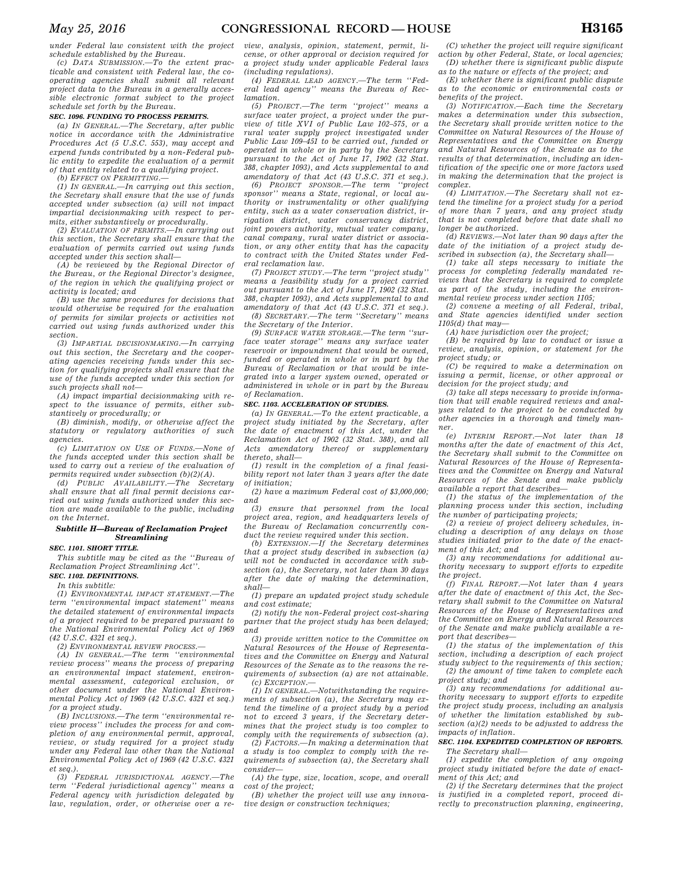*under Federal law consistent with the project schedule established by the Bureau.* 

*(c) DATA SUBMISSION.—To the extent practicable and consistent with Federal law, the cooperating agencies shall submit all relevant project data to the Bureau in a generally accessible electronic format subject to the project schedule set forth by the Bureau.* 

## *SEC. 1096. FUNDING TO PROCESS PERMITS.*

*(a) IN GENERAL.—The Secretary, after public notice in accordance with the Administrative Procedures Act (5 U.S.C. 553), may accept and expend funds contributed by a non-Federal public entity to expedite the evaluation of a permit of that entity related to a qualifying project.* 

*(b) EFFECT ON PERMITTING.—* 

*(1) IN GENERAL.—In carrying out this section, the Secretary shall ensure that the use of funds accepted under subsection (a) will not impact impartial decisionmaking with respect to permits, either substantively or procedurally.* 

*(2) EVALUATION OF PERMITS.—In carrying out this section, the Secretary shall ensure that the evaluation of permits carried out using funds accepted under this section shall—* 

*(A) be reviewed by the Regional Director of the Bureau, or the Regional Director's designee, of the region in which the qualifying project or activity is located; and* 

*(B) use the same procedures for decisions that would otherwise be required for the evaluation of permits for similar projects or activities not carried out using funds authorized under this section.* 

*(3) IMPARTIAL DECISIONMAKING.—In carrying out this section, the Secretary and the cooperating agencies receiving funds under this section for qualifying projects shall ensure that the use of the funds accepted under this section for such projects shall not—* 

*(A) impact impartial decisionmaking with respect to the issuance of permits, either substantively or procedurally; or* 

*(B) diminish, modify, or otherwise affect the statutory or regulatory authorities of such agencies.* 

*(c) LIMITATION ON USE OF FUNDS.—None of the funds accepted under this section shall be used to carry out a review of the evaluation of permits required under subsection (b)(2)(A).* 

*(d) PUBLIC AVAILABILITY.—The Secretary shall ensure that all final permit decisions carried out using funds authorized under this section are made available to the public, including on the Internet.* 

#### *Subtitle H—Bureau of Reclamation Project Streamlining*

*SEC. 1101. SHORT TITLE.* 

*This subtitle may be cited as the ''Bureau of Reclamation Project Streamlining Act''. SEC. 1102. DEFINITIONS.* 

*In this subtitle:* 

*(1) ENVIRONMENTAL IMPACT STATEMENT.—The term ''environmental impact statement'' means the detailed statement of environmental impacts of a project required to be prepared pursuant to the National Environmental Policy Act of 1969 (42 U.S.C. 4321 et seq.).* 

*(2) ENVIRONMENTAL REVIEW PROCESS.—* 

*(A) IN GENERAL.—The term ''environmental review process'' means the process of preparing an environmental impact statement, environmental assessment, categorical exclusion, or other document under the National Environmental Policy Act of 1969 (42 U.S.C. 4321 et seq.) for a project study.* 

*(B) INCLUSIONS.—The term ''environmental review process'' includes the process for and completion of any environmental permit, approval, review, or study required for a project study under any Federal law other than the National Environmental Policy Act of 1969 (42 U.S.C. 4321 et seq.).* 

*(3) FEDERAL JURISDICTIONAL AGENCY.—The term ''Federal jurisdictional agency'' means a Federal agency with jurisdiction delegated by law, regulation, order, or otherwise over a re-*

*view, analysis, opinion, statement, permit, license, or other approval or decision required for a project study under applicable Federal laws (including regulations).* 

*(4) FEDERAL LEAD AGENCY.—The term ''Federal lead agency'' means the Bureau of Reclamation.* 

*(5) PROJECT.—The term ''project'' means a surface water project, a project under the purview of title XVI of Public Law 102–575, or a rural water supply project investigated under Public Law 109–451 to be carried out, funded or operated in whole or in party by the Secretary pursuant to the Act of June 17, 1902 (32 Stat. 388, chapter 1093), and Acts supplemental to and amendatory of that Act (43 U.S.C. 371 et seq.).* 

*(6) PROJECT SPONSOR.—The term ''project sponsor'' means a State, regional, or local authority or instrumentality or other qualifying entity, such as a water conservation district, irrigation district, water conservancy district, joint powers authority, mutual water company, canal company, rural water district or association, or any other entity that has the capacity to contract with the United States under Federal reclamation law.* 

*(7) PROJECT STUDY.—The term ''project study'' means a feasibility study for a project carried out pursuant to the Act of June 17, 1902 (32 Stat. 388, chapter 1093), and Acts supplemental to and amendatory of that Act (43 U.S.C. 371 et seq.). (8) SECRETARY.—The term ''Secretary'' means* 

*the Secretary of the Interior.* 

*(9) SURFACE WATER STORAGE.—The term ''surface water storage'' means any surface water reservoir or impoundment that would be owned, funded or operated in whole or in part by the Bureau of Reclamation or that would be integrated into a larger system owned, operated or administered in whole or in part by the Bureau of Reclamation.* 

#### *SEC. 1103. ACCELERATION OF STUDIES.*

*(a) IN GENERAL.—To the extent practicable, a project study initiated by the Secretary, after the date of enactment of this Act, under the Reclamation Act of 1902 (32 Stat. 388), and all Acts amendatory thereof or supplementary thereto, shall—* 

*(1) result in the completion of a final feasibility report not later than 3 years after the date of initiation;* 

*(2) have a maximum Federal cost of \$3,000,000; and* 

*(3) ensure that personnel from the local project area, region, and headquarters levels of the Bureau of Reclamation concurrently conduct the review required under this section.* 

*(b) EXTENSION.—If the Secretary determines that a project study described in subsection (a) will not be conducted in accordance with subsection (a), the Secretary, not later than 30 days after the date of making the determination, shall—* 

*(1) prepare an updated project study schedule and cost estimate;* 

*(2) notify the non-Federal project cost-sharing partner that the project study has been delayed; and* 

*(3) provide written notice to the Committee on Natural Resources of the House of Representatives and the Committee on Energy and Natural Resources of the Senate as to the reasons the requirements of subsection (a) are not attainable. (c) EXCEPTION.—* 

*(1) IN GENERAL.—Notwithstanding the requirements of subsection (a), the Secretary may extend the timeline of a project study by a period not to exceed 3 years, if the Secretary determines that the project study is too complex to comply with the requirements of subsection (a).* 

*(2) FACTORS.—In making a determination that a study is too complex to comply with the requirements of subsection (a), the Secretary shall consider—* 

*(A) the type, size, location, scope, and overall cost of the project;* 

*(B) whether the project will use any innovative design or construction techniques;* 

*(C) whether the project will require significant action by other Federal, State, or local agencies; (D) whether there is significant public dispute* 

*as to the nature or effects of the project; and (E) whether there is significant public dispute* 

*as to the economic or environmental costs or benefits of the project. (3) NOTIFICATION.—Each time the Secretary* 

*makes a determination under this subsection, the Secretary shall provide written notice to the Committee on Natural Resources of the House of Representatives and the Committee on Energy and Natural Resources of the Senate as to the results of that determination, including an identification of the specific one or more factors used in making the determination that the project is complex.* 

*(4) LIMITATION.—The Secretary shall not extend the timeline for a project study for a period of more than 7 years, and any project study that is not completed before that date shall no longer be authorized.* 

*(d) REVIEWS.—Not later than 90 days after the date of the initiation of a project study described in subsection (a), the Secretary shall—* 

*(1) take all steps necessary to initiate the process for completing federally mandated reviews that the Secretary is required to complete as part of the study, including the environmental review process under section 1105;* 

*(2) convene a meeting of all Federal, tribal, and State agencies identified under section 1105(d) that may—* 

*(A) have jurisdiction over the project;* 

*(B) be required by law to conduct or issue a review, analysis, opinion, or statement for the project study; or* 

*(C) be required to make a determination on issuing a permit, license, or other approval or decision for the project study; and* 

*(3) take all steps necessary to provide information that will enable required reviews and analyses related to the project to be conducted by other agencies in a thorough and timely manner.* 

*(e) INTERIM REPORT.—Not later than 18 months after the date of enactment of this Act, the Secretary shall submit to the Committee on Natural Resources of the House of Representatives and the Committee on Energy and Natural Resources of the Senate and make publicly available a report that describes—* 

*(1) the status of the implementation of the planning process under this section, including the number of participating projects;* 

*(2) a review of project delivery schedules, including a description of any delays on those studies initiated prior to the date of the enactment of this Act; and* 

*(3) any recommendations for additional authority necessary to support efforts to expedite the project.* 

*(f) FINAL REPORT.—Not later than 4 years after the date of enactment of this Act, the Secretary shall submit to the Committee on Natural Resources of the House of Representatives and the Committee on Energy and Natural Resources of the Senate and make publicly available a report that describes—* 

*(1) the status of the implementation of this section, including a description of each project study subject to the requirements of this section; (2) the amount of time taken to complete each project study; and* 

*(3) any recommendations for additional authority necessary to support efforts to expedite the project study process, including an analysis of whether the limitation established by subsection (a)(2) needs to be adjusted to address the impacts of inflation.* 

## *SEC. 1104. EXPEDITED COMPLETION OF REPORTS. The Secretary shall—*

*(1) expedite the completion of any ongoing project study initiated before the date of enactment of this Act; and* 

*(2) if the Secretary determines that the project is justified in a completed report, proceed directly to preconstruction planning, engineering,*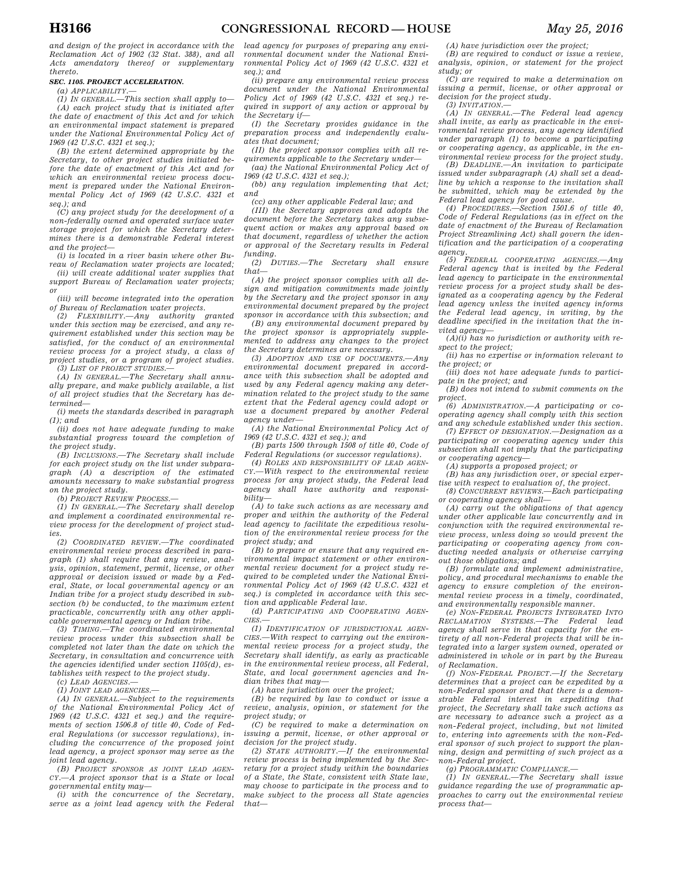*and design of the project in accordance with the Reclamation Act of 1902 (32 Stat. 388), and all Acts amendatory thereof or supplementary thereto.* 

## *SEC. 1105. PROJECT ACCELERATION.*

*(a) APPLICABILITY.—* 

*(1) IN GENERAL.—This section shall apply to— (A) each project study that is initiated after the date of enactment of this Act and for which an environmental impact statement is prepared under the National Environmental Policy Act of 1969 (42 U.S.C. 4321 et seq.);* 

*(B) the extent determined appropriate by the Secretary, to other project studies initiated before the date of enactment of this Act and for which an environmental review process document is prepared under the National Environmental Policy Act of 1969 (42 U.S.C. 4321 et seq.); and* 

*(C) any project study for the development of a non-federally owned and operated surface water storage project for which the Secretary determines there is a demonstrable Federal interest and the project—* 

*(i) is located in a river basin where other Bureau of Reclamation water projects are located; (ii) will create additional water supplies that support Bureau of Reclamation water projects; or* 

*(iii) will become integrated into the operation of Bureau of Reclamation water projects.* 

*(2) FLEXIBILITY.—Any authority granted under this section may be exercised, and any requirement established under this section may be satisfied, for the conduct of an environmental review process for a project study, a class of project studies, or a program of project studies. (3) LIST OF PROJECT STUDIES.—* 

*(A) IN GENERAL.—The Secretary shall annually prepare, and make publicly available, a list of all project studies that the Secretary has determined—* 

*(i) meets the standards described in paragraph (1); and* 

*(ii) does not have adequate funding to make substantial progress toward the completion of the project study.* 

*(B) INCLUSIONS.—The Secretary shall include for each project study on the list under subparagraph (A) a description of the estimated amounts necessary to make substantial progress on the project study.* 

*(b) PROJECT REVIEW PROCESS.—* 

*(1) IN GENERAL.—The Secretary shall develop and implement a coordinated environmental review process for the development of project studies.* 

*(2) COORDINATED REVIEW.—The coordinated environmental review process described in paragraph (1) shall require that any review, analysis, opinion, statement, permit, license, or other approval or decision issued or made by a Federal, State, or local governmental agency or an Indian tribe for a project study described in subsection (b) be conducted, to the maximum extent practicable, concurrently with any other applicable governmental agency or Indian tribe.* 

*(3) TIMING.—The coordinated environmental review process under this subsection shall be completed not later than the date on which the Secretary, in consultation and concurrence with the agencies identified under section 1105(d), establishes with respect to the project study.* 

*(c) LEAD AGENCIES.—* 

*(1) JOINT LEAD AGENCIES.—* 

*(A) IN GENERAL.—Subject to the requirements of the National Environmental Policy Act of 1969 (42 U.S.C. 4321 et seq.) and the requirements of section 1506.8 of title 40, Code of Federal Regulations (or successor regulations), including the concurrence of the proposed joint lead agency, a project sponsor may serve as the joint lead agency.* 

*(B) PROJECT SPONSOR AS JOINT LEAD AGEN-CY.—A project sponsor that is a State or local governmental entity may—* 

*(i) with the concurrence of the Secretary, serve as a joint lead agency with the Federal* 

*lead agency for purposes of preparing any environmental document under the National Environmental Policy Act of 1969 (42 U.S.C. 4321 et seq.); and* 

*(ii) prepare any environmental review process document under the National Environmental Policy Act of 1969 (42 U.S.C. 4321 et seq.) required in support of any action or approval by the Secretary if—* 

*(I) the Secretary provides guidance in the preparation process and independently evaluates that document;* 

*(II) the project sponsor complies with all requirements applicable to the Secretary under—* 

*(aa) the National Environmental Policy Act of 1969 (42 U.S.C. 4321 et seq.);* 

*(bb) any regulation implementing that Act; and* 

*(cc) any other applicable Federal law; and* 

*(III) the Secretary approves and adopts the document before the Secretary takes any subsequent action or makes any approval based on that document, regardless of whether the action or approval of the Secretary results in Federal funding.* 

*(2) DUTIES.—The Secretary shall ensure that—* 

*(A) the project sponsor complies with all design and mitigation commitments made jointly by the Secretary and the project sponsor in any environmental document prepared by the project sponsor in accordance with this subsection; and* 

*(B) any environmental document prepared by the project sponsor is appropriately supplemented to address any changes to the project the Secretary determines are necessary.* 

*(3) ADOPTION AND USE OF DOCUMENTS.—Any environmental document prepared in accordance with this subsection shall be adopted and used by any Federal agency making any determination related to the project study to the same extent that the Federal agency could adopt or use a document prepared by another Federal agency under—* 

*(A) the National Environmental Policy Act of 1969 (42 U.S.C. 4321 et seq.); and* 

*(B) parts 1500 through 1508 of title 40, Code of Federal Regulations (or successor regulations).* 

*(4) ROLES AND RESPONSIBILITY OF LEAD AGEN-CY.—With respect to the environmental review process for any project study, the Federal lead agency shall have authority and responsibility—* 

*(A) to take such actions as are necessary and proper and within the authority of the Federal lead agency to facilitate the expeditious resolution of the environmental review process for the project study; and* 

*(B) to prepare or ensure that any required environmental impact statement or other environmental review document for a project study required to be completed under the National Environmental Policy Act of 1969 (42 U.S.C. 4321 et seq.) is completed in accordance with this section and applicable Federal law.* 

*(d) PARTICIPATING AND COOPERATING AGEN-CIES.—* 

*(1) IDENTIFICATION OF JURISDICTIONAL AGEN-CIES.—With respect to carrying out the environmental review process for a project study, the Secretary shall identify, as early as practicable in the environmental review process, all Federal, State, and local government agencies and Indian tribes that may—* 

*(A) have jurisdiction over the project;* 

*(B) be required by law to conduct or issue a review, analysis, opinion, or statement for the project study; or* 

*(C) be required to make a determination on issuing a permit, license, or other approval or decision for the project study.* 

*(2) STATE AUTHORITY.—If the environmental review process is being implemented by the Secretary for a project study within the boundaries of a State, the State, consistent with State law, may choose to participate in the process and to make subject to the process all State agencies that—* 

*(A) have jurisdiction over the project; (B) are required to conduct or issue a review,* 

*analysis, opinion, or statement for the project study; or* 

*(C) are required to make a determination on issuing a permit, license, or other approval or decision for the project study.* 

*(3) INVITATION.—* 

*(A) IN GENERAL.—The Federal lead agency shall invite, as early as practicable in the environmental review process, any agency identified under paragraph (1) to become a participating or cooperating agency, as applicable, in the environmental review process for the project study.* 

*(B) DEADLINE.—An invitation to participate issued under subparagraph (A) shall set a deadline by which a response to the invitation shall be submitted, which may be extended by the Federal lead agency for good cause.* 

*(4) PROCEDURES.—Section 1501.6 of title 40, Code of Federal Regulations (as in effect on the date of enactment of the Bureau of Reclamation Project Streamlining Act) shall govern the identification and the participation of a cooperating agency.* 

*(5) FEDERAL COOPERATING AGENCIES.—Any Federal agency that is invited by the Federal lead agency to participate in the environmental review process for a project study shall be designated as a cooperating agency by the Federal lead agency unless the invited agency informs the Federal lead agency, in writing, by the deadline specified in the invitation that the invited agency—* 

*(A)(i) has no jurisdiction or authority with re-*

*spect to the project; (ii) has no expertise or information relevant to the project; or* 

*(iii) does not have adequate funds to participate in the project; and* 

*(B) does not intend to submit comments on the project.* 

*(6) ADMINISTRATION.—A participating or cooperating agency shall comply with this section and any schedule established under this section.* 

*(7) EFFECT OF DESIGNATION.—Designation as a participating or cooperating agency under this subsection shall not imply that the participating or cooperating agency—* 

*(A) supports a proposed project; or* 

*(B) has any jurisdiction over, or special expertise with respect to evaluation of, the project. (8) CONCURRENT REVIEWS.—Each participating* 

*or cooperating agency shall—* 

*(A) carry out the obligations of that agency under other applicable law concurrently and in conjunction with the required environmental review process, unless doing so would prevent the participating or cooperating agency from conducting needed analysis or otherwise carrying out those obligations; and* 

*(B) formulate and implement administrative, policy, and procedural mechanisms to enable the agency to ensure completion of the environmental review process in a timely, coordinated, and environmentally responsible manner.* 

*(e) NON-FEDERAL PROJECTS INTEGRATED INTO RECLAMATION SYSTEMS.—The Federal lead agency shall serve in that capacity for the entirety of all non-Federal projects that will be integrated into a larger system owned, operated or administered in whole or in part by the Bureau of Reclamation.* 

*(f) NON-FEDERAL PROJECT.—If the Secretary determines that a project can be expedited by a non-Federal sponsor and that there is a demonstrable Federal interest in expediting that project, the Secretary shall take such actions as are necessary to advance such a project as a non-Federal project, including, but not limited to, entering into agreements with the non-Federal sponsor of such project to support the planning, design and permitting of such project as a non-Federal project.* 

*(g) PROGRAMMATIC COMPLIANCE.—* 

*(1) IN GENERAL.—The Secretary shall issue guidance regarding the use of programmatic approaches to carry out the environmental review process that—*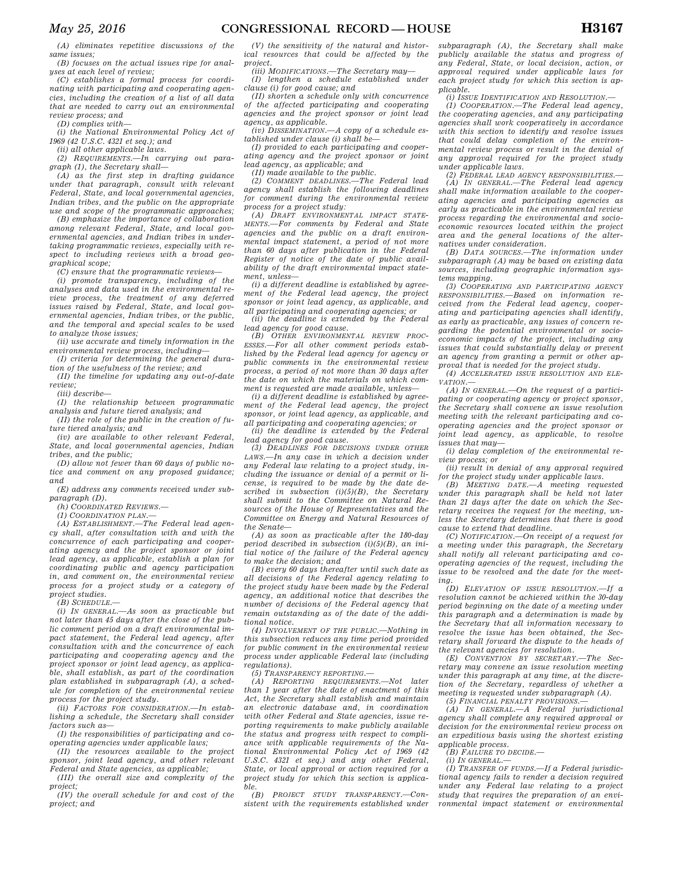*(A) eliminates repetitive discussions of the same issues;* 

*(B) focuses on the actual issues ripe for analyses at each level of review;* 

*(C) establishes a formal process for coordinating with participating and cooperating agencies, including the creation of a list of all data that are needed to carry out an environmental review process; and* 

*(D) complies with—* 

*(i) the National Environmental Policy Act of 1969 (42 U.S.C. 4321 et seq.); and* 

*(ii) all other applicable laws. (2) REQUIREMENTS.—In carrying out para-*

*graph (1), the Secretary shall— (A) as the first step in drafting guidance under that paragraph, consult with relevant Federal, State, and local governmental agencies, Indian tribes, and the public on the appropriate use and scope of the programmatic approaches;* 

*(B) emphasize the importance of collaboration among relevant Federal, State, and local governmental agencies, and Indian tribes in undertaking programmatic reviews, especially with respect to including reviews with a broad geographical scope;* 

*(C) ensure that the programmatic reviews—* 

*(i) promote transparency, including of the analyses and data used in the environmental review process, the treatment of any deferred issues raised by Federal, State, and local governmental agencies, Indian tribes, or the public, and the temporal and special scales to be used to analyze those issues;* 

*(ii) use accurate and timely information in the environmental review process, including—* 

*(I) criteria for determining the general duration of the usefulness of the review; and* 

*(II) the timeline for updating any out-of-date review;* 

*(iii) describe—* 

*(I) the relationship between programmatic analysis and future tiered analysis; and* 

*(II) the role of the public in the creation of future tiered analysis; and* 

*(iv) are available to other relevant Federal, State, and local governmental agencies, Indian tribes, and the public;* 

*(D) allow not fewer than 60 days of public notice and comment on any proposed guidance; and* 

*(E) address any comments received under subparagraph (D).* 

*(h) COORDINATED REVIEWS.—* 

*(1) COORDINATION PLAN.—* 

*(A) ESTABLISHMENT.—The Federal lead agency shall, after consultation with and with the concurrence of each participating and cooperating agency and the project sponsor or joint lead agency, as applicable, establish a plan for coordinating public and agency participation in, and comment on, the environmental review process for a project study or a category of project studies.* 

*(B) SCHEDULE.* 

*(i) IN GENERAL.—As soon as practicable but not later than 45 days after the close of the public comment period on a draft environmental impact statement, the Federal lead agency, after consultation with and the concurrence of each participating and cooperating agency and the project sponsor or joint lead agency, as applicable, shall establish, as part of the coordination plan established in subparagraph (A), a schedule for completion of the environmental review process for the project study.* 

*(ii) FACTORS FOR CONSIDERATION.—In establishing a schedule, the Secretary shall consider factors such as—* 

*(I) the responsibilities of participating and cooperating agencies under applicable laws;* 

*(II) the resources available to the project sponsor, joint lead agency, and other relevant Federal and State agencies, as applicable;* 

*(III) the overall size and complexity of the project;* 

*(IV) the overall schedule for and cost of the project; and* 

*(V) the sensitivity of the natural and historical resources that could be affected by the project.* 

*(iii) MODIFICATIONS.—The Secretary may— (I) lengthen a schedule established under clause (i) for good cause; and* 

*(II) shorten a schedule only with concurrence of the affected participating and cooperating agencies and the project sponsor or joint lead agency, as applicable.* 

*(iv) DISSEMINATION.—A copy of a schedule established under clause (i) shall be—* 

*(I) provided to each participating and cooperating agency and the project sponsor or joint lead agency, as applicable; and* 

*(II) made available to the public. (2) COMMENT DEADLINES.—The Federal lead agency shall establish the following deadlines for comment during the environmental review process for a project study:* 

*(A) DRAFT ENVIRONMENTAL IMPACT STATE-MENTS.—For comments by Federal and State agencies and the public on a draft environmental impact statement, a period of not more than 60 days after publication in the Federal Register of notice of the date of public availability of the draft environmental impact statement, unless—* 

*(i) a different deadline is established by agreement of the Federal lead agency, the project sponsor or joint lead agency, as applicable, and all participating and cooperating agencies; or* 

*(ii) the deadline is extended by the Federal lead agency for good cause.* 

*(B) OTHER ENVIRONMENTAL REVIEW PROC-ESSES.—For all other comment periods established by the Federal lead agency for agency or public comments in the environmental review process, a period of not more than 30 days after the date on which the materials on which comment is requested are made available, unless—* 

*(i) a different deadline is established by agreement of the Federal lead agency, the project sponsor, or joint lead agency, as applicable, and all participating and cooperating agencies; or* 

*(ii) the deadline is extended by the Federal lead agency for good cause.* 

*(3) DEADLINES FOR DECISIONS UNDER OTHER LAWS.—In any case in which a decision under any Federal law relating to a project study, including the issuance or denial of a permit or license, is required to be made by the date described in subsection (i)(5)(B), the Secretary shall submit to the Committee on Natural Resources of the House of Representatives and the Committee on Energy and Natural Resources of the Senate—* 

*(A) as soon as practicable after the 180-day period described in subsection (i)(5)(B), an initial notice of the failure of the Federal agency to make the decision; and* 

*(B) every 60 days thereafter until such date as all decisions of the Federal agency relating to the project study have been made by the Federal agency, an additional notice that describes the number of decisions of the Federal agency that remain outstanding as of the date of the additional notice.* 

*(4) INVOLVEMENT OF THE PUBLIC.—Nothing in this subsection reduces any time period provided for public comment in the environmental review process under applicable Federal law (including regulations).* 

*(5) TRANSPARENCY REPORTING.—* 

*(A) REPORTING REQUIREMENTS.—Not later than 1 year after the date of enactment of this Act, the Secretary shall establish and maintain an electronic database and, in coordination with other Federal and State agencies, issue reporting requirements to make publicly available the status and progress with respect to compliance with applicable requirements of the National Environmental Policy Act of 1969 (42 U.S.C. 4321 et seq.) and any other Federal, State, or local approval or action required for a project study for which this section is applicable.* 

*(B) PROJECT STUDY TRANSPARENCY.—Consistent with the requirements established under* 

*subparagraph (A), the Secretary shall make publicly available the status and progress of any Federal, State, or local decision, action, or approval required under applicable laws for each project study for which this section is applicable.* 

*(i) ISSUE IDENTIFICATION AND RESOLUTION.— (1) COOPERATION.—The Federal lead agency,* 

*the cooperating agencies, and any participating agencies shall work cooperatively in accordance with this section to identify and resolve issues that could delay completion of the environmental review process or result in the denial of any approval required for the project study under applicable laws.* 

*(2) FEDERAL LEAD AGENCY RESPONSIBILITIES.— (A) IN GENERAL.—The Federal lead agency shall make information available to the cooperating agencies and participating agencies as early as practicable in the environmental review process regarding the environmental and socioeconomic resources located within the project area and the general locations of the alternatives under consideration.* 

*(B) DATA SOURCES.—The information under subparagraph (A) may be based on existing data sources, including geographic information systems mapping.* 

*(3) COOPERATING AND PARTICIPATING AGENCY RESPONSIBILITIES.—Based on information received from the Federal lead agency, cooperating and participating agencies shall identify, as early as practicable, any issues of concern regarding the potential environmental or socioeconomic impacts of the project, including any issues that could substantially delay or prevent an agency from granting a permit or other approval that is needed for the project study.* 

*(4) ACCELERATED ISSUE RESOLUTION AND ELE-VATION.—* 

*(A) IN GENERAL.—On the request of a participating or cooperating agency or project sponsor, the Secretary shall convene an issue resolution meeting with the relevant participating and cooperating agencies and the project sponsor or joint lead agency, as applicable, to resolve issues that may—* 

*(i) delay completion of the environmental review process; or* 

*(ii) result in denial of any approval required for the project study under applicable laws.* 

*(B) MEETING DATE.—A meeting requested under this paragraph shall be held not later than 21 days after the date on which the Secretary receives the request for the meeting, unless the Secretary determines that there is good cause to extend that deadline.* 

*(C) NOTIFICATION.—On receipt of a request for a meeting under this paragraph, the Secretary shall notify all relevant participating and cooperating agencies of the request, including the issue to be resolved and the date for the meeting.* 

*(D) ELEVATION OF ISSUE RESOLUTION.—If a resolution cannot be achieved within the 30-day period beginning on the date of a meeting under this paragraph and a determination is made by the Secretary that all information necessary to resolve the issue has been obtained, the Secretary shall forward the dispute to the heads of the relevant agencies for resolution.* 

*(E) CONVENTION BY SECRETARY.—The Secretary may convene an issue resolution meeting under this paragraph at any time, at the discretion of the Secretary, regardless of whether a meeting is requested under subparagraph (A). (5) FINANCIAL PENALTY PROVISIONS.—* 

*(A) IN GENERAL.—A Federal jurisdictional agency shall complete any required approval or decision for the environmental review process on an expeditious basis using the shortest existing applicable process.* 

*(B) FAILURE TO DECIDE.—* 

*(i) IN GENERAL.—* 

*(I) TRANSFER OF FUNDS.—If a Federal jurisdictional agency fails to render a decision required under any Federal law relating to a project study that requires the preparation of an environmental impact statement or environmental*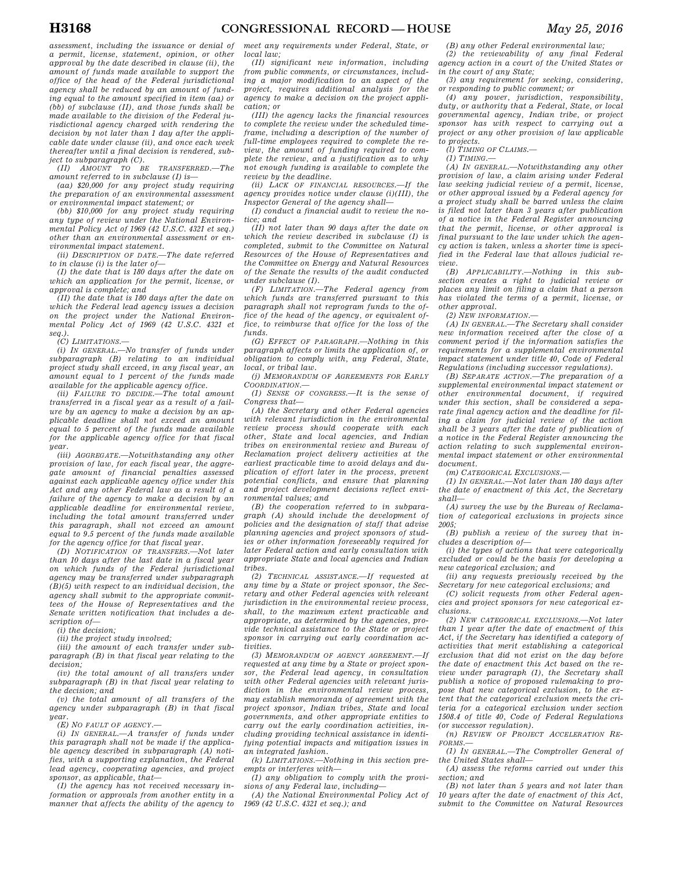*assessment, including the issuance or denial of a permit, license, statement, opinion, or other approval by the date described in clause (ii), the amount of funds made available to support the office of the head of the Federal jurisdictional agency shall be reduced by an amount of funding equal to the amount specified in item (aa) or (bb) of subclause (II), and those funds shall be made available to the division of the Federal jurisdictional agency charged with rendering the decision by not later than 1 day after the applicable date under clause (ii), and once each week thereafter until a final decision is rendered, subject to subparagraph (C).* 

*(II) AMOUNT TO BE TRANSFERRED.—The amount referred to in subclause (I) is—* 

*(aa) \$20,000 for any project study requiring the preparation of an environmental assessment or environmental impact statement; or* 

*(bb) \$10,000 for any project study requiring any type of review under the National Environmental Policy Act of 1969 (42 U.S.C. 4321 et seq.) other than an environmental assessment or environmental impact statement.* 

*(ii) DESCRIPTION OF DATE.—The date referred to in clause (i) is the later of—* 

*(I) the date that is 180 days after the date on which an application for the permit, license, or approval is complete; and* 

*(II) the date that is 180 days after the date on which the Federal lead agency issues a decision on the project under the National Environmental Policy Act of 1969 (42 U.S.C. 4321 et seq.).* 

*(C) LIMITATIONS.—* 

*(i) IN GENERAL.—No transfer of funds under subparagraph (B) relating to an individual project study shall exceed, in any fiscal year, an amount equal to 1 percent of the funds made available for the applicable agency office.* 

*(ii) FAILURE TO DECIDE.—The total amount transferred in a fiscal year as a result of a failure by an agency to make a decision by an applicable deadline shall not exceed an amount equal to 5 percent of the funds made available for the applicable agency office for that fiscal year.* 

*(iii) AGGREGATE.—Notwithstanding any other provision of law, for each fiscal year, the aggregate amount of financial penalties assessed against each applicable agency office under this Act and any other Federal law as a result of a failure of the agency to make a decision by an applicable deadline for environmental review, including the total amount transferred under this paragraph, shall not exceed an amount equal to 9.5 percent of the funds made available for the agency office for that fiscal year.* 

*(D) NOTIFICATION OF TRANSFERS.—Not later than 10 days after the last date in a fiscal year on which funds of the Federal jurisdictional agency may be transferred under subparagraph (B)(5) with respect to an individual decision, the agency shall submit to the appropriate committees of the House of Representatives and the Senate written notification that includes a description of—* 

*(i) the decision; (ii) the project study involved;* 

*(iii) the amount of each transfer under sub-*

*paragraph (B) in that fiscal year relating to the decision; (iv) the total amount of all transfers under* 

*subparagraph (B) in that fiscal year relating to the decision; and* 

*(v) the total amount of all transfers of the agency under subparagraph (B) in that fiscal year. (E) NO FAULT OF AGENCY.—* 

*(i) IN GENERAL.—A transfer of funds under this paragraph shall not be made if the applicable agency described in subparagraph (A) notifies, with a supporting explanation, the Federal lead agency, cooperating agencies, and project sponsor, as applicable, that—* 

*(I) the agency has not received necessary information or approvals from another entity in a manner that affects the ability of the agency to* 

*meet any requirements under Federal, State, or local law;* 

*(II) significant new information, including from public comments, or circumstances, including a major modification to an aspect of the project, requires additional analysis for the agency to make a decision on the project application; or* 

*(III) the agency lacks the financial resources to complete the review under the scheduled timeframe, including a description of the number of full-time employees required to complete the review, the amount of funding required to complete the review, and a justification as to why not enough funding is available to complete the review by the deadline.* 

*(ii) LACK OF FINANCIAL RESOURCES.—If the agency provides notice under clause (i)(III), the Inspector General of the agency shall—* 

*(I) conduct a financial audit to review the notice; and* 

*(II) not later than 90 days after the date on which the review described in subclause (I) is completed, submit to the Committee on Natural Resources of the House of Representatives and the Committee on Energy and Natural Resources of the Senate the results of the audit conducted under subclause (I).* 

*(F) LIMITATION.—The Federal agency from which funds are transferred pursuant to this paragraph shall not reprogram funds to the office of the head of the agency, or equivalent office, to reimburse that office for the loss of the funds.* 

*(G) EFFECT OF PARAGRAPH.—Nothing in this paragraph affects or limits the application of, or obligation to comply with, any Federal, State, local, or tribal law.* 

*(j) MEMORANDUM OF AGREEMENTS FOR EARLY COORDINATION.—* 

*(1) SENSE OF CONGRESS.—It is the sense of Congress that—* 

*(A) the Secretary and other Federal agencies with relevant jurisdiction in the environmental review process should cooperate with each other, State and local agencies, and Indian tribes on environmental review and Bureau of Reclamation project delivery activities at the earliest practicable time to avoid delays and duplication of effort later in the process, prevent potential conflicts, and ensure that planning and project development decisions reflect environmental values; and* 

*(B) the cooperation referred to in subparagraph (A) should include the development of policies and the designation of staff that advise planning agencies and project sponsors of studies or other information foreseeably required for later Federal action and early consultation with appropriate State and local agencies and Indian tribes.* 

*(2) TECHNICAL ASSISTANCE.—If requested at any time by a State or project sponsor, the Secretary and other Federal agencies with relevant jurisdiction in the environmental review process, shall, to the maximum extent practicable and appropriate, as determined by the agencies, provide technical assistance to the State or project sponsor in carrying out early coordination activities.* 

*(3) MEMORANDUM OF AGENCY AGREEMENT.—If requested at any time by a State or project sponsor, the Federal lead agency, in consultation with other Federal agencies with relevant jurisdiction in the environmental review process, may establish memoranda of agreement with the project sponsor, Indian tribes, State and local governments, and other appropriate entities to carry out the early coordination activities, including providing technical assistance in identifying potential impacts and mitigation issues in an integrated fashion.* 

*(k) LIMITATIONS.—Nothing in this section preempts or interferes with—* 

*(1) any obligation to comply with the provisions of any Federal law, including—* 

*(A) the National Environmental Policy Act of 1969 (42 U.S.C. 4321 et seq.); and* 

*(B) any other Federal environmental law; (2) the reviewability of any final Federal agency action in a court of the United States or in the court of any State;* 

*(3) any requirement for seeking, considering, or responding to public comment; or* 

*(4) any power, jurisdiction, responsibility, duty, or authority that a Federal, State, or local governmental agency, Indian tribe, or project sponsor has with respect to carrying out a project or any other provision of law applicable to projects.* 

*(l) TIMING OF CLAIMS.—* 

*(1) TIMING.—* 

*(A) IN GENERAL.—Notwithstanding any other provision of law, a claim arising under Federal law seeking judicial review of a permit, license, or other approval issued by a Federal agency for a project study shall be barred unless the claim is filed not later than 3 years after publication of a notice in the Federal Register announcing that the permit, license, or other approval is final pursuant to the law under which the agency action is taken, unless a shorter time is specified in the Federal law that allows judicial review.* 

*(B) APPLICABILITY.—Nothing in this subsection creates a right to judicial review or places any limit on filing a claim that a person has violated the terms of a permit, license, or other approval.* 

*(2) NEW INFORMATION.—* 

*(A) IN GENERAL.—The Secretary shall consider new information received after the close of a comment period if the information satisfies the requirements for a supplemental environmental impact statement under title 40, Code of Federal Regulations (including successor regulations).* 

*(B) SEPARATE ACTION.—The preparation of a supplemental environmental impact statement or other environmental document, if required under this section, shall be considered a separate final agency action and the deadline for filing a claim for judicial review of the action shall be 3 years after the date of publication of a notice in the Federal Register announcing the action relating to such supplemental environmental impact statement or other environmental document.* 

*(m) CATEGORICAL EXCLUSIONS.—* 

*(1) IN GENERAL.—Not later than 180 days after the date of enactment of this Act, the Secretary shall—* 

*(A) survey the use by the Bureau of Reclamation of categorical exclusions in projects since 2005;* 

*(B) publish a review of the survey that includes a description of—* 

*(i) the types of actions that were categorically excluded or could be the basis for developing a new categorical exclusion; and* 

*(ii) any requests previously received by the Secretary for new categorical exclusions; and* 

*(C) solicit requests from other Federal agencies and project sponsors for new categorical exclusions.* 

*(2) NEW CATEGORICAL EXCLUSIONS.—Not later than 1 year after the date of enactment of this Act, if the Secretary has identified a category of activities that merit establishing a categorical exclusion that did not exist on the day before the date of enactment this Act based on the review under paragraph (1), the Secretary shall publish a notice of proposed rulemaking to propose that new categorical exclusion, to the extent that the categorical exclusion meets the criteria for a categorical exclusion under section 1508.4 of title 40, Code of Federal Regulations (or successor regulation).* 

*(n) REVIEW OF PROJECT ACCELERATION RE-FORMS.—* 

*(1) IN GENERAL.—The Comptroller General of the United States shall—* 

*(A) assess the reforms carried out under this section; and* 

*(B) not later than 5 years and not later than 10 years after the date of enactment of this Act, submit to the Committee on Natural Resources*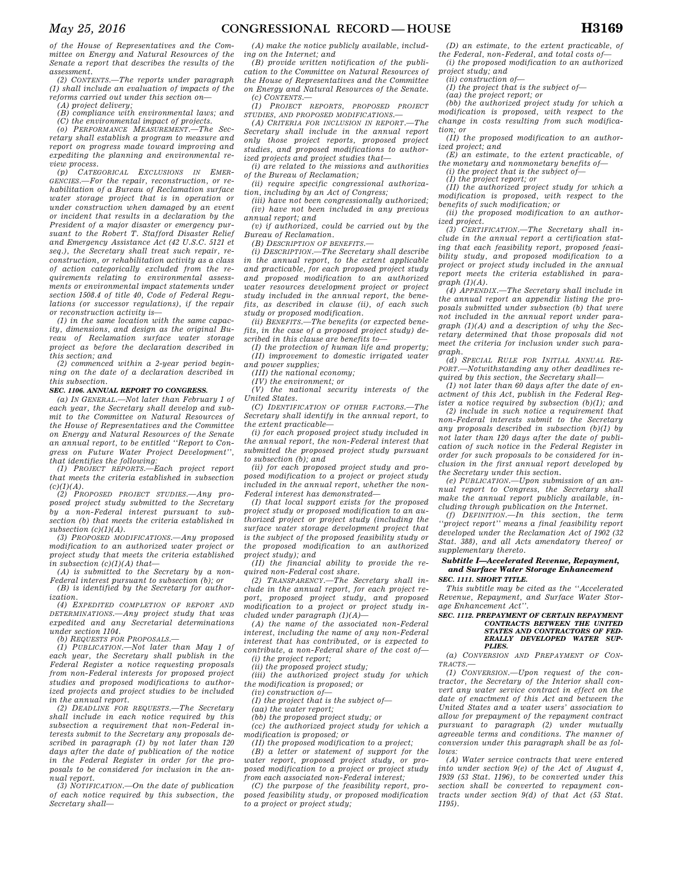*of the House of Representatives and the Committee on Energy and Natural Resources of the Senate a report that describes the results of the assessment.* 

*(2) CONTENTS.—The reports under paragraph (1) shall include an evaluation of impacts of the reforms carried out under this section on—* 

*(A) project delivery;* 

*(B) compliance with environmental laws; and* 

*(C) the environmental impact of projects. (o) PERFORMANCE MEASUREMENT.—The Sec-*

*retary shall establish a program to measure and report on progress made toward improving and expediting the planning and environmental review process.* 

*(p) CATEGORICAL EXCLUSIONS IN EMER-GENCIES.—For the repair, reconstruction, or rehabilitation of a Bureau of Reclamation surface water storage project that is in operation or under construction when damaged by an event or incident that results in a declaration by the President of a major disaster or emergency pursuant to the Robert T. Stafford Disaster Relief and Emergency Assistance Act (42 U.S.C. 5121 et seq.), the Secretary shall treat such repair, reconstruction, or rehabilitation activity as a class of action categorically excluded from the requirements relating to environmental assessments or environmental impact statements under section 1508.4 of title 40, Code of Federal Regulations (or successor regulations), if the repair or reconstruction activity is—* 

*(1) in the same location with the same capacity, dimensions, and design as the original Bureau of Reclamation surface water storage project as before the declaration described in this section; and* 

*(2) commenced within a 2-year period beginning on the date of a declaration described in this subsection.* 

#### *SEC. 1106. ANNUAL REPORT TO CONGRESS.*

*(a) IN GENERAL.—Not later than February 1 of each year, the Secretary shall develop and submit to the Committee on Natural Resources of the House of Representatives and the Committee on Energy and Natural Resources of the Senate an annual report, to be entitled ''Report to Congress on Future Water Project Development'',* 

*that identifies the following: (1) PROJECT REPORTS.—Each project report that meets the criteria established in subsection*   $(c)(1)(A)$ .

*(2) PROPOSED PROJECT STUDIES.—Any proposed project study submitted to the Secretary by a non-Federal interest pursuant to subsection (b) that meets the criteria established in subsection (c)(1)(A).* 

*(3) PROPOSED MODIFICATIONS.—Any proposed modification to an authorized water project or project study that meets the criteria established in subsection (c)(1)(A) that—* 

*(A) is submitted to the Secretary by a non-Federal interest pursuant to subsection (b); or (B) is identified by the Secretary for author-*

*ization.* 

*(4) EXPEDITED COMPLETION OF REPORT AND DETERMINATIONS.—Any project study that was expedited and any Secretarial determinations under section 1104.* 

*(b) REQUESTS FOR PROPOSALS.—* 

*(1) PUBLICATION.—Not later than May 1 of each year, the Secretary shall publish in the Federal Register a notice requesting proposals from non-Federal interests for proposed project studies and proposed modifications to authorized projects and project studies to be included in the annual report.* 

*(2) DEADLINE FOR REQUESTS.—The Secretary shall include in each notice required by this subsection a requirement that non-Federal interests submit to the Secretary any proposals described in paragraph (1) by not later than 120 days after the date of publication of the notice in the Federal Register in order for the proposals to be considered for inclusion in the annual report.* 

*(3) NOTIFICATION.—On the date of publication of each notice required by this subsection, the Secretary shall—* 

*(A) make the notice publicly available, including on the Internet; and* 

*(B) provide written notification of the publication to the Committee on Natural Resources of the House of Representatives and the Committee on Energy and Natural Resources of the Senate. (c) CONTENTS.—* 

*(1) PROJECT REPORTS, PROPOSED PROJECT STUDIES, AND PROPOSED MODIFICATIONS.—* 

*(A) CRITERIA FOR INCLUSION IN REPORT.—The Secretary shall include in the annual report only those project reports, proposed project studies, and proposed modifications to authorized projects and project studies that—* 

*(i) are related to the missions and authorities of the Bureau of Reclamation;* 

*(ii) require specific congressional authorization, including by an Act of Congress;* 

*(iii) have not been congressionally authorized; (iv) have not been included in any previous annual report; and* 

*(v) if authorized, could be carried out by the Bureau of Reclamation.* 

*(B) DESCRIPTION OF BENEFITS.—* 

*(i) DESCRIPTION.—The Secretary shall describe in the annual report, to the extent applicable and practicable, for each proposed project study and proposed modification to an authorized water resources development project or project study included in the annual report, the benefits, as described in clause (ii), of each such study or proposed modification.* 

*(ii) BENEFITS.—The benefits (or expected benefits, in the case of a proposed project study) described in this clause are benefits to—* 

*(I) the protection of human life and property; (II) improvement to domestic irrigated water and power supplies;* 

*(III) the national economy;* 

*(IV) the environment; or* 

*(V) the national security interests of the United States.* 

*(C) IDENTIFICATION OF OTHER FACTORS.—The Secretary shall identify in the annual report, to the extent practicable—* 

*(i) for each proposed project study included in the annual report, the non-Federal interest that submitted the proposed project study pursuant to subsection (b); and* 

*(ii) for each proposed project study and proposed modification to a project or project study included in the annual report, whether the non-Federal interest has demonstrated—* 

*(I) that local support exists for the proposed project study or proposed modification to an authorized project or project study (including the surface water storage development project that is the subject of the proposed feasibility study or the proposed modification to an authorized project study); and* 

*(II) the financial ability to provide the required non-Federal cost share.* 

*(2) TRANSPARENCY.—The Secretary shall include in the annual report, for each project report, proposed project study, and proposed modification to a project or project study included under paragraph (1)(A)—* 

*(A) the name of the associated non-Federal interest, including the name of any non-Federal interest that has contributed, or is expected to contribute, a non-Federal share of the cost of— (i) the project report;* 

*(ii) the proposed project study;* 

*(iii) the authorized project study for which the modification is proposed; or* 

*(iv) construction of—* 

*(I) the project that is the subject of— (aa) the water report;* 

*(bb) the proposed project study; or* 

*(cc) the authorized project study for which a* 

*modification is proposed; or (II) the proposed modification to a project;* 

*(B) a letter or statement of support for the water report, proposed project study, or proposed modification to a project or project study from each associated non-Federal interest;* 

*(C) the purpose of the feasibility report, proposed feasibility study, or proposed modification to a project or project study;* 

*(D) an estimate, to the extent practicable, of the Federal, non-Federal, and total costs of—* 

*(i) the proposed modification to an authorized project study; and (ii) construction of—* 

*(I) the project that is the subject of—* 

*(aa) the project report; or* 

*(bb) the authorized project study for which a modification is proposed, with respect to the change in costs resulting from such modifica-*

*tion; or (II) the proposed modification to an authorized project; and* 

*(E) an estimate, to the extent practicable, of the monetary and nonmonetary benefits of—* 

*(i) the project that is the subject of—* 

*(I) the project report; or* 

*(II) the authorized project study for which a modification is proposed, with respect to the benefits of such modification; or* 

*(ii) the proposed modification to an authorized project.* 

*(3) CERTIFICATION.—The Secretary shall include in the annual report a certification stating that each feasibility report, proposed feasibility study, and proposed modification to a project or project study included in the annual report meets the criteria established in paragraph (1)(A).* 

*(4) APPENDIX.—The Secretary shall include in the annual report an appendix listing the proposals submitted under subsection (b) that were not included in the annual report under paragraph (1)(A) and a description of why the Secretary determined that those proposals did not meet the criteria for inclusion under such paragraph.* 

*(d) SPECIAL RULE FOR INITIAL ANNUAL RE-PORT.—Notwithstanding any other deadlines required by this section, the Secretary shall—* 

*(1) not later than 60 days after the date of enactment of this Act, publish in the Federal Register a notice required by subsection (b)(1); and* 

*(2) include in such notice a requirement that non-Federal interests submit to the Secretary any proposals described in subsection (b)(1) by not later than 120 days after the date of publication of such notice in the Federal Register in order for such proposals to be considered for inclusion in the first annual report developed by the Secretary under this section.* 

*(e) PUBLICATION.—Upon submission of an annual report to Congress, the Secretary shall make the annual report publicly available, including through publication on the Internet.* 

*(f) DEFINITION.—In this section, the term ''project report'' means a final feasibility report developed under the Reclamation Act of 1902 (32 Stat. 388), and all Acts amendatory thereof or supplementary thereto.* 

## *Subtitle I—Accelerated Revenue, Repayment, and Surface Water Storage Enhancement*

*SEC. 1111. SHORT TITLE.* 

*This subtitle may be cited as the ''Accelerated Revenue, Repayment, and Surface Water Storage Enhancement Act''.* 

#### *SEC. 1112. PREPAYMENT OF CERTAIN REPAYMENT CONTRACTS BETWEEN THE UNITED STATES AND CONTRACTORS OF FED-ERALLY DEVELOPED WATER SUP-PLIES.*

*(a) CONVERSION AND PREPAYMENT OF CON-TRACTS.—* 

*(1) CONVERSION.—Upon request of the contractor, the Secretary of the Interior shall convert any water service contract in effect on the date of enactment of this Act and between the United States and a water users' association to allow for prepayment of the repayment contract pursuant to paragraph (2) under mutually agreeable terms and conditions. The manner of conversion under this paragraph shall be as follows:* 

*(A) Water service contracts that were entered into under section 9(e) of the Act of August 4, 1939 (53 Stat. 1196), to be converted under this section shall be converted to repayment contracts under section 9(d) of that Act (53 Stat. 1195).*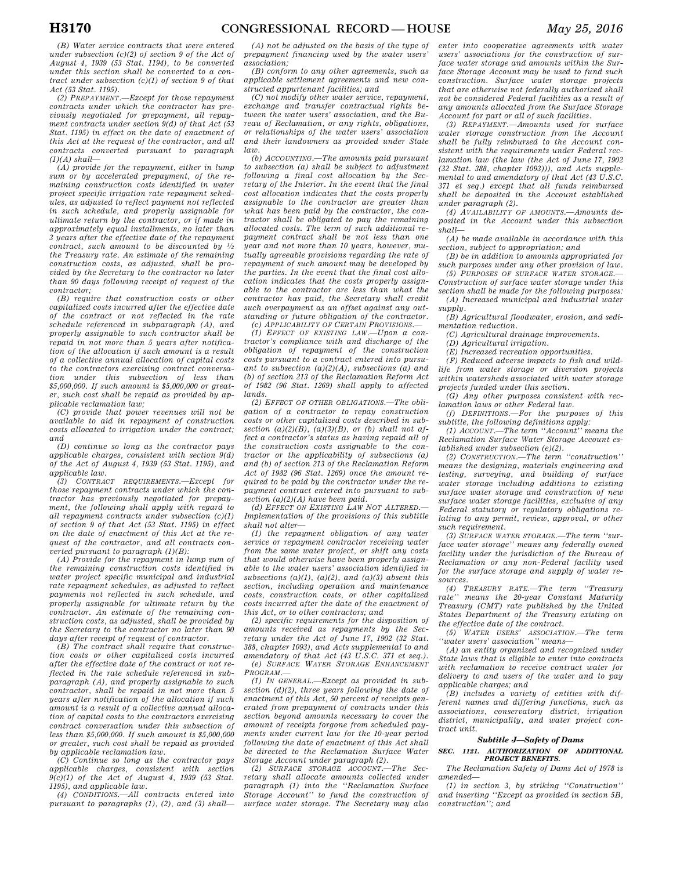*(B) Water service contracts that were entered under subsection (c)(2) of section 9 of the Act of August 4, 1939 (53 Stat. 1194), to be converted under this section shall be converted to a contract under subsection (c)(1) of section 9 of that Act (53 Stat. 1195).* 

*(2) PREPAYMENT.—Except for those repayment contracts under which the contractor has previously negotiated for prepayment, all repayment contracts under section 9(d) of that Act (53 Stat. 1195) in effect on the date of enactment of this Act at the request of the contractor, and all contracts converted pursuant to paragraph (1)(A) shall—* 

*(A) provide for the repayment, either in lump sum or by accelerated prepayment, of the remaining construction costs identified in water project specific irrigation rate repayment schedules, as adjusted to reflect payment not reflected in such schedule, and properly assignable for ultimate return by the contractor, or if made in approximately equal installments, no later than 3 years after the effective date of the repayment contract, such amount to be discounted by 1⁄2 the Treasury rate. An estimate of the remaining construction costs, as adjusted, shall be provided by the Secretary to the contractor no later than 90 days following receipt of request of the contractor;* 

*(B) require that construction costs or other capitalized costs incurred after the effective date of the contract or not reflected in the rate schedule referenced in subparagraph (A), and properly assignable to such contractor shall be repaid in not more than 5 years after notification of the allocation if such amount is a result of a collective annual allocation of capital costs to the contractors exercising contract conversation under this subsection of less than \$5,000,000. If such amount is \$5,000,000 or greater, such cost shall be repaid as provided by applicable reclamation law;* 

*(C) provide that power revenues will not be available to aid in repayment of construction costs allocated to irrigation under the contract; and* 

*(D) continue so long as the contractor pays applicable charges, consistent with section 9(d) of the Act of August 4, 1939 (53 Stat. 1195), and applicable law.* 

*(3) CONTRACT REQUIREMENTS.—Except for those repayment contracts under which the contractor has previously negotiated for prepayment, the following shall apply with regard to all repayment contracts under subsection (c)(1) of section 9 of that Act (53 Stat. 1195) in effect on the date of enactment of this Act at the request of the contractor, and all contracts converted pursuant to paragraph (1)(B):* 

*(A) Provide for the repayment in lump sum of the remaining construction costs identified in water project specific municipal and industrial rate repayment schedules, as adjusted to reflect payments not reflected in such schedule, and properly assignable for ultimate return by the contractor. An estimate of the remaining construction costs, as adjusted, shall be provided by the Secretary to the contractor no later than 90 days after receipt of request of contractor.* 

*(B) The contract shall require that construction costs or other capitalized costs incurred after the effective date of the contract or not reflected in the rate schedule referenced in subparagraph (A), and properly assignable to such contractor, shall be repaid in not more than 5 years after notification of the allocation if such amount is a result of a collective annual allocation of capital costs to the contractors exercising contract conversation under this subsection of less than \$5,000,000. If such amount is \$5,000,000 or greater, such cost shall be repaid as provided by applicable reclamation law.* 

*(C) Continue so long as the contractor pays applicable charges, consistent with section 9(c)(1) of the Act of August 4, 1939 (53 Stat. 1195), and applicable law.* 

*(4) CONDITIONS.—All contracts entered into pursuant to paragraphs (1), (2), and (3) shall—* 

*(A) not be adjusted on the basis of the type of prepayment financing used by the water users' association;* 

*(B) conform to any other agreements, such as applicable settlement agreements and new constructed appurtenant facilities; and* 

*(C) not modify other water service, repayment, exchange and transfer contractual rights between the water users' association, and the Bureau of Reclamation, or any rights, obligations, or relationships of the water users' association and their landowners as provided under State*   $law$ 

*(b) ACCOUNTING.—The amounts paid pursuant to subsection (a) shall be subject to adjustment following a final cost allocation by the Secretary of the Interior. In the event that the final cost allocation indicates that the costs properly assignable to the contractor are greater than what has been paid by the contractor, the contractor shall be obligated to pay the remaining allocated costs. The term of such additional repayment contract shall be not less than one year and not more than 10 years, however, mutually agreeable provisions regarding the rate of repayment of such amount may be developed by the parties. In the event that the final cost allocation indicates that the costs properly assignable to the contractor are less than what the contractor has paid, the Secretary shall credit such overpayment as an offset against any outstanding or future obligation of the contractor. (c) APPLICABILITY OF CERTAIN PROVISIONS.—* 

*(1) EFFECT OF EXISTING LAW.—Upon a contractor's compliance with and discharge of the obligation of repayment of the construction costs pursuant to a contract entered into pursuant to subsection (a)(2)(A), subsections (a) and (b) of section 213 of the Reclamation Reform Act of 1982 (96 Stat. 1269) shall apply to affected lands.* 

*(2) EFFECT OF OTHER OBLIGATIONS.—The obligation of a contractor to repay construction costs or other capitalized costs described in subsection (a)(2)(B), (a)(3)(B), or (b) shall not affect a contractor's status as having repaid all of the construction costs assignable to the contractor or the applicability of subsections (a) and (b) of section 213 of the Reclamation Reform Act of 1982 (96 Stat. 1269) once the amount required to be paid by the contractor under the repayment contract entered into pursuant to subsection (a)(2)(A) have been paid.* 

*(d) EFFECT ON EXISTING LAW NOT ALTERED.— Implementation of the provisions of this subtitle shall not alter—* 

*(1) the repayment obligation of any water service or repayment contractor receiving water from the same water project, or shift any costs that would otherwise have been properly assignable to the water users' association identified in subsections (a)(1), (a)(2), and (a)(3) absent this section, including operation and maintenance costs, construction costs, or other capitalized costs incurred after the date of the enactment of this Act, or to other contractors; and* 

*(2) specific requirements for the disposition of amounts received as repayments by the Secretary under the Act of June 17, 1902 (32 Stat. 388, chapter 1093), and Acts supplemental to and amendatory of that Act (43 U.S.C. 371 et seq.). (e) SURFACE WATER STORAGE ENHANCEMENT PROGRAM.—* 

*(1) IN GENERAL.—Except as provided in subsection (d)(2), three years following the date of enactment of this Act, 50 percent of receipts generated from prepayment of contracts under this section beyond amounts necessary to cover the amount of receipts forgone from scheduled payments under current law for the 10-year period following the date of enactment of this Act shall be directed to the Reclamation Surface Water Storage Account under paragraph (2).* 

*(2) SURFACE STORAGE ACCOUNT.—The Secretary shall allocate amounts collected under paragraph (1) into the ''Reclamation Surface Storage Account'' to fund the construction of surface water storage. The Secretary may also* 

*enter into cooperative agreements with water users' associations for the construction of surface water storage and amounts within the Surface Storage Account may be used to fund such construction. Surface water storage projects that are otherwise not federally authorized shall not be considered Federal facilities as a result of any amounts allocated from the Surface Storage Account for part or all of such facilities.* 

*(3) REPAYMENT.—Amounts used for surface water storage construction from the Account shall be fully reimbursed to the Account consistent with the requirements under Federal reclamation law (the law (the Act of June 17, 1902 (32 Stat. 388, chapter 1093))), and Acts supplemental to and amendatory of that Act (43 U.S.C. 371 et seq.) except that all funds reimbursed shall be deposited in the Account established under paragraph (2).* 

*(4) AVAILABILITY OF AMOUNTS.—Amounts deposited in the Account under this subsection shall—* 

*(A) be made available in accordance with this section, subject to appropriation; and* 

*(B) be in addition to amounts appropriated for such purposes under any other provision of law.* 

*(5) PURPOSES OF SURFACE WATER STORAGE.— Construction of surface water storage under this section shall be made for the following purposes:* 

*(A) Increased municipal and industrial water supply.* 

*(B) Agricultural floodwater, erosion, and sedimentation reduction.* 

*(C) Agricultural drainage improvements.* 

*(D) Agricultural irrigation.* 

*(E) Increased recreation opportunities.* 

*(F) Reduced adverse impacts to fish and wildlife from water storage or diversion projects within watersheds associated with water storage projects funded under this section.* 

*(G) Any other purposes consistent with reclamation laws or other Federal law.* 

*(f) DEFINITIONS.—For the purposes of this subtitle, the following definitions apply:* 

*(1) ACCOUNT.—The term ''Account'' means the Reclamation Surface Water Storage Account established under subsection (e)(2).* 

*(2) CONSTRUCTION.—The term ''construction'' means the designing, materials engineering and testing, surveying, and building of surface water storage including additions to existing surface water storage and construction of new surface water storage facilities, exclusive of any Federal statutory or regulatory obligations relating to any permit, review, approval, or other such requirement.* 

*(3) SURFACE WATER STORAGE.—The term ''surface water storage'' means any federally owned*  facility under the jurisdiction of the Bureau of *Reclamation or any non-Federal facility used for the surface storage and supply of water resources.* 

*(4) TREASURY RATE.—The term ''Treasury rate'' means the 20-year Constant Maturity Treasury (CMT) rate published by the United States Department of the Treasury existing on the effective date of the contract.* 

*(5) WATER USERS' ASSOCIATION.—The term ''water users' association'' means—* 

*(A) an entity organized and recognized under State laws that is eligible to enter into contracts with reclamation to receive contract water for delivery to and users of the water and to pay applicable charges; and* 

*(B) includes a variety of entities with different names and differing functions, such as associations, conservatory district, irrigation district, municipality, and water project contract unit.* 

## *Subtitle J—Safety of Dams*

#### *SEC. 1121. AUTHORIZATION OF ADDITIONAL PROJECT BENEFITS.*

*The Reclamation Safety of Dams Act of 1978 is amended—* 

*(1) in section 3, by striking ''Construction'' and inserting ''Except as provided in section 5B, construction''; and*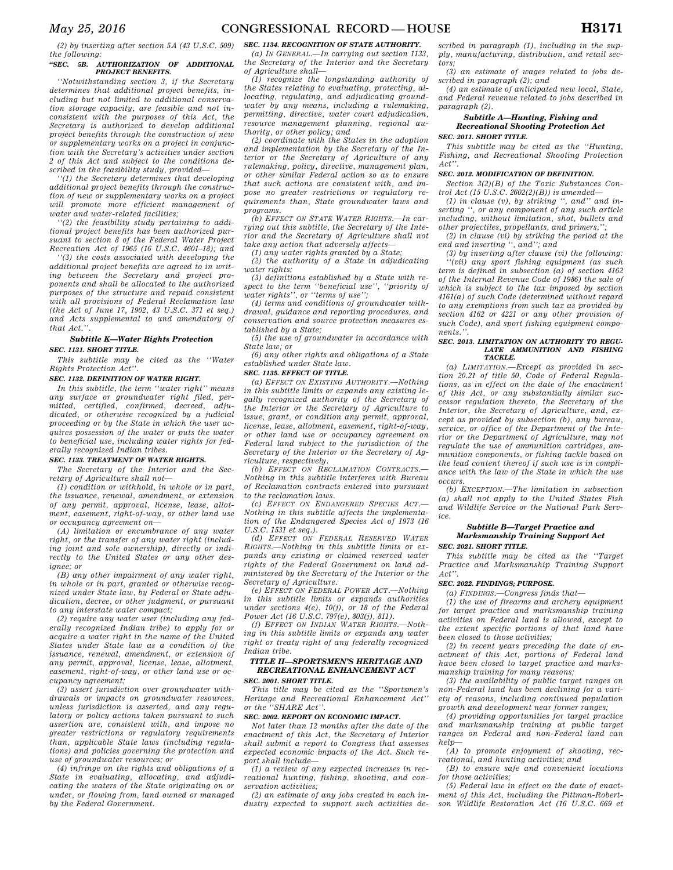*(2) by inserting after section 5A (43 U.S.C. 509) the following:* 

#### *''SEC. 5B. AUTHORIZATION OF ADDITIONAL PROJECT BENEFITS.*

*''Notwithstanding section 3, if the Secretary determines that additional project benefits, including but not limited to additional conservation storage capacity, are feasible and not inconsistent with the purposes of this Act, the Secretary is authorized to develop additional project benefits through the construction of new or supplementary works on a project in conjunction with the Secretary's activities under section 2 of this Act and subject to the conditions described in the feasibility study, provided—* 

*''(1) the Secretary determines that developing additional project benefits through the construction of new or supplementary works on a project will promote more efficient management of water and water-related facilities;* 

*''(2) the feasibility study pertaining to additional project benefits has been authorized pursuant to section 8 of the Federal Water Project Recreation Act of 1965 (16 U.S.C. 4601–18); and* 

*''(3) the costs associated with developing the additional project benefits are agreed to in writing between the Secretary and project proponents and shall be allocated to the authorized purposes of the structure and repaid consistent with all provisions of Federal Reclamation law (the Act of June 17, 1902, 43 U.S.C. 371 et seq.) and Acts supplemental to and amendatory of that Act.''.* 

## *Subtitle K—Water Rights Protection SEC. 1131. SHORT TITLE.*

*This subtitle may be cited as the ''Water Rights Protection Act''.* 

## *SEC. 1132. DEFINITION OF WATER RIGHT.*

*In this subtitle, the term ''water right'' means any surface or groundwater right filed, permitted, certified, confirmed, decreed, adjudicated, or otherwise recognized by a judicial proceeding or by the State in which the user acquires possession of the water or puts the water to beneficial use, including water rights for federally recognized Indian tribes.* 

#### *SEC. 1133. TREATMENT OF WATER RIGHTS.*

*The Secretary of the Interior and the Secretary of Agriculture shall not—* 

*(1) condition or withhold, in whole or in part, the issuance, renewal, amendment, or extension of any permit, approval, license, lease, allotment, easement, right-of-way, or other land use or occupancy agreement on—* 

*(A) limitation or encumbrance of any water right, or the transfer of any water right (including joint and sole ownership), directly or indirectly to the United States or any other designee; or* 

*(B) any other impairment of any water right, in whole or in part, granted or otherwise recognized under State law, by Federal or State adjudication, decree, or other judgment, or pursuant to any interstate water compact;* 

*(2) require any water user (including any federally recognized Indian tribe) to apply for or acquire a water right in the name of the United States under State law as a condition of the issuance, renewal, amendment, or extension of any permit, approval, license, lease, allotment, easement, right-of-way, or other land use or occupancy agreement;* 

*(3) assert jurisdiction over groundwater withdrawals or impacts on groundwater resources, unless jurisdiction is asserted, and any regulatory or policy actions taken pursuant to such assertion are, consistent with, and impose no greater restrictions or regulatory requirements than, applicable State laws (including regulations) and policies governing the protection and use of groundwater resources; or* 

*(4) infringe on the rights and obligations of a State in evaluating, allocating, and adjudicating the waters of the State originating on or under, or flowing from, land owned or managed by the Federal Government.* 

## *SEC. 1134. RECOGNITION OF STATE AUTHORITY.*

*(a) IN GENERAL.—In carrying out section 1133, the Secretary of the Interior and the Secretary of Agriculture shall—* 

*(1) recognize the longstanding authority of the States relating to evaluating, protecting, allocating, regulating, and adjudicating groundwater by any means, including a rulemaking, permitting, directive, water court adjudication, resource management planning, regional authority, or other policy; and* 

*(2) coordinate with the States in the adoption and implementation by the Secretary of the Interior or the Secretary of Agriculture of any rulemaking, policy, directive, management plan, or other similar Federal action so as to ensure that such actions are consistent with, and impose no greater restrictions or regulatory requirements than, State groundwater laws and programs.* 

*(b) EFFECT ON STATE WATER RIGHTS.—In carrying out this subtitle, the Secretary of the Interior and the Secretary of Agriculture shall not take any action that adversely affects—* 

*(1) any water rights granted by a State; (2) the authority of a State in adjudicating water rights;* 

*(3) definitions established by a State with respect to the term ''beneficial use'', ''priority of water rights'', or ''terms of use'';* 

*(4) terms and conditions of groundwater withdrawal, guidance and reporting procedures, and conservation and source protection measures established by a State;* 

*(5) the use of groundwater in accordance with State law; or* 

*(6) any other rights and obligations of a State established under State law.* 

#### *SEC. 1135. EFFECT OF TITLE.*

*(a) EFFECT ON EXISTING AUTHORITY.—Nothing in this subtitle limits or expands any existing legally recognized authority of the Secretary of the Interior or the Secretary of Agriculture to issue, grant, or condition any permit, approval, license, lease, allotment, easement, right-of-way, or other land use or occupancy agreement on Federal land subject to the jurisdiction of the Secretary of the Interior or the Secretary of Agriculture, respectively.* 

*(b) EFFECT ON RECLAMATION CONTRACTS.— Nothing in this subtitle interferes with Bureau of Reclamation contracts entered into pursuant to the reclamation laws.* 

*(c) EFFECT ON ENDANGERED SPECIES ACT.— Nothing in this subtitle affects the implementation of the Endangered Species Act of 1973 (16 U.S.C. 1531 et seq.).* 

*(d) EFFECT ON FEDERAL RESERVED WATER RIGHTS.—Nothing in this subtitle limits or expands any existing or claimed reserved water rights of the Federal Government on land administered by the Secretary of the Interior or the Secretary of Agriculture.* 

*(e) EFFECT ON FEDERAL POWER ACT.—Nothing in this subtitle limits or expands authorities under sections 4(e), 10(j), or 18 of the Federal Power Act (16 U.S.C. 797(e), 803(j), 811).* 

*(f) EFFECT ON INDIAN WATER RIGHTS.—Nothing in this subtitle limits or expands any water right or treaty right of any federally recognized Indian tribe.* 

# *TITLE II—SPORTSMEN'S HERITAGE AND RECREATIONAL ENHANCEMENT ACT*

*SEC. 2001. SHORT TITLE.* 

*This title may be cited as the ''Sportsmen's Heritage and Recreational Enhancement Act'' or the ''SHARE Act''.* 

## *SEC. 2002. REPORT ON ECONOMIC IMPACT.*

*Not later than 12 months after the date of the enactment of this Act, the Secretary of Interior shall submit a report to Congress that assesses expected economic impacts of the Act. Such report shall include—* 

*(1) a review of any expected increases in recreational hunting, fishing, shooting, and conservation activities;* 

*(2) an estimate of any jobs created in each industry expected to support such activities de-*

*scribed in paragraph (1), including in the supply, manufacturing, distribution, and retail sectors;* 

*(3) an estimate of wages related to jobs described in paragraph (2); and* 

*(4) an estimate of anticipated new local, State, and Federal revenue related to jobs described in paragraph (2).* 

## *Subtitle A—Hunting, Fishing and Recreational Shooting Protection Act SEC. 2011. SHORT TITLE.*

*This subtitle may be cited as the ''Hunting, Fishing, and Recreational Shooting Protection Act''.* 

## *SEC. 2012. MODIFICATION OF DEFINITION.*

*Section 3(2)(B) of the Toxic Substances Control Act (15 U.S.C. 2602(2)(B)) is amended—* 

*(1) in clause (v), by striking '', and'' and inserting '', or any component of any such article including, without limitation, shot, bullets and other projectiles, propellants, and primers,'';* 

*(2) in clause (vi) by striking the period at the end and inserting '', and''; and* 

*(3) by inserting after clause (vi) the following: ''(vii) any sport fishing equipment (as such term is defined in subsection (a) of section 4162 of the Internal Revenue Code of 1986) the sale of which is subject to the tax imposed by section 4161(a) of such Code (determined without regard to any exemptions from such tax as provided by section 4162 or 4221 or any other provision of such Code), and sport fishing equipment components.''.* 

#### *SEC. 2013. LIMITATION ON AUTHORITY TO REGU-LATE AMMUNITION AND FISHING TACKLE.*

*(a) LIMITATION.—Except as provided in section 20.21 of title 50, Code of Federal Regulations, as in effect on the date of the enactment of this Act, or any substantially similar successor regulation thereto, the Secretary of the Interior, the Secretary of Agriculture, and, except as provided by subsection (b), any bureau, service, or office of the Department of the Interior or the Department of Agriculture, may not regulate the use of ammunition cartridges, ammunition components, or fishing tackle based on the lead content thereof if such use is in compliance with the law of the State in which the use occurs.* 

*(b) EXCEPTION.—The limitation in subsection (a) shall not apply to the United States Fish and Wildlife Service or the National Park Service.* 

## *Subtitle B—Target Practice and Marksmanship Training Support Act*

## *SEC. 2021. SHORT TITLE.*

*This subtitle may be cited as the ''Target Practice and Marksmanship Training Support Act''.* 

## *SEC. 2022. FINDINGS; PURPOSE.*

*(a) FINDINGS.—Congress finds that—* 

*(1) the use of firearms and archery equipment for target practice and marksmanship training activities on Federal land is allowed, except to the extent specific portions of that land have been closed to those activities;* 

*(2) in recent years preceding the date of enactment of this Act, portions of Federal land have been closed to target practice and marksmanship training for many reasons;* 

*(3) the availability of public target ranges on non-Federal land has been declining for a variety of reasons, including continued population growth and development near former ranges;* 

*(4) providing opportunities for target practice and marksmanship training at public target ranges on Federal and non-Federal land can help—* 

*(A) to promote enjoyment of shooting, recreational, and hunting activities; and* 

*(B) to ensure safe and convenient locations for those activities;* 

*(5) Federal law in effect on the date of enactment of this Act, including the Pittman-Robertson Wildlife Restoration Act (16 U.S.C. 669 et*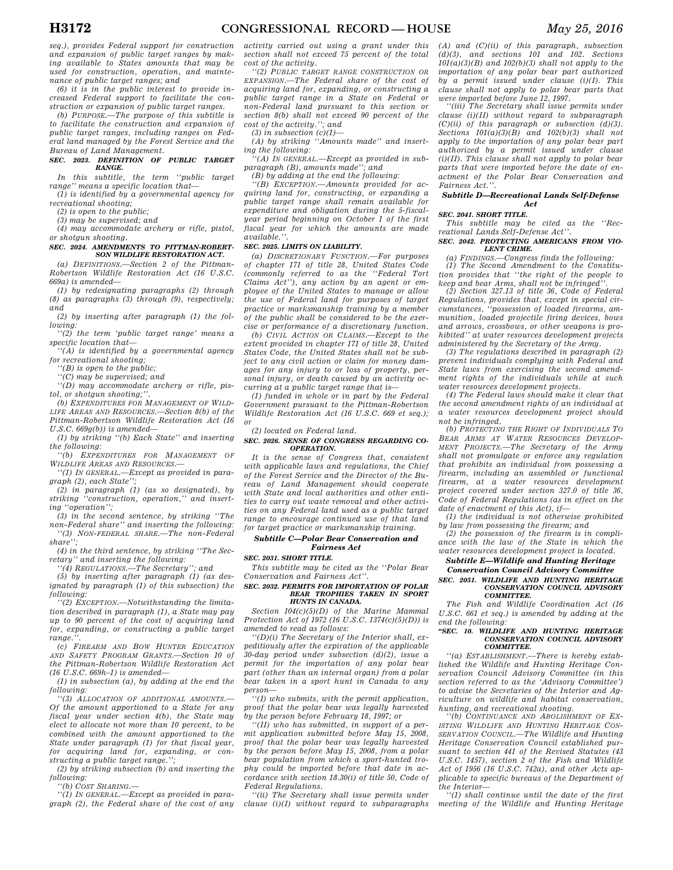*seq.), provides Federal support for construction and expansion of public target ranges by making available to States amounts that may be used for construction, operation, and maintenance of public target ranges; and* 

*(6) it is in the public interest to provide increased Federal support to facilitate the construction or expansion of public target ranges.* 

*(b) PURPOSE.—The purpose of this subtitle is to facilitate the construction and expansion of public target ranges, including ranges on Federal land managed by the Forest Service and the Bureau of Land Management.* 

#### *SEC. 2023. DEFINITION OF PUBLIC TARGET RANGE.*

*In this subtitle, the term ''public target range'' means a specific location that—* 

*(1) is identified by a governmental agency for recreational shooting;* 

*(2) is open to the public;* 

*(3) may be supervised; and* 

*(4) may accommodate archery or rifle, pistol, or shotgun shooting.* 

## *SEC. 2024. AMENDMENTS TO PITTMAN-ROBERT-SON WILDLIFE RESTORATION ACT.*

*(a) DEFINITIONS.—Section 2 of the Pittman-Robertson Wildlife Restoration Act (16 U.S.C. 669a) is amended—* 

*(1) by redesignating paragraphs (2) through (8) as paragraphs (3) through (9), respectively; and* 

*(2) by inserting after paragraph (1) the following:* 

*''(2) the term 'public target range' means a specific location that—* 

*''(A) is identified by a governmental agency for recreational shooting;* 

*''(B) is open to the public;* 

*''(C) may be supervised; and* 

*''(D) may accommodate archery or rifle, pistol, or shotgun shooting;''.* 

*(b) EXPENDITURES FOR MANAGEMENT OF WILD-LIFE AREAS AND RESOURCES.—Section 8(b) of the Pittman-Robertson Wildlife Restoration Act (16 U.S.C. 669g(b)) is amended—* 

*(1) by striking ''(b) Each State'' and inserting the following:* 

*''(b) EXPENDITURES FOR MANAGEMENT OF WILDLIFE AREAS AND RESOURCES.—* 

*''(1) IN GENERAL.—Except as provided in paragraph (2), each State'';* 

*(2) in paragraph (1) (as so designated), by striking ''construction, operation,'' and inserting ''operation'';* 

*(3) in the second sentence, by striking ''The non-Federal share'' and inserting the following:* 

*''(3) NON-FEDERAL SHARE.—The non-Federal share'';* 

*(4) in the third sentence, by striking ''The Secretary'' and inserting the following:* 

*''(4) REGULATIONS.—The Secretary''; and* 

*(5) by inserting after paragraph (1) (as designated by paragraph (1) of this subsection) the following:* 

*''(2) EXCEPTION.—Notwithstanding the limitation described in paragraph (1), a State may pay up to 90 percent of the cost of acquiring land for, expanding, or constructing a public target*   $range.$ 

*(c) FIREARM AND BOW HUNTER EDUCATION AND SAFETY PROGRAM GRANTS.—Section 10 of the Pittman-Robertson Wildlife Restoration Act (16 U.S.C. 669h–1) is amended—* 

*(1) in subsection (a), by adding at the end the following:* 

*''(3) ALLOCATION OF ADDITIONAL AMOUNTS.— Of the amount apportioned to a State for any fiscal year under section 4(b), the State may elect to allocate not more than 10 percent, to be combined with the amount apportioned to the State under paragraph (1) for that fiscal year, for acquiring land for, expanding, or constructing a public target range.'';* 

*(2) by striking subsection (b) and inserting the following:* 

*''(b) COST SHARING.—* 

*''(1) IN GENERAL.—Except as provided in paragraph (2), the Federal share of the cost of any* 

*activity carried out using a grant under this section shall not exceed 75 percent of the total cost of the activity.* 

*''(2) PUBLIC TARGET RANGE CONSTRUCTION OR EXPANSION.—The Federal share of the cost of acquiring land for, expanding, or constructing a public target range in a State on Federal or non-Federal land pursuant to this section or section 8(b) shall not exceed 90 percent of the cost of the activity.''; and* 

*(3) in subsection (c)(1)—* 

*(A) by striking ''Amounts made'' and inserting the following:* 

*''(A) IN GENERAL.—Except as provided in subparagraph (B), amounts made''; and* 

*(B) by adding at the end the following:* 

*''(B) EXCEPTION.—Amounts provided for acquiring land for, constructing, or expanding a public target range shall remain available for expenditure and obligation during the 5-fiscalyear period beginning on October 1 of the first fiscal year for which the amounts are made available.''.* 

## *SEC. 2025. LIMITS ON LIABILITY.*

*(a) DISCRETIONARY FUNCTION.—For purposes of chapter 171 of title 28, United States Code (commonly referred to as the ''Federal Tort Claims Act''), any action by an agent or employee of the United States to manage or allow the use of Federal land for purposes of target practice or marksmanship training by a member of the public shall be considered to be the exercise or performance of a discretionary function.* 

*(b) CIVIL ACTION OR CLAIMS.—Except to the extent provided in chapter 171 of title 28, United States Code, the United States shall not be subject to any civil action or claim for money damages for any injury to or loss of property, personal injury, or death caused by an activity occurring at a public target range that is—* 

*(1) funded in whole or in part by the Federal Government pursuant to the Pittman-Robertson Wildlife Restoration Act (16 U.S.C. 669 et seq.); or* 

*(2) located on Federal land.* 

#### *SEC. 2026. SENSE OF CONGRESS REGARDING CO-OPERATION.*

*It is the sense of Congress that, consistent with applicable laws and regulations, the Chief of the Forest Service and the Director of the Bureau of Land Management should cooperate with State and local authorities and other entities to carry out waste removal and other activities on any Federal land used as a public target range to encourage continued use of that land for target practice or marksmanship training.* 

## *Subtitle C—Polar Bear Conservation and Fairness Act*

*SEC. 2031. SHORT TITLE.* 

*This subtitle may be cited as the ''Polar Bear Conservation and Fairness Act''.* 

## *SEC. 2032. PERMITS FOR IMPORTATION OF POLAR BEAR TROPHIES TAKEN IN SPORT HUNTS IN CANADA.*

*Section 104(c)(5)(D) of the Marine Mammal Protection Act of 1972 (16 U.S.C. 1374(c)(5)(D)) is amended to read as follows:* 

*''(D)(i) The Secretary of the Interior shall, expeditiously after the expiration of the applicable 30-day period under subsection (d)(2), issue a permit for the importation of any polar bear part (other than an internal organ) from a polar bear taken in a sport hunt in Canada to any person—* 

*''(I) who submits, with the permit application, proof that the polar bear was legally harvested by the person before February 18, 1997; or* 

*''(II) who has submitted, in support of a permit application submitted before May 15, 2008, proof that the polar bear was legally harvested by the person before May 15, 2008, from a polar bear population from which a sport-hunted trophy could be imported before that date in accordance with section 18.30(i) of title 50, Code of Federal Regulations.* 

*''(ii) The Secretary shall issue permits under clause (i)(I) without regard to subparagraphs* 

*(A) and (C)(ii) of this paragraph, subsection (d)(3), and sections 101 and 102. Sections 101(a)(3)(B) and 102(b)(3) shall not apply to the importation of any polar bear part authorized by a permit issued under clause (i)(I). This clause shall not apply to polar bear parts that were imported before June 12, 1997.* 

*''(iii) The Secretary shall issue permits under clause (i)(II) without regard to subparagraph (C)(ii) of this paragraph or subsection (d)(3). Sections 101(a)(3)(B) and 102(b)(3) shall not apply to the importation of any polar bear part authorized by a permit issued under clause (i)(II). This clause shall not apply to polar bear parts that were imported before the date of enactment of the Polar Bear Conservation and Fairness Act.''.* 

#### *Subtitle D—Recreational Lands Self-Defense Act*

*SEC. 2041. SHORT TITLE.* 

*This subtitle may be cited as the ''Recreational Lands Self-Defense Act''.* 

## *SEC. 2042. PROTECTING AMERICANS FROM VIO-LENT CRIME.*

*(a) FINDINGS.—Congress finds the following: (1) The Second Amendment to the Constitution provides that ''the right of the people to keep and bear Arms, shall not be infringed''.* 

*(2) Section 327.13 of title 36, Code of Federal Regulations, provides that, except in special circumstances, ''possession of loaded firearms, ammunition, loaded projectile firing devices, bows and arrows, crossbows, or other weapons is prohibited'' at water resources development projects administered by the Secretary of the Army.* 

*(3) The regulations described in paragraph (2) prevent individuals complying with Federal and State laws from exercising the second amendment rights of the individuals while at such water resources development projects.* 

*(4) The Federal laws should make it clear that the second amendment rights of an individual at a water resources development project should not be infringed.* 

*(b) PROTECTING THE RIGHT OF INDIVIDUALS TO BEAR ARMS AT WATER RESOURCES DEVELOP-MENT PROJECTS.—The Secretary of the Army shall not promulgate or enforce any regulation that prohibits an individual from possessing a firearm, including an assembled or functional firearm, at a water resources development project covered under section 327.0 of title 36, Code of Federal Regulations (as in effect on the date of enactment of this Act), if—* 

*(1) the individual is not otherwise prohibited by law from possessing the firearm; and* 

*(2) the possession of the firearm is in compliance with the law of the State in which the water resources development project is located.* 

*Subtitle E—Wildlife and Hunting Heritage Conservation Council Advisory Committee* 

## *SEC. 2051. WILDLIFE AND HUNTING HERITAGE CONSERVATION COUNCIL ADVISORY COMMITTEE.*

*The Fish and Wildlife Coordination Act (16 U.S.C. 661 et seq.) is amended by adding at the end the following:* 

#### *''SEC. 10. WILDLIFE AND HUNTING HERITAGE CONSERVATION COUNCIL ADVISORY COMMITTEE.*

*''(a) ESTABLISHMENT.—There is hereby established the Wildlife and Hunting Heritage Conservation Council Advisory Committee (in this section referred to as the 'Advisory Committee') to advise the Secretaries of the Interior and Agriculture on wildlife and habitat conservation, hunting, and recreational shooting.* 

*''(b) CONTINUANCE AND ABOLISHMENT OF EX-ISTING WILDLIFE AND HUNTING HERITAGE CON-SERVATION COUNCIL.—The Wildlife and Hunting Heritage Conservation Council established pursuant to section 441 of the Revised Statutes (43 U.S.C. 1457), section 2 of the Fish and Wildlife Act of 1956 (16 U.S.C. 742a), and other Acts applicable to specific bureaus of the Department of the Interior—* 

*''(1) shall continue until the date of the first meeting of the Wildlife and Hunting Heritage*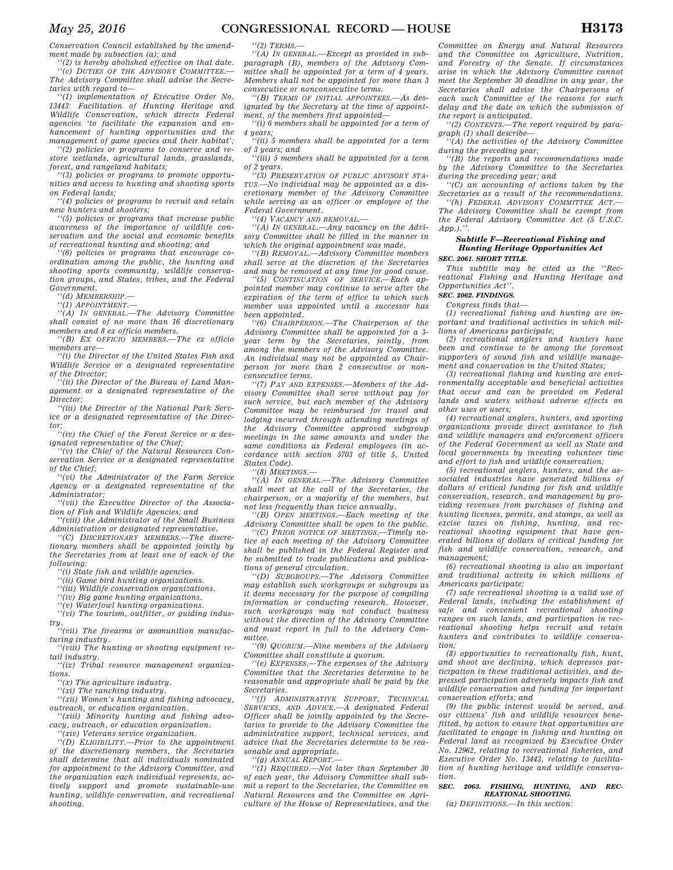*Conservation Council established by the amendment made by subsection (a); and* 

*''(2) is hereby abolished effective on that date. ''(c) DUTIES OF THE ADVISORY COMMITTEE.— The Advisory Committee shall advise the Secretaries with regard to—* 

*''(1) implementation of Executive Order No. 13443: Facilitation of Hunting Heritage and Wildlife Conservation, which directs Federal agencies 'to facilitate the expansion and enhancement of hunting opportunities and the management of game species and their habitat';* 

*''(2) policies or programs to conserve and restore wetlands, agricultural lands, grasslands, forest, and rangeland habitats;* 

*''(3) policies or programs to promote opportunities and access to hunting and shooting sports on Federal lands;* 

*''(4) policies or programs to recruit and retain new hunters and shooters;* 

*''(5) policies or programs that increase public awareness of the importance of wildlife conservation and the social and economic benefits of recreational hunting and shooting; and* 

*''(6) policies or programs that encourage coordination among the public, the hunting and shooting sports community, wildlife conservation groups, and States, tribes, and the Federal Government.* 

*''(d) MEMBERSHIP.—* 

*''(1) APPOINTMENT.—* 

*''(A) IN GENERAL.—The Advisory Committee shall consist of no more than 16 discretionary members and 8 ex officio members.* 

*''(B) EX OFFICIO MEMBERS.—The ex officio members are—* 

*''(i) the Director of the United States Fish and Wildlife Service or a designated representative of the Director;* 

*''(ii) the Director of the Bureau of Land Management or a designated representative of the Director;* 

*''(iii) the Director of the National Park Service or a designated representative of the Director; ''(iv) the Chief of the Forest Service or a des-*

*ignated representative of the Chief;* 

*''(v) the Chief of the Natural Resources Conservation Service or a designated representative of the Chief;* 

*''(vi) the Administrator of the Farm Service Agency or a designated representative of the Administrator;* 

*''(vii) the Executive Director of the Association of Fish and Wildlife Agencies; and* 

*''(viii) the Administrator of the Small Business Administration or designated representative.* 

*''(C) DISCRETIONARY MEMBERS.—The discretionary members shall be appointed jointly by the Secretaries from at least one of each of the following:* 

*''(i) State fish and wildlife agencies.* 

*''(ii) Game bird hunting organizations.* 

*''(iii) Wildlife conservation organizations.* 

*''(iv) Big game hunting organizations.* 

*''(v) Waterfowl hunting organizations. ''(vi) The tourism, outfitter, or guiding indus-*

*try. ''(vii) The firearms or ammunition manufac-*

*turing industry. ''(viii) The hunting or shooting equipment retail industry.* 

*''(ix) Tribal resource management organizations.* 

*''(x) The agriculture industry.* 

*''(xi) The ranching industry.* 

*''(xii) Women's hunting and fishing advocacy, outreach, or education organization.* 

*''(xiii) Minority hunting and fishing advocacy, outreach, or education organization.* 

*''(xiv) Veterans service organization.* 

*''(D) ELIGIBILITY.—Prior to the appointment of the discretionary members, the Secretaries shall determine that all individuals nominated for appointment to the Advisory Committee, and the organization each individual represents, actively support and promote sustainable-use hunting, wildlife conservation, and recreational shooting.* 

*''(2) TERMS.—* 

*''(A) IN GENERAL.—Except as provided in subparagraph (B), members of the Advisory Committee shall be appointed for a term of 4 years. Members shall not be appointed for more than 3 consecutive or nonconsecutive terms.* 

*''(B) TERMS OF INITIAL APPOINTEES.—As designated by the Secretary at the time of appointment, of the members first appointed—* 

*''(i) 6 members shall be appointed for a term of 4 years;* 

*''(ii) 5 members shall be appointed for a term of 3 years; and* 

*''(iii) 5 members shall be appointed for a term of 2 years.* 

*''(3) PRESERVATION OF PUBLIC ADVISORY STA-TUS.—No individual may be appointed as a discretionary member of the Advisory Committee while serving as an officer or employee of the Federal Government.* 

*''(4) VACANCY AND REMOVAL.—* 

*''(A) IN GENERAL.—Any vacancy on the Advisory Committee shall be filled in the manner in which the original appointment was made.* 

*''(B) REMOVAL.—Advisory Committee members shall serve at the discretion of the Secretaries and may be removed at any time for good cause.* 

*''(5) CONTINUATION OF SERVICE.—Each appointed member may continue to serve after the expiration of the term of office to which such member was appointed until a successor has been appointed.* 

*''(6) CHAIRPERSON.—The Chairperson of the Advisory Committee shall be appointed for a 3 year term by the Secretaries, jointly, from among the members of the Advisory Committee. An individual may not be appointed as Chairperson for more than 2 consecutive or nonconsecutive terms.* 

*''(7) PAY AND EXPENSES.—Members of the Advisory Committee shall serve without pay for such service, but each member of the Advisory Committee may be reimbursed for travel and lodging incurred through attending meetings of the Advisory Committee approved subgroup meetings in the same amounts and under the same conditions as Federal employees (in accordance with section 5703 of title 5, United States Code).* 

*''(8) MEETINGS.—* 

*''(A) IN GENERAL.—The Advisory Committee shall meet at the call of the Secretaries, the chairperson, or a majority of the members, but not less frequently than twice annually.* 

*''(B) OPEN MEETINGS.—Each meeting of the Advisory Committee shall be open to the public.* 

*''(C) PRIOR NOTICE OF MEETINGS.—Timely notice of each meeting of the Advisory Committee shall be published in the Federal Register and be submitted to trade publications and publications of general circulation.* 

*''(D) SUBGROUPS.—The Advisory Committee may establish such workgroups or subgroups as it deems necessary for the purpose of compiling information or conducting research. However, such workgroups may not conduct business without the direction of the Advisory Committee and must report in full to the Advisory Committee.* 

*''(9) QUORUM.—Nine members of the Advisory Committee shall constitute a quorum.* 

*''(e) EXPENSES.—The expenses of the Advisory Committee that the Secretaries determine to be reasonable and appropriate shall be paid by the Secretaries.* 

*''(f) ADMINISTRATIVE SUPPORT, TECHNICAL SERVICES, AND ADVICE.—A designated Federal Officer shall be jointly appointed by the Secretaries to provide to the Advisory Committee the administrative support, technical services, and advice that the Secretaries determine to be reasonable and appropriate.* 

*''(g) ANNUAL REPORT.—* 

*''(1) REQUIRED.—Not later than September 30 of each year, the Advisory Committee shall submit a report to the Secretaries, the Committee on Natural Resources and the Committee on Agriculture of the House of Representatives, and the* 

*Committee on Energy and Natural Resources and the Committee on Agriculture, Nutrition, and Forestry of the Senate. If circumstances arise in which the Advisory Committee cannot meet the September 30 deadline in any year, the Secretaries shall advise the Chairpersons of each such Committee of the reasons for such delay and the date on which the submission of the report is anticipated.* 

*''(2) CONTENTS.—The report required by paragraph (1) shall describe—* 

*''(A) the activities of the Advisory Committee during the preceding year;* 

*''(B) the reports and recommendations made by the Advisory Committee to the Secretaries during the preceding year; and* 

*''(C) an accounting of actions taken by the Secretaries as a result of the recommendations.* 

*''(h) FEDERAL ADVISORY COMMITTEE ACT.— The Advisory Committee shall be exempt from the Federal Advisory Committee Act (5 U.S.C. App.).''.* 

## *Subtitle F—Recreational Fishing and Hunting Heritage Opportunities Act*

## *SEC. 2061. SHORT TITLE.*

*This subtitle may be cited as the ''Recreational Fishing and Hunting Heritage and Opportunities Act''.* 

*SEC. 2062. FINDINGS.* 

*Congress finds that—* 

*(1) recreational fishing and hunting are important and traditional activities in which millions of Americans participate;* 

*(2) recreational anglers and hunters have been and continue to be among the foremost supporters of sound fish and wildlife management and conservation in the United States;* 

*(3) recreational fishing and hunting are environmentally acceptable and beneficial activities that occur and can be provided on Federal lands and waters without adverse effects on other uses or users;* 

*(4) recreational anglers, hunters, and sporting organizations provide direct assistance to fish and wildlife managers and enforcement officers of the Federal Government as well as State and local governments by investing volunteer time and effort to fish and wildlife conservation;* 

*(5) recreational anglers, hunters, and the associated industries have generated billions of dollars of critical funding for fish and wildlife conservation, research, and management by providing revenues from purchases of fishing and hunting licenses, permits, and stamps, as well as excise taxes on fishing, hunting, and recreational shooting equipment that have generated billions of dollars of critical funding for fish and wildlife conservation, research, and management;* 

*(6) recreational shooting is also an important and traditional activity in which millions of Americans participate;* 

*(7) safe recreational shooting is a valid use of Federal lands, including the establishment of safe and convenient recreational shooting ranges on such lands, and participation in recreational shooting helps recruit and retain hunters and contributes to wildlife conservation;* 

*(8) opportunities to recreationally fish, hunt, and shoot are declining, which depresses participation in these traditional activities, and depressed participation adversely impacts fish and wildlife conservation and funding for important conservation efforts; and* 

*(9) the public interest would be served, and our citizens' fish and wildlife resources benefitted, by action to ensure that opportunities are facilitated to engage in fishing and hunting on Federal land as recognized by Executive Order No. 12962, relating to recreational fisheries, and Executive Order No. 13443, relating to facilitation of hunting heritage and wildlife conservation.* 

## *SEC. 2063. FISHING, HUNTING, AND REC-REATIONAL SHOOTING.*

*(a) DEFINITIONS.—In this section:*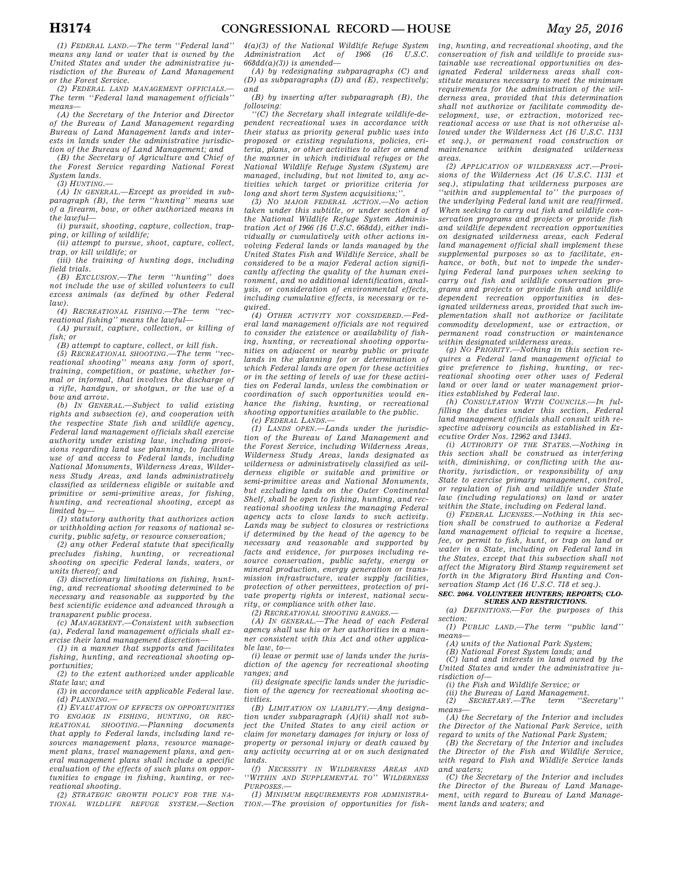*(1) FEDERAL LAND.—The term ''Federal land'' means any land or water that is owned by the United States and under the administrative jurisdiction of the Bureau of Land Management or the Forest Service.* 

*(2) FEDERAL LAND MANAGEMENT OFFICIALS.— The term ''Federal land management officials'' means—* 

*(A) the Secretary of the Interior and Director of the Bureau of Land Management regarding Bureau of Land Management lands and interests in lands under the administrative jurisdiction of the Bureau of Land Management; and* 

*(B) the Secretary of Agriculture and Chief of the Forest Service regarding National Forest System lands.* 

*(3) HUNTING.—* 

*(A) IN GENERAL.—Except as provided in subparagraph (B), the term ''hunting'' means use of a firearm, bow, or other authorized means in the lawful—* 

*(i) pursuit, shooting, capture, collection, trapping, or killing of wildlife;* 

*(ii) attempt to pursue, shoot, capture, collect, trap, or kill wildlife; or* 

*(iii) the training of hunting dogs, including field trials.* 

*(B) EXCLUSION.—The term ''hunting'' does not include the use of skilled volunteers to cull excess animals (as defined by other Federal*   $l$ aw).

*(4) RECREATIONAL FISHING.—The term ''recreational fishing'' means the lawful—* 

*(A) pursuit, capture, collection, or killing of fish; or* 

*(B) attempt to capture, collect, or kill fish.* 

*(5) RECREATIONAL SHOOTING.—The term ''recreational shooting'' means any form of sport, training, competition, or pastime, whether formal or informal, that involves the discharge of a rifle, handgun, or shotgun, or the use of a bow and arrow.* 

*(b) IN GENERAL.—Subject to valid existing rights and subsection (e), and cooperation with the respective State fish and wildlife agency, Federal land management officials shall exercise authority under existing law, including provisions regarding land use planning, to facilitate use of and access to Federal lands, including National Monuments, Wilderness Areas, Wilderness Study Areas, and lands administratively classified as wilderness eligible or suitable and primitive or semi-primitive areas, for fishing, hunting, and recreational shooting, except as limited by—* 

*(1) statutory authority that authorizes action or withholding action for reasons of national security, public safety, or resource conservation;* 

*(2) any other Federal statute that specifically precludes fishing, hunting, or recreational shooting on specific Federal lands, waters, or units thereof; and* 

*(3) discretionary limitations on fishing, hunting, and recreational shooting determined to be necessary and reasonable as supported by the best scientific evidence and advanced through a transparent public process.* 

*(c) MANAGEMENT.—Consistent with subsection (a), Federal land management officials shall exercise their land management discretion—* 

*(1) in a manner that supports and facilitates fishing, hunting, and recreational shooting opportunities;* 

*(2) to the extent authorized under applicable State law; and* 

*(3) in accordance with applicable Federal law. (d) PLANNING.—* 

*(1) EVALUATION OF EFFECTS ON OPPORTUNITIES TO ENGAGE IN FISHING, HUNTING, OR REC-REATIONAL SHOOTING.*—*Planning that apply to Federal lands, including land resources management plans, resource management plans, travel management plans, and general management plans shall include a specific evaluation of the effects of such plans on opportunities to engage in fishing, hunting, or recreational shooting.* 

*(2) STRATEGIC GROWTH POLICY FOR THE NA-TIONAL WILDLIFE REFUGE SYSTEM.—Section* 

*4(a)(3) of the National Wildlife Refuge System*   $Administration$  *Act of 668dd(a)(3)) is amended—* 

*(A) by redesignating subparagraphs (C) and (D) as subparagraphs (D) and (E), respectively; and* 

*(B) by inserting after subparagraph (B), the following:* 

*''(C) the Secretary shall integrate wildlife-dependent recreational uses in accordance with their status as priority general public uses into proposed or existing regulations, policies, criteria, plans, or other activities to alter or amend the manner in which individual refuges or the National Wildlife Refuge System (System) are managed, including, but not limited to, any activities which target or prioritize criteria for long and short term System acquisitions;''.* 

*(3) NO MAJOR FEDERAL ACTION.—No action taken under this subtitle, or under section 4 of the National Wildlife Refuge System Administration Act of 1966 (16 U.S.C. 668dd), either individually or cumulatively with other actions involving Federal lands or lands managed by the United States Fish and Wildlife Service, shall be considered to be a major Federal action significantly affecting the quality of the human environment, and no additional identification, analysis, or consideration of environmental effects, including cumulative effects, is necessary or required.* 

*(4) OTHER ACTIVITY NOT CONSIDERED.—Federal land management officials are not required to consider the existence or availability of fishing, hunting, or recreational shooting opportunities on adjacent or nearby public or private lands in the planning for or determination of which Federal lands are open for these activities or in the setting of levels of use for these activities on Federal lands, unless the combination or coordination of such opportunities would enhance the fishing, hunting, or recreational shooting opportunities available to the public.* 

*(e) FEDERAL LANDS.—* 

*(1) LANDS OPEN.—Lands under the jurisdiction of the Bureau of Land Management and the Forest Service, including Wilderness Areas, Wilderness Study Areas, lands designated as wilderness or administratively classified as wilderness eligible or suitable and primitive or semi-primitive areas and National Monuments, but excluding lands on the Outer Continental Shelf, shall be open to fishing, hunting, and recreational shooting unless the managing Federal agency acts to close lands to such activity. Lands may be subject to closures or restrictions if determined by the head of the agency to be necessary and reasonable and supported by facts and evidence, for purposes including resource conservation, public safety, energy or mineral production, energy generation or transmission infrastructure, water supply facilities, protection of other permittees, protection of private property rights or interest, national security, or compliance with other law.* 

*(2) RECREATIONAL SHOOTING RANGES.—* 

*(A) IN GENERAL.—The head of each Federal agency shall use his or her authorities in a manner consistent with this Act and other applicable law, to—* 

*(i) lease or permit use of lands under the jurisdiction of the agency for recreational shooting ranges; and* 

*(ii) designate specific lands under the jurisdiction of the agency for recreational shooting activities.* 

*(B) LIMITATION ON LIABILITY.—Any designation under subparagraph (A)(ii) shall not subject the United States to any civil action or claim for monetary damages for injury or loss of property or personal injury or death caused by any activity occurring at or on such designated lands.* 

*(f) NECESSITY IN WILDERNESS AREAS AND ''WITHIN AND SUPPLEMENTAL TO'' WILDERNESS PURPOSES.—* 

*(1) MINIMUM REQUIREMENTS FOR ADMINISTRA-TION.—The provision of opportunities for fish-*

*ing, hunting, and recreational shooting, and the conservation of fish and wildlife to provide sustainable use recreational opportunities on designated Federal wilderness areas shall constitute measures necessary to meet the minimum requirements for the administration of the wilderness area, provided that this determination shall not authorize or facilitate commodity development, use, or extraction, motorized recreational access or use that is not otherwise allowed under the Wilderness Act (16 U.S.C. 1131 et seq.), or permanent road construction or maintenance within designated wilderness areas.* 

*(2) APPLICATION OF WILDERNESS ACT.—Provisions of the Wilderness Act (16 U.S.C. 1131 et seq.), stipulating that wilderness purposes are ''within and supplemental to'' the purposes of the underlying Federal land unit are reaffirmed. When seeking to carry out fish and wildlife conservation programs and projects or provide fish and wildlife dependent recreation opportunities on designated wilderness areas, each Federal land management official shall implement these supplemental purposes so as to facilitate, enhance, or both, but not to impede the underlying Federal land purposes when seeking to carry out fish and wildlife conservation programs and projects or provide fish and wildlife dependent recreation opportunities in designated wilderness areas, provided that such implementation shall not authorize or facilitate commodity development, use or extraction, or permanent road construction or maintenance within designated wilderness areas.* 

*(g) NO PRIORITY.—Nothing in this section requires a Federal land management official to give preference to fishing, hunting, or recreational shooting over other uses of Federal land or over land or water management priorities established by Federal law.* 

*(h) CONSULTATION WITH COUNCILS.—In fulfilling the duties under this section, Federal land management officials shall consult with respective advisory councils as established in Executive Order Nos. 12962 and 13443.* 

*(i) AUTHORITY OF THE STATES.—Nothing in this section shall be construed as interfering with, diminishing, or conflicting with the authority, jurisdiction, or responsibility of any State to exercise primary management, control, or regulation of fish and wildlife under State law (including regulations) on land or water within the State, including on Federal land. (j) FEDERAL LICENSES.—Nothing in this sec-*

*tion shall be construed to authorize a Federal land management official to require a license, fee, or permit to fish, hunt, or trap on land or water in a State, including on Federal land in the States, except that this subsection shall not affect the Migratory Bird Stamp requirement set forth in the Migratory Bird Hunting and Conservation Stamp Act (16 U.S.C. 718 et seq.).* 

#### *SEC. 2064. VOLUNTEER HUNTERS; REPORTS; CLO-SURES AND RESTRICTIONS.*

*(a) DEFINITIONS.—For the purposes of this section:* 

*(1) PUBLIC LAND.—The term ''public land'' means—* 

*(A) units of the National Park System;* 

*(B) National Forest System lands; and* 

*(C) land and interests in land owned by the United States and under the administrative jurisdiction of—* 

*(i) the Fish and Wildlife Service; or* 

*(ii) the Bureau of Land Management.* 

 $(2)$  SECRETARY.—The *means—* 

*(A) the Secretary of the Interior and includes the Director of the National Park Service, with regard to units of the National Park System;* 

*(B) the Secretary of the Interior and includes the Director of the Fish and Wildlife Service, with regard to Fish and Wildlife Service lands and waters;* 

*(C) the Secretary of the Interior and includes the Director of the Bureau of Land Management, with regard to Bureau of Land Management lands and waters; and*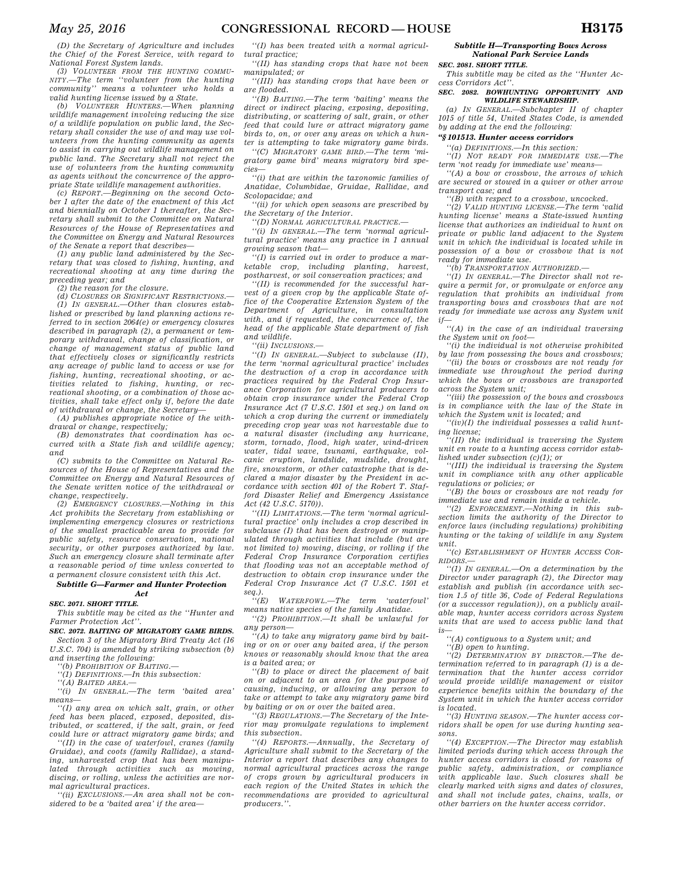*(D) the Secretary of Agriculture and includes the Chief of the Forest Service, with regard to* 

*National Forest System lands. (3) VOLUNTEER FROM THE HUNTING COMMU-NITY.—The term ''volunteer from the hunting community'' means a volunteer who holds a valid hunting license issued by a State.* 

*(b) VOLUNTEER HUNTERS.—When planning wildlife management involving reducing the size of a wildlife population on public land, the Secretary shall consider the use of and may use volunteers from the hunting community as agents to assist in carrying out wildlife management on public land. The Secretary shall not reject the use of volunteers from the hunting community as agents without the concurrence of the appropriate State wildlife management authorities.* 

*(c) REPORT.—Beginning on the second October 1 after the date of the enactment of this Act and biennially on October 1 thereafter, the Secretary shall submit to the Committee on Natural Resources of the House of Representatives and the Committee on Energy and Natural Resources* 

*of the Senate a report that describes— (1) any public land administered by the Secretary that was closed to fishing, hunting, and recreational shooting at any time during the preceding year; and* 

*(2) the reason for the closure.* 

*(d) CLOSURES OR SIGNIFICANT RESTRICTIONS.— (1) IN GENERAL.—Other than closures established or prescribed by land planning actions referred to in section 2064(e) or emergency closures described in paragraph (2), a permanent or temporary withdrawal, change of classification, or change of management status of public land that effectively closes or significantly restricts any acreage of public land to access or use for fishing, hunting, recreational shooting, or activities related to fishing, hunting, or recreational shooting, or a combination of those activities, shall take effect only if, before the date of withdrawal or change, the Secretary—* 

*(A) publishes appropriate notice of the withdrawal or change, respectively;* 

*(B) demonstrates that coordination has occurred with a State fish and wildlife agency; and* 

*(C) submits to the Committee on Natural Resources of the House of Representatives and the Committee on Energy and Natural Resources of the Senate written notice of the withdrawal or change, respectively.* 

*(2) EMERGENCY CLOSURES.—Nothing in this Act prohibits the Secretary from establishing or implementing emergency closures or restrictions of the smallest practicable area to provide for public safety, resource conservation, national security, or other purposes authorized by law. Such an emergency closure shall terminate after a reasonable period of time unless converted to a permanent closure consistent with this Act.* 

*Subtitle G—Farmer and Hunter Protection Act* 

## *SEC. 2071. SHORT TITLE.*

*This subtitle may be cited as the ''Hunter and Farmer Protection Act''.* 

*SEC. 2072. BAITING OF MIGRATORY GAME BIRDS.* 

*Section 3 of the Migratory Bird Treaty Act (16 U.S.C. 704) is amended by striking subsection (b) and inserting the following:* 

*''(b) PROHIBITION OF BAITING.—* 

*''(1) DEFINITIONS.—In this subsection:* 

*''(A) BAITED AREA.—* 

*''(i) IN GENERAL.—The term 'baited area' means—* 

*''(I) any area on which salt, grain, or other feed has been placed, exposed, deposited, distributed, or scattered, if the salt, grain, or feed could lure or attract migratory game birds; and* 

*''(II) in the case of waterfowl, cranes (family Gruidae), and coots (family Rallidae), a standing, unharvested crop that has been manipulated through activities such as mowing, discing, or rolling, unless the activities are normal agricultural practices.* 

*''(ii) EXCLUSIONS.—An area shall not be considered to be a 'baited area' if the area—* 

*''(I) has been treated with a normal agricultural practice;* 

*''(II) has standing crops that have not been manipulated; or* 

*''(III) has standing crops that have been or are flooded.* 

*''(B) BAITING.—The term 'baiting' means the direct or indirect placing, exposing, depositing, distributing, or scattering of salt, grain, or other feed that could lure or attract migratory game birds to, on, or over any areas on which a hunter is attempting to take migratory game birds.* 

*''(C) MIGRATORY GAME BIRD.—The term 'migratory game bird' means migratory bird species—* 

*''(i) that are within the taxonomic families of Anatidae, Columbidae, Gruidae, Rallidae, and Scolopacidae; and* 

*''(ii) for which open seasons are prescribed by the Secretary of the Interior.* 

*''(D) NORMAL AGRICULTURAL PRACTICE.—* 

*''(i) IN GENERAL.—The term 'normal agricultural practice' means any practice in 1 annual growing season that—* 

*''(I) is carried out in order to produce a marketable crop, including planting, harvest, postharvest, or soil conservation practices; and* 

*''(II) is recommended for the successful harvest of a given crop by the applicable State office of the Cooperative Extension System of the Department of Agriculture, in consultation with, and if requested, the concurrence of, the head of the applicable State department of fish and wildlife.* 

*''(ii) INCLUSIONS.—* 

*''(I) IN GENERAL.—Subject to subclause (II), the term 'normal agricultural practice' includes the destruction of a crop in accordance with practices required by the Federal Crop Insurance Corporation for agricultural producers to obtain crop insurance under the Federal Crop Insurance Act (7 U.S.C. 1501 et seq.) on land on which a crop during the current or immediately preceding crop year was not harvestable due to a natural disaster (including any hurricane, storm, tornado, flood, high water, wind-driven water, tidal wave, tsunami, earthquake, volcanic eruption, landslide, mudslide, drought, fire, snowstorm, or other catastrophe that is declared a major disaster by the President in accordance with section 401 of the Robert T. Stafford Disaster Relief and Emergency Assistance Act (42 U.S.C. 5170)).* 

*''(II) LIMITATIONS.—The term 'normal agricultural practice' only includes a crop described in subclause (I) that has been destroyed or manipulated through activities that include (but are not limited to) mowing, discing, or rolling if the Federal Crop Insurance Corporation certifies that flooding was not an acceptable method of destruction to obtain crop insurance under the Federal Crop Insurance Act (7 U.S.C. 1501 et seq.).* 

 $WATERFOWL$ —The term 'waterfowl *means native species of the family Anatidae.* 

*''(2) PROHIBITION.—It shall be unlawful for any person—* 

*''(A) to take any migratory game bird by baiting or on or over any baited area, if the person knows or reasonably should know that the area is a baited area; or* 

*''(B) to place or direct the placement of bait on or adjacent to an area for the purpose of causing, inducing, or allowing any person to take or attempt to take any migratory game bird by baiting or on or over the baited area.* 

*''(3) REGULATIONS.—The Secretary of the Interior may promulgate regulations to implement this subsection.* 

*''(4) REPORTS.—Annually, the Secretary of Agriculture shall submit to the Secretary of the Interior a report that describes any changes to normal agricultural practices across the range of crops grown by agricultural producers in each region of the United States in which the recommendations are provided to agricultural producers.''.* 

*Subtitle H—Transporting Bows Across National Park Service Lands* 

#### *SEC. 2081. SHORT TITLE.*

*This subtitle may be cited as the ''Hunter Access Corridors Act''.* 

*SEC. 2082. BOWHUNTING OPPORTUNITY AND WILDLIFE STEWARDSHIP.* 

*(a) IN GENERAL.—Subchapter II of chapter 1015 of title 54, United States Code, is amended by adding at the end the following:* 

## *''§ 101513. Hunter access corridors*

*''(a) DEFINITIONS.—In this section:* 

*''(1) NOT READY FOR IMMEDIATE USE.—The term 'not ready for immediate use' means—* 

*''(A) a bow or crossbow, the arrows of which are secured or stowed in a quiver or other arrow transport case; and* 

*''(B) with respect to a crossbow, uncocked.* 

*''(2) VALID HUNTING LICENSE.—The term 'valid hunting license' means a State-issued hunting license that authorizes an individual to hunt on private or public land adjacent to the System unit in which the individual is located while in possession of a bow or crossbow that is not ready for immediate use.* 

*''(b) TRANSPORTATION AUTHORIZED.—* 

*''(1) IN GENERAL.—The Director shall not require a permit for, or promulgate or enforce any regulation that prohibits an individual from transporting bows and crossbows that are not ready for immediate use across any System unit*   $if-$ 

*''(A) in the case of an individual traversing the System unit on foot—* 

*''(i) the individual is not otherwise prohibited by law from possessing the bows and crossbows;* 

*''(ii) the bows or crossbows are not ready for immediate use throughout the period during which the bows or crossbows are transported across the System unit;* 

*''(iii) the possession of the bows and crossbows is in compliance with the law of the State in which the System unit is located; and* 

*''(iv)(I) the individual possesses a valid hunting license;* 

*''(II) the individual is traversing the System unit en route to a hunting access corridor established under subsection (c)(1); or* 

*''(III) the individual is traversing the System unit in compliance with any other applicable regulations or policies; or* 

*''(B) the bows or crossbows are not ready for immediate use and remain inside a vehicle.* 

*''(2) ENFORCEMENT.—Nothing in this subsection limits the authority of the Director to enforce laws (including regulations) prohibiting hunting or the taking of wildlife in any System unit.* 

*''(c) ESTABLISHMENT OF HUNTER ACCESS COR-RIDORS.—* 

*''(1) IN GENERAL.—On a determination by the Director under paragraph (2), the Director may establish and publish (in accordance with section 1.5 of title 36, Code of Federal Regulations (or a successor regulation)), on a publicly available map, hunter access corridors across System units that are used to access public land that is—* 

*''(A) contiguous to a System unit; and* 

*''(B) open to hunting.* 

*''(2) DETERMINATION BY DIRECTOR.—The determination referred to in paragraph (1) is a determination that the hunter access corridor would provide wildlife management or visitor experience benefits within the boundary of the System unit in which the hunter access corridor is located.* 

*''(3) HUNTING SEASON.—The hunter access corridors shall be open for use during hunting seasons.* 

*''(4) EXCEPTION.—The Director may establish limited periods during which access through the hunter access corridors is closed for reasons of public safety, administration, or compliance with applicable law. Such closures shall be clearly marked with signs and dates of closures, and shall not include gates, chains, walls, or other barriers on the hunter access corridor.*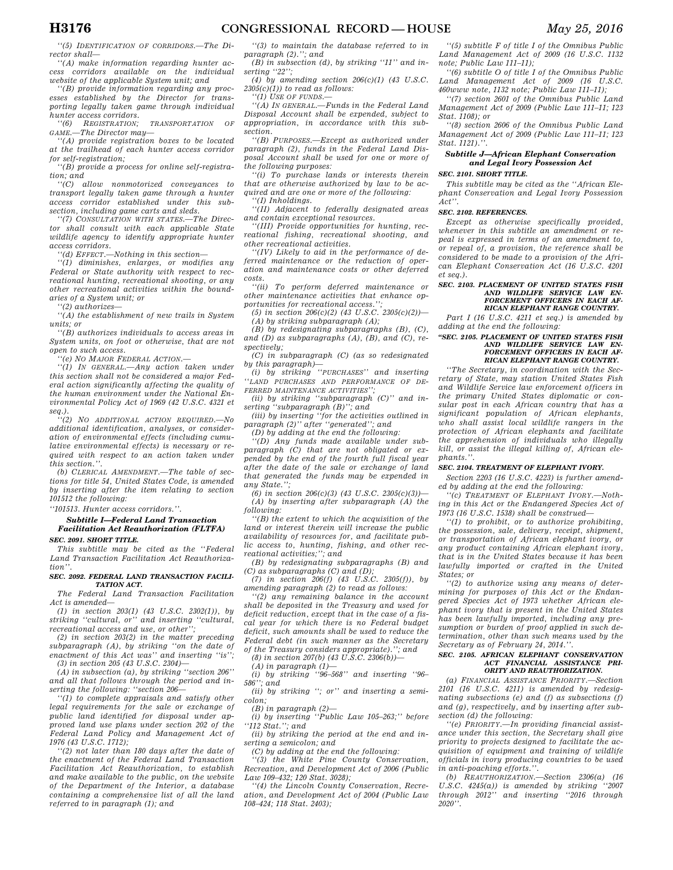*''(5) IDENTIFICATION OF CORRIDORS.—The Director shall—* 

*''(A) make information regarding hunter access corridors available on the individual website of the applicable System unit; and* 

*''(B) provide information regarding any processes established by the Director for transporting legally taken game through individual hunter access corridors.* 

*''(6) REGISTRATION; TRANSPORTATION OF GAME.—The Director may—* 

*''(A) provide registration boxes to be located at the trailhead of each hunter access corridor for self-registration;* 

*''(B) provide a process for online self-registration; and* 

*''(C) allow nonmotorized conveyances to transport legally taken game through a hunter access corridor established under this subsection, including game carts and sleds.* 

*''(7) CONSULTATION WITH STATES.—The Director shall consult with each applicable State wildlife agency to identify appropriate hunter access corridors.* 

*''(d) EFFECT.—Nothing in this section—* 

*''(1) diminishes, enlarges, or modifies any Federal or State authority with respect to recreational hunting, recreational shooting, or any other recreational activities within the boundaries of a System unit; or* 

*''(2) authorizes—* 

*''(A) the establishment of new trails in System units; or* 

*''(B) authorizes individuals to access areas in System units, on foot or otherwise, that are not open to such access.* 

*''(e) NO MAJOR FEDERAL ACTION.—* 

*''(1) IN GENERAL.—Any action taken under this section shall not be considered a major Federal action significantly affecting the quality of the human environment under the National Environmental Policy Act of 1969 (42 U.S.C. 4321 et seq.).* 

*''(2) NO ADDITIONAL ACTION REQUIRED.—No additional identification, analyses, or consideration of environmental effects (including cumulative environmental effects) is necessary or required with respect to an action taken under this section.''.* 

*(b) CLERICAL AMENDMENT.—The table of sections for title 54, United States Code, is amended by inserting after the item relating to section 101512 the following:* 

*''101513. Hunter access corridors.''.* 

## *Subtitle I—Federal Land Transaction Facilitation Act Reauthorization (FLTFA) SEC. 2091. SHORT TITLE.*

*This subtitle may be cited as the ''Federal Land Transaction Facilitation Act Reauthorization''.* 

#### *SEC. 2092. FEDERAL LAND TRANSACTION FACILI-TATION ACT.*

*The Federal Land Transaction Facilitation Act is amended—* 

*(1) in section 203(1) (43 U.S.C. 2302(1)), by striking ''cultural, or'' and inserting ''cultural, recreational access and use, or other'';* 

*(2) in section 203(2) in the matter preceding subparagraph (A), by striking ''on the date of enactment of this Act was'' and inserting ''is''; (3) in section 205 (43 U.S.C. 2304)—* 

*(A) in subsection (a), by striking ''section 206'' and all that follows through the period and inserting the following: ''section 206—* 

*''(1) to complete appraisals and satisfy other legal requirements for the sale or exchange of public land identified for disposal under approved land use plans under section 202 of the Federal Land Policy and Management Act of 1976 (43 U.S.C. 1712);* 

*''(2) not later than 180 days after the date of the enactment of the Federal Land Transaction Facilitation Act Reauthorization, to establish and make available to the public, on the website of the Department of the Interior, a database containing a comprehensive list of all the land referred to in paragraph (1); and* 

*''(3) to maintain the database referred to in paragraph (2).''; and* 

*(B) in subsection (d), by striking ''11'' and inserting ''22'';* 

*(4) by amending section 206(c)(1) (43 U.S.C. 2305(c)(1)) to read as follows:* 

*''(1) USE OF FUNDS.—* 

*''(A) IN GENERAL.—Funds in the Federal Land Disposal Account shall be expended, subject to appropriation, in accordance with this subsection.* 

*''(B) PURPOSES.—Except as authorized under paragraph (2), funds in the Federal Land Disposal Account shall be used for one or more of the following purposes:* 

*''(i) To purchase lands or interests therein that are otherwise authorized by law to be acquired and are one or more of the following: ''(I) Inholdings.* 

*''(II) Adjacent to federally designated areas and contain exceptional resources.* 

*''(III) Provide opportunities for hunting, recreational fishing, recreational shooting, and other recreational activities.* 

*''(IV) Likely to aid in the performance of deferred maintenance or the reduction of operation and maintenance costs or other deferred costs.* 

*''(ii) To perform deferred maintenance or other maintenance activities that enhance opportunities for recreational access.'';* 

*(5) in section 206(c)(2) (43 U.S.C. 2305(c)(2))— (A) by striking subparagraph (A);* 

*(B) by redesignating subparagraphs (B), (C), and (D) as subparagraphs (A), (B), and (C), respectively;* 

*(C) in subparagraph (C) (as so redesignated by this paragraph)—* 

*(i) by striking ''PURCHASES'' and inserting ''LAND PURCHASES AND PERFORMANCE OF DE-FERRED MAINTENANCE ACTIVITIES'';* 

*(ii) by striking ''subparagraph (C)'' and inserting ''subparagraph (B)''; and* 

*(iii) by inserting ''for the activities outlined in paragraph (2)'' after ''generated''; and* 

*(D) by adding at the end the following:* 

*''(D) Any funds made available under subparagraph (C) that are not obligated or expended by the end of the fourth full fiscal year after the date of the sale or exchange of land that generated the funds may be expended in any State.'';* 

*(6) in section 206(c)(3) (43 U.S.C. 2305(c)(3))— (A) by inserting after subparagraph (A) the following:* 

*''(B) the extent to which the acquisition of the land or interest therein will increase the public availability of resources for, and facilitate public access to, hunting, fishing, and other recreational activities;''; and* 

*(B) by redesignating subparagraphs (B) and (C) as subparagraphs (C) and (D);* 

*(7) in section 206(f) (43 U.S.C. 2305(f)), by amending paragraph (2) to read as follows:* 

*''(2) any remaining balance in the account shall be deposited in the Treasury and used for deficit reduction, except that in the case of a fiscal year for which there is no Federal budget deficit, such amounts shall be used to reduce the Federal debt (in such manner as the Secretary of the Treasury considers appropriate).''; and* 

*(8) in section 207(b) (43 U.S.C. 2306(b))—* 

*(A) in paragraph (1)—* 

*(i) by striking ''96–568'' and inserting ''96– 586''; and* 

*(ii) by striking ''; or'' and inserting a semicolon;* 

*(B) in paragraph (2)—* 

*(i) by inserting ''Public Law 105–263;'' before ''112 Stat.''; and* 

*(ii) by striking the period at the end and inserting a semicolon; and* 

*(C) by adding at the end the following:* 

*''(3) the White Pine County Conservation, Recreation, and Development Act of 2006 (Public Law 109–432; 120 Stat. 3028);* 

*''(4) the Lincoln County Conservation, Recreation, and Development Act of 2004 (Public Law 108–424; 118 Stat. 2403);* 

*''(5) subtitle F of title I of the Omnibus Public Land Management Act of 2009 (16 U.S.C. 1132 note; Public Law 111–11);* 

*''(6) subtitle O of title I of the Omnibus Public Land Management Act of 2009 (16 U.S.C. 460www note, 1132 note; Public Law 111–11);* 

*''(7) section 2601 of the Omnibus Public Land Management Act of 2009 (Public Law 111–11; 123 Stat. 1108); or* 

*''(8) section 2606 of the Omnibus Public Land Management Act of 2009 (Public Law 111–11; 123 Stat. 1121).''.* 

## *Subtitle J—African Elephant Conservation and Legal Ivory Possession Act*

*SEC. 2101. SHORT TITLE.* 

*This subtitle may be cited as the ''African Elephant Conservation and Legal Ivory Possession Act''.* 

#### *SEC. 2102. REFERENCES.*

*Except as otherwise specifically provided, whenever in this subtitle an amendment or repeal is expressed in terms of an amendment to, or repeal of, a provision, the reference shall be considered to be made to a provision of the African Elephant Conservation Act (16 U.S.C. 4201 et seq.).* 

#### *SEC. 2103. PLACEMENT OF UNITED STATES FISH AND WILDLIFE SERVICE LAW EN-FORCEMENT OFFICERS IN EACH AF-RICAN ELEPHANT RANGE COUNTRY.*

*Part I (16 U.S.C. 4211 et seq.) is amended by adding at the end the following:* 

#### *''SEC. 2105. PLACEMENT OF UNITED STATES FISH AND WILDLIFE SERVICE LAW EN-FORCEMENT OFFICERS IN EACH AF-RICAN ELEPHANT RANGE COUNTRY.*

*''The Secretary, in coordination with the Secretary of State, may station United States Fish and Wildlife Service law enforcement officers in the primary United States diplomatic or consular post in each African country that has a significant population of African elephants, who shall assist local wildlife rangers in the protection of African elephants and facilitate the apprehension of individuals who illegally kill, or assist the illegal killing of, African elephants.''.* 

#### *SEC. 2104. TREATMENT OF ELEPHANT IVORY.*

*Section 2203 (16 U.S.C. 4223) is further amended by adding at the end the following:* 

*''(c) TREATMENT OF ELEPHANT IVORY.—Nothing in this Act or the Endangered Species Act of 1973 (16 U.S.C. 1538) shall be construed—* 

*''(1) to prohibit, or to authorize prohibiting, the possession, sale, delivery, receipt, shipment, or transportation of African elephant ivory, or any product containing African elephant ivory, that is in the United States because it has been lawfully imported or crafted in the United States; or* 

*''(2) to authorize using any means of determining for purposes of this Act or the Endangered Species Act of 1973 whether African elephant ivory that is present in the United States has been lawfully imported, including any presumption or burden of proof applied in such determination, other than such means used by the Secretary as of February 24, 2014.''.* 

# *SEC. 2105. AFRICAN ELEPHANT CONSERVATION ACT FINANCIAL ASSISTANCE PRI-ORITY AND REAUTHORIZATION.*

*(a) FINANCIAL ASSISTANCE PRIORITY.—Section 2101 (16 U.S.C. 4211) is amended by redesignating subsections (e) and (f) as subsections (f) and (g), respectively, and by inserting after subsection (d) the following:* 

*''(e) PRIORITY.—In providing financial assistance under this section, the Secretary shall give priority to projects designed to facilitate the acquisition of equipment and training of wildlife officials in ivory producing countries to be used in anti-poaching efforts.''.* 

*(b) REAUTHORIZATION.—Section 2306(a) (16 U.S.C. 4245(a)) is amended by striking ''2007 through 2012'' and inserting ''2016 through 2020''.*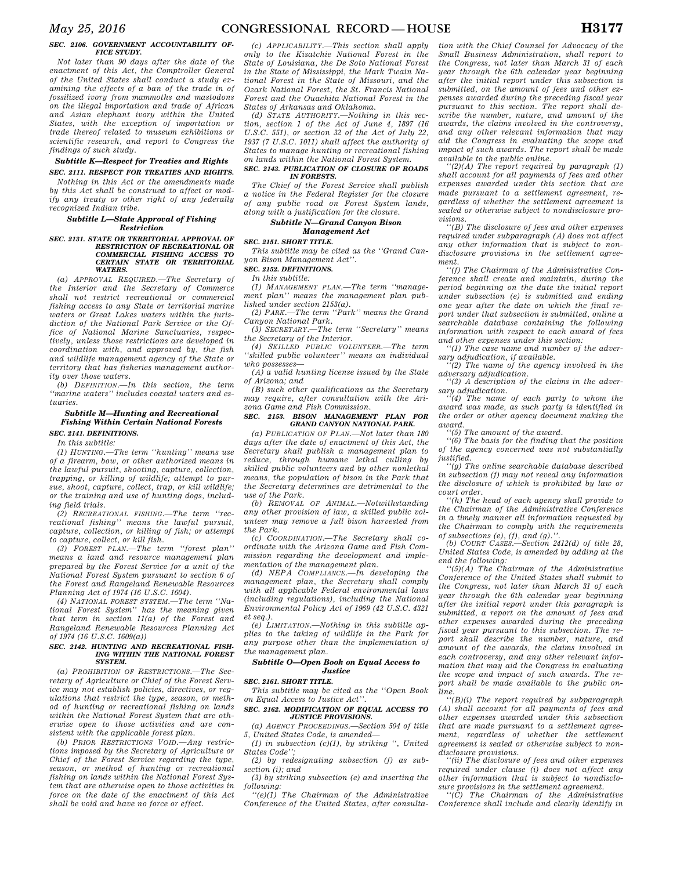#### *SEC. 2106. GOVERNMENT ACCOUNTABILITY OF-FICE STUDY.*

*Not later than 90 days after the date of the enactment of this Act, the Comptroller General of the United States shall conduct a study examining the effects of a ban of the trade in of fossilized ivory from mammoths and mastodons on the illegal importation and trade of African and Asian elephant ivory within the United States, with the exception of importation or trade thereof related to museum exhibitions or scientific research, and report to Congress the findings of such study.* 

## *Subtitle K—Respect for Treaties and Rights SEC. 2111. RESPECT FOR TREATIES AND RIGHTS.*

*Nothing in this Act or the amendments made by this Act shall be construed to affect or modify any treaty or other right of any federally recognized Indian tribe.* 

## *Subtitle L—State Approval of Fishing Restriction*

#### *SEC. 2131. STATE OR TERRITORIAL APPROVAL OF RESTRICTION OF RECREATIONAL OR COMMERCIAL FISHING ACCESS TO CERTAIN STATE OR TERRITORIAL WATERS.*

*(a) APPROVAL REQUIRED.—The Secretary of the Interior and the Secretary of Commerce shall not restrict recreational or commercial fishing access to any State or territorial marine waters or Great Lakes waters within the jurisdiction of the National Park Service or the Office of National Marine Sanctuaries, respectively, unless those restrictions are developed in coordination with, and approved by, the fish and wildlife management agency of the State or territory that has fisheries management authority over those waters.* 

*(b) DEFINITION.—In this section, the term ''marine waters'' includes coastal waters and estuaries.* 

## *Subtitle M—Hunting and Recreational Fishing Within Certain National Forests*

# *SEC. 2141. DEFINITIONS.*

*In this subtitle:* 

*(1) HUNTING.—The term ''hunting'' means use of a firearm, bow, or other authorized means in the lawful pursuit, shooting, capture, collection, trapping, or killing of wildlife; attempt to pursue, shoot, capture, collect, trap, or kill wildlife; or the training and use of hunting dogs, including field trials.* 

*(2) RECREATIONAL FISHING.—The term ''recreational fishing'' means the lawful pursuit, capture, collection, or killing of fish; or attempt to capture, collect, or kill fish.* 

*(3) FOREST PLAN.—The term ''forest plan'' means a land and resource management plan prepared by the Forest Service for a unit of the National Forest System pursuant to section 6 of the Forest and Rangeland Renewable Resources Planning Act of 1974 (16 U.S.C. 1604).* 

*(4) NATIONAL FOREST SYSTEM.—The term ''National Forest System'' has the meaning given that term in section 11(a) of the Forest and Rangeland Renewable Resources Planning Act of 1974 (16 U.S.C. 1609(a))* 

#### *SEC. 2142. HUNTING AND RECREATIONAL FISH-ING WITHIN THE NATIONAL FOREST SYSTEM.*

*(a) PROHIBITION OF RESTRICTIONS.—The Secretary of Agriculture or Chief of the Forest Service may not establish policies, directives, or regulations that restrict the type, season, or method of hunting or recreational fishing on lands within the National Forest System that are otherwise open to those activities and are consistent with the applicable forest plan.* 

*(b) PRIOR RESTRICTIONS VOID.—Any restrictions imposed by the Secretary of Agriculture or Chief of the Forest Service regarding the type, season, or method of hunting or recreational fishing on lands within the National Forest System that are otherwise open to those activities in force on the date of the enactment of this Act shall be void and have no force or effect.* 

*(c) APPLICABILITY.—This section shall apply only to the Kisatchie National Forest in the State of Louisiana, the De Soto National Forest in the State of Mississippi, the Mark Twain National Forest in the State of Missouri, and the Ozark National Forest, the St. Francis National Forest and the Ouachita National Forest in the States of Arkansas and Oklahoma.* 

*(d) STATE AUTHORITY.—Nothing in this section, section 1 of the Act of June 4, 1897 (16 U.S.C. 551), or section 32 of the Act of July 22, 1937 (7 U.S.C. 1011) shall affect the authority of States to manage hunting or recreational fishing on lands within the National Forest System.* 

## *SEC. 2143. PUBLICATION OF CLOSURE OF ROADS IN FORESTS.*

*The Chief of the Forest Service shall publish a notice in the Federal Register for the closure of any public road on Forest System lands, along with a justification for the closure.* 

## *Subtitle N—Grand Canyon Bison Management Act*

## *SEC. 2151. SHORT TITLE.*

*This subtitle may be cited as the ''Grand Canyon Bison Management Act''.* 

## *SEC. 2152. DEFINITIONS.*

*In this subtitle: (1) MANAGEMENT PLAN.—The term ''manage-*

*ment plan'' means the management plan published under section 2153(a).* 

*(2) PARK.—The term ''Park'' means the Grand Canyon National Park.* 

*(3) SECRETARY.—The term ''Secretary'' means the Secretary of the Interior.* 

*(4) SKILLED PUBLIC VOLUNTEER.—The term ''skilled public volunteer'' means an individual who possesses—* 

*(A) a valid hunting license issued by the State of Arizona; and* 

*(B) such other qualifications as the Secretary may require, after consultation with the Arizona Game and Fish Commission.* 

#### *SEC. 2153. BISON MANAGEMENT PLAN FOR GRAND CANYON NATIONAL PARK.*

*(a) PUBLICATION OF PLAN.—Not later than 180 days after the date of enactment of this Act, the Secretary shall publish a management plan to reduce, through humane lethal culling by skilled public volunteers and by other nonlethal means, the population of bison in the Park that the Secretary determines are detrimental to the use of the Park.* 

*(b) REMOVAL OF ANIMAL.—Notwithstanding any other provision of law, a skilled public volunteer may remove a full bison harvested from the Park.* 

*(c) COORDINATION.—The Secretary shall coordinate with the Arizona Game and Fish Commission regarding the development and implementation of the management plan.* 

*(d) NEPA COMPLIANCE.—In developing the management plan, the Secretary shall comply with all applicable Federal environmental laws (including regulations), including the National Environmental Policy Act of 1969 (42 U.S.C. 4321 et seq.).* 

*(e) LIMITATION.—Nothing in this subtitle applies to the taking of wildlife in the Park for any purpose other than the implementation of the management plan.* 

## *Subtitle O—Open Book on Equal Access to Justice*

## *SEC. 2161. SHORT TITLE.*

*This subtitle may be cited as the ''Open Book on Equal Access to Justice Act''.* 

#### *SEC. 2162. MODIFICATION OF EQUAL ACCESS TO JUSTICE PROVISIONS.*

*(a) AGENCY PROCEEDINGS.—Section 504 of title 5, United States Code, is amended—* 

*(1) in subsection (c)(1), by striking '', United States Code'';* 

*(2) by redesignating subsection (f) as subsection (i); and* 

*(3) by striking subsection (e) and inserting the following:* 

*''(e)(1) The Chairman of the Administrative Conference of the United States, after consulta-*

*tion with the Chief Counsel for Advocacy of the Small Business Administration, shall report to the Congress, not later than March 31 of each year through the 6th calendar year beginning after the initial report under this subsection is submitted, on the amount of fees and other expenses awarded during the preceding fiscal year pursuant to this section. The report shall describe the number, nature, and amount of the awards, the claims involved in the controversy, and any other relevant information that may aid the Congress in evaluating the scope and impact of such awards. The report shall be made* 

*available to the public online. ''(2)(A) The report required by paragraph (1) shall account for all payments of fees and other expenses awarded under this section that are made pursuant to a settlement agreement, regardless of whether the settlement agreement is sealed or otherwise subject to nondisclosure provisions.* 

*''(B) The disclosure of fees and other expenses required under subparagraph (A) does not affect any other information that is subject to nondisclosure provisions in the settlement agreement.* 

*''(f) The Chairman of the Administrative Conference shall create and maintain, during the period beginning on the date the initial report under subsection (e) is submitted and ending one year after the date on which the final report under that subsection is submitted, online a searchable database containing the following information with respect to each award of fees and other expenses under this section:* 

*''(1) The case name and number of the adversary adjudication, if available.* 

*''(2) The name of the agency involved in the adversary adjudication.* 

*''(3) A description of the claims in the adversary adjudication.* 

*''(4) The name of each party to whom the award was made, as such party is identified in the order or other agency document making the award.* 

*''(5) The amount of the award.* 

*''(6) The basis for the finding that the position of the agency concerned was not substantially justified.* 

*''(g) The online searchable database described in subsection (f) may not reveal any information the disclosure of which is prohibited by law or court order.* 

*''(h) The head of each agency shall provide to the Chairman of the Administrative Conference in a timely manner all information requested by the Chairman to comply with the requirements*   $of$  subsections  $(e)$ ,  $(f)$ , and  $(g)$ .

*(b) COURT CASES.—Section 2412(d) of title 28, United States Code, is amended by adding at the end the following:* 

*''(5)(A) The Chairman of the Administrative Conference of the United States shall submit to the Congress, not later than March 31 of each year through the 6th calendar year beginning after the initial report under this paragraph is submitted, a report on the amount of fees and other expenses awarded during the preceding fiscal year pursuant to this subsection. The report shall describe the number, nature, and amount of the awards, the claims involved in each controversy, and any other relevant information that may aid the Congress in evaluating the scope and impact of such awards. The report shall be made available to the public online.* 

*''(B)(i) The report required by subparagraph (A) shall account for all payments of fees and other expenses awarded under this subsection that are made pursuant to a settlement agreement, regardless of whether the settlement agreement is sealed or otherwise subject to nondisclosure provisions.* 

*''(ii) The disclosure of fees and other expenses required under clause (i) does not affect any other information that is subject to nondisclosure provisions in the settlement agreement.* 

*''(C) The Chairman of the Administrative Conference shall include and clearly identify in*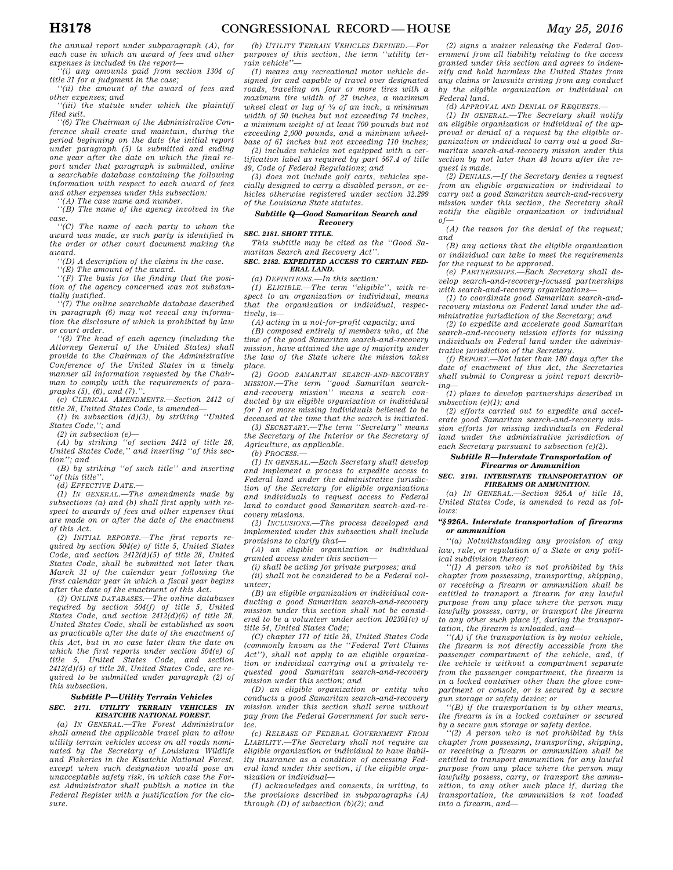*the annual report under subparagraph (A), for each case in which an award of fees and other expenses is included in the report—* 

*''(i) any amounts paid from section 1304 of title 31 for a judgment in the case;* 

*''(ii) the amount of the award of fees and other expenses; and* 

*''(iii) the statute under which the plaintiff filed suit.* 

*''(6) The Chairman of the Administrative Conference shall create and maintain, during the period beginning on the date the initial report under paragraph (5) is submitted and ending one year after the date on which the final report under that paragraph is submitted, online a searchable database containing the following information with respect to each award of fees and other expenses under this subsection:* 

*''(A) The case name and number.* 

*''(B) The name of the agency involved in the case.* 

*''(C) The name of each party to whom the award was made, as such party is identified in the order or other court document making the award.* 

*''(D) A description of the claims in the case.* 

*''(E) The amount of the award.* 

*''(F) The basis for the finding that the position of the agency concerned was not substantially justified.* 

*''(7) The online searchable database described in paragraph (6) may not reveal any information the disclosure of which is prohibited by law or court order.* 

*''(8) The head of each agency (including the Attorney General of the United States) shall provide to the Chairman of the Administrative Conference of the United States in a timely manner all information requested by the Chairman to comply with the requirements of paragraphs (5), (6), and (7).''.* 

*(c) CLERICAL AMENDMENTS.—Section 2412 of title 28, United States Code, is amended—* 

*(1) in subsection (d)(3), by striking ''United States Code,''; and* 

*(2) in subsection (e)—* 

*(A) by striking ''of section 2412 of title 28, United States Code,'' and inserting ''of this section''; and* 

*(B) by striking ''of such title'' and inserting ''of this title''.* 

*(d) EFFECTIVE DATE.—* 

*(1) IN GENERAL.—The amendments made by subsections (a) and (b) shall first apply with respect to awards of fees and other expenses that are made on or after the date of the enactment of this Act.* 

*(2) INITIAL REPORTS.—The first reports required by section 504(e) of title 5, United States Code, and section 2412(d)(5) of title 28, United States Code, shall be submitted not later than March 31 of the calendar year following the first calendar year in which a fiscal year begins after the date of the enactment of this Act.* 

*(3) ONLINE DATABASES.—The online databases required by section 504(f) of title 5, United States Code, and section 2412(d)(6) of title 28, United States Code, shall be established as soon as practicable after the date of the enactment of this Act, but in no case later than the date on which the first reports under section 504(e) of title 5, United States Code, and section 2412(d)(5) of title 28, United States Code, are required to be submitted under paragraph (2) of this subsection.* 

## *Subtitle P—Utility Terrain Vehicles SEC. 2171. UTILITY TERRAIN VEHICLES IN KISATCHIE NATIONAL FOREST.*

*(a) IN GENERAL.—The Forest Administrator shall amend the applicable travel plan to allow utility terrain vehicles access on all roads nominated by the Secretary of Louisiana Wildlife and Fisheries in the Kisatchie National Forest, except when such designation would pose an unacceptable safety risk, in which case the Forest Administrator shall publish a notice in the Federal Register with a justification for the closure.* 

*(b) UTILITY TERRAIN VEHICLES DEFINED.—For purposes of this section, the term ''utility terrain vehicle''—* 

*(1) means any recreational motor vehicle designed for and capable of travel over designated roads, traveling on four or more tires with a maximum tire width of 27 inches, a maximum wheel cleat or lug of 3⁄4 of an inch, a minimum width of 50 inches but not exceeding 74 inches, a minimum weight of at least 700 pounds but not exceeding 2,000 pounds, and a minimum wheelbase of 61 inches but not exceeding 110 inches;* 

*(2) includes vehicles not equipped with a certification label as required by part 567.4 of title 49, Code of Federal Regulations; and* 

*(3) does not include golf carts, vehicles specially designed to carry a disabled person, or vehicles otherwise registered under section 32.299 of the Louisiana State statutes.* 

#### *Subtitle Q—Good Samaritan Search and Recovery*

*SEC. 2181. SHORT TITLE.* 

*This subtitle may be cited as the ''Good Samaritan Search and Recovery Act''.* 

#### *SEC. 2182. EXPEDITED ACCESS TO CERTAIN FED-ERAL LAND.*

*(a) DEFINITIONS.—In this section:* 

*(1) ELIGIBLE.—The term ''eligible'', with respect to an organization or individual, means that the organization or individual, respectively, is—* 

*(A) acting in a not-for-profit capacity; and* 

*(B) composed entirely of members who, at the time of the good Samaritan search-and-recovery mission, have attained the age of majority under the law of the State where the mission takes place.* 

*(2) GOOD SAMARITAN SEARCH-AND-RECOVERY MISSION.—The term ''good Samaritan searchand-recovery mission'' means a search conducted by an eligible organization or individual for 1 or more missing individuals believed to be deceased at the time that the search is initiated.* 

*(3) SECRETARY.—The term ''Secretary'' means the Secretary of the Interior or the Secretary of Agriculture, as applicable. (b) PROCESS.—* 

*(1) IN GENERAL.—Each Secretary shall develop and implement a process to expedite access to Federal land under the administrative jurisdiction of the Secretary for eligible organizations and individuals to request access to Federal land to conduct good Samaritan search-and-recovery missions.* 

*(2) INCLUSIONS.—The process developed and implemented under this subsection shall include provisions to clarify that—* 

*(A) an eligible organization or individual granted access under this section—* 

*(i) shall be acting for private purposes; and* 

*(ii) shall not be considered to be a Federal volunteer;* 

*(B) an eligible organization or individual conducting a good Samaritan search-and-recovery mission under this section shall not be considered to be a volunteer under section 102301(c) of title 54, United States Code;* 

*(C) chapter 171 of title 28, United States Code (commonly known as the ''Federal Tort Claims Act''), shall not apply to an eligible organization or individual carrying out a privately requested good Samaritan search-and-recovery mission under this section; and* 

*(D) an eligible organization or entity who conducts a good Samaritan search-and-recovery mission under this section shall serve without pay from the Federal Government for such service.* 

*(c) RELEASE OF FEDERAL GOVERNMENT FROM LIABILITY.—The Secretary shall not require an eligible organization or individual to have liability insurance as a condition of accessing Federal land under this section, if the eligible organization or individual—* 

*(1) acknowledges and consents, in writing, to the provisions described in subparagraphs (A) through (D) of subsection (b)(2); and* 

*(2) signs a waiver releasing the Federal Government from all liability relating to the access granted under this section and agrees to indemnify and hold harmless the United States from any claims or lawsuits arising from any conduct by the eligible organization or individual on Federal land.* 

*(d) APPROVAL AND DENIAL OF REQUESTS.—* 

*(1) IN GENERAL.—The Secretary shall notify an eligible organization or individual of the approval or denial of a request by the eligible organization or individual to carry out a good Samaritan search-and-recovery mission under this section by not later than 48 hours after the request is made.* 

*(2) DENIALS.—If the Secretary denies a request from an eligible organization or individual to carry out a good Samaritan search-and-recovery mission under this section, the Secretary shall notify the eligible organization or individual of—* 

*(A) the reason for the denial of the request; and* 

*(B) any actions that the eligible organization or individual can take to meet the requirements for the request to be approved.* 

*(e) PARTNERSHIPS.—Each Secretary shall develop search-and-recovery-focused partnerships with search-and-recovery organizations—* 

*(1) to coordinate good Samaritan search-andrecovery missions on Federal land under the administrative jurisdiction of the Secretary; and* 

*(2) to expedite and accelerate good Samaritan search-and-recovery mission efforts for missing individuals on Federal land under the administrative jurisdiction of the Secretary.* 

*(f) REPORT.—Not later than 180 days after the date of enactment of this Act, the Secretaries shall submit to Congress a joint report describing—* 

*(1) plans to develop partnerships described in subsection (e)(1); and* 

*(2) efforts carried out to expedite and accelerate good Samaritan search-and-recovery mission efforts for missing individuals on Federal land under the administrative jurisdiction of each Secretary pursuant to subsection (e)(2).* 

## *Subtitle R—Interstate Transportation of Firearms or Ammunition*

## *SEC. 2191. INTERSTATE TRANSPORTATION OF FIREARMS OR AMMUNITION.*

*(a) IN GENERAL.—Section 926A of title 18, United States Code, is amended to read as follows:* 

## *''§ 926A. Interstate transportation of firearms or ammunition*

*''(a) Notwithstanding any provision of any law, rule, or regulation of a State or any political subdivision thereof:* 

*''(1) A person who is not prohibited by this chapter from possessing, transporting, shipping, or receiving a firearm or ammunition shall be entitled to transport a firearm for any lawful purpose from any place where the person may lawfully possess, carry, or transport the firearm to any other such place if, during the transportation, the firearm is unloaded, and—* 

*''(A) if the transportation is by motor vehicle, the firearm is not directly accessible from the passenger compartment of the vehicle, and, if the vehicle is without a compartment separate from the passenger compartment, the firearm is in a locked container other than the glove compartment or console, or is secured by a secure gun storage or safety device; or* 

*''(B) if the transportation is by other means, the firearm is in a locked container or secured by a secure gun storage or safety device.* 

*''(2) A person who is not prohibited by this chapter from possessing, transporting, shipping, or receiving a firearm or ammunition shall be entitled to transport ammunition for any lawful purpose from any place where the person may lawfully possess, carry, or transport the ammunition, to any other such place if, during the transportation, the ammunition is not loaded into a firearm, and—*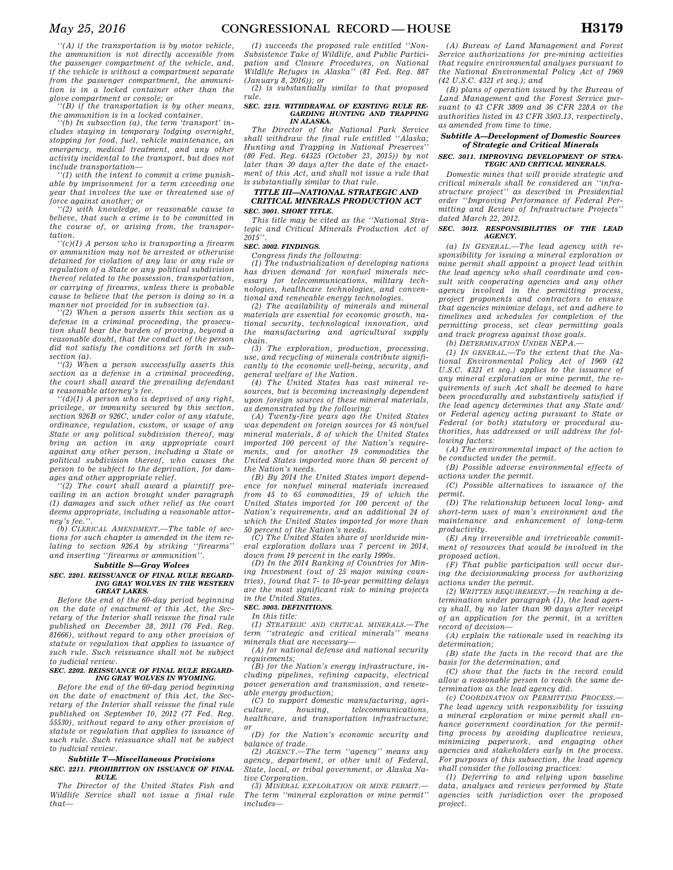*''(A) if the transportation is by motor vehicle, the ammunition is not directly accessible from the passenger compartment of the vehicle, and, if the vehicle is without a compartment separate from the passenger compartment, the ammunition is in a locked container other than the glove compartment or console; or* 

*''(B) if the transportation is by other means, the ammunition is in a locked container.* 

*''(b) In subsection (a), the term 'transport' includes staying in temporary lodging overnight, stopping for food, fuel, vehicle maintenance, an emergency, medical treatment, and any other activity incidental to the transport, but does not include transportation—* 

*''(1) with the intent to commit a crime punishable by imprisonment for a term exceeding one year that involves the use or threatened use of force against another; or* 

*''(2) with knowledge, or reasonable cause to believe, that such a crime is to be committed in the course of, or arising from, the transportation.* 

*''(c)(1) A person who is transporting a firearm or ammunition may not be arrested or otherwise detained for violation of any law or any rule or regulation of a State or any political subdivision thereof related to the possession, transportation, or carrying of firearms, unless there is probable cause to believe that the person is doing so in a manner not provided for in subsection (a).* 

*''(2) When a person asserts this section as a defense in a criminal proceeding, the prosecution shall bear the burden of proving, beyond a reasonable doubt, that the conduct of the person did not satisfy the conditions set forth in subsection (a).* 

*''(3) When a person successfully asserts this section as a defense in a criminal proceeding, the court shall award the prevailing defendant a reasonable attorney's fee.* 

*''(d)(1) A person who is deprived of any right, privilege, or immunity secured by this section, section 926B or 926C, under color of any statute, ordinance, regulation, custom, or usage of any State or any political subdivision thereof, may bring an action in any appropriate court against any other person, including a State or political subdivision thereof, who causes the person to be subject to the deprivation, for damages and other appropriate relief.* 

*''(2) The court shall award a plaintiff prevailing in an action brought under paragraph (1) damages and such other relief as the court deems appropriate, including a reasonable attor* $ney's fee.$ 

*(b) CLERICAL AMENDMENT.—The table of sections for such chapter is amended in the item relating to section 926A by striking ''firearms'' and inserting ''firearms or ammunition''.* 

#### *Subtitle S—Gray Wolves*

## *SEC. 2201. REISSUANCE OF FINAL RULE REGARD-ING GRAY WOLVES IN THE WESTERN GREAT LAKES.*

*Before the end of the 60-day period beginning on the date of enactment of this Act, the Secretary of the Interior shall reissue the final rule published on December 28, 2011 (76 Fed. Reg. 81666), without regard to any other provision of statute or regulation that applies to issuance of such rule. Such reissuance shall not be subject to judicial review.* 

## *SEC. 2202. REISSUANCE OF FINAL RULE REGARD-ING GRAY WOLVES IN WYOMING.*

*Before the end of the 60-day period beginning on the date of enactment of this Act, the Secretary of the Interior shall reissue the final rule published on September 10, 2012 (77 Fed. Reg. 55530), without regard to any other provision of statute or regulation that applies to issuance of such rule. Such reissuance shall not be subject to judicial review.* 

#### *Subtitle T—Miscellaneous Provisions SEC. 2211. PROHIBITION ON ISSUANCE OF FINAL RULE.*

*The Director of the United States Fish and Wildlife Service shall not issue a final rule that—* 

*(1) succeeds the proposed rule entitled ''Non-Subsistence Take of Wildlife, and Public Participation and Closure Procedures, on National Wildlife Refuges in Alaska'' (81 Fed. Reg. 887* 

*(January 8, 2016)); or (2) is substantially similar to that proposed rule.* 

#### *SEC. 2212. WITHDRAWAL OF EXISTING RULE RE-GARDING HUNTING AND TRAPPING IN ALASKA.*

*The Director of the National Park Service shall withdraw the final rule entitled ''Alaska; Hunting and Trapping in National Preserves'' (80 Fed. Reg. 64325 (October 23, 2015)) by not later than 30 days after the date of the enactment of this Act, and shall not issue a rule that is substantially similar to that rule.* 

## *TITLE III—NATIONAL STRATEGIC AND CRITICAL MINERALS PRODUCTION ACT SEC. 3001. SHORT TITLE.*

*This title may be cited as the ''National Strategic and Critical Minerals Production Act of 2015''.* 

## *SEC. 3002. FINDINGS.*

*Congress finds the following:* 

*(1) The industrialization of developing nations has driven demand for nonfuel minerals necessary for telecommunications, military technologies, healthcare technologies, and conventional and renewable energy technologies.* 

*(2) The availability of minerals and mineral materials are essential for economic growth, national security, technological innovation, and the manufacturing and agricultural supply* 

*chain. (3) The exploration, production, processing, use, and recycling of minerals contribute significantly to the economic well-being, security, and general welfare of the Nation.* 

*(4) The United States has vast mineral resources, but is becoming increasingly dependent upon foreign sources of these mineral materials, as demonstrated by the following:* 

*(A) Twenty-five years ago the United States was dependent on foreign sources for 45 nonfuel mineral materials, 8 of which the United States imported 100 percent of the Nation's requirements, and for another 19 commodities the United States imported more than 50 percent of the Nation's needs.* 

*(B) By 2014 the United States import dependence for nonfuel mineral materials increased from 45 to 65 commodities, 19 of which the United States imported for 100 percent of the Nation's requirements, and an additional 24 of which the United States imported for more than 50 percent of the Nation's needs.* 

*(C) The United States share of worldwide mineral exploration dollars was 7 percent in 2014, down from 19 percent in the early 1990s.* 

*(D) In the 2014 Ranking of Countries for Mining Investment (out of 25 major mining countries), found that 7- to 10-year permitting delays are the most significant risk to mining projects in the United States.* 

## *SEC. 3003. DEFINITIONS.*

*In this title:* 

*(1) STRATEGIC AND CRITICAL MINERALS.—The term ''strategic and critical minerals'' means minerals that are necessary—* 

*(A) for national defense and national security requirements;* 

*(B) for the Nation's energy infrastructure, including pipelines, refining capacity, electrical power generation and transmission, and renewable energy production;* 

*(C) to support domestic manufacturing, agriculture, housing, telecommunications, healthcare, and transportation infrastructure;* 

*or (D) for the Nation's economic security and balance of trade.* 

*(2) AGENCY.—The term ''agency'' means any agency, department, or other unit of Federal, State, local, or tribal government, or Alaska Native Corporation.* 

*(3) MINERAL EXPLORATION OR MINE PERMIT.— The term ''mineral exploration or mine permit'' includes—* 

*(A) Bureau of Land Management and Forest Service authorizations for pre-mining activities that require environmental analyses pursuant to the National Environmental Policy Act of 1969 (42 U.S.C. 4321 et seq.); and* 

*(B) plans of operation issued by the Bureau of Land Management and the Forest Service pursuant to 43 CFR 3809 and 36 CFR 228A or the authorities listed in 43 CFR 3503.13, respectively, as amended from time to time.* 

## *Subtitle A—Development of Domestic Sources of Strategic and Critical Minerals*

## *SEC. 3011. IMPROVING DEVELOPMENT OF STRA-TEGIC AND CRITICAL MINERALS.*

*Domestic mines that will provide strategic and critical minerals shall be considered an ''infrastructure project'' as described in Presidential order ''Improving Performance of Federal Permitting and Review of Infrastructure Projects'' dated March 22, 2012.* 

## *SEC. 3012. RESPONSIBILITIES OF THE LEAD AGENCY.*

*(a) IN GENERAL.—The lead agency with responsibility for issuing a mineral exploration or mine permit shall appoint a project lead within the lead agency who shall coordinate and consult with cooperating agencies and any other agency involved in the permitting process, project proponents and contractors to ensure that agencies minimize delays, set and adhere to timelines and schedules for completion of the permitting process, set clear permitting goals and track progress against those goals.* 

*(b) DETERMINATION UNDER NEPA.—* 

*(1) IN GENERAL.—To the extent that the National Environmental Policy Act of 1969 (42 U.S.C. 4321 et seq.) applies to the issuance of any mineral exploration or mine permit, the requirements of such Act shall be deemed to have been procedurally and substantively satisfied if the lead agency determines that any State and/ or Federal agency acting pursuant to State or Federal (or both) statutory or procedural authorities, has addressed or will address the following factors:* 

*(A) The environmental impact of the action to be conducted under the permit.* 

*(B) Possible adverse environmental effects of actions under the permit.* 

*(C) Possible alternatives to issuance of the permit.* 

*(D) The relationship between local long- and short-term uses of man's environment and the maintenance and enhancement of long-term productivity.* 

*(E) Any irreversible and irretrievable commitment of resources that would be involved in the proposed action.* 

*(F) That public participation will occur during the decisionmaking process for authorizing actions under the permit.* 

*(2) WRITTEN REQUIREMENT.—In reaching a determination under paragraph (1), the lead agency shall, by no later than 90 days after receipt of an application for the permit, in a written record of decision—* 

*(A) explain the rationale used in reaching its determination;* 

*(B) state the facts in the record that are the basis for the determination; and* 

*(C) show that the facts in the record could allow a reasonable person to reach the same determination as the lead agency did.* 

*(c) COORDINATION ON PERMITTING PROCESS.— The lead agency with responsibility for issuing a mineral exploration or mine permit shall enhance government coordination for the permitting process by avoiding duplicative reviews, minimizing paperwork, and engaging other agencies and stakeholders early in the process. For purposes of this subsection, the lead agency shall consider the following practices:* 

*(1) Deferring to and relying upon baseline data, analyses and reviews performed by State agencies with jurisdiction over the proposed project.*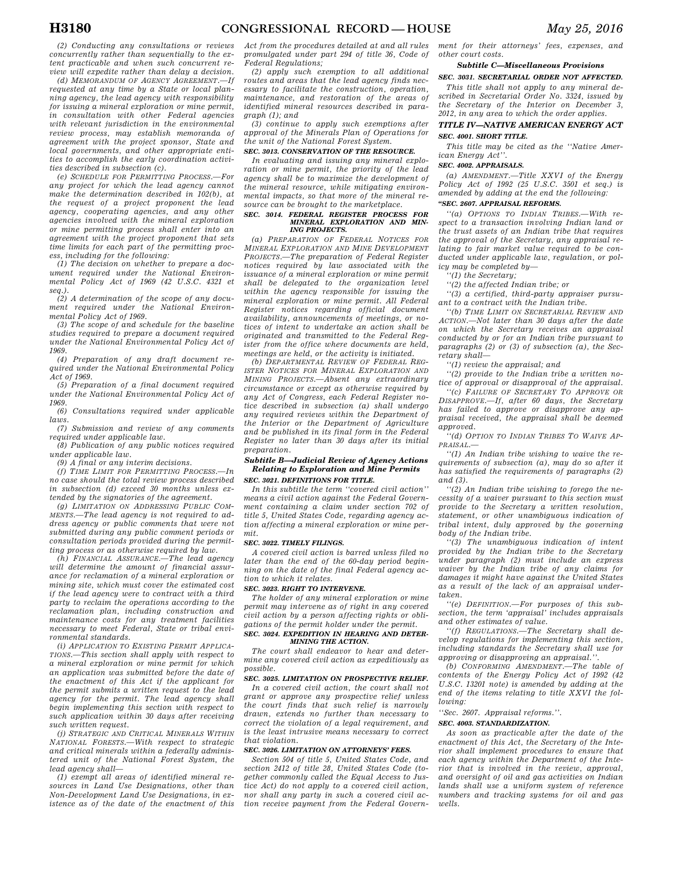*(2) Conducting any consultations or reviews concurrently rather than sequentially to the ex-*

*tent practicable and when such concurrent review will expedite rather than delay a decision. (d) MEMORANDUM OF AGENCY AGREEMENT.—If requested at any time by a State or local planning agency, the lead agency with responsibility for issuing a mineral exploration or mine permit, in consultation with other Federal agencies with relevant jurisdiction in the environmental review process, may establish memoranda of agreement with the project sponsor, State and local governments, and other appropriate entities to accomplish the early coordination activities described in subsection (c).* 

*(e) SCHEDULE FOR PERMITTING PROCESS.—For any project for which the lead agency cannot make the determination described in 102(b), at the request of a project proponent the lead agency, cooperating agencies, and any other agencies involved with the mineral exploration or mine permitting process shall enter into an agreement with the project proponent that sets time limits for each part of the permitting process, including for the following:* 

*(1) The decision on whether to prepare a document required under the National Environmental Policy Act of 1969 (42 U.S.C. 4321 et seq.).* 

*(2) A determination of the scope of any document required under the National Environmental Policy Act of 1969.* 

*(3) The scope of and schedule for the baseline studies required to prepare a document required under the National Environmental Policy Act of 1969.* 

*(4) Preparation of any draft document required under the National Environmental Policy Act of 1969.* 

*(5) Preparation of a final document required under the National Environmental Policy Act of 1969.* 

*(6) Consultations required under applicable laws.* 

*(7) Submission and review of any comments required under applicable law.* 

*(8) Publication of any public notices required under applicable law.* 

*(9) A final or any interim decisions.* 

*(f) TIME LIMIT FOR PERMITTING PROCESS.—In no case should the total review process described in subsection (d) exceed 30 months unless extended by the signatories of the agreement.* 

*(g) LIMITATION ON ADDRESSING PUBLIC COM-MENTS.—The lead agency is not required to address agency or public comments that were not submitted during any public comment periods or consultation periods provided during the permitting process or as otherwise required by law.* 

*(h) FINANCIAL ASSURANCE.—The lead agency will determine the amount of financial assurance for reclamation of a mineral exploration or mining site, which must cover the estimated cost if the lead agency were to contract with a third party to reclaim the operations according to the reclamation plan, including construction and maintenance costs for any treatment facilities necessary to meet Federal, State or tribal environmental standards.* 

*(i) APPLICATION TO EXISTING PERMIT APPLICA-TIONS.—This section shall apply with respect to a mineral exploration or mine permit for which an application was submitted before the date of the enactment of this Act if the applicant for the permit submits a written request to the lead agency for the permit. The lead agency shall begin implementing this section with respect to such application within 30 days after receiving such written request.* 

*(j) STRATEGIC AND CRITICAL MINERALS WITHIN NATIONAL FORESTS.—With respect to strategic and critical minerals within a federally administered unit of the National Forest System, the lead agency shall—* 

*(1) exempt all areas of identified mineral resources in Land Use Designations, other than Non-Development Land Use Designations, in existence as of the date of the enactment of this*  *Act from the procedures detailed at and all rules promulgated under part 294 of title 36, Code of Federal Regulations;* 

*(2) apply such exemption to all additional routes and areas that the lead agency finds necessary to facilitate the construction, operation, maintenance, and restoration of the areas of identified mineral resources described in paragraph (1); and* 

*(3) continue to apply such exemptions after approval of the Minerals Plan of Operations for the unit of the National Forest System.* 

## *SEC. 3013. CONSERVATION OF THE RESOURCE.*

*In evaluating and issuing any mineral exploration or mine permit, the priority of the lead agency shall be to maximize the development of the mineral resource, while mitigating environmental impacts, so that more of the mineral resource can be brought to the marketplace.* 

#### *SEC. 3014. FEDERAL REGISTER PROCESS FOR MINERAL EXPLORATION AND MIN-ING PROJECTS.*

*(a) PREPARATION OF FEDERAL NOTICES FOR MINERAL EXPLORATION AND MINE DEVELOPMENT PROJECTS.—The preparation of Federal Register notices required by law associated with the issuance of a mineral exploration or mine permit shall be delegated to the organization level within the agency responsible for issuing the mineral exploration or mine permit. All Federal Register notices regarding official document availability, announcements of meetings, or notices of intent to undertake an action shall be originated and transmitted to the Federal Register from the office where documents are held, meetings are held, or the activity is initiated.* 

*(b) DEPARTMENTAL REVIEW OF FEDERAL REG-ISTER NOTICES FOR MINERAL EXPLORATION AND MINING PROJECTS.—Absent any extraordinary circumstance or except as otherwise required by any Act of Congress, each Federal Register notice described in subsection (a) shall undergo any required reviews within the Department of the Interior or the Department of Agriculture and be published in its final form in the Federal Register no later than 30 days after its initial preparation.* 

## *Subtitle B—Judicial Review of Agency Actions Relating to Exploration and Mine Permits SEC. 3021. DEFINITIONS FOR TITLE.*

*In this subtitle the term ''covered civil action'' means a civil action against the Federal Government containing a claim under section 702 of title 5, United States Code, regarding agency action affecting a mineral exploration or mine permit.* 

## *SEC. 3022. TIMELY FILINGS.*

*A covered civil action is barred unless filed no later than the end of the 60-day period beginning on the date of the final Federal agency action to which it relates.* 

## *SEC. 3023. RIGHT TO INTERVENE.*

*The holder of any mineral exploration or mine permit may intervene as of right in any covered civil action by a person affecting rights or obligations of the permit holder under the permit.* 

## *SEC. 3024. EXPEDITION IN HEARING AND DETER-MINING THE ACTION.*

*The court shall endeavor to hear and determine any covered civil action as expeditiously as possible.* 

## *SEC. 3025. LIMITATION ON PROSPECTIVE RELIEF.*

*In a covered civil action, the court shall not grant or approve any prospective relief unless the court finds that such relief is narrowly drawn, extends no further than necessary to correct the violation of a legal requirement, and is the least intrusive means necessary to correct that violation.* 

## *SEC. 3026. LIMITATION ON ATTORNEYS' FEES.*

*Section 504 of title 5, United States Code, and section 2412 of title 28, United States Code (together commonly called the Equal Access to Justice Act) do not apply to a covered civil action, nor shall any party in such a covered civil action receive payment from the Federal Govern-* *ment for their attorneys' fees, expenses, and other court costs.* 

## *Subtitle C—Miscellaneous Provisions*

## *SEC. 3031. SECRETARIAL ORDER NOT AFFECTED.*

*This title shall not apply to any mineral described in Secretarial Order No. 3324, issued by the Secretary of the Interior on December 3, 2012, in any area to which the order applies.* 

## *TITLE IV—NATIVE AMERICAN ENERGY ACT SEC. 4001. SHORT TITLE.*

*This title may be cited as the ''Native American Energy Act''.* 

## *SEC. 4002. APPRAISALS.*

*(a) AMENDMENT.—Title XXVI of the Energy Policy Act of 1992 (25 U.S.C. 3501 et seq.) is amended by adding at the end the following: ''SEC. 2607. APPRAISAL REFORMS.* 

*''(a) OPTIONS TO INDIAN TRIBES.—With respect to a transaction involving Indian land or the trust assets of an Indian tribe that requires the approval of the Secretary, any appraisal relating to fair market value required to be conducted under applicable law, regulation, or policy may be completed by—* 

- *''(1) the Secretary;*
- *''(2) the affected Indian tribe; or*

*''(3) a certified, third-party appraiser pursuant to a contract with the Indian tribe.* 

*''(b) TIME LIMIT ON SECRETARIAL REVIEW AND ACTION.—Not later than 30 days after the date on which the Secretary receives an appraisal conducted by or for an Indian tribe pursuant to paragraphs (2) or (3) of subsection (a), the Secretary shall—* 

*''(1) review the appraisal; and* 

*''(2) provide to the Indian tribe a written notice of approval or disapproval of the appraisal.* 

*''(c) FAILURE OF SECRETARY TO APPROVE OR DISAPPROVE.—If, after 60 days, the Secretary has failed to approve or disapprove any appraisal received, the appraisal shall be deemed approved.* 

*''(d) OPTION TO INDIAN TRIBES TO WAIVE AP-PRAISAL.—* 

*''(1) An Indian tribe wishing to waive the requirements of subsection (a), may do so after it has satisfied the requirements of paragraphs (2) and (3).* 

*''(2) An Indian tribe wishing to forego the necessity of a waiver pursuant to this section must provide to the Secretary a written resolution, statement, or other unambiguous indication of tribal intent, duly approved by the governing body of the Indian tribe.* 

*''(3) The unambiguous indication of intent provided by the Indian tribe to the Secretary under paragraph (2) must include an express waiver by the Indian tribe of any claims for damages it might have against the United States as a result of the lack of an appraisal undertaken.* 

*''(e) DEFINITION.—For purposes of this subsection, the term 'appraisal' includes appraisals and other estimates of value.* 

*''(f) REGULATIONS.—The Secretary shall develop regulations for implementing this section, including standards the Secretary shall use for approving or disapproving an appraisal.''.* 

*(b) CONFORMING AMENDMENT.—The table of contents of the Energy Policy Act of 1992 (42 U.S.C. 13201 note) is amended by adding at the end of the items relating to title XXVI the following:* 

## *''Sec. 2607. Appraisal reforms.''.*

## *SEC. 4003. STANDARDIZATION.*

*As soon as practicable after the date of the enactment of this Act, the Secretary of the Interior shall implement procedures to ensure that each agency within the Department of the Interior that is involved in the review, approval, and oversight of oil and gas activities on Indian lands shall use a uniform system of reference numbers and tracking systems for oil and gas wells.*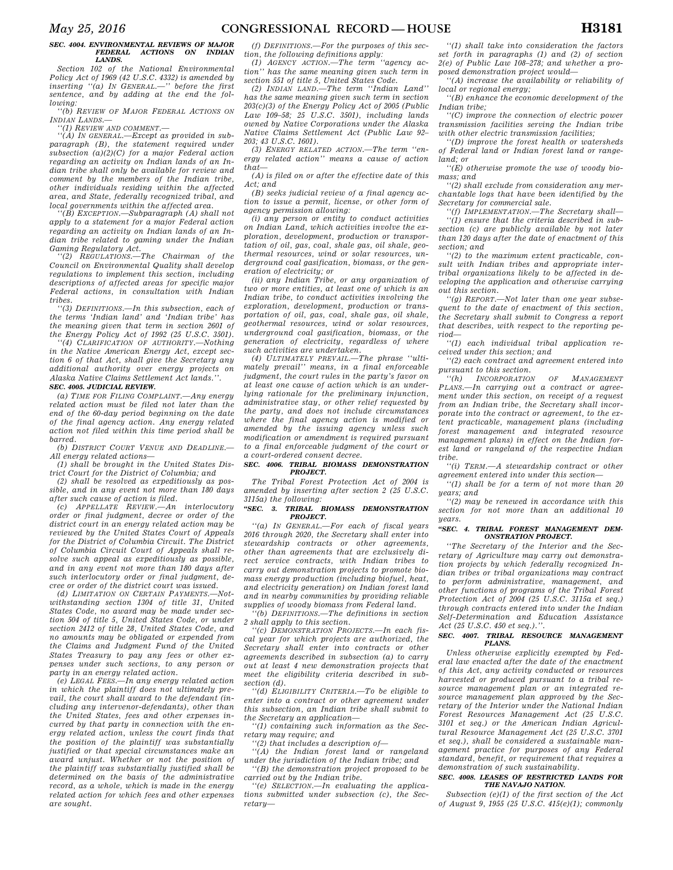## *SEC. 4004. ENVIRONMENTAL REVIEWS OF MAJOR ACTIONS ON INDIAN LANDS.*

*Section 102 of the National Environmental Policy Act of 1969 (42 U.S.C. 4332) is amended by inserting ''(a) IN GENERAL.—'' before the first sentence, and by adding at the end the following:* 

*''(b) REVIEW OF MAJOR FEDERAL ACTIONS ON INDIAN LANDS.—* 

*''(1) REVIEW AND COMMENT.—* 

*''(A) IN GENERAL.—Except as provided in subparagraph (B), the statement required under subsection (a)(2)(C) for a major Federal action regarding an activity on Indian lands of an Indian tribe shall only be available for review and comment by the members of the Indian tribe, other individuals residing within the affected area, and State, federally recognized tribal, and local governments within the affected area.* 

*''(B) EXCEPTION.—Subparagraph (A) shall not apply to a statement for a major Federal action regarding an activity on Indian lands of an Indian tribe related to gaming under the Indian Gaming Regulatory Act.* 

*''(2) REGULATIONS.—The Chairman of the Council on Environmental Quality shall develop regulations to implement this section, including descriptions of affected areas for specific major Federal actions, in consultation with Indian tribes.* 

*''(3) DEFINITIONS.—In this subsection, each of the terms 'Indian land' and 'Indian tribe' has the meaning given that term in section 2601 of the Energy Policy Act of 1992 (25 U.S.C. 3501). ''(4) CLARIFICATION OF AUTHORITY.—Nothing* 

*in the Native American Energy Act, except section 6 of that Act, shall give the Secretary any additional authority over energy projects on Alaska Native Claims Settlement Act lands.''.* 

#### *SEC. 4005. JUDICIAL REVIEW. (a) TIME FOR FILING COMPLAINT.—Any energy*

*related action must be filed not later than the end of the 60-day period beginning on the date of the final agency action. Any energy related action not filed within this time period shall be barred.* 

*(b) DISTRICT COURT VENUE AND DEADLINE.— All energy related actions—* 

*(1) shall be brought in the United States District Court for the District of Columbia; and* 

*(2) shall be resolved as expeditiously as possible, and in any event not more than 180 days after such cause of action is filed.* 

*(c) APPELLATE REVIEW.—An interlocutory order or final judgment, decree or order of the district court in an energy related action may be reviewed by the United States Court of Appeals for the District of Columbia Circuit. The District of Columbia Circuit Court of Appeals shall resolve such appeal as expeditiously as possible, and in any event not more than 180 days after such interlocutory order or final judgment, decree or order of the district court was issued.* 

*(d) LIMITATION ON CERTAIN PAYMENTS.—Notwithstanding section 1304 of title 31, United States Code, no award may be made under section 504 of title 5, United States Code, or under section 2412 of title 28, United States Code, and no amounts may be obligated or expended from the Claims and Judgment Fund of the United States Treasury to pay any fees or other expenses under such sections, to any person or party in an energy related action.* 

*(e) LEGAL FEES.—In any energy related action in which the plaintiff does not ultimately prevail, the court shall award to the defendant (including any intervenor-defendants), other than the United States, fees and other expenses incurred by that party in connection with the energy related action, unless the court finds that the position of the plaintiff was substantially justified or that special circumstances make an award unjust. Whether or not the position of the plaintiff was substantially justified shall be determined on the basis of the administrative record, as a whole, which is made in the energy related action for which fees and other expenses are sought.* 

*(f) DEFINITIONS.—For the purposes of this section, the following definitions apply: (1) AGENCY ACTION.—The term ''agency ac-*

*tion'' has the same meaning given such term in section 551 of title 5, United States Code.* 

*(2) INDIAN LAND.—The term ''Indian Land'' has the same meaning given such term in section 203(c)(3) of the Energy Policy Act of 2005 (Public Law 109–58; 25 U.S.C. 3501), including lands owned by Native Corporations under the Alaska Native Claims Settlement Act (Public Law 92– 203; 43 U.S.C. 1601).* 

*(3) ENERGY RELATED ACTION.—The term ''energy related action'' means a cause of action that—* 

*(A) is filed on or after the effective date of this Act; and (B) seeks judicial review of a final agency ac-*

*tion to issue a permit, license, or other form of agency permission allowing:* 

*(i) any person or entity to conduct activities on Indian Land, which activities involve the exploration, development, production or transportation of oil, gas, coal, shale gas, oil shale, geothermal resources, wind or solar resources, underground coal gasification, biomass, or the generation of electricity; or* 

*(ii) any Indian Tribe, or any organization of two or more entities, at least one of which is an Indian tribe, to conduct activities involving the exploration, development, production or transportation of oil, gas, coal, shale gas, oil shale, geothermal resources, wind or solar resources, underground coal gasification, biomass, or the generation of electricity, regardless of where such activities are undertaken.* 

*(4) ULTIMATELY PREVAIL.—The phrase ''ultimately prevail'' means, in a final enforceable judgment, the court rules in the party's favor on at least one cause of action which is an underlying rationale for the preliminary injunction, administrative stay, or other relief requested by the party, and does not include circumstances where the final agency action is modified or amended by the issuing agency unless such modification or amendment is required pursuant to a final enforceable judgment of the court or a court-ordered consent decree.* 

## *SEC. 4006. TRIBAL BIOMASS DEMONSTRATION PROJECT.*

*The Tribal Forest Protection Act of 2004 is amended by inserting after section 2 (25 U.S.C. 3115a) the following:* 

#### *''SEC. 3. TRIBAL BIOMASS DEMONSTRATION PROJECT.*

*''(a) IN GENERAL.—For each of fiscal years 2016 through 2020, the Secretary shall enter into stewardship contracts or other agreements, other than agreements that are exclusively direct service contracts, with Indian tribes to carry out demonstration projects to promote biomass energy production (including biofuel, heat, and electricity generation) on Indian forest land and in nearby communities by providing reliable supplies of woody biomass from Federal land.* 

*''(b) DEFINITIONS.—The definitions in section 2 shall apply to this section.* 

*''(c) DEMONSTRATION PROJECTS.—In each fiscal year for which projects are authorized, the Secretary shall enter into contracts or other agreements described in subsection (a) to carry out at least 4 new demonstration projects that meet the eligibility criteria described in subsection (d).* 

*''(d) ELIGIBILITY CRITERIA.—To be eligible to enter into a contract or other agreement under this subsection, an Indian tribe shall submit to the Secretary an application—* 

*''(1) containing such information as the Secretary may require; and* 

*''(2) that includes a description of—* 

*''(A) the Indian forest land or rangeland under the jurisdiction of the Indian tribe; and ''(B) the demonstration project proposed to be* 

*carried out by the Indian tribe.* 

*''(e) SELECTION.—In evaluating the applications submitted under subsection (c), the Secretary—* 

*''(1) shall take into consideration the factors set forth in paragraphs (1) and (2) of section 2(e) of Public Law 108–278; and whether a proposed demonstration project would—* 

*''(A) increase the availability or reliability of local or regional energy;* 

*''(B) enhance the economic development of the Indian tribe;* 

*''(C) improve the connection of electric power transmission facilities serving the Indian tribe with other electric transmission facilities;* 

*''(D) improve the forest health or watersheds of Federal land or Indian forest land or rangeland; or* 

*''(E) otherwise promote the use of woody biomass; and* 

*''(2) shall exclude from consideration any merchantable logs that have been identified by the Secretary for commercial sale.* 

*''(f) IMPLEMENTATION.—The Secretary shall— ''(1) ensure that the criteria described in sub-*

*section (c) are publicly available by not later than 120 days after the date of enactment of this section; and* 

*''(2) to the maximum extent practicable, consult with Indian tribes and appropriate intertribal organizations likely to be affected in developing the application and otherwise carrying out this section.* 

*''(g) REPORT.—Not later than one year subsequent to the date of enactment of this section, the Secretary shall submit to Congress a report that describes, with respect to the reporting period—* 

*''(1) each individual tribal application received under this section; and* 

*''(2) each contract and agreement entered into pursuant to this section.* 

*''(h) INCORPORATION OF MANAGEMENT PLANS.—In carrying out a contract or agreement under this section, on receipt of a request from an Indian tribe, the Secretary shall incorporate into the contract or agreement, to the extent practicable, management plans (including forest management and integrated resource management plans) in effect on the Indian forest land or rangeland of the respective Indian tribe.* 

*''(i) TERM.—A stewardship contract or other agreement entered into under this section—* 

*''(1) shall be for a term of not more than 20 years; and* 

*''(2) may be renewed in accordance with this section for not more than an additional 10 years.* 

#### *''SEC. 4. TRIBAL FOREST MANAGEMENT DEM-ONSTRATION PROJECT.*

*''The Secretary of the Interior and the Secretary of Agriculture may carry out demonstration projects by which federally recognized Indian tribes or tribal organizations may contract to perform administrative, management, and other functions of programs of the Tribal Forest Protection Act of 2004 (25 U.S.C. 3115a et seq.) through contracts entered into under the Indian Self-Determination and Education Assistance Act (25 U.S.C. 450 et seq.).''.* 

## *SEC. 4007. TRIBAL RESOURCE MANAGEMENT PLANS.*

*Unless otherwise explicitly exempted by Federal law enacted after the date of the enactment of this Act, any activity conducted or resources harvested or produced pursuant to a tribal resource management plan or an integrated resource management plan approved by the Secretary of the Interior under the National Indian Forest Resources Management Act (25 U.S.C. 3101 et seq.) or the American Indian Agricultural Resource Management Act (25 U.S.C. 3701 et seq.), shall be considered a sustainable management practice for purposes of any Federal standard, benefit, or requirement that requires a demonstration of such sustainability.* 

## *SEC. 4008. LEASES OF RESTRICTED LANDS FOR THE NAVAJO NATION.*

*Subsection (e)(1) of the first section of the Act of August 9, 1955 (25 U.S.C. 415(e)(1); commonly*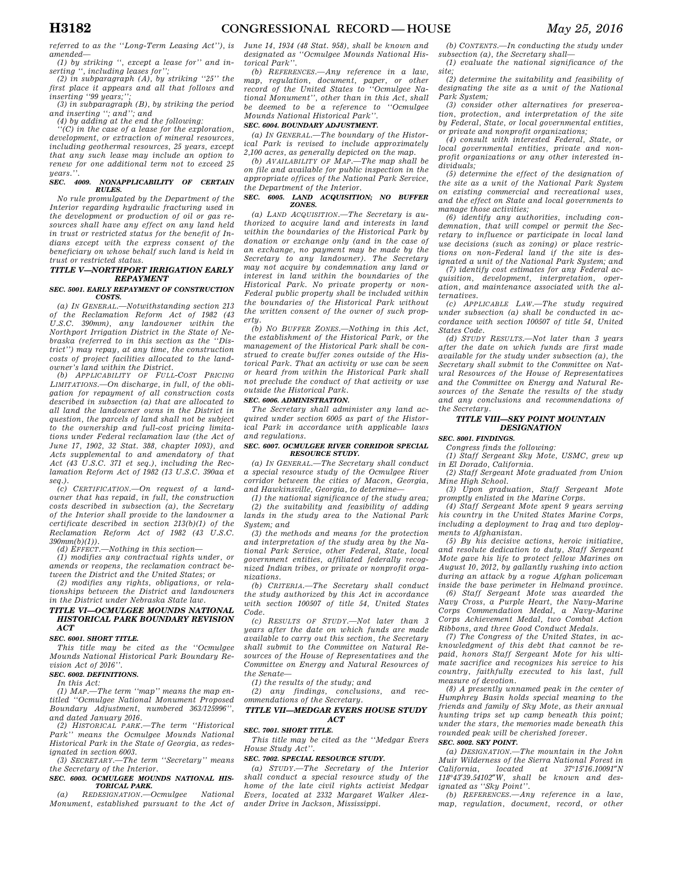*referred to as the ''Long-Term Leasing Act''), is amended—* 

*(1) by striking '', except a lease for'' and inserting '', including leases for''; (2) in subparagraph (A), by striking ''25'' the* 

*first place it appears and all that follows and inserting ''99 years;'';* 

*(3) in subparagraph (B), by striking the period and inserting ''; and''; and (4) by adding at the end the following:* 

*''(C) in the case of a lease for the exploration, development, or extraction of mineral resources, including geothermal resources, 25 years, except that any such lease may include an option to renew for one additional term not to exceed 25 years.''.* 

#### *SEC. 4009. NONAPPLICABILITY OF CERTAIN RULES.*

*No rule promulgated by the Department of the Interior regarding hydraulic fracturing used in the development or production of oil or gas resources shall have any effect on any land held in trust or restricted status for the benefit of Indians except with the express consent of the beneficiary on whose behalf such land is held in trust or restricted status.* 

## *TITLE V—NORTHPORT IRRIGATION EARLY REPAYMENT*

#### *SEC. 5001. EARLY REPAYMENT OF CONSTRUCTION COSTS.*

*(a) IN GENERAL.—Notwithstanding section 213 of the Reclamation Reform Act of 1982 (43 U.S.C. 390mm), any landowner within the Northport Irrigation District in the State of Nebraska (referred to in this section as the ''District'') may repay, at any time, the construction costs of project facilities allocated to the landowner's land within the District.* 

*(b) APPLICABILITY OF FULL-COST PRICING LIMITATIONS.—On discharge, in full, of the obligation for repayment of all construction costs described in subsection (a) that are allocated to all land the landowner owns in the District in question, the parcels of land shall not be subject to the ownership and full-cost pricing limitations under Federal reclamation law (the Act of June 17, 1902, 32 Stat. 388, chapter 1093), and Acts supplemental to and amendatory of that Act (43 U.S.C. 371 et seq.), including the Reclamation Reform Act of 1982 (13 U.S.C. 390aa et seq.).* 

*(c) CERTIFICATION.—On request of a landowner that has repaid, in full, the construction costs described in subsection (a), the Secretary of the Interior shall provide to the landowner a certificate described in section 213(b)(1) of the Reclamation Reform Act of 1982 (43 U.S.C. 390mm(b)(1)).* 

*(d) EFFECT.—Nothing in this section—* 

*(1) modifies any contractual rights under, or amends or reopens, the reclamation contract between the District and the United States; or* 

*(2) modifies any rights, obligations, or relationships between the District and landowners in the District under Nebraska State law.* 

## *TITLE VI—OCMULGEE MOUNDS NATIONAL HISTORICAL PARK BOUNDARY REVISION ACT*

#### *SEC. 6001. SHORT TITLE.*

*This title may be cited as the ''Ocmulgee Mounds National Historical Park Boundary Revision Act of 2016''.* 

## *SEC. 6002. DEFINITIONS.*

*In this Act: (1) MAP.—The term ''map'' means the map entitled ''Ocmulgee National Monument Proposed Boundary Adjustment, numbered 363/125996'', and dated January 2016.* 

*(2) HISTORICAL PARK.—The term ''Historical Park'' means the Ocmulgee Mounds National Historical Park in the State of Georgia, as redesignated in section 6003.* 

*(3) SECRETARY.—The term ''Secretary'' means the Secretary of the Interior.* 

## *SEC. 6003. OCMULGEE MOUNDS NATIONAL HIS-TORICAL PARK.*

*(a) REDESIGNATION.—Ocmulgee National Monument, established pursuant to the Act of*  *June 14, 1934 (48 Stat. 958), shall be known and designated as ''Ocmulgee Mounds National Historical Park''.* 

*(b) REFERENCES.—Any reference in a law, map, regulation, document, paper, or other record of the United States to ''Ocmulgee National Monument'', other than in this Act, shall be deemed to be a reference to ''Ocmulgee Mounds National Historical Park''.* 

## *SEC. 6004. BOUNDARY ADJUSTMENT.*

*(a) IN GENERAL.—The boundary of the Historical Park is revised to include approximately 2,100 acres, as generally depicted on the map.* 

*(b) AVAILABILITY OF MAP.—The map shall be on file and available for public inspection in the appropriate offices of the National Park Service, the Department of the Interior.* 

#### *SEC. 6005. LAND ACQUISITION; NO BUFFER ZONES.*

*(a) LAND ACQUISITION.—The Secretary is authorized to acquire land and interests in land within the boundaries of the Historical Park by donation or exchange only (and in the case of an exchange, no payment may be made by the Secretary to any landowner). The Secretary may not acquire by condemnation any land or interest in land within the boundaries of the Historical Park. No private property or non-Federal public property shall be included within the boundaries of the Historical Park without the written consent of the owner of such property.* 

*(b) NO BUFFER ZONES.—Nothing in this Act, the establishment of the Historical Park, or the management of the Historical Park shall be construed to create buffer zones outside of the Historical Park. That an activity or use can be seen or heard from within the Historical Park shall not preclude the conduct of that activity or use outside the Historical Park.* 

## *SEC. 6006. ADMINISTRATION.*

*The Secretary shall administer any land acquired under section 6005 as part of the Historical Park in accordance with applicable laws and regulations.* 

## *SEC. 6007. OCMULGEE RIVER CORRIDOR SPECIAL RESOURCE STUDY.*

*(a) IN GENERAL.—The Secretary shall conduct a special resource study of the Ocmulgee River corridor between the cities of Macon, Georgia, and Hawkinsville, Georgia, to determine—* 

*(1) the national significance of the study area; (2) the suitability and feasibility of adding lands in the study area to the National Park System; and* 

*(3) the methods and means for the protection and interpretation of the study area by the National Park Service, other Federal, State, local government entities, affiliated federally recognized Indian tribes, or private or nonprofit organizations.* 

*(b) CRITERIA.—The Secretary shall conduct the study authorized by this Act in accordance with section 100507 of title 54, United States Code.* 

*(c) RESULTS OF STUDY.—Not later than 3 years after the date on which funds are made available to carry out this section, the Secretary shall submit to the Committee on Natural Resources of the House of Representatives and the Committee on Energy and Natural Resources of the Senate—* 

*(1) the results of the study; and* 

*(2) any findings, conclusions, and recommendations of the Secretary.* 

#### *TITLE VII—MEDGAR EVERS HOUSE STUDY ACT*

## *SEC. 7001. SHORT TITLE.*

*This title may be cited as the ''Medgar Evers House Study Act''.* 

## *SEC. 7002. SPECIAL RESOURCE STUDY.*

*(a) STUDY.—The Secretary of the Interior shall conduct a special resource study of the home of the late civil rights activist Medgar Evers, located at 2332 Margaret Walker Alexander Drive in Jackson, Mississippi.* 

*(b) CONTENTS.—In conducting the study under subsection (a), the Secretary shall— (1) evaluate the national significance of the* 

*site; (2) determine the suitability and feasibility of designating the site as a unit of the National* 

*Park System; (3) consider other alternatives for preservation, protection, and interpretation of the site by Federal, State, or local governmental entities, or private and nonprofit organizations;* 

*(4) consult with interested Federal, State, or local governmental entities, private and nonprofit organizations or any other interested individuals;* 

*(5) determine the effect of the designation of the site as a unit of the National Park System on existing commercial and recreational uses, and the effect on State and local governments to manage those activities;* 

*(6) identify any authorities, including condemnation, that will compel or permit the Secretary to influence or participate in local land use decisions (such as zoning) or place restrictions on non-Federal land if the site is designated a unit of the National Park System; and* 

*(7) identify cost estimates for any Federal acquisition, development, interpretation, operation, and maintenance associated with the alternatives.* 

*(c) APPLICABLE LAW.—The study required under subsection (a) shall be conducted in accordance with section 100507 of title 54, United States Code.* 

*(d) STUDY RESULTS.—Not later than 3 years after the date on which funds are first made available for the study under subsection (a), the Secretary shall submit to the Committee on Natural Resources of the House of Representatives and the Committee on Energy and Natural Resources of the Senate the results of the study and any conclusions and recommendations of the Secretary.* 

## *TITLE VIII—SKY POINT MOUNTAIN DESIGNATION*

*SEC. 8001. FINDINGS.* 

*Congress finds the following:* 

*(1) Staff Sergeant Sky Mote, USMC, grew up in El Dorado, California.* 

*(2) Staff Sergeant Mote graduated from Union Mine High School.* 

*(3) Upon graduation, Staff Sergeant Mote promptly enlisted in the Marine Corps.* 

*(4) Staff Sergeant Mote spent 9 years serving his country in the United States Marine Corps, including a deployment to Iraq and two deployments to Afghanistan.* 

*(5) By his decisive actions, heroic initiative, and resolute dedication to duty, Staff Sergeant Mote gave his life to protect fellow Marines on August 10, 2012, by gallantly rushing into action during an attack by a rogue Afghan policeman inside the base perimeter in Helmand province.* 

*(6) Staff Sergeant Mote was awarded the Navy Cross, a Purple Heart, the Navy-Marine Corps Commendation Medal, a Navy-Marine Corps Achievement Medal, two Combat Action Ribbons, and three Good Conduct Medals.* 

*(7) The Congress of the United States, in acknowledgment of this debt that cannot be repaid, honors Staff Sergeant Mote for his ultimate sacrifice and recognizes his service to his country, faithfully executed to his last, full measure of devotion.* 

*(8) A presently unnamed peak in the center of Humphrey Basin holds special meaning to the friends and family of Sky Mote, as their annual hunting trips set up camp beneath this point; under the stars, the memories made beneath this rounded peak will be cherished forever.* 

# *SEC. 8002. SKY POINT.*

*(a) DESIGNATION.—The mountain in the John Muir Wilderness of the Sierra National Forest in California, located at 37*°*15*′*16.10091*″*N 118*°*43*′*39.54102*″*W, shall be known and designated as ''Sky Point''.* 

*(b) REFERENCES.—Any reference in a law, map, regulation, document, record, or other*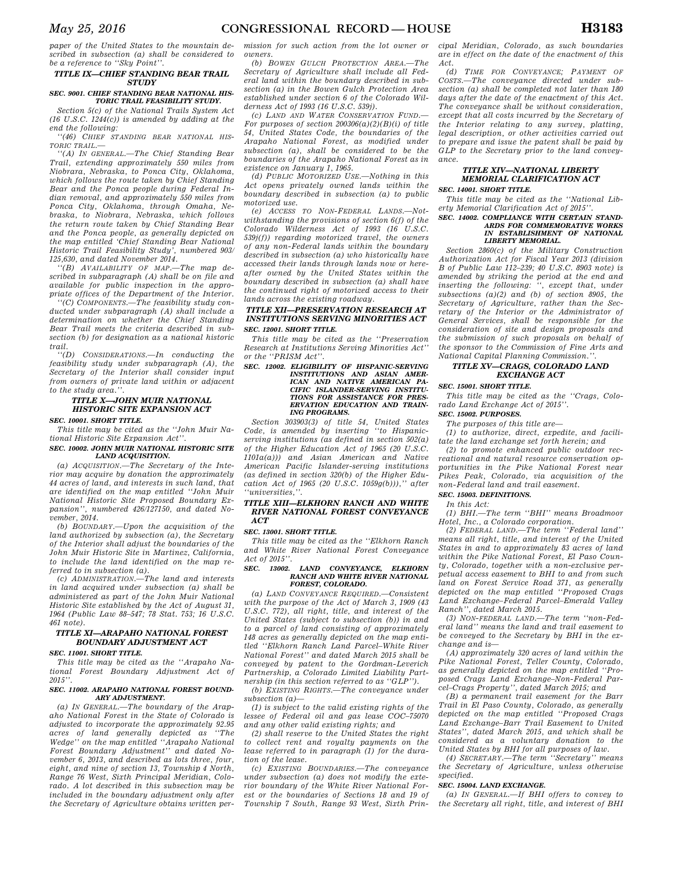*paper of the United States to the mountain described in subsection (a) shall be considered to be a reference to ''Sky Point''.* 

## *TITLE IX—CHIEF STANDING BEAR TRAIL STUDY*

#### *SEC. 9001. CHIEF STANDING BEAR NATIONAL HIS-TORIC TRAIL FEASIBILITY STUDY.*

*Section 5(c) of the National Trails System Act (16 U.S.C. 1244(c)) is amended by adding at the end the following:* 

*''(46) CHIEF STANDING BEAR NATIONAL HIS-TORIC TRAIL.—* 

*''(A) IN GENERAL.—The Chief Standing Bear Trail, extending approximately 550 miles from Niobrara, Nebraska, to Ponca City, Oklahoma, which follows the route taken by Chief Standing Bear and the Ponca people during Federal Indian removal, and approximately 550 miles from Ponca City, Oklahoma, through Omaha, Nebraska, to Niobrara, Nebraska, which follows the return route taken by Chief Standing Bear and the Ponca people, as generally depicted on the map entitled 'Chief Standing Bear National Historic Trail Feasibility Study', numbered 903/ 125,630, and dated November 2014.* 

*''(B) AVAILABILITY OF MAP.—The map described in subparagraph (A) shall be on file and available for public inspection in the appropriate offices of the Department of the Interior.* 

*''(C) COMPONENTS.—The feasibility study conducted under subparagraph (A) shall include a determination on whether the Chief Standing Bear Trail meets the criteria described in subsection (b) for designation as a national historic trail.* 

*''(D) CONSIDERATIONS.—In conducting the feasibility study under subparagraph (A), the Secretary of the Interior shall consider input from owners of private land within or adjacent to the study area.''.* 

# *TITLE X—JOHN MUIR NATIONAL HISTORIC SITE EXPANSION ACT*

*SEC. 10001. SHORT TITLE.* 

*This title may be cited as the ''John Muir National Historic Site Expansion Act''.* 

*SEC. 10002. JOHN MUIR NATIONAL HISTORIC SITE LAND ACQUISITION.* 

*(a) ACQUISITION.—The Secretary of the Interior may acquire by donation the approximately 44 acres of land, and interests in such land, that are identified on the map entitled ''John Muir National Historic Site Proposed Boundary Expansion'', numbered 426/127150, and dated November, 2014.* 

*(b) BOUNDARY.—Upon the acquisition of the land authorized by subsection (a), the Secretary of the Interior shall adjust the boundaries of the John Muir Historic Site in Martinez, California, to include the land identified on the map referred to in subsection (a).* 

*(c) ADMINISTRATION.—The land and interests in land acquired under subsection (a) shall be administered as part of the John Muir National Historic Site established by the Act of August 31, 1964 (Public Law 88–547; 78 Stat. 753; 16 U.S.C. 461 note).* 

# *TITLE XI—ARAPAHO NATIONAL FOREST BOUNDARY ADJUSTMENT ACT*

*SEC. 11001. SHORT TITLE.* 

*This title may be cited as the ''Arapaho National Forest Boundary Adjustment Act of 2015''.* 

#### *SEC. 11002. ARAPAHO NATIONAL FOREST BOUND-ARY ADJUSTMENT.*

*(a) IN GENERAL.—The boundary of the Arapaho National Forest in the State of Colorado is adjusted to incorporate the approximately 92.95 acres of land generally depicted as ''The Wedge'' on the map entitled ''Arapaho National Forest Boundary Adjustment'' and dated November 6, 2013, and described as lots three, four, eight, and nine of section 13, Township 4 North, Range 76 West, Sixth Principal Meridian, Colorado. A lot described in this subsection may be included in the boundary adjustment only after the Secretary of Agriculture obtains written per-* *mission for such action from the lot owner or owners.* 

*(b) BOWEN GULCH PROTECTION AREA.—The Secretary of Agriculture shall include all Federal land within the boundary described in subsection (a) in the Bowen Gulch Protection Area established under section 6 of the Colorado Wilderness Act of 1993 (16 U.S.C. 539j).* 

 $(C)$  LAND AND WATER CONSERVATION FUND. *For purposes of section 200306(a)(2)(B)(i) of title 54, United States Code, the boundaries of the Arapaho National Forest, as modified under subsection (a), shall be considered to be the boundaries of the Arapaho National Forest as in existence on January 1, 1965.* 

*(d) PUBLIC MOTORIZED USE.—Nothing in this Act opens privately owned lands within the boundary described in subsection (a) to public motorized use.* 

*(e) ACCESS TO NON-FEDERAL LANDS.—Notwithstanding the provisions of section 6(f) of the Colorado Wilderness Act of 1993 (16 U.S.C. 539j(f)) regarding motorized travel, the owners of any non-Federal lands within the boundary described in subsection (a) who historically have accessed their lands through lands now or hereafter owned by the United States within the boundary described in subsection (a) shall have the continued right of motorized access to their lands across the existing roadway.* 

## *TITLE XII—PRESERVATION RESEARCH AT INSTITUTIONS SERVING MINORITIES ACT SEC. 12001. SHORT TITLE.*

*This title may be cited as the ''Preservation Research at Institutions Serving Minorities Act'' or the ''PRISM Act''.* 

*SEC. 12002. ELIGIBILITY OF HISPANIC-SERVING INSTITUTIONS AND ASIAN AMER-ICAN AND NATIVE AMERICAN PA-CIFIC ISLANDER-SERVING INSTITU-TIONS FOR ASSISTANCE FOR PRES-ERVATION EDUCATION AND TRAIN-ING PROGRAMS.* 

*Section 303903(3) of title 54, United States Code, is amended by inserting ''to Hispanicserving institutions (as defined in section 502(a) of the Higher Education Act of 1965 (20 U.S.C. 1101a(a))) and Asian American and Native American Pacific Islander-serving institutions (as defined in section 320(b) of the Higher Education Act of 1965 (20 U.S.C. 1059g(b))),'' after ''universities,''.* 

#### *TITLE XIII—ELKHORN RANCH AND WHITE RIVER NATIONAL FOREST CONVEYANCE ACT*

#### *SEC. 13001. SHORT TITLE.*

*This title may be cited as the ''Elkhorn Ranch and White River National Forest Conveyance Act of 2015''.* 

#### *SEC. 13002. LAND CONVEYANCE, ELKHORN RANCH AND WHITE RIVER NATIONAL FOREST, COLORADO.*

*(a) LAND CONVEYANCE REQUIRED.—Consistent with the purpose of the Act of March 3, 1909 (43 U.S.C. 772), all right, title, and interest of the United States (subject to subsection (b)) in and to a parcel of land consisting of approximately 148 acres as generally depicted on the map entitled ''Elkhorn Ranch Land Parcel–White River National Forest'' and dated March 2015 shall be conveyed by patent to the Gordman-Leverich Partnership, a Colorado Limited Liability Partnership (in this section referred to as ''GLP'').* 

*(b) EXISTING RIGHTS.—The conveyance under subsection (a)—* 

*(1) is subject to the valid existing rights of the lessee of Federal oil and gas lease COC–75070 and any other valid existing rights; and* 

*(2) shall reserve to the United States the right to collect rent and royalty payments on the lease referred to in paragraph (1) for the duration of the lease.* 

*(c) EXISTING BOUNDARIES.—The conveyance under subsection (a) does not modify the exterior boundary of the White River National Forest or the boundaries of Sections 18 and 19 of Township 7 South, Range 93 West, Sixth Prin-* *cipal Meridian, Colorado, as such boundaries are in effect on the date of the enactment of this Act.* 

*(d) TIME FOR CONVEYANCE; PAYMENT OF COSTS.—The conveyance directed under subsection (a) shall be completed not later than 180 days after the date of the enactment of this Act. The conveyance shall be without consideration, except that all costs incurred by the Secretary of the Interior relating to any survey, platting, legal description, or other activities carried out to prepare and issue the patent shall be paid by GLP to the Secretary prior to the land conveyance.* 

# *TITLE XIV—NATIONAL LIBERTY MEMORIAL CLARIFICATION ACT*

*SEC. 14001. SHORT TITLE.* 

*This title may be cited as the ''National Liberty Memorial Clarification Act of 2015''.* 

#### *SEC. 14002. COMPLIANCE WITH CERTAIN STAND-ARDS FOR COMMEMORATIVE WORKS IN ESTABLISHMENT OF NATIONAL LIBERTY MEMORIAL.*

*Section 2860(c) of the Military Construction Authorization Act for Fiscal Year 2013 (division B of Public Law 112–239; 40 U.S.C. 8903 note) is amended by striking the period at the end and inserting the following: '', except that, under subsections (a)(2) and (b) of section 8905, the Secretary of Agriculture, rather than the Secretary of the Interior or the Administrator of General Services, shall be responsible for the consideration of site and design proposals and the submission of such proposals on behalf of the sponsor to the Commission of Fine Arts and National Capital Planning Commission.''.* 

## *TITLE XV—CRAGS, COLORADO LAND EXCHANGE ACT*

## *SEC. 15001. SHORT TITLE.*

*This title may be cited as the ''Crags, Colorado Land Exchange Act of 2015''.* 

*SEC. 15002. PURPOSES.* 

*The purposes of this title are—* 

*(1) to authorize, direct, expedite, and facilitate the land exchange set forth herein; and* 

*(2) to promote enhanced public outdoor recreational and natural resource conservation opportunities in the Pike National Forest near Pikes Peak, Colorado, via acquisition of the non-Federal land and trail easement.* 

# *SEC. 15003. DEFINITIONS.*

*In this Act:* 

*(1) BHI.—The term ''BHI'' means Broadmoor Hotel, Inc., a Colorado corporation.* 

*(2) FEDERAL LAND.—The term ''Federal land'' means all right, title, and interest of the United States in and to approximately 83 acres of land within the Pike National Forest, El Paso County, Colorado, together with a non-exclusive perpetual access easement to BHI to and from such land on Forest Service Road 371, as generally depicted on the map entitled ''Proposed Crags Land Exchange–Federal Parcel–Emerald Valley Ranch'', dated March 2015.* 

*(3) NON-FEDERAL LAND.—The term ''non-Federal land'' means the land and trail easement to be conveyed to the Secretary by BHI in the exchange and is—* 

*(A) approximately 320 acres of land within the Pike National Forest, Teller County, Colorado, as generally depicted on the map entitled ''Proposed Crags Land Exchange–Non-Federal Parcel–Crags Property'', dated March 2015; and* 

*(B) a permanent trail easement for the Barr Trail in El Paso County, Colorado, as generally depicted on the map entitled ''Proposed Crags Land Exchange–Barr Trail Easement to United States'', dated March 2015, and which shall be considered as a voluntary donation to the* 

*United States by BHI for all purposes of law. (4) SECRETARY.—The term ''Secretary'' means the Secretary of Agriculture, unless otherwise specified.* 

## *SEC. 15004. LAND EXCHANGE.*

*(a) IN GENERAL.—If BHI offers to convey to the Secretary all right, title, and interest of BHI*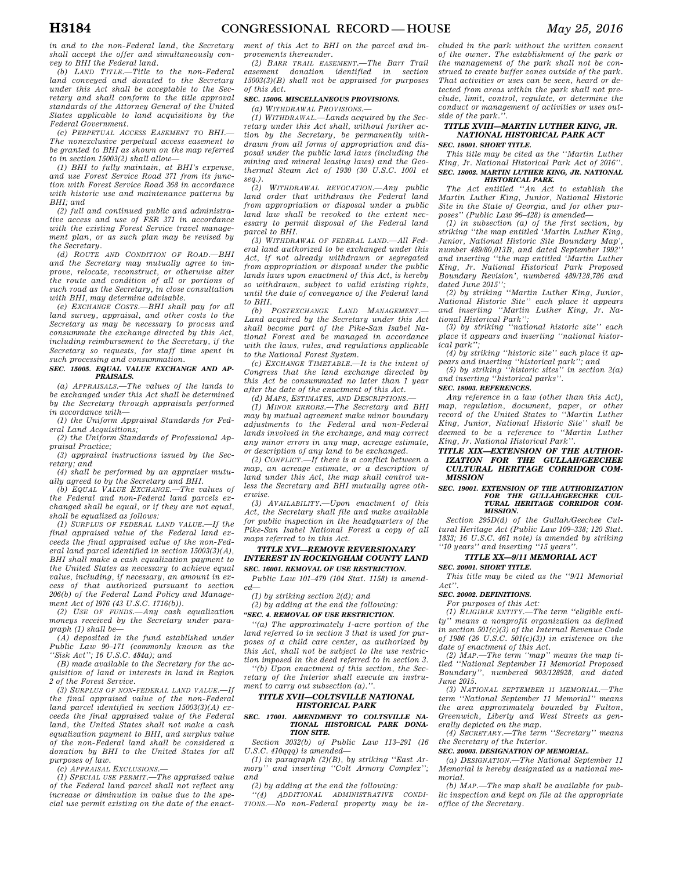*in and to the non-Federal land, the Secretary shall accept the offer and simultaneously convey to BHI the Federal land.* 

*(b) LAND TITLE.—Title to the non-Federal land conveyed and donated to the Secretary under this Act shall be acceptable to the Secretary and shall conform to the title approval standards of the Attorney General of the United States applicable to land acquisitions by the Federal Government.* 

*(c) PERPETUAL ACCESS EASEMENT TO BHI.— The nonexclusive perpetual access easement to be granted to BHI as shown on the map referred to in section 15003(2) shall allow—* 

*(1) BHI to fully maintain, at BHI's expense, and use Forest Service Road 371 from its junction with Forest Service Road 368 in accordance with historic use and maintenance patterns by BHI; and* 

*(2) full and continued public and administrative access and use of FSR 371 in accordance with the existing Forest Service travel management plan, or as such plan may be revised by the Secretary.* 

*(d) ROUTE AND CONDITION OF ROAD.—BHI and the Secretary may mutually agree to improve, relocate, reconstruct, or otherwise alter the route and condition of all or portions of such road as the Secretary, in close consultation with BHI, may determine advisable.* 

*(e) EXCHANGE COSTS.—BHI shall pay for all land survey, appraisal, and other costs to the Secretary as may be necessary to process and consummate the exchange directed by this Act, including reimbursement to the Secretary, if the Secretary so requests, for staff time spent in such processing and consummation.* 

#### *SEC. 15005. EQUAL VALUE EXCHANGE AND AP-PRAISALS.*

*(a) APPRAISALS.—The values of the lands to be exchanged under this Act shall be determined by the Secretary through appraisals performed in accordance with—* 

*(1) the Uniform Appraisal Standards for Federal Land Acquisitions;* 

*(2) the Uniform Standards of Professional Appraisal Practice;* 

*(3) appraisal instructions issued by the Secretary; and* 

*(4) shall be performed by an appraiser mutually agreed to by the Secretary and BHI.* 

*(b) EQUAL VALUE EXCHANGE.—The values of the Federal and non-Federal land parcels exchanged shall be equal, or if they are not equal, shall be equalized as follows:* 

*(1) SURPLUS OF FEDERAL LAND VALUE.—If the final appraised value of the Federal land exceeds the final appraised value of the non-Federal land parcel identified in section 15003(3)(A), BHI shall make a cash equalization payment to the United States as necessary to achieve equal value, including, if necessary, an amount in excess of that authorized pursuant to section 206(b) of the Federal Land Policy and Management Act of l976 (43 U.S.C. 1716(b)).* 

*(2) USE OF FUNDS.—Any cash equalization moneys received by the Secretary under paragraph (1) shall be—* 

*(A) deposited in the fund established under Public Law 90–171 (commonly known as the ''Sisk Act''; 16 U.S.C. 484a); and* 

*(B) made available to the Secretary for the acquisition of land or interests in land in Region 2 of the Forest Service.* 

*(3) SURPLUS OF NON-FEDERAL LAND VALUE.—If the final appraised value of the non-Federal land parcel identified in section 15003(3)(A) exceeds the final appraised value of the Federal land, the United States shall not make a cash equalization payment to BHI, and surplus value of the non-Federal land shall be considered a donation by BHI to the United States for all purposes of law.* 

*(c) APPRAISAL EXCLUSIONS.—* 

*(1) SPECIAL USE PERMIT.—The appraised value of the Federal land parcel shall not reflect any increase or diminution in value due to the special use permit existing on the date of the enact-*

*ment of this Act to BHI on the parcel and improvements thereunder.* 

*(2) BARR TRAIL EASEMENT.—The Barr Trail easement donation identified in section 15003(3)(B) shall not be appraised for purposes of this Act.* 

## *SEC. 15006. MISCELLANEOUS PROVISIONS.*

*(a) WITHDRAWAL PROVISIONS.—* 

*(1) WITHDRAWAL.—Lands acquired by the Secretary under this Act shall, without further action by the Secretary, be permanently withdrawn from all forms of appropriation and disposal under the public land laws (including the mining and mineral leasing laws) and the Geothermal Steam Act of 1930 (30 U.S.C. 1001 et seq.).* 

*(2) WITHDRAWAL REVOCATION.—Any public land order that withdraws the Federal land from appropriation or disposal under a public land law shall be revoked to the extent necessary to permit disposal of the Federal land parcel to BHI.* 

*(3) WITHDRAWAL OF FEDERAL LAND.—All Federal land authorized to be exchanged under this Act, if not already withdrawn or segregated from appropriation or disposal under the public lands laws upon enactment of this Act, is hereby so withdrawn, subject to valid existing rights, until the date of conveyance of the Federal land to BHI.* 

*(b) POSTEXCHANGE LAND MANAGEMENT.— Land acquired by the Secretary under this Act shall become part of the Pike-San Isabel National Forest and be managed in accordance with the laws, rules, and regulations applicable to the National Forest System.* 

*(c) EXCHANGE TIMETABLE.—It is the intent of Congress that the land exchange directed by this Act be consummated no later than 1 year after the date of the enactment of this Act.* 

*(d) MAPS, ESTIMATES, AND DESCRIPTIONS.—* 

*(1) MINOR ERRORS.—The Secretary and BHI may by mutual agreement make minor boundary adjustments to the Federal and non-Federal lands involved in the exchange, and may correct any minor errors in any map, acreage estimate, or description of any land to be exchanged.* 

*(2) CONFLICT.—If there is a conflict between a map, an acreage estimate, or a description of land under this Act, the map shall control unless the Secretary and BHI mutually agree otherwise.* 

*(3) AVAILABILITY.—Upon enactment of this Act, the Secretary shall file and make available for public inspection in the headquarters of the Pike-San Isabel National Forest a copy of all maps referred to in this Act.* 

## *TITLE XVI—REMOVE REVERSIONARY INTEREST IN ROCKINGHAM COUNTY LAND SEC. 16001. REMOVAL OF USE RESTRICTION.*

*Public Law 101–479 (104 Stat. 1158) is amend-*

*ed—* 

*(1) by striking section 2(d); and* 

*(2) by adding at the end the following: ''SEC. 4. REMOVAL OF USE RESTRICTION.* 

*''(a) The approximately 1-acre portion of the land referred to in section 3 that is used for purposes of a child care center, as authorized by this Act, shall not be subject to the use restriction imposed in the deed referred to in section 3.* 

*''(b) Upon enactment of this section, the Secretary of the Interior shall execute an instrument to carry out subsection (a).''.* 

## *TITLE XVII—COLTSVILLE NATIONAL HISTORICAL PARK*

## *SEC. 17001. AMENDMENT TO COLTSVILLE NA-TIONAL HISTORICAL PARK DONA-TION SITE.*

*Section 3032(b) of Public Law 113–291 (16 U.S.C. 410qqq) is amended—* 

*(1) in paragraph (2)(B), by striking ''East Armory'' and inserting ''Colt Armory Complex''; and* 

*(2) by adding at the end the following:* 

*''(4) ADDITIONAL ADMINISTRATIVE CONDI-TIONS.—No non-Federal property may be in-* *cluded in the park without the written consent of the owner. The establishment of the park or the management of the park shall not be construed to create buffer zones outside of the park. That activities or uses can be seen, heard or detected from areas within the park shall not preclude, limit, control, regulate, or determine the conduct or management of activities or uses outside of the park.''.* 

# *TITLE XVIII—MARTIN LUTHER KING, JR. NATIONAL HISTORICAL PARK ACT*

*SEC. 18001. SHORT TITLE.* 

*This title may be cited as the ''Martin Luther King, Jr. National Historical Park Act of 2016''. SEC. 18002. MARTIN LUTHER KING, JR. NATIONAL HISTORICAL PARK.* 

*The Act entitled ''An Act to establish the Martin Luther King, Junior, National Historic Site in the State of Georgia, and for other purposes'' (Public Law 96–428) is amended—* 

*(1) in subsection (a) of the first section, by striking ''the map entitled 'Martin Luther King, Junior, National Historic Site Boundary Map', number 489/80,013B, and dated September 1992'' and inserting ''the map entitled 'Martin Luther King, Jr. National Historical Park Proposed Boundary Revision', numbered 489/128,786 and dated June 2015'';* 

*(2) by striking ''Martin Luther King, Junior, National Historic Site'' each place it appears and inserting ''Martin Luther King, Jr. National Historical Park'';* 

*(3) by striking ''national historic site'' each place it appears and inserting ''national historical park'';* 

*(4) by striking ''historic site'' each place it appears and inserting ''historical park''; and (5) by striking ''historic sites'' in section 2(a)* 

*and inserting ''historical parks''.* 

*SEC. 18003. REFERENCES.* 

*Any reference in a law (other than this Act), map, regulation, document, paper, or other record of the United States to ''Martin Luther King, Junior, National Historic Site'' shall be deemed to be a reference to ''Martin Luther King, Jr. National Historical Park''.* 

*TITLE XIX—EXTENSION OF THE AUTHOR-IZATION FOR THE GULLAH/GEECHEE CULTURAL HERITAGE CORRIDOR COM-MISSION* 

#### *SEC. 19001. EXTENSION OF THE AUTHORIZATION FOR THE GULLAH/GEECHEE CUL-TURAL HERITAGE CORRIDOR COM-MISSION.*

*Section 295D(d) of the Gullah/Geechee Cultural Heritage Act (Public Law 109–338; 120 Stat. 1833; 16 U.S.C. 461 note) is amended by striking ''10 years'' and inserting ''15 years''.* 

## *TITLE XX—9/11 MEMORIAL ACT*

#### *SEC. 20001. SHORT TITLE.*

*This title may be cited as the ''9/11 Memorial Act''.* 

## *SEC. 20002. DEFINITIONS.*

*For purposes of this Act:* 

*(1) ELIGIBLE ENTITY.—The term ''eligible entity'' means a nonprofit organization as defined in section 501(c)(3) of the Internal Revenue Code of 1986 (26 U.S.C. 501(c)(3)) in existence on the* 

*date of enactment of this Act. (2) MAP.—The term ''map'' means the map titled ''National September 11 Memorial Proposed Boundary'', numbered 903/128928, and dated June 2015.* 

*(3) NATIONAL SEPTEMBER 11 MEMORIAL.—The term ''National September 11 Memorial'' means the area approximately bounded by Fulton, Greenwich, Liberty and West Streets as generally depicted on the map.* 

*(4) SECRETARY.—The term ''Secretary'' means the Secretary of the Interior.* 

#### *SEC. 20003. DESIGNATION OF MEMORIAL.*

*(a) DESIGNATION.—The National September 11 Memorial is hereby designated as a national memorial.* 

*(b) MAP.—The map shall be available for public inspection and kept on file at the appropriate office of the Secretary.*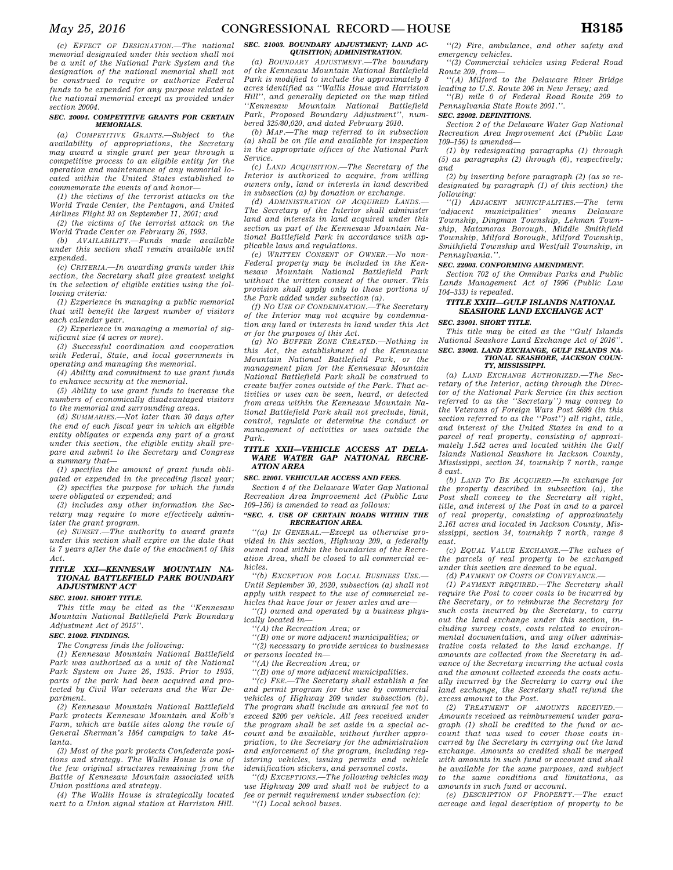*(c) EFFECT OF DESIGNATION.—The national memorial designated under this section shall not be a unit of the National Park System and the designation of the national memorial shall not be construed to require or authorize Federal funds to be expended for any purpose related to the national memorial except as provided under section 20004.* 

#### *SEC. 20004. COMPETITIVE GRANTS FOR CERTAIN MEMORIALS.*

*(a) COMPETITIVE GRANTS.—Subject to the availability of appropriations, the Secretary may award a single grant per year through a competitive process to an eligible entity for the operation and maintenance of any memorial located within the United States established to commemorate the events of and honor—* 

*(1) the victims of the terrorist attacks on the World Trade Center, the Pentagon, and United Airlines Flight 93 on September 11, 2001; and* 

*(2) the victims of the terrorist attack on the World Trade Center on February 26, 1993.* 

*(b) AVAILABILITY.—Funds made available under this section shall remain available until expended.* 

*(c) CRITERIA.—In awarding grants under this section, the Secretary shall give greatest weight in the selection of eligible entities using the following criteria:* 

*(1) Experience in managing a public memorial that will benefit the largest number of visitors each calendar year.* 

*(2) Experience in managing a memorial of significant size (4 acres or more).* 

*(3) Successful coordination and cooperation with Federal, State, and local governments in operating and managing the memorial.* 

*(4) Ability and commitment to use grant funds to enhance security at the memorial.* 

*(5) Ability to use grant funds to increase the numbers of economically disadvantaged visitors to the memorial and surrounding areas.* 

*(d) SUMMARIES.—Not later than 30 days after the end of each fiscal year in which an eligible entity obligates or expends any part of a grant under this section, the eligible entity shall prepare and submit to the Secretary and Congress a summary that—* 

*(1) specifies the amount of grant funds obligated or expended in the preceding fiscal year; (2) specifies the purpose for which the funds* 

*were obligated or expended; and (3) includes any other information the Sec-*

*retary may require to more effectively administer the grant program.* 

*(e) SUNSET.—The authority to award grants under this section shall expire on the date that is 7 years after the date of the enactment of this Act.* 

## *TITLE XXI—KENNESAW MOUNTAIN NA-TIONAL BATTLEFIELD PARK BOUNDARY ADJUSTMENT ACT*

## *SEC. 21001. SHORT TITLE.*

*This title may be cited as the ''Kennesaw Mountain National Battlefield Park Boundary Adjustment Act of 2015''.* 

## *SEC. 21002. FINDINGS.*

*The Congress finds the following:* 

*(1) Kennesaw Mountain National Battlefield Park was authorized as a unit of the National Park System on June 26, 1935. Prior to 1935, parts of the park had been acquired and protected by Civil War veterans and the War Department.* 

*(2) Kennesaw Mountain National Battlefield Park protects Kennesaw Mountain and Kolb's Farm, which are battle sites along the route of General Sherman's 1864 campaign to take Atlanta.* 

*(3) Most of the park protects Confederate positions and strategy. The Wallis House is one of the few original structures remaining from the Battle of Kennesaw Mountain associated with Union positions and strategy.* 

*(4) The Wallis House is strategically located next to a Union signal station at Harriston Hill.* 

## *SEC. 21003. BOUNDARY ADJUSTMENT; LAND AC-QUISITION; ADMINISTRATION.*

*(a) BOUNDARY ADJUSTMENT.—The boundary of the Kennesaw Mountain National Battlefield Park is modified to include the approximately 8 acres identified as ''Wallis House and Harriston Hill'', and generally depicted on the map titled ''Kennesaw Mountain National Battlefield Park, Proposed Boundary Adjustment'', numbered 325/80,020, and dated February 2010.* 

*(b) MAP.—The map referred to in subsection (a) shall be on file and available for inspection in the appropriate offices of the National Park Service.* 

*(c) LAND ACQUISITION.—The Secretary of the Interior is authorized to acquire, from willing owners only, land or interests in land described in subsection (a) by donation or exchange.* 

*(d) ADMINISTRATION OF ACQUIRED LANDS.— The Secretary of the Interior shall administer land and interests in land acquired under this section as part of the Kennesaw Mountain National Battlefield Park in accordance with applicable laws and regulations.* 

*(e) WRITTEN CONSENT OF OWNER.—No non-Federal property may be included in the Kennesaw Mountain National Battlefield Park without the written consent of the owner. This provision shall apply only to those portions of the Park added under subsection (a).* 

*(f) NO USE OF CONDEMNATION.—The Secretary of the Interior may not acquire by condemnation any land or interests in land under this Act or for the purposes of this Act.* 

*(g) NO BUFFER ZONE CREATED.—Nothing in this Act, the establishment of the Kennesaw Mountain National Battlefield Park, or the management plan for the Kennesaw Mountain National Battlefield Park shall be construed to create buffer zones outside of the Park. That activities or uses can be seen, heard, or detected from areas within the Kennesaw Mountain National Battlefield Park shall not preclude, limit, control, regulate or determine the conduct or management of activities or uses outside the Park.* 

## *TITLE XXII—VEHICLE ACCESS AT DELA-WARE WATER GAP NATIONAL RECRE-ATION AREA*

## *SEC. 22001. VEHICULAR ACCESS AND FEES.*

*Section 4 of the Delaware Water Gap National Recreation Area Improvement Act (Public Law 109–156) is amended to read as follows:* 

## *''SEC. 4. USE OF CERTAIN ROADS WITHIN THE RECREATION AREA.*

*''(a) IN GENERAL.—Except as otherwise provided in this section, Highway 209, a federally owned road within the boundaries of the Recreation Area, shall be closed to all commercial vehicles.* 

*''(b) EXCEPTION FOR LOCAL BUSINESS USE.— Until September 30, 2020, subsection (a) shall not apply with respect to the use of commercial vehicles that have four or fewer axles and are—* 

*''(1) owned and operated by a business physically located in—* 

*''(A) the Recreation Area; or* 

*''(B) one or more adjacent municipalities; or ''(2) necessary to provide services to businesses* 

*or persons located in—* 

*''(A) the Recreation Area; or* 

*''(B) one of more adjacent municipalities.* 

*''(c) FEE.—The Secretary shall establish a fee and permit program for the use by commercial vehicles of Highway 209 under subsection (b). The program shall include an annual fee not to exceed \$200 per vehicle. All fees received under the program shall be set aside in a special account and be available, without further appropriation, to the Secretary for the administration and enforcement of the program, including registering vehicles, issuing permits and vehicle identification stickers, and personnel costs.* 

*''(d) EXCEPTIONS.—The following vehicles may use Highway 209 and shall not be subject to a fee or permit requirement under subsection (c): ''(1) Local school buses.* 

*''(2) Fire, ambulance, and other safety and emergency vehicles.* 

*''(3) Commercial vehicles using Federal Road Route 209, from—* 

*''(A) Milford to the Delaware River Bridge leading to U.S. Route 206 in New Jersey; and* 

*''(B) mile 0 of Federal Road Route 209 to Pennsylvania State Route 2001.''.* 

# *SEC. 22002. DEFINITIONS.*

*Section 2 of the Delaware Water Gap National Recreation Area Improvement Act (Public Law 109–156) is amended—* 

*(1) by redesignating paragraphs (1) through (5) as paragraphs (2) through (6), respectively; and* 

*(2) by inserting before paragraph (2) (as so redesignated by paragraph (1) of this section) the following:* 

*''(1) ADJACENT MUNICIPALITIES.—The term 'adjacent municipalities' means Delaware Township, Dingman Township, Lehman Township, Matamoras Borough, Middle Smithfield Township, Milford Borough, Milford Township, Smithfield Township and Westfall Township, in Pennsylvania.''.* 

# *SEC. 22003. CONFORMING AMENDMENT.*

*Section 702 of the Omnibus Parks and Public Lands Management Act of 1996 (Public Law 104–333) is repealed.* 

## *TITLE XXIII—GULF ISLANDS NATIONAL SEASHORE LAND EXCHANGE ACT*

*SEC. 23001. SHORT TITLE.* 

*This title may be cited as the ''Gulf Islands National Seashore Land Exchange Act of 2016''. SEC. 23002. LAND EXCHANGE, GULF ISLANDS NA-TIONAL SEASHORE, JACKSON COUN-*

## *TY, MISSISSIPPI.*

*(a) LAND EXCHANGE AUTHORIZED.—The Secretary of the Interior, acting through the Director of the National Park Service (in this section referred to as the ''Secretary'') may convey to the Veterans of Foreign Wars Post 5699 (in this section referred to as the ''Post'') all right, title, and interest of the United States in and to a parcel of real property, consisting of approximately 1.542 acres and located within the Gulf Islands National Seashore in Jackson County, Mississippi, section 34, township 7 north, range 8 east.* 

*(b) LAND TO BE ACQUIRED.—In exchange for the property described in subsection (a), the Post shall convey to the Secretary all right, title, and interest of the Post in and to a parcel of real property, consisting of approximately 2.161 acres and located in Jackson County, Mississippi, section 34, township 7 north, range 8 east.* 

*(c) EQUAL VALUE EXCHANGE.—The values of the parcels of real property to be exchanged under this section are deemed to be equal.* 

*(d) PAYMENT OF COSTS OF CONVEYANCE.—* 

*(1) PAYMENT REQUIRED.—The Secretary shall require the Post to cover costs to be incurred by the Secretary, or to reimburse the Secretary for such costs incurred by the Secretary, to carry out the land exchange under this section, including survey costs, costs related to environmental documentation, and any other administrative costs related to the land exchange. If amounts are collected from the Secretary in advance of the Secretary incurring the actual costs and the amount collected exceeds the costs actually incurred by the Secretary to carry out the land exchange, the Secretary shall refund the excess amount to the Post.* 

*(2) TREATMENT OF AMOUNTS RECEIVED.— Amounts received as reimbursement under paragraph (1) shall be credited to the fund or account that was used to cover those costs incurred by the Secretary in carrying out the land exchange. Amounts so credited shall be merged with amounts in such fund or account and shall be available for the same purposes, and subject to the same conditions and limitations, as amounts in such fund or account.* 

*(e) DESCRIPTION OF PROPERTY.—The exact acreage and legal description of property to be*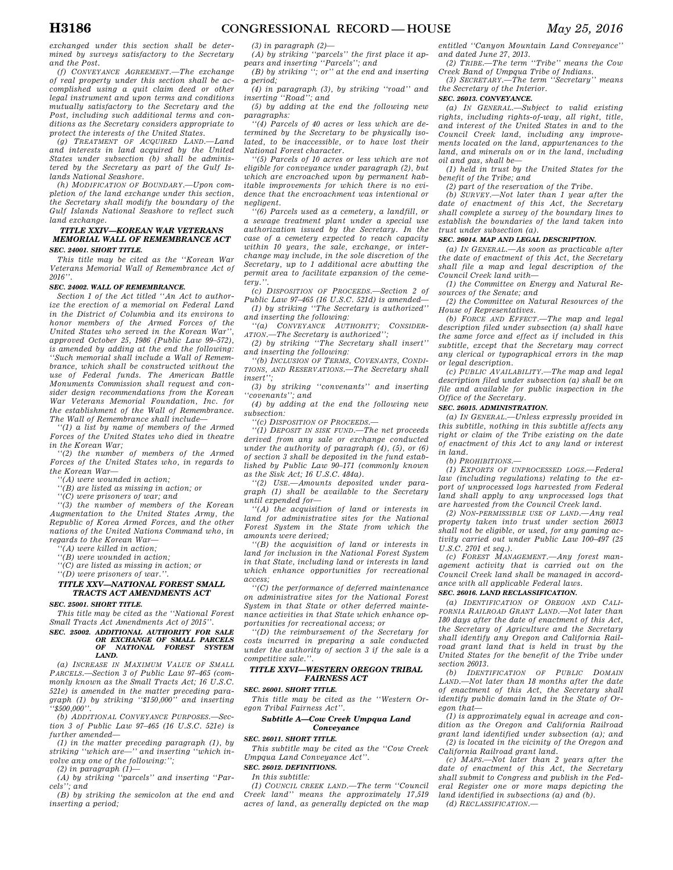*exchanged under this section shall be determined by surveys satisfactory to the Secretary and the Post.* 

*(f) CONVEYANCE AGREEMENT.—The exchange of real property under this section shall be accomplished using a quit claim deed or other legal instrument and upon terms and conditions mutually satisfactory to the Secretary and the Post, including such additional terms and conditions as the Secretary considers appropriate to protect the interests of the United States.* 

*(g) TREATMENT OF ACQUIRED LAND.—Land and interests in land acquired by the United States under subsection (b) shall be administered by the Secretary as part of the Gulf Islands National Seashore.* 

*(h) MODIFICATION OF BOUNDARY.—Upon completion of the land exchange under this section, the Secretary shall modify the boundary of the Gulf Islands National Seashore to reflect such land exchange.* 

## *TITLE XXIV—KOREAN WAR VETERANS MEMORIAL WALL OF REMEMBRANCE ACT SEC. 24001. SHORT TITLE.*

*This title may be cited as the ''Korean War Veterans Memorial Wall of Remembrance Act of 2016''.* 

#### *SEC. 24002. WALL OF REMEMBRANCE.*

*Section 1 of the Act titled ''An Act to authorize the erection of a memorial on Federal Land in the District of Columbia and its environs to honor members of the Armed Forces of the United States who served in the Korean War'', approved October 25, 1986 (Public Law 99–572), is amended by adding at the end the following: ''Such memorial shall include a Wall of Remembrance, which shall be constructed without the use of Federal funds. The American Battle Monuments Commission shall request and consider design recommendations from the Korean War Veterans Memorial Foundation, Inc. for the establishment of the Wall of Remembrance. The Wall of Remembrance shall include—* 

*''(1) a list by name of members of the Armed Forces of the United States who died in theatre in the Korean War;* 

*''(2) the number of members of the Armed Forces of the United States who, in regards to the Korean War—* 

*''(A) were wounded in action;* 

*''(B) are listed as missing in action; or* 

*''(C) were prisoners of war; and* 

*''(3) the number of members of the Korean Augmentation to the United States Army, the Republic of Korea Armed Forces, and the other nations of the United Nations Command who, in regards to the Korean War—* 

*''(A) were killed in action;* 

*''(B) were wounded in action;* 

*''(C) are listed as missing in action; or* 

*''(D) were prisoners of war.''.* 

## *TITLE XXV—NATIONAL FOREST SMALL TRACTS ACT AMENDMENTS ACT*

*SEC. 25001. SHORT TITLE.* 

*This title may be cited as the ''National Forest Small Tracts Act Amendments Act of 2015''.* 

# *SEC. 25002. ADDITIONAL AUTHORITY FOR SALE OR EXCHANGE OF SMALL PARCELS OF NATIONAL FOREST SYSTEM LAND.*

*(a) INCREASE IN MAXIMUM VALUE OF SMALL PARCELS.—Section 3 of Public Law 97–465 (commonly known as the Small Tracts Act; 16 U.S.C. 521e) is amended in the matter preceding paragraph (1) by striking ''\$150,000'' and inserting ''\$500,000''.* 

*(b) ADDITIONAL CONVEYANCE PURPOSES.—Section 3 of Public Law 97–465 (16 U.S.C. 521e) is further amended—* 

*(1) in the matter preceding paragraph (1), by striking ''which are—'' and inserting ''which involve any one of the following:'';* 

*(2) in paragraph (1)—* 

*(A) by striking ''parcels'' and inserting ''Parcels''; and* 

*(B) by striking the semicolon at the end and inserting a period;* 

*(3) in paragraph (2)—* 

*(A) by striking ''parcels'' the first place it appears and inserting ''Parcels''; and* 

*(B) by striking ''; or'' at the end and inserting a period;* 

*(4) in paragraph (3), by striking ''road'' and inserting ''Road''; and* 

*(5) by adding at the end the following new paragraphs:* 

*''(4) Parcels of 40 acres or less which are determined by the Secretary to be physically isolated, to be inaccessible, or to have lost their National Forest character.* 

*''(5) Parcels of 10 acres or less which are not eligible for conveyance under paragraph (2), but which are encroached upon by permanent habitable improvements for which there is no evidence that the encroachment was intentional or negligent.* 

*''(6) Parcels used as a cemetery, a landfill, or a sewage treatment plant under a special use authorization issued by the Secretary. In the case of a cemetery expected to reach capacity within 10 years, the sale, exchange, or interchange may include, in the sole discretion of the Secretary, up to 1 additional acre abutting the permit area to facilitate expansion of the cemetery.''.* 

*(c) DISPOSITION OF PROCEEDS.—Section 2 of Public Law 97–465 (16 U.S.C. 521d) is amended— (1) by striking ''The Secretary is authorized'' and inserting the following:* 

*''(a) CONVEYANCE AUTHORITY; CONSIDER-ATION.—The Secretary is authorized'';* 

*(2) by striking ''The Secretary shall insert'' and inserting the following:* 

*''(b) INCLUSION OF TERMS, COVENANTS, CONDI-TIONS, AND RESERVATIONS.—The Secretary shall insert'';* 

*(3) by striking ''convenants'' and inserting ''covenants''; and* 

*(4) by adding at the end the following new subsection:* 

*''(c) DISPOSITION OF PROCEEDS.—* 

*''(1) DEPOSIT IN SISK FUND.—The net proceeds derived from any sale or exchange conducted under the authority of paragraph (4), (5), or (6) of section 3 shall be deposited in the fund established by Public Law 90–171 (commonly known as the Sisk Act; 16 U.S.C. 484a).* 

*''(2) USE.—Amounts deposited under paragraph (1) shall be available to the Secretary until expended for—* 

*''(A) the acquisition of land or interests in land for administrative sites for the National Forest System in the State from which the amounts were derived;* 

*''(B) the acquisition of land or interests in land for inclusion in the National Forest System in that State, including land or interests in land which enhance opportunities for recreational access;* 

*''(C) the performance of deferred maintenance on administrative sites for the National Forest System in that State or other deferred maintenance activities in that State which enhance opportunities for recreational access; or* 

*''(D) the reimbursement of the Secretary for costs incurred in preparing a sale conducted under the authority of section 3 if the sale is a competitive sale.''.* 

## *TITLE XXVI—WESTERN OREGON TRIBAL FAIRNESS ACT*

*SEC. 26001. SHORT TITLE.* 

*This title may be cited as the ''Western Oregon Tribal Fairness Act''.* 

## *Subtitle A—Cow Creek Umpqua Land Conveyance*

*SEC. 26011. SHORT TITLE.* 

*This subtitle may be cited as the ''Cow Creek Umpqua Land Conveyance Act''.* 

#### *SEC. 26012. DEFINITIONS.*

*In this subtitle:* 

*(1) COUNCIL CREEK LAND.—The term ''Council Creek land'' means the approximately 17,519 acres of land, as generally depicted on the map* 

*entitled ''Canyon Mountain Land Conveyance'' and dated June 27, 2013.* 

*(2) TRIBE.—The term ''Tribe'' means the Cow Creek Band of Umpqua Tribe of Indians.* 

*(3) SECRETARY.—The term ''Secretary'' means the Secretary of the Interior.* 

## *SEC. 26013. CONVEYANCE.*

*(a) IN GENERAL.—Subject to valid existing rights, including rights-of-way, all right, title, and interest of the United States in and to the Council Creek land, including any improvements located on the land, appurtenances to the land, and minerals on or in the land, including oil and gas, shall be—* 

*(1) held in trust by the United States for the benefit of the Tribe; and* 

*(2) part of the reservation of the Tribe.* 

*(b) SURVEY.—Not later than 1 year after the date of enactment of this Act, the Secretary shall complete a survey of the boundary lines to establish the boundaries of the land taken into trust under subsection (a).* 

## *SEC. 26014. MAP AND LEGAL DESCRIPTION.*

*(a) IN GENERAL.—As soon as practicable after the date of enactment of this Act, the Secretary shall file a map and legal description of the Council Creek land with—* 

*(1) the Committee on Energy and Natural Resources of the Senate; and* 

*(2) the Committee on Natural Resources of the House of Representatives.* 

*(b) FORCE AND EFFECT.—The map and legal description filed under subsection (a) shall have the same force and effect as if included in this subtitle, except that the Secretary may correct any clerical or typographical errors in the map or legal description.* 

*(c) PUBLIC AVAILABILITY.—The map and legal description filed under subsection (a) shall be on file and available for public inspection in the Office of the Secretary.* 

## *SEC. 26015. ADMINISTRATION.*

*(a) IN GENERAL.—Unless expressly provided in this subtitle, nothing in this subtitle affects any right or claim of the Tribe existing on the date of enactment of this Act to any land or interest in land.* 

*(b) PROHIBITIONS.—* 

*(1) EXPORTS OF UNPROCESSED LOGS.—Federal law (including regulations) relating to the export of unprocessed logs harvested from Federal land shall apply to any unprocessed logs that are harvested from the Council Creek land.* 

*(2) NON-PERMISSIBLE USE OF LAND.—Any real property taken into trust under section 26013 shall not be eligible, or used, for any gaming activity carried out under Public Law 100–497 (25 U.S.C. 2701 et seq.).* 

*(c) FOREST MANAGEMENT.—Any forest management activity that is carried out on the Council Creek land shall be managed in accordance with all applicable Federal laws.* 

## *SEC. 26016. LAND RECLASSIFICATION.*

*(a) IDENTIFICATION OF OREGON AND CALI-FORNIA RAILROAD GRANT LAND.—Not later than 180 days after the date of enactment of this Act, the Secretary of Agriculture and the Secretary shall identify any Oregon and California Railroad grant land that is held in trust by the United States for the benefit of the Tribe under section 26013.* 

*(b) IDENTIFICATION OF PUBLIC DOMAIN LAND.—Not later than 18 months after the date of enactment of this Act, the Secretary shall identify public domain land in the State of Oregon that—* 

*(1) is approximately equal in acreage and condition as the Oregon and California Railroad grant land identified under subsection (a); and (2) is located in the vicinity of the Oregon and California Railroad grant land.* 

*(c) MAPS.—Not later than 2 years after the date of enactment of this Act, the Secretary shall submit to Congress and publish in the Federal Register one or more maps depicting the land identified in subsections (a) and (b).* 

*(d) RECLASSIFICATION.—*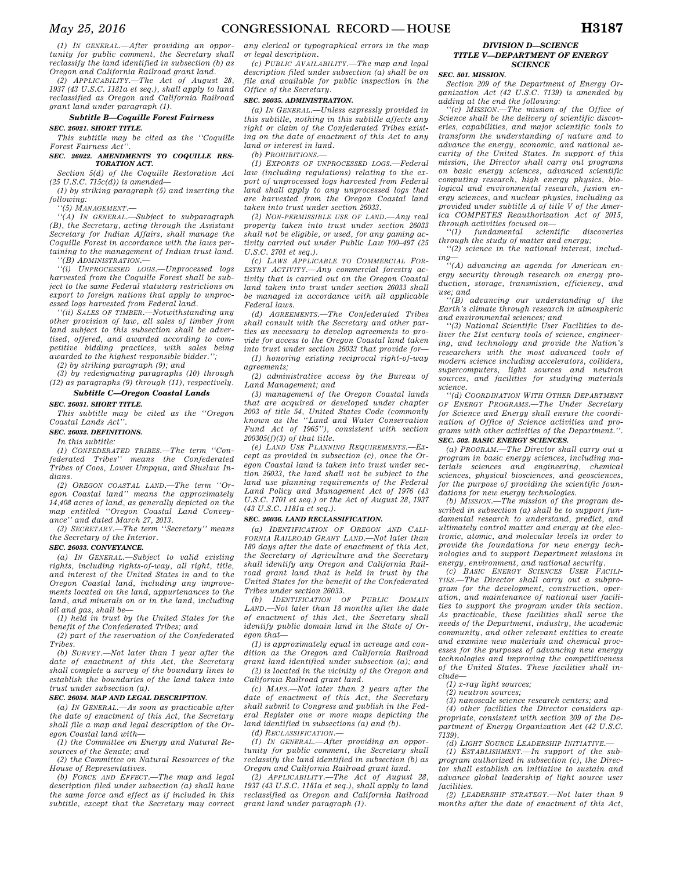*(1) IN GENERAL.—After providing an opportunity for public comment, the Secretary shall reclassify the land identified in subsection (b) as Oregon and California Railroad grant land.* 

*(2) APPLICABILITY.—The Act of August 28, 1937 (43 U.S.C. 1181a et seq.), shall apply to land reclassified as Oregon and California Railroad grant land under paragraph (1).* 

## *Subtitle B—Coquille Forest Fairness SEC. 26021. SHORT TITLE.*

*This subtitle may be cited as the ''Coquille Forest Fairness Act''.* 

#### *SEC. 26022. AMENDMENTS TO COQUILLE RES-TORATION ACT.*

*Section 5(d) of the Coquille Restoration Act (25 U.S.C. 715c(d)) is amended—* 

*(1) by striking paragraph (5) and inserting the following:* 

*''(5) MANAGEMENT.—* 

*''(A) IN GENERAL.—Subject to subparagraph (B), the Secretary, acting through the Assistant Secretary for Indian Affairs, shall manage the Coquille Forest in accordance with the laws pertaining to the management of Indian trust land. ''(B) ADMINISTRATION.—* 

*''(i) UNPROCESSED LOGS.—Unprocessed logs harvested from the Coquille Forest shall be subject to the same Federal statutory restrictions on export to foreign nations that apply to unprocessed logs harvested from Federal land.* 

*''(ii) SALES OF TIMBER.—Notwithstanding any other provision of law, all sales of timber from land subject to this subsection shall be advertised, offered, and awarded according to competitive bidding practices, with sales being awarded to the highest responsible bidder.'';* 

*(2) by striking paragraph (9); and (3) by redesignating paragraphs (10) through* 

*(12) as paragraphs (9) through (11), respectively.* 

# *Subtitle C—Oregon Coastal Lands*

*SEC. 26031. SHORT TITLE.* 

*This subtitle may be cited as the ''Oregon Coastal Lands Act''.* 

*SEC. 26032. DEFINITIONS.* 

*In this subtitle:* 

*(1) CONFEDERATED TRIBES.—The term ''Confederated Tribes'' means the Confederated Tribes of Coos, Lower Umpqua, and Siuslaw Indians.* 

*(2) OREGON COASTAL LAND.—The term ''Oregon Coastal land'' means the approximately 14,408 acres of land, as generally depicted on the map entitled ''Oregon Coastal Land Conveyance'' and dated March 27, 2013.* 

*(3) SECRETARY.—The term ''Secretary'' means the Secretary of the Interior.* 

#### *SEC. 26033. CONVEYANCE.*

*(a) IN GENERAL.—Subject to valid existing rights, including rights-of-way, all right, title, and interest of the United States in and to the Oregon Coastal land, including any improvements located on the land, appurtenances to the land, and minerals on or in the land, including oil and gas, shall be—* 

*(1) held in trust by the United States for the benefit of the Confederated Tribes; and* 

*(2) part of the reservation of the Confederated Tribes.* 

*(b) SURVEY.—Not later than 1 year after the date of enactment of this Act, the Secretary shall complete a survey of the boundary lines to establish the boundaries of the land taken into trust under subsection (a).* 

#### *SEC. 26034. MAP AND LEGAL DESCRIPTION.*

*(a) IN GENERAL.—As soon as practicable after the date of enactment of this Act, the Secretary shall file a map and legal description of the Oregon Coastal land with—* 

*(1) the Committee on Energy and Natural Resources of the Senate; and* 

*(2) the Committee on Natural Resources of the House of Representatives.* 

*(b) FORCE AND EFFECT.—The map and legal description filed under subsection (a) shall have the same force and effect as if included in this subtitle, except that the Secretary may correct* 

*any clerical or typographical errors in the map or legal description.* 

*(c) PUBLIC AVAILABILITY.—The map and legal description filed under subsection (a) shall be on file and available for public inspection in the Office of the Secretary.* 

## *SEC. 26035. ADMINISTRATION.*

*(a) IN GENERAL.—Unless expressly provided in this subtitle, nothing in this subtitle affects any right or claim of the Confederated Tribes existing on the date of enactment of this Act to any land or interest in land.* 

*(b) PROHIBITIONS.—* 

*(1) EXPORTS OF UNPROCESSED LOGS.—Federal law (including regulations) relating to the export of unprocessed logs harvested from Federal land shall apply to any unprocessed logs that are harvested from the Oregon Coastal land taken into trust under section 26033.* 

*(2) NON-PERMISSIBLE USE OF LAND.—Any real property taken into trust under section 26033 shall not be eligible, or used, for any gaming activity carried out under Public Law 100–497 (25 U.S.C. 2701 et seq.).* 

*(c) LAWS APPLICABLE TO COMMERCIAL FOR-ESTRY ACTIVITY.—Any commercial forestry activity that is carried out on the Oregon Coastal land taken into trust under section 26033 shall be managed in accordance with all applicable Federal laws.* 

*(d) AGREEMENTS.—The Confederated Tribes shall consult with the Secretary and other parties as necessary to develop agreements to provide for access to the Oregon Coastal land taken into trust under section 26033 that provide for—* 

*(1) honoring existing reciprocal right-of-way agreements;* 

*(2) administrative access by the Bureau of Land Management; and* 

*(3) management of the Oregon Coastal lands that are acquired or developed under chapter 2003 of title 54, United States Code (commonly known as the ''Land and Water Conservation Fund Act of 1965''), consistent with section 200305(f)(3) of that title.* 

*(e) LAND USE PLANNING REQUIREMENTS.—Except as provided in subsection (c), once the Oregon Coastal land is taken into trust under section 26033, the land shall not be subject to the land use planning requirements of the Federal Land Policy and Management Act of 1976 (43 U.S.C. 1701 et seq.) or the Act of August 28, 1937 (43 U.S.C. 1181a et seq.).* 

## *SEC. 26036. LAND RECLASSIFICATION.*

*(a) IDENTIFICATION OF OREGON AND CALI-FORNIA RAILROAD GRANT LAND.—Not later than 180 days after the date of enactment of this Act, the Secretary of Agriculture and the Secretary shall identify any Oregon and California Railroad grant land that is held in trust by the United States for the benefit of the Confederated Tribes under section 26033.* 

*(b) IDENTIFICATION OF PUBLIC DOMAIN LAND.—Not later than 18 months after the date of enactment of this Act, the Secretary shall identify public domain land in the State of Oregon that—* 

*(1) is approximately equal in acreage and condition as the Oregon and California Railroad grant land identified under subsection (a); and (2) is located in the vicinity of the Oregon and* 

*California Railroad grant land.* 

*(c) MAPS.—Not later than 2 years after the date of enactment of this Act, the Secretary shall submit to Congress and publish in the Federal Register one or more maps depicting the land identified in subsections (a) and (b).* 

*(d) RECLASSIFICATION.—* 

*(1) IN GENERAL.—After providing an opportunity for public comment, the Secretary shall reclassify the land identified in subsection (b) as Oregon and California Railroad grant land.* 

*(2) APPLICABILITY.—The Act of August 28, 1937 (43 U.S.C. 1181a et seq.), shall apply to land reclassified as Oregon and California Railroad grant land under paragraph (1).* 

## *DIVISION D—SCIENCE TITLE V—DEPARTMENT OF ENERGY SCIENCE*

## *SEC. 501. MISSION.*

*Section 209 of the Department of Energy Organization Act (42 U.S.C. 7139) is amended by adding at the end the following:* 

 $M$ *ISSION.*—The mission of the Office of *Science shall be the delivery of scientific discoveries, capabilities, and major scientific tools to transform the understanding of nature and to advance the energy, economic, and national security of the United States. In support of this mission, the Director shall carry out programs on basic energy sciences, advanced scientific computing research, high energy physics, biological and environmental research, fusion energy sciences, and nuclear physics, including as provided under subtitle A of title V of the America COMPETES Reauthorization Act of 2015, through activities focused on—* 

*''(1) fundamental scientific discoveries through the study of matter and energy;* 

*''(2) science in the national interest, includ-*

*ing— ''(A) advancing an agenda for American energy security through research on energy production, storage, transmission, efficiency, and use; and* 

*''(B) advancing our understanding of the Earth's climate through research in atmospheric and environmental sciences; and* 

*''(3) National Scientific User Facilities to deliver the 21st century tools of science, engineering, and technology and provide the Nation's researchers with the most advanced tools of modern science including accelerators, colliders, supercomputers, light sources and neutron sources, and facilities for studying materials science.* 

*''(d) COORDINATION WITH OTHER DEPARTMENT OF ENERGY PROGRAMS.—The Under Secretary for Science and Energy shall ensure the coordination of Office of Science activities and programs with other activities of the Department.''. SEC. 502. BASIC ENERGY SCIENCES.* 

*(a) PROGRAM.—The Director shall carry out a program in basic energy sciences, including materials sciences and engineering, chemical sciences, physical biosciences, and geosciences, for the purpose of providing the scientific foundations for new energy technologies.* 

*(b) MISSION.—The mission of the program described in subsection (a) shall be to support fundamental research to understand, predict, and ultimately control matter and energy at the electronic, atomic, and molecular levels in order to provide the foundations for new energy technologies and to support Department missions in energy, environment, and national security.* 

*(c) BASIC ENERGY SCIENCES USER FACILI-TIES.—The Director shall carry out a subprogram for the development, construction, operation, and maintenance of national user facilities to support the program under this section. As practicable, these facilities shall serve the needs of the Department, industry, the academic community, and other relevant entities to create and examine new materials and chemical processes for the purposes of advancing new energy technologies and improving the competitiveness of the United States. These facilities shall include—* 

*(1) x-ray light sources;* 

*(2) neutron sources;* 

*(3) nanoscale science research centers; and* 

*(4) other facilities the Director considers appropriate, consistent with section 209 of the Department of Energy Organization Act (42 U.S.C. 7139).* 

*(d) LIGHT SOURCE LEADERSHIP INITIATIVE.—* 

*(1) ESTABLISHMENT.—In support of the subprogram authorized in subsection (c), the Director shall establish an initiative to sustain and advance global leadership of light source user facilities.* 

*(2) LEADERSHIP STRATEGY.—Not later than 9 months after the date of enactment of this Act,*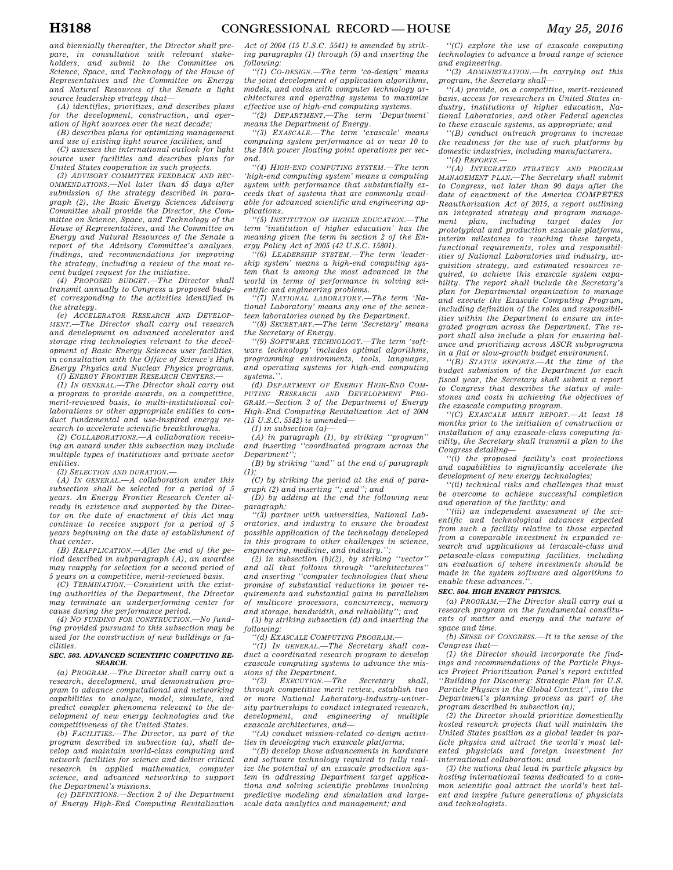*and biennially thereafter, the Director shall prepare, in consultation with relevant stakeholders, and submit to the Committee on Science, Space, and Technology of the House of Representatives and the Committee on Energy and Natural Resources of the Senate a light source leadership strategy that—* 

*(A) identifies, prioritizes, and describes plans for the development, construction, and operation of light sources over the next decade;* 

*(B) describes plans for optimizing management and use of existing light source facilities; and* 

*(C) assesses the international outlook for light source user facilities and describes plans for United States cooperation in such projects.* 

*(3) ADVISORY COMMITTEE FEEDBACK AND REC-OMMENDATIONS.—Not later than 45 days after submission of the strategy described in paragraph (2), the Basic Energy Sciences Advisory Committee shall provide the Director, the Committee on Science, Space, and Technology of the House of Representatives, and the Committee on Energy and Natural Resources of the Senate a report of the Advisory Committee's analyses, findings, and recommendations for improving the strategy, including a review of the most recent budget request for the initiative.* 

*(4) PROPOSED BUDGET.—The Director shall transmit annually to Congress a proposed budget corresponding to the activities identified in the strategy.* 

*(e) ACCELERATOR RESEARCH AND DEVELOP-MENT.—The Director shall carry out research and development on advanced accelerator and storage ring technologies relevant to the development of Basic Energy Sciences user facilities, in consultation with the Office of Science's High Energy Physics and Nuclear Physics programs.* 

*(f) ENERGY FRONTIER RESEARCH CENTERS.—* 

*(1) IN GENERAL.—The Director shall carry out a program to provide awards, on a competitive, merit-reviewed basis, to multi-institutional collaborations or other appropriate entities to conduct fundamental and use-inspired energy research to accelerate scientific breakthroughs.* 

*(2) COLLABORATIONS.—A collaboration receiving an award under this subsection may include multiple types of institutions and private sector entities.* 

*(3) SELECTION AND DURATION.—* 

*(A) IN GENERAL.—A collaboration under this subsection shall be selected for a period of 5 years. An Energy Frontier Research Center already in existence and supported by the Director on the date of enactment of this Act may continue to receive support for a period of 5 years beginning on the date of establishment of that center.* 

*(B) REAPPLICATION.—After the end of the period described in subparagraph (A), an awardee may reapply for selection for a second period of 5 years on a competitive, merit-reviewed basis.* 

*(C) TERMINATION.—Consistent with the existing authorities of the Department, the Director may terminate an underperforming center for cause during the performance period.* 

*(4) NO FUNDING FOR CONSTRUCTION.—No funding provided pursuant to this subsection may be used for the construction of new buildings or facilities.* 

#### *SEC. 503. ADVANCED SCIENTIFIC COMPUTING RE-SEARCH.*

*(a) PROGRAM.—The Director shall carry out a research, development, and demonstration program to advance computational and networking capabilities to analyze, model, simulate, and predict complex phenomena relevant to the development of new energy technologies and the competitiveness of the United States.* 

*(b) FACILITIES.—The Director, as part of the program described in subsection (a), shall develop and maintain world-class computing and network facilities for science and deliver critical research in applied mathematics, computer science, and advanced networking to support the Department's missions.* 

*(c) DEFINITIONS.—Section 2 of the Department of Energy High-End Computing Revitalization*  *Act of 2004 (15 U.S.C. 5541) is amended by striking paragraphs (1) through (5) and inserting the following:* 

*''(1) CO-DESIGN.—The term 'co-design' means the joint development of application algorithms, models, and codes with computer technology architectures and operating systems to maximize effective use of high-end computing systems.* 

*''(2) DEPARTMENT.—The term 'Department' means the Department of Energy.* 

*''(3) EXASCALE.—The term 'exascale' means computing system performance at or near 10 to the 18th power floating point operations per second.* 

*''(4) HIGH-END COMPUTING SYSTEM.—The term 'high-end computing system' means a computing system with performance that substantially exceeds that of systems that are commonly available for advanced scientific and engineering applications.* 

*''(5) INSTITUTION OF HIGHER EDUCATION.—The term 'institution of higher education' has the meaning given the term in section 2 of the Energy Policy Act of 2005 (42 U.S.C. 15801).* 

*''(6) LEADERSHIP SYSTEM.—The term 'leadership system' means a high-end computing system that is among the most advanced in the world in terms of performance in solving scientific and engineering problems.* 

*''(7) NATIONAL LABORATORY.—The term 'National Laboratory' means any one of the seventeen laboratories owned by the Department.* 

*''(8) SECRETARY.—The term 'Secretary' means the Secretary of Energy.* 

*''(9) SOFTWARE TECHNOLOGY.—The term 'software technology' includes optimal algorithms, programming environments, tools, languages, and operating systems for high-end computing systems.''.* 

*(d) DEPARTMENT OF ENERGY HIGH-END COM-PUTING RESEARCH AND DEVELOPMENT PRO-GRAM.—Section 3 of the Department of Energy High-End Computing Revitalization Act of 2004 (15 U.S.C. 5542) is amended—* 

*(1) in subsection (a)—* 

*(A) in paragraph (1), by striking ''program'' and inserting ''coordinated program across the Department'';* 

*(B) by striking ''and'' at the end of paragraph (1);* 

*(C) by striking the period at the end of paragraph (2) and inserting ''; and''; and* 

*(D) by adding at the end the following new paragraph:* 

*''(3) partner with universities, National Laboratories, and industry to ensure the broadest possible application of the technology developed in this program to other challenges in science, engineering, medicine, and industry.'';* 

*(2) in subsection (b)(2), by striking ''vector'' and all that follows through ''architectures'' and inserting ''computer technologies that show promise of substantial reductions in power requirements and substantial gains in parallelism of multicore processors, concurrency, memory and storage, bandwidth, and reliability''; and* 

*(3) by striking subsection (d) and inserting the following:* 

*''(d) EXASCALE COMPUTING PROGRAM.—* 

*''(1) IN GENERAL.—The Secretary shall conduct a coordinated research program to develop exascale computing systems to advance the missions of the Department.* 

 $EXECTION.$ —The Secretary shall, *through competitive merit review, establish two or more National Laboratory-industry-university partnerships to conduct integrated research, development, and engineering of multiple exascale architectures, and—* 

*''(A) conduct mission-related co-design activities in developing such exascale platforms;* 

*''(B) develop those advancements in hardware and software technology required to fully realize the potential of an exascale production system in addressing Department target applications and solving scientific problems involving predictive modeling and simulation and largescale data analytics and management; and* 

*''(C) explore the use of exascale computing technologies to advance a broad range of science and engineering.* 

*''(3) ADMINISTRATION.—In carrying out this program, the Secretary shall—* 

*''(A) provide, on a competitive, merit-reviewed basis, access for researchers in United States industry, institutions of higher education, National Laboratories, and other Federal agencies to these exascale systems, as appropriate; and* 

*''(B) conduct outreach programs to increase the readiness for the use of such platforms by domestic industries, including manufacturers. ''(4) REPORTS.—* 

*''(A) INTEGRATED STRATEGY AND PROGRAM MANAGEMENT PLAN.—The Secretary shall submit to Congress, not later than 90 days after the date of enactment of the America COMPETES Reauthorization Act of 2015, a report outlining an integrated strategy and program management plan, including target dates for prototypical and production exascale platforms, interim milestones to reaching these targets, functional requirements, roles and responsibilities of National Laboratories and industry, acquisition strategy, and estimated resources required, to achieve this exascale system capability. The report shall include the Secretary's plan for Departmental organization to manage and execute the Exascale Computing Program, including definition of the roles and responsibilities within the Department to ensure an integrated program across the Department. The report shall also include a plan for ensuring balance and prioritizing across ASCR subprograms* 

*in a flat or slow-growth budget environment. ''(B) STATUS REPORTS.—At the time of the budget submission of the Department for each fiscal year, the Secretary shall submit a report* 

*to Congress that describes the status of milestones and costs in achieving the objectives of the exascale computing program.* 

*''(C) EXASCALE MERIT REPORT.—At least 18 months prior to the initiation of construction or installation of any exascale-class computing facility, the Secretary shall transmit a plan to the Congress detailing—* 

*''(i) the proposed facility's cost projections and capabilities to significantly accelerate the development of new energy technologies;* 

*''(ii) technical risks and challenges that must be overcome to achieve successful completion and operation of the facility; and* 

*''(iii) an independent assessment of the scientific and technological advances expected from such a facility relative to those expected from a comparable investment in expanded research and applications at terascale-class and petascale-class computing facilities, including an evaluation of where investments should be made in the system software and algorithms to enable these advances.''.* 

# *SEC. 504. HIGH ENERGY PHYSICS.*

*(a) PROGRAM.—The Director shall carry out a research program on the fundamental constituents of matter and energy and the nature of space and time.* 

*(b) SENSE OF CONGRESS.—It is the sense of the Congress that—* 

*(1) the Director should incorporate the findings and recommendations of the Particle Physics Project Prioritization Panel's report entitled ''Building for Discovery: Strategic Plan for U.S. Particle Physics in the Global Context'', into the Department's planning process as part of the program described in subsection (a);* 

*(2) the Director should prioritize domestically hosted research projects that will maintain the United States position as a global leader in particle physics and attract the world's most talented physicists and foreign investment for international collaboration; and* 

*(3) the nations that lead in particle physics by hosting international teams dedicated to a common scientific goal attract the world's best talent and inspire future generations of physicists and technologists.*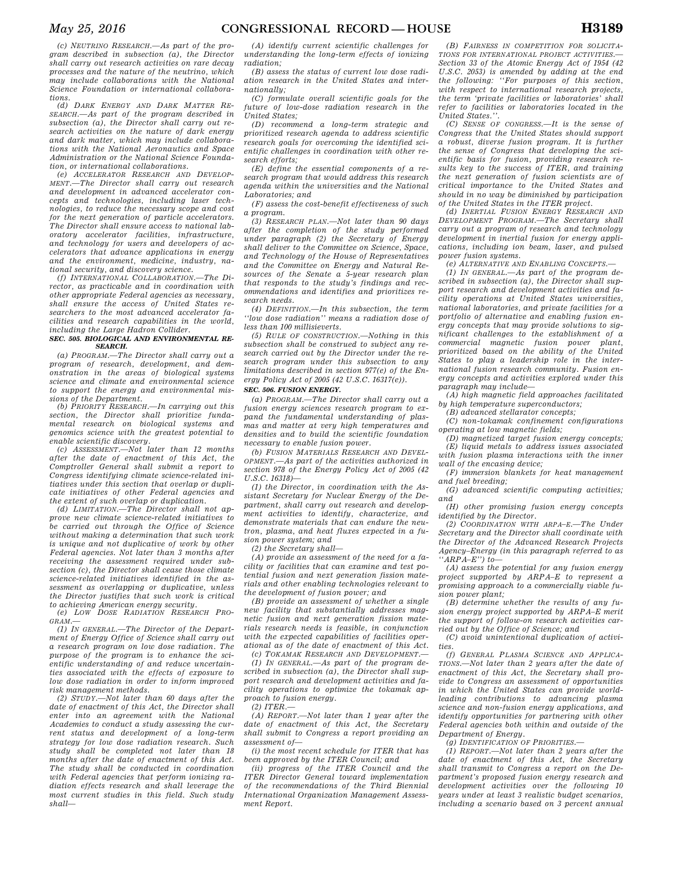*(c) NEUTRINO RESEARCH.—As part of the program described in subsection (a), the Director shall carry out research activities on rare decay processes and the nature of the neutrino, which may include collaborations with the National Science Foundation or international collaborations.* 

*(d) DARK ENERGY AND DARK MATTER RE-SEARCH.—As part of the program described in subsection (a), the Director shall carry out research activities on the nature of dark energy and dark matter, which may include collaborations with the National Aeronautics and Space Administration or the National Science Foundation, or international collaborations.* 

*(e) ACCELERATOR RESEARCH AND DEVELOP-MENT.—The Director shall carry out research and development in advanced accelerator concepts and technologies, including laser technologies, to reduce the necessary scope and cost for the next generation of particle accelerators. The Director shall ensure access to national laboratory accelerator facilities, infrastructure, and technology for users and developers of accelerators that advance applications in energy and the environment, medicine, industry, national security, and discovery science.* 

*(f) INTERNATIONAL COLLABORATION.—The Director, as practicable and in coordination with other appropriate Federal agencies as necessary, shall ensure the access of United States researchers to the most advanced accelerator facilities and research capabilities in the world, including the Large Hadron Collider.* 

#### *SEC. 505. BIOLOGICAL AND ENVIRONMENTAL RE-SEARCH.*

*(a) PROGRAM.—The Director shall carry out a program of research, development, and demonstration in the areas of biological systems science and climate and environmental science to support the energy and environmental missions of the Department.* 

*(b) PRIORITY RESEARCH.—In carrying out this section, the Director shall prioritize fundamental research on biological systems and genomics science with the greatest potential to enable scientific discovery.* 

*(c) ASSESSMENT.—Not later than 12 months after the date of enactment of this Act, the Comptroller General shall submit a report to Congress identifying climate science-related initiatives under this section that overlap or duplicate initiatives of other Federal agencies and the extent of such overlap or duplication.* 

*(d) LIMITATION.—The Director shall not approve new climate science-related initiatives to be carried out through the Office of Science without making a determination that such work is unique and not duplicative of work by other Federal agencies. Not later than 3 months after receiving the assessment required under subsection (c), the Director shall cease those climate science-related initiatives identified in the assessment as overlapping or duplicative, unless the Director justifies that such work is critical to achieving American energy security.* 

*(e) LOW DOSE RADIATION RESEARCH PRO-GRAM.—* 

*(1) IN GENERAL.—The Director of the Department of Energy Office of Science shall carry out a research program on low dose radiation. The purpose of the program is to enhance the scientific understanding of and reduce uncertainties associated with the effects of exposure to low dose radiation in order to inform improved risk management methods.* 

*(2) STUDY.—Not later than 60 days after the date of enactment of this Act, the Director shall enter into an agreement with the National Academies to conduct a study assessing the current status and development of a long-term strategy for low dose radiation research. Such study shall be completed not later than 18 months after the date of enactment of this Act. The study shall be conducted in coordination with Federal agencies that perform ionizing radiation effects research and shall leverage the most current studies in this field. Such study shall—* 

*(A) identify current scientific challenges for understanding the long-term effects of ionizing radiation;* 

*(B) assess the status of current low dose radiation research in the United States and internationally;* 

*(C) formulate overall scientific goals for the future of low-dose radiation research in the United States;* 

*(D) recommend a long-term strategic and prioritized research agenda to address scientific research goals for overcoming the identified scientific challenges in coordination with other research efforts;* 

*(E) define the essential components of a research program that would address this research agenda within the universities and the National Laboratories; and* 

*(F) assess the cost-benefit effectiveness of such a program.* 

*(3) RESEARCH PLAN.—Not later than 90 days after the completion of the study performed under paragraph (2) the Secretary of Energy shall deliver to the Committee on Science, Space, and Technology of the House of Representatives and the Committee on Energy and Natural Resources of the Senate a 5-year research plan that responds to the study's findings and recommendations and identifies and prioritizes research needs.* 

*(4) DEFINITION.—In this subsection, the term ''low dose radiation'' means a radiation dose of less than 100 millisieverts.* 

*(5) RULE OF CONSTRUCTION.—Nothing in this subsection shall be construed to subject any research carried out by the Director under the research program under this subsection to any limitations described in section 977(e) of the Energy Policy Act of 2005 (42 U.S.C. 16317(e)).* 

# *SEC. 506. FUSION ENERGY.*

*(a) PROGRAM.—The Director shall carry out a fusion energy sciences research program to expand the fundamental understanding of plasmas and matter at very high temperatures and densities and to build the scientific foundation necessary to enable fusion power.* 

*(b) FUSION MATERIALS RESEARCH AND DEVEL-OPMENT.—As part of the activities authorized in section 978 of the Energy Policy Act of 2005 (42 U.S.C. 16318)—* 

*(1) the Director, in coordination with the Assistant Secretary for Nuclear Energy of the Department, shall carry out research and development activities to identify, characterize, and demonstrate materials that can endure the neutron, plasma, and heat fluxes expected in a fusion power system; and* 

*(2) the Secretary shall—* 

*(A) provide an assessment of the need for a facility or facilities that can examine and test potential fusion and next generation fission materials and other enabling technologies relevant to the development of fusion power; and* 

*(B) provide an assessment of whether a single new facility that substantially addresses magnetic fusion and next generation fission materials research needs is feasible, in conjunction with the expected capabilities of facilities operational as of the date of enactment of this Act.* 

*(c) TOKAMAK RESEARCH AND DEVELOPMENT.— (1) IN GENERAL.—As part of the program described in subsection (a), the Director shall support research and development activities and facility operations to optimize the tokamak approach to fusion energy.* 

*(2) ITER.—* 

*(A) REPORT.—Not later than 1 year after the date of enactment of this Act, the Secretary shall submit to Congress a report providing an assessment of—* 

*(i) the most recent schedule for ITER that has been approved by the ITER Council; and* 

*(ii) progress of the ITER Council and the ITER Director General toward implementation of the recommendations of the Third Biennial International Organization Management Assessment Report.* 

*(B) FAIRNESS IN COMPETITION FOR SOLICITA-TIONS FOR INTERNATIONAL PROJECT ACTIVITIES.— Section 33 of the Atomic Energy Act of 1954 (42 U.S.C. 2053) is amended by adding at the end the following: ''For purposes of this section, with respect to international research projects, the term 'private facilities or laboratories' shall refer to facilities or laboratories located in the United States.''.* 

*(C) SENSE OF CONGRESS.—It is the sense of Congress that the United States should support a robust, diverse fusion program. It is further the sense of Congress that developing the scientific basis for fusion, providing research results key to the success of ITER, and training the next generation of fusion scientists are of critical importance to the United States and should in no way be diminished by participation of the United States in the ITER project.* 

*(d) INERTIAL FUSION ENERGY RESEARCH AND DEVELOPMENT PROGRAM.—The Secretary shall carry out a program of research and technology development in inertial fusion for energy applications, including ion beam, laser, and pulsed power fusion systems.* 

*(e) ALTERNATIVE AND ENABLING CONCEPTS.—* 

*(1) IN GENERAL.—As part of the program described in subsection (a), the Director shall support research and development activities and facility operations at United States universities, national laboratories, and private facilities for a portfolio of alternative and enabling fusion energy concepts that may provide solutions to significant challenges to the establishment of a commercial magnetic fusion power plant, prioritized based on the ability of the United States to play a leadership role in the international fusion research community. Fusion energy concepts and activities explored under this paragraph may include—* 

*(A) high magnetic field approaches facilitated by high temperature superconductors;* 

*(B) advanced stellarator concepts;* 

*(C) non-tokamak confinement configurations operating at low magnetic fields;* 

*(D) magnetized target fusion energy concepts; (E) liquid metals to address issues associated with fusion plasma interactions with the inner wall of the encasing device;* 

*(F) immersion blankets for heat management and fuel breeding;* 

*(G) advanced scientific computing activities; and* 

*(H) other promising fusion energy concepts identified by the Director.* 

*(2) COORDINATION WITH ARPA–E.—The Under Secretary and the Director shall coordinate with the Director of the Advanced Research Projects Agency–Energy (in this paragraph referred to as ''ARPA–E'') to—* 

*(A) assess the potential for any fusion energy project supported by ARPA–E to represent a promising approach to a commercially viable fusion power plant;* 

*(B) determine whether the results of any fusion energy project supported by ARPA–E merit the support of follow-on research activities carried out by the Office of Science; and* 

*(C) avoid unintentional duplication of activities.* 

*(f) GENERAL PLASMA SCIENCE AND APPLICA-TIONS.—Not later than 2 years after the date of enactment of this Act, the Secretary shall provide to Congress an assessment of opportunities in which the United States can provide worldleading contributions to advancing plasma science and non-fusion energy applications, and identify opportunities for partnering with other Federal agencies both within and outside of the Department of Energy.* 

*(g) IDENTIFICATION OF PRIORITIES.—* 

*(1) REPORT.—Not later than 2 years after the date of enactment of this Act, the Secretary shall transmit to Congress a report on the Department's proposed fusion energy research and development activities over the following 10 years under at least 3 realistic budget scenarios, including a scenario based on 3 percent annual*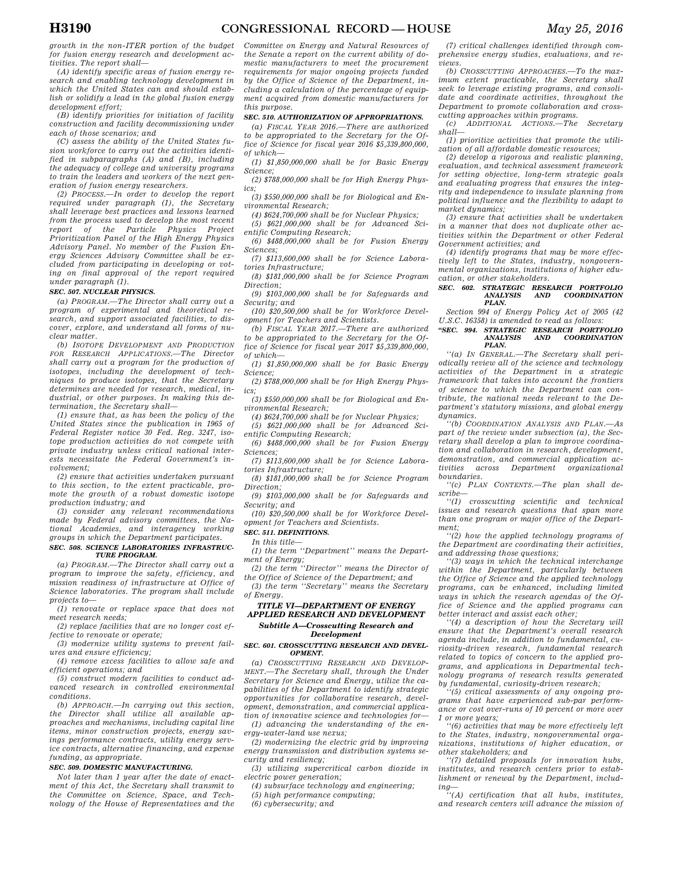*growth in the non-ITER portion of the budget for fusion energy research and development activities. The report shall—* 

*(A) identify specific areas of fusion energy research and enabling technology development in which the United States can and should establish or solidify a lead in the global fusion energy development effort;* 

*(B) identify priorities for initiation of facility construction and facility decommissioning under each of those scenarios; and* 

*(C) assess the ability of the United States fusion workforce to carry out the activities identified in subparagraphs (A) and (B), including the adequacy of college and university programs to train the leaders and workers of the next generation of fusion energy researchers.* 

*(2) PROCESS.—In order to develop the report required under paragraph (1), the Secretary shall leverage best practices and lessons learned from the process used to develop the most recent report of the Particle Physics Project Prioritization Panel of the High Energy Physics Advisory Panel. No member of the Fusion Energy Sciences Advisory Committee shall be excluded from participating in developing or voting on final approval of the report required under paragraph (1).* 

#### *SEC. 507. NUCLEAR PHYSICS.*

*(a) PROGRAM.—The Director shall carry out a program of experimental and theoretical research, and support associated facilities, to discover, explore, and understand all forms of nuclear matter.* 

*(b) ISOTOPE DEVELOPMENT AND PRODUCTION FOR RESEARCH APPLICATIONS.—The Director shall carry out a program for the production of isotopes, including the development of techniques to produce isotopes, that the Secretary determines are needed for research, medical, industrial, or other purposes. In making this determination, the Secretary shall—* 

*(1) ensure that, as has been the policy of the United States since the publication in 1965 of Federal Register notice 30 Fed. Reg. 3247, isotope production activities do not compete with private industry unless critical national interests necessitate the Federal Government's involvement;* 

*(2) ensure that activities undertaken pursuant to this section, to the extent practicable, promote the growth of a robust domestic isotope production industry; and* 

*(3) consider any relevant recommendations made by Federal advisory committees, the National Academies, and interagency working groups in which the Department participates.* 

#### *SEC. 508. SCIENCE LABORATORIES INFRASTRUC-TURE PROGRAM.*

*(a) PROGRAM.—The Director shall carry out a program to improve the safety, efficiency, and mission readiness of infrastructure at Office of Science laboratories. The program shall include projects to—* 

*(1) renovate or replace space that does not meet research needs;* 

*(2) replace facilities that are no longer cost effective to renovate or operate;* 

*(3) modernize utility systems to prevent failures and ensure efficiency;* 

*(4) remove excess facilities to allow safe and efficient operations; and* 

*(5) construct modern facilities to conduct advanced research in controlled environmental conditions.* 

*(b) APPROACH.—In carrying out this section, the Director shall utilize all available approaches and mechanisms, including capital line items, minor construction projects, energy savings performance contracts, utility energy service contracts, alternative financing, and expense funding, as appropriate.* 

#### *SEC. 509. DOMESTIC MANUFACTURING.*

*Not later than 1 year after the date of enactment of this Act, the Secretary shall transmit to the Committee on Science, Space, and Technology of the House of Representatives and the* 

*Committee on Energy and Natural Resources of the Senate a report on the current ability of domestic manufacturers to meet the procurement requirements for major ongoing projects funded by the Office of Science of the Department, including a calculation of the percentage of equipment acquired from domestic manufacturers for this purpose.* 

### *SEC. 510. AUTHORIZATION OF APPROPRIATIONS.*

*(a) FISCAL YEAR 2016.—There are authorized to be appropriated to the Secretary for the Office of Science for fiscal year 2016 \$5,339,800,000, of which—* 

*(1) \$1,850,000,000 shall be for Basic Energy Science;* 

*(2) \$788,000,000 shall be for High Energy Physics;* 

*(3) \$550,000,000 shall be for Biological and Environmental Research;* 

*(4) \$624,700,000 shall be for Nuclear Physics; (5) \$621,000,000 shall be for Advanced Scientific Computing Research;* 

*(6) \$488,000,000 shall be for Fusion Energy Sciences;* 

*(7) \$113,600,000 shall be for Science Laboratories Infrastructure;* 

*(8) \$181,000,000 shall be for Science Program Direction;* 

*(9) \$103,000,000 shall be for Safeguards and Security; and* 

*(10) \$20,500,000 shall be for Workforce Development for Teachers and Scientists.* 

*(b) FISCAL YEAR 2017.—There are authorized to be appropriated to the Secretary for the Office of Science for fiscal year 2017 \$5,339,800,000, of which—* 

*(1) \$1,850,000,000 shall be for Basic Energy Science;* 

*(2) \$788,000,000 shall be for High Energy Physics;* 

*(3) \$550,000,000 shall be for Biological and Environmental Research;* 

*(4) \$624,700,000 shall be for Nuclear Physics; (5) \$621,000,000 shall be for Advanced Sci-*

*entific Computing Research;* 

*(6) \$488,000,000 shall be for Fusion Energy Sciences;* 

*(7) \$113,600,000 shall be for Science Laboratories Infrastructure;* 

*(8) \$181,000,000 shall be for Science Program Direction;* 

*(9) \$103,000,000 shall be for Safeguards and Security; and* 

*(10) \$20,500,000 shall be for Workforce Development for Teachers and Scientists.* 

### *SEC. 511. DEFINITIONS.*

*In this title—* 

*(1) the term ''Department'' means the Department of Energy;* 

*(2) the term ''Director'' means the Director of the Office of Science of the Department; and* 

*(3) the term ''Secretary'' means the Secretary of Energy.* 

### *TITLE VI—DEPARTMENT OF ENERGY APPLIED RESEARCH AND DEVELOPMENT*

### *Subtitle A—Crosscutting Research and Development*

### *SEC. 601. CROSSCUTTING RESEARCH AND DEVEL-OPMENT.*

*(a) CROSSCUTTING RESEARCH AND DEVELOP-MENT.—The Secretary shall, through the Under Secretary for Science and Energy, utilize the capabilities of the Department to identify strategic opportunities for collaborative research, development, demonstration, and commercial application of innovative science and technologies for—* 

*(1) advancing the understanding of the energy-water-land use nexus;* 

*(2) modernizing the electric grid by improving energy transmission and distribution systems security and resiliency;* 

*(3) utilizing supercritical carbon dioxide in electric power generation;* 

*(4) subsurface technology and engineering; (5) high performance computing;* 

*(6) cybersecurity; and* 

*(7) critical challenges identified through comprehensive energy studies, evaluations, and reviews.* 

*(b) CROSSCUTTING APPROACHES.—To the maximum extent practicable, the Secretary shall seek to leverage existing programs, and consolidate and coordinate activities, throughout the Department to promote collaboration and cross-*

*cutting approaches within programs. (c) ADDITIONAL ACTIONS.—The Secretary shall—* 

*(1) prioritize activities that promote the utilization of all affordable domestic resources;* 

*(2) develop a rigorous and realistic planning, evaluation, and technical assessment framework for setting objective, long-term strategic goals and evaluating progress that ensures the integrity and independence to insulate planning from political influence and the flexibility to adapt to market dynamics;* 

*(3) ensure that activities shall be undertaken in a manner that does not duplicate other activities within the Department or other Federal Government activities; and* 

*(4) identify programs that may be more effectively left to the States, industry, nongovernmental organizations, institutions of higher education, or other stakeholders.* 

#### *SEC. 602. STRATEGIC RESEARCH PORTFOLIO ANALYSIS AND COORDINATION PLAN.*

*Section 994 of Energy Policy Act of 2005 (42 U.S.C. 16358) is amended to read as follows:* 

#### *''SEC. 994. STRATEGIC RESEARCH PORTFOLIO ANALYSIS AND COORDINATION PLAN.*

*''(a) IN GENERAL.—The Secretary shall periodically review all of the science and technology activities of the Department in a strategic framework that takes into account the frontiers of science to which the Department can contribute, the national needs relevant to the Department's statutory missions, and global energy dynamics.* 

*''(b) COORDINATION ANALYSIS AND PLAN.—As part of the review under subsection (a), the Secretary shall develop a plan to improve coordination and collaboration in research, development, demonstration, and commercial application activities across Department organizational boundaries.* 

*''(c) PLAN CONTENTS.—The plan shall describe—* 

*''(1) crosscutting scientific and technical issues and research questions that span more than one program or major office of the Department;* 

*''(2) how the applied technology programs of the Department are coordinating their activities, and addressing those questions;* 

*''(3) ways in which the technical interchange within the Department, particularly between the Office of Science and the applied technology programs, can be enhanced, including limited ways in which the research agendas of the Office of Science and the applied programs can better interact and assist each other;* 

*''(4) a description of how the Secretary will ensure that the Department's overall research agenda include, in addition to fundamental, curiosity-driven research, fundamental research related to topics of concern to the applied programs, and applications in Departmental technology programs of research results generated by fundamental, curiosity-driven research;* 

*''(5) critical assessments of any ongoing programs that have experienced sub-par performance or cost over-runs of 10 percent or more over 1 or more years;* 

*''(6) activities that may be more effectively left to the States, industry, nongovernmental organizations, institutions of higher education, or other stakeholders; and* 

*''(7) detailed proposals for innovation hubs, institutes, and research centers prior to establishment or renewal by the Department, includ-*

*ing— ''(A) certification that all hubs, institutes, and research centers will advance the mission of*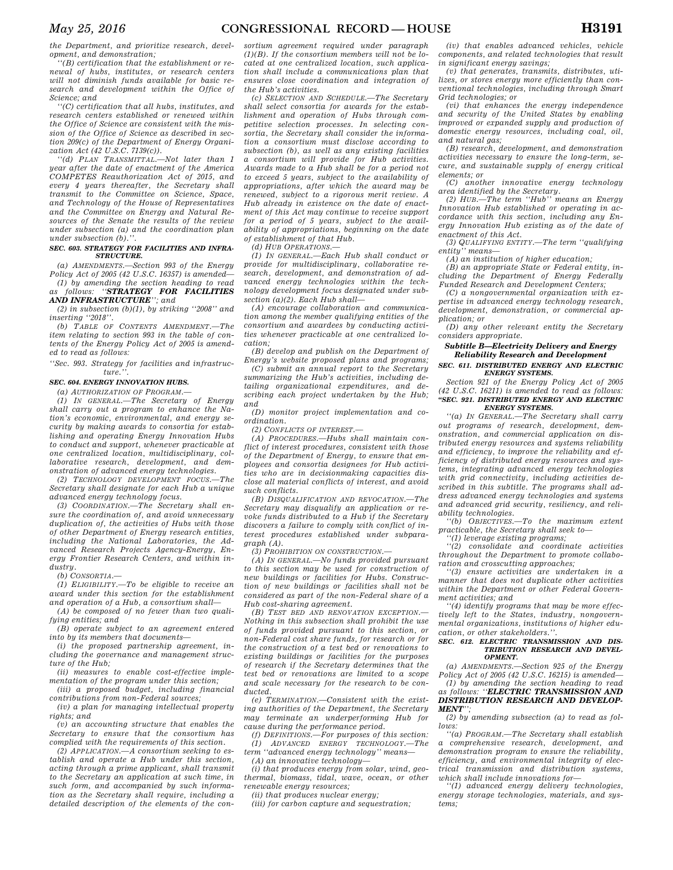*the Department, and prioritize research, development, and demonstration;* 

*''(B) certification that the establishment or renewal of hubs, institutes, or research centers will not diminish funds available for basic research and development within the Office of Science; and* 

*''(C) certification that all hubs, institutes, and research centers established or renewed within the Office of Science are consistent with the mission of the Office of Science as described in section 209(c) of the Department of Energy Organization Act (42 U.S.C. 7139(c)).* 

*''(d) PLAN TRANSMITTAL.—Not later than 1 year after the date of enactment of the America COMPETES Reauthorization Act of 2015, and every 4 years thereafter, the Secretary shall transmit to the Committee on Science, Space, and Technology of the House of Representatives and the Committee on Energy and Natural Resources of the Senate the results of the review under subsection (a) and the coordination plan under subsection (b).''.* 

### *SEC. 603. STRATEGY FOR FACILITIES AND INFRA-STRUCTURE.*

*(a) AMENDMENTS.—Section 993 of the Energy Policy Act of 2005 (42 U.S.C. 16357) is amended— (1) by amending the section heading to read* 

*as follows: ''STRATEGY FOR FACILITIES AND INFRASTRUCTURE''; and* 

*(2) in subsection (b)(1), by striking ''2008'' and inserting ''2018''.* 

*(b) TABLE OF CONTENTS AMENDMENT.—The item relating to section 993 in the table of contents of the Energy Policy Act of 2005 is amended to read as follows:* 

*''Sec. 993. Strategy for facilities and infrastruc* $ture$ <sup>'</sup>

### *SEC. 604. ENERGY INNOVATION HUBS.*

*(a) AUTHORIZATION OF PROGRAM.—* 

*(1) IN GENERAL.—The Secretary of Energy shall carry out a program to enhance the Nation's economic, environmental, and energy security by making awards to consortia for establishing and operating Energy Innovation Hubs to conduct and support, whenever practicable at one centralized location, multidisciplinary, collaborative research, development, and demonstration of advanced energy technologies.* 

*(2) TECHNOLOGY DEVELOPMENT FOCUS.—The Secretary shall designate for each Hub a unique advanced energy technology focus.* 

*(3) COORDINATION.—The Secretary shall ensure the coordination of, and avoid unnecessary duplication of, the activities of Hubs with those of other Department of Energy research entities, including the National Laboratories, the Advanced Research Projects Agency-Energy, Energy Frontier Research Centers, and within industry.* 

*(b) CONSORTIA.—* 

*(1) ELIGIBILITY.—To be eligible to receive an award under this section for the establishment and operation of a Hub, a consortium shall—* 

*(A) be composed of no fewer than two qualifying entities; and* 

*(B) operate subject to an agreement entered into by its members that documents—* 

*(i) the proposed partnership agreement, including the governance and management structure of the Hub;* 

*(ii) measures to enable cost-effective implementation of the program under this section;* 

*(iii) a proposed budget, including financial contributions from non-Federal sources;* 

*(iv) a plan for managing intellectual property rights; and* 

*(v) an accounting structure that enables the Secretary to ensure that the consortium has complied with the requirements of this section.* 

*(2) APPLICATION.—A consortium seeking to establish and operate a Hub under this section, acting through a prime applicant, shall transmit to the Secretary an application at such time, in such form, and accompanied by such information as the Secretary shall require, including a detailed description of the elements of the con-* *sortium agreement required under paragraph (1)(B). If the consortium members will not be located at one centralized location, such application shall include a communications plan that ensures close coordination and integration of the Hub's activities.* 

*(c) SELECTION AND SCHEDULE.—The Secretary shall select consortia for awards for the establishment and operation of Hubs through competitive selection processes. In selecting consortia, the Secretary shall consider the information a consortium must disclose according to subsection (b), as well as any existing facilities a consortium will provide for Hub activities. Awards made to a Hub shall be for a period not to exceed 5 years, subject to the availability of appropriations, after which the award may be renewed, subject to a rigorous merit review. A Hub already in existence on the date of enactment of this Act may continue to receive support for a period of 5 years, subject to the availability of appropriations, beginning on the date of establishment of that Hub.* 

*(d) HUB OPERATIONS.—* 

*(1) IN GENERAL.—Each Hub shall conduct or provide for multidisciplinary, collaborative research, development, and demonstration of advanced energy technologies within the technology development focus designated under subsection (a)(2). Each Hub shall—* 

*(A) encourage collaboration and communication among the member qualifying entities of the consortium and awardees by conducting activities whenever practicable at one centralized location;* 

*(B) develop and publish on the Department of Energy's website proposed plans and programs;* 

*(C) submit an annual report to the Secretary summarizing the Hub's activities, including detailing organizational expenditures, and describing each project undertaken by the Hub; and* 

*(D) monitor project implementation and coordination.* 

*(2) CONFLICTS OF INTEREST.—* 

*(A) PROCEDURES.—Hubs shall maintain conflict of interest procedures, consistent with those of the Department of Energy, to ensure that employees and consortia designees for Hub activities who are in decisionmaking capacities disclose all material conflicts of interest, and avoid such conflicts.* 

*(B) DISQUALIFICATION AND REVOCATION.—The Secretary may disqualify an application or revoke funds distributed to a Hub if the Secretary discovers a failure to comply with conflict of interest procedures established under subparagraph (A).* 

*(3) PROHIBITION ON CONSTRUCTION.—* 

*(A) IN GENERAL.—No funds provided pursuant to this section may be used for construction of new buildings or facilities for Hubs. Construction of new buildings or facilities shall not be considered as part of the non-Federal share of a Hub cost-sharing agreement.* 

*(B) TEST BED AND RENOVATION EXCEPTION.— Nothing in this subsection shall prohibit the use of funds provided pursuant to this section, or non-Federal cost share funds, for research or for the construction of a test bed or renovations to existing buildings or facilities for the purposes of research if the Secretary determines that the test bed or renovations are limited to a scope and scale necessary for the research to be conducted.* 

*(e) TERMINATION.—Consistent with the existing authorities of the Department, the Secretary may terminate an underperforming Hub for cause during the performance period.* 

*(f) DEFINITIONS.—For purposes of this section: (1) ADVANCED ENERGY TECHNOLOGY.—The term ''advanced energy technology'' means—* 

*(A) an innovative technology— (i) that produces energy from solar, wind, geothermal, biomass, tidal, wave, ocean, or other* 

*renewable energy resources;* 

*(ii) that produces nuclear energy; (iii) for carbon capture and sequestration;* 

*(iv) that enables advanced vehicles, vehicle components, and related technologies that result in significant energy savings;* 

*(v) that generates, transmits, distributes, utilizes, or stores energy more efficiently than conventional technologies, including through Smart Grid technologies; or* 

*(vi) that enhances the energy independence and security of the United States by enabling improved or expanded supply and production of domestic energy resources, including coal, oil, and natural gas;* 

*(B) research, development, and demonstration activities necessary to ensure the long-term, secure, and sustainable supply of energy critical elements; or* 

*(C) another innovative energy technology area identified by the Secretary.* 

*(2) HUB.—The term ''Hub'' means an Energy Innovation Hub established or operating in accordance with this section, including any Energy Innovation Hub existing as of the date of enactment of this Act.* 

*(3) QUALIFYING ENTITY.—The term ''qualifying entity'' means—* 

*(A) an institution of higher education; (B) an appropriate State or Federal entity, including the Department of Energy Federally Funded Research and Development Centers;* 

*(C) a nongovernmental organization with expertise in advanced energy technology research, development, demonstration, or commercial application; or* 

*(D) any other relevant entity the Secretary considers appropriate.* 

### *Subtitle B—Electricity Delivery and Energy Reliability Research and Development*

#### *SEC. 611. DISTRIBUTED ENERGY AND ELECTRIC ENERGY SYSTEMS.*

*Section 921 of the Energy Policy Act of 2005 (42 U.S.C. 16211) is amended to read as follows: ''SEC. 921. DISTRIBUTED ENERGY AND ELECTRIC ENERGY SYSTEMS.* 

*''(a) IN GENERAL.—The Secretary shall carry out programs of research, development, demonstration, and commercial application on distributed energy resources and systems reliability and efficiency, to improve the reliability and efficiency of distributed energy resources and systems, integrating advanced energy technologies with grid connectivity, including activities described in this subtitle. The programs shall address advanced energy technologies and systems and advanced grid security, resiliency, and reliability technologies.* 

*''(b) OBJECTIVES.—To the maximum extent practicable, the Secretary shall seek to—* 

*''(1) leverage existing programs;* 

*''(2) consolidate and coordinate activities throughout the Department to promote collaboration and crosscutting approaches;* 

*''(3) ensure activities are undertaken in a manner that does not duplicate other activities within the Department or other Federal Government activities; and* 

*''(4) identify programs that may be more effectively left to the States, industry, nongovernmental organizations, institutions of higher education, or other stakeholders.''.* 

#### *SEC. 612. ELECTRIC TRANSMISSION AND DIS-TRIBUTION RESEARCH AND DEVEL-OPMENT.*

*(a) AMENDMENTS.—Section 925 of the Energy Policy Act of 2005 (42 U.S.C. 16215) is amended— (1) by amending the section heading to read* 

*as follows: ''ELECTRIC TRANSMISSION AND DISTRIBUTION RESEARCH AND DEVELOP-MENT'';* 

*(2) by amending subsection (a) to read as follows:* 

*''(a) PROGRAM.—The Secretary shall establish a comprehensive research, development, and demonstration program to ensure the reliability, efficiency, and environmental integrity of electrical transmission and distribution systems, which shall include innovations for—* 

*''(1) advanced energy delivery technologies, energy storage technologies, materials, and systems;*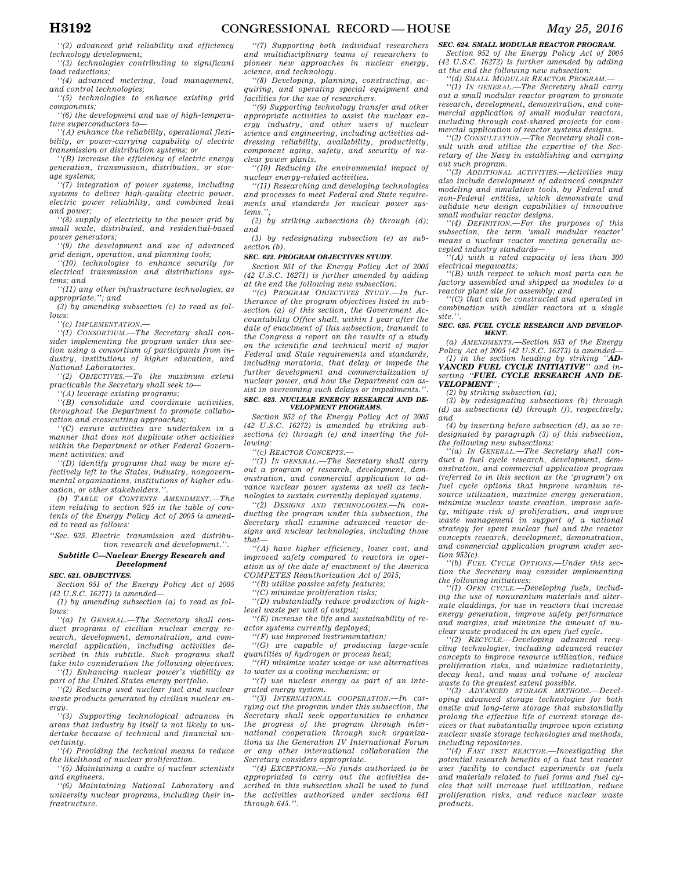*''(2) advanced grid reliability and efficiency technology development;* 

*''(3) technologies contributing to significant load reductions;* 

*''(4) advanced metering, load management, and control technologies;* 

*''(5) technologies to enhance existing grid components;* 

*''(6) the development and use of high-temperature superconductors to—* 

*''(A) enhance the reliability, operational flexibility, or power-carrying capability of electric transmission or distribution systems; or* 

*''(B) increase the efficiency of electric energy generation, transmission, distribution, or storage systems;* 

*''(7) integration of power systems, including systems to deliver high-quality electric power, electric power reliability, and combined heat and power;* 

*''(8) supply of electricity to the power grid by small scale, distributed, and residential-based power generators;* 

*''(9) the development and use of advanced grid design, operation, and planning tools;* 

*''(10) technologies to enhance security for electrical transmission and distributions systems; and* 

*''(11) any other infrastructure technologies, as appropriate.''; and* 

*(3) by amending subsection (c) to read as follows:* 

*''(c) IMPLEMENTATION.—* 

*''(1) CONSORTIUM.—The Secretary shall consider implementing the program under this section using a consortium of participants from industry, institutions of higher education, and National Laboratories.* 

*''(2) OBJECTIVES.—To the maximum extent practicable the Secretary shall seek to—* 

*''(A) leverage existing programs;* 

*''(B) consolidate and coordinate activities, throughout the Department to promote collaboration and crosscutting approaches;* 

*''(C) ensure activities are undertaken in a manner that does not duplicate other activities within the Department or other Federal Government activities; and* 

*''(D) identify programs that may be more effectively left to the States, industry, nongovernmental organizations, institutions of higher education, or other stakeholders.''.* 

*(b) TABLE OF CONTENTS AMENDMENT.—The item relating to section 925 in the table of contents of the Energy Policy Act of 2005 is amended to read as follows:* 

*''Sec. 925. Electric transmission and distribution research and development.''.* 

### *Subtitle C—Nuclear Energy Research and Development*

#### *SEC. 621. OBJECTIVES.*

*Section 951 of the Energy Policy Act of 2005 (42 U.S.C. 16271) is amended—* 

*(1) by amending subsection (a) to read as follows:* 

*''(a) IN GENERAL.—The Secretary shall conduct programs of civilian nuclear energy research, development, demonstration, and commercial application, including activities described in this subtitle. Such programs shall take into consideration the following objectives: ''(1) Enhancing nuclear power's viability as* 

*part of the United States energy portfolio. ''(2) Reducing used nuclear fuel and nuclear waste products generated by civilian nuclear en-*

*ergy. ''(3) Supporting technological advances in areas that industry by itself is not likely to un-*

*dertake because of technical and financial uncertainty. ''(4) Providing the technical means to reduce* 

*the likelihood of nuclear proliferation.* 

*''(5) Maintaining a cadre of nuclear scientists and engineers.* 

*''(6) Maintaining National Laboratory and university nuclear programs, including their infrastructure.* 

*''(7) Supporting both individual researchers and multidisciplinary teams of researchers to pioneer new approaches in nuclear energy, science, and technology.* 

*''(8) Developing, planning, constructing, acquiring, and operating special equipment and facilities for the use of researchers.* 

*''(9) Supporting technology transfer and other appropriate activities to assist the nuclear energy industry, and other users of nuclear science and engineering, including activities addressing reliability, availability, productivity, component aging, safety, and security of nuclear power plants.* 

*''(10) Reducing the environmental impact of nuclear energy-related activities.* 

*''(11) Researching and developing technologies and processes to meet Federal and State requirements and standards for nuclear power systems.'';* 

*(2) by striking subsections (b) through (d); and* 

*(3) by redesignating subsection (e) as subsection (b).* 

#### *SEC. 622. PROGRAM OBJECTIVES STUDY.*

*Section 951 of the Energy Policy Act of 2005 (42 U.S.C. 16271) is further amended by adding at the end the following new subsection:* 

*''(c) PROGRAM OBJECTIVES STUDY.—In furtherance of the program objectives listed in subsection (a) of this section, the Government Accountability Office shall, within 1 year after the date of enactment of this subsection, transmit to the Congress a report on the results of a study on the scientific and technical merit of major Federal and State requirements and standards, including moratoria, that delay or impede the further development and commercialization of nuclear power, and how the Department can assist in overcoming such delays or impediments.''. SEC. 623. NUCLEAR ENERGY RESEARCH AND DE-*

# *VELOPMENT PROGRAMS.*

*Section 952 of the Energy Policy Act of 2005 (42 U.S.C. 16272) is amended by striking subsections (c) through (e) and inserting the following:* 

*''(c) REACTOR CONCEPTS.—* 

*''(1) IN GENERAL.—The Secretary shall carry out a program of research, development, demonstration, and commercial application to advance nuclear power systems as well as technologies to sustain currently deployed systems.* 

*''(2) DESIGNS AND TECHNOLOGIES.—In conducting the program under this subsection, the Secretary shall examine advanced reactor designs and nuclear technologies, including those that—* 

*''(A) have higher efficiency, lower cost, and improved safety compared to reactors in operation as of the date of enactment of the America COMPETES Reauthorization Act of 2015;* 

*''(B) utilize passive safety features;* 

*''(C) minimize proliferation risks;* 

*''(D) substantially reduce production of highlevel waste per unit of output;* 

*''(E) increase the life and sustainability of reactor systems currently deployed;* 

*''(F) use improved instrumentation;* 

*''(G) are capable of producing large-scale quantities of hydrogen or process heat;* 

*''(H) minimize water usage or use alternatives to water as a cooling mechanism; or* 

*''(I) use nuclear energy as part of an integrated energy system.* 

*''(3) INTERNATIONAL COOPERATION.—In carrying out the program under this subsection, the Secretary shall seek opportunities to enhance the progress of the program through international cooperation through such organizations as the Generation IV International Forum or any other international collaboration the Secretary considers appropriate.* 

*''(4) EXCEPTIONS.—No funds authorized to be appropriated to carry out the activities described in this subsection shall be used to fund the activities authorized under sections 641 through 645.''.* 

### *SEC. 624. SMALL MODULAR REACTOR PROGRAM.*

*Section 952 of the Energy Policy Act of 2005 (42 U.S.C. 16272) is further amended by adding at the end the following new subsection:* 

*''(d) SMALL MODULAR REACTOR PROGRAM.—* 

*''(1) IN GENERAL.—The Secretary shall carry out a small modular reactor program to promote research, development, demonstration, and commercial application of small modular reactors, including through cost-shared projects for commercial application of reactor systems designs.* 

*''(2) CONSULTATION.—The Secretary shall consult with and utilize the expertise of the Secretary of the Navy in establishing and carrying out such program.* 

*''(3) ADDITIONAL ACTIVITIES.—Activities may also include development of advanced computer modeling and simulation tools, by Federal and non-Federal entities, which demonstrate and validate new design capabilities of innovative small modular reactor designs.* 

*''(4) DEFINITION.—For the purposes of this subsection, the term 'small modular reactor' means a nuclear reactor meeting generally accepted industry standards—* 

*''(A) with a rated capacity of less than 300 electrical megawatts;* 

*''(B) with respect to which most parts can be factory assembled and shipped as modules to a* 

*reactor plant site for assembly; and ''(C) that can be constructed and operated in combination with similar reactors at a single site.''.* 

#### *SEC. 625. FUEL CYCLE RESEARCH AND DEVELOP-MENT.*

*(a) AMENDMENTS.—Section 953 of the Energy Policy Act of 2005 (42 U.S.C. 16273) is amended—* 

*(1) in the section heading by striking ''AD-VANCED FUEL CYCLE INITIATIVE'' and inserting ''FUEL CYCLE RESEARCH AND DE-VELOPMENT'';* 

*(2) by striking subsection (a); (3) by redesignating subsections (b) through (d) as subsections (d) through (f), respectively; and* 

*(4) by inserting before subsection (d), as so redesignated by paragraph (3) of this subsection, the following new subsections:* 

*''(a) IN GENERAL.—The Secretary shall conduct a fuel cycle research, development, demonstration, and commercial application program (referred to in this section as the 'program') on fuel cycle options that improve uranium resource utilization, maximize energy generation, minimize nuclear waste creation, improve safety, mitigate risk of proliferation, and improve waste management in support of a national strategy for spent nuclear fuel and the reactor concepts research, development, demonstration, and commercial application program under section 952(c).* 

*''(b) FUEL CYCLE OPTIONS.—Under this section the Secretary may consider implementing the following initiatives:* 

*''(1) OPEN CYCLE.—Developing fuels, including the use of nonuranium materials and alternate claddings, for use in reactors that increase energy generation, improve safety performance and margins, and minimize the amount of nuclear waste produced in an open fuel cycle.* 

*''(2) RECYCLE.—Developing advanced recycling technologies, including advanced reactor concepts to improve resource utilization, reduce proliferation risks, and minimize radiotoxicity, decay heat, and mass and volume of nuclear waste to the greatest extent possible.* 

*''(3) ADVANCED STORAGE METHODS.—Developing advanced storage technologies for both onsite and long-term storage that substantially prolong the effective life of current storage devices or that substantially improve upon existing nuclear waste storage technologies and methods, including repositories.* 

*''(4) FAST TEST REACTOR.—Investigating the potential research benefits of a fast test reactor user facility to conduct experiments on fuels and materials related to fuel forms and fuel cycles that will increase fuel utilization, reduce proliferation risks, and reduce nuclear waste products.*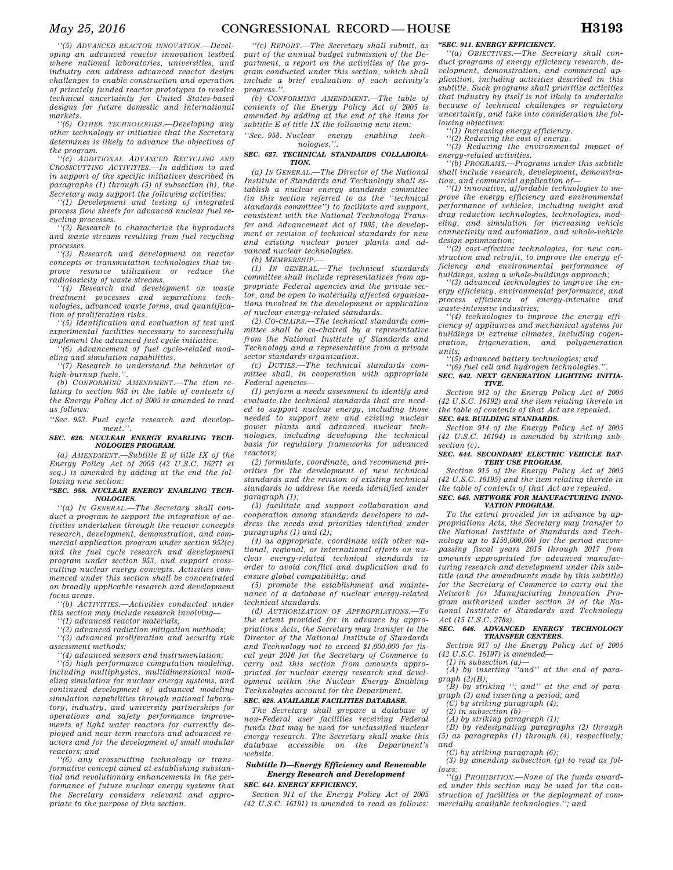*''(5) ADVANCED REACTOR INNOVATION.—Developing an advanced reactor innovation testbed where national laboratories, universities, and industry can address advanced reactor design challenges to enable construction and operation of privately funded reactor prototypes to resolve technical uncertainty for United States-based designs for future domestic and international markets.* 

*''(6) OTHER TECHNOLOGIES.—Developing any other technology or initiative that the Secretary determines is likely to advance the objectives of the program.* 

*''(c) ADDITIONAL ADVANCED RECYCLING AND CROSSCUTTING ACTIVITIES.—In addition to and in support of the specific initiatives described in paragraphs (1) through (5) of subsection (b), the Secretary may support the following activities:* 

*''(1) Development and testing of integrated process flow sheets for advanced nuclear fuel recycling processes.* 

*''(2) Research to characterize the byproducts and waste streams resulting from fuel recycling processes.* 

*''(3) Research and development on reactor concepts or transmutation technologies that improve resource utilization or reduce the radiotoxicity of waste streams.* 

*''(4) Research and development on waste treatment processes and separations technologies, advanced waste forms, and quantification of proliferation risks.* 

*''(5) Identification and evaluation of test and experimental facilities necessary to successfully implement the advanced fuel cycle initiative.* 

*''(6) Advancement of fuel cycle-related modeling and simulation capabilities.* 

*''(7) Research to understand the behavior of high-burnup fuels.''.* 

*(b) CONFORMING AMENDMENT.—The item relating to section 953 in the table of contents of the Energy Policy Act of 2005 is amended to read as follows:* 

*''Sec. 953. Fuel cycle research and development.''.* 

#### *SEC. 626. NUCLEAR ENERGY ENABLING TECH-NOLOGIES PROGRAM.*

*(a) AMENDMENT.—Subtitle E of title IX of the Energy Policy Act of 2005 (42 U.S.C. 16271 et seq.) is amended by adding at the end the following new section:* 

#### *''SEC. 958. NUCLEAR ENERGY ENABLING TECH-NOLOGIES.*

*''(a) IN GENERAL.—The Secretary shall conduct a program to support the integration of activities undertaken through the reactor concepts research, development, demonstration, and commercial application program under section 952(c) and the fuel cycle research and development program under section 953, and support crosscutting nuclear energy concepts. Activities commenced under this section shall be concentrated on broadly applicable research and development focus areas.* 

*''(b) ACTIVITIES.—Activities conducted under this section may include research involving—* 

*''(1) advanced reactor materials;* 

*''(2) advanced radiation mitigation methods; ''(3) advanced proliferation and security risk* 

*assessment methods;* 

*''(4) advanced sensors and instrumentation;* 

*''(5) high performance computation modeling, including multiphysics, multidimensional modeling simulation for nuclear energy systems, and continued development of advanced modeling simulation capabilities through national laboratory, industry, and university partnerships for operations and safety performance improvements of light water reactors for currently deployed and near-term reactors and advanced reactors and for the development of small modular reactors; and* 

*''(6) any crosscutting technology or transformative concept aimed at establishing substantial and revolutionary enhancements in the performance of future nuclear energy systems that the Secretary considers relevant and appropriate to the purpose of this section.* 

*''(c) REPORT.—The Secretary shall submit, as part of the annual budget submission of the Department, a report on the activities of the program conducted under this section, which shall include a brief evaluation of each activity's progress.''.* 

*(b) CONFORMING AMENDMENT.—The table of contents of the Energy Policy Act of 2005 is amended by adding at the end of the items for subtitle E of title IX the following new item:* 

*''Sec. 958. Nuclear energy enabling technologies.''.* 

#### *SEC. 627. TECHNICAL STANDARDS COLLABORA-TION.*

*(a) IN GENERAL.—The Director of the National Institute of Standards and Technology shall establish a nuclear energy standards committee (in this section referred to as the ''technical standards committee'') to facilitate and support, consistent with the National Technology Transfer and Advancement Act of 1995, the development or revision of technical standards for new and existing nuclear power plants and advanced nuclear technologies.* 

*(b) MEMBERSHIP.—* 

*(1) IN GENERAL.—The technical standards committee shall include representatives from appropriate Federal agencies and the private sector, and be open to materially affected organizations involved in the development or application of nuclear energy-related standards.* 

*(2) CO-CHAIRS.—The technical standards committee shall be co-chaired by a representative from the National Institute of Standards and Technology and a representative from a private sector standards organization.* 

*(c) DUTIES.—The technical standards committee shall, in cooperation with appropriate Federal agencies—* 

*(1) perform a needs assessment to identify and evaluate the technical standards that are needed to support nuclear energy, including those needed to support new and existing nuclear power plants and advanced nuclear technologies, including developing the technical basis for regulatory frameworks for advanced reactors;* 

*(2) formulate, coordinate, and recommend priorities for the development of new technical standards and the revision of existing technical standards to address the needs identified under paragraph (1);* 

*(3) facilitate and support collaboration and cooperation among standards developers to address the needs and priorities identified under paragraphs (1) and (2);* 

*(4) as appropriate, coordinate with other national, regional, or international efforts on nuclear energy-related technical standards in order to avoid conflict and duplication and to ensure global compatibility; and* 

*(5) promote the establishment and maintenance of a database of nuclear energy-related technical standards.* 

*(d) AUTHORIZATION OF APPROPRIATIONS.—To the extent provided for in advance by appropriations Acts, the Secretary may transfer to the Director of the National Institute of Standards and Technology not to exceed \$1,000,000 for fiscal year 2016 for the Secretary of Commerce to carry out this section from amounts appropriated for nuclear energy research and development within the Nuclear Energy Enabling Technologies account for the Department.* 

### *SEC. 628. AVAILABLE FACILITIES DATABASE.*

*The Secretary shall prepare a database of non-Federal user facilities receiving Federal funds that may be used for unclassified nuclear energy research. The Secretary shall make this database accessible on the Department's website.* 

### *Subtitle D—Energy Efficiency and Renewable Energy Research and Development SEC. 641. ENERGY EFFICIENCY.*

*Section 911 of the Energy Policy Act of 2005 (42 U.S.C. 16191) is amended to read as follows:* 

### *''SEC. 911. ENERGY EFFICIENCY.*

*''(a) OBJECTIVES.—The Secretary shall conduct programs of energy efficiency research, development, demonstration, and commercial application, including activities described in this subtitle. Such programs shall prioritize activities that industry by itself is not likely to undertake because of technical challenges or regulatory uncertainty, and take into consideration the fol-*

*lowing objectives: ''(1) Increasing energy efficiency.* 

*''(2) Reducing the cost of energy. ''(3) Reducing the environmental impact of energy-related activities.* 

*''(b) PROGRAMS.—Programs under this subtitle shall include research, development, demonstration, and commercial application of—* 

*''(1) innovative, affordable technologies to improve the energy efficiency and environmental performance of vehicles, including weight and drag reduction technologies, technologies, modeling, and simulation for increasing vehicle connectivity and automation, and whole-vehicle design optimization;* 

*''(2) cost-effective technologies, for new construction and retrofit, to improve the energy efficiency and environmental performance of buildings, using a whole-buildings approach;* 

*''(3) advanced technologies to improve the energy efficiency, environmental performance, and process efficiency of energy-intensive and waste-intensive industries;* 

*''(4) technologies to improve the energy efficiency of appliances and mechanical systems for buildings in extreme climates, including cogeneration, trigeneration, and polygeneration units;* 

*''(5) advanced battery technologies; and* 

*''(6) fuel cell and hydrogen technologies.''. SEC. 642. NEXT GENERATION LIGHTING INITIA-TIVE.* 

*Section 912 of the Energy Policy Act of 2005 (42 U.S.C. 16192) and the item relating thereto in the table of contents of that Act are repealed. SEC. 643. BUILDING STANDARDS.* 

*Section 914 of the Energy Policy Act of 2005 (42 U.S.C. 16194) is amended by striking sub-*

#### *section (c). SEC. 644. SECONDARY ELECTRIC VEHICLE BAT-TERY USE PROGRAM.*

*Section 915 of the Energy Policy Act of 2005 (42 U.S.C. 16195) and the item relating thereto in the table of contents of that Act are repealed. SEC. 645. NETWORK FOR MANUFACTURING INNO-*

### *VATION PROGRAM.*

*To the extent provided for in advance by appropriations Acts, the Secretary may transfer to the National Institute of Standards and Technology up to \$150,000,000 for the period encompassing fiscal years 2015 through 2017 from amounts appropriated for advanced manufacturing research and development under this subtitle (and the amendments made by this subtitle) for the Secretary of Commerce to carry out the Network for Manufacturing Innovation Program authorized under section 34 of the National Institute of Standards and Technology Act (15 U.S.C. 278s).* 

### *SEC. 646. ADVANCED ENERGY TECHNOLOGY TRANSFER CENTERS.*

*Section 917 of the Energy Policy Act of 2005 (42 U.S.C. 16197) is amended—* 

*(1) in subsection (a)—* 

*(A) by inserting ''and'' at the end of paragraph (2)(B);* 

*(B) by striking ''; and'' at the end of paragraph (3) and inserting a period; and* 

*(C) by striking paragraph (4);* 

*(2) in subsection (b)—* 

*(A) by striking paragraph (1);* 

*(B) by redesignating paragraphs (2) through (5) as paragraphs (1) through (4), respectively; and* 

*(C) by striking paragraph (6); (3) by amending subsection (g) to read as follows:* 

*''(g) PROHIBITION.—None of the funds awarded under this section may be used for the construction of facilities or the deployment of commercially available technologies.''; and*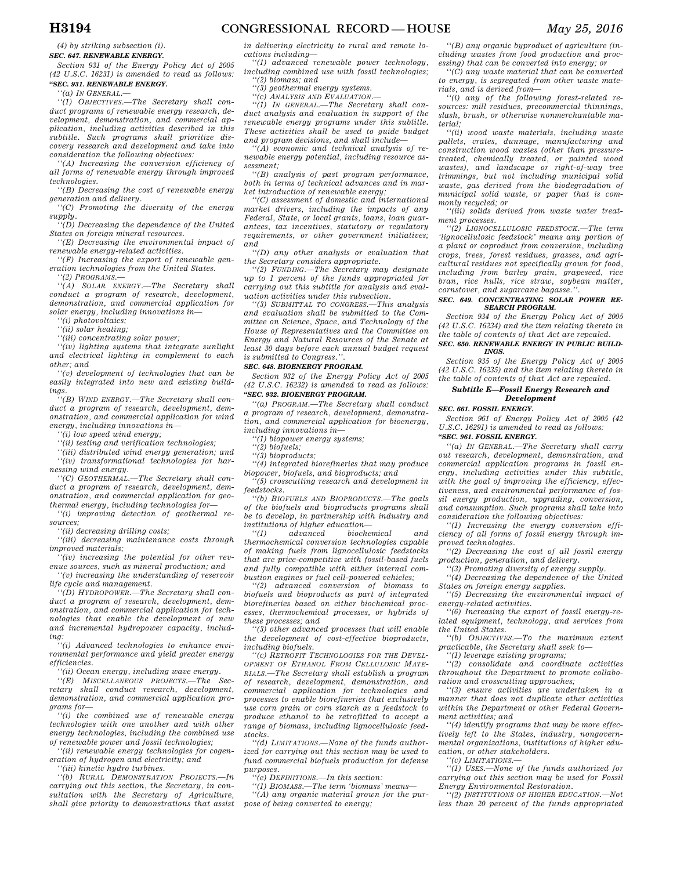*(4) by striking subsection (i). SEC. 647. RENEWABLE ENERGY.* 

*Section 931 of the Energy Policy Act of 2005 (42 U.S.C. 16231) is amended to read as follows:* 

*''SEC. 931. RENEWABLE ENERGY.* 

*''(a) IN GENERAL.—* 

*''(1) OBJECTIVES.—The Secretary shall conduct programs of renewable energy research, development, demonstration, and commercial application, including activities described in this subtitle. Such programs shall prioritize discovery research and development and take into consideration the following objectives:* 

*''(A) Increasing the conversion efficiency of all forms of renewable energy through improved technologies.* 

*''(B) Decreasing the cost of renewable energy generation and delivery.* 

*''(C) Promoting the diversity of the energy supply.* 

*''(D) Decreasing the dependence of the United States on foreign mineral resources.* 

*''(E) Decreasing the environmental impact of renewable energy-related activities.* 

*''(F) Increasing the export of renewable generation technologies from the United States.* 

*''(2) PROGRAMS.—* 

*''(A) SOLAR ENERGY.—The Secretary shall conduct a program of research, development, demonstration, and commercial application for solar energy, including innovations in—* 

*''(i) photovoltaics;* 

*''(ii) solar heating;* 

*''(iii) concentrating solar power;* 

*''(iv) lighting systems that integrate sunlight and electrical lighting in complement to each other; and* 

*''(v) development of technologies that can be easily integrated into new and existing buildings.* 

*''(B) WIND ENERGY.—The Secretary shall conduct a program of research, development, demonstration, and commercial application for wind energy, including innovations in—* 

*''(i) low speed wind energy;* 

*''(ii) testing and verification technologies;* 

*''(iii) distributed wind energy generation; and ''(iv) transformational technologies for harnessing wind energy.* 

*''(C) GEOTHERMAL.—The Secretary shall conduct a program of research, development, demonstration, and commercial application for geothermal energy, including technologies for—* 

*''(i) improving detection of geothermal resources;* 

*''(ii) decreasing drilling costs;* 

*''(iii) decreasing maintenance costs through improved materials;* 

*''(iv) increasing the potential for other revenue sources, such as mineral production; and ''(v) increasing the understanding of reservoir* 

*life cycle and management. ''(D) HYDROPOWER.—The Secretary shall con-*

*duct a program of research, development, demonstration, and commercial application for technologies that enable the development of new and incremental hydropower capacity, including:* 

*''(i) Advanced technologies to enhance environmental performance and yield greater energy efficiencies.* 

*''(ii) Ocean energy, including wave energy.* 

*''(E) MISCELLANEOUS PROJECTS.—The Secretary shall conduct research, development, demonstration, and commercial application programs for—* 

*''(i) the combined use of renewable energy technologies with one another and with other energy technologies, including the combined use of renewable power and fossil technologies;* 

*''(ii) renewable energy technologies for cogeneration of hydrogen and electricity; and* 

*''(iii) kinetic hydro turbines.* 

*''(b) RURAL DEMONSTRATION PROJECTS.—In carrying out this section, the Secretary, in consultation with the Secretary of Agriculture, shall give priority to demonstrations that assist*  *in delivering electricity to rural and remote locations including—* 

*''(1) advanced renewable power technology, including combined use with fossil technologies; ''(2) biomass; and* 

*''(3) geothermal energy systems.* 

*''(c) ANALYSIS AND EVALUATION.—* 

*''(1) IN GENERAL.—The Secretary shall conduct analysis and evaluation in support of the renewable energy programs under this subtitle. These activities shall be used to guide budget and program decisions, and shall include—* 

*''(A) economic and technical analysis of renewable energy potential, including resource assessment;* 

*''(B) analysis of past program performance, both in terms of technical advances and in market introduction of renewable energy;* 

*''(C) assessment of domestic and international market drivers, including the impacts of any Federal, State, or local grants, loans, loan guarantees, tax incentives, statutory or regulatory requirements, or other government initiatives; and* 

*''(D) any other analysis or evaluation that the Secretary considers appropriate.* 

*''(2) FUNDING.—The Secretary may designate up to 1 percent of the funds appropriated for carrying out this subtitle for analysis and evaluation activities under this subsection.* 

*''(3) SUBMITTAL TO CONGRESS.—This analysis and evaluation shall be submitted to the Committee on Science, Space, and Technology of the House of Representatives and the Committee on Energy and Natural Resources of the Senate at least 30 days before each annual budget request is submitted to Congress.''.* 

### *SEC. 648. BIOENERGY PROGRAM.*

*Section 932 of the Energy Policy Act of 2005 (42 U.S.C. 16232) is amended to read as follows: ''SEC. 932. BIOENERGY PROGRAM.* 

*''(a) PROGRAM.—The Secretary shall conduct a program of research, development, demonstration, and commercial application for bioenergy, including innovations in—* 

*''(1) biopower energy systems;* 

*''(2) biofuels;* 

*''(3) bioproducts;* 

*''(4) integrated biorefineries that may produce biopower, biofuels, and bioproducts; and* 

*''(5) crosscutting research and development in feedstocks.* 

*''(b) BIOFUELS AND BIOPRODUCTS.—The goals of the biofuels and bioproducts programs shall be to develop, in partnership with industry and institutions of higher education—* 

*''(1) advanced biochemical and thermochemical conversion technologies capable of making fuels from lignocellulosic feedstocks that are price-competitive with fossil-based fuels and fully compatible with either internal combustion engines or fuel cell-powered vehicles;* 

*''(2) advanced conversion of biomass to biofuels and bioproducts as part of integrated biorefineries based on either biochemical processes, thermochemical processes, or hybrids of these processes; and* 

*''(3) other advanced processes that will enable the development of cost-effective bioproducts, including biofuels.* 

*''(c) RETROFIT TECHNOLOGIES FOR THE DEVEL-OPMENT OF ETHANOL FROM CELLULOSIC MATE-RIALS.—The Secretary shall establish a program of research, development, demonstration, and commercial application for technologies and processes to enable biorefineries that exclusively use corn grain or corn starch as a feedstock to produce ethanol to be retrofitted to accept a range of biomass, including lignocellulosic feedstocks.* 

*''(d) LIMITATIONS.—None of the funds authorized for carrying out this section may be used to fund commercial biofuels production for defense purposes.* 

*''(e) DEFINITIONS.—In this section:* 

*''(1) BIOMASS.—The term 'biomass' means— ''(A) any organic material grown for the purpose of being converted to energy;* 

*''(B) any organic byproduct of agriculture (including wastes from food production and processing) that can be converted into energy; or* 

*''(C) any waste material that can be converted to energy, is segregated from other waste materials, and is derived from—* 

*''(i) any of the following forest-related resources: mill residues, precommercial thinnings, slash, brush, or otherwise nonmerchantable material;* 

*''(ii) wood waste materials, including waste pallets, crates, dunnage, manufacturing and construction wood wastes (other than pressuretreated, chemically treated, or painted wood wastes), and landscape or right-of-way tree trimmings, but not including municipal solid waste, gas derived from the biodegradation of municipal solid waste, or paper that is commonly recycled; or* 

*''(iii) solids derived from waste water treatment processes.* 

*''(2) LIGNOCELLULOSIC FEEDSTOCK.—The term 'lignocellulosic feedstock' means any portion of a plant or coproduct from conversion, including crops, trees, forest residues, grasses, and agricultural residues not specifically grown for food, including from barley grain, grapeseed, rice bran, rice hulls, rice straw, soybean matter, cornstover, and sugarcane bagasse.''.* 

#### *SEC. 649. CONCENTRATING SOLAR POWER RE-SEARCH PROGRAM.*

*Section 934 of the Energy Policy Act of 2005 (42 U.S.C. 16234) and the item relating thereto in the table of contents of that Act are repealed. SEC. 650. RENEWABLE ENERGY IN PUBLIC BUILD-*

*INGS.* 

*Section 935 of the Energy Policy Act of 2005 (42 U.S.C. 16235) and the item relating thereto in the table of contents of that Act are repealed.* 

# *Subtitle E—Fossil Energy Research and*

*Development* 

*SEC. 661. FOSSIL ENERGY.* 

*Section 961 of Energy Policy Act of 2005 (42 U.S.C. 16291) is amended to read as follows: ''SEC. 961. FOSSIL ENERGY.* 

*''(a) IN GENERAL.—The Secretary shall carry out research, development, demonstration, and commercial application programs in fossil energy, including activities under this subtitle, with the goal of improving the efficiency, effectiveness, and environmental performance of fossil energy production, upgrading, conversion, and consumption. Such programs shall take into consideration the following objectives:* 

*''(1) Increasing the energy conversion efficiency of all forms of fossil energy through improved technologies.* 

*''(2) Decreasing the cost of all fossil energy production, generation, and delivery.* 

*''(3) Promoting diversity of energy supply.* 

*''(4) Decreasing the dependence of the United States on foreign energy supplies.* 

*''(5) Decreasing the environmental impact of energy-related activities.* 

*''(6) Increasing the export of fossil energy-related equipment, technology, and services from the United States.* 

*''(b) OBJECTIVES.—To the maximum extent practicable, the Secretary shall seek to—* 

*''(1) leverage existing programs;* 

*''(2) consolidate and coordinate activities throughout the Department to promote collaboration and crosscutting approaches;* 

*''(3) ensure activities are undertaken in a manner that does not duplicate other activities within the Department or other Federal Government activities; and* 

*''(4) identify programs that may be more effectively left to the States, industry, nongovernmental organizations, institutions of higher education, or other stakeholders.* 

*''(c) LIMITATIONS.—* 

*''(1) USES.—None of the funds authorized for carrying out this section may be used for Fossil Energy Environmental Restoration.* 

*''(2) INSTITUTIONS OF HIGHER EDUCATION.—Not less than 20 percent of the funds appropriated*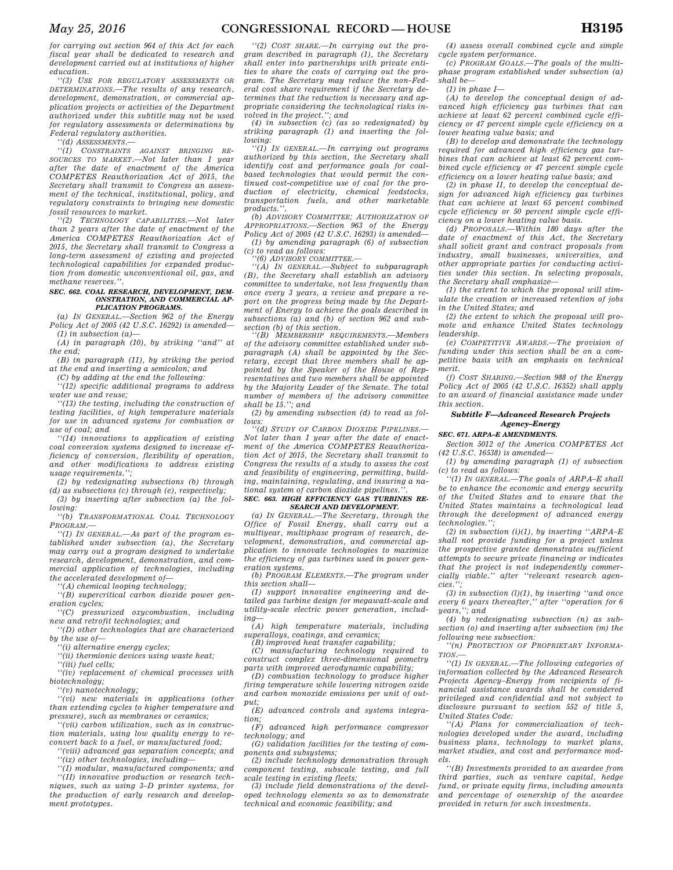*for carrying out section 964 of this Act for each fiscal year shall be dedicated to research and development carried out at institutions of higher education.* 

*''(3) USE FOR REGULATORY ASSESSMENTS OR DETERMINATIONS.—The results of any research, development, demonstration, or commercial application projects or activities of the Department authorized under this subtitle may not be used for regulatory assessments or determinations by Federal regulatory authorities.* 

*''(d) ASSESSMENTS.—* 

*''(1) CONSTRAINTS AGAINST BRINGING RE-SOURCES TO MARKET.—Not later than 1 year after the date of enactment of the America COMPETES Reauthorization Act of 2015, the Secretary shall transmit to Congress an assessment of the technical, institutional, policy, and regulatory constraints to bringing new domestic fossil resources to market.* 

*''(2) TECHNOLOGY CAPABILITIES.—Not later than 2 years after the date of enactment of the America COMPETES Reauthorization Act of 2015, the Secretary shall transmit to Congress a long-term assessment of existing and projected technological capabilities for expanded production from domestic unconventional oil, gas, and methane reserves.''.* 

#### SEC. 662. COAL RESEARCH, DEVELOPMENT, DEM. *ONSTRATION, AND COMMERCIAL AP-PLICATION PROGRAMS.*

*(a) IN GENERAL.—Section 962 of the Energy Policy Act of 2005 (42 U.S.C. 16292) is amended— (1) in subsection (a)—* 

*(A) in paragraph (10), by striking ''and'' at the end;* 

*(B) in paragraph (11), by striking the period at the end and inserting a semicolon; and* 

*(C) by adding at the end the following: ''(12) specific additional programs to address water use and reuse;* 

*''(13) the testing, including the construction of testing facilities, of high temperature materials for use in advanced systems for combustion or use of coal; and* 

*''(14) innovations to application of existing coal conversion systems designed to increase efficiency of conversion, flexibility of operation, and other modifications to address existing usage requirements.'';* 

*(2) by redesignating subsections (b) through (d) as subsections (c) through (e), respectively;* 

*(3) by inserting after subsection (a) the following:* 

*''(b) TRANSFORMATIONAL COAL TECHNOLOGY PROGRAM.—* 

*''(1) IN GENERAL.—As part of the program established under subsection (a), the Secretary may carry out a program designed to undertake research, development, demonstration, and commercial application of technologies, including the accelerated development of—* 

*''(A) chemical looping technology;* 

*''(B) supercritical carbon dioxide power generation cycles;* 

*''(C) pressurized oxycombustion, including new and retrofit technologies; and* 

*''(D) other technologies that are characterized by the use of—* 

*''(i) alternative energy cycles;* 

*''(ii) thermionic devices using waste heat;* 

*''(iii) fuel cells;* 

*''(iv) replacement of chemical processes with biotechnology;* 

*''(v) nanotechnology;* 

*''(vi) new materials in applications (other than extending cycles to higher temperature and pressure), such as membranes or ceramics;* 

*''(vii) carbon utilization, such as in construction materials, using low quality energy to reconvert back to a fuel, or manufactured food;* 

*''(viii) advanced gas separation concepts; and ''(ix) other technologies, including—* 

*''(I) modular, manufactured components; and* 

*''(II) innovative production or research techniques, such as using 3–D printer systems, for the production of early research and development prototypes.* 

*''(2) COST SHARE.—In carrying out the program described in paragraph (1), the Secretary shall enter into partnerships with private entities to share the costs of carrying out the program. The Secretary may reduce the non-Federal cost share requirement if the Secretary determines that the reduction is necessary and appropriate considering the technological risks in-volved in the project.''; and (4) in subsection (c) (as so redesignated) by* 

*striking paragraph (1) and inserting the fol-*

*lowing: ''(1) IN GENERAL.—In carrying out programs authorized by this section, the Secretary shall identify cost and performance goals for coalbased technologies that would permit the continued cost-competitive use of coal for the production of electricity, chemical feedstocks, transportation fuels, and other marketable products.''.* 

*(b) ADVISORY COMMITTEE; AUTHORIZATION OF APPROPRIATIONS.—Section 963 of the Energy Policy Act of 2005 (42 U.S.C. 16293) is amended— (1) by amending paragraph (6) of subsection* 

*(c) to read as follows: ''(6) ADVISORY COMMITTEE.—* 

*''(A) IN GENERAL.—Subject to subparagraph (B), the Secretary shall establish an advisory committee to undertake, not less frequently than once every 3 years, a review and prepare a report on the progress being made by the Department of Energy to achieve the goals described in subsections (a) and (b) of section 962 and subsection (b) of this section.* 

*''(B) MEMBERSHIP REQUIREMENTS.—Members of the advisory committee established under subparagraph (A) shall be appointed by the Secretary, except that three members shall be appointed by the Speaker of the House of Representatives and two members shall be appointed by the Majority Leader of the Senate. The total number of members of the advisory committee shall be 15.''; and* 

*(2) by amending subsection (d) to read as follows:* 

*''(d) STUDY OF CARBON DIOXIDE PIPELINES.— Not later than 1 year after the date of enactment of the America COMPETES Reauthorization Act of 2015, the Secretary shall transmit to Congress the results of a study to assess the cost and feasibility of engineering, permitting, building, maintaining, regulating, and insuring a national system of carbon dioxide pipelines.''.* 

### *SEC. 663. HIGH EFFICIENCY GAS TURBINES RE-SEARCH AND DEVELOPMENT.*

*(a) IN GENERAL.—The Secretary, through the Office of Fossil Energy, shall carry out a multiyear, multiphase program of research, development, demonstration, and commercial application to innovate technologies to maximize the efficiency of gas turbines used in power generation systems.* 

*(b) PROGRAM ELEMENTS.—The program under this section shall—* 

*(1) support innovative engineering and detailed gas turbine design for megawatt-scale and utility-scale electric power generation, including—* 

*(A) high temperature materials, including superalloys, coatings, and ceramics;* 

*(B) improved heat transfer capability;* 

*(C) manufacturing technology required to construct complex three-dimensional geometry parts with improved aerodynamic capability;* 

*(D) combustion technology to produce higher firing temperature while lowering nitrogen oxide and carbon monoxide emissions per unit of output;* 

*(E) advanced controls and systems integration;* 

*(F) advanced high performance compressor technology; and* 

*(G) validation facilities for the testing of components and subsystems;* 

*(2) include technology demonstration through component testing, subscale testing, and full scale testing in existing fleets;* 

*(3) include field demonstrations of the developed technology elements so as to demonstrate technical and economic feasibility; and* 

*(4) assess overall combined cycle and simple cycle system performance.* 

*(c) PROGRAM GOALS.—The goals of the multiphase program established under subsection (a) shall be—* 

*(1) in phase I—* 

*(A) to develop the conceptual design of advanced high efficiency gas turbines that can achieve at least 62 percent combined cycle efficiency or 47 percent simple cycle efficiency on a lower heating value basis; and* 

*(B) to develop and demonstrate the technology required for advanced high efficiency gas turbines that can achieve at least 62 percent combined cycle efficiency or 47 percent simple cycle efficiency on a lower heating value basis; and* 

*(2) in phase II, to develop the conceptual design for advanced high efficiency gas turbines that can achieve at least 65 percent combined cycle efficiency or 50 percent simple cycle efficiency on a lower heating value basis.* 

*(d) PROPOSALS.—Within 180 days after the date of enactment of this Act, the Secretary shall solicit grant and contract proposals from industry, small businesses, universities, and other appropriate parties for conducting activities under this section. In selecting proposals, the Secretary shall emphasize—* 

*(1) the extent to which the proposal will stimulate the creation or increased retention of jobs in the United States; and* 

*(2) the extent to which the proposal will promote and enhance United States technology leadership.* 

*(e) COMPETITIVE AWARDS.—The provision of funding under this section shall be on a competitive basis with an emphasis on technical merit.* 

*(f) COST SHARING.—Section 988 of the Energy Policy Act of 2005 (42 U.S.C. 16352) shall apply to an award of financial assistance made under this section.* 

### *Subtitle F—Advanced Research Projects Agency–Energy*

### *SEC. 671. ARPA–E AMENDMENTS.*

*Section 5012 of the America COMPETES Act (42 U.S.C. 16538) is amended—* 

*(1) by amending paragraph (1) of subsection (c) to read as follows:* 

*''(1) IN GENERAL.—The goals of ARPA–E shall be to enhance the economic and energy security of the United States and to ensure that the United States maintains a technological lead through the development of advanced energy*   $technologies.$ <sup>\*</sup>

*(2) in subsection (i)(1), by inserting ''ARPA–E shall not provide funding for a project unless the prospective grantee demonstrates sufficient attempts to secure private financing or indicates that the project is not independently commercially viable.'' after ''relevant research agen* $cies.$ 

*(3) in subsection (l)(1), by inserting ''and once every 6 years thereafter,'' after ''operation for 6 years,''; and* 

*(4) by redesignating subsection (n) as subsection (o) and inserting after subsection (m) the following new subsection:* 

*''(n) PROTECTION OF PROPRIETARY INFORMA-TION.—* 

*''(1) IN GENERAL.—The following categories of information collected by the Advanced Research Projects Agency–Energy from recipients of financial assistance awards shall be considered privileged and confidential and not subject to disclosure pursuant to section 552 of title 5, United States Code:* 

*''(A) Plans for commercialization of technologies developed under the award, including business plans, technology to market plans, market studies, and cost and performance models.* 

*''(B) Investments provided to an awardee from third parties, such as venture capital, hedge fund, or private equity firms, including amounts and percentage of ownership of the awardee provided in return for such investments.*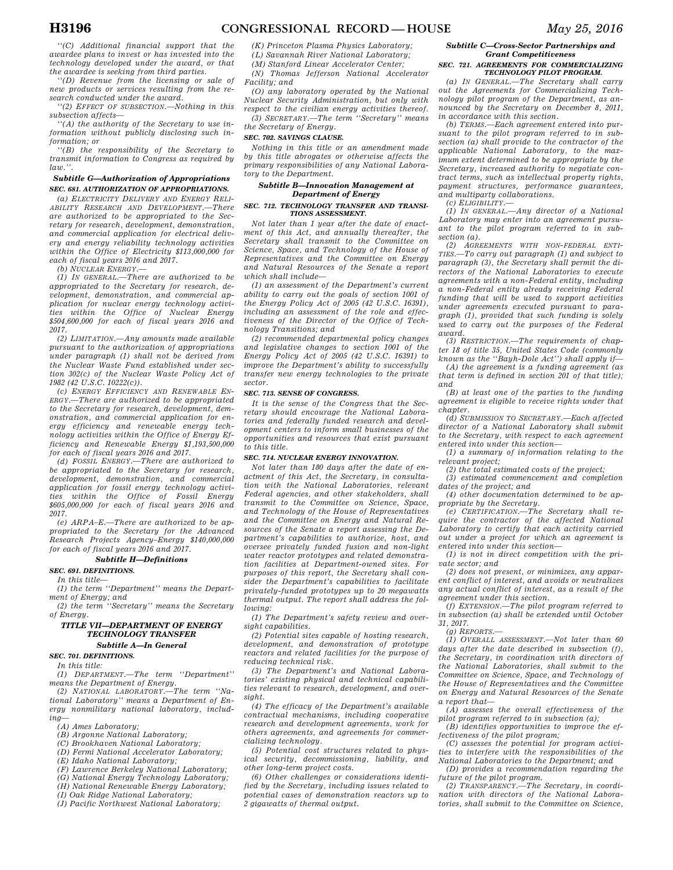*''(C) Additional financial support that the awardee plans to invest or has invested into the technology developed under the award, or that the awardee is seeking from third parties.* 

*''(D) Revenue from the licensing or sale of new products or services resulting from the research conducted under the award.* 

*''(2) EFFECT OF SUBSECTION.—Nothing in this subsection affects—* 

*''(A) the authority of the Secretary to use information without publicly disclosing such information; or* 

*''(B) the responsibility of the Secretary to transmit information to Congress as required by law.''.* 

### *Subtitle G—Authorization of Appropriations SEC. 681. AUTHORIZATION OF APPROPRIATIONS.*

*(a) ELECTRICITY DELIVERY AND ENERGY RELI-ABILITY RESEARCH AND DEVELOPMENT.—There are authorized to be appropriated to the Secretary for research, development, demonstration, and commercial application for electrical delivery and energy reliability technology activities within the Office of Electricity \$113,000,000 for each of fiscal years 2016 and 2017.* 

*(b) NUCLEAR ENERGY.—* 

*(1) IN GENERAL.—There are authorized to be appropriated to the Secretary for research, development, demonstration, and commercial application for nuclear energy technology activities within the Office of Nuclear Energy \$504,600,000 for each of fiscal years 2016 and 2017.* 

*(2) LIMITATION.—Any amounts made available pursuant to the authorization of appropriations under paragraph (1) shall not be derived from the Nuclear Waste Fund established under section 302(c) of the Nuclear Waste Policy Act of 1982 (42 U.S.C. 10222(c)).* 

*(c) ENERGY EFFICIENCY AND RENEWABLE EN-ERGY.—There are authorized to be appropriated to the Secretary for research, development, demonstration, and commercial application for energy efficiency and renewable energy technology activities within the Office of Energy Efficiency and Renewable Energy \$1,193,500,000 for each of fiscal years 2016 and 2017.* 

*(d) FOSSIL ENERGY.—There are authorized to be appropriated to the Secretary for research, development, demonstration, and commercial application for fossil energy technology activities within the Office of Fossil Energy \$605,000,000 for each of fiscal years 2016 and 2017.* 

*(e) ARPA–E.—There are authorized to be appropriated to the Secretary for the Advanced Research Projects Agency–Energy \$140,000,000 for each of fiscal years 2016 and 2017.* 

# *Subtitle H—Definitions*

### *SEC. 691. DEFINITIONS.*

*In this title—* 

*(1) the term ''Department'' means the Depart-*

*ment of Energy; and (2) the term ''Secretary'' means the Secretary of Energy.* 

# *TITLE VII—DEPARTMENT OF ENERGY TECHNOLOGY TRANSFER*

# *Subtitle A—In General*

*SEC. 701. DEFINITIONS.* 

*In this title: (1) DEPARTMENT.—The term ''Department''* 

*means the Department of Energy. (2) NATIONAL LABORATORY.—The term ''Na-*

*tional Laboratory'' means a Department of Energy nonmilitary national laboratory, including—* 

- *(A) Ames Laboratory;*
- *(B) Argonne National Laboratory;*
- *(C) Brookhaven National Laboratory;*

*(D) Fermi National Accelerator Laboratory;* 

- *(E) Idaho National Laboratory;*
- *(F) Lawrence Berkeley National Laboratory;*
- *(G) National Energy Technology Laboratory;*
- *(H) National Renewable Energy Laboratory;*
- *(I) Oak Ridge National Laboratory;*
- *(J) Pacific Northwest National Laboratory;*
- *(K) Princeton Plasma Physics Laboratory;*
- *(L) Savannah River National Laboratory;*
- *(M) Stanford Linear Accelerator Center;*

*(N) Thomas Jefferson National Accelerator Facility; and* 

*(O) any laboratory operated by the National Nuclear Security Administration, but only with respect to the civilian energy activities thereof.* 

*(3) SECRETARY.—The term ''Secretary'' means the Secretary of Energy.* 

## *SEC. 702. SAVINGS CLAUSE.*

*Nothing in this title or an amendment made by this title abrogates or otherwise affects the primary responsibilities of any National Laboratory to the Department.* 

### *Subtitle B—Innovation Management at Department of Energy*

### *SEC. 712. TECHNOLOGY TRANSFER AND TRANSI-TIONS ASSESSMENT.*

*Not later than 1 year after the date of enactment of this Act, and annually thereafter, the Secretary shall transmit to the Committee on Science, Space, and Technology of the House of Representatives and the Committee on Energy and Natural Resources of the Senate a report which shall include—* 

*(1) an assessment of the Department's current ability to carry out the goals of section 1001 of the Energy Policy Act of 2005 (42 U.S.C. 16391), including an assessment of the role and effectiveness of the Director of the Office of Technology Transitions; and* 

*(2) recommended departmental policy changes and legislative changes to section 1001 of the Energy Policy Act of 2005 (42 U.S.C. 16391) to improve the Department's ability to successfully transfer new energy technologies to the private sector.* 

#### *SEC. 713. SENSE OF CONGRESS.*

*It is the sense of the Congress that the Secretary should encourage the National Laboratories and federally funded research and development centers to inform small businesses of the opportunities and resources that exist pursuant to this title.* 

### *SEC. 714. NUCLEAR ENERGY INNOVATION.*

*Not later than 180 days after the date of enactment of this Act, the Secretary, in consultation with the National Laboratories, relevant Federal agencies, and other stakeholders, shall transmit to the Committee on Science, Space, and Technology of the House of Representatives and the Committee on Energy and Natural Resources of the Senate a report assessing the Department's capabilities to authorize, host, and oversee privately funded fusion and non-light water reactor prototypes and related demonstration facilities at Department-owned sites. For purposes of this report, the Secretary shall consider the Department's capabilities to facilitate privately-funded prototypes up to 20 megawatts thermal output. The report shall address the following:* 

*(1) The Department's safety review and oversight capabilities.* 

*(2) Potential sites capable of hosting research, development, and demonstration of prototype reactors and related facilities for the purpose of reducing technical risk.* 

*(3) The Department's and National Laboratories' existing physical and technical capabilities relevant to research, development, and oversight.* 

*(4) The efficacy of the Department's available contractual mechanisms, including cooperative research and development agreements, work for others agreements, and agreements for commercializing technology.* 

*(5) Potential cost structures related to physical security, decommissioning, liability, and other long-term project costs.* 

*(6) Other challenges or considerations identified by the Secretary, including issues related to potential cases of demonstration reactors up to 2 gigawatts of thermal output.* 

### *Subtitle C—Cross-Sector Partnerships and Grant Competitiveness*

#### *SEC. 721. AGREEMENTS FOR COMMERCIALIZING TECHNOLOGY PILOT PROGRAM.*

*(a) IN GENERAL.—The Secretary shall carry out the Agreements for Commercializing Technology pilot program of the Department, as announced by the Secretary on December 8, 2011, in accordance with this section.* 

*(b) TERMS.—Each agreement entered into pursuant to the pilot program referred to in subsection (a) shall provide to the contractor of the applicable National Laboratory, to the maximum extent determined to be appropriate by the Secretary, increased authority to negotiate contract terms, such as intellectual property rights, payment structures, performance guarantees, and multiparty collaborations.* 

*(c) ELIGIBILITY.—* 

*(1) IN GENERAL.—Any director of a National Laboratory may enter into an agreement pursuant to the pilot program referred to in subsection (a).* 

*(2) AGREEMENTS WITH NON-FEDERAL ENTI-TIES.—To carry out paragraph (1) and subject to paragraph (3), the Secretary shall permit the directors of the National Laboratories to execute agreements with a non-Federal entity, including a non-Federal entity already receiving Federal funding that will be used to support activities under agreements executed pursuant to paragraph (1), provided that such funding is solely used to carry out the purposes of the Federal award.* 

*(3) RESTRICTION.—The requirements of chapter 18 of title 35, United States Code (commonly known as the ''Bayh-Dole Act'') shall apply if—* 

*(A) the agreement is a funding agreement (as that term is defined in section 201 of that title); and* 

*(B) at least one of the parties to the funding agreement is eligible to receive rights under that chapter.* 

*(d) SUBMISSION TO SECRETARY.—Each affected director of a National Laboratory shall submit to the Secretary, with respect to each agreement entered into under this section—* 

*(1) a summary of information relating to the relevant project;* 

*(2) the total estimated costs of the project; (3) estimated commencement and completion* 

*dates of the project; and (4) other documentation determined to be ap-*

*propriate by the Secretary.* 

*(e) CERTIFICATION.—The Secretary shall require the contractor of the affected National Laboratory to certify that each activity carried out under a project for which an agreement is entered into under this section—* 

*(1) is not in direct competition with the private sector; and* 

*(2) does not present, or minimizes, any apparent conflict of interest, and avoids or neutralizes any actual conflict of interest, as a result of the agreement under this section.* 

*(f) EXTENSION.—The pilot program referred to in subsection (a) shall be extended until October 31, 2017.* 

*(g) REPORTS.—* 

*(1) OVERALL ASSESSMENT.—Not later than 60 days after the date described in subsection (f), the Secretary, in coordination with directors of the National Laboratories, shall submit to the Committee on Science, Space, and Technology of the House of Representatives and the Committee on Energy and Natural Resources of the Senate a report that—* 

*(A) assesses the overall effectiveness of the pilot program referred to in subsection (a);* 

*(B) identifies opportunities to improve the effectiveness of the pilot program;* 

*(C) assesses the potential for program activities to interfere with the responsibilities of the National Laboratories to the Department; and (D) provides a recommendation regarding the* 

*future of the pilot program. (2) TRANSPARENCY.—The Secretary, in coordination with directors of the National Laboratories, shall submit to the Committee on Science,*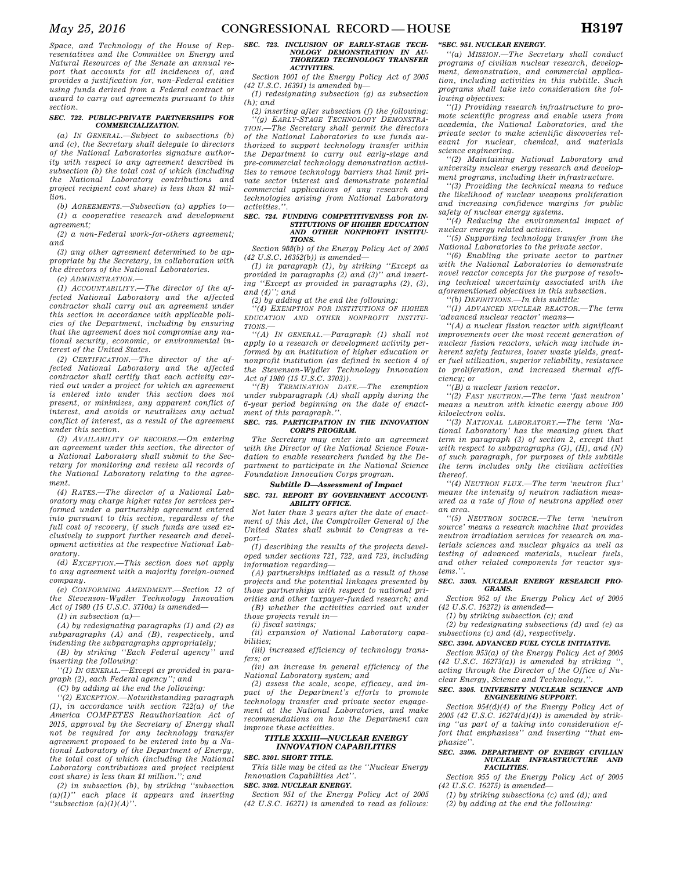*Space, and Technology of the House of Representatives and the Committee on Energy and Natural Resources of the Senate an annual report that accounts for all incidences of, and provides a justification for, non-Federal entities using funds derived from a Federal contract or award to carry out agreements pursuant to this section.* 

#### *SEC. 722. PUBLIC-PRIVATE PARTNERSHIPS FOR COMMERCIALIZATION.*

*(a) IN GENERAL.—Subject to subsections (b) and (c), the Secretary shall delegate to directors of the National Laboratories signature authority with respect to any agreement described in subsection (b) the total cost of which (including the National Laboratory contributions and project recipient cost share) is less than \$1 million.* 

*(b) AGREEMENTS.—Subsection (a) applies to— (1) a cooperative research and development agreement;* 

*(2) a non-Federal work-for-others agreement; and* 

*(3) any other agreement determined to be appropriate by the Secretary, in collaboration with the directors of the National Laboratories.* 

*(c) ADMINISTRATION.—* 

*(1) ACCOUNTABILITY.—The director of the affected National Laboratory and the affected contractor shall carry out an agreement under this section in accordance with applicable policies of the Department, including by ensuring that the agreement does not compromise any national security, economic, or environmental interest of the United States.* 

*(2) CERTIFICATION.—The director of the affected National Laboratory and the affected contractor shall certify that each activity carried out under a project for which an agreement is entered into under this section does not present, or minimizes, any apparent conflict of interest, and avoids or neutralizes any actual conflict of interest, as a result of the agreement under this section.* 

*(3) AVAILABILITY OF RECORDS.—On entering an agreement under this section, the director of a National Laboratory shall submit to the Secretary for monitoring and review all records of the National Laboratory relating to the agreement.* 

*(4) RATES.—The director of a National Laboratory may charge higher rates for services performed under a partnership agreement entered into pursuant to this section, regardless of the full cost of recovery, if such funds are used exclusively to support further research and development activities at the respective National Laboratory.* 

*(d) EXCEPTION.—This section does not apply to any agreement with a majority foreign-owned company.* 

*(e) CONFORMING AMENDMENT.—Section 12 of the Stevenson-Wydler Technology Innovation Act of 1980 (15 U.S.C. 3710a) is amended—* 

*(1) in subsection (a)—* 

*(A) by redesignating paragraphs (1) and (2) as subparagraphs (A) and (B), respectively, and indenting the subparagraphs appropriately;* 

*(B) by striking ''Each Federal agency'' and inserting the following:* 

*''(1) IN GENERAL.—Except as provided in paragraph (2), each Federal agency''; and* 

*(C) by adding at the end the following:* 

*''(2) EXCEPTION.—Notwithstanding paragraph (1), in accordance with section 722(a) of the America COMPETES Reauthorization Act of 2015, approval by the Secretary of Energy shall not be required for any technology transfer agreement proposed to be entered into by a National Laboratory of the Department of Energy, the total cost of which (including the National Laboratory contributions and project recipient cost share) is less than \$1 million.''; and* 

*(2) in subsection (b), by striking ''subsection (a)(1)'' each place it appears and inserting ''subsection (a)(1)(A)''.* 

#### *SEC. 723. INCLUSION OF EARLY-STAGE TECH-NOLOGY DEMONSTRATION IN AU-THORIZED TECHNOLOGY TRANSFER ACTIVITIES.*

*Section 1001 of the Energy Policy Act of 2005 (42 U.S.C. 16391) is amended by— (1) redesignating subsection (g) as subsection* 

 $(h)$ *; and (2) inserting after subsection (f) the following:* 

*''(g) EARLY-STAGE TECHNOLOGY DEMONSTRA-TION.—The Secretary shall permit the directors of the National Laboratories to use funds authorized to support technology transfer within the Department to carry out early-stage and pre-commercial technology demonstration activities to remove technology barriers that limit private sector interest and demonstrate potential commercial applications of any research and technologies arising from National Laboratory activities.''.* 

#### *SEC. 724. FUNDING COMPETITIVENESS FOR IN-STITUTIONS OF HIGHER EDUCATION AND OTHER NONPROFIT INSTITU-TIONS.*

*Section 988(b) of the Energy Policy Act of 2005 (42 U.S.C. 16352(b)) is amended—* 

*(1) in paragraph (1), by striking ''Except as provided in paragraphs (2) and (3)'' and inserting ''Except as provided in paragraphs (2), (3), and (4)''; and* 

*(2) by adding at the end the following:* 

*''(4) EXEMPTION FOR INSTITUTIONS OF HIGHER EDUCATION AND OTHER NONPROFIT INSTITU-TIONS.—* 

*''(A) IN GENERAL.—Paragraph (1) shall not apply to a research or development activity performed by an institution of higher education or nonprofit institution (as defined in section 4 of the Stevenson-Wydler Technology Innovation Act of 1980 (15 U.S.C. 3703)).* 

*''(B) TERMINATION DATE.—The exemption under subparagraph (A) shall apply during the 6-year period beginning on the date of enactment of this paragraph.''.* 

#### *SEC. 725. PARTICIPATION IN THE INNOVATION CORPS PROGRAM.*

*The Secretary may enter into an agreement with the Director of the National Science Foundation to enable researchers funded by the Department to participate in the National Science Foundation Innovation Corps program.* 

#### *Subtitle D—Assessment of Impact*

*SEC. 731. REPORT BY GOVERNMENT ACCOUNT-ABILITY OFFICE.* 

*Not later than 3 years after the date of enactment of this Act, the Comptroller General of the United States shall submit to Congress a report—* 

*(1) describing the results of the projects developed under sections 721, 722, and 723, including information regarding—* 

*(A) partnerships initiated as a result of those projects and the potential linkages presented by those partnerships with respect to national priorities and other taxpayer-funded research; and (B) whether the activities carried out under* 

*those projects result in— (i) fiscal savings;* 

*(ii) expansion of National Laboratory capabilities;* 

*(iii) increased efficiency of technology transfers; or* 

*(iv) an increase in general efficiency of the National Laboratory system; and* 

*(2) assess the scale, scope, efficacy, and impact of the Department's efforts to promote technology transfer and private sector engagement at the National Laboratories, and make recommendations on how the Department can improve these activities.* 

### *TITLE XXXIII—NUCLEAR ENERGY INNOVATION CAPABILITIES SEC. 3301. SHORT TITLE.*

*This title may be cited as the ''Nuclear Energy Innovation Capabilities Act''.* 

### *SEC. 3302. NUCLEAR ENERGY.*

*Section 951 of the Energy Policy Act of 2005 (42 U.S.C. 16271) is amended to read as follows:* 

#### *''SEC. 951. NUCLEAR ENERGY.*

*''(a) MISSION.—The Secretary shall conduct programs of civilian nuclear research, development, demonstration, and commercial application, including activities in this subtitle. Such programs shall take into consideration the following objectives:* 

*''(1) Providing research infrastructure to promote scientific progress and enable users from academia, the National Laboratories, and the private sector to make scientific discoveries relevant for nuclear, chemical, and materials science engineering.* 

*''(2) Maintaining National Laboratory and university nuclear energy research and development programs, including their infrastructure.* 

*''(3) Providing the technical means to reduce the likelihood of nuclear weapons proliferation and increasing confidence margins for public safety of nuclear energy systems.* 

*''(4) Reducing the environmental impact of nuclear energy related activities.* 

*''(5) Supporting technology transfer from the National Laboratories to the private sector.* 

*''(6) Enabling the private sector to partner with the National Laboratories to demonstrate novel reactor concepts for the purpose of resolving technical uncertainty associated with the aforementioned objectives in this subsection.* 

*''(b) DEFINITIONS.—In this subtitle:* 

*''(1) ADVANCED NUCLEAR REACTOR.—The term 'advanced nuclear reactor' means—* 

*''(A) a nuclear fission reactor with significant improvements over the most recent generation of nuclear fission reactors, which may include inherent safety features, lower waste yields, greater fuel utilization, superior reliability, resistance to proliferation, and increased thermal efficiency; or* 

*''(B) a nuclear fusion reactor.* 

*''(2) FAST NEUTRON.—The term 'fast neutron' means a neutron with kinetic energy above 100 kiloelectron volts.* 

*''(3) NATIONAL LABORATORY.—The term 'National Laboratory' has the meaning given that term in paragraph (3) of section 2, except that with respect to subparagraphs (G), (H), and (N) of such paragraph, for purposes of this subtitle the term includes only the civilian activities thereof.* 

*''(4) NEUTRON FLUX.—The term 'neutron flux' means the intensity of neutron radiation measured as a rate of flow of neutrons applied over an area.* 

*''(5) NEUTRON SOURCE.—The term 'neutron source' means a research machine that provides neutron irradiation services for research on materials sciences and nuclear physics as well as testing of advanced materials, nuclear fuels, and other related components for reactor systems.''.* 

#### *SEC. 3303. NUCLEAR ENERGY RESEARCH PRO-GRAMS.*

*Section 952 of the Energy Policy Act of 2005 (42 U.S.C. 16272) is amended—* 

*(1) by striking subsection (c); and* 

*(2) by redesignating subsections (d) and (e) as subsections (c) and (d), respectively.* 

### *SEC. 3304. ADVANCED FUEL CYCLE INITIATIVE.*

*Section 953(a) of the Energy Policy Act of 2005*   $(42 \, U.S.C. \, 16273(a))$  is amended by striking *acting through the Director of the Office of Nuclear Energy, Science and Technology,''.* 

#### *SEC. 3305. UNIVERSITY NUCLEAR SCIENCE AND ENGINEERING SUPPORT.*

*Section 954(d)(4) of the Energy Policy Act of 2005 (42 U.S.C. 16274(d)(4)) is amended by striking ''as part of a taking into consideration effort that emphasizes'' and inserting ''that emphasize''.* 

#### *SEC. 3306. DEPARTMENT OF ENERGY CIVILIAN NUCLEAR INFRASTRUCTURE AND FACILITIES.*

*Section 955 of the Energy Policy Act of 2005 (42 U.S.C. 16275) is amended—* 

*(1) by striking subsections (c) and (d); and (2) by adding at the end the following:*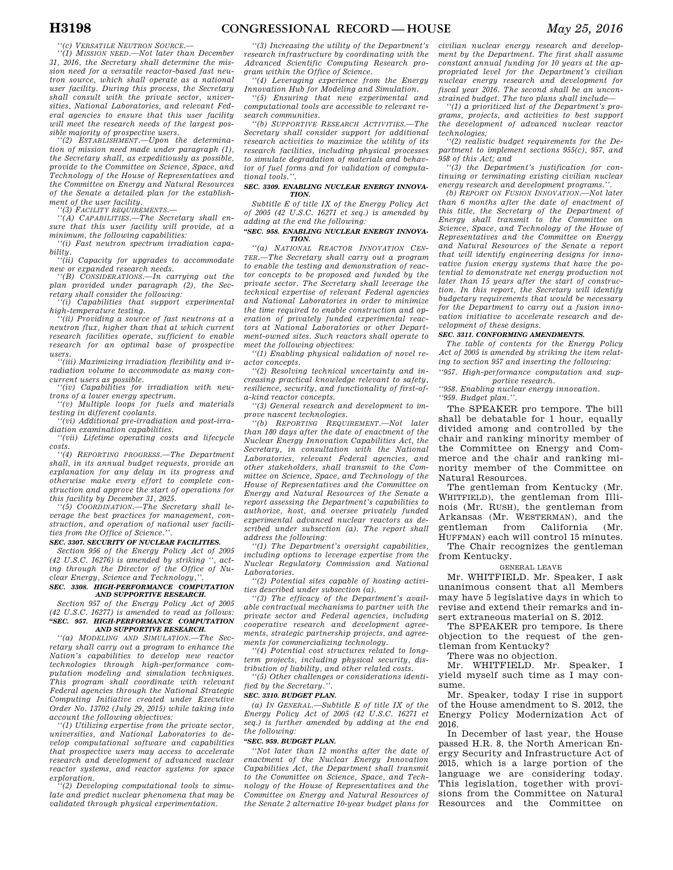*''(c) VERSATILE NEUTRON SOURCE.—* 

*''(1) MISSION NEED.—Not later than December 31, 2016, the Secretary shall determine the mission need for a versatile reactor-based fast neutron source, which shall operate as a national user facility. During this process, the Secretary shall consult with the private sector, universities, National Laboratories, and relevant Federal agencies to ensure that this user facility will meet the research needs of the largest possible majority of prospective users.* 

*''(2) ESTABLISHMENT.—Upon the determination of mission need made under paragraph (1), the Secretary shall, as expeditiously as possible, provide to the Committee on Science, Space, and Technology of the House of Representatives and the Committee on Energy and Natural Resources of the Senate a detailed plan for the establishment of the user facility. ''(3) FACILITY REQUIREMENTS.—* 

*''(A) CAPABILITIES.—The Secretary shall ensure that this user facility will provide, at a minimum, the following capabilities:* 

*''(i) Fast neutron spectrum irradiation capability.* 

*''(ii) Capacity for upgrades to accommodate new or expanded research needs.* 

*''(B) CONSIDERATIONS.—In carrying out the plan provided under paragraph (2), the Secretary shall consider the following:* 

*''(i) Capabilities that support experimental high-temperature testing.* 

*''(ii) Providing a source of fast neutrons at a neutron flux, higher than that at which current research facilities operate, sufficient to enable research for an optimal base of prospective users.* 

*''(iii) Maximizing irradiation flexibility and irradiation volume to accommodate as many concurrent users as possible.* 

*''(iv) Capabilities for irradiation with neutrons of a lower energy spectrum.* 

*''(v) Multiple loops for fuels and materials testing in different coolants.* 

*''(vi) Additional pre-irradiation and post-irradiation examination capabilities.* 

*''(vii) Lifetime operating costs and lifecycle costs.* 

*''(4) REPORTING PROGRESS.—The Department shall, in its annual budget requests, provide an explanation for any delay in its progress and otherwise make every effort to complete construction and approve the start of operations for this facility by December 31, 2025.* 

*''(5) COORDINATION.—The Secretary shall leverage the best practices for management, construction, and operation of national user facilities from the Office of Science.''.* 

### *SEC. 3307. SECURITY OF NUCLEAR FACILITIES.*

*Section 956 of the Energy Policy Act of 2005 (42 U.S.C. 16276) is amended by striking '', acting through the Director of the Office of Nuclear Energy, Science and Technology,''.* 

### *SEC. 3308. HIGH-PERFORMANCE COMPUTATION AND SUPPORTIVE RESEARCH.*

*Section 957 of the Energy Policy Act of 2005 (42 U.S.C. 16277) is amended to read as follows: ''SEC. 957. HIGH-PERFORMANCE COMPUTATION AND SUPPORTIVE RESEARCH.* 

*''(a) MODELING AND SIMULATION.—The Secretary shall carry out a program to enhance the Nation's capabilities to develop new reactor technologies through high-performance computation modeling and simulation techniques. This program shall coordinate with relevant Federal agencies through the National Strategic Computing Initiative created under Executive Order No. 13702 (July 29, 2015) while taking into account the following objectives:* 

*''(1) Utilizing expertise from the private sector, universities, and National Laboratories to develop computational software and capabilities that prospective users may access to accelerate research and development of advanced nuclear reactor systems, and reactor systems for space exploration.* 

*''(2) Developing computational tools to simulate and predict nuclear phenomena that may be validated through physical experimentation.* 

*''(3) Increasing the utility of the Department's research infrastructure by coordinating with the Advanced Scientific Computing Research program within the Office of Science.* 

*''(4) Leveraging experience from the Energy Innovation Hub for Modeling and Simulation. ''(5) Ensuring that new experimental and* 

*computational tools are accessible to relevant research communities.* 

*''(b) SUPPORTIVE RESEARCH ACTIVITIES.—The Secretary shall consider support for additional research activities to maximize the utility of its research facilities, including physical processes to simulate degradation of materials and behavior of fuel forms and for validation of computational tools.''.* 

#### *SEC. 3309. ENABLING NUCLEAR ENERGY INNOVA-TION.*

*Subtitle E of title IX of the Energy Policy Act of 2005 (42 U.S.C. 16271 et seq.) is amended by adding at the end the following:* 

#### *''SEC. 958. ENABLING NUCLEAR ENERGY INNOVA-TION.*

*''(a) NATIONAL REACTOR INNOVATION CEN-TER.—The Secretary shall carry out a program to enable the testing and demonstration of reactor concepts to be proposed and funded by the private sector. The Secretary shall leverage the technical expertise of relevant Federal agencies and National Laboratories in order to minimize the time required to enable construction and operation of privately funded experimental reactors at National Laboratories or other Department-owned sites. Such reactors shall operate to meet the following objectives:* 

*''(1) Enabling physical validation of novel reactor concepts.* 

*''(2) Resolving technical uncertainty and increasing practical knowledge relevant to safety, resilience, security, and functionality of first-ofa-kind reactor concepts.* 

*''(3) General research and development to improve nascent technologies.* 

*''(b) REPORTING REQUIREMENT.—Not later than 180 days after the date of enactment of the Nuclear Energy Innovation Capabilities Act, the Secretary, in consultation with the National Laboratories, relevant Federal agencies, and other stakeholders, shall transmit to the Committee on Science, Space, and Technology of the House of Representatives and the Committee on Energy and Natural Resources of the Senate a report assessing the Department's capabilities to authorize, host, and oversee privately funded experimental advanced nuclear reactors as described under subsection (a). The report shall address the following:* 

*''(1) The Department's oversight capabilities, including options to leverage expertise from the Nuclear Regulatory Commission and National Laboratories.* 

*''(2) Potential sites capable of hosting activities described under subsection (a).* 

*''(3) The efficacy of the Department's available contractual mechanisms to partner with the private sector and Federal agencies, including cooperative research and development agreements, strategic partnership projects, and agreements for commercializing technology.* 

*''(4) Potential cost structures related to longterm projects, including physical security, distribution of liability, and other related costs.* 

*''(5) Other challenges or considerations identified by the Secretary.''.* 

#### *SEC. 3310. BUDGET PLAN.*

*(a) IN GENERAL.—Subtitle E of title IX of the Energy Policy Act of 2005 (42 U.S.C. 16271 et seq.) is further amended by adding at the end the following:* 

### *''SEC. 959. BUDGET PLAN.*

*''Not later than 12 months after the date of enactment of the Nuclear Energy Innovation Capabilities Act, the Department shall transmit to the Committee on Science, Space, and Technology of the House of Representatives and the Committee on Energy and Natural Resources of the Senate 2 alternative 10-year budget plans for* 

*civilian nuclear energy research and development by the Department. The first shall assume constant annual funding for 10 years at the appropriated level for the Department's civilian nuclear energy research and development for fiscal year 2016. The second shall be an unconstrained budget. The two plans shall include—* 

*''(1) a prioritized list of the Department's programs, projects, and activities to best support the development of advanced nuclear reactor technologies;* 

*''(2) realistic budget requirements for the Department to implement sections 955(c), 957, and 958 of this Act; and* 

*''(3) the Department's justification for continuing or terminating existing civilian nuclear energy research and development programs.''.* 

*(b) REPORT ON FUSION INNOVATION.—Not later than 6 months after the date of enactment of this title, the Secretary of the Department of Energy shall transmit to the Committee on Science, Space, and Technology of the House of Representatives and the Committee on Energy and Natural Resources of the Senate a report that will identify engineering designs for innovative fusion energy systems that have the potential to demonstrate net energy production not later than 15 years after the start of construction. In this report, the Secretary will identify budgetary requirements that would be necessary for the Department to carry out a fusion innovation initiative to accelerate research and development of these designs.* 

#### *SEC. 3311. CONFORMING AMENDMENTS.*

*The table of contents for the Energy Policy Act of 2005 is amended by striking the item relating to section 957 and inserting the following:* 

*''957. High-performance computation and supportive research.* 

*''958. Enabling nuclear energy innovation. ''959. Budget plan.''.* 

The SPEAKER pro tempore. The bill shall be debatable for 1 hour, equally divided among and controlled by the chair and ranking minority member of the Committee on Energy and Commerce and the chair and ranking minority member of the Committee on Natural Resources.

The gentleman from Kentucky (Mr. WHITFIELD), the gentleman from Illinois (Mr. RUSH), the gentleman from Arkansas (Mr. WESTERMAN), and the gentleman from California (Mr. HUFFMAN) each will control 15 minutes.

The Chair recognizes the gentleman from Kentucky.

### GENERAL LEAVE

Mr. WHITFIELD. Mr. Speaker, I ask unanimous consent that all Members may have 5 legislative days in which to revise and extend their remarks and insert extraneous material on S. 2012.

The SPEAKER pro tempore. Is there objection to the request of the gentleman from Kentucky?

There was no objection.

Mr. WHITFIELD. Mr. Speaker, I yield myself such time as I may consume.

Mr. Speaker, today I rise in support of the House amendment to S. 2012, the Energy Policy Modernization Act of 2016.

In December of last year, the House passed H.R. 8, the North American Energy Security and Infrastructure Act of 2015, which is a large portion of the language we are considering today. This legislation, together with provisions from the Committee on Natural Resources and the Committee on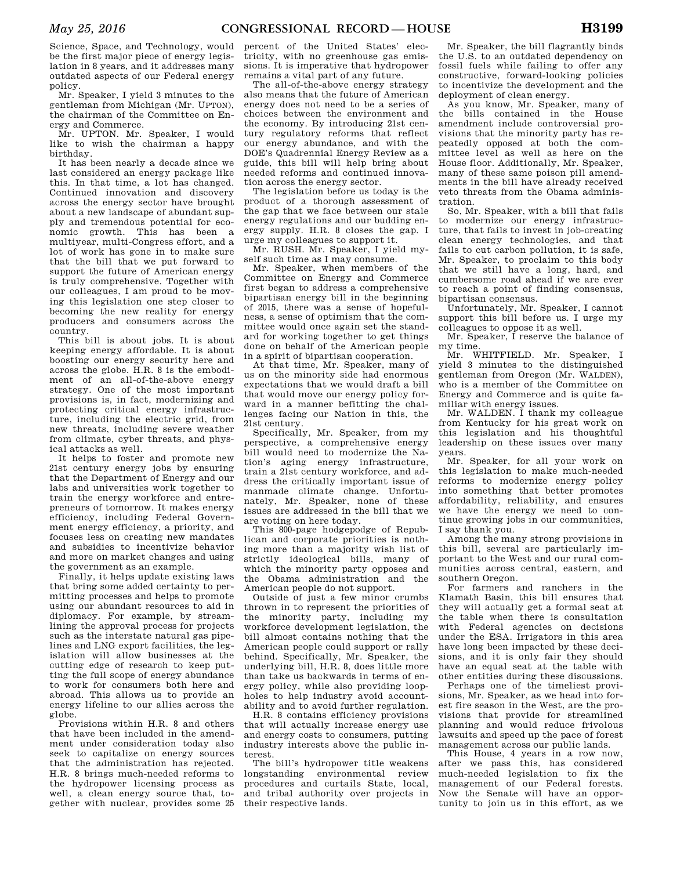Science, Space, and Technology, would be the first major piece of energy legislation in 8 years, and it addresses many outdated aspects of our Federal energy policy.

Mr. Speaker, I yield 3 minutes to the gentleman from Michigan (Mr. UPTON), the chairman of the Committee on Energy and Commerce.

Mr. UPTON. Mr. Speaker, I would like to wish the chairman a happy birthday.

It has been nearly a decade since we last considered an energy package like this. In that time, a lot has changed. Continued innovation and discovery across the energy sector have brought about a new landscape of abundant supply and tremendous potential for economic growth. This has been a multiyear, multi-Congress effort, and a lot of work has gone in to make sure that the bill that we put forward to support the future of American energy is truly comprehensive. Together with our colleagues, I am proud to be moving this legislation one step closer to becoming the new reality for energy producers and consumers across the country.

This bill is about jobs. It is about keeping energy affordable. It is about boosting our energy security here and across the globe. H.R. 8 is the embodiment of an all-of-the-above energy strategy. One of the most important provisions is, in fact, modernizing and protecting critical energy infrastructure, including the electric grid, from new threats, including severe weather from climate, cyber threats, and physical attacks as well.

It helps to foster and promote new 21st century energy jobs by ensuring that the Department of Energy and our labs and universities work together to train the energy workforce and entrepreneurs of tomorrow. It makes energy efficiency, including Federal Government energy efficiency, a priority, and focuses less on creating new mandates and subsidies to incentivize behavior and more on market changes and using the government as an example.

Finally, it helps update existing laws that bring some added certainty to permitting processes and helps to promote using our abundant resources to aid in diplomacy. For example, by streamlining the approval process for projects such as the interstate natural gas pipelines and LNG export facilities, the legislation will allow businesses at the cutting edge of research to keep putting the full scope of energy abundance to work for consumers both here and abroad. This allows us to provide an energy lifeline to our allies across the globe.

Provisions within H.R. 8 and others that have been included in the amendment under consideration today also seek to capitalize on energy sources that the administration has rejected. H.R. 8 brings much-needed reforms to the hydropower licensing process as well, a clean energy source that, together with nuclear, provides some 25 percent of the United States' electricity, with no greenhouse gas emissions. It is imperative that hydropower remains a vital part of any future.

The all-of-the-above energy strategy also means that the future of American energy does not need to be a series of choices between the environment and the economy. By introducing 21st century regulatory reforms that reflect our energy abundance, and with the DOE's Quadrennial Energy Review as a guide, this bill will help bring about needed reforms and continued innovation across the energy sector.

The legislation before us today is the product of a thorough assessment of the gap that we face between our stale energy regulations and our budding energy supply. H.R. 8 closes the gap. I urge my colleagues to support it.

Mr. RUSH. Mr. Speaker, I yield myself such time as I may consume.

Mr. Speaker, when members of the Committee on Energy and Commerce first began to address a comprehensive bipartisan energy bill in the beginning of 2015, there was a sense of hopefulness, a sense of optimism that the committee would once again set the standard for working together to get things done on behalf of the American people in a spirit of bipartisan cooperation.

At that time, Mr. Speaker, many of us on the minority side had enormous expectations that we would draft a bill that would move our energy policy forward in a manner befitting the challenges facing our Nation in this, the 21st century.

Specifically, Mr. Speaker, from my perspective, a comprehensive energy bill would need to modernize the Nation's aging energy infrastructure, train a 21st century workforce, and address the critically important issue of manmade climate change. Unfortunately, Mr. Speaker, none of these issues are addressed in the bill that we are voting on here today.

This 800-page hodgepodge of Republican and corporate priorities is nothing more than a majority wish list of strictly ideological bills, many of which the minority party opposes and the Obama administration and the American people do not support.

Outside of just a few minor crumbs thrown in to represent the priorities of the minority party, including my workforce development legislation, the bill almost contains nothing that the American people could support or rally behind. Specifically, Mr. Speaker, the underlying bill, H.R. 8, does little more than take us backwards in terms of energy policy, while also providing loopholes to help industry avoid accountability and to avoid further regulation.

H.R. 8 contains efficiency provisions that will actually increase energy use and energy costs to consumers, putting industry interests above the public interest.

The bill's hydropower title weakens longstanding environmental review procedures and curtails State, local, and tribal authority over projects in their respective lands.

Mr. Speaker, the bill flagrantly binds the U.S. to an outdated dependency on fossil fuels while failing to offer any constructive, forward-looking policies to incentivize the development and the deployment of clean energy.

As you know, Mr. Speaker, many of the bills contained in the House amendment include controversial provisions that the minority party has repeatedly opposed at both the committee level as well as here on the House floor. Additionally, Mr. Speaker, many of these same poison pill amendments in the bill have already received veto threats from the Obama administration.

So, Mr. Speaker, with a bill that fails to modernize our energy infrastructure, that fails to invest in job-creating clean energy technologies, and that fails to cut carbon pollution, it is safe, Mr. Speaker, to proclaim to this body that we still have a long, hard, and cumbersome road ahead if we are ever to reach a point of finding consensus, bipartisan consensus.

Unfortunately, Mr. Speaker, I cannot support this bill before us. I urge my colleagues to oppose it as well.

Mr. Speaker, I reserve the balance of my time.

Mr. WHITFIELD. Mr. Speaker, I yield 3 minutes to the distinguished gentleman from Oregon (Mr. WALDEN), who is a member of the Committee on Energy and Commerce and is quite familiar with energy issues.

Mr. WALDEN. I thank my colleague from Kentucky for his great work on this legislation and his thoughtful leadership on these issues over many years.

Mr. Speaker, for all your work on this legislation to make much-needed reforms to modernize energy policy into something that better promotes affordability, reliability, and ensures we have the energy we need to continue growing jobs in our communities, I say thank you.

Among the many strong provisions in this bill, several are particularly important to the West and our rural communities across central, eastern, and southern Oregon.

For farmers and ranchers in the Klamath Basin, this bill ensures that they will actually get a formal seat at the table when there is consultation with Federal agencies on decisions under the ESA. Irrigators in this area have long been impacted by these decisions, and it is only fair they should have an equal seat at the table with other entities during these discussions.

Perhaps one of the timeliest provisions, Mr. Speaker, as we head into forest fire season in the West, are the provisions that provide for streamlined planning and would reduce frivolous lawsuits and speed up the pace of forest management across our public lands.

This House, 4 years in a row now, after we pass this, has considered much-needed legislation to fix the management of our Federal forests. Now the Senate will have an opportunity to join us in this effort, as we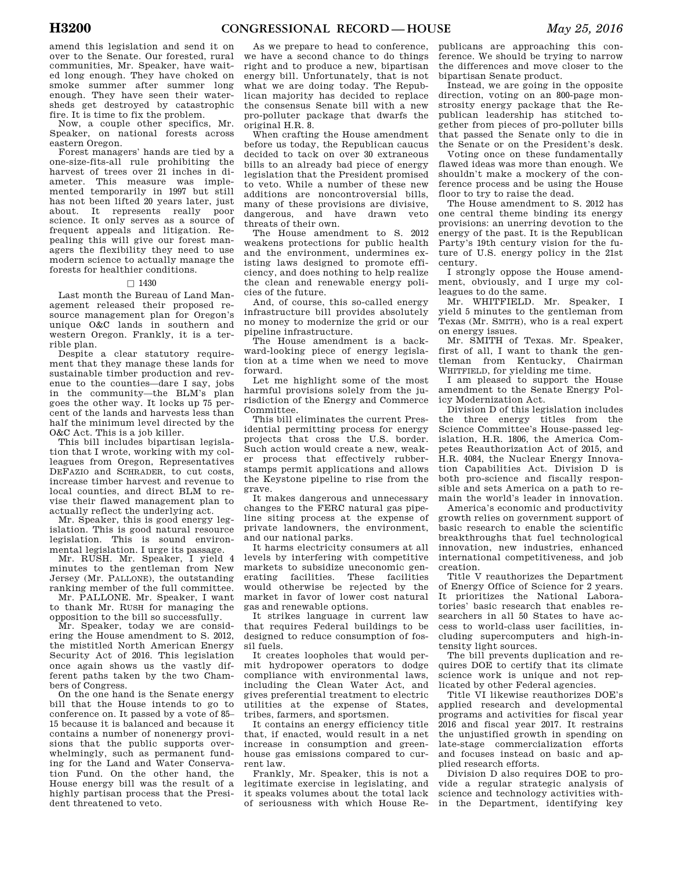amend this legislation and send it on over to the Senate. Our forested, rural communities, Mr. Speaker, have waited long enough. They have choked on smoke summer after summer long enough. They have seen their watersheds get destroyed by catastrophic fire. It is time to fix the problem.

Now, a couple other specifics, Mr. Speaker, on national forests across eastern Oregon.

Forest managers' hands are tied by a one-size-fits-all rule prohibiting the harvest of trees over 21 inches in diameter. This measure was implemented temporarily in 1997 but still has not been lifted 20 years later, just about. It represents really poor science. It only serves as a source of frequent appeals and litigation. Repealing this will give our forest managers the flexibility they need to use modern science to actually manage the forests for healthier conditions.

### $\Box$  1430

Last month the Bureau of Land Management released their proposed resource management plan for Oregon's unique O&C lands in southern and western Oregon. Frankly, it is a terrible plan.

Despite a clear statutory requirement that they manage these lands for sustainable timber production and revenue to the counties—dare I say, jobs in the community—the BLM's plan goes the other way. It locks up 75 percent of the lands and harvests less than half the minimum level directed by the O&C Act. This is a job killer.

This bill includes bipartisan legislation that I wrote, working with my colleagues from Oregon, Representatives DEFAZIO and SCHRADER, to cut costs, increase timber harvest and revenue to local counties, and direct BLM to revise their flawed management plan to actually reflect the underlying act.

Mr. Speaker, this is good energy legislation. This is good natural resource legislation. This is sound environmental legislation. I urge its passage.

Mr. RUSH. Mr. Speaker, I yield 4 minutes to the gentleman from New Jersey (Mr. PALLONE), the outstanding ranking member of the full committee.

Mr. PALLONE. Mr. Speaker, I want to thank Mr. RUSH for managing the opposition to the bill so successfully.

Mr. Speaker, today we are considering the House amendment to S. 2012, the mistitled North American Energy Security Act of 2016. This legislation once again shows us the vastly different paths taken by the two Chambers of Congress.

On the one hand is the Senate energy bill that the House intends to go to conference on. It passed by a vote of 85– 15 because it is balanced and because it contains a number of nonenergy provisions that the public supports overwhelmingly, such as permanent funding for the Land and Water Conservation Fund. On the other hand, the House energy bill was the result of a highly partisan process that the President threatened to veto.

As we prepare to head to conference, we have a second chance to do things right and to produce a new, bipartisan energy bill. Unfortunately, that is not what we are doing today. The Republican majority has decided to replace the consensus Senate bill with a new pro-polluter package that dwarfs the original H.R. 8.

When crafting the House amendment before us today, the Republican caucus decided to tack on over 30 extraneous bills to an already bad piece of energy legislation that the President promised to veto. While a number of these new additions are noncontroversial bills, many of these provisions are divisive, dangerous, and have drawn veto threats of their own.

The House amendment to S. 2012 weakens protections for public health and the environment, undermines existing laws designed to promote efficiency, and does nothing to help realize the clean and renewable energy policies of the future.

And, of course, this so-called energy infrastructure bill provides absolutely no money to modernize the grid or our pipeline infrastructure.

The House amendment is a backward-looking piece of energy legislation at a time when we need to move forward.

Let me highlight some of the most harmful provisions solely from the jurisdiction of the Energy and Commerce Committee.

This bill eliminates the current Presidential permitting process for energy projects that cross the U.S. border. Such action would create a new, weaker process that effectively rubberstamps permit applications and allows the Keystone pipeline to rise from the grave.

It makes dangerous and unnecessary changes to the FERC natural gas pipeline siting process at the expense of private landowners, the environment, and our national parks.

It harms electricity consumers at all levels by interfering with competitive markets to subsidize uneconomic generating facilities. These facilities would otherwise be rejected by the market in favor of lower cost natural gas and renewable options.

It strikes language in current law that requires Federal buildings to be designed to reduce consumption of fossil fuels.

It creates loopholes that would permit hydropower operators to dodge compliance with environmental laws, including the Clean Water Act, and gives preferential treatment to electric utilities at the expense of States, tribes, farmers, and sportsmen.

It contains an energy efficiency title that, if enacted, would result in a net increase in consumption and greenhouse gas emissions compared to current law.

Frankly, Mr. Speaker, this is not a legitimate exercise in legislating, and it speaks volumes about the total lack of seriousness with which House Re-

publicans are approaching this conference. We should be trying to narrow the differences and move closer to the bipartisan Senate product.

Instead, we are going in the opposite direction, voting on an 800-page monstrosity energy package that the Republican leadership has stitched together from pieces of pro-polluter bills that passed the Senate only to die in the Senate or on the President's desk.

Voting once on these fundamentally flawed ideas was more than enough. We shouldn't make a mockery of the conference process and be using the House floor to try to raise the dead.

The House amendment to S. 2012 has one central theme binding its energy provisions: an unerring devotion to the energy of the past. It is the Republican Party's 19th century vision for the future of U.S. energy policy in the 21st century.

I strongly oppose the House amendment, obviously, and I urge my colleagues to do the same.

Mr. WHITFIELD. Mr. Speaker, I yield 5 minutes to the gentleman from Texas (Mr. SMITH), who is a real expert on energy issues.

Mr. SMITH of Texas. Mr. Speaker, first of all, I want to thank the gentleman from Kentucky, Chairman WHITFIELD, for yielding me time.

I am pleased to support the House amendment to the Senate Energy Policy Modernization Act.

Division D of this legislation includes the three energy titles from the Science Committee's House-passed legislation, H.R. 1806, the America Competes Reauthorization Act of 2015, and H.R. 4084, the Nuclear Energy Innovation Capabilities Act. Division D is both pro-science and fiscally responsible and sets America on a path to remain the world's leader in innovation.

America's economic and productivity growth relies on government support of basic research to enable the scientific breakthroughs that fuel technological innovation, new industries, enhanced international competitiveness, and job creation.

Title V reauthorizes the Department of Energy Office of Science for 2 years. It prioritizes the National Laboratories' basic research that enables researchers in all 50 States to have access to world-class user facilities, including supercomputers and high-intensity light sources.

The bill prevents duplication and requires DOE to certify that its climate science work is unique and not replicated by other Federal agencies.

Title VI likewise reauthorizes DOE's applied research and developmental programs and activities for fiscal year 2016 and fiscal year 2017. It restrains the unjustified growth in spending on late-stage commercialization efforts and focuses instead on basic and applied research efforts.

Division D also requires DOE to provide a regular strategic analysis of science and technology activities within the Department, identifying key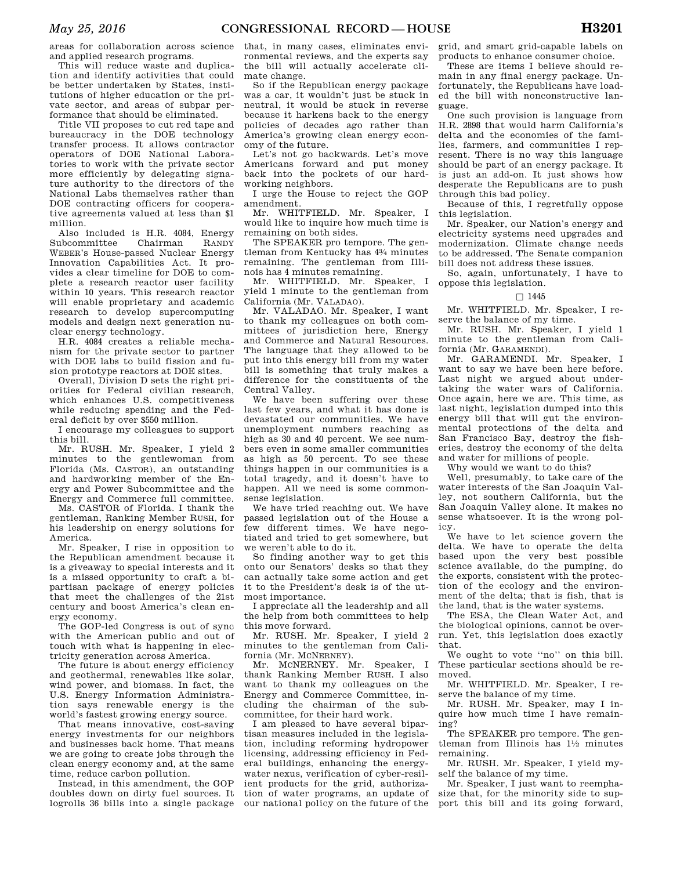areas for collaboration across science and applied research programs.

This will reduce waste and duplication and identify activities that could be better undertaken by States, institutions of higher education or the private sector, and areas of subpar performance that should be eliminated.

Title VII proposes to cut red tape and bureaucracy in the DOE technology transfer process. It allows contractor operators of DOE National Laboratories to work with the private sector more efficiently by delegating signature authority to the directors of the National Labs themselves rather than DOE contracting officers for cooperative agreements valued at less than \$1 million.

Also included is H.R. 4084, Energy Subcommittee Chairman RANDY WEBER's House-passed Nuclear Energy Innovation Capabilities Act. It provides a clear timeline for DOE to complete a research reactor user facility within 10 years. This research reactor will enable proprietary and academic research to develop supercomputing models and design next generation nuclear energy technology.

H.R. 4084 creates a reliable mechanism for the private sector to partner with DOE labs to build fission and fusion prototype reactors at DOE sites.

Overall, Division D sets the right priorities for Federal civilian research, which enhances U.S. competitiveness while reducing spending and the Federal deficit by over \$550 million.

I encourage my colleagues to support this bill.

Mr. RUSH. Mr. Speaker, I yield 2 minutes to the gentlewoman from Florida (Ms. CASTOR), an outstanding and hardworking member of the Energy and Power Subcommittee and the Energy and Commerce full committee.

Ms. CASTOR of Florida. I thank the gentleman, Ranking Member RUSH, for his leadership on energy solutions for America.

Mr. Speaker, I rise in opposition to the Republican amendment because it is a giveaway to special interests and it is a missed opportunity to craft a bipartisan package of energy policies that meet the challenges of the 21st century and boost America's clean energy economy.

The GOP-led Congress is out of sync with the American public and out of touch with what is happening in electricity generation across America.

The future is about energy efficiency and geothermal, renewables like solar, wind power, and biomass. In fact, the U.S. Energy Information Administration says renewable energy is the world's fastest growing energy source.

That means innovative, cost-saving energy investments for our neighbors and businesses back home. That means we are going to create jobs through the clean energy economy and, at the same time, reduce carbon pollution.

Instead, in this amendment, the GOP doubles down on dirty fuel sources. It logrolls 36 bills into a single package that, in many cases, eliminates environmental reviews, and the experts say the bill will actually accelerate climate change.

So if the Republican energy package was a car, it wouldn't just be stuck in neutral, it would be stuck in reverse because it harkens back to the energy policies of decades ago rather than America's growing clean energy economy of the future.

Let's not go backwards. Let's move Americans forward and put money back into the pockets of our hardworking neighbors.

I urge the House to reject the GOP amendment.

Mr. WHITFIELD. Mr. Speaker, I would like to inquire how much time is remaining on both sides.

The SPEAKER pro tempore. The gentleman from Kentucky has 43⁄4 minutes remaining. The gentleman from Illinois has 4 minutes remaining.

Mr. WHITFIELD. Mr. Speaker, I yield 1 minute to the gentleman from California (Mr. VALADAO).

Mr. VALADAO. Mr. Speaker, I want to thank my colleagues on both committees of jurisdiction here, Energy and Commerce and Natural Resources. The language that they allowed to be put into this energy bill from my water bill is something that truly makes a difference for the constituents of the Central Valley.

We have been suffering over these last few years, and what it has done is devastated our communities. We have unemployment numbers reaching as high as 30 and 40 percent. We see numbers even in some smaller communities as high as 50 percent. To see these things happen in our communities is a total tragedy, and it doesn't have to happen. All we need is some commonsense legislation.

We have tried reaching out. We have passed legislation out of the House a few different times. We have negotiated and tried to get somewhere, but we weren't able to do it.

So finding another way to get this onto our Senators' desks so that they can actually take some action and get it to the President's desk is of the utmost importance.

I appreciate all the leadership and all the help from both committees to help this move forward.

Mr. RUSH. Mr. Speaker, I yield 2 minutes to the gentleman from California (Mr. MCNERNEY).

Mr. MCNERNEY. Mr. Speaker, I thank Ranking Member RUSH. I also want to thank my colleagues on the Energy and Commerce Committee, including the chairman of the subcommittee, for their hard work.

I am pleased to have several bipartisan measures included in the legislation, including reforming hydropower licensing, addressing efficiency in Federal buildings, enhancing the energywater nexus, verification of cyber-resilient products for the grid, authorization of water programs, an update of our national policy on the future of the

grid, and smart grid-capable labels on products to enhance consumer choice.

These are items I believe should remain in any final energy package. Unfortunately, the Republicans have loaded the bill with nonconstructive language.

One such provision is language from H.R. 2898 that would harm California's delta and the economies of the families, farmers, and communities I represent. There is no way this language should be part of an energy package. It is just an add-on. It just shows how desperate the Republicans are to push through this bad policy.

Because of this, I regretfully oppose this legislation.

Mr. Speaker, our Nation's energy and electricity systems need upgrades and modernization. Climate change needs to be addressed. The Senate companion bill does not address these issues.

So, again, unfortunately, I have to oppose this legislation.

### $\Box$  1445

Mr. WHITFIELD. Mr. Speaker, I reserve the balance of my time.

Mr. RUSH. Mr. Speaker, I yield 1 minute to the gentleman from California (Mr. GARAMENDI).

Mr. GARAMENDI. Mr. Speaker, I want to say we have been here before. Last night we argued about undertaking the water wars of California. Once again, here we are. This time, as last night, legislation dumped into this energy bill that will gut the environmental protections of the delta and San Francisco Bay, destroy the fisheries, destroy the economy of the delta and water for millions of people.

Why would we want to do this?

Well, presumably, to take care of the water interests of the San Joaquin Valley, not southern California, but the San Joaquin Valley alone. It makes no sense whatsoever. It is the wrong policy.

We have to let science govern the delta. We have to operate the delta based upon the very best possible science available, do the pumping, do the exports, consistent with the protection of the ecology and the environment of the delta; that is fish, that is the land, that is the water systems.

The ESA, the Clean Water Act, and the biological opinions, cannot be overrun. Yet, this legislation does exactly that.

We ought to vote ''no'' on this bill. These particular sections should be removed.

Mr. WHITFIELD. Mr. Speaker, I reserve the balance of my time.

Mr. RUSH. Mr. Speaker, may I inquire how much time I have remaining?

The SPEAKER pro tempore. The gentleman from Illinois has  $1\frac{1}{2}$  minutes remaining.

Mr. RUSH. Mr. Speaker, I yield myself the balance of my time.

Mr. Speaker, I just want to reemphasize that, for the minority side to support this bill and its going forward,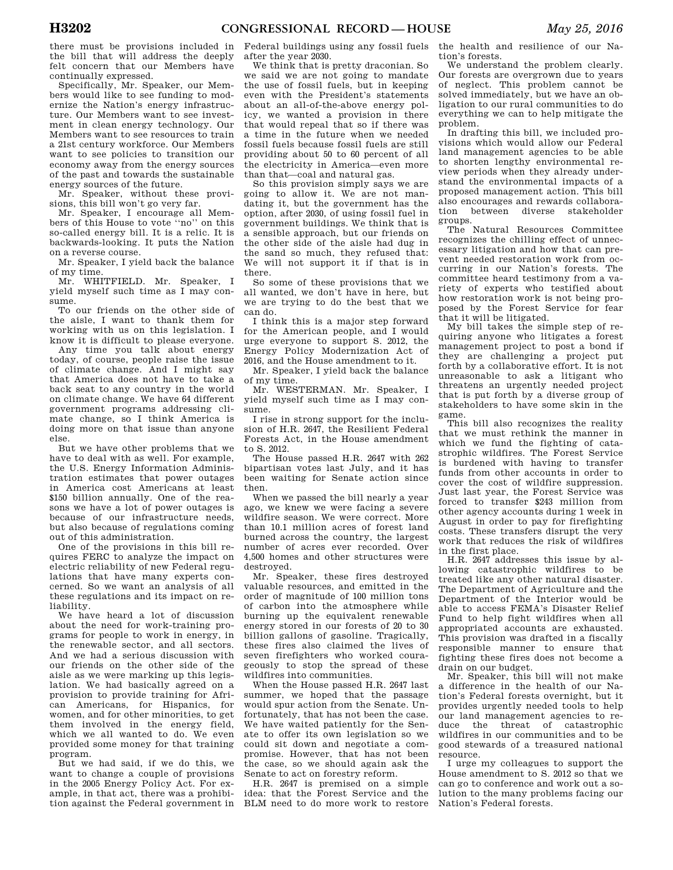there must be provisions included in the bill that will address the deeply felt concern that our Members have continually expressed.

Specifically, Mr. Speaker, our Members would like to see funding to modernize the Nation's energy infrastructure. Our Members want to see investment in clean energy technology. Our Members want to see resources to train a 21st century workforce. Our Members want to see policies to transition our economy away from the energy sources of the past and towards the sustainable energy sources of the future.

Mr. Speaker, without these provisions, this bill won't go very far.

Mr. Speaker, I encourage all Members of this House to vote ''no'' on this so-called energy bill. It is a relic. It is backwards-looking. It puts the Nation on a reverse course.

Mr. Speaker, I yield back the balance of my time.

Mr. WHITFIELD. Mr. Speaker, I yield myself such time as I may consume.

To our friends on the other side of the aisle, I want to thank them for working with us on this legislation. I know it is difficult to please everyone.

Any time you talk about energy today, of course, people raise the issue of climate change. And I might say that America does not have to take a back seat to any country in the world on climate change. We have 64 different government programs addressing climate change, so I think America is doing more on that issue than anyone else.

But we have other problems that we have to deal with as well. For example, the U.S. Energy Information Administration estimates that power outages in America cost Americans at least \$150 billion annually. One of the reasons we have a lot of power outages is because of our infrastructure needs, but also because of regulations coming out of this administration.

One of the provisions in this bill requires FERC to analyze the impact on electric reliability of new Federal regulations that have many experts concerned. So we want an analysis of all these regulations and its impact on reliability.

We have heard a lot of discussion about the need for work-training programs for people to work in energy, in the renewable sector, and all sectors. And we had a serious discussion with our friends on the other side of the aisle as we were marking up this legislation. We had basically agreed on a provision to provide training for African Americans, for Hispanics, for women, and for other minorities, to get them involved in the energy field, which we all wanted to do. We even provided some money for that training program.

But we had said, if we do this, we want to change a couple of provisions in the 2005 Energy Policy Act. For example, in that act, there was a prohibition against the Federal government in

Federal buildings using any fossil fuels after the year 2030.

We think that is pretty draconian. So we said we are not going to mandate the use of fossil fuels, but in keeping even with the President's statements about an all-of-the-above energy policy, we wanted a provision in there that would repeal that so if there was a time in the future when we needed fossil fuels because fossil fuels are still providing about 50 to 60 percent of all the electricity in America—even more than that—coal and natural gas.

So this provision simply says we are going to allow it. We are not mandating it, but the government has the option, after 2030, of using fossil fuel in government buildings. We think that is a sensible approach, but our friends on the other side of the aisle had dug in the sand so much, they refused that: We will not support it if that is in there.

So some of these provisions that we all wanted, we don't have in here, but we are trying to do the best that we can do.

I think this is a major step forward for the American people, and I would urge everyone to support S. 2012, the Energy Policy Modernization Act of 2016, and the House amendment to it.

Mr. Speaker, I yield back the balance of my time.

Mr. WESTERMAN. Mr. Speaker, I yield myself such time as I may consume.

I rise in strong support for the inclusion of H.R. 2647, the Resilient Federal Forests Act, in the House amendment to S. 2012.

The House passed H.R. 2647 with 262 bipartisan votes last July, and it has been waiting for Senate action since then.

When we passed the bill nearly a year ago, we knew we were facing a severe wildfire season. We were correct. More than 10.1 million acres of forest land burned across the country, the largest number of acres ever recorded. Over 4,500 homes and other structures were destroyed.

Mr. Speaker, these fires destroyed valuable resources, and emitted in the order of magnitude of 100 million tons of carbon into the atmosphere while burning up the equivalent renewable energy stored in our forests of 20 to 30 billion gallons of gasoline. Tragically, these fires also claimed the lives of seven firefighters who worked courageously to stop the spread of these wildfires into communities.

When the House passed H.R. 2647 last summer, we hoped that the passage would spur action from the Senate. Unfortunately, that has not been the case. We have waited patiently for the Senate to offer its own legislation so we could sit down and negotiate a compromise. However, that has not been the case, so we should again ask the Senate to act on forestry reform.

H.R. 2647 is premised on a simple idea: that the Forest Service and the BLM need to do more work to restore

the health and resilience of our Nation's forests.

We understand the problem clearly. Our forests are overgrown due to years of neglect. This problem cannot be solved immediately, but we have an obligation to our rural communities to do everything we can to help mitigate the problem.

In drafting this bill, we included provisions which would allow our Federal land management agencies to be able to shorten lengthy environmental review periods when they already understand the environmental impacts of a proposed management action. This bill also encourages and rewards collaboration between diverse stakeholder groups.

The Natural Resources Committee recognizes the chilling effect of unnecessary litigation and how that can prevent needed restoration work from occurring in our Nation's forests. The committee heard testimony from a variety of experts who testified about how restoration work is not being proposed by the Forest Service for fear that it will be litigated.

My bill takes the simple step of requiring anyone who litigates a forest management project to post a bond if they are challenging a project put forth by a collaborative effort. It is not unreasonable to ask a litigant who threatens an urgently needed project that is put forth by a diverse group of stakeholders to have some skin in the game.

This bill also recognizes the reality that we must rethink the manner in which we fund the fighting of catastrophic wildfires. The Forest Service is burdened with having to transfer funds from other accounts in order to cover the cost of wildfire suppression. Just last year, the Forest Service was forced to transfer \$243 million from other agency accounts during 1 week in August in order to pay for firefighting costs. These transfers disrupt the very work that reduces the risk of wildfires in the first place.

H.R. 2647 addresses this issue by allowing catastrophic wildfires to be treated like any other natural disaster. The Department of Agriculture and the Department of the Interior would be able to access FEMA's Disaster Relief Fund to help fight wildfires when all appropriated accounts are exhausted. This provision was drafted in a fiscally responsible manner to ensure that fighting these fires does not become a drain on our budget.

Mr. Speaker, this bill will not make a difference in the health of our Nation's Federal forests overnight, but it provides urgently needed tools to help our land management agencies to reduce the threat of catastrophic wildfires in our communities and to be good stewards of a treasured national resource.

I urge my colleagues to support the House amendment to S. 2012 so that we can go to conference and work out a solution to the many problems facing our Nation's Federal forests.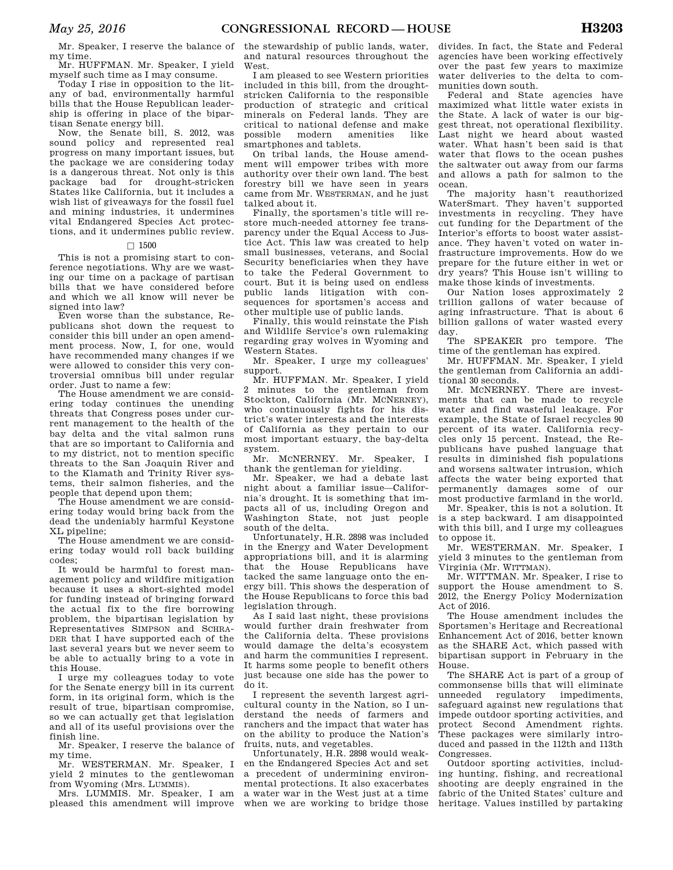Mr. Speaker, I reserve the balance of my time.

Mr. HUFFMAN. Mr. Speaker, I yield myself such time as I may consume.

Today I rise in opposition to the litany of bad, environmentally harmful bills that the House Republican leadership is offering in place of the bipartisan Senate energy bill.

Now, the Senate bill, S. 2012, was sound policy and represented real progress on many important issues, but the package we are considering today is a dangerous threat. Not only is this package bad for drought-stricken States like California, but it includes a wish list of giveaways for the fossil fuel and mining industries, it undermines vital Endangered Species Act protections, and it undermines public review.

# $\Box$  1500

This is not a promising start to conference negotiations. Why are we wasting our time on a package of partisan bills that we have considered before and which we all know will never be signed into law?

Even worse than the substance, Republicans shot down the request to consider this bill under an open amendment process. Now, I, for one, would have recommended many changes if we were allowed to consider this very controversial omnibus bill under regular order. Just to name a few:

The House amendment we are considering today continues the unending threats that Congress poses under current management to the health of the bay delta and the vital salmon runs that are so important to California and to my district, not to mention specific threats to the San Joaquin River and to the Klamath and Trinity River systems, their salmon fisheries, and the people that depend upon them;

The House amendment we are considering today would bring back from the dead the undeniably harmful Keystone XL pipeline;

The House amendment we are considering today would roll back building codes;

It would be harmful to forest management policy and wildfire mitigation because it uses a short-sighted model for funding instead of bringing forward the actual fix to the fire borrowing problem, the bipartisan legislation by Representatives SIMPSON and SCHRA-DER that I have supported each of the last several years but we never seem to be able to actually bring to a vote in this House.

I urge my colleagues today to vote for the Senate energy bill in its current form, in its original form, which is the result of true, bipartisan compromise, so we can actually get that legislation and all of its useful provisions over the finish line.

Mr. Speaker, I reserve the balance of my time.

Mr. WESTERMAN. Mr. Speaker, I yield 2 minutes to the gentlewoman from Wyoming (Mrs. LUMMIS).

Mrs. LUMMIS. Mr. Speaker, I am pleased this amendment will improve the stewardship of public lands, water, and natural resources throughout the West.

I am pleased to see Western priorities included in this bill, from the droughtstricken California to the responsible production of strategic and critical minerals on Federal lands. They are critical to national defense and make modern amenities like smartphones and tablets.

On tribal lands, the House amendment will empower tribes with more authority over their own land. The best forestry bill we have seen in years came from Mr. WESTERMAN, and he just talked about it.

Finally, the sportsmen's title will restore much-needed attorney fee transparency under the Equal Access to Justice Act. This law was created to help small businesses, veterans, and Social Security beneficiaries when they have to take the Federal Government to court. But it is being used on endless public lands litigation with consequences for sportsmen's access and other multiple use of public lands.

Finally, this would reinstate the Fish and Wildlife Service's own rulemaking regarding gray wolves in Wyoming and Western States.

Mr. Speaker, I urge my colleagues' support.

Mr. HUFFMAN. Mr. Speaker, I yield 2 minutes to the gentleman from Stockton, California (Mr. MCNERNEY), who continuously fights for his district's water interests and the interests of California as they pertain to our most important estuary, the bay-delta system.

Mr. MCNERNEY. Mr. Speaker, I thank the gentleman for yielding.

Mr. Speaker, we had a debate last night about a familiar issue—California's drought. It is something that impacts all of us, including Oregon and Washington State, not just people south of the delta.

Unfortunately, H.R. 2898 was included in the Energy and Water Development appropriations bill, and it is alarming that the House Republicans have tacked the same language onto the energy bill. This shows the desperation of the House Republicans to force this bad legislation through.

As I said last night, these provisions would further drain freshwater from the California delta. These provisions would damage the delta's ecosystem and harm the communities I represent. It harms some people to benefit others just because one side has the power to do it.

I represent the seventh largest agricultural county in the Nation, so I understand the needs of farmers and ranchers and the impact that water has on the ability to produce the Nation's fruits, nuts, and vegetables.

Unfortunately, H.R. 2898 would weaken the Endangered Species Act and set a precedent of undermining environmental protections. It also exacerbates a water war in the West just at a time when we are working to bridge those

divides. In fact, the State and Federal agencies have been working effectively over the past few years to maximize water deliveries to the delta to communities down south.

Federal and State agencies have maximized what little water exists in the State. A lack of water is our biggest threat, not operational flexibility. Last night we heard about wasted water. What hasn't been said is that water that flows to the ocean pushes the saltwater out away from our farms and allows a path for salmon to the ocean.

The majority hasn't reauthorized WaterSmart. They haven't supported investments in recycling. They have cut funding for the Department of the Interior's efforts to boost water assistance. They haven't voted on water infrastructure improvements. How do we prepare for the future either in wet or dry years? This House isn't willing to make those kinds of investments.

Our Nation loses approximately 2 trillion gallons of water because of aging infrastructure. That is about 6 billion gallons of water wasted every day.

The SPEAKER pro tempore. The time of the gentleman has expired.

Mr. HUFFMAN. Mr. Speaker, I yield the gentleman from California an additional 30 seconds.

Mr. MCNERNEY. There are investments that can be made to recycle water and find wasteful leakage. For example, the State of Israel recycles 90 percent of its water. California recycles only 15 percent. Instead, the Republicans have pushed language that results in diminished fish populations and worsens saltwater intrusion, which affects the water being exported that permanently damages some of our most productive farmland in the world.

Mr. Speaker, this is not a solution. It is a step backward. I am disappointed with this bill, and I urge my colleagues to oppose it.

Mr. WESTERMAN. Mr. Speaker, I yield 3 minutes to the gentleman from Virginia (Mr. WITTMAN).

Mr. WITTMAN. Mr. Speaker, I rise to support the House amendment to S. 2012, the Energy Policy Modernization Act of 2016.

The House amendment includes the Sportsmen's Heritage and Recreational Enhancement Act of 2016, better known as the SHARE Act, which passed with bipartisan support in February in the House.

The SHARE Act is part of a group of commonsense bills that will eliminate unneeded regulatory impediments, safeguard against new regulations that impede outdoor sporting activities, and protect Second Amendment rights. These packages were similarly introduced and passed in the 112th and 113th Congresses.

Outdoor sporting activities, including hunting, fishing, and recreational shooting are deeply engrained in the fabric of the United States' culture and heritage. Values instilled by partaking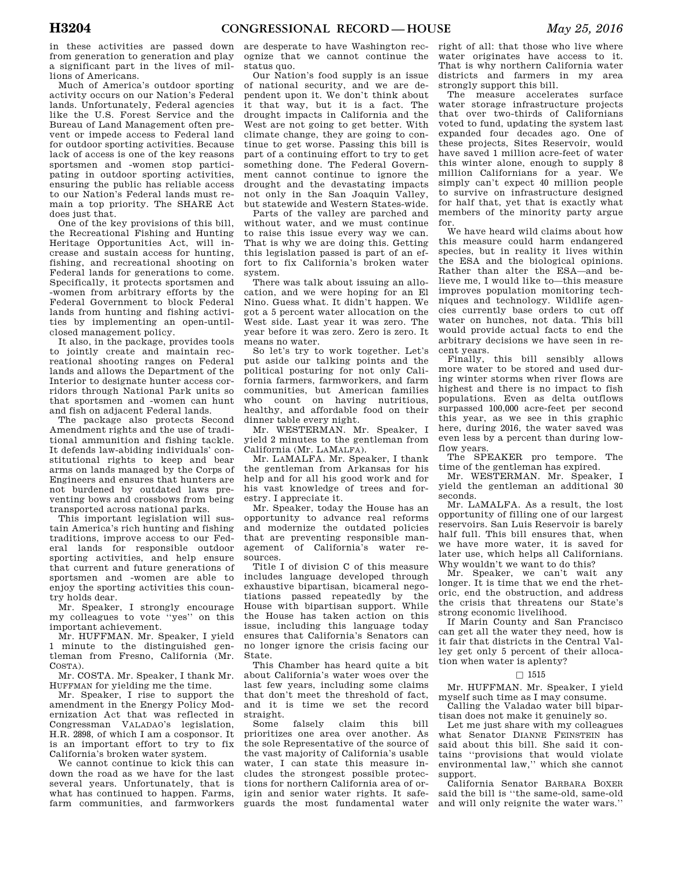in these activities are passed down from generation to generation and play a significant part in the lives of millions of Americans.

Much of America's outdoor sporting activity occurs on our Nation's Federal lands. Unfortunately, Federal agencies like the U.S. Forest Service and the Bureau of Land Management often prevent or impede access to Federal land for outdoor sporting activities. Because lack of access is one of the key reasons sportsmen and -women stop participating in outdoor sporting activities, ensuring the public has reliable access to our Nation's Federal lands must remain a top priority. The SHARE Act does just that.

One of the key provisions of this bill, the Recreational Fishing and Hunting Heritage Opportunities Act, will increase and sustain access for hunting, fishing, and recreational shooting on Federal lands for generations to come. Specifically, it protects sportsmen and -women from arbitrary efforts by the Federal Government to block Federal lands from hunting and fishing activities by implementing an open-untilclosed management policy.

It also, in the package, provides tools to jointly create and maintain recreational shooting ranges on Federal lands and allows the Department of the Interior to designate hunter access corridors through National Park units so that sportsmen and -women can hunt and fish on adjacent Federal lands.

The package also protects Second Amendment rights and the use of traditional ammunition and fishing tackle. It defends law-abiding individuals' constitutional rights to keep and bear arms on lands managed by the Corps of Engineers and ensures that hunters are not burdened by outdated laws preventing bows and crossbows from being transported across national parks.

This important legislation will sustain America's rich hunting and fishing traditions, improve access to our Federal lands for responsible outdoor sporting activities, and help ensure that current and future generations of sportsmen and -women are able to enjoy the sporting activities this country holds dear.

Mr. Speaker, I strongly encourage my colleagues to vote ''yes'' on this important achievement.

Mr. HUFFMAN. Mr. Speaker, I yield 1 minute to the distinguished gentleman from Fresno, California (Mr. COSTA).

Mr. COSTA. Mr. Speaker, I thank Mr. HUFFMAN for yielding me the time.

Mr. Speaker, I rise to support the amendment in the Energy Policy Modernization Act that was reflected in Congressman VALADAO's legislation, H.R. 2898, of which I am a cosponsor. It is an important effort to try to fix California's broken water system.

We cannot continue to kick this can down the road as we have for the last several years. Unfortunately, that is what has continued to happen. Farms, farm communities, and farmworkers

are desperate to have Washington recognize that we cannot continue the status quo.

Our Nation's food supply is an issue of national security, and we are dependent upon it. We don't think about it that way, but it is a fact. The drought impacts in California and the West are not going to get better. With climate change, they are going to continue to get worse. Passing this bill is part of a continuing effort to try to get something done. The Federal Government cannot continue to ignore the drought and the devastating impacts not only in the San Joaquin Valley, but statewide and Western States-wide.

Parts of the valley are parched and without water, and we must continue to raise this issue every way we can. That is why we are doing this. Getting this legislation passed is part of an effort to fix California's broken water system.

There was talk about issuing an allocation, and we were hoping for an El Nino. Guess what. It didn't happen. We got a 5 percent water allocation on the West side. Last year it was zero. The year before it was zero. Zero is zero. It means no water.

So let's try to work together. Let's put aside our talking points and the political posturing for not only California farmers, farmworkers, and farm communities, but American families who count on having nutritious, healthy, and affordable food on their dinner table every night.

Mr. WESTERMAN. Mr. Speaker, I yield 2 minutes to the gentleman from California (Mr. LAMALFA).

Mr. LAMALFA. Mr. Speaker, I thank the gentleman from Arkansas for his help and for all his good work and for his vast knowledge of trees and forestry. I appreciate it.

Mr. Speaker, today the House has an opportunity to advance real reforms and modernize the outdated policies that are preventing responsible management of California's water resources.

Title I of division C of this measure includes language developed through exhaustive bipartisan, bicameral negotiations passed repeatedly by the House with bipartisan support. While the House has taken action on this issue, including this language today ensures that California's Senators can no longer ignore the crisis facing our State.

This Chamber has heard quite a bit about California's water woes over the last few years, including some claims that don't meet the threshold of fact, and it is time we set the record straight.

falsely claim this bill prioritizes one area over another. As the sole Representative of the source of the vast majority of California's usable water, I can state this measure includes the strongest possible protections for northern California area of origin and senior water rights. It safeguards the most fundamental water

right of all: that those who live where water originates have access to it. That is why northern California water districts and farmers in my area strongly support this bill.

The measure accelerates surface water storage infrastructure projects that over two-thirds of Californians voted to fund, updating the system last expanded four decades ago. One of these projects, Sites Reservoir, would have saved 1 million acre-feet of water this winter alone, enough to supply 8 million Californians for a year. We simply can't expect 40 million people to survive on infrastructure designed for half that, yet that is exactly what members of the minority party argue for.

We have heard wild claims about how this measure could harm endangered species, but in reality it lives within the ESA and the biological opinions. Rather than alter the ESA—and believe me, I would like to—this measure improves population monitoring techniques and technology. Wildlife agencies currently base orders to cut off water on hunches, not data. This bill would provide actual facts to end the arbitrary decisions we have seen in recent years.

Finally, this bill sensibly allows more water to be stored and used during winter storms when river flows are highest and there is no impact to fish populations. Even as delta outflows surpassed 100,000 acre-feet per second this year, as we see in this graphic here, during 2016, the water saved was even less by a percent than during lowflow years.

The SPEAKER pro tempore. The time of the gentleman has expired.

Mr. WESTERMAN. Mr. Speaker, I yield the gentleman an additional 30 seconds.

Mr. LAMALFA. As a result, the lost opportunity of filling one of our largest reservoirs. San Luis Reservoir is barely half full. This bill ensures that, when we have more water, it is saved for later use, which helps all Californians. Why wouldn't we want to do this?

Mr. Speaker, we can't wait any longer. It is time that we end the rhetoric, end the obstruction, and address the crisis that threatens our State's strong economic livelihood.

If Marin County and San Francisco can get all the water they need, how is it fair that districts in the Central Valley get only 5 percent of their allocation when water is aplenty?

### $\square$  1515

Mr. HUFFMAN. Mr. Speaker, I yield myself such time as I may consume.

Calling the Valadao water bill bipartisan does not make it genuinely so.

Let me just share with my colleagues what Senator DIANNE FEINSTEIN has said about this bill. She said it contains ''provisions that would violate environmental law,'' which she cannot support.

California Senator BARBARA BOXER said the bill is ''the same-old, same-old and will only reignite the water wars.''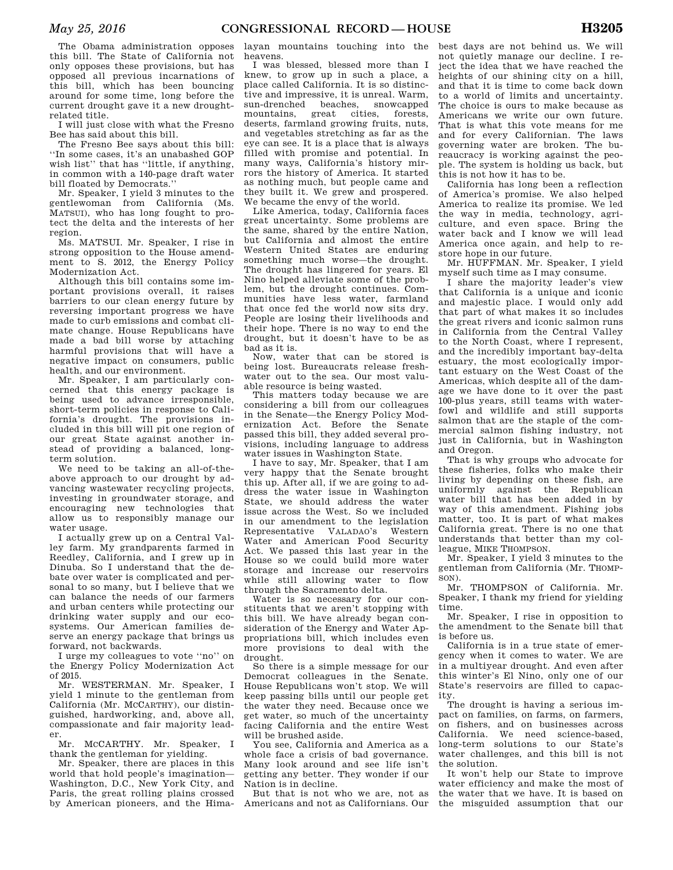The Obama administration opposes this bill. The State of California not only opposes these provisions, but has opposed all previous incarnations of this bill, which has been bouncing around for some time, long before the current drought gave it a new droughtrelated title.

I will just close with what the Fresno Bee has said about this bill.

The Fresno Bee says about this bill: ''In some cases, it's an unabashed GOP wish list'' that has ''little, if anything, in common with a 140-page draft water bill floated by Democrats.''

Mr. Speaker, I yield 3 minutes to the gentlewoman from California (Ms. MATSUI), who has long fought to protect the delta and the interests of her region.

Ms. MATSUI. Mr. Speaker, I rise in strong opposition to the House amendment to S. 2012, the Energy Policy Modernization Act.

Although this bill contains some important provisions overall, it raises barriers to our clean energy future by reversing important progress we have made to curb emissions and combat climate change. House Republicans have made a bad bill worse by attaching harmful provisions that will have a negative impact on consumers, public health, and our environment.

Mr. Speaker, I am particularly concerned that this energy package is being used to advance irresponsible, short-term policies in response to California's drought. The provisions included in this bill will pit one region of our great State against another instead of providing a balanced, longterm solution.

We need to be taking an all-of-theabove approach to our drought by advancing wastewater recycling projects, investing in groundwater storage, and encouraging new technologies that allow us to responsibly manage our water usage.

I actually grew up on a Central Valley farm. My grandparents farmed in Reedley, California, and I grew up in Dinuba. So I understand that the debate over water is complicated and personal to so many, but I believe that we can balance the needs of our farmers and urban centers while protecting our drinking water supply and our ecosystems. Our American families deserve an energy package that brings us forward, not backwards.

I urge my colleagues to vote ''no'' on the Energy Policy Modernization Act of 2015.

Mr. WESTERMAN. Mr. Speaker, I yield 1 minute to the gentleman from California (Mr. MCCARTHY), our distinguished, hardworking, and, above all, compassionate and fair majority leader.

Mr. MCCARTHY. Mr. Speaker, I thank the gentleman for yielding.

Mr. Speaker, there are places in this world that hold people's imagination— Washington, D.C., New York City, and Paris, the great rolling plains crossed by American pioneers, and the Hima-

layan mountains touching into the heavens.

I was blessed, blessed more than I knew, to grow up in such a place, a place called California. It is so distinctive and impressive, it is unreal. Warm, sun-drenched beaches, snowcapped mountains, great cities, forests, deserts, farmland growing fruits, nuts, and vegetables stretching as far as the eye can see. It is a place that is always filled with promise and potential. In many ways, California's history mirrors the history of America. It started as nothing much, but people came and they built it. We grew and prospered. We became the envy of the world.

Like America, today, California faces great uncertainty. Some problems are the same, shared by the entire Nation, but California and almost the entire Western United States are enduring something much worse—the drought. The drought has lingered for years. El Nino helped alleviate some of the problem, but the drought continues. Communities have less water, farmland that once fed the world now sits dry. People are losing their livelihoods and their hope. There is no way to end the drought, but it doesn't have to be as bad as it is.

Now, water that can be stored is being lost. Bureaucrats release freshwater out to the sea. Our most valuable resource is being wasted.

This matters today because we are considering a bill from our colleagues in the Senate—the Energy Policy Modernization Act. Before the Senate passed this bill, they added several provisions, including language to address water issues in Washington State.

I have to say, Mr. Speaker, that I am very happy that the Senate brought this up. After all, if we are going to address the water issue in Washington State, we should address the water issue across the West. So we included in our amendment to the legislation Representative VALADAO's Western Water and American Food Security Act. We passed this last year in the House so we could build more water storage and increase our reservoirs while still allowing water to flow through the Sacramento delta.

Water is so necessary for our constituents that we aren't stopping with this bill. We have already began consideration of the Energy and Water Appropriations bill, which includes even more provisions to deal with the drought.

So there is a simple message for our Democrat colleagues in the Senate. House Republicans won't stop. We will keep passing bills until our people get the water they need. Because once we get water, so much of the uncertainty facing California and the entire West will be brushed aside.

You see, California and America as a whole face a crisis of bad governance. Many look around and see life isn't getting any better. They wonder if our Nation is in decline.

But that is not who we are, not as Americans and not as Californians. Our

best days are not behind us. We will not quietly manage our decline. I reject the idea that we have reached the heights of our shining city on a hill, and that it is time to come back down to a world of limits and uncertainty. The choice is ours to make because as Americans we write our own future. That is what this vote means for me and for every Californian. The laws governing water are broken. The bureaucracy is working against the people. The system is holding us back, but this is not how it has to be.

California has long been a reflection of America's promise. We also helped America to realize its promise. We led the way in media, technology, agriculture, and even space. Bring the water back and I know we will lead America once again, and help to restore hope in our future.

Mr. HUFFMAN. Mr. Speaker, I yield myself such time as I may consume.

I share the majority leader's view that California is a unique and iconic and majestic place. I would only add that part of what makes it so includes the great rivers and iconic salmon runs in California from the Central Valley to the North Coast, where I represent, and the incredibly important bay-delta estuary, the most ecologically important estuary on the West Coast of the Americas, which despite all of the damage we have done to it over the past 100-plus years, still teams with waterfowl and wildlife and still supports salmon that are the staple of the commercial salmon fishing industry, not just in California, but in Washington and Oregon.

That is why groups who advocate for these fisheries, folks who make their living by depending on these fish, are uniformly against the Republican water bill that has been added in by way of this amendment. Fishing jobs matter, too. It is part of what makes California great. There is no one that understands that better than my colleague, MIKE THOMPSON.

Mr. Speaker, I yield 3 minutes to the gentleman from California (Mr. THOMP- $SON$ ).

Mr. THOMPSON of California. Mr. Speaker, I thank my friend for yielding time.

Mr. Speaker, I rise in opposition to the amendment to the Senate bill that is before us.

California is in a true state of emergency when it comes to water. We are in a multiyear drought. And even after this winter's El Nino, only one of our State's reservoirs are filled to capacity.

The drought is having a serious impact on families, on farms, on farmers, on fishers, and on businesses across California. We need science-based, long-term solutions to our State's water challenges, and this bill is not the solution.

It won't help our State to improve water efficiency and make the most of the water that we have. It is based on the misguided assumption that our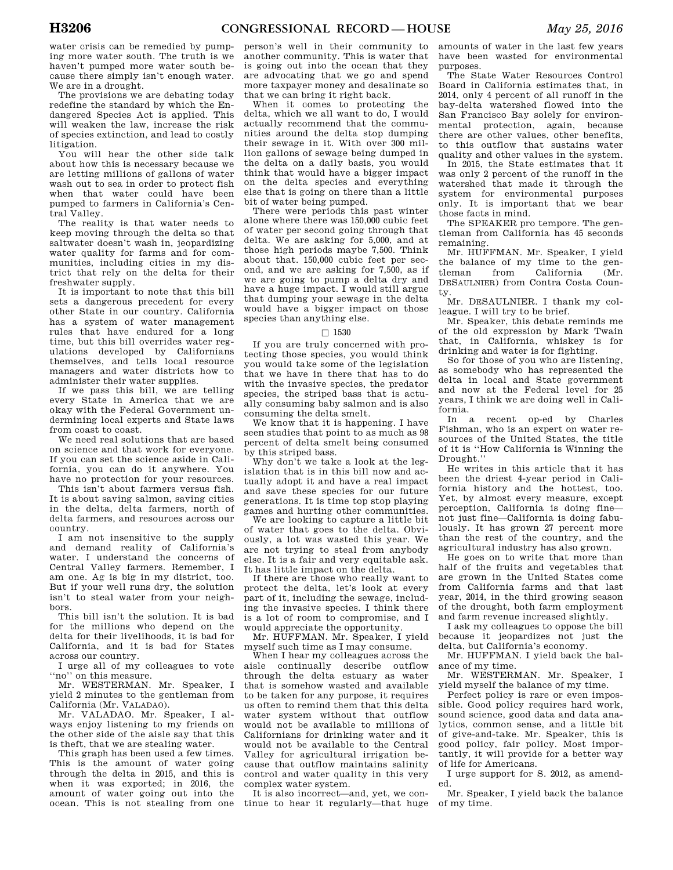water crisis can be remedied by pumping more water south. The truth is we haven't pumped more water south because there simply isn't enough water. We are in a drought.

The provisions we are debating today redefine the standard by which the Endangered Species Act is applied. This will weaken the law, increase the risk of species extinction, and lead to costly litigation.

You will hear the other side talk about how this is necessary because we are letting millions of gallons of water wash out to sea in order to protect fish when that water could have been pumped to farmers in California's Central Valley.

The reality is that water needs to keep moving through the delta so that saltwater doesn't wash in, jeopardizing water quality for farms and for communities, including cities in my district that rely on the delta for their freshwater supply.

It is important to note that this bill sets a dangerous precedent for every other State in our country. California has a system of water management rules that have endured for a long time, but this bill overrides water regulations developed by Californians themselves, and tells local resource managers and water districts how to administer their water supplies.

If we pass this bill, we are telling every State in America that we are okay with the Federal Government undermining local experts and State laws from coast to coast.

We need real solutions that are based on science and that work for everyone. If you can set the science aside in California, you can do it anywhere. You have no protection for your resources.

This isn't about farmers versus fish. It is about saving salmon, saving cities in the delta, delta farmers, north of delta farmers, and resources across our country.

I am not insensitive to the supply and demand reality of California's water. I understand the concerns of Central Valley farmers. Remember, I am one. Ag is big in my district, too. But if your well runs dry, the solution isn't to steal water from your neighbors.

This bill isn't the solution. It is bad for the millions who depend on the delta for their livelihoods, it is bad for California, and it is bad for States across our country.

I urge all of my colleagues to vote ''no'' on this measure.

Mr. WESTERMAN. Mr. Speaker, I yield 2 minutes to the gentleman from California (Mr. VALADAO).

Mr. VALADAO. Mr. Speaker, I always enjoy listening to my friends on the other side of the aisle say that this is theft, that we are stealing water.

This graph has been used a few times. This is the amount of water going through the delta in 2015, and this is when it was exported; in 2016, the amount of water going out into the ocean. This is not stealing from one

person's well in their community to another community. This is water that is going out into the ocean that they are advocating that we go and spend more taxpayer money and desalinate so that we can bring it right back.

When it comes to protecting the delta, which we all want to do, I would actually recommend that the communities around the delta stop dumping their sewage in it. With over 300 million gallons of sewage being dumped in the delta on a daily basis, you would think that would have a bigger impact on the delta species and everything else that is going on there than a little bit of water being pumped.

There were periods this past winter alone where there was 150,000 cubic feet of water per second going through that delta. We are asking for 5,000, and at those high periods maybe 7,500. Think about that. 150,000 cubic feet per second, and we are asking for 7,500, as if we are going to pump a delta dry and have a huge impact. I would still argue that dumping your sewage in the delta would have a bigger impact on those species than anything else.

# $\Box$ 1530

If you are truly concerned with protecting those species, you would think you would take some of the legislation that we have in there that has to do with the invasive species, the predator species, the striped bass that is actually consuming baby salmon and is also consuming the delta smelt.

We know that it is happening. I have seen studies that point to as much as 98 percent of delta smelt being consumed by this striped bass.

Why don't we take a look at the legislation that is in this bill now and actually adopt it and have a real impact and save these species for our future generations. It is time top stop playing games and hurting other communities.

We are looking to capture a little bit of water that goes to the delta. Obviously, a lot was wasted this year. We are not trying to steal from anybody else. It is a fair and very equitable ask. It has little impact on the delta.

If there are those who really want to protect the delta, let's look at every part of it, including the sewage, including the invasive species. I think there is a lot of room to compromise, and I would appreciate the opportunity.

Mr. HUFFMAN. Mr. Speaker, I yield myself such time as I may consume.

When I hear my colleagues across the aisle continually describe outflow through the delta estuary as water that is somehow wasted and available to be taken for any purpose, it requires us often to remind them that this delta water system without that outflow would not be available to millions of Californians for drinking water and it would not be available to the Central Valley for agricultural irrigation because that outflow maintains salinity control and water quality in this very complex water system.

It is also incorrect—and, yet, we continue to hear it regularly—that huge amounts of water in the last few years have been wasted for environmental purposes.

The State Water Resources Control Board in California estimates that, in 2014, only 4 percent of all runoff in the bay-delta watershed flowed into the San Francisco Bay solely for environmental protection, again, because there are other values, other benefits, to this outflow that sustains water quality and other values in the system.

In 2015, the State estimates that it was only 2 percent of the runoff in the watershed that made it through the system for environmental purposes only. It is important that we bear those facts in mind.

The SPEAKER pro tempore. The gentleman from California has 45 seconds remaining.

Mr. HUFFMAN. Mr. Speaker, I yield the balance of my time to the gen-<br>tleman from California (Mr. tleman from California (Mr. DESAULNIER) from Contra Costa County.

Mr. DESAULNIER. I thank my colleague. I will try to be brief.

Mr. Speaker, this debate reminds me of the old expression by Mark Twain that, in California, whiskey is for drinking and water is for fighting.

So for those of you who are listening, as somebody who has represented the delta in local and State government and now at the Federal level for 25 years, I think we are doing well in California.

In a recent op-ed by Charles Fishman, who is an expert on water resources of the United States, the title of it is ''How California is Winning the Drought.''

He writes in this article that it has been the driest 4-year period in California history and the hottest, too. Yet, by almost every measure, except perception, California is doing fine not just fine—California is doing fabulously. It has grown 27 percent more than the rest of the country, and the agricultural industry has also grown.

He goes on to write that more than half of the fruits and vegetables that are grown in the United States come from California farms and that last year, 2014, in the third growing season of the drought, both farm employment and farm revenue increased slightly.

I ask my colleagues to oppose the bill because it jeopardizes not just the delta, but California's economy.

Mr. HUFFMAN. I yield back the balance of my time.

Mr. WESTERMAN. Mr. Speaker, I yield myself the balance of my time.

Perfect policy is rare or even impossible. Good policy requires hard work, sound science, good data and data analytics, common sense, and a little bit of give-and-take. Mr. Speaker, this is good policy, fair policy. Most importantly, it will provide for a better way of life for Americans.

I urge support for S. 2012, as amended.

Mr. Speaker, I yield back the balance of my time.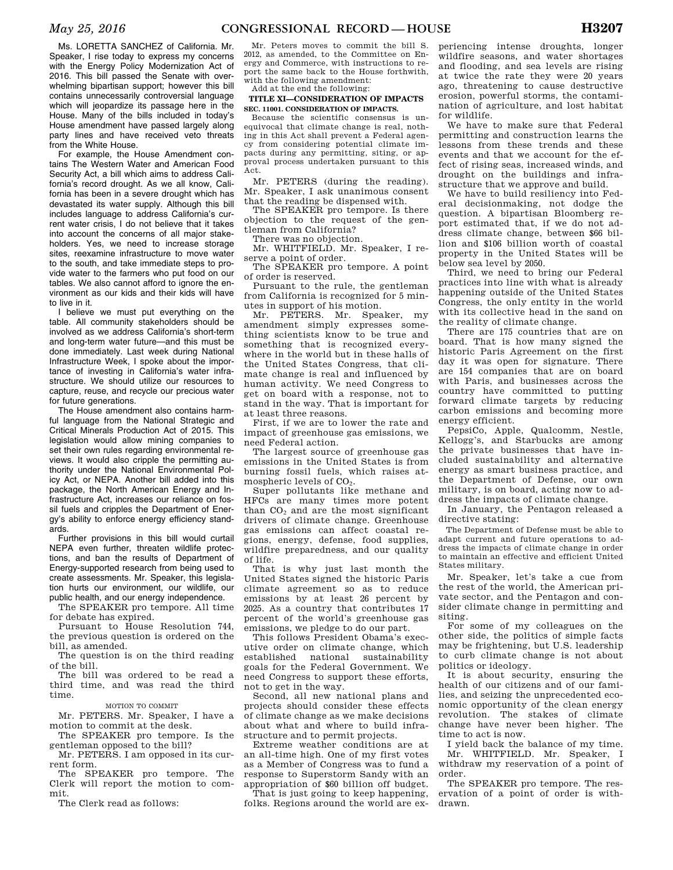Ms. LORETTA SANCHEZ of California. Mr. Speaker, I rise today to express my concerns with the Energy Policy Modernization Act of 2016. This bill passed the Senate with overwhelming bipartisan support; however this bill contains unnecessarily controversial language which will jeopardize its passage here in the House. Many of the bills included in today's House amendment have passed largely along party lines and have received veto threats from the White House.

For example, the House Amendment contains The Western Water and American Food Security Act, a bill which aims to address California's record drought. As we all know, California has been in a severe drought which has devastated its water supply. Although this bill includes language to address California's current water crisis, I do not believe that it takes into account the concerns of all major stakeholders. Yes, we need to increase storage sites, reexamine infrastructure to move water to the south, and take immediate steps to provide water to the farmers who put food on our tables. We also cannot afford to ignore the environment as our kids and their kids will have to live in it.

I believe we must put everything on the table. All community stakeholders should be involved as we address California's short-term and long-term water future—and this must be done immediately. Last week during National Infrastructure Week, I spoke about the importance of investing in California's water infrastructure. We should utilize our resources to capture, reuse, and recycle our precious water for future generations.

The House amendment also contains harmful language from the National Strategic and Critical Minerals Production Act of 2015. This legislation would allow mining companies to set their own rules regarding environmental reviews. It would also cripple the permitting authority under the National Environmental Policy Act, or NEPA. Another bill added into this package, the North American Energy and Infrastructure Act, increases our reliance on fossil fuels and cripples the Department of Energy's ability to enforce energy efficiency standards.

Further provisions in this bill would curtail NEPA even further, threaten wildlife protections, and ban the results of Department of Energy-supported research from being used to create assessments. Mr. Speaker, this legislation hurts our environment, our wildlife, our public health, and our energy independence.

The SPEAKER pro tempore. All time for debate has expired.

Pursuant to House Resolution 744, the previous question is ordered on the bill, as amended.

The question is on the third reading of the bill.

The bill was ordered to be read a third time, and was read the third time.

MOTION TO COMMIT

Mr. PETERS. Mr. Speaker, I have a motion to commit at the desk.

The SPEAKER pro tempore. Is the gentleman opposed to the bill?

Mr. PETERS. I am opposed in its current form.

The SPEAKER pro tempore. The Clerk will report the motion to commit.

The Clerk read as follows:

Mr. Peters moves to commit the bill S. 2012, as amended, to the Committee on Energy and Commerce, with instructions to report the same back to the House forthwith, with the following amendment: Add at the end the following:

## **TITLE XI—CONSIDERATION OF IMPACTS SEC. 11001. CONSIDERATION OF IMPACTS.**

Because the scientific consensus is unequivocal that climate change is real, nothing in this Act shall prevent a Federal agency from considering potential climate impacts during any permitting, siting, or approval process undertaken pursuant to this Act.

Mr. PETERS (during the reading). Mr. Speaker, I ask unanimous consent that the reading be dispensed with.

The SPEAKER pro tempore. Is there objection to the request of the gentleman from California?

There was no objection.

Mr. WHITFIELD. Mr. Speaker, I reserve a point of order.

The SPEAKER pro tempore. A point of order is reserved.

Pursuant to the rule, the gentleman from California is recognized for 5 minutes in support of his motion.

Mr. PETERS. Mr. Speaker, my amendment simply expresses something scientists know to be true and something that is recognized everywhere in the world but in these halls of the United States Congress, that climate change is real and influenced by human activity. We need Congress to get on board with a response, not to stand in the way. That is important for at least three reasons.

First, if we are to lower the rate and impact of greenhouse gas emissions, we need Federal action.

The largest source of greenhouse gas emissions in the United States is from burning fossil fuels, which raises atmospheric levels of  $CO<sub>2</sub>$ .

Super pollutants like methane and HFCs are many times more potent than  $CO<sub>2</sub>$  and are the most significant drivers of climate change. Greenhouse gas emissions can affect coastal regions, energy, defense, food supplies, wildfire preparedness, and our quality of life.

That is why just last month the United States signed the historic Paris climate agreement so as to reduce emissions by at least 26 percent by 2025. As a country that contributes 17 percent of the world's greenhouse gas emissions, we pledge to do our part.

This follows President Obama's executive order on climate change, which<br>established national sustainability national sustainability goals for the Federal Government. We need Congress to support these efforts, not to get in the way.

Second, all new national plans and projects should consider these effects of climate change as we make decisions about what and where to build infrastructure and to permit projects.

Extreme weather conditions are at an all-time high. One of my first votes as a Member of Congress was to fund a response to Superstorm Sandy with an appropriation of \$60 billion off budget.

That is just going to keep happening, folks. Regions around the world are experiencing intense droughts, longer wildfire seasons, and water shortages and flooding, and sea levels are rising at twice the rate they were 20 years ago, threatening to cause destructive erosion, powerful storms, the contamination of agriculture, and lost habitat for wildlife.

We have to make sure that Federal permitting and construction learns the lessons from these trends and these events and that we account for the effect of rising seas, increased winds, and drought on the buildings and infrastructure that we approve and build.

We have to build resiliency into Federal decisionmaking, not dodge the question. A bipartisan Bloomberg report estimated that, if we do not address climate change, between \$66 billion and \$106 billion worth of coastal property in the United States will be below sea level by 2050.

Third, we need to bring our Federal practices into line with what is already happening outside of the United States Congress, the only entity in the world with its collective head in the sand on the reality of climate change.

There are 175 countries that are on board. That is how many signed the historic Paris Agreement on the first day it was open for signature. There are 154 companies that are on board with Paris, and businesses across the country have committed to putting forward climate targets by reducing carbon emissions and becoming more energy efficient.

PepsiCo, Apple, Qualcomm, Nestle, Kellogg's, and Starbucks are among the private businesses that have included sustainability and alternative energy as smart business practice, and the Department of Defense, our own military, is on board, acting now to address the impacts of climate change.

In January, the Pentagon released a directive stating:

The Department of Defense must be able to adapt current and future operations to address the impacts of climate change in order to maintain an effective and efficient United States military.

Mr. Speaker, let's take a cue from the rest of the world, the American private sector, and the Pentagon and consider climate change in permitting and siting.

For some of my colleagues on the other side, the politics of simple facts may be frightening, but U.S. leadership to curb climate change is not about politics or ideology.

It is about security, ensuring the health of our citizens and of our families, and seizing the unprecedented economic opportunity of the clean energy revolution. The stakes of climate change have never been higher. The time to act is now.

I yield back the balance of my time. Mr. WHITFIELD. Mr. Speaker, I withdraw my reservation of a point of order.

The SPEAKER pro tempore. The reservation of a point of order is withdrawn.